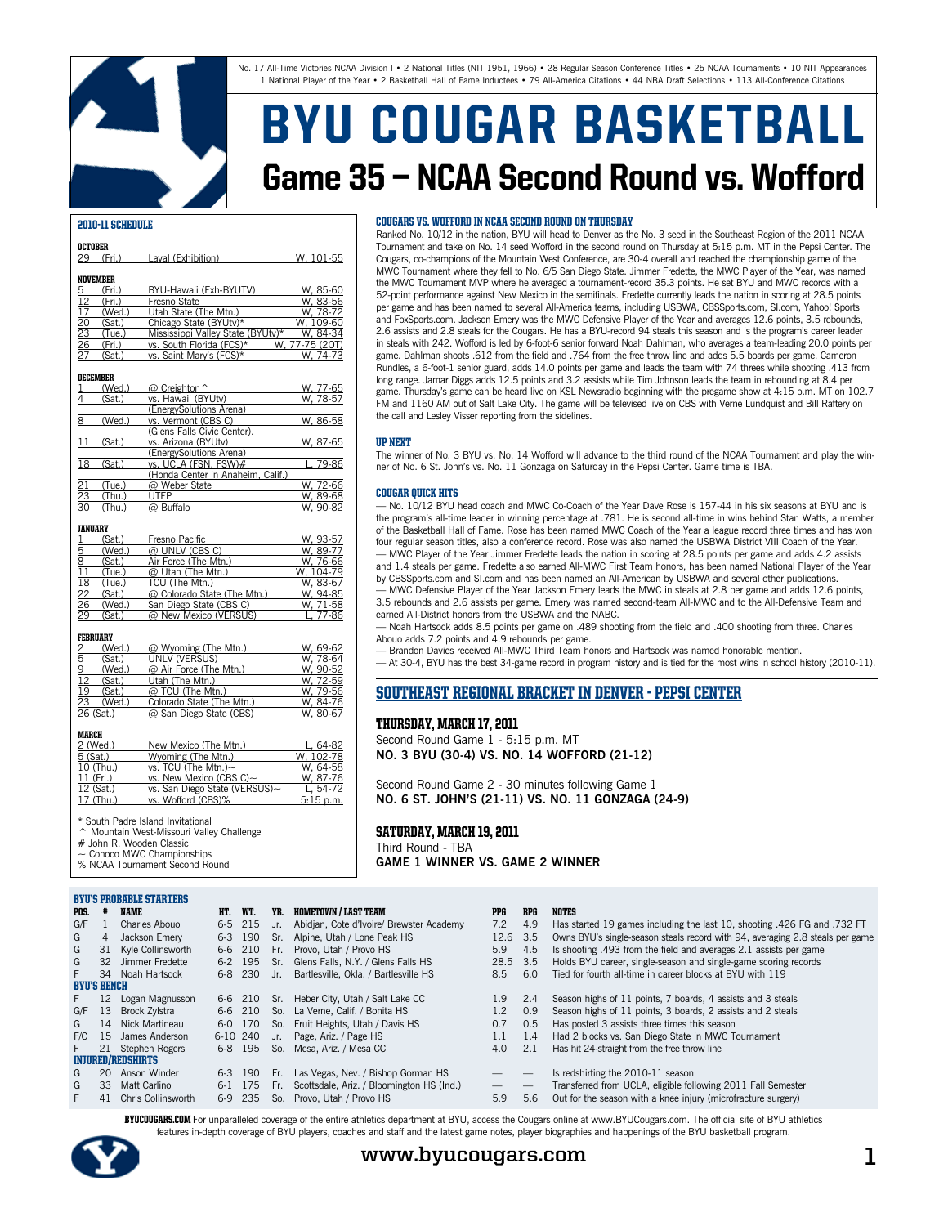No. 17 All-Time Victories NCAA Division I • 2 National Titles (NIT 1951, 1966) • 28 Regular Season Conference Titles • 25 NCAA Tournaments • 10 NIT Appearances 1 National Player of the Year • 2 Basketball Hall of Fame Inductees • 79 All-America Citations • 44 NBA Draft Selections • 113 All-Conference Citations

# BYU COUGAR BASKETBALL Game 35 — NCAA Second Round vs. Wofford

### 2010-11 Schedule

| OCTOBER                            |        |                                   |                |
|------------------------------------|--------|-----------------------------------|----------------|
| 29                                 | (Fri.) | Laval (Exhibition)                | W, 101-55      |
|                                    |        |                                   |                |
| NOVEMBER                           |        |                                   |                |
| <u>5</u>                           | (Fri.) | BYU-Hawaii (Exh-BYUTV)            | W. 85-60       |
| 12                                 | (Fri.) | Fresno State                      | W. 83-56       |
| 17                                 | (Wed.) | Utah State (The Mtn.)             | W. 78-72       |
|                                    | (Sat.) | Chicago State (BYUtv)*            | W. 109-60      |
| $\frac{20}{23}$<br>$\frac{23}{26}$ | (Tue.) | Mississippi Valley State (BYUtv)* | W. 84-34       |
|                                    | (Fri.) | vs. South Florida (FCS)*          | W, 77-75 (20T) |
| 27                                 | (Sat.) | vs. Saint Mary's (FCS)*           | W. 74-73       |
|                                    |        |                                   |                |

#### December

|                                    | (Wed.) | $@$ Creighton $\hat{ }$           | W, 77-65 |
|------------------------------------|--------|-----------------------------------|----------|
|                                    | (Sat.) | vs. Hawaii (BYUtv)                | W. 78-57 |
|                                    |        | (EnergySolutions Arena)           |          |
| 8                                  | (Wed.) | vs. Vermont (CBS C)               | W, 86-58 |
|                                    |        | (Glens Falls Civic Center).       |          |
| 11                                 | (Sat.) | vs. Arizona (BYUtv)               | W. 87-65 |
|                                    |        | (EnergySolutions Arena)           |          |
| 18                                 | (Sat.) | vs. UCLA (FSN, FSW)#              | L. 79-86 |
|                                    |        | (Honda Center in Anaheim, Calif.) |          |
|                                    | (Tue.) | @ Weber State                     | W. 72-66 |
|                                    | (Thu.) | <b>UTEP</b>                       | W, 89-68 |
| $\frac{21}{23}$<br>$\frac{23}{30}$ | (Thu.) | @ Buffalo                         | W. 90-82 |
|                                    |        |                                   |          |

#### JANUARY

|    | (Sat.) | Fresno Pacific              | W. 93-57  |
|----|--------|-----------------------------|-----------|
| 5  | (Wed.) | @ UNLV (CBS C)              | W. 89-77  |
| 8  | (Sat.) | Air Force (The Mtn.)        | W. 76-66  |
| 11 | (Tue.) | @ Utah (The Mtn.)           | W. 104-79 |
| 18 | (Tue.) | TCU (The Mtn.)              | W. 83-67  |
| 22 | (Sat.) | @ Colorado State (The Mtn.) | W. 94-85  |
| 26 | (Wed.) | San Diego State (CBS C)     | W. 71-58  |
| 29 | (Sat.) | @ New Mexico (VERSUS)       | L. 77-86  |

#### FebruarY

|    | (Wed.)    | @ Wyoming (The Mtn.)      | W. 69-62 |
|----|-----------|---------------------------|----------|
| 5  | (Sat.)    | UNLV (VERSUS)             | W. 78-64 |
| 9  | (Wed.)    | @ Air Force (The Mtn.)    | W. 90-52 |
| 12 | (Sat.)    | Utah (The Mtn.)           | W. 72-59 |
| 19 | (Sat.)    | @ TCU (The Mtn.)          | W. 79-56 |
| 23 | (Wed.)    | Colorado State (The Mtn.) | W. 84-76 |
|    | 26 (Sat.) | @ San Diego State (CBS)   | W. 80-67 |
|    |           |                           |          |

#### March

| 2 (Wed.)   | New Mexico (The Mtn.)         | L. 64-82    |
|------------|-------------------------------|-------------|
| $5$ (Sat.) | Wyoming (The Mtn.)            | W. 102-78   |
| 10 (Thu.)  | vs. TCU (The Mtn.) $\sim$     | W. 64-58    |
| 11 (Fri.)  | vs. New Mexico (CBS C)~       | W. 87-76    |
| 12 (Sat.)  | vs. San Diego State (VERSUS)~ | L. 54-72    |
| 17 (Thu.)  | vs. Wofford (CBS)%            | $5:15$ p.m. |

South Padre Island Invitational

Mountain West-Missouri Valley Challenge # John R. Wooden Classic

Conoco MWC Championships

% NCAA Tournament Second Round

#### BYU's Probable Starters

| POS. |  | <b>NAME</b> |  |
|------|--|-------------|--|
|------|--|-------------|--|

| .             |  |
|---------------|--|
| Charles Abouo |  |

#### Cougars vs. Wofford in NCAA Second Round on Thursday

Ranked No. 10/12 in the nation, BYU will head to Denver as the No. 3 seed in the Southeast Region of the 2011 NCAA Tournament and take on No. 14 seed Wofford in the second round on Thursday at 5:15 p.m. MT in the Pepsi Center. The Cougars, co-champions of the Mountain West Conference, are 30-4 overall and reached the championship game of the MWC Tournament where they fell to No. 6/5 San Diego State. Jimmer Fredette, the MWC Player of the Year, was named the MWC Tournament MVP where he averaged a tournament-record 35.3 points. He set BYU and MWC records with a 52-point performance against New Mexico in the semifinals. Fredette currently leads the nation in scoring at 28.5 points per game and has been named to several All-America teams, including USBWA, CBSSports.com, SI.com, Yahoo! Sports and FoxSports.com. Jackson Emery was the MWC Defensive Player of the Year and averages 12.6 points, 3.5 rebounds, 2.6 assists and 2.8 steals for the Cougars. He has a BYU-record 94 steals this season and is the program's career leader in steals with 242. Wofford is led by 6-foot-6 senior forward Noah Dahlman, who averages a team-leading 20.0 points per game. Dahlman shoots .612 from the field and .764 from the free throw line and adds 5.5 boards per game. Cameron Rundles, a 6-foot-1 senior guard, adds 14.0 points per game and leads the team with 74 threes while shooting .413 from long range. Jamar Diggs adds 12.5 points and 3.2 assists while Tim Johnson leads the team in rebounding at 8.4 per game. Thursday's game can be heard live on KSL Newsradio beginning with the pregame show at 4:15 p.m. MT on 102.7 FM and 1160 AM out of Salt Lake City. The game will be televised live on CBS with Verne Lundquist and Bill Raftery on the call and Lesley Visser reporting from the sidelines.

#### Up Next

The winner of No. 3 BYU vs. No. 14 Wofford will advance to the third round of the NCAA Tournament and play the winner of No. 6 St. John's vs. No. 11 Gonzaga on Saturday in the Pepsi Center. Game time is TBA.

#### Cougar Quick Hits

— No. 10/12 BYU head coach and MWC Co-Coach of the Year Dave Rose is 157-44 in his six seasons at BYU and is the program's all-time leader in winning percentage at .781. He is second all-time in wins behind Stan Watts, a member of the Basketball Hall of Fame. Rose has been named MWC Coach of the Year a league record three times and has won four regular season titles, also a conference record. Rose was also named the USBWA District VIII Coach of the Year. — MWC Player of the Year Jimmer Fredette leads the nation in scoring at 28.5 points per game and adds 4.2 assists and 1.4 steals per game. Fredette also earned All-MWC First Team honors, has been named National Player of the Year by CBSSports.com and SI.com and has been named an All-American by USBWA and several other publications.

— MWC Defensive Player of the Year Jackson Emery leads the MWC in steals at 2.8 per game and adds 12.6 points, 3.5 rebounds and 2.6 assists per game. Emery was named second-team All-MWC and to the All-Defensive Team and earned All-District honors from the USBWA and the NABC.

— Noah Hartsock adds 8.5 points per game on .489 shooting from the field and .400 shooting from three. Charles Abouo adds 7.2 points and 4.9 rebounds per game.

— Brandon Davies received All-MWC Third Team honors and Hartsock was named honorable mention.

— At 30-4, BYU has the best 34-game record in program history and is tied for the most wins in school history (2010-11).

## Southeast Regional Bracket in Denver - Pepsi Center

### Thursday, March 17, 2011

Second Round Game 1 - 5:15 p.m. MT **No. 3 BYU (30-4) vs. No. 14 Wofford (21-12)**

Second Round Game 2 - 30 minutes following Game 1 **No. 6 St. John's (21-11) vs. No. 11 Gonzaga (24-9)**

### Saturday, March 19, 2011

Third Round - TBA **Game 1 Winner vs. Game 2 Winner**

| POS.               |                 | NAME                     | HT.      | WT.     | YR.      | <b>HOMETOWN / LAST TEAM</b>               | <b>PPG</b>               | <b>RPG</b>                      | NOTES                                                                         |
|--------------------|-----------------|--------------------------|----------|---------|----------|-------------------------------------------|--------------------------|---------------------------------|-------------------------------------------------------------------------------|
| G/F                |                 | Charles Abouo            | 6-5      | 215     | Jr.      | Abidjan, Cote d'Ivoire/ Brewster Academy  | 7.2                      | 4.9                             | Has started 19 games including the last 10, shooting .426 FG and .732 FT      |
| G                  | 4               | Jackson Emery            | $6 - 3$  | 190     | Sr.      | Alpine. Utah / Lone Peak HS               | 12.6 3.5                 |                                 | Owns BYU's single-season steals record with 94, averaging 2.8 steals per game |
| G                  | 31              | Kyle Collinsworth        |          | 6-6 210 | Fr.      | Provo. Utah / Provo HS                    | 5.9                      | 4.5                             | Is shooting .493 from the field and averages 2.1 assists per game             |
| G                  | 32              | Jimmer Fredette          |          | 6-2 195 | Sr.      | Glens Falls, N.Y. / Glens Falls HS        | 28.5 3.5                 |                                 | Holds BYU career, single-season and single-game scoring records               |
| F.                 |                 | 34 Noah Hartsock         |          | 6-8 230 | $Jr_{n}$ | Bartlesville, Okla, / Bartlesville HS     | 8.5                      | 6.0                             | Tied for fourth all-time in career blocks at BYU with 119                     |
| <b>BYU'S BENCH</b> |                 |                          |          |         |          |                                           |                          |                                 |                                                                               |
| F.                 | 12              | Logan Magnusson          |          | 6-6 210 | Sr.      | Heber City, Utah / Salt Lake CC           | 1.9                      | 2.4                             | Season highs of 11 points, 7 boards, 4 assists and 3 steals                   |
| G/F                | 13              | <b>Brock Zvistra</b>     |          | 6-6 210 | So.      | La Verne. Calif. / Bonita HS              | 1.2                      | 0.9                             | Season highs of 11 points, 3 boards, 2 assists and 2 steals                   |
| G                  | 14              | Nick Martineau           | $6-0$    | 170     | So.      | Fruit Heights, Utah / Davis HS            | 0.7                      | 0.5                             | Has posted 3 assists three times this season                                  |
| F/C                | 15              | James Anderson           | 6-10 240 |         | Jr.      | Page, Ariz. / Page HS                     | 1.1                      | 1.4                             | Had 2 blocks vs. San Diego State in MWC Tournament                            |
| F.                 | 21              | Stephen Rogers           |          | 6-8 195 | So.      | Mesa, Ariz, / Mesa CC                     | 4.0                      | 2.1                             | Has hit 24-straight from the free throw line                                  |
|                    |                 | <b>INJURED/REDSHIRTS</b> |          |         |          |                                           |                          |                                 |                                                                               |
| G                  | 20              | Anson Winder             | $6 - 3$  | 190     | Fr.      | Las Vegas, Nev. / Bishop Gorman HS        |                          | $\overline{\phantom{m}}$        | Is redshirting the 2010-11 season                                             |
| G                  | 33 <sup>2</sup> | Matt Carlino             | $6-1$    | 175     | Fr.      | Scottsdale, Ariz. / Bloomington HS (Ind.) | $\overline{\phantom{0}}$ | $\hspace{0.1mm}-\hspace{0.1mm}$ | Transferred from UCLA, eligible following 2011 Fall Semester                  |
| F.                 | 41              | Chris Collinsworth       | 6-9      | -235    | So.      | Provo, Utah / Provo HS                    | 5.9                      | 5.6                             | Out for the season with a knee injury (microfracture surgery)                 |

BYUCOUGARS.COM For unparalleled coverage of the entire athletics department at BYU, access the Cougars online at www.BYUCougars.com. The official site of BYU athletics features in-depth coverage of BYU players, coaches and staff and the latest game notes, player biographies and happenings of the BYU basketball program.

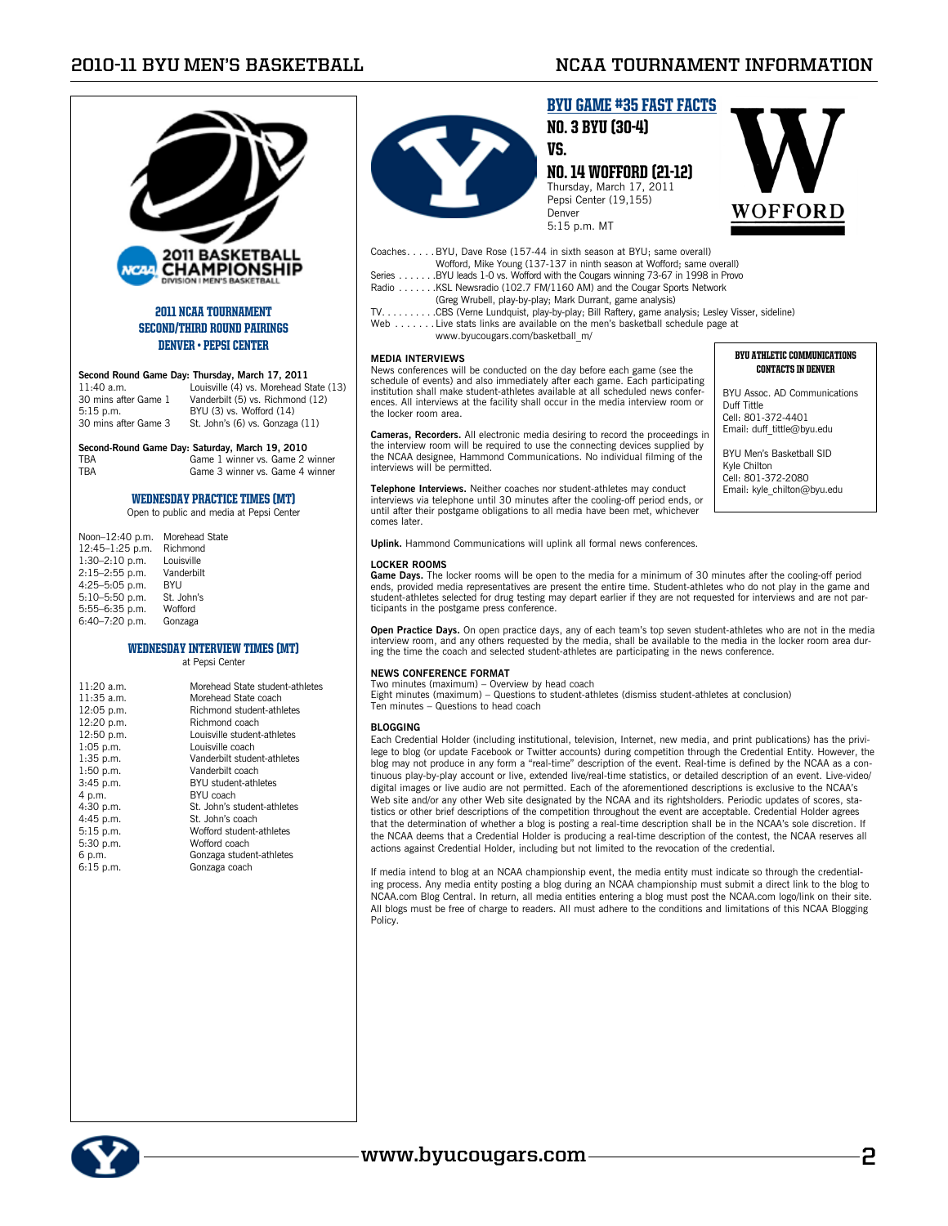

### 2011 NCAA TOURNAMENT Second/Third ROUND PAIRINGS Denver • Pepsi Center

**Second Round Game Day: Thursday, March 17, 2011** 11:40 a.m. Louisville (4) vs. Morehead St 11:40 a.m. Louisville (4) vs. Morehead State (13)<br>30 mins after Game 1 Vanderbilt (5) vs. Richmond (12) Vanderbilt (5) vs. Richmond (12) 5:15 p.m. BYU (3) vs. Wofford (14)<br>30 mins after Game 3 St. John's (6) vs. Gonzaga St. John's (6) vs. Gonzaga (11)

#### **Second-Round Game Day: Saturday, March 19, 2010**

TBA Game 1 winner vs. Game 2 winner TBA Game 3 winner vs. Game 4 winner

#### WEDNESDAY PRACTICE TIMES (MT)

Open to public and media at Pepsi Center

| Noon-12:40 p.m.    | Morehead State |
|--------------------|----------------|
| 12:45-1:25 p.m.    | Richmond       |
| 1:30-2:10 p.m.     | Louisville     |
| 2:15-2:55 p.m.     | Vanderbilt     |
| 4:25-5:05 p.m.     | BYU            |
| $5:10 - 5:50$ p.m. | St. John's     |
| 5:55-6:35 p.m.     | Wofford        |
| 6:40-7:20 p.m.     | Gonzaga        |

#### WEDNESDAY INTERVIEW TIMES (MT) at Pepsi Center

| $11:20$ a.m. | Morehead State student-athletes |
|--------------|---------------------------------|
| $11:35$ a.m. | Morehead State coach            |
| 12:05 p.m.   | Richmond student-athletes       |
| 12:20 p.m.   | Richmond coach                  |
| 12:50 p.m.   | Louisville student-athletes     |
| $1:05$ p.m.  | Louisville coach                |
| $1:35$ p.m.  | Vanderbilt student-athletes     |
| $1:50$ p.m.  | Vanderbilt coach                |
| $3:45$ p.m.  | BYU student-athletes            |
| 4 p.m.       | BYU coach                       |
| 4:30 p.m.    | St. John's student-athletes     |
| 4:45 p.m.    | St. John's coach                |
| $5:15$ p.m.  | Wofford student-athletes        |
| 5:30 p.m.    | Wofford coach                   |
| 6 p.m.       | Gonzaga student-athletes        |
| $6:15$ p.m.  | Gonzaga coach                   |
|              |                                 |



## BYU GAME #35 FAST FACTS No. 3 BYU (30-4)

#### vs. No. 14 Wofford (21-12) Thursday, March 17, 2011 Pepsi Center (19,155) Denver 5:15 p.m. MT



Coaches. . . . . BYU, Dave Rose (157-44 in sixth season at BYU; same overall) Wofford, Mike Young (137-137 in ninth season at Wofford; same overall)

- Series . . . . . . . BYU leads 1-0 vs. Wofford with the Cougars winning 73-67 in 1998 in Provo<br>Radio . . . . . . . .KSL Newsradio (102.7 FM/1160 AM) and the Cougar Sports Network
	- (Greg Wrubell, play-by-play; Mark Durrant, game analysis)
- TV. . . . . . . . . . CBS (Verne Lundquist, play-by-play; Bill Raftery, game analysis; Lesley Visser, sideline)<br>Web . . . . . . . Live stats links are available on the men's basketball schedule page at
	- www.byucougars.com/basketball\_m/

#### **MEDIA INTERVIEWS**

News conferences will be conducted on the day before each game (see the schedule of events) and also immediately after each game. Each participating institution shall make student-athletes available at all scheduled news conferences. All interviews at the facility shall occur in the media interview room or the locker room area.

**Cameras, Recorders.** All electronic media desiring to record the proceedings in the interview room will be required to use the connecting devices supplied by the NCAA designee, Hammond Communications. No individual filming of the interviews will be permitted.

**Telephone Interviews.** Neither coaches nor student-athletes may conduct interviews via telephone until 30 minutes after the cooling-off period ends, or until after their postgame obligations to all media have been met, whichever comes later.

**Uplink.** Hammond Communications will uplink all formal news conferences.

#### **Locker Rooms**

**Game Days.** The locker rooms will be open to the media for a minimum of 30 minutes after the cooling-off period ends, provided media representatives are present the entire time. Student-athletes who do not play in the game and student-athletes selected for drug testing may depart earlier if they are not requested for interviews and are not participants in the postgame press conference.

**Open Practice Days.** On open practice days, any of each team's top seven student-athletes who are not in the media interview room, and any others requested by the media, shall be available to the media in the locker room area during the time the coach and selected student-athletes are participating in the news conference.

#### **News Conference Format**

Two minutes (maximum) – Overview by head coach

Eight minutes (maximum) – Questions to student-athletes (dismiss student-athletes at conclusion) Ten minutes – Questions to head coach

#### **BLOGGING**

Each Credential Holder (including institutional, television, Internet, new media, and print publications) has the privilege to blog (or update Facebook or Twitter accounts) during competition through the Credential Entity. However, the blog may not produce in any form a "real-time" description of the event. Real-time is defined by the NCAA as a continuous play-by-play account or live, extended live/real-time statistics, or detailed description of an event. Live-video/ digital images or live audio are not permitted. Each of the aforementioned descriptions is exclusive to the NCAA's Web site and/or any other Web site designated by the NCAA and its rightsholders. Periodic updates of scores, statistics or other brief descriptions of the competition throughout the event are acceptable. Credential Holder agrees that the determination of whether a blog is posting a real-time description shall be in the NCAA's sole discretion. If the NCAA deems that a Credential Holder is producing a real-time description of the contest, the NCAA reserves all actions against Credential Holder, including but not limited to the revocation of the credential.

If media intend to blog at an NCAA championship event, the media entity must indicate so through the credential-<br>ing process. Any media entity posting a blog during an NCAA championship must submit a direct link to the blo All blogs must be free of charge to readers. All must adhere to the conditions and limitations of this NCAA Blogging Policy.



#### BYU ATHLETIC COMMUNICATIONS CONTACTS IN Denver

BYU Assoc. AD Communications Duff Tittle Cell: 801-372-4401 Email: duff\_tittle@byu.edu

BYU Men's Basketball SID Kyle Chilton Cell: 801-372-2080 Email: kyle\_chilton@byu.edu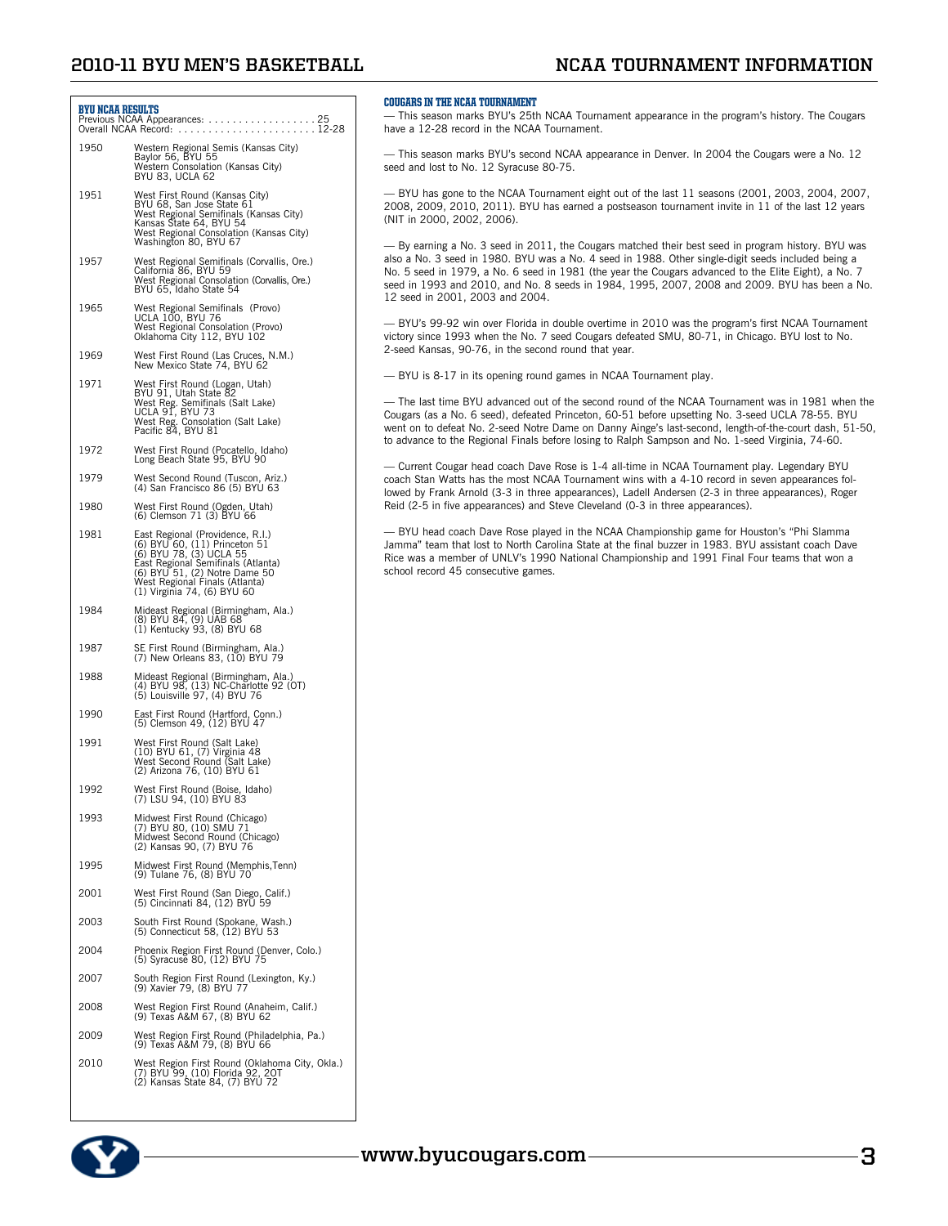## **2010-11 BYU Men's Basketball NCAA Tournament Information**

### BYU NCAA RESULTS

Previous NCAA Appearances: . 25 Overall NCAA Record: . 12-28

- 1950 Western Regional Semis (Kansas City) Baylor 56, BYU 55 Western Consolation (Kansas City) BYU 83, UCLA 62
- 1951 West First Round (Kansas City) BYU 68, San Jose State 61 West Regional Semifinals (Kansas City) Kansas State 64, BYU 54 West Regional Consolation (Kansas City) Washington 80, BYU 67
- 1957 West Regional Semifinals (Corvallis, Ore.) California 86, BYU 59 West Regional Consolation (Corvallis, Ore.) BYU 65, Idaho State 54
- 1965 West Regional Semifinals (Provo) UCLA 100, BYU 76 West Regional Consolation (Provo) Oklahoma City 112, BYU 102
- 1969 West First Round (Las Cruces, N.M.) New Mexico State 74, BYU 62
- 1971 West First Round (Logan, Utah)<br>BYU 91, Utah State 82<br>West Reg. Semifinals (Salt Lake)<br>UCLA 91, BYU 73<br>West Reg. Consolation (Salt Lake)<br>Pacific 84, BYU 81
- 1972 West First Round (Pocatello, Idaho) Long Beach State 95, BYU 90
- 1979 West Second Round (Tuscon, Ariz.) (4) San Francisco 86 (5) BYU 63
- 1980 West First Round (Ogden, Utah) (6) Clemson 71 (3) BYU 66
- 1981 East Regional (Providence, R.I.) (6) BYU 60, (11) Princeton 51 (6) BYU 78, (3) UCLA 55 East Regional Semifinals (Atlanta) (6) BYU 51, (2) Notre Dame 50 West Regional Finals (Atlanta) (1) Virginia 74, (6) BYU 60
- 1984 Mideast Regional (Birmingham, Ala.) (8) BYU 84, (9) UAB 68 (1) Kentucky 93, (8) BYU 68
- 1987 SE First Round (Birmingham, Ala.) (7) New Orleans 83, (10) BYU 79
- 1988 Mideast Regional (Birmingham, Ala.) (4) BYU 98, (13) NC-Charlotte 92 (OT) (5) Louisville 97, (4) BYU 76
- 1990 East First Round (Hartford, Conn.) (5) Clemson 49, (12) BYU 47
- 1991 West First Round (Salt Lake) (10) BYU 61, (7) Virginia 48 West Second Round (Salt Lake) (2) Arizona 76, (10) BYU 61
- 1992 West First Round (Boise, Idaho) (7) LSU 94, (10) BYU 83
- 1993 Midwest First Round (Chicago) (7) BYU 80, (10) SMU 71 Midwest Second Round (Chicago) (2) Kansas 90, (7) BYU 76
- 1995 Midwest First Round (Memphis,Tenn) (9) Tulane 76, (8) BYU 70
- 2001 West First Round (San Diego, Calif.) (5) Cincinnati 84, (12) BYU 59
- 2003 South First Round (Spokane, Wash.) (5) Connecticut 58, (12) BYU 53
- 2004 Phoenix Region First Round (Denver, Colo.) (5) Syracuse 80, (12) BYU 75
- 2007 South Region First Round (Lexington, Ky.) (9) Xavier 79, (8) BYU 77
- 2008 West Region First Round (Anaheim, Calif.) (9) Texas A&M 67, (8) BYU 62
- 2009 West Region First Round (Philadelphia, Pa.) (9) Texas A&M 79, (8) BYU 66
- 2010 West Region First Round (Oklahoma City, Okla.) (7) BYU 99, (10) Florida 92, 2OT (2) Kansas State 84, (7) BYU 72



#### COUGARS IN THE NCAA Tournament

— This season marks BYU's 25th NCAA Tournament appearance in the program's history. The Cougars have a 12-28 record in the NCAA Tournament.

— This season marks BYU's second NCAA appearance in Denver. In 2004 the Cougars were a No. 12 seed and lost to No. 12 Syracuse 80-75.

— BYU has gone to the NCAA Tournament eight out of the last 11 seasons (2001, 2003, 2004, 2007, 2008, 2009, 2010, 2011). BYU has earned a postseason tournament invite in 11 of the last 12 years (NIT in 2000, 2002, 2006).

— By earning a No. 3 seed in 2011, the Cougars matched their best seed in program history. BYU was also a No. 3 seed in 1980. BYU was a No. 4 seed in 1988. Other single-digit seeds included being a No. 5 seed in 1979, a No. 6 seed in 1981 (the year the Cougars advanced to the Elite Eight), a No. 7 seed in 1993 and 2010, and No. 8 seeds in 1984, 1995, 2007, 2008 and 2009. BYU has been a No. 12 seed in 2001, 2003 and 2004.

— BYU's 99-92 win over Florida in double overtime in 2010 was the program's first NCAA Tournament victory since 1993 when the No. 7 seed Cougars defeated SMU, 80-71, in Chicago. BYU lost to No. 2-seed Kansas, 90-76, in the second round that year.

— BYU is 8-17 in its opening round games in NCAA Tournament play.

— The last time BYU advanced out of the second round of the NCAA Tournament was in 1981 when the Cougars (as a No. 6 seed), defeated Princeton, 60-51 before upsetting No. 3-seed UCLA 78-55. BYU went on to defeat No. 2-seed Notre Dame on Danny Ainge's last-second, length-of-the-court dash, 51-50, to advance to the Regional Finals before losing to Ralph Sampson and No. 1-seed Virginia, 74-60.

— Current Cougar head coach Dave Rose is 1-4 all-time in NCAA Tournament play. Legendary BYU coach Stan Watts has the most NCAA Tournament wins with a 4-10 record in seven appearances followed by Frank Arnold (3-3 in three appearances), Ladell Andersen (2-3 in three appearances), Roger Reid (2-5 in five appearances) and Steve Cleveland (0-3 in three appearances).

— BYU head coach Dave Rose played in the NCAA Championship game for Houston's "Phi Slamma Jamma" team that lost to North Carolina State at the final buzzer in 1983. BYU assistant coach Dave Rice was a member of UNLV's 1990 National Championship and 1991 Final Four teams that won a school record 45 consecutive games.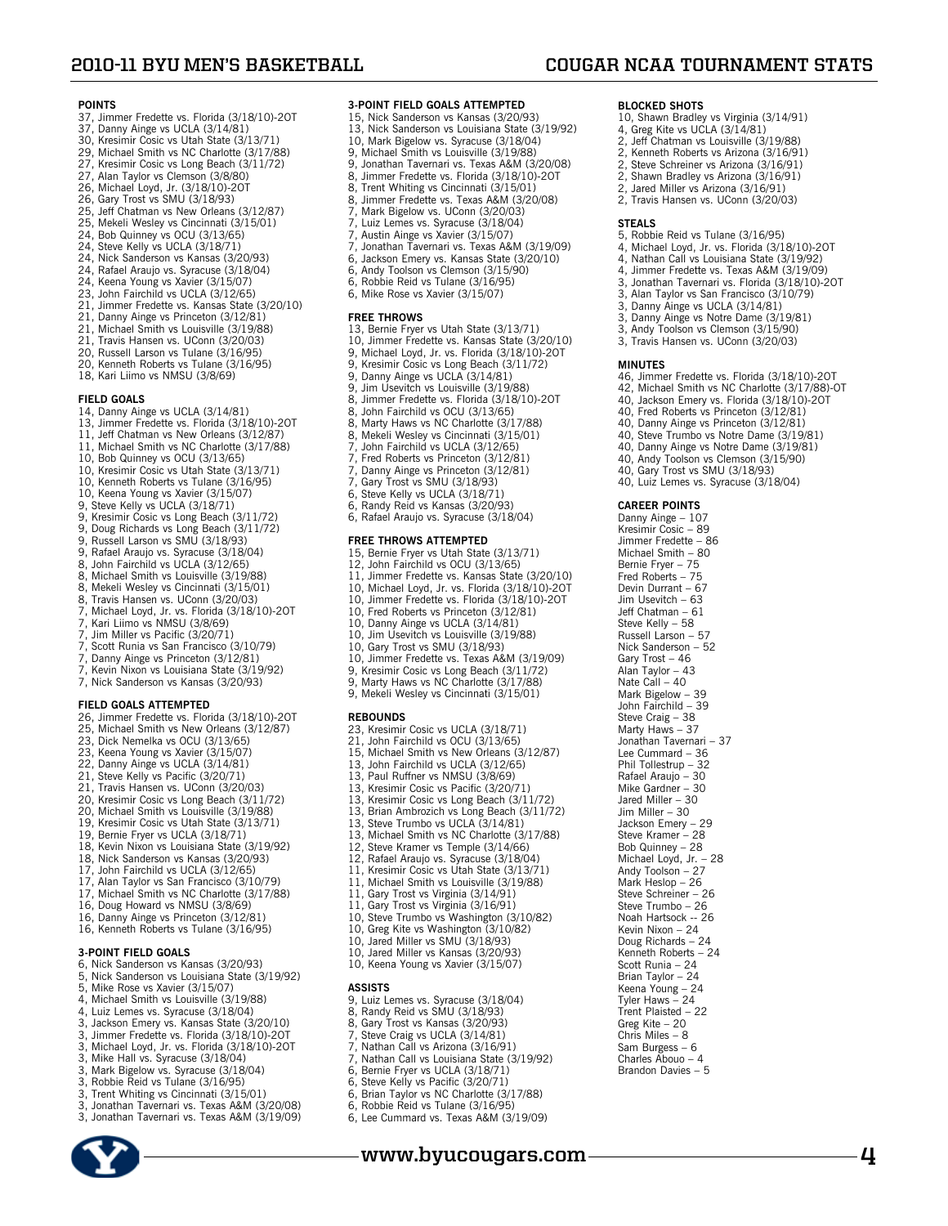10, Shawn Bradley vs Virginia (3/14/91) 4, Greg Kite vs UCLA (3/14/81) 2, Jeff Chatman vs Louisville (3/19/88) 2, Kenneth Roberts vs Arizona (3/16/91) 2, Steve Schreiner vs Arizona (3/16/91)<br>2, Steve Schreiner vs Arizona (3/16/91)<br>2, Shawn Bradley vs Arizona (3/16/91) Shawn Bradley vs Arizona (3/16/91) 2, Jared Miller vs Arizona (3/16/91) 2, Travis Hansen vs. UConn (3/20/03)

5, Robbie Reid vs Tulane (3/16/95) 4, Michael Loyd, Jr. vs. Florida (3/18/10)-2OT 4, Nathan Call vs Louisiana State (3/19/92) 4, Jimmer Fredette vs. Texas A&M (3/19/09) 3, Jonathan Tavernari vs. Florida (3/18/10)-2OT<br>3, Alan Taylor vs San Francisco (3/10/79) 3, Alan Taylor vs San Francisco (3/10/79) 3, Danny Ainge vs UCLA (3/14/81)<br>3, Danny Ainge vs Notre Dame (3/1 Danny Ainge vs Notre Dame (3/19/81) 3, Andy Toolson vs Clemson (3/15/90) 3, Travis Hansen vs. UConn (3/20/03)

46, Jimmer Fredette vs. Florida (3/18/10)-2OT 42, Michael Smith vs NC Charlotte (3/17/88)-OT 40, Jackson Emery vs. Florida (3/18/10)-2OT 40, Fred Roberts vs Princeton (3/12/81) 40, Danny Ainge vs Princeton (3/12/81) 40, Steve Trumbo vs Notre Dame (3/19/81) 40, Danny Ainge vs Notre Dame (3/19/81) 40, Andy Toolson vs Clemson (3/15/90) 40, Gary Trost vs SMU (3/18/93) 40, Luiz Lemes vs. Syracuse (3/18/04)

**BLOCKED SHOTS**

**STEALS**

**MINUTES**

**CAREER POINTS** Danny Ainge – 107 Kresimir Cosic – 89 Jimmer Fredette – 86 Michael Smith – 80 Bernie Fryer – 75 Fred Roberts – 75 Devin Durrant – 67 Jim Usevitch – 63

Jeff Chatman – 61 Steve Kelly – 58 Russell Larson – 57 Nick Sanderson – 52 Gary Trost – 46 Alan Taylor – 43 Nate Call – 40 Mark Bigelow – 39 John Fairchild – 39 Steve Craig – 38 Marty Haws – 37 Jonathan Tavernari – 37 Lee Cummard – 36 Phil Tollestrup – 32 Rafael Araujo – 30 Mike Gardner – 30

Jared Miller – 30 Jim Miller – 30 Jackson Emery – 29 Steve Kramer – 28 Bob Quinney – 28 Michael Loyd, Jr. – 28

Andy Toolson – 27 Mark Heslop – 26 Steve Schreiner – 26 Steve Trumbo – 26 Noah Hartsock -- 26 Kevin Nixon – 24 Doug Richards – 24 Kenneth Roberts – 24 Scott Runia – 24 Brian Taylor – 24 Keena Young – 24 Tyler Haws – 24 Trent Plaisted – 22 Greg Kite – 20 Chris Miles – 8 Sam Burgess – 6 Charles Abouo – 4 Brandon Davies – 5

**www.byucougars.com 4**

#### **POINTS**

- 
- 37, Jimmer Fredette vs. Florida (3/18/10)-2OT 37, Danny Ainge vs UCLA (3/14/81)
- 30, Kresimir Cosic vs Utah State (3/13/71) 29, Michael Smith vs NC Charlotte (3/17/88)
- 
- 27, Kresimir Cosic vs Long Beach (3/11/72) 27, Alan Taylor vs Clemson (3/8/80)
- 
- 26, Michael Loyd, Jr. (3/18/10)-2OT 26, Gary Trost vs SMU (3/18/93)
- 
- 25, Jeff Chatman vs New Orleans (3/12/87)<br>25, Mekeli Wesley vs Cincinnati (3/15/01)<br>24, Bob Quinney vs OCU (3/13/65)<br>24, Steve Kelly vs UCLA (3/18/71)<br>24, Nick Sanderson vs Kansas (3/20/93)<br>24, Rafael Araujo vs. Syracuse (
- 
- 
- 
- 24, Keena Young vs Xavier (3/15/07)
- 23, John Fairchild vs UCLA (3/12/65)
- 21, Jimmer Fredette vs. Kansas State (3/20/10)
- 21, Danny Ainge vs Princeton (3/12/81)
- 
- 21, Michael Smith vs Louisville (3/19/88) 21, Travis Hansen vs. UConn (3/20/03) 20, Russell Larson vs Tulane (3/16/95)
- 
- 20, Kenneth Roberts vs Tulane (3/16/95)
- 18, Kari Liimo vs NMSU (3/8/69)

#### **FIELD GOALS**

- 
- 
- 14, Danny Ainge vs UCLA (3/14/81) 13, Jimmer Fredette vs. Florida (3/18/10)-2OT 11, Jeff Chatman vs New Orleans (3/12/87) 11, Michael Smith vs NC Charlotte (3/17/88)
- 
- 10, Bob Quinney vs OCU (3/13/65)
- 10, Kresimir Cosic vs Utah State (3/13/71)
- 10, Kenneth Roberts vs Tulane (3/16/95)
- 
- 
- 
- 10, Keena Young vs Xavier (3/15/07) 9, Steve Kelly vs UCLA (3/18/71) 9, Kresimir Cosic vs Long Beach (3/11/72) 9, Doug Richards vs Long Beach (3/11/72) 9, Russell Larson vs SMU (3/18/93)
- 
- 9, Rafael Araujo vs. Syracuse (3/18/04) 8, John Fairchild vs UCLA (3/12/65)
- 8, Michael Smith vs Louisville (3/19/88)
- 8, Mekeli Wesley vs Cincinnati (3/15/01)
- 8, Travis Hansen vs. UConn (3/20/03)<br>7, Michael Loyd, Jr. vs. Florida (3/18/10)-20T<br>7, Kari Liimo vs NMSU (3/8/69)<br>7, Jim Miller vs Pacific (3/20/71)
- 
- 
- 
- 7, Scott Runia vs San Francisco (3/10/79) 7, Danny Ainge vs Princeton (3/12/81)
- 7, Kevin Nixon vs Louisiana State (3/19/92)
- 7, Nick Sanderson vs Kansas (3/20/93)
- 

- **FIELD GOALS ATTEMPTED** 26, Jimmer Fredette vs. Florida (3/18/10)-2OT 25, Michael Smith vs New Orleans (3/12/87)
- 23, Dick Nemelka vs OCU (3/13/65)
- 23, Keena Young vs Xavier (3/15/07)
- 22, Danny Ainge vs UCLA (3/14/81)
- 
- 21, Steve Kelly vs Pacific (3/20/71) 21, Travis Hansen vs. UConn (3/20/03)
- 
- 20, Kresimir Cosic vs Long Beach (3/11/72) 20, Michael Smith vs Louisville (3/19/88) 19, Kresimir Cosic vs Utah State (3/13/71)
- 
- 
- 19, Bernie Fryer vs UCLA (3/18/71) 18, Kevin Nixon vs Louisiana State (3/19/92)
- 18, Nick Sanderson vs Kansas (3/20/93)
- 17, John Fairchild vs UCLA (3/12/65)
- 17, Alan Taylor vs San Francisco (3/10/79)
- 
- 17, Michael Smith vs NC Charlotte (3/17/88) 16, Doug Howard vs NMSU (3/8/69)
- 
- 16, Danny Ainge vs Princeton (3/12/81) 16, Kenneth Roberts vs Tulane (3/16/95)

#### **3-POINT FIELD GOALS**

- 6, Nick Sanderson vs Kansas (3/20/93)
- 5, Nick Sanderson vs Louisiana State (3/19/92)
- 5, Mike Rose vs Xavier (3/15/07)
- 4, Michael Smith vs Louisville (3/19/88)
- 
- 
- 4, Luiz Lemes vs. Syracuse (3/18/04) 3, Jackson Emery vs. Kansas State (3/20/10) 3, Jimmer Fredette vs. Florida (3/18/10)-2OT 3, Michael Loyd, Jr. vs. Florida (3/18/10)-2OT
- 
- 3, Mike Hall vs. Syracuse (3/18/04)
- 3, Mark Bigelow vs. Syracuse (3/18/04) 3, Robbie Reid vs Tulane (3/16/95)
- 
- 3, Trent Whiting vs Cincinnati (3/15/01)
- 3, Jonathan Tavernari vs. Texas A&M (3/20/08) 3, Jonathan Tavernari vs. Texas A&M (3/19/09)
- 



### **3-POINT FIELD GOALS ATTEMPTED**

- 15, Nick Sanderson vs Kansas (3/20/93)
- 13, Nick Sanderson vs Louisiana State (3/19/92)
- 
- 10, Mark Bigelow vs. Syracuse (3/18/04) 9, Michael Smith vs Louisville (3/19/88) 9, Jonathan Tavernari vs. Texas A&M (3/20/08)
- 
- 8, Jimmer Fredette vs. Florida (3/18/10)-20T<br>8, Trent Whiting vs Cincinnati (3/15/01)
- 8, Trent Whiting vs Cincinnati (3/15/01)<br>8, Jimmer Fredette vs. Texas A&M (3/20
- 8, Jimmer Fredette vs. Texas A&M (3/20/08)<br>7, Mark Bigelow vs. UConn (3/20/03)
- Mark Bigelow vs. UConn (3/20/03)
- 
- 7, Luiz Lemes vs. Syracuse (3/18/04) 7, Austin Ainge vs Xavier (3/15/07) 7, Jonathan Tavernari vs. Texas A&M (3/19/09) 6, Jackson Emery vs. Kansas State (3/20/10) 6, Andy Toolson vs Clemson (3/15/90)
- 

13, Bernie Fryer vs Utah State (3/13/71) 10, Jimmer Fredette vs. Kansas State (3/20/10) 9, Michael Loyd, Jr. vs. Florida (3/18/10)-2OT

9, Kresimir Cosic vs Long Beach (3/11/72) 9, Danny Ainge vs UCLA (3/14/81) 9, Jim Usevitch vs Louisville (3/19/88)<br>8, Jimmer Fredette vs. Florida (3/18/1 8, Jimmer Fredette vs. Florida (3/18/10)-20T<br>8. John Fairchild vs OCU (3/13/65) 8, John Fairchild vs OCU (3/13/65) 8, Marty Haws vs NC Charlotte (3/17/88) 8, Mekeli Wesley vs Cincinnati (3/15/01) 7, John Fairchild vs UCLA (3/12/65) 8, Mekeli Wesley vs Cincinnati (3/15/0<br>7, John Fairchild vs UCLA (3/12/65)<br>7, Fred Roberts vs Princeton (3/12/81)<br>7, Danny Ainge vs Princeton (3/12/81) 7, Danny Ainge vs Princeton (3/12/81) 7, Gary Trost vs SMU (3/18/93) 6, Steve Kelly vs UCLA (3/18/71) 6, Randy Reid vs Kansas (3/20/93) 6, Rafael Araujo vs. Syracuse (3/18/04) **FREE THROWS ATTEMPTED** 15, Bernie Fryer vs Utah State (3/13/71) 12, John Fairchild vs OCU (3/13/65) 11, Jimmer Fredette vs. Kansas State (3/20/10) 10, Michael Loyd, Jr. vs. Florida (3/18/10)-2OT 10, Jimmer Fredette vs. Florida (3/18/10)-2OT 10, Fred Roberts vs Princeton (3/12/81) 10, Danny Ainge vs UCLA (3/14/81) 10, Jim Usevitch vs Louisville (3/19/88)

10, Gary Trost vs SMU (3/18/93) 10, Jimmer Fredette vs. Texas A&M (3/19/09) 9, Kresimir Cosic vs Long Beach (3/11/72) 9, Marty Haws vs NC Charlotte (3/17/88) 9, Mekeli Wesley vs Cincinnati (3/15/01)

23, Kresimir Cosic vs UCLA (3/18/71) 21, John Fairchild vs OCU (3/13/65) 15, Michael Smith vs New Orleans (3/12/87) 13, John Fairchild vs UCLA (3/12/65) 13, Paul Ruffner vs NMSU (3/8/69) 13, Kresimir Cosic vs Pacific (3/20/71) 13, Kresimir Cosic vs Long Beach (3/11/72) 13, Brian Ambrozich vs Long Beach (3/11/72)<br>13, Steve Trumbo vs UCLA (3/14/81)<br>13, Michael Smith vs NC Charlotte (3/17/88)<br>12, Steve Kramer vs Temple (3/14/66)

12, Rafael Araujo vs. Syracuse (3/18/04) 11, Kresimir Cosic vs Utah State (3/13/71) 11, Michael Smith vs Louisville (3/19/88) 11, Gary Trost vs Virginia (3/14/91) 11, Gary Trost vs Virginia (3/16/91) 10, Steve Trumbo vs Washington (3/10/82) 10, Greg Kite vs Washington (3/10/82) 10, Jared Miller vs SMU (3/18/93) 10, Jared Miller vs Kansas (3/20/93) 10, Keena Young vs Xavier (3/15/07)

9, Luiz Lemes vs. Syracuse (3/18/04) 8, Randy Reid vs SMU (3/18/93) 8, Gary Trost vs Kansas (3/20/93) 7, Steve Craig vs UCLA (3/14/81) 8, Gary Trost vs Kansas (3/20/93)<br>7, Steve Craig vs UCLA (3/14/81)<br>7, Nathan Call vs Arizona (3/16/91)<br>7, Nathan Call vs Louisiana State (3) 7, Nathan Call vs Louisiana State (3/19/92) 6, Bernie Fryer vs UCLA (3/18/71)<br>6, Steve Kelly vs Pacific (3/20/71) 6, Steve Kelly vs Pacific (3/20/71)<br>6, Brian Taylor vs NC Charlotte (3/ 6, Brian Taylor vs NC Charlotte (3/17/88) Robbie Reid vs Tulane (3/16/95) 6, Lee Cummard vs. Texas A&M (3/19/09)

- 
- 
- 6, Robbie Reid vs Tulane (3/16/95)
- 6, Mike Rose vs Xavier (3/15/07)

**FREE THROWS**

**REBOUNDS**

**ASSISTS**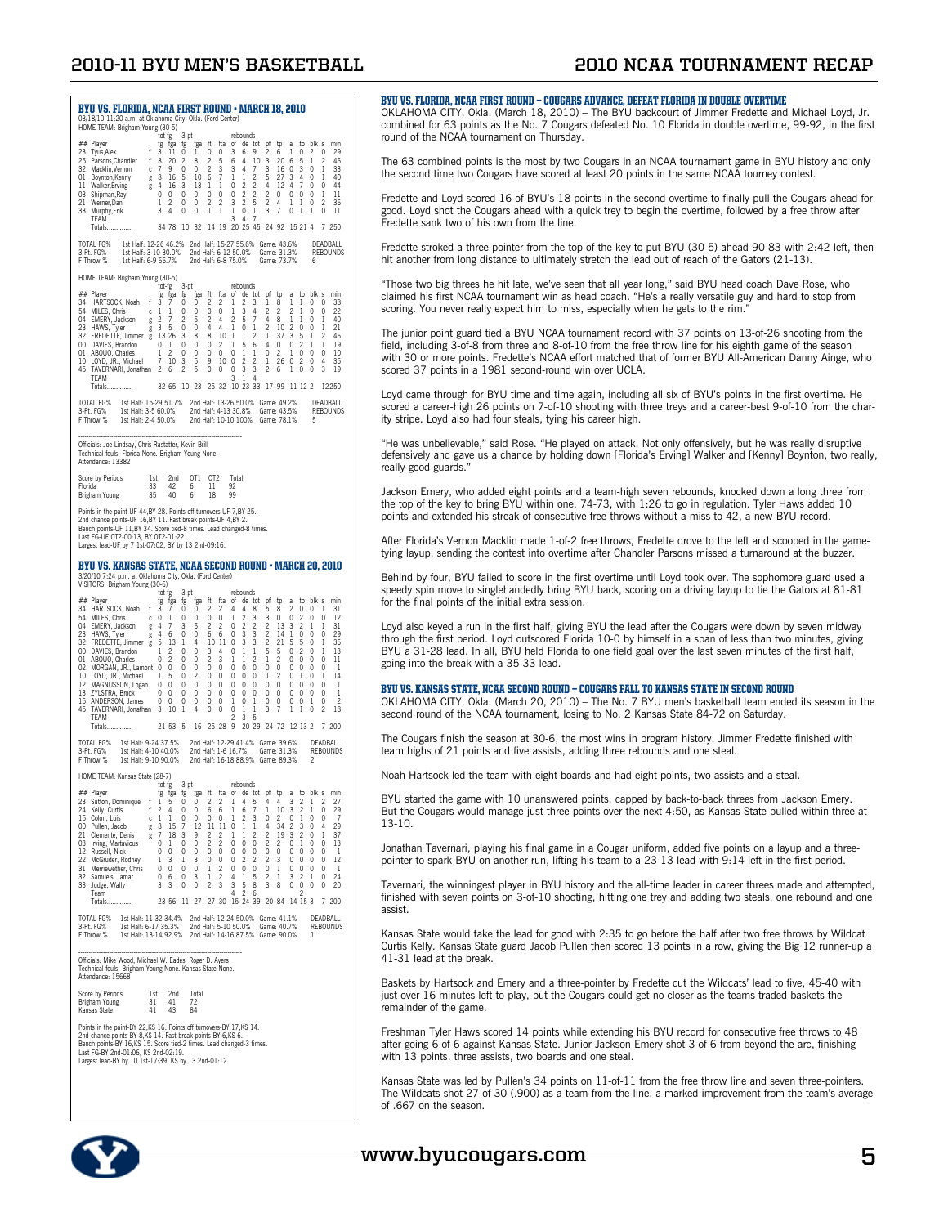## **2010-11 BYU Men's Basketball 2010 NCAA Tournament Recap**

| BYU VS. FLORIDA, NCAA FIRST ROUND • MARCH 18, 2010<br>03/18/10 11:20 a.m. at Oklahoma City, Okla. (Ford Center)<br>HOME TEAM: Brigham Young (30-5)                                                                                                                                                                                                                                                                                                                                                                                                                                                                                                                                                                                                                                                                                                                                                                                                                                                                                                                                                                                                                                                                                                                                                                                                                                                                                                                                                                                                                                                                                                                                                                                                                                                                                                                                                                                                                                                                   |
|----------------------------------------------------------------------------------------------------------------------------------------------------------------------------------------------------------------------------------------------------------------------------------------------------------------------------------------------------------------------------------------------------------------------------------------------------------------------------------------------------------------------------------------------------------------------------------------------------------------------------------------------------------------------------------------------------------------------------------------------------------------------------------------------------------------------------------------------------------------------------------------------------------------------------------------------------------------------------------------------------------------------------------------------------------------------------------------------------------------------------------------------------------------------------------------------------------------------------------------------------------------------------------------------------------------------------------------------------------------------------------------------------------------------------------------------------------------------------------------------------------------------------------------------------------------------------------------------------------------------------------------------------------------------------------------------------------------------------------------------------------------------------------------------------------------------------------------------------------------------------------------------------------------------------------------------------------------------------------------------------------------------|
| rebounds<br>tot-fg<br>3-pt<br>ft<br>blk s<br>## Player<br>ftа<br>of<br>de tot<br>pf<br>2<br>fg<br>fga<br>tp<br>min<br>tg<br>tga<br>a<br>to<br>23<br>Tyus, Alex<br>f<br>3<br>11<br>0<br>0<br>0<br>3<br>6<br>9<br>6<br>1<br>0<br>2<br>0<br>29<br>1<br>25<br>$\overline{\mathbf{c}}$<br>5<br>5<br>$\overline{c}$<br>46<br>f<br>20<br>$\overline{c}$<br>4<br>10<br>3<br>20<br>1<br>Parsons, Chandler<br>8<br>8<br>6<br>6<br>7<br>9<br>$\overline{c}$<br>4<br>3<br>3<br>$\mathbf{1}$<br>32<br>Macklin, Vernon<br>0<br>0<br>3<br>3<br>7<br>16<br>0<br>0<br>33<br>c<br>6<br>7<br>1<br>$\overline{\mathbf{c}}$<br>5<br>3<br>01<br>Boynton, Kenny<br>8<br>16<br>5<br>10<br>1<br>27<br>4<br>0<br>1<br>40<br>g<br>$\overline{c}$<br>7<br>$\overline{4}$<br>3<br>$\mathbf{1}$<br>0<br>$\overline{c}$<br>4<br>12<br>4<br>0<br>0<br>44<br>Walker, Erving<br>16<br>13<br>1<br>11<br>g<br>$\overline{c}$<br>$\overline{c}$<br>$\overline{c}$<br>03<br>0<br>0<br>0<br>0<br>0<br>0<br>0<br>0<br>0<br>0<br>0<br>1<br>11<br>Shipman, Ray<br>$\overline{c}$<br>$\overline{c}$<br>$\overline{c}$<br>$\overline{c}$<br>5<br>$\overline{c}$<br>$\overline{c}$<br>21<br>Werner, Dan<br>0<br>0<br>3<br>4<br>1<br>0<br>36<br>1<br>1<br>4<br>0<br>3<br>7<br>33<br>Murphy, Erik<br>3<br>0<br>0<br>1<br>1<br>1<br>1<br>0<br>1<br>1<br>0<br>11<br>TEAM<br>3<br>4<br>7<br>34 78<br>10<br>- 32<br>14<br>19<br>20 25 45<br>24 92<br>15 21 4<br>7<br>250<br>Totals                                                                                                                                                                                                                                                                                                                                                                                                                                                                                                                                                                                      |
| 2nd Half: 15-27 55.6% Game: 43.6%<br>1st Half: 12-26 46.2%<br>DEADBALL<br>TOTAL FG%<br>2nd Half: 6-12 50.0%<br>3-Pt. FG%<br>1st Half: 3-10 30.0%<br>Game: 31.3%<br><b>REBOUNDS</b><br>F Throw %<br>1st Half: 6-9 66.7%<br>2nd Half: 6-8 75.0%<br>Game: 73.7%<br>6                                                                                                                                                                                                                                                                                                                                                                                                                                                                                                                                                                                                                                                                                                                                                                                                                                                                                                                                                                                                                                                                                                                                                                                                                                                                                                                                                                                                                                                                                                                                                                                                                                                                                                                                                    |
| HOME TEAM: Brigham Young (30-5)<br>$3-pt$<br>tot-fg<br>rebounds<br>## Player<br>fg<br>ft<br>fta<br>of<br>de.<br>tot<br>pf<br>blk s<br>fga<br>to<br>to<br>min<br>fg<br>tga<br>a<br>$\overline{c}$<br>$\overline{c}$<br>34 HARTSOCK, Noah<br>f<br>3<br>7<br>0<br>1<br>2<br>3<br>1<br>8<br>1<br>1<br>0<br>0<br>38<br>0<br>54<br>1<br>0<br>0<br>0<br>1<br>3<br>4<br>$\overline{c}$<br>$\overline{c}$<br>$\overline{c}$<br>0<br>0<br>22<br>MILES, Chris<br>1<br>0<br>1<br>Ċ<br>$\overline{c}$<br>7<br>$\overline{c}$<br>$\overline{c}$<br>5<br>7<br>04<br>EMERY, Jackson<br>$\overline{\mathbf{c}}$<br>5<br>4<br>4<br>8<br>1<br>1<br>0<br>1<br>40<br>g<br>$\overline{\mathbf{c}}$<br>5<br>Δ<br>$\overline{4}$<br>$\overline{\mathbf{c}}$<br>21<br>23<br>HAWS, Tyler<br>3<br>0<br>0<br>1<br>10<br>0<br>0<br>1<br>0<br>1<br>g<br>FREDETTE, Jimmer<br>10<br>$\overline{c}$<br>1<br>3<br>32<br>13<br>26<br>3<br>8<br>8<br>1<br>1<br>37<br>5<br>1<br>2<br>46<br>g<br>$\overline{c}$<br>5<br>1<br>00<br>DAVIES, Brandon<br>0<br>1<br>0<br>0<br>0<br>2<br>1<br>6<br>4<br>0<br>0<br>1<br>19<br>$\overline{c}$<br>0<br>0<br>0<br>0<br>$\mathbf{1}$<br>0<br>$\overline{2}$<br>$\mathbf{1}$<br>0<br>0<br>0<br>10<br>01<br>ABOUO, Charles<br>1<br>0<br>1<br>7<br>$\overline{c}$<br>$\overline{c}$<br>LOYD, JR., Michael<br>10<br>3<br>5<br>9<br>10<br>0<br>1<br>26<br>0<br>2<br>0<br>4<br>35<br>10<br>3<br>TAVERNARI, Jonathan<br>2<br>2<br>5<br>0<br>0<br>0<br>3<br>2<br>0<br>0<br>3<br>19<br>45<br>6<br>6<br>1<br>TFAM<br>3<br>1<br>4<br>10 23<br>32 65<br>10 23<br>25<br>-32<br>33<br>17 99<br>11 12 2<br>12250<br>Totals                                                                                                                                                                                                                                                                                                                                                                                                          |
| 2nd Half: 13-26 50.0% Game: 49.2%<br><b>TOTAL FG%</b><br>1st Half: 15-29 51.7%<br>DEADBALL<br>3-Pt. FG%<br>1st Half: 3-5 60.0%<br>2nd Half: 4-13 30.8%<br>Game: 43.5%<br>REBOUNDS<br>F Throw %<br>1st Half: 2-4 50.0%<br>2nd Half: 10-10 100%<br>Game: 78.1%<br>5                                                                                                                                                                                                                                                                                                                                                                                                                                                                                                                                                                                                                                                                                                                                                                                                                                                                                                                                                                                                                                                                                                                                                                                                                                                                                                                                                                                                                                                                                                                                                                                                                                                                                                                                                    |
| Officials: Joe Lindsay, Chris Rastatter, Kevin Brill<br>Technical fouls: Florida-None. Brigham Young-None.<br>Attendance: 13382                                                                                                                                                                                                                                                                                                                                                                                                                                                                                                                                                                                                                                                                                                                                                                                                                                                                                                                                                                                                                                                                                                                                                                                                                                                                                                                                                                                                                                                                                                                                                                                                                                                                                                                                                                                                                                                                                      |
| OT <sub>1</sub><br>OT <sub>2</sub><br>2nd<br>Total<br>Score by Periods<br>1st<br>Florida<br>33<br>42<br>11<br>92<br>6<br>35<br>40<br>99<br>Brigham Young<br>6<br>18                                                                                                                                                                                                                                                                                                                                                                                                                                                                                                                                                                                                                                                                                                                                                                                                                                                                                                                                                                                                                                                                                                                                                                                                                                                                                                                                                                                                                                                                                                                                                                                                                                                                                                                                                                                                                                                  |
| Points in the paint-UF 44,BY 28. Points off turnovers-UF 7,BY 25.<br>2nd chance points-UF 16,BY 11. Fast break points-UF 4,BY 2.<br>Bench points-UF 11,BY 34. Score tied-8 times. Lead changed-8 times.<br>Last FG-UF 0T2-00:13, BY 0T2-01:22.<br>Largest lead-UF by 7 1st-07:02, BY by 13 2nd-09:16.                                                                                                                                                                                                                                                                                                                                                                                                                                                                                                                                                                                                                                                                                                                                                                                                                                                                                                                                                                                                                                                                                                                                                                                                                                                                                                                                                                                                                                                                                                                                                                                                                                                                                                                |
| BYU VS. KANSAS STATE, NCAA SECOND ROUND • MARCH 20, 2010<br>3/20/10 7:24 p.m. at Oklahoma City, Okla. (Ford Center)<br>VISITORS: Brigham Young (30-6)<br>tot-fg<br>3-pt<br>rebounds                                                                                                                                                                                                                                                                                                                                                                                                                                                                                                                                                                                                                                                                                                                                                                                                                                                                                                                                                                                                                                                                                                                                                                                                                                                                                                                                                                                                                                                                                                                                                                                                                                                                                                                                                                                                                                  |
| ## Player<br>ft<br>fta<br>of<br>de<br>tot<br>pf<br>blk<br>min<br>fg<br>fga<br>to<br>to<br>tg<br>tga<br>a<br>s<br>$\overline{\mathbf{c}}$<br>4<br>34<br>HARTSOCK, Noah<br>f<br>3<br>7<br>0<br>2<br>4<br>8<br>5<br>8<br>2<br>0<br>0<br>1<br>31<br>0<br>O<br>3<br>54<br>0<br>0<br>0<br>$\mathbf{1}$<br>$\overline{c}$<br>3<br>0<br>0<br>$\overline{c}$<br>0<br>0<br>12<br>MILES, Chris<br>1<br>0<br>Ċ<br>$\overline{c}$<br>$\overline{c}$<br>$\overline{c}$<br>$\overline{c}$<br>7<br>$\overline{c}$<br>04<br>EMERY, Jackson<br>4<br>3<br>2<br>0<br>13<br>3<br>1<br>1<br>31<br>g<br>6<br>$\overline{\mathbf{c}}$<br>3<br>$\begin{array}{c} 1 \end{array}$<br>0<br>29<br>23<br>HAWS, Tyler<br>4<br>0<br>6<br>6<br>0<br>3<br>14<br>0<br>0<br>6<br>0<br>g<br>FREDETTE, Jimmer<br>3<br>3<br>$\overline{c}$<br>5<br>36<br>32<br>5<br>13<br>1<br>4<br>10<br>-11<br>0<br>21<br>5<br>0<br>1<br>g<br>1<br>5<br>0<br>$\overline{c}$<br>00<br>DAVIES, Brandon<br>1<br>2<br>0<br>0<br>3<br>4<br>0<br>1<br>5<br>0<br>1<br>13<br>$\overline{2}$<br>$\overline{c}$<br>3<br>$\mathbf{1}$<br>$\overline{c}$<br>1<br>$\overline{2}$<br>0<br>0<br>ABOUO, Charles<br>0<br>$\Omega$<br>0<br>0<br>0<br>11<br>01<br>1<br>MORGAN, JR., Lamont<br>0<br>0<br>0<br>0<br>0<br>0<br>0<br>0<br>0<br>0<br>0<br>0<br>0<br>0<br>1<br>02<br>0<br>5<br>LOYD, JR., Michael<br>0<br>2<br>0<br>0<br>0<br>0<br>2<br>0<br>0<br>14<br>10<br>1<br>0<br>1<br>1<br>1<br>MAGNUSSON, Logan<br>12<br>0<br>0<br>$\Omega$<br>0<br>0<br>$\Omega$<br>0<br>$\Omega$<br>0<br>0<br>$\Omega$<br>0<br>0<br>0<br>0<br>1<br>1<br>13<br>ZYLSTRA, Brock<br>0<br>0<br>0<br>0<br>0<br>0<br>0<br>0<br>0<br>0<br>0<br>0<br>0<br>0<br>0<br>ANDERSON, James<br>0<br>0<br>0<br>0<br>0<br>0<br>0<br>0<br>$\overline{c}$<br>15<br>0<br>0<br>1<br>1<br>0<br>0<br>1<br>45<br>TAVERNARI, Jonathan<br>3<br>10<br>1<br>4<br>0<br>0<br>0<br>1<br>1<br>3<br>7<br>1<br>1<br>0<br>2<br>18<br>2<br>3<br>5<br>TFAM<br>5<br>20 29<br>24 72<br>Totals<br>21 53<br>16<br>25 28<br>9<br>12 13 2<br>7<br>200 |
| 1st Half: 9-24 37.5%<br>2nd Half: 12-29 41.4% Game: 39.6%<br>DEADBALL<br><b>TOTAL FG%</b><br>3-Pt. FG%<br>1st Half: 4-10 40.0%<br>2nd Half: 1-6 16.7%<br>Game: 31.3%<br><b>REBOUNDS</b><br>F Throw %<br>2nd Half: 16-18 88.9% Game: 89.3%<br>1st Half: 9-10 90.0%<br>2                                                                                                                                                                                                                                                                                                                                                                                                                                                                                                                                                                                                                                                                                                                                                                                                                                                                                                                                                                                                                                                                                                                                                                                                                                                                                                                                                                                                                                                                                                                                                                                                                                                                                                                                               |
| HOME TEAM: Kansas State (28-7)<br>tot-fg<br>.3-pt<br>rebounds<br>## Player<br>fga<br>ft<br>fta<br>to blk s<br>fg fga<br>fg<br>of<br>de tot<br>pf<br>tp<br>a<br>min<br>23 Sutton, Dominique<br>f<br>5<br>$\overline{\mathbf{c}}$<br>2<br>4<br>4<br>3<br>2<br>27<br>1<br>0<br>0<br>1<br>5<br>4<br>2<br>1<br>24 Kelly, Curtis<br>4<br>7<br>$\overline{\mathbf{3}}$<br>$\overline{c}$<br>29<br>f <sub>2</sub><br>0<br>$\Omega$<br>6<br>6<br>1<br>- 6<br>1<br>10<br>$\overline{1}$<br>$\Omega$<br>$\overline{\mathbf{c}}$<br>15 Colon, Luis<br>-1<br>1<br>0<br>0<br>0<br>0<br>1<br>3<br>0<br>2<br>0<br>1<br>$\overline{0}$<br>0<br>7<br>С<br>g 8<br>15<br>$\overline{7}$<br>12<br>11<br>11<br>$\mathbf 0$<br>$\,$ $\,$<br>4<br>34<br>$\overline{\mathbf{c}}$<br>3<br>$\mathbf 0$<br>29<br>00 Pullen, Jacob<br>1<br>4<br>$\overline{c}$<br>7<br>3<br>$\overline{\mathbf{c}}$<br>$\overline{c}$<br>3<br>$\overline{\mathbf{c}}$<br>Clemente, Denis<br>18<br>9<br>2<br>1<br>1<br>19<br>0<br>1<br>37<br>21<br>g<br>$\overline{\mathbf{c}}$<br>$\overline{\mathbf{c}}$<br>$\overline{\mathbf{c}}$<br>0<br>0<br>$\mathbf 0$<br>0<br>03 Irving, Martavious<br>0<br>0<br>$\overline{\mathbf{c}}$<br>0<br>1<br>0<br>0<br>1<br>13<br>0<br>0<br>$\mathbf 0$<br>0<br>0<br>0<br>12 Russell, Nick<br>0<br>0<br>0<br>0<br>0<br>0<br>0<br>0<br>0<br>1<br>$\overline{c}$<br>$\overline{c}$<br>$\overline{\mathbf{c}}$<br>3<br>0<br>22 McGruder, Rodney<br>1<br>1<br>3<br>0<br>0<br>3<br>0<br>0<br>0<br>0<br>12<br>$\frac{2}{2}$<br>0<br>0<br>0<br>0<br>0<br>0<br>1<br>0<br>1<br>0<br>0<br>0<br>31<br>Merriewether, Chris<br>0<br>0<br>1<br>$\overline{c}$<br>24<br>32<br>0<br>6<br>0<br>3<br>1<br>4<br>1<br>5<br>1<br>3<br>2<br>1<br>0<br>Samuels, Jamar<br>33 Judge, Wally<br>$\overline{\mathbf{c}}$<br>3<br>3<br>0<br>3<br>3<br>5<br>8<br>3<br>8<br>0<br>0<br>0<br>20<br>0<br>0<br>$\overline{c}$<br>Team<br>4<br>6<br>2<br>30<br>15 24<br>20 84<br>Totals<br>23 56<br>11 27<br>27<br>39<br>14<br>153<br>7 200                          |
| TOTAL FG%<br>1st Half: 11-32 34.4%<br>2nd Half: 12-24 50.0% Game: 41.1%<br>DEADBALL<br>1st Half: 6-17 35.3%<br>2nd Half: 5-10 50.0% Game: 40.7%<br>3-Pt. FG%<br><b>REBOUNDS</b><br>1st Half: 13-14 92.9% 2nd Half: 14-16 87.5% Game: 90.0%<br>F Throw %<br>1                                                                                                                                                                                                                                                                                                                                                                                                                                                                                                                                                                                                                                                                                                                                                                                                                                                                                                                                                                                                                                                                                                                                                                                                                                                                                                                                                                                                                                                                                                                                                                                                                                                                                                                                                         |
| Officials: Mike Wood, Michael W. Eades, Roger D. Ayers<br>Technical fouls: Brigham Young-None. Kansas State-None.<br>Attendance: 15668                                                                                                                                                                                                                                                                                                                                                                                                                                                                                                                                                                                                                                                                                                                                                                                                                                                                                                                                                                                                                                                                                                                                                                                                                                                                                                                                                                                                                                                                                                                                                                                                                                                                                                                                                                                                                                                                               |
| Score by Periods<br>2nd<br>Total<br>1st<br>Brigham Young<br>31<br>41<br>72<br>84<br>Kansas State<br>43<br>41                                                                                                                                                                                                                                                                                                                                                                                                                                                                                                                                                                                                                                                                                                                                                                                                                                                                                                                                                                                                                                                                                                                                                                                                                                                                                                                                                                                                                                                                                                                                                                                                                                                                                                                                                                                                                                                                                                         |
| Points in the paint-BY 22, KS 16. Points off turnovers-BY 17, KS 14.<br>2nd chance points-BY 8, KS 14. Fast break points-BY 6, KS 6.<br>Bench points-BY 16, KS 15. Score tied-2 times. Lead changed-3 times.<br>Last FG-BY 2nd-01:06, KS 2nd-02:19.<br>Largest lead-BY by 10 1st-17:39, KS by 13 2nd-01:12.                                                                                                                                                                                                                                                                                                                                                                                                                                                                                                                                                                                                                                                                                                                                                                                                                                                                                                                                                                                                                                                                                                                                                                                                                                                                                                                                                                                                                                                                                                                                                                                                                                                                                                          |

#### BYU vs. Florida, NCAA First Round — Cougars Advance, Defeat Florida in Double Overtime

OKLAHOMA CITY, Okla. (March 18, 2010) – The BYU backcourt of Jimmer Fredette and Michael Loyd, Jr. combined for 63 points as the No. 7 Cougars defeated No. 10 Florida in double overtime, 99-92, in the first round of the NCAA tournament on Thursday.

The 63 combined points is the most by two Cougars in an NCAA tournament game in BYU history and only the second time two Cougars have scored at least 20 points in the same NCAA tourney contest.

Fredette and Loyd scored 16 of BYU's 18 points in the second overtime to finally pull the Cougars ahead for good. Loyd shot the Cougars ahead with a quick trey to begin the overtime, followed by a free throw after Fredette sank two of his own from the line.

Fredette stroked a three-pointer from the top of the key to put BYU (30-5) ahead 90-83 with 2:42 left, then hit another from long distance to ultimately stretch the lead out of reach of the Gators (21-13).

"Those two big threes he hit late, we've seen that all year long," said BYU head coach Dave Rose, who claimed his first NCAA tournament win as head coach. "He's a really versatile guy and hard to stop from scoring. You never really expect him to miss, especially when he gets to the rim.

The junior point guard tied a BYU NCAA tournament record with 37 points on 13-of-26 shooting from the field, including 3-of-8 from three and 8-of-10 from the free throw line for his eighth game of the season with 30 or more points. Fredette's NCAA effort matched that of former BYU All-American Danny Ainge, who scored 37 points in a 1981 second-round win over UCLA.

Loyd came through for BYU time and time again, including all six of BYU's points in the first overtime. He scored a career-high 26 points on 7-of-10 shooting with three treys and a career-best 9-of-10 from the charity stripe. Loyd also had four steals, tying his career high.

"He was unbelievable," said Rose. "He played on attack. Not only offensively, but he was really disruptive defensively and gave us a chance by holding down [Florida's Erving] Walker and [Kenny] Boynton, two really, really good guards."

Jackson Emery, who added eight points and a team-high seven rebounds, knocked down a long three from the top of the key to bring BYU within one, 74-73, with 1:26 to go in regulation. Tyler Haws added 10 points and extended his streak of consecutive free throws without a miss to 42, a new BYU record.

After Florida's Vernon Macklin made 1-of-2 free throws, Fredette drove to the left and scooped in the gametying layup, sending the contest into overtime after Chandler Parsons missed a turnaround at the buzzer.

Behind by four, BYU failed to score in the first overtime until Loyd took over. The sophomore guard used a speedy spin move to singlehandedly bring BYU back, scoring on a driving layup to tie the Gators at 81-81 for the final points of the initial extra session.

Loyd also keyed a run in the first half, giving BYU the lead after the Cougars were down by seven midway through the first period. Loyd outscored Florida 10-0 by himself in a span of less than two minutes, giving BYU a 31-28 lead. In all, BYU held Florida to one field goal over the last seven minutes of the first half, going into the break with a 35-33 lead.

#### BYU vs. Kansas State, NCAA Second Round — Cougars FAll to Kansas State in Second Round

OKLAHOMA CITY, Okla. (March 20, 2010) – The No. 7 BYU men's basketball team ended its season in the second round of the NCAA tournament, losing to No. 2 Kansas State 84-72 on Saturday.

The Cougars finish the season at 30-6, the most wins in program history. Jimmer Fredette finished with team highs of 21 points and five assists, adding three rebounds and one steal.

Noah Hartsock led the team with eight boards and had eight points, two assists and a steal.

BYU started the game with 10 unanswered points, capped by back-to-back threes from Jackson Emery. But the Cougars would manage just three points over the next 4:50, as Kansas State pulled within three at 13-10.

Jonathan Tavernari, playing his final game in a Cougar uniform, added five points on a layup and a threepointer to spark BYU on another run, lifting his team to a 23-13 lead with 9:14 left in the first period.

Tavernari, the winningest player in BYU history and the all-time leader in career threes made and attempted, finished with seven points on 3-of-10 shooting, hitting one trey and adding two steals, one rebound and one assist.

Kansas State would take the lead for good with 2:35 to go before the half after two free throws by Wildcat Curtis Kelly. Kansas State guard Jacob Pullen then scored 13 points in a row, giving the Big 12 runner-up a 41-31 lead at the break.

Baskets by Hartsock and Emery and a three-pointer by Fredette cut the Wildcats' lead to five, 45-40 with just over 16 minutes left to play, but the Cougars could get no closer as the teams traded baskets the remainder of the game.

Freshman Tyler Haws scored 14 points while extending his BYU record for consecutive free throws to 48 after going 6-of-6 against Kansas State. Junior Jackson Emery shot 3-of-6 from beyond the arc, finishing with 13 points, three assists, two boards and one steal.

Kansas State was led by Pullen's 34 points on 11-of-11 from the free throw line and seven three-pointers. The Wildcats shot 27-of-30 (.900) as a team from the line, a marked improvement from the team's average of .667 on the season.

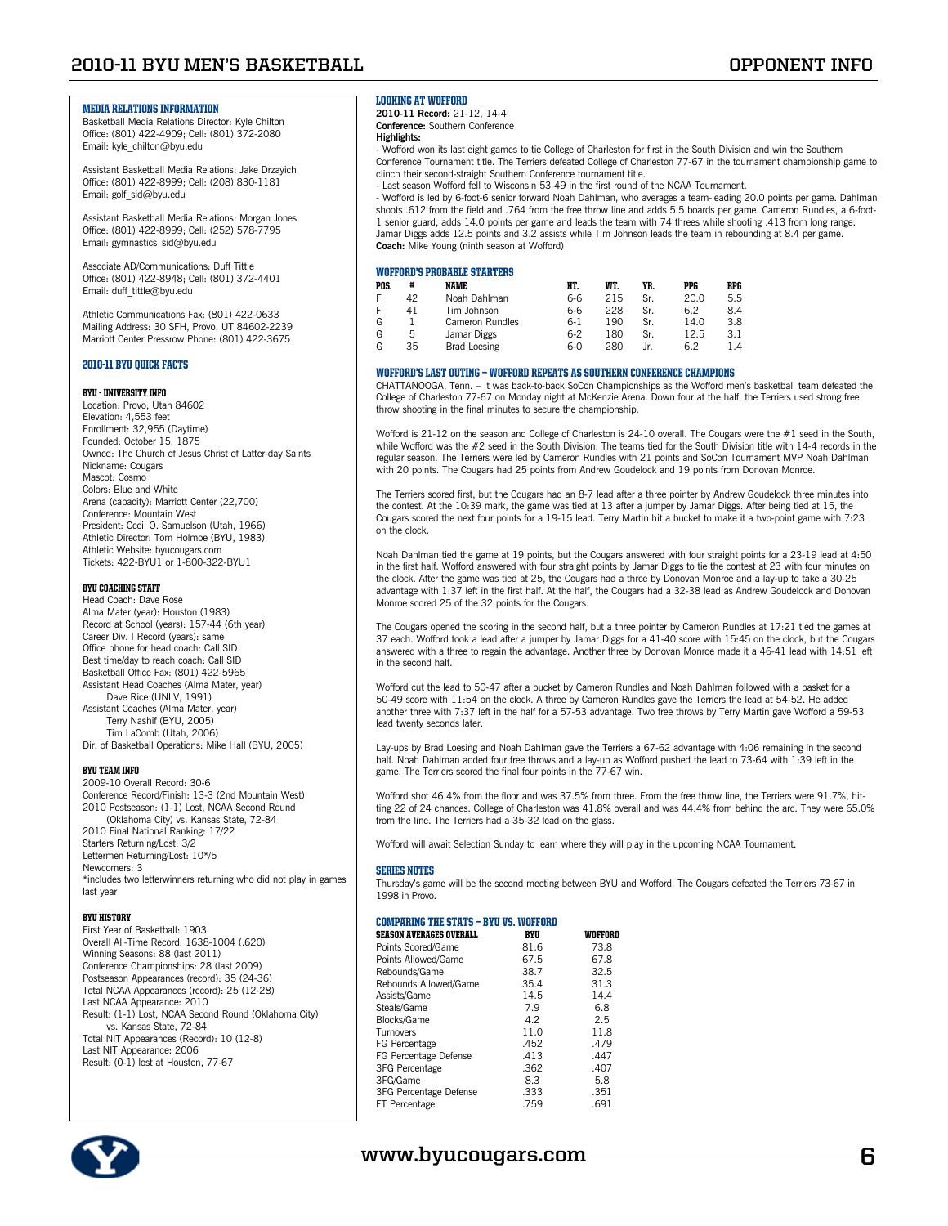### MEDIA RELATIONS INFORMATION

Basketball Media Relations Director: Kyle Chilton Office: (801) 422-4909; Cell: (801) 372-2080 Email: kyle\_chilton@byu.edu

Assistant Basketball Media Relations: Jake Drzayich Office: (801) 422-8999; Cell: (208) 830-1181 Email: golf\_sid@byu.edu

Assistant Basketball Media Relations: Morgan Jones Office: (801) 422-8999; Cell: (252) 578-7795 Email: gymnastics\_sid@byu.edu

Associate AD/Communications: Duff Tittle Office: (801) 422-8948; Cell: (801) 372-4401 Email: duff\_tittle@byu.edu

Athletic Communications Fax: (801) 422-0633 Mailing Address: 30 SFH, Provo, UT 84602-2239 Marriott Center Pressrow Phone: (801) 422-3675

### 2010-11 BYU Quick Facts

#### BYU - University Info

Location: Provo, Utah 84602 Elevation: 4,553 feet Enrollment: 32,955 (Daytime) Founded: October 15, 1875 Owned: The Church of Jesus Christ of Latter-day Saints Nickname: Cougars Mascot: Cosmo Colors: Blue and White Arena (capacity): Marriott Center (22,700) Conference: Mountain West President: Cecil O. Samuelson (Utah, 1966) Athletic Director: Tom Holmoe (BYU, 1983) Athletic Website: byucougars.com Tickets: 422-BYU1 or 1-800-322-BYU1

#### BYU Coaching Staff

Head Coach: Dave Rose Alma Mater (year): Houston (1983) Record at School (years): 157-44 (6th year) Career Div. I Record (years): same Office phone for head coach: Call SID Best time/day to reach coach: Call SID Basketball Office Fax: (801) 422-5965 Assistant Head Coaches (Alma Mater, year) Dave Rice (UNLV, 1991) Assistant Coaches (Alma Mater, year) Terry Nashif (BYU, 2005) Tim LaComb (Utah, 2006)

Dir. of Basketball Operations: Mike Hall (BYU, 2005)

#### BYU Team Info

2009-10 Overall Record: 30-6 Conference Record/Finish: 13-3 (2nd Mountain West) 2010 Postseason: (1-1) Lost, NCAA Second Round (Oklahoma City) vs. Kansas State, 72-84 2010 Final National Ranking: 17/22 Starters Returning/Lost: 3/2 Lettermen Returning/Lost: 10\*/5 Newcomers: 3 \*includes two letterwinners returning who did not play in games last year

#### BYU History

| First Year of Basketball: 1903                        |
|-------------------------------------------------------|
| Overall All-Time Record: 1638-1004 (.620)             |
| Winning Seasons: 88 (last 2011)                       |
| Conference Championships: 28 (last 2009)              |
| Postseason Appearances (record): 35 (24-36)           |
| Total NCAA Appearances (record): 25 (12-28)           |
| Last NCAA Appearance: 2010                            |
| Result: (1-1) Lost, NCAA Second Round (Oklahoma City) |
| vs. Kansas State, 72-84                               |
| Total NIT Appearances (Record): 10 (12-8)             |
| Last NIT Appearance: 2006                             |
| Result: (0-1) lost at Houston, 77-67                  |



### Looking at Wofford

**2010-11 Record:** 21-12, 14-4 **Conference:** Southern Conference

### **Highlights:**

- Wofford won its last eight games to tie College of Charleston for first in the South Division and win the Southern Conference Tournament title. The Terriers defeated College of Charleston 77-67 in the tournament championship game to clinch their second-straight Southern Conference tournament title.

- Last season Wofford fell to Wisconsin 53-49 in the first round of the NCAA Tournament.

- Wofford is led by 6-foot-6 senior forward Noah Dahlman, who averages a team-leading 20.0 points per game. Dahlman shoots .612 from the field and .764 from the free throw line and adds 5.5 boards per game. Cameron Rundles, a 6-foot-1 senior guard, adds 14.0 points per game and leads the team with 74 threes while shooting .413 from long range. Jamar Diggs adds 12.5 points and 3.2 assists while Tim Johnson leads the team in rebounding at 8.4 per game. **Coach:** Mike Young (ninth season at Wofford)

### WOFFORD'S PROBABLE STARTERS

| POS. | #  | <b>NAME</b>     | HT.   | WT. | YR. | PPG  | RPG |
|------|----|-----------------|-------|-----|-----|------|-----|
| Ė    | 42 | Noah Dahlman    | 6-6   | 215 | Sr. | 20.0 | 5.5 |
| Ė    | 41 | Tim Johnson     | 6-6   | 228 | Sr. | 6.2  | 8.4 |
| G    |    | Cameron Rundles | 6-1   | 190 | Sr. | 14.0 | 3.8 |
| G    | 5  | Jamar Diggs     | $6-2$ | 180 | Sr. | 12.5 | 3.1 |
| G    | 35 | Brad Loesing    | 6-0   | 280 |     | 6.2  | 1.4 |

#### Wofford's Last Outing — Wofford Repeats as Southern Conference Champions

CHATTANOOGA, Tenn. – It was back-to-back SoCon Championships as the Wofford men's basketball team defeated the College of Charleston 77-67 on Monday night at McKenzie Arena. Down four at the half, the Terriers used strong free throw shooting in the final minutes to secure the championship.

Wofford is 21-12 on the season and College of Charleston is 24-10 overall. The Cougars were the #1 seed in the South, while Wofford was the #2 seed in the South Division. The teams tied for the South Division title with 14-4 records in the regular season. The Terriers were led by Cameron Rundles with 21 points and SoCon Tournament MVP Noah Dahlman with 20 points. The Cougars had 25 points from Andrew Goudelock and 19 points from Donovan Monroe.

The Terriers scored first, but the Cougars had an 8-7 lead after a three pointer by Andrew Goudelock three minutes into the contest. At the 10:39 mark, the game was tied at 13 after a jumper by Jamar Diggs. After being tied at 15, the Cougars scored the next four points for a 19-15 lead. Terry Martin hit a bucket to make it a two-point game with 7:23 on the clock.

Noah Dahlman tied the game at 19 points, but the Cougars answered with four straight points for a 23-19 lead at 4:50 in the first half. Wofford answered with four straight points by Jamar Diggs to tie the contest at 23 with four minutes on the clock. After the game was tied at 25, the Cougars had a three by Donovan Monroe and a lay-up to take a 30-25 advantage with 1:37 left in the first half. At the half, the Cougars had a 32-38 lead as Andrew Goudelock and Donovan Monroe scored 25 of the 32 points for the Cougars.

The Cougars opened the scoring in the second half, but a three pointer by Cameron Rundles at 17:21 tied the games at 37 each. Wofford took a lead after a jumper by Jamar Diggs for a 41-40 score with 15:45 on the clock, but the Cougars answered with a three to regain the advantage. Another three by Donovan Monroe made it a 46-41 lead with 14:51 left in the second half.

Wofford cut the lead to 50-47 after a bucket by Cameron Rundles and Noah Dahlman followed with a basket for a 50-49 score with 11:54 on the clock. A three by Cameron Rundles gave the Terriers the lead at 54-52. He added another three with 7:37 left in the half for a 57-53 advantage. Two free throws by Terry Martin gave Wofford a 59-53 lead twenty seconds later.

Lay-ups by Brad Loesing and Noah Dahlman gave the Terriers a 67-62 advantage with 4:06 remaining in the second half. Noah Dahlman added four free throws and a lay-up as Wofford pushed the lead to 73-64 with 1:39 left in the game. The Terriers scored the final four points in the 77-67 win.

Wofford shot 46.4% from the floor and was 37.5% from three. From the free throw line, the Terriers were 91.7%, hitting 22 of 24 chances. College of Charleston was 41.8% overall and was 44.4% from behind the arc. They were 65.0% from the line. The Terriers had a 35-32 lead on the glass.

Wofford will await Selection Sunday to learn where they will play in the upcoming NCAA Tournament.

#### **SERIES NOTES**

Thursday's game will be the second meeting between BYU and Wofford. The Cougars defeated the Terriers 73-67 in 1998 in Provo.

#### Comparing the Stats — BYU vs. Wofford

| <b>SEASON AVERAGES OVERALL</b> | BYU  | WOFFORD |
|--------------------------------|------|---------|
| Points Scored/Game             | 81.6 | 73.8    |
| Points Allowed/Game            | 67.5 | 67.8    |
| Rebounds/Game                  | 38.7 | 32.5    |
| Rebounds Allowed/Game          | 35.4 | 31.3    |
| Assists/Game                   | 14.5 | 14.4    |
| Steals/Game                    | 7.9  | 6.8     |
| Blocks/Game                    | 4.2  | 2.5     |
| Turnovers                      | 11.0 | 11.8    |
| FG Percentage                  | .452 | .479    |
| FG Percentage Defense          | .413 | .447    |
| 3FG Percentage                 | .362 | .407    |
| 3FG/Game                       | 8.3  | 5.8     |
| 3FG Percentage Defense         | .333 | .351    |
| FT Percentage                  | .759 | .691    |

## **www.byucougars.com 6**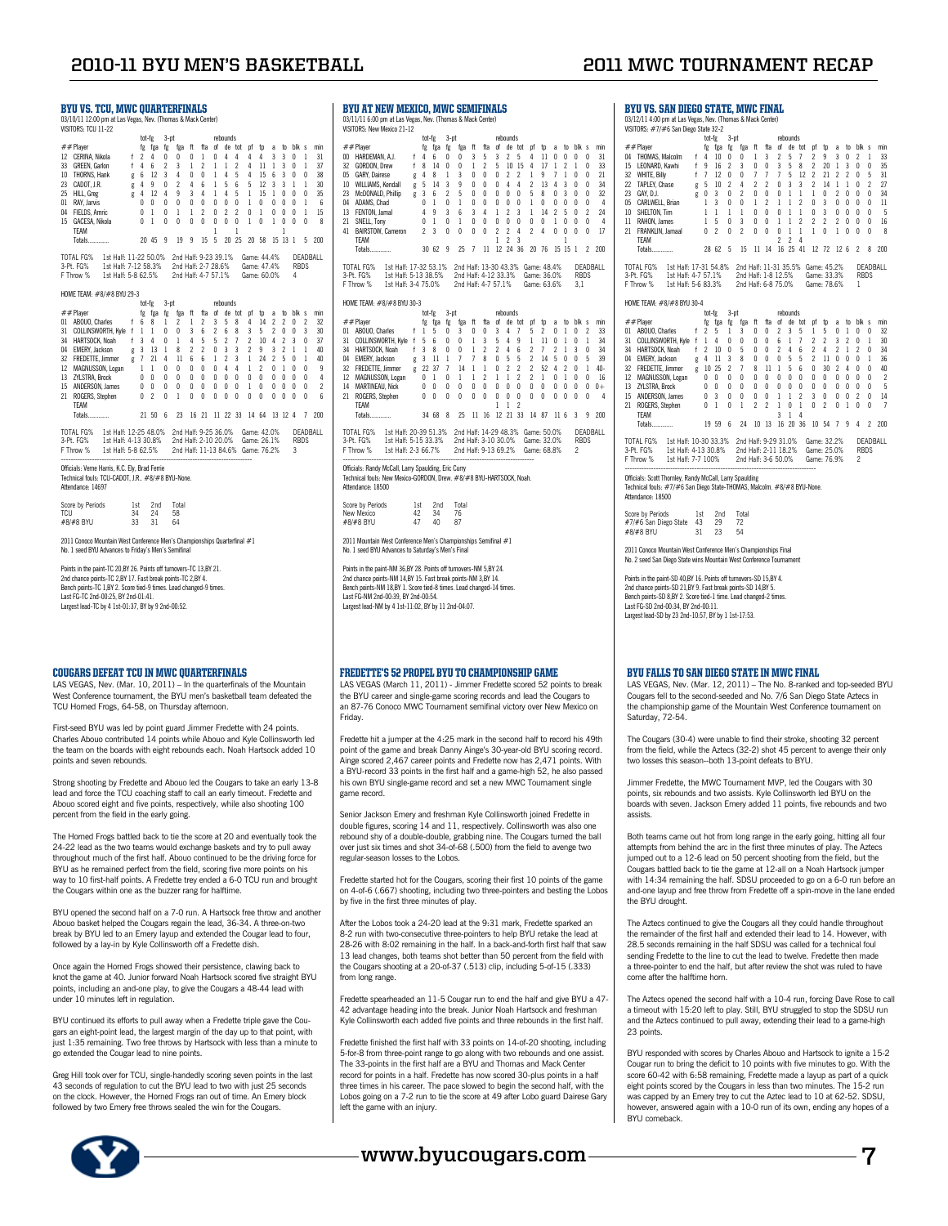## **2010-11 BYU Men's Basketball 2011 MWC tournament Recap**

BYII VS. SAN DIEGO STATE, MWC FINAL 03/12/11 4:00 pm at Las Vegas, Nev. (Thomas & Mack Center) VISITORS: #7/#6 San Diego State 32-2

| 2010-11 BYU MEN'S BASKETE                                                                                                                                                                                                                           |                                                                               |                                       |                                                     |                        |                                                                                                                                                                                                          |                                        |                |                      |                                          |                     |                                                                                                        |                |            |                     |                                                   |                                                  |                                                                       |
|-----------------------------------------------------------------------------------------------------------------------------------------------------------------------------------------------------------------------------------------------------|-------------------------------------------------------------------------------|---------------------------------------|-----------------------------------------------------|------------------------|----------------------------------------------------------------------------------------------------------------------------------------------------------------------------------------------------------|----------------------------------------|----------------|----------------------|------------------------------------------|---------------------|--------------------------------------------------------------------------------------------------------|----------------|------------|---------------------|---------------------------------------------------|--------------------------------------------------|-----------------------------------------------------------------------|
| <b>BYU VS. TCU. MWC OUARTERFINALS</b><br>03/10/11 12:00 pm at Las Vegas, Nev. (Thomas & Mack Center)<br>VISITORS: TCU 11-22                                                                                                                         |                                                                               |                                       |                                                     |                        |                                                                                                                                                                                                          |                                        |                |                      |                                          |                     |                                                                                                        |                |            |                     |                                                   |                                                  |                                                                       |
| $##$ Player<br>12 CERINA, Nikola<br>33 GREEN, Garlon<br>10 THORNS, Hank<br>23 CADOT, J.R.<br>25 HILL, Greg<br>01 RAY, Jarvis<br>04 FIELDS, Amric<br>15 GACESA, Nikola<br><b>TFAM</b><br>Totals                                                      |                                                                               | tot-fg<br>f 2 4 0<br>f 4 6 2<br>g 4 9 | 0 <sub>1</sub><br>0 <sub>1</sub><br>20 45 9         | $3-pt$<br>$\mathbf{0}$ | fg fga fg fga ft<br>$\mathbf{0}$<br>g 6 12 3 4 0 0 1 4 5 4 15 6 3 0 0<br>0 2 4 6 1 5 6 5 12 3 3 1 1<br>g 4 12 4 9 3 4 1 4 5 1 15 1 0 0 0<br>0 0 0 0 0 0 0 0 0 1 0 0 0 0 1 6<br>0 1 1 2 0 2 2 0 1 0 0 0 1 | 3 1 2 1 1<br>$0\quad 0\quad 0$<br>19 9 | 0 <sub>1</sub> | $\mathbf{1}$<br>15 5 | rebounds<br>$0 \t4 \t4$                  | $\mathbf{1}$        | fta of de tot pf tp a to blk s<br>$\overline{4}$<br>2 4 11 1 3 0 1<br>0 0 0 1 0<br>20 25 20 58 15 13 1 | 4              |            | 3 <sup>3</sup><br>1 | $\mathbf{0}$<br>$1 \t0 \t0 \t0$                   | $\mathbf{1}$<br>5.                               | min<br>31<br>37<br>38<br>30<br>35<br>15<br>$_{8}$<br>200              |
| TOTAL FG%<br>3-Pt. FG%<br>F Throw % 1st Half: 5-8 62.5% 2nd Half: 4-7 57.1% Game: 60.0%                                                                                                                                                             | 1st Half: 11-22 50.0%<br>1st Half: 7-12 58.3% 2nd Half: 2-7 28.6% Game: 47.4% |                                       |                                                     |                        | 2nd Half: 9-23 39.1%                                                                                                                                                                                     |                                        |                |                      |                                          |                     | Game: 44.4% DEADI                                                                                      |                |            |                     | 4                                                 |                                                  | DEADBALL                                                              |
| HOME TEAM: #8/#8 BYU 29-3<br>$##$ Plaver<br>01 ABOUO, Charles<br>31 COLLINSWORTH, Kyle f 1 1<br>34 HARTSOCK. Noah f 3 4 0 1 4 5 5 2 7 2 10 4 2 3 0<br>13 ZYLSTRA, Brock<br>15 ANDERSON, James<br>21 ROGERS, Stephen<br><b>TFAM</b><br><b>Totals</b> |                                                                               | f 6 8 1                               | tot-fe<br>fg fga fg<br>$0\quad 0\quad 0$<br>21 50 6 | $3-pt$                 | fga ft<br>0 0 3 6 2 6 8<br>000000000000000<br>0 2 0 1 0<br>23                                                                                                                                            | $2 \t1 \t2 \t3$<br>$0\quad 0\quad 0$   | $\mathbf{0}$   |                      | rebounds<br>0 <sub>0</sub><br>$0\quad 0$ | 5 8<br>$\mathbf{0}$ | fta of de tot pf tp a to blk s<br>$0 \t1 \t0$<br>$0\quad 0$<br>16 21 11 22 33 14 64 13 12 4            | 3 <sub>5</sub> | 4 14 2 2 0 | 0 <sub>0</sub>      | 200<br>0 <sub>0</sub><br>$0\quad 0\quad 0\quad 0$ | $\overline{2}$<br>$\mathbf{3}$<br>$\overline{7}$ | min<br>32<br>30<br>37<br>$\overline{4}$<br>$\overline{c}$<br>6<br>200 |
| TOTAL FG% 1st Half: 12-25 48.0% 2nd Half: 9-25 36.0%<br>3-Pt. FG% 1st Half: 4-13 30.8% 2nd Half: 2-10 20.0% Game: 26.1%<br>F Throw % 1st Half: 5-8 62.5% 2nd Half: 11-13 84.6% Game: 76.2%                                                          |                                                                               |                                       |                                                     |                        | -----------------------------------                                                                                                                                                                      |                                        |                |                      |                                          |                     | Game: 42.0%                                                                                            |                |            |                     | <b>RBDS</b><br>3                                  |                                                  | DEADBALL                                                              |
| Officials: Verne Harris, K.C. Ely, Brad Ferrie<br>Technical fouls: TCU-CADOT, J.R., #8/#8 BYU-None.<br>Attendance: 14697<br>Score by Periods                                                                                                        |                                                                               | 1st                                   | 2nd                                                 |                        | Total                                                                                                                                                                                                    |                                        |                |                      |                                          |                     |                                                                                                        |                |            |                     |                                                   |                                                  |                                                                       |
| TCU<br>#8/#8 BYU<br>2011 Conoco Mountain West Conference Men's Championships Quarterfinal #1<br>No. 1 seed BYU Advances to Friday's Men's Semifinal                                                                                                 |                                                                               | 34<br>33                              | 24<br>31                                            |                        | 58<br>64                                                                                                                                                                                                 |                                        |                |                      |                                          |                     |                                                                                                        |                |            |                     |                                                   |                                                  |                                                                       |

Points in the paint-TC 20,BY 26. Points off turnovers-TC 13,BY 21. 2nd chance points-TC 2,BY 17. Fast break points-TC 2,BY 4. Bench points-TC 1,BY 2. Score tied-9 times. Lead changed-9 times. Last FG-TC 2nd-00:25, BY 2nd-01:41. Largest lead-TC by 4 1st-01:37, BY by 9 2nd-00:52.

#### COUGARS DEFEAT TCU IN MWC OUARTERFINALS

LAS VEGAS, Nev. (Mar. 10, 2011) – In the quarterfinals of the Mountain West Conference tournament, the BYU men's basketball team defeated the TCU Horned Frogs, 64-58, on Thursday afternoon.

First-seed BYU was led by point guard Jimmer Fredette with 24 points. Charles Abouo contributed 14 points while Abouo and Kyle Collinsworth led the team on the boards with eight rebounds each. Noah Hartsock added 10 points and seven rebounds.

Strong shooting by Fredette and Abouo led the Cougars to take an early 13-8 lead and force the TCU coaching staff to call an early timeout. Fredette and Abouo scored eight and five points, respectively, while also shooting 100 percent from the field in the early going.

The Horned Frogs battled back to tie the score at 20 and eventually took the 24-22 lead as the two teams would exchange baskets and try to pull away throughout much of the first half. Abouo continued to be the driving force for BYU as he remained perfect from the field, scoring five more points on his way to 10 first-half points. A Fredette trey ended a 6-0 TCU run and brought the Cougars within one as the buzzer rang for halftime.

BYU opened the second half on a 7-0 run. A Hartsock free throw and another Abouo basket helped the Cougars regain the lead, 36-34. A three-on-two break by BYU led to an Emery layup and extended the Cougar lead to four, followed by a lay-in by Kyle Collinsworth off a Fredette dish.

Once again the Horned Frogs showed their persistence, clawing back to knot the game at 40. Junior forward Noah Hartsock scored five straight BYU points, including an and-one play, to give the Cougars a 48-44 lead with under 10 minutes left in regulation.

BYU continued its efforts to pull away when a Fredette triple gave the Cougars an eight-point lead, the largest margin of the day up to that point, with just 1:35 remaining. Two free throws by Hartsock with less than a minute to go extended the Cougar lead to nine points.

Greg Hill took over for TCU, single-handedly scoring seven points in the last 43 seconds of regulation to cut the BYU lead to two with just 25 seconds on the clock. However, the Horned Frogs ran out of time. An Emery block followed by two Emery free throws sealed the win for the Cougars.

BYU at New MExico, MWC Semifinals 03/11/11 6:00 pm at Las Vegas, Nev. (Thomas & Mack Cer VISITORS: New Mexico 21-12 tot-fg 3-pt rebounds<br>##Player fg fga fg fga ft fta of de tot pf tp a to blk s min<br>00 HARDEMAN, A.J. f 4 6 0 0 3 5 3 2 5 4 11 0 0 0 0 31<br>32 GORDON,Drew f 8 14 0 0 1 2 5 10 15 4 17 1 2 1 0 33 22 CUNDUVIK, URIN' CHARY, Dairese g 4 8 1 3 0 0 0 2 2 1 9 7 1 0 0 21<br>10 WILLIAMS, Kendall g 5 14 3 9 0 0 0 4 4 2 13 4 3 0 0 34<br>23 McDONALD, Phillip g 3 6 2 5 0 0 0 0 0 5 8 0 3 0 0 32 10 WILLIAMS, Kendall g 5 14 3 9 0 0 0 4 4 2 13 4 3 0 0 34 23 McDOMALD, Phillip = 3 6 2 5 0 0 0 0 5 8 0 3 0 3 0 3<br>13 FENTON, Jamal = 0 1 0 1 0 0 0 0 0 1 0 0 0 0 0 4<br>13 FENTON, Jamal = 4 9 3 6 3 4 1 2 3 1 14 2 5 0 2 24<br>21 BAIRSTOW, Cameron = 2 3 0 0 0 0 2 2 4 2 4 0 0 0 0 17<br>41 BAIR TEAM 1 2 3 1 Totals.............. 30 62 9 25 7 11 12 24 36 20 76 15 15 1 2 200 TOTAL FG% 1st Half: 17-32 53.1% 2nd Half: 13-30 43.3% Game: 48.4% DEADBALL 3-Pt. FG% 1st Half: 5-13 38.5% 2nd Half: 4-12 33.3% Game: 36.0% RBDS F Throw % 1st Half: 3-4 75.0% 2nd Half: 4-7 57.1% Game: 63.6% 3,1 HOME TEAM: #8/#8 BYU 30-3<br>tot-fo 3-nt tot-fg 3-pt rebounds<br>##Player fg fga fg fga ft fta of de tot pf tp a to blk s min<br>01 ABOUO,Charles f 1 5 6 0 0 1 3 5 4 9 1 11 0 1 0 1 34<br>31 COLLINSWORTH, Kyle f 5 6 0 0 1 3 5 4 9 1 11 0 1 0 1 34 34 HARTSOCK, Noah f 3 8 0 0 1 2 2 4 6 2 7 2 1 3 0 34 04 EMERY, Jackson g 3 11 1 7 7 8 0 5 5 2 14 5 0 0 5 39 32 SOLATIN THREE (AMERIC POLITIC PRESSURATION CONTROLLATION CONTROLLATION CONTROLLATION CONTROLLATION CONTROLLATION CONTROLLATION CONTROLLATION CONTROLLATION CONTROLLATION CONTROLLATION CONTROLLATION CONTROLLATION CONTROLL 12 MAGNUSSON, Logan 0 1 0 1 1 2 1 1 2 2 1 0 1 0 0 16<br>14 MARTINEAU, Nick 0 0 0 0 0 0 0 0 0 0 0 0 0 0 0 0 0<br>21 ROGERS, Stephen 0 0 0 0 0 0 0 0 0 0 0 0 0 0 0 14 MARTINEAU, Nick 0 0 0 0 0 0 0 0 0 0 0 0<br>21 ROGERS, Stephen 0 0 0 0 0 0 0 0 0 0 0 0 20 Products Corp.<br>21 ROGERS, Stephen<br>TEAM TEAM 1 1 2 Totals.............. 34 68 8 25 11 16 12 21 33 14 87 11 6 3 9 200 TOTAL FG% 1st Half: 20-39 51.3% 2nd Half: 14-29 48.3% Game: 50.0% DEADBALL<br>3-Pt. FG% 1st Half: 5-15 33.3% 2nd Half: 3-10 30.0% Game: 32.0% RBDS<br>FThrow % 1st Half: 2-3 66.7% 2nd Half: 9-13 69.2% Game: 68.8% 2 Officials: Randy McCall, Larry Snaulding, Fric Curry Officials: Randy McCall, Larry Spaulding, Eric Curry Technical fouls: New Mexico-GORDON, Drew. #8/#8 BYU-HARTSOCK, Noah. Attendance: 18500 Score by Periods 1st 2nd Total<br>New Mexico 42 34 76 New Mexico 42 34 76 #8/#8 BYU 47 40 87 2011 Mountain West Conference Men's Championships Semifinal #1 No. 1 seed BYU Advances to Saturday's Men's Final Points in the paint-NM 36,BY 28. Points off turnovers-NM 5,BY 24. 2nd chance points-NM 14,BY 15. Fast break points-NM 3,BY 14. Bench points-NM 18,BY 1. Score tied-8 times. Lead changed-14 times. Last FG-NM 2nd-00:39, BY 2nd-00:54. Largest lead-NM by 4 1st-11:02, BY by 11 2nd-04:07.

#### Fredette's 52 Propel BYU to Championship Game

LAS VEGAS (March 11, 2011) - Jimmer Fredette scored 52 points to break the BYU career and single-game scoring records and lead the Cougars to an 87-76 Conoco MWC Tournament semifinal victory over New Mexico on Friday.

Fredette hit a jumper at the 4:25 mark in the second half to record his 49th point of the game and break Danny Ainge's 30-year-old BYU scoring record. Ainge scored 2,467 career points and Fredette now has 2,471 points. With a BYU-record 33 points in the first half and a game-high 52, he also passed his own BYU single-game record and set a new MWC Tournament single game record

Senior Jackson Emery and freshman Kyle Collinsworth joined Fredette in double figures, scoring 14 and 11, respectively. Collinsworth was also one rebound shy of a double-double, grabbing nine. The Cougars turned the ball over just six times and shot 34-of-68 (.500) from the field to avenge two regular-season losses to the Lobos.

Fredette started hot for the Cougars, scoring their first 10 points of the game on 4-of-6 (.667) shooting, including two three-pointers and besting the Lobos by five in the first three minutes of play.

After the Lobos took a 24-20 lead at the 9:31 mark, Fredette sparked an 8-2 run with two-consecutive three-pointers to help BYU retake the lead at 28-26 with 8:02 remaining in the half. In a back-and-forth first half that saw 13 lead changes, both teams shot better than 50 percent from the field with the Cougars shooting at a 20-of-37 (.513) clip, including 5-of-15 (.333) from long range.

Fredette spearheaded an 11-5 Cougar run to end the half and give BYU a 47- 42 advantage heading into the break. Junior Noah Hartsock and freshman Kyle Collinsworth each added five points and three rebounds in the first half.

Fredette finished the first half with 33 points on 14-of-20 shooting, including 5-for-8 from three-point range to go along with two rebounds and one assist. The 33-points in the first half are a BYU and Thomas and Mack Center record for points in a half. Fredette has now scored 30-plus points in a half three times in his career. The pace slowed to begin the second half, with the Lobos going on a 7-2 run to tie the score at 49 after Lobo guard Dairese Gary left the game with an injury.



**www.byucougars.com 7**

| 32 | WHITE, Billy                       | f            | 7              | 12                      | $\theta$       | 0                        | 7              | 7                        | 7                        | 5                        | 12             | 2                | 21             | 2                        | 2            | $\theta$       | 5                        | 31             |
|----|------------------------------------|--------------|----------------|-------------------------|----------------|--------------------------|----------------|--------------------------|--------------------------|--------------------------|----------------|------------------|----------------|--------------------------|--------------|----------------|--------------------------|----------------|
| 22 | TAPLEY, Chase                      | g            | 5              | 10                      | 2              | 4                        | $\mathfrak{p}$ | $\mathfrak{p}$           | 0                        | 3                        | $\overline{3}$ | $\mathfrak{p}$   | 14             | $\mathbf{1}$             | $\mathbf{1}$ | $\theta$       | $\mathfrak{p}$           | 27             |
| 23 | GAY, D.J.                          | g            | 0              | 3                       | 0              | $\overline{\phantom{a}}$ | $\mathbf{0}$   | $\theta$                 | 0                        | $\overline{1}$           | $\mathbf{1}$   | $\mathbf{1}$     | 0              | $\mathfrak{p}$           | $\theta$     | 0              | 0                        | 34             |
| 05 | CARLWELL, Brian                    |              | 1              | $\overline{3}$          | $\theta$       | 0                        | $\mathbf{1}$   | $\mathfrak{p}$           | 1                        | $\mathbf{1}$             | $\mathfrak{p}$ | 0                | 3              | 0                        | $\theta$     | 0              | n                        | 11             |
| 10 | SHELTON. Tim                       |              | $\mathbf{1}$   | $\mathbf{1}$            | 1              | 1                        | $\mathbf{0}$   | $\theta$                 | $\theta$                 | $\mathbf{1}$             | $\mathbf{1}$   | $\mathbf{0}$     | $\overline{3}$ | 0                        | $\theta$     | 0              | 0                        | 5              |
| 11 | RAHON, James                       |              | $\mathbf{1}$   | 5                       | $\mathbf{0}$   | $\overline{\mathbf{3}}$  | $\mathbf{0}$   | $\theta$                 | $\mathbf{1}$             | $\mathbf{1}$             | $\mathfrak{p}$ | $\mathfrak{p}$   | $\mathfrak{p}$ | $\mathfrak{p}$           | $\theta$     | $\theta$       | 0                        | 16             |
| 21 | FRANKLIN, Jamaal                   |              | 0              | $\mathfrak{p}$          | $\theta$       | $\mathfrak{p}$           | $\theta$       | n                        | $\theta$                 | $\mathbf{1}$             | $\mathbf{1}$   | $\mathbf{1}$     | $\theta$       | $\mathbf{1}$             | n            | n              | 0                        | 8              |
|    | TFAM                               |              |                |                         |                |                          |                |                          | $\overline{\phantom{a}}$ | $\overline{\phantom{a}}$ | $\overline{4}$ |                  |                |                          |              |                |                          |                |
|    | Totals                             |              |                | 28 62                   | 5              | 15                       | 11             | 14                       | 16                       | 25                       | 41             | 12               | 72             | 126                      |              | $\mathfrak{p}$ | 8                        | 200            |
|    | TOTAL FG%<br>1st Half: 17-31 54.8% |              |                |                         |                | 2nd Half: 11-31 35.5%    |                |                          |                          |                          |                | Game: 45.2%      |                |                          |              |                |                          | DEADBALL       |
|    | 3-Pt. FG%<br>1st Half: 4-7 57.1%   |              |                |                         |                | 2nd Half: 1-8 12.5%      |                |                          |                          |                          |                | Game: 33.3%      |                |                          |              | <b>RBDS</b>    |                          |                |
|    | F Throw %<br>1st Half: 5-6 83.3%   |              |                |                         |                | 2nd Half: 6-8 75.0%      |                |                          |                          |                          |                | Game: 78.6%      |                |                          |              | 1              |                          |                |
|    |                                    |              |                |                         |                |                          |                |                          |                          |                          |                |                  |                |                          |              |                |                          |                |
|    | HOME TEAM: #8/#8 BYU 30-4          |              |                |                         |                |                          |                |                          |                          |                          |                |                  |                |                          |              |                |                          |                |
|    |                                    |              | tot-fe         |                         | $3-pt$         |                          |                |                          |                          | rebounds                 |                |                  |                |                          |              |                |                          |                |
|    | ##Plaver                           |              | fg             | fga                     | fg             | fga                      | ft             | fta                      | of                       | de                       | tot            | pf               | tp             | a                        | to           | blk            | s                        | min            |
| 01 | ABOUO, Charles                     | f            | $\overline{c}$ | 5                       | $\mathbf{1}$   | 3                        | 0              | $\theta$                 | $\overline{2}$           | 3                        | 5              | $\mathbf{1}$     | 5              | 0                        | $\mathbf{1}$ | $\theta$       | 0                        | 32             |
| 31 | COLLINSWORTH, Kyle                 | $\mathsf{f}$ | $\overline{1}$ | 4                       | $\theta$       | 0                        | $\theta$       | $\theta$                 | $6\phantom{a}$           | $\mathbf{1}$             | $\overline{7}$ | $\overline{c}$   | $\mathfrak{p}$ | 3                        | $\gamma$     | $\theta$       | 1                        | 30             |
| 34 | HARTSOCK, Noah                     | f            | $\mathfrak{p}$ | 10                      | $\theta$       | 5                        | $\theta$       | $\theta$                 | $\mathfrak{p}$           | $\overline{4}$           | 6              | $\mathfrak{p}$   | $\overline{4}$ | $\gamma$                 | $\mathbf{1}$ | $\mathfrak{p}$ | 0                        | 34             |
| 04 | EMERY, Jackson                     | g            | 4              | 11                      | 3              | 8                        | $\theta$       | $\theta$                 | $\theta$                 | 5                        | 5              | $\mathfrak{p}$   | 11             | $\mathbf{0}$             | $\theta$     | $\theta$       | 1                        | 36             |
| 32 | <b>FREDETTE, Jimmer</b>            | g            | 10             | 25                      | $\mathfrak{p}$ | $\overline{7}$           | 8              | 11                       | $\mathbf{1}$             | 5                        | 6              | $\theta$         | 30             | $\mathfrak{p}$           | Δ            | $\theta$       | n                        | 40             |
| 12 | MAGNUSSON, Logan                   |              | $\mathbf{0}$   | $\theta$                | $\theta$       | n                        | $\theta$       | $\mathbf{0}$             | $\theta$                 | $\theta$                 | $\theta$       | $\theta$         | $\mathbf{0}$   | $\mathbf{0}$             | $\theta$     | $\theta$       | 0                        | $\overline{c}$ |
| 13 | <b>ZYLSTRA, Brock</b>              |              | $\mathsf{n}$   | $\theta$                | $\theta$       | n                        | $\mathbf{0}$   | $\theta$                 | $\theta$                 | $\theta$                 | $\theta$       | $\theta$         | $\mathsf{n}$   | $\theta$                 | $\theta$     | $\theta$       | 0                        | 5              |
| 15 | ANDERSON, James                    |              | $\theta$       | $\overline{\mathbf{3}}$ | $\theta$       | n                        | $\theta$       | $\theta$                 | 1                        | $\mathbf{1}$             | $\mathfrak{p}$ | 3                | $\theta$       | 0                        | $\theta$     | $\mathfrak{p}$ | $\theta$                 | 14             |
| 21 | ROGERS, Stephen                    |              | n              | $\mathbf{1}$            | $\theta$       | $\mathbf{1}$             | $\mathfrak{p}$ | $\overline{\phantom{a}}$ | 1                        | $\theta$                 | $\mathbf{1}$   | $\Omega$         | $\mathfrak{p}$ | n                        | 1            | $\theta$       | n                        | $\overline{7}$ |
|    | TFAM                               |              |                |                         |                |                          |                |                          | 3                        | $\mathbf{1}$             | 4              |                  |                |                          |              |                |                          |                |
|    | Totals                             |              |                | 19 59                   | 6              | 24                       | 10             | 13                       | 16                       | 20                       | 36             | 10 <sup>10</sup> | 54             | $\overline{\phantom{a}}$ | 9            | Δ              | $\overline{\phantom{a}}$ | 200            |
|    | TOTAL FG%<br>1st Half: 10-30 33.3% |              |                |                         |                | 2nd Half: 9-29 31.0%     |                |                          |                          |                          |                | Game: 32.2%      |                |                          |              |                |                          | DFADBALL       |
|    | 3-Pt FG%<br>1st Half- 4-13 30 8%   |              |                |                         |                | 2nd Half- 2-11 18 2%     |                |                          |                          |                          |                | Game: 25.0%      |                |                          |              | RRDS           |                          |                |

tot-fg 3-pt rebounds<br>##Player fg fga fg fga ft fta of de tot pf tp a to blk s min<br>04 THOMAS,Malcolm f 4 10 0 0 1 3 2 5 7 2 9 3 0 2 1 33<br>15 LEONARD,Kawhi f 9 16 2 3 0 0 3 5 8 2 20 1 3 0 0 35

3-Pt. FG% 1st Half: 4-13 30.8% 2nd Half: 2-11 18.2% Game: 25.0% RBDS F Throw % 1st Half: 7-7 100% 2nd Half: 3-6 50.0% Game: 76.9% 2

-------------------------------------------------------------------------------- Officials: Scott Thornley, Randy McCall, Larry Spaulding Technical fouls: #7/#6 San Diego State-THOMAS, Malcolm. #8/#8 BYU-None. Attendance: 18500

Score by Periods 1st 2nd Total<br>
#7/#6 San Diego State 43 29 72<br>
#8/#8 BYU 31 23 54 enous<br>n Diego State 43<br>U 31  $#8/H8$  BYU

2011 Conoco Mountain West Conference Men's Championships Final No. 2 seed San Diego State wins Mountain West Conference Tournament

Points in the paint-SD 40,BY 16. Points off turnovers-SD 15,BY 4. 2nd chance points-SD 21,BY 9. Fast break points-SD 14,BY 5. Bench points-SD 8,BY 2. Score tied-1 time. Lead changed-2 times. Last FG-SD 2nd-00:34, BY 2nd-00:11. Largest lead-SD by 23 2nd-10:57, BY by 1 1st-17:53.

#### BYU Falls to San Diego State in MWC Final

LAS VEGAS, Nev. (Mar. 12, 2011) – The No. 8-ranked and top-seeded BYU Cougars fell to the second-seeded and No. 7/6 San Diego State Aztecs in the championship game of the Mountain West Conference tournament on Saturday, 72-54.

The Cougars (30-4) were unable to find their stroke, shooting 32 percent from the field, while the Aztecs (32-2) shot 45 percent to avenge their only two losses this season--both 13-point defeats to BYU.

Jimmer Fredette, the MWC Tournament MVP, led the Cougars with 30 points, six rebounds and two assists. Kyle Collinsworth led BYU on the boards with seven. Jackson Emery added 11 points, five rebounds and two assists.

Both teams came out hot from long range in the early going, hitting all four attempts from behind the arc in the first three minutes of play. The Aztecs jumped out to a 12-6 lead on 50 percent shooting from the field, but the Cougars battled back to tie the game at 12-all on a Noah Hartsock jumper with 14:34 remaining the half. SDSU proceeded to go on a 6-0 run before an and-one layup and free throw from Fredette off a spin-move in the lane ended the **BYLI** drought

The Aztecs continued to give the Cougars all they could handle throughout the remainder of the first half and extended their lead to 14. However, with 28.5 seconds remaining in the half SDSU was called for a technical foul sending Fredette to the line to cut the lead to twelve. Fredette then made a three-pointer to end the half, but after review the shot was ruled to have come after the halftime horn.

The Aztecs opened the second half with a 10-4 run, forcing Dave Rose to call a timeout with 15:20 left to play. Still, BYU struggled to stop the SDSU run and the Aztecs continued to pull away, extending their lead to a game-high 23 points.

BYU responded with scores by Charles Abouo and Hartsock to ignite a 15-2 Cougar run to bring the deficit to 10 points with five minutes to go. With the score 60-42 with 6:58 remaining, Fredette made a layup as part of a quick eight points scored by the Cougars in less than two minutes. The 15-2 run was capped by an Emery trey to cut the Aztec lead to 10 at 62-52. SDSU, however, answered again with a 10-0 run of its own, ending any hopes of a BYU comeback.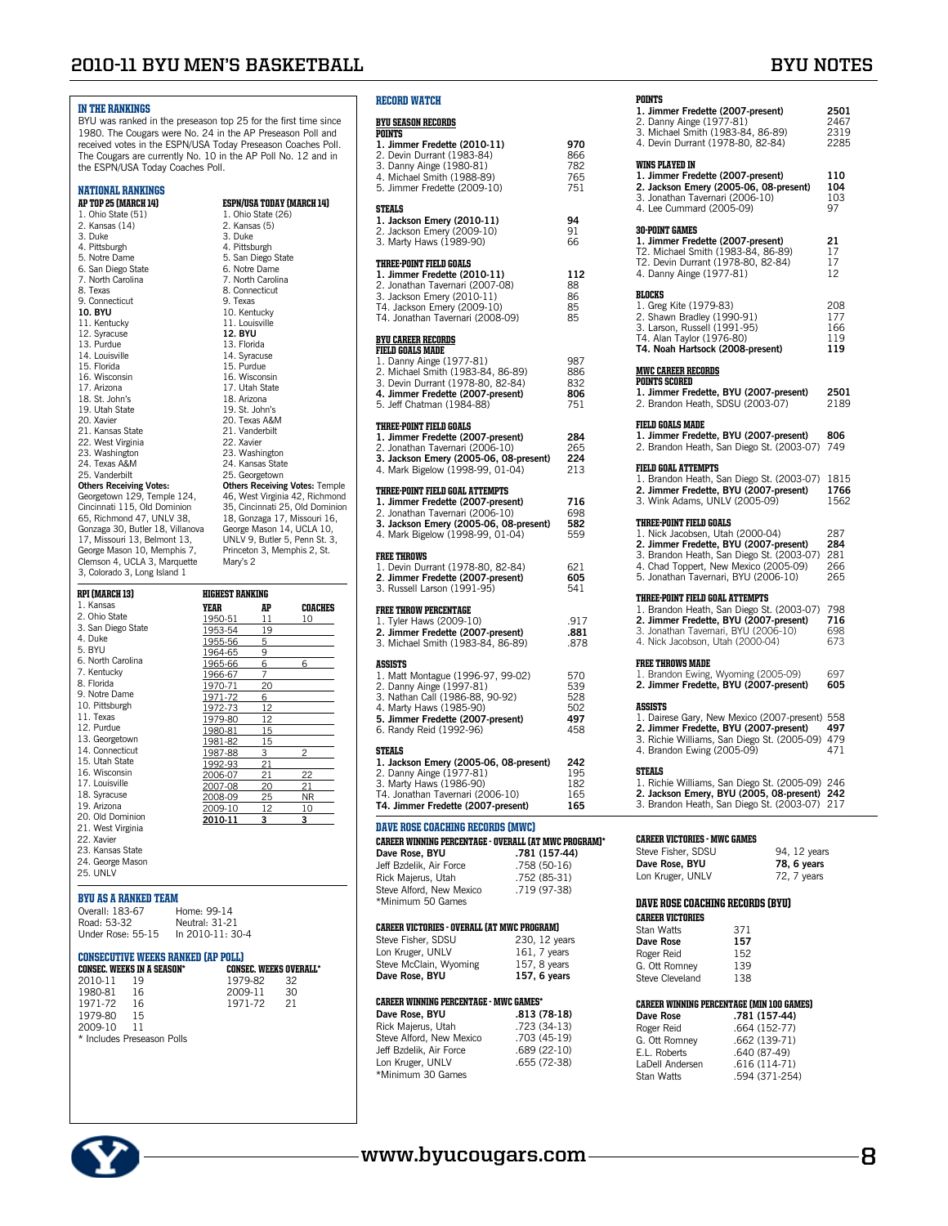## **2010-11 BYU Men's Basketball BYU Notes**

| <b>IN THE RANKINGS</b>                                          |                        |                                 |                                                              | <b>RECO</b>     |
|-----------------------------------------------------------------|------------------------|---------------------------------|--------------------------------------------------------------|-----------------|
| BYU was ranked in the preseason top 25 for the first time since |                        |                                 |                                                              | <b>BYUS</b>     |
| 1980. The Cougars were No. 24 in the AP Preseason Poll and      |                        |                                 |                                                              | POINT           |
| received votes in the ESPN/USA Today Preseason Coaches Poll.    |                        |                                 |                                                              | 1. Jin          |
| The Cougars are currently No. 10 in the AP Poll No. 12 and in   |                        |                                 |                                                              | 2. De           |
| the ESPN/USA Today Coaches Poll.                                |                        |                                 |                                                              | 3. Da           |
|                                                                 |                        |                                 |                                                              | 4. Mi           |
| <b>NATIONAL RANKINGS</b>                                        |                        |                                 |                                                              | 5. Jin          |
| AP TOP 25 (MARCH 14)                                            |                        |                                 | ESPN/USA TODAY (MARCH 14)                                    |                 |
| 1. Ohio State (51)                                              |                        | 1. Ohio State (26)              |                                                              | <b>STEAL</b>    |
| 2. Kansas (14)                                                  |                        | 2. Kansas (5)                   |                                                              | 1. Ja           |
| 3. Duke                                                         | 3. Duke                |                                 |                                                              | 2. Jai<br>3. Ma |
| 4. Pittsburgh                                                   |                        | 4. Pittsburgh                   |                                                              |                 |
| 5. Notre Dame                                                   |                        | 5. San Diego State              |                                                              | <b>THREE</b>    |
| 6. San Diego State                                              |                        | 6. Notre Dame                   |                                                              | 1. Jin          |
| 7. North Carolina                                               |                        | 7. North Carolina               |                                                              | $2.$ Jor        |
| 8. Texas                                                        |                        | 8. Connecticut                  |                                                              | 3. Ja           |
| 9. Connecticut                                                  | 9. Texas               |                                 |                                                              | T4. J           |
| <b>10. BYU</b><br>11. Kentucky                                  |                        | 10. Kentucky<br>11. Louisville  |                                                              | T4. J           |
| 12. Syracuse                                                    | <b>12. BYU</b>         |                                 |                                                              |                 |
| 13. Purdue                                                      | 13. Florida            |                                 |                                                              | BYU C           |
| 14. Louisville                                                  |                        | 14. Syracuse                    |                                                              | FIELD           |
| 15. Florida                                                     | 15. Purdue             |                                 |                                                              | $1.$ Da         |
| 16. Wisconsin                                                   |                        | 16. Wisconsin                   |                                                              | 2. Mi<br>3. De  |
| 17. Arizona                                                     |                        | 17. Utah State                  |                                                              | 4. Jir          |
| 18. St. John's                                                  | 18. Arizona            |                                 |                                                              | 5. Jet          |
| 19. Utah State                                                  |                        | 19. St. John's                  |                                                              |                 |
| 20. Xavier                                                      |                        | 20. Texas A&M<br>21. Vanderbilt |                                                              | <b>THREE</b>    |
| 21. Kansas State<br>22. West Virginia                           | 22. Xavier             |                                 |                                                              | 1. Jir          |
| 23. Washington                                                  |                        | 23. Washington                  |                                                              | $2.$ Jor        |
| 24. Texas A&M                                                   |                        | 24. Kansas State                |                                                              | 3. Ja           |
| 25. Vanderbilt                                                  |                        | 25. Georgetown                  |                                                              | 4. Ma           |
| <b>Others Receiving Votes:</b>                                  |                        |                                 | <b>Others Receiving Votes: Temple</b>                        | THREE           |
| Georgetown 129, Temple 124,                                     |                        |                                 | 46, West Virginia 42, Richmond                               | 1. Jir          |
| Cincinnati 115, Old Dominion                                    |                        |                                 | 35, Cincinnati 25, Old Dominion                              | 2. Jor          |
| 65, Richmond 47, UNLV 38,                                       |                        |                                 | 18, Gonzaga 17, Missouri 16,                                 | 3. Ja           |
| Gonzaga 30, Butler 18, Villanova                                |                        |                                 | George Mason 14, UCLA 10,                                    | 4. Ma           |
| 17, Missouri 13, Belmont 13,<br>George Mason 10, Memphis 7,     |                        |                                 | UNLV 9, Butler 5, Penn St. 3,<br>Princeton 3, Memphis 2, St. |                 |
| Clemson 4, UCLA 3, Marquette                                    | Mary's 2               |                                 |                                                              | <b>FREE</b> 1   |
| 3, Colorado 3, Long Island 1                                    |                        |                                 |                                                              | 1. De           |
|                                                                 |                        |                                 |                                                              | 2. Jin          |
| RPI (MARCH 13)                                                  | <b>HIGHEST RANKING</b> |                                 |                                                              | 3. Ru           |
| 1. Kansas                                                       | YEAR                   | AP                              | <b>COACHES</b>                                               | <b>FREE</b> 1   |
| 2. Ohio State                                                   | 1950-51                | 11                              | 10                                                           | 1. Ty           |
| 3. San Diego State<br>4. Duke                                   | 1953-54                | 19                              |                                                              | 2. Jin          |
| 5. BYU                                                          | 1955-56                | 5                               |                                                              | 3. Mi           |
| 6. North Carolina                                               | 1964-65                | 9<br>6                          | 6                                                            |                 |
| 7. Kentucky                                                     | 1965-66<br>1966-67     | 7                               |                                                              | ASSIS'<br>1. Ma |
| 8. Florida                                                      | 1970-71                | 20                              |                                                              | 2. Da           |
| 9. Notre Dame                                                   | 1971-72                | 6                               |                                                              | 3. Na           |
| 10 Pittshurgh                                                   |                        |                                 |                                                              |                 |

3. San Diego State 4. Duke 6. North Carolina 9. Notre Dame 10. Pittsburgh 13. Georgetown 14. Connecticut 15. Utah State 16. Wisconsin 20. Old Dominion 21. West Virginia 23. Kansas State 24. George Mason 1972-7 1979-80 12<br>1980-81 15 1980-81 1981-82 15 1987-88 3<br>1992-93 21 1992-93 21<br>2006-07 21 2006-07 21 22 2007-08 20 21 2008-09 25 NR<br>2009-10 12 10  $\frac{2009-10}{2010-11}$  12 1

11. Texas 12. Purdue

17. Louisville 18. Syracuse 19. Arizona

22. Xavier

25. UNLV

BYU AS A RANKED TEAM Overall: 183-67 Home: 99-14 Road<br>Unde

| <b>CONSEC. WEEKS IN A SEASON*</b>         | CONSEC. WEEKS OVERALL* |  |  |  |  |  |  |  |  |  |
|-------------------------------------------|------------------------|--|--|--|--|--|--|--|--|--|
|                                           |                        |  |  |  |  |  |  |  |  |  |
| <b>CONSECUTIVE WEEKS RANKED (AP POLL)</b> |                        |  |  |  |  |  |  |  |  |  |
|                                           |                        |  |  |  |  |  |  |  |  |  |
| Under Rose: 55-15                         | In $2010 - 11:30 - 4$  |  |  |  |  |  |  |  |  |  |
|                                           |                        |  |  |  |  |  |  |  |  |  |
| Road: 53-32                               | Neutral: 31-21         |  |  |  |  |  |  |  |  |  |
| $UVEI$ all: $10.3-07$                     | $1101116: 77 - 14$     |  |  |  |  |  |  |  |  |  |

| 2010-11                    | 19 | 1979-82 | 32 |  |  |  |  |
|----------------------------|----|---------|----|--|--|--|--|
| 1980-81                    | 16 | 2009-11 | 30 |  |  |  |  |
| 1971-72                    | 16 | 1971-72 | 21 |  |  |  |  |
| 1979-80                    | 15 |         |    |  |  |  |  |
| 2009-10                    | 11 |         |    |  |  |  |  |
| * Includes Preseason Polls |    |         |    |  |  |  |  |

### **REQUESTED**

|        | BYU SEASON RECORDS |
|--------|--------------------|
| PNINTS |                    |

| Poll.                                       |                                                                                                              | A Today Preseason Coaches Poll.<br>10 in the AP Poll No. 12 and in                                                                                                                                       | 1. Jimmer Fredette (2010-11)<br>2. Devin Durrant (1983-84)<br>3. Danny Ainge (1980-81)<br>4. Michael Smith (1988-89)<br>5. Jimmer Fredette (2009-10)                                                                         | 970<br>866<br>782<br>765<br>751 |
|---------------------------------------------|--------------------------------------------------------------------------------------------------------------|----------------------------------------------------------------------------------------------------------------------------------------------------------------------------------------------------------|------------------------------------------------------------------------------------------------------------------------------------------------------------------------------------------------------------------------------|---------------------------------|
| 3. Duke                                     | 1. Ohio State (26)<br>2. Kansas (5)<br>4. Pittsburgh                                                         | ESPN/USA TODAY (MARCH 14)                                                                                                                                                                                | <b>STEALS</b><br>1. Jackson Emery (2010-11)<br>2. Jackson Emery (2009-10)<br>3. Marty Haws (1989-90)                                                                                                                         | 94<br>91<br>66                  |
| 9. Texas                                    | 5. San Diego State<br>6. Notre Dame<br>7. North Carolina<br>8. Connecticut<br>10. Kentucky<br>11. Louisville |                                                                                                                                                                                                          | <b>THREE-POINT FIELD GOALS</b><br>1. Jimmer Fredette (2010-11)<br>2. Jonathan Tavernari (2007-08)<br>3. Jackson Emery (2010-11)<br>T4. Jackson Emery (2009-10)<br>T4. Jonathan Tavernari (2008-09)                           | 112<br>88<br>86<br>85<br>85     |
| <b>12. BYU</b><br>13. Florida<br>15. Purdue | 14. Syracuse<br>16. Wisconsin<br>17. Utah State<br>18. Arizona<br>19. St. John's                             |                                                                                                                                                                                                          | <b>BYU CAREER RECORDS</b><br><b>FIELD GOALS MADE</b><br>1. Danny Ainge (1977-81)<br>2. Michael Smith (1983-84, 86-89)<br>3. Devin Durrant (1978-80, 82-84)<br>4. Jimmer Fredette (2007-present)<br>5. Jeff Chatman (1984-88) | 987<br>886<br>832<br>806<br>751 |
| 22. Xavier                                  | 20. Texas A&M<br>21. Vanderbilt<br>23. Washington<br>24. Kansas State<br>25. Georgetown                      |                                                                                                                                                                                                          | <b>THREE-POINT FIELD GOALS</b><br>1. Jimmer Fredette (2007-present)<br>2. Jonathan Tavernari (2006-10)<br>3. Jackson Emery (2005-06, 08-present)<br>4. Mark Bigelow (1998-99, 01-04)                                         | 284<br>265<br>224<br>213        |
|                                             |                                                                                                              | <b>Others Receiving Votes: Temple</b><br>46, West Virginia 42, Richmond<br>35, Cincinnati 25, Old Dominion<br>18, Gonzaga 17, Missouri 16,<br>George Mason 14, UCLA 10,<br>UNLV 9, Butler 5, Penn St. 3, | <b>THREE-POINT FIELD GOAL ATTEMPTS</b><br>1. Jimmer Fredette (2007-present)<br>2. Jonathan Tavernari (2006-10)<br>3. Jackson Emery (2005-06, 08-present)<br>4. Mark Bigelow (1998-99, 01-04)                                 | 716<br>698<br>582<br>559        |
| Mary's 2<br>HIGHEST RANKING                 |                                                                                                              | Princeton 3, Memphis 2, St.                                                                                                                                                                              | <b>FREE THROWS</b><br>1. Devin Durrant (1978-80, 82-84)<br>2. Jimmer Fredette (2007-present)<br>3. Russell Larson (1991-95)                                                                                                  | 621<br>605<br>541               |
| YEAR                                        | AP                                                                                                           | COACHES                                                                                                                                                                                                  |                                                                                                                                                                                                                              |                                 |
| 1950-51                                     | 11                                                                                                           | 10                                                                                                                                                                                                       | <b>FREE THROW PERCENTAGE</b><br>1. Tyler Haws (2009-10)                                                                                                                                                                      | .917                            |
| 1953-54<br>1955-56                          | 19<br>5                                                                                                      |                                                                                                                                                                                                          | 2. Jimmer Fredette (2007-present)<br>3. Michael Smith (1983-84, 86-89)                                                                                                                                                       | .881<br>.878                    |
| 1964-65<br>1965-66                          | 9<br>6                                                                                                       | 6                                                                                                                                                                                                        | <b>ASSISTS</b>                                                                                                                                                                                                               |                                 |
| 1966-67                                     | 7                                                                                                            |                                                                                                                                                                                                          | 1. Matt Montague (1996-97, 99-02)                                                                                                                                                                                            | 570                             |
| 1970-71                                     | 20                                                                                                           |                                                                                                                                                                                                          | 2. Danny Ainge (1997-81)                                                                                                                                                                                                     | 539                             |
| 1971-72                                     | 6                                                                                                            |                                                                                                                                                                                                          | 3. Nathan Call (1986-88, 90-92)                                                                                                                                                                                              | 528                             |
| <u>1972-73</u>                              | 12<br>12                                                                                                     |                                                                                                                                                                                                          | 4. Marty Haws (1985-90)<br>5. Jimmer Fredette (2007-present)                                                                                                                                                                 | 502<br>497                      |
| 1979-80<br>1980-81                          | 15                                                                                                           |                                                                                                                                                                                                          | 6. Randy Reid (1992-96)                                                                                                                                                                                                      | 458                             |
| 1981-82                                     | 15                                                                                                           |                                                                                                                                                                                                          |                                                                                                                                                                                                                              |                                 |
| 1987-88                                     | 3                                                                                                            | $\overline{2}$                                                                                                                                                                                           | STEALS                                                                                                                                                                                                                       |                                 |
| 1992-93                                     | 21                                                                                                           |                                                                                                                                                                                                          | 1. Jackson Emery (2005-06, 08-present)                                                                                                                                                                                       | 242<br>195                      |
| 2006-07                                     | 21                                                                                                           | 22                                                                                                                                                                                                       | 2. Danny Ainge (1977-81)<br>3. Marty Haws (1986-90)                                                                                                                                                                          | 182                             |
| 2007-08<br><u>2008-09 </u>                  | 20<br>25                                                                                                     | 21<br>NR                                                                                                                                                                                                 | T4. Jonathan Tavernari (2006-10)                                                                                                                                                                                             | 165                             |
| 2009-10                                     | 12                                                                                                           | 10                                                                                                                                                                                                       | T4. Jimmer Fredette (2007-present)                                                                                                                                                                                           | 165                             |
| 2010-11                                     | 3                                                                                                            | 3                                                                                                                                                                                                        | DAVE ROSE COACHING RECORDS (MWC)<br><b>CAREER WINNING PERCENTAGE - OVERALL (AT MWC PROGR.</b><br>.781 (157-44)<br>Dave Rose, BYU                                                                                             |                                 |
|                                             |                                                                                                              |                                                                                                                                                                                                          |                                                                                                                                                                                                                              |                                 |

|                          | <b>CAREER WINNING PERCENTAGE - OVERALL (AT MWC PROGRAM)*</b> |
|--------------------------|--------------------------------------------------------------|
| Dave Rose, BYU           | .781 (157-44)                                                |
| Jeff Bzdelik. Air Force  | .758 (50-16)                                                 |
| Rick Majerus, Utah       | .752 (85-31)                                                 |
| Steve Alford, New Mexico | .719 (97-38)                                                 |
| *Minimum 50 Games        |                                                              |

#### CAREER VICTORIES - OVERALL (AT MWC

| CAREER VICTURIES " OVERALL LAT IVIVC PROGRAMI |               |
|-----------------------------------------------|---------------|
| Steve Fisher, SDSU                            | 230, 12 years |
| Lon Kruger, UNLV                              | 161. 7 years  |
| Steve McClain, Wyoming                        | 157, 8 years  |
| Dave Rose, BYU                                | 157, 6 years  |

#### CAREER WINNING PERCENTAGE - MWC

**Dave Rose, BYU** Rick Majerus, Utah Steve Alford, New Mexico Jeff Bzdelik, Air Force .689 (22-10)<br>Lon Kruger, UNLV .655 (72-38) Lon Kruger, UNLV \*Minimum 30 Games

| : PROGRAM)<br>230, 12 years<br>161, 7 years<br>157, 8 years<br>157, 6 years |  |
|-----------------------------------------------------------------------------|--|
| <b>GAMES*</b>                                                               |  |
| .813 (78-18)<br>.723 (34-13)                                                |  |
| .703 (45-19)                                                                |  |
| .689 (22-10)                                                                |  |
|                                                                             |  |

| POINTS<br>1. Jimmer Fredette (2007-present)<br>2. Danny Ainge (1977-81)<br>3. Michael Smith (1983-84, 86-89)<br>4. Devin Durrant (1978-80, 82-84)                                                                                          | 2501<br>2467<br>2319<br>2285    |
|--------------------------------------------------------------------------------------------------------------------------------------------------------------------------------------------------------------------------------------------|---------------------------------|
| <b>WINS PLAYED IN</b><br>1. Jimmer Fredette (2007-present)<br>2. Jackson Emery (2005-06, 08-present)<br>3. Jonathan Tavernari (2006-10)<br>4. Lee Cummard (2005-09)                                                                        | 110<br>104<br>103<br>97         |
| <b>30-POINT GAMES</b><br>1. Jimmer Fredette (2007-present)<br>T2. Michael Smith (1983-84, 86-89)<br>T2. Devin Durrant (1978-80, 82-84)<br>4. Danny Ainge (1977-81)                                                                         | 21<br>17<br>17<br>12            |
| <b>BLOCKS</b><br>1. Greg Kite (1979-83)<br>2. Shawn Bradley (1990-91)<br>3. Larson, Russell (1991-95)<br>T4. Alan Taylor (1976-80)<br>T4. Noah Hartsock (2008-present)                                                                     | 208<br>177<br>166<br>119<br>119 |
| <b>MWC CAREER RECORDS</b><br><b>POINTS SCORED</b><br>1. Jimmer Fredette, BYU (2007-present)<br>2. Brandon Heath, SDSU (2003-07)                                                                                                            | 2501<br>2189                    |
| <b>FIELD GOALS MADE</b><br>1. Jimmer Fredette, BYU (2007-present)<br>2. Brandon Heath, San Diego St. (2003-07)                                                                                                                             | 806<br>749                      |
| <b>FIELD GOAL ATTEMPTS</b><br>1. Brandon Heath, San Diego St. (2003-07)<br>2. Jimmer Fredette, BYU (2007-present)<br>3. Wink Adams, UNLV (2005-09)                                                                                         | 1815<br>1766<br>1562            |
| <b>THREE-POINT FIELD GOALS</b><br>1. Nick Jacobsen, Utah (2000-04)<br>2. Jimmer Fredette, BYU (2007-present)<br>3. Brandon Heath, San Diego St. (2003-07)<br>4. Chad Toppert, New Mexico (2005-09)<br>5. Jonathan Tavernari, BYU (2006-10) | 287<br>284<br>281<br>266<br>265 |
| <b>THREE-POINT FIELD GOAL ATTEMPTS</b><br>1. Brandon Heath, San Diego St. (2003-07)<br>2. Jimmer Fredette, BYU (2007-present)<br>3. Jonathan Tavernari, BYU (2006-10)<br>4. Nick Jacobson, Utah (2000-04)                                  | 798<br>716<br>698<br>673        |
| <b>FREE THROWS MADE</b><br>1. Brandon Ewing, Wyoming (2005-09)<br>2. Jimmer Fredette, BYU (2007-present)                                                                                                                                   | 697<br>605                      |

| <b>ASSISTS</b><br>1. Dairese Gary. New Mexico (2007-present) 558<br>2. Jimmer Fredette, BYU (2007-present)<br>3. Richie Williams, San Diego St. (2005-09) 479<br>4. Brandon Ewing (2005-09) | 497<br>471 |
|---------------------------------------------------------------------------------------------------------------------------------------------------------------------------------------------|------------|
| <b>STEALS</b>                                                                                                                                                                               |            |
| 1. Richie Williams, San Diego St. (2005-09) 246                                                                                                                                             |            |
| 2. Jackson Emery, BYU (2005, 08-present) 242                                                                                                                                                |            |
| 3. Brandon Heath, San Diego St. (2003-07) 217                                                                                                                                               |            |

#### Career Victories - MWC Games

| Steve Fisher, SDSU | 94, 12 years |
|--------------------|--------------|
| Dave Rose, BYU     | 78, 6 years  |
| Lon Kruger, UNLV   | 72, 7 years  |
|                    |              |

#### Dave Rose Coaching Records (BYU)

| <b>CAREER VICTORIES</b> |     |
|-------------------------|-----|
| Stan Watts              | 371 |
| Dave Rose               | 157 |
| Roger Reid              | 152 |
| G. Ott Romney           | 139 |
| Steve Cleveland         | 138 |
|                         |     |

#### Career Winning Percentage (Min 100 Games)

| Dave Rose       | .781 (157-44)  |
|-----------------|----------------|
| Roger Reid      | .664 (152-77)  |
| G. Ott Romney   | .662 (139-71)  |
| E.L. Roberts    | .640 (87-49)   |
| LaDell Andersen | $.616(114-71)$ |
| Stan Watts      | .594 (371-254) |

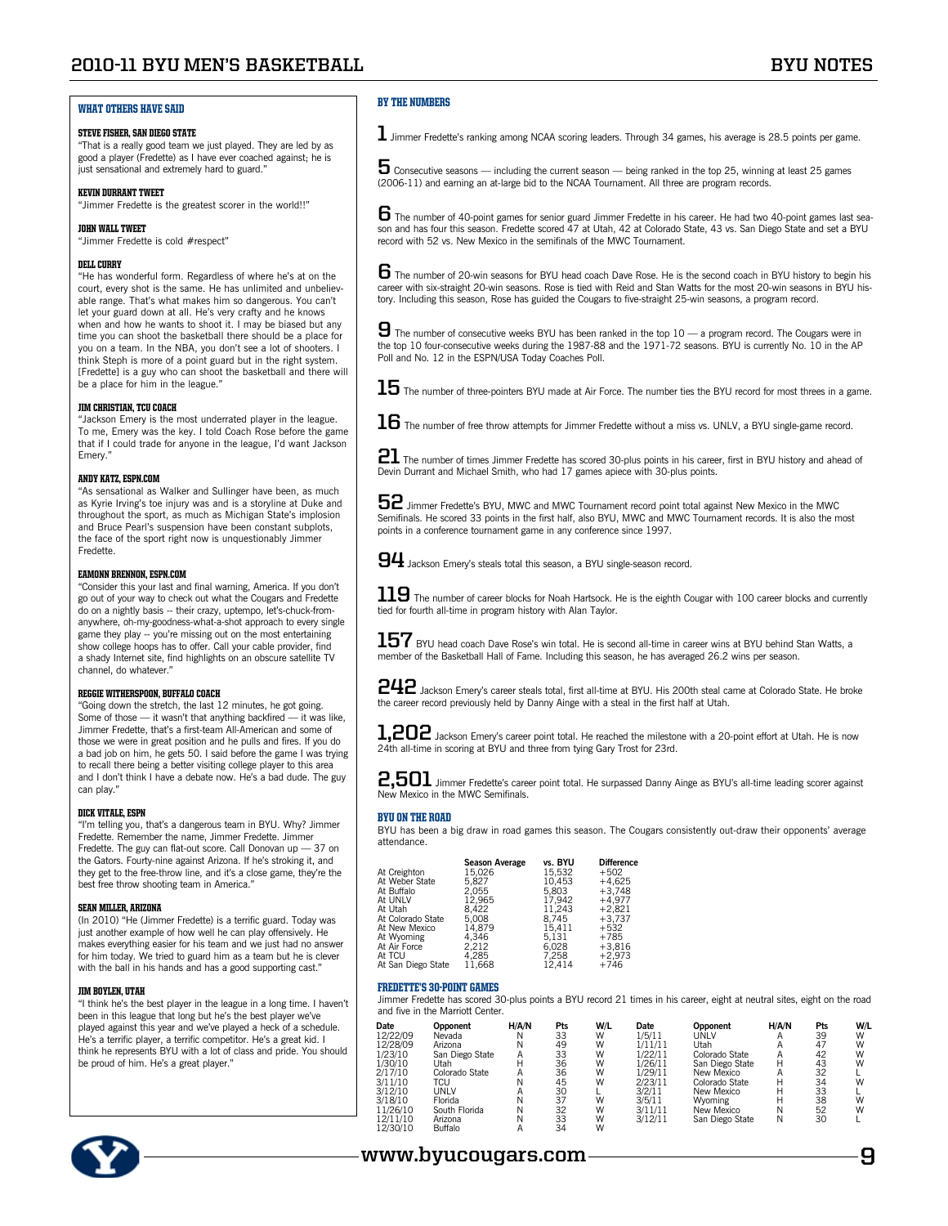## **2010-11 BYU Men's Basketball BYU Notes**

## What Others Have Said

#### STEVE FISHER, SAN DIEGO STATE

"That is a really good team we just played. They are led by as good a player (Fredette) as I have ever coached against; he is just sensational and extremely hard to guard."

#### Kevin Durrant Tweet

"Jimmer Fredette is the greatest scorer in the world!!"

#### **JOHN WALL TWEET**

"Jimmer Fredette is cold #respect"

#### Dell Curry

"He has wonderful form. Regardless of where he's at on the court, every shot is the same. He has unlimited and unbelievable range. That's what makes him so dangerous. You can't let your guard down at all. He's very crafty and he knows when and how he wants to shoot it. I may be biased but any time you can shoot the basketball there should be a place for you on a team. In the NBA, you don't see a lot of shooters. I think Steph is more of a point guard but in the right system. [Fredette] is a guy who can shoot the basketball and there will be a place for him in the league."

#### Jim Christian, TCU Coach

"Jackson Emery is the most underrated player in the league. To me, Emery was the key. I told Coach Rose before the game that if I could trade for anyone in the league, I'd want Jackson Emery."

#### Andy Katz, ESPN.com

"As sensational as Walker and Sullinger have been, as much as Kyrie Irving's toe injury was and is a storyline at Duke and throughout the sport, as much as Michigan State's implosion and Bruce Pearl's suspension have been constant subplots, the face of the sport right now is unquestionably Jimmer Fredette.

#### Eamonn Brennon, ESPN.com

"Consider this your last and final warning, America. If you don't go out of your way to check out what the Cougars and Fredette do on a nightly basis -- their crazy, uptempo, let's-chuck-fromanywhere, oh-my-goodness-what-a-shot approach to every single game they play -- you're missing out on the most entertaining show college hoops has to offer. Call your cable provider, find a shady Internet site, find highlights on an obscure satellite TV channel, do whatever."

#### Reggie Witherspoon, Buffalo Coach

"Going down the stretch, the last 12 minutes, he got going. Some of those — it wasn't that anything backfired — it was like, Jimmer Fredette, that's a first-team All-American and some of those we were in great position and he pulls and fires. If you do a bad job on him, he gets 50. I said before the game I was trying to recall there being a better visiting college player to this area and I don't think I have a debate now. He's a bad dude. The guy can play.'

#### Dick Vitale, ESPN

"I'm telling you, that's a dangerous team in BYU. Why? Jimmer Fredette. Remember the name, Jimmer Fredette. Jimmer Fredette. The guy can flat-out score. Call Donovan up — 37 on the Gators. Fourty-nine against Arizona. If he's stroking it, and they get to the free-throw line, and it's a close game, they're the best free throw shooting team in America."

#### Sean Miller, Arizona

(In 2010) "He (Jimmer Fredette) is a terrific guard. Today was just another example of how well he can play offensively. He makes everything easier for his team and we just had no answer for him today. We tried to guard him as a team but he is clever with the ball in his hands and has a good supporting cast."

#### Jim Boylen, Utah

"I think he's the best player in the league in a long time. I haven't been in this league that long but he's the best player we've played against this year and we've played a heck of a schedule. He's a terrific player, a terrific competitor. He's a great kid. I think he represents BYU with a lot of class and pride. You should be proud of him. He's a great player."

### By the Numbers

 $\bf 1$  Jimmer Fredette's ranking among NCAA scoring leaders. Through 34 games, his average is 28.5 points per game.

 ${\bf 5}$  Consecutive seasons — including the current season — being ranked in the top 25, winning at least 25 games (2006-11) and earning an at-large bid to the NCAA Tournament. All three are program records.

 $\bf 6$  The number of 40-point games for senior guard Jimmer Fredette in his career. He had two 40-point games last season and has four this season. Fredette scored 47 at Utah, 42 at Colorado State, 43 vs. San Diego State and set a BYU record with 52 vs. New Mexico in the semifinals of the MWC Tournament.

**6** The number of 20-win seasons for BYU head coach Dave Rose. He is the second coach in BYU history to begin his career with six-straight 20-win seasons. Rose is tied with Reid and Stan Watts for the most 20-win seasons in BYU history. Including this season, Rose has guided the Cougars to five-straight 25-win seasons, a program record.

**9** The number of consecutive weeks BYU has been ranked in the top 10 — a program record. The Cougars were in the top 10 four-consecutive weeks during the 1987-88 and the 1971-72 seasons. BYU is currently No. 10 in the AP Poll and No. 12 in the ESPN/USA Today Coaches Poll.

 $15$  The number of three-pointers BYU made at Air Force. The number ties the BYU record for most threes in a game.

 ${\bf 16}$  The number of free throw attempts for Jimmer Fredette without a miss vs. UNLV, a BYU single-game record.

**21** The number of times Jimmer Fredette has scored 30-plus points in his career, first in BYU history and ahead of Devin Durrant and Michael Smith, who had 17 games apiece with 30-plus points.

**52** Jimmer Fredette's BYU, MWC and MWC Tournament record point total against New Mexico in the MWC Semifinals. He scored 33 points in the first half, also BYU, MWC and MWC Tournament records. It is also the most points in a conference tournament game in any conference since 1997.

**94** Jackson Emery's steals total this season, a BYU single-season record.

**119** The number of career blocks for Noah Hartsock. He is the eighth Cougar with 100 career blocks and currently tied for fourth all-time in program history with Alan Taylor.

157 BYU head coach Dave Rose's win total. He is second all-time in career wins at BYU behind Stan Watts, a member of the Basketball Hall of Fame. Including this season, he has averaged 26.2 wins per season.

**242** Jackson Emery's career steals total, first all-time at BYU. His 200th steal came at Colorado State. He broke the career record previously held by Danny Ainge with a steal in the first half at Utah.

**1,202** Jackson Emery's career point total. He reached the milestone with a 20-point effort at Utah. He is now 24th all-time in scoring at BYU and three from tying Gary Trost for 23rd.

**2,501** Jimmer Fredette's career point total. He surpassed Danny Ainge as BYU's all-time leading scorer against New Mexico in the MWC Semifinals.

#### BYU on the Road

BYU has been a big draw in road games this season. The Cougars consistently out-draw their opponents' average attendance.

| At Creighton<br>At Weber State<br>At Buffalo<br>At UNLV<br>At Utah<br>At Colorado State<br>At New Mexico | <b>Season Average</b><br>15.026<br>5.827<br>2.055<br>12.965<br>8.422<br>5.008<br>14.879 | vs. BYU<br>15.532<br>10.453<br>5.803<br>17.942<br>11.243<br>8.745<br>15.411 | <b>Difference</b><br>$+502$<br>$+4.625$<br>$+3.748$<br>$+4.977$<br>$+2.821$<br>$+3,737$<br>$+532$ |
|----------------------------------------------------------------------------------------------------------|-----------------------------------------------------------------------------------------|-----------------------------------------------------------------------------|---------------------------------------------------------------------------------------------------|
| At Wyoming                                                                                               | 4.346                                                                                   | 5.131                                                                       | +785                                                                                              |
| At Air Force                                                                                             | 2.212                                                                                   | 6.028                                                                       | $+3.816$                                                                                          |
| At TCU                                                                                                   | 4.285                                                                                   | 7.258                                                                       | $+2,973$                                                                                          |
| At San Diego State                                                                                       | 11.668                                                                                  | 12.414                                                                      | $+746$                                                                                            |

#### Fredette's 30-Point Games

Jimmer Fredette has scored 30-plus points a BYU record 21 times in his career, eight at neutral sites, eight on the road and five in the Marriott Center.

| Date     | Opponent        | H/A/N | Pts | W/L | Date    | Opponent        | H/A/N | Pts | W/L |
|----------|-----------------|-------|-----|-----|---------|-----------------|-------|-----|-----|
| 12/22/09 | Nevada          |       | 33  | W   | 1/5/11  | <b>JNLV</b>     |       | 39  | W   |
| 12/28/09 | Arizona         |       | 49  | W   | 1/11/11 | Jtah            |       | 47  | W   |
| 1/23/10  | San Diego State | Α     | 33  | W   | 1/22/11 | Colorado State  |       | 42  | W   |
| 1/30/10  | Jtah            | н     | 36  | W   | 1/26/11 | San Diego State | н     | 43  | W   |
| 2/17/10  | Colorado State  |       | 36  | W   | 1/29/11 | New Mexico      |       | 32  |     |
| 3/11/10  | TCU             | Ν     | 45  | W   | 2/23/11 | Colorado State  |       | 34  | W   |
| 3/12/10  | UNLV            |       | 30  |     | 3/2/11  | New Mexico      |       | 33  |     |
| 3/18/10  | Florida         | Ν     | 37  | W   | 3/5/11  | Wyoming         |       | 38  | W   |
| 11/26/10 | South Florida   | Ν     | 32  | W   | 3/11/11 | New Mexico      | Ν     | 52  | W   |
| 12/11/10 | Arizona         |       | 33  | W   | 3/12/11 | San Diego State | N     | 30  |     |
| 12/30/10 | Buffalo         |       | 34  | W   |         |                 |       |     |     |



## **www.byucougars.com 9**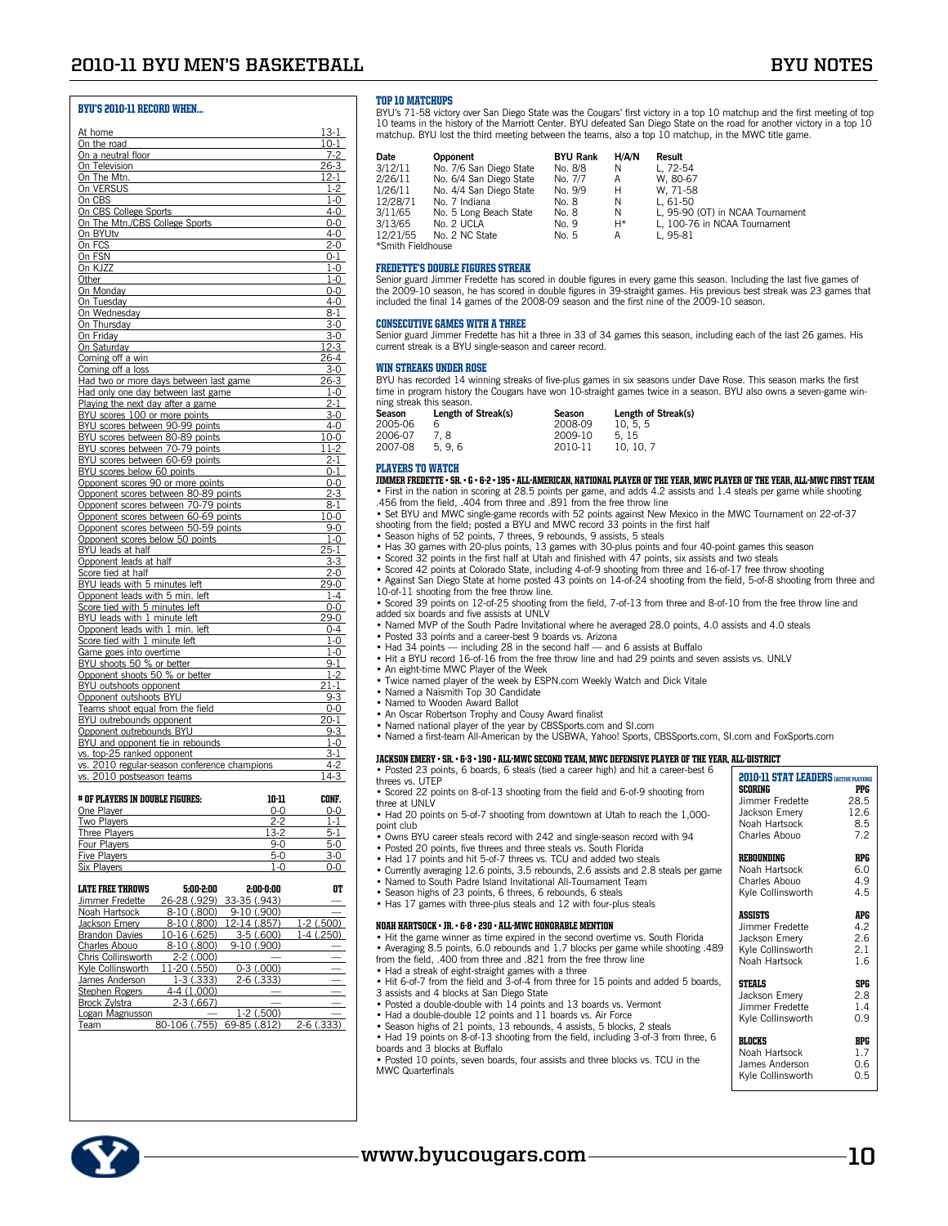### BYU's 2010-11 Record When...

| At home                                                                   |         | $13-1$                        |
|---------------------------------------------------------------------------|---------|-------------------------------|
| On the road                                                               |         | <u> 10-1</u>                  |
| On a neutral floor                                                        |         | $7 - 2$                       |
| On Television                                                             |         | 26-3                          |
| On The Mtn.                                                               |         | $12-1$                        |
| On VERSUS                                                                 |         | $1 - 2$                       |
| On CBS                                                                    |         | $1-0$                         |
| On CBS College Sports                                                     |         | $4 - 0$                       |
| On The Mtn./CBS College Sports<br>On BYUtv                                |         | $0-0$<br>$4 - 0$              |
| On FCS                                                                    |         | 2-0                           |
| On FSN                                                                    |         | $0 - 1$                       |
| On KJZZ                                                                   |         | $1-0$                         |
| Other                                                                     |         | $1-0$                         |
| On Monday                                                                 |         | 0-0                           |
| On Tuesday                                                                |         | $4-0$                         |
| On Wednesday                                                              |         | $8 - 1$                       |
| On Thursday<br>On Friday                                                  |         | $3-0$<br>$3 - 0$              |
| On Saturday                                                               |         | 12-3                          |
| Coming off a win                                                          |         | 26-4                          |
| Coming off a loss                                                         |         | <u>3-0</u>                    |
| Had two or more days between last game                                    |         | 26-3                          |
| Had only one day between last game                                        |         | $1-0$                         |
| Playing the next day after a game                                         |         | $2 - 1$                       |
| BYU scores 100 or more points                                             |         | $3 - 0$                       |
| BYU scores between 90-99 points                                           |         | $4 - 0$                       |
| BYU scores between 80-89 points<br>BYU scores between 70-79 points        |         | $10-0$<br>11-2                |
| BYU scores between 60-69 points                                           |         | <u>2-1</u>                    |
| BYU scores below 60 points                                                |         | $0 - 1$                       |
| Opponent scores 90 or more points                                         |         | $0-0$                         |
| Opponent scores between 80-89 points                                      |         | $2-3$                         |
| Opponent scores between 70-79 points                                      |         | $8 - 1$                       |
| Opponent scores between 60-69 points                                      |         | $10-0$                        |
| Opponent scores between 50-59 points                                      |         | 9-0                           |
| Opponent scores below 50 points                                           |         | $1 - 0$<br>$\frac{25}{25}$ -1 |
| BYU leads at half<br>Opponent leads at half                               |         | $3 - 3$                       |
| Score tied at half                                                        |         | $2 - 0$                       |
| BYU leads with 5 minutes left                                             |         | $29-0$                        |
| Opponent leads with 5 min. left                                           |         | 1-4                           |
| Score tied with 5 minutes left                                            |         | $0-0$                         |
| BYU leads with 1 minute left                                              |         | 29-0                          |
| Opponent leads with 1 min. left                                           |         | $0 - 4$                       |
| Score tied with 1 minute left                                             |         | $1-0$                         |
| Game goes into overtime<br>BYU shoots 50 % or better                      |         | $1-0$<br>9-1                  |
| Opponent shoots 50 % or better                                            |         | $1 - 2$                       |
| BYU outshoots opponent                                                    |         | $\overline{2}1-1$             |
| Opponent outshoots BYU                                                    |         | $9 - 3$                       |
| Teams shoot equal from the field                                          |         | 0-0                           |
| BYU outrebounds opponent                                                  |         | $20 - 1$                      |
| Opponent outrebounds BYU                                                  |         | $9 - 3$                       |
| BYU and opponent tie in rebounds                                          |         | $1 - 0$                       |
| vs. top-25 ranked opponent                                                |         | 3-1<br>4-2                    |
| vs. 2010 regular-season conference champions<br>vs. 2010 postseason teams |         | $14-3$                        |
|                                                                           |         |                               |
| # OF PLAYERS IN DOUBLE FIGURES:                                           | 10-11   | CONF.                         |
| One Player                                                                | $0-0$   | $0-0$                         |
| Two Players                                                               | $2 - 2$ | $1 - 1$                       |
| <b>Three Players</b>                                                      | $13-2$  | 5-1                           |
| Four Plavers                                                              | $9-0$   | $5-0$                         |
| <b>Five Players</b>                                                       | $5-0$   | $3-0$                         |
| Six Players                                                               | $1-0$   | $0 - 0$                       |

| <b>LATE FREE THROWS</b> | 5:00-2:00                  | 2:00-0:00    | n1           |
|-------------------------|----------------------------|--------------|--------------|
| Jimmer Fredette         | 26-28 (.929)               | 33-35 (.943) |              |
| Noah Hartsock           | 8-10 (.800)                | 9-10 (.900)  |              |
| Jackson Emery           | 8-10 (.800)                | 12-14 (.857) | $1-2(.500)$  |
| <b>Brandon Davies</b>   | 10-16 (.625)               | $3-5(.600)$  | 1-4 (.250)   |
| Charles Abouo           | 8-10 (.800)                | 9-10 (.900)  |              |
| Chris Collinsworth      | $2-2$ (.000)               |              |              |
| Kyle Collinsworth       | 11-20 (.550)               | $0-3(000)$   |              |
| James Anderson          | $1-3(0.333)$               | $2-6(.333)$  |              |
| Stephen Rogers          | 4-4 (1.000)                |              |              |
| Brock Zylstra           | $2-3(0.667)$               |              |              |
| Logan Magnusson         |                            | $1-2(.500)$  |              |
| Team                    | 80-106 (.755) 69-85 (.812) |              | $2-6$ (.333) |
|                         |                            |              |              |

#### TOP 10 MATCHIDS

BYU's 71-58 victory over San Diego State was the Cougars' first victory in a top 10 matchup and the first meeting of top<br>10 teams in the history of the Marriott Center. BYU defeated San Diego State on the road for another

| <b>Date</b>       | Opponent                | <b>BYU Rank</b> | H/A/N | Result                           |
|-------------------|-------------------------|-----------------|-------|----------------------------------|
| 3/12/11           | No. 7/6 San Diego State | No. 8/8         | N     | L. 72-54                         |
| 2/26/11           | No. 6/4 San Diego State | No. 7/7         | A     | W. 80-67                         |
| 1/26/11           | No. 4/4 San Diego State | No. 9/9         | Н     | W. 71-58                         |
| 12/28/71          | No. 7 Indiana           | No. 8           | N     | L. $61-50$                       |
| 3/11/65           | No. 5 Long Beach State  | No. 8           | N     | L, 95-90 (OT) in NCAA Tournament |
| 3/13/65           | No. 2 UCLA              | No. 9           | H*    | L. 100-76 in NCAA Tournament     |
| 12/21/55          | No. 2 NC State          | No. 5           | Α     | L. 95-81                         |
| *Smith Fieldhouse |                         |                 |       |                                  |

#### FREDETTE'S DOUBLE FIGURES STREAK

Senior guard Jimmer Fredette has scored in double figures in every game this season. Including the last five games of the 2009-10 season, he has scored in double figures in 39-straight games. His previous best streak was 23 games that<br>included the final 14 games of the 2008-09 season and the first nine of the 2009-10 season.

#### Consecutive Games with a Three

Senior guard Jimmer Fredette has hit a three in 33 of 34 games this season, including each of the last 26 games. His current streak is a BYU single-season and career record.

#### Win Streaks Under Rose

BYU has recorded 14 winning streaks of five-plus games in six seasons under Dave Rose. This season marks the first time in program history the Cougars have won 10-straight games twice in a season. BYU also owns a seven-game winning streak this season.

|                                        | Length of Streak(s) |
|----------------------------------------|---------------------|
| 2005-06<br>2008-09<br>10.5.5<br>6      |                     |
| 2006-07<br>2009-10<br>5.15<br>7.8      |                     |
| 2007-08<br>2010-11<br>5.9.6<br>10.10.7 |                     |

### Players to Watch

Jimmer Fredette • Sr. • G • 6-2 • 195 • All-American, National Player of the Year, MWC Player of the Year, All-MWC First Team • First in the nation in scoring at 28.5 points per game, and adds 4.2 assists and 1.4 steals per game while shooting

.456 from the field, .404 from three and .891 from the free throw line

• Set BYU and MWC single-game records with 52 points against New Mexico in the MWC Tournament on 22-of-37 shooting from the field; posted a BYU and MWC record 33 points in the first half

- 
- Season highs of 52 points, 7 threes, 9 rebounds, 9 assists, 5 steals Has 30 games with 20-plus points, 13 games with 30-plus points and four 40-point games this season
- 
- Scored 32 points in the first half at Utah and finished with 47 points, six assists and two steals
- Scored 42 points at Colorado State, including 4-of-9 shooting from three and 16-of-17 free throw shooting<br>• Against San Diego State at home posted 43 points on 14-of-24 shooting from the field, 5-of-8 shooting from three 10-of-11 shooting from the free throw line.
- Scored 39 points on 12-of-25 shooting from the field, 7-of-13 from three and 8-of-10 from the free throw line and added six boards and five assists at UNLV
- Named MVP of the South Padre Invitational where he averaged 28.0 points, 4.0 assists and 4.0 steals
- Posted 33 points and a career-best 9 boards vs. Arizona
- Had 34 points including 28 in the second half and 6 assists at Buffalo Hit a BYU record 16-of-16 from the free throw line and had 29 points and seven assists vs. UNLV
- An eight-time MWC Player of the Week
- 
- Twice named player of the week by ESPN.com Weekly Watch and Dick Vitale Named a Naismith Top 30 Candidate
- Named to Wooden Award Ballot
- An Oscar Robertson Trophy and Cousy Award finalist
- Named national player of the year by CBSSports.com and SI.com
- Named a first-team All-American by the USBWA, Yahoo! Sports, CBSSports.com, SI.com and FoxSports.com

#### Jackson Emery • Sr. • 6-3 • 190 • All-MWC Second Team, MWc Defensive Player of the Year, All-District

• Posted 23 points, 6 boards, 6 steals (tied a career high) and hit a career-best 6 threes vs. UTEP

| • Scored 22 points on 8-of-13 shooting from the field and 6-of-9 shooting from |  |  |  |  |
|--------------------------------------------------------------------------------|--|--|--|--|
| three at UNLV                                                                  |  |  |  |  |

• Had 20 points on 5-of-7 shooting from downtown at Utah to reach the 1,000point club

• Owns BYU career steals record with 242 and single-season record with 94

- 
- Posted 20 points, five threes and three steals vs. South Florida Had 17 points and hit 5-of-7 threes vs. TCU and added two steals
- Currently averaging 12.6 points, 3.5 rebounds, 2.6 assists and 2.8 steals per game Named to South Padre Island Invitational All-Tournament Team
- 
- Season highs of 23 points, 6 threes, 6 rebounds, 6 steals
- Has 17 games with three-plus steals and 12 with four-plus steals

#### Noah Hartsock • Jr. • 6-8 • 230 • All-MWC Honorable Mention

- Hit the game winner as time expired in the second overtime vs. South Florida • Averaging 8.5 points, 6.0 rebounds and 1.7 blocks per game while shooting .489
- from the field, .400 from three and .821 from the free throw line • Had a streak of eight-straight games with a three
- Hit 6-of-7 from the field and 3-of-4 from three for 15 points and added 5 boards,
- 3 assists and 4 blocks at San Diego State
- Posted a double-double with 14 points and 13 boards vs. Vermont
- Had a double-double 12 points and 11 boards vs. Air Force Season highs of 21 points, 13 rebounds, 4 assists, 5 blocks, 2 steals
- 
- Had 19 points on 8-of-13 shooting from the field, including 3-of-3 from three, 6 boards and 3 blocks at Buffalo • Posted 10 points, seven boards, four assists and three blocks vs. TCU in the MWC Quarterfinals

| <b>RI.OCKS</b>    | RPG |
|-------------------|-----|
| Noah Hartsock     | 17  |
| James Anderson    | 0.6 |
| Kyle Collinsworth | 0.5 |
|                   |     |

**STEALS SPG**<br>Jackson Emery 2.8

Jimmer Fredette 1.4<br>Kyle Collinsworth 0.9 Kyle Collinsworth

**2010-11 STAT LEADERS** (ACTIVE PLAYERS **SCORING**<br>Jimmer Fredette 28.5 Jimmer Fredette 28.5<br>Jackson Emerv 12.6 Jackson Emery 12.6<br>Noah Hartsock 8.5

Charles Abouo 7.2 REBOUNDING RPG<br>Noah Hartsock 6.0

Charles Abouo 4.9 Kyle Collinsworth 4.5 **ASSISTS APG**<br>Jimmer Fredette 4.2 Jimmer Fredette 4.2 Jackson Emery 2.6<br>Kyle Collinsworth 2.1 Kyle Collinsworth 2.1<br>Noah Hartsock 1.6

Noah Hartsock 8.5

Noah Hartsock 6.0

Noah Hartsock

Jackson Emery

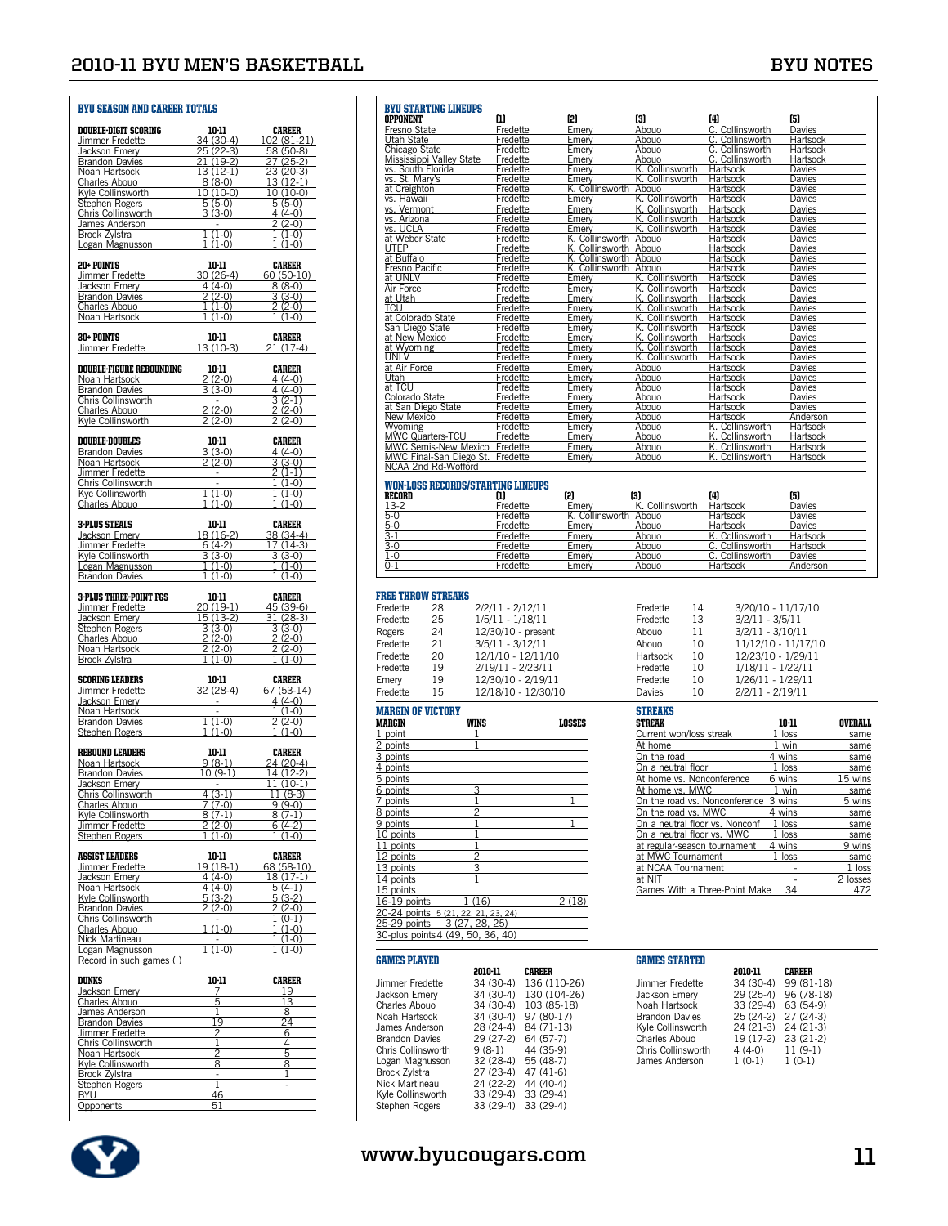#### BYU Season and Career Totals Double-Digit Scoring 10-11 Career Jimmer Fredette 34 (30-4) 102 (81-21) Jackson Emery 25 (22-3) 58 (50-8) **Brandon Davies** Noah Hartsock 13 (12-1) 23 (20-3)<br>Charles Abouo 8 (8-0) 13 (12-1)<br>Kyle Collinsworth 10 (10-0) 10 (10-0) Charles Abouo 8 (8-0) 13 (12-1)<br>Kyle Collinsworth 10 (10-0) 10 (10-0) Kyle Collinsworth 10 (10-0) 10 (10-0) Stephen Rogers 5 (5-0) 5 (5-0) Chris Collinsworth 3 (3-0) 4 (4-0) James Anderson - 2 (2-0) Brock Zylstra 1 (1-0) 1 (1-0) Logan Magnusson 1 (1-0) 1 (1-0) L L **20+ POINTS** 10-11 **CAREER**<br>Jimmer Fredette 30 (26-4) 60 (50-10) Jimmer Fredette 30 (26-4) 60 (50-10)<br>Jackson Emery 4 (4-0) 8 (8-0) Vackson Emery 4 (4-0) 8 (8-0)<br>
Brandon Davies 2 (2-0) 3 (3-0)<br>
Charles Abouo 1 (1-0) 2 (2-0) **Brandon Davies** Charles Abouo 1 (1-0) 2 (2-0) Noah Hartsock **30+ POINTS** 10-11 CAREER<br>Jimmer Fredette 13 (10-3) 21 (17-4) Jimmer Fredette **DOUBLE-FIGURE REBOUNDING** 10-11 **CAREER**<br>
Noah Hartsock 2(2-0) 4(4-0)<br>
Brandon Davies 3(3-0) 4(4-0) Noah Hartsock 2 (2-0) 4 (4-0) Brandon Davies 3 (3-0) 4 (4-0) Chris Collinsworth - 3 (2-1) Charles Abouo 2 (2-0) 2 (2-0)  $\frac{2}{2}$  (2-0)  $\frac{2}{2}$  (2-0) **DOUBLE-DOUBLES**<br> **Brandon Davies**<br> **Brandon Davies**<br> **Brandon Hartsock**<br> **Brandon Career 2 (2-0)**<br> **Brandon Career 2 (2-0)**<br> **Brandon Career 3 (3-0) Brandon Davies** Noah Hartsock 2 (2-0) 3 (3-0)<br>
Jimmer Fredette 2 (1-1)<br>
Chris Collinsworth 2 (1-0) Jimmer Fredette - 2 (1-1) Chris Collinsworth - 1 (1-0) Kye Collinsworth 1 (1-0) 1 (1-0)<br>Charles Abouo 1 (1-0) 1 (1-0) Charles Abouo **3-PLUS STEALS** 10-11 **CAREER**<br>  $\frac{32 \times 800 \text{ Emey}}{\text{Jummer Frederick}}$  18 (16-2) 17 (14-3)<br>  $\frac{1}{2} \frac{1}{3}$  (3-0) 17 (14-3)<br>  $\frac{1}{3}$  (3-0) Vackson Emery 18 (16-2)<br>Jimmer Fredette 6 (4-2)<br>Kyle Collinsworth 3 (3-0) Jimmer Fredette  $\frac{Kyle \text{Collinsworth}}{Logan \text{ Magnusson}}$   $\frac{3 (3-0)}{1 (1-0)}$   $\frac{3 (3-0)}{1 (1-0)}$ Engan Magnusson 1 (1-0) 1 (1-0)<br>Brandon Davies 1 (1-0) 1 (1-0) **Brandon Davies 3-PLUS THREE-POINT FGS** 10-11 CAREER<br>
Jimmer Fredette 200(19-1) 45 (39-6)<br>
Jackson Emery 15 (13-2) 31 (28-3)<br>
Stephen Rogers 3 (3-0) 3 (3-0) Jimmer Fredette 20 (19-1) 45 (39-6) Jackson Emery 15 (13-2) 31 (28-3) Stephen Rogers 3 (3-0) 3 (3-0) Charles About 2 (2-0) 2 (2-0)<br>
Noah Hartsock 2 (2-0) 2 (2-0)<br>
Brock Zylstra 1 (1-0) 1 (1-0) Charles Abouo 2 (2-0) 2 (2-0) Noah Hartsock 2 (2-0) 2 (2-0) **SCORING LEADERS** 10-11 CAREER<br>Jimmer Fredette 32 (28-4) 67 (53-14) Volumer Fredette 32 (28-4) 67 (53-14)<br>
Jackson Emery 1994 (4-0)<br>
Noah Hartsock 1 (1-0) Jackson Emery L. Noah Hartsock - 1 (1-0)<br>
Brandon Davies 1 (1-0) 2 (2-0)<br>
Stephen Rogers 1 (1-0) 1 (1-0) **Brandon Davies** Stephen Rogers **REBOUND LEADERS**<br> **Report Alathsock by**  $\begin{array}{r} 10-11 & \text{CAREER} \\ \text{Standard Bokelon Davies} & 9(8-1) & 24 (20-4) \\ \text{Brahodon Davies} & 10 (9-1) & 14 (12-2) \\ \text{Jackson Energy} & 11 (10-1) \end{array}$ Noah Hartsock 9 (8-1) 24 (20-4) Brandon Davies 10 (9-1) 14 (12-2) Jackson Emery - 11 (10-1)<br>Chris Collinsworth 4 (3-1) 11 (8-3) Chris Collinsworth 4 (3-1) 11 (8-3) Charles Abouo 7 (7-0) 9 (9-0) Kyle Collinsworth 8 (7-1) 8 (7-1) Jimmer Fredette 2 (2-0) 6 (4-2) Stephen Rogers 1 (1-0) 1 (1-0) **ASSIST LEADERS** 10-11 **CAREER**<br>  $\frac{1}{2}$   $\frac{1}{2}$   $\frac{1}{2}$   $\frac{1}{2}$   $\frac{1}{2}$   $\frac{1}{2}$   $\frac{1}{2}$   $\frac{1}{2}$   $\frac{1}{2}$   $\frac{1}{2}$   $\frac{1}{2}$   $\frac{1}{2}$   $\frac{1}{2}$   $\frac{1}{2}$   $\frac{1}{2}$   $\frac{1}{2}$   $\frac{1}{2}$   $\frac{1}{2}$   $\frac{1}{2}$ Jimmer Fredette *Jackson Emery* 4 (4-0) 18 (17-1)<br>Noah Hartsock 4 (4-0) 5 (4-1) Noah Hartsock 4 (4-0) 5 (4-1)<br>Kyle Collinsworth 5 (3-2) 5 (3-2)  $\frac{1}{x}$ <br>  $\frac{1}{x}$  Collinsworth  $\frac{5(3-2)}{2(2-0)}$   $\frac{5(3-2)}{2(2-0)}$ Brandon Davies 2 (2-0) 2 (2-0)<br>Chris Collinsworth 1 (0-1) Chris Collinsworth - 1 (0-1) Charles Abouo 1 (1-0) 1 (1-0) Nick Martineau - 1 (1-0)<br>
Logan Magnusson - 1 (1-0) 1 (1-0) Logan Magnusson 1 (1-0) 1 (1-0)<br>Record in such games ( )

| niinks                | 10-11 | <b>CAREER</b> |
|-----------------------|-------|---------------|
| Jackson Emerv         |       | 19            |
| Charles Abouo         | հ     | 13            |
| James Anderson        |       | 8             |
| <b>Brandon Davies</b> | 19    | 24            |
| Jimmer Fredette       |       |               |
| Chris Collinsworth    |       |               |
| Noah Hartsock         |       |               |
| Kyle Collinsworth     | 8     |               |
| <b>Brock Zylstra</b>  |       |               |
| Stephen Rogers        |       |               |
| BYU                   | 46    |               |
| oponents!             | 51    |               |

| <b>OPPONENT</b>                                                                                                                                                                                                                                                                                                     | <b>BYU STARTING LINEUPS</b>                     | ω                                        | (2)                                         | [3]                            | [4]                                | (5)                       |         |
|---------------------------------------------------------------------------------------------------------------------------------------------------------------------------------------------------------------------------------------------------------------------------------------------------------------------|-------------------------------------------------|------------------------------------------|---------------------------------------------|--------------------------------|------------------------------------|---------------------------|---------|
| Fresno State<br>Utah State                                                                                                                                                                                                                                                                                          |                                                 | Fredette<br>Fredette                     | Emery<br>Emery                              | Abouo<br>Abouo                 | C. Collinsworth<br>C. Collinsworth | <b>Davies</b><br>Hartsock |         |
| Chicago State                                                                                                                                                                                                                                                                                                       |                                                 | Fredette                                 | Emery                                       | Abouo                          | C. Collinsworth                    | Hartsock                  |         |
|                                                                                                                                                                                                                                                                                                                     | Mississippi Valley State                        | Fredette                                 | <u>Emery</u>                                | <u>Abouo</u>                   | C. Collinsworth                    | Hartsock                  |         |
| vs. South Florida                                                                                                                                                                                                                                                                                                   |                                                 | <u>Fredette</u>                          | <b>Emery</b>                                | <u>K. Collinsworth</u>         | <b>Hartsock</b>                    | Davies                    |         |
| <u>vs. St. Mary's</u>                                                                                                                                                                                                                                                                                               |                                                 | Fredette                                 | Emery                                       | K. Collinsworth                | Hartsock                           | Davies                    |         |
| at Creighton                                                                                                                                                                                                                                                                                                        |                                                 | Fredette                                 | K. Collinsworth                             | Abouo                          | Hartsock                           | Davies                    |         |
| vs. Hawaii                                                                                                                                                                                                                                                                                                          |                                                 | Fredette                                 | Emery                                       | K. Collinsworth                | Hartsock                           | Davies                    |         |
| vs. Vermont                                                                                                                                                                                                                                                                                                         |                                                 | Fredette                                 | Emery                                       | K. Collinsworth                | <b>Hartsock</b>                    | <b>Davies</b>             |         |
| <u>vs. Arizona</u>                                                                                                                                                                                                                                                                                                  |                                                 | Fredette                                 | Emery                                       | K. Collinsworth                | Hartsock                           | Davies                    |         |
| vs. UCLA                                                                                                                                                                                                                                                                                                            |                                                 | Fredette                                 | Emery                                       | K. Collinsworth                | Hartsock                           | Davies                    |         |
| at Weber State<br><b>UTEP</b>                                                                                                                                                                                                                                                                                       |                                                 | Fredette                                 | K. Collinsworth Abouo<br>Collinsworth Abouo |                                | Hartsock                           | Davies                    |         |
| <u>at Buffalo</u>                                                                                                                                                                                                                                                                                                   |                                                 | Fredette<br><b>Fredette</b>              | <u>k.</u><br>K. Collinsworth Abouo          |                                | Hartsock<br><u>Hartsock</u>        | Davies<br><b>Davies</b>   |         |
| Fresno Pacific                                                                                                                                                                                                                                                                                                      |                                                 | Fredette                                 | <u>K. Collinsworth Abouo</u>                |                                | Hartsock                           | <b>Davies</b>             |         |
| at UNLV                                                                                                                                                                                                                                                                                                             |                                                 | Fredette                                 | Emery                                       | K. Collinsworth                | Hartsock                           | Davies                    |         |
| Air Force                                                                                                                                                                                                                                                                                                           |                                                 | Fredette                                 | <b>Emery</b>                                | Collinsworth<br>K.             | Hartsock                           | Davies                    |         |
| at Utah                                                                                                                                                                                                                                                                                                             |                                                 | Fredette                                 | <b>Emery</b>                                | Collinsworth<br>Κ.             | <b>Hartsock</b>                    | <b>Davies</b>             |         |
| TCU                                                                                                                                                                                                                                                                                                                 |                                                 | Fredette                                 | Emery                                       | K. Collinsworth                | <b>Hartsock</b>                    | <b>Davies</b>             |         |
| at Colorado State                                                                                                                                                                                                                                                                                                   |                                                 | Fredette                                 | Emery                                       | K. Collinsworth                | Hartsock                           | Davies                    |         |
| <u>San Diego State</u>                                                                                                                                                                                                                                                                                              |                                                 | <b>Fredette</b>                          | Emery                                       | K. Collinsworth                | <b>Hartsock</b>                    | <b>Davies</b>             |         |
| at New Mexico                                                                                                                                                                                                                                                                                                       |                                                 | <b>Fredette</b>                          | <b>Lmery</b>                                | K. Collinsworth                | <b>Hartsock</b>                    | <b>Davies</b>             |         |
| at Wyoming                                                                                                                                                                                                                                                                                                          |                                                 | Fredette                                 | <b>Emery</b>                                | <u>K.</u><br>Collinsworth      | <b>Hartsock</b>                    | <b>Davies</b>             |         |
| UNLV<br>at Air Force                                                                                                                                                                                                                                                                                                |                                                 | Fredette                                 | Emery                                       | K. Collinsworth<br>Abouo       | Hartsock                           | Davies                    |         |
| <u>Utah</u>                                                                                                                                                                                                                                                                                                         |                                                 | Fredette<br>Fredette                     | Emery<br>Emery                              | <u>Abouo</u>                   | <b>Hartsock</b><br>Hartsock        | Davies<br>Davies          |         |
| at TCU                                                                                                                                                                                                                                                                                                              |                                                 | <b>Fredette</b>                          | <u>Emery</u>                                | <u>Abouo</u>                   | <b>Hartsock</b>                    | <b>Davies</b>             |         |
| Colorado State                                                                                                                                                                                                                                                                                                      |                                                 | Fredette                                 | <b>Emery</b>                                | <b>Abouo</b>                   | <b>Hartsock</b>                    | Davies                    |         |
| at San Diego State                                                                                                                                                                                                                                                                                                  |                                                 | Fredette                                 | <b>Emery</b>                                | Abouo                          | Hartsock                           | Davies                    |         |
| <b>New Mexico</b>                                                                                                                                                                                                                                                                                                   |                                                 | <b>Fredette</b>                          | <b>Emery</b>                                | <u>Abouo</u>                   | <b>Hartsock</b>                    | <b>Anderson</b>           |         |
| <b>Wyoming</b>                                                                                                                                                                                                                                                                                                      |                                                 | <b>Fredette</b>                          | <b>Emery</b>                                | <u>Abouo</u>                   | <u>K. Collinsworth</u>             | <u>Hartsock</u>           |         |
| MWC Quarters-TCU                                                                                                                                                                                                                                                                                                    |                                                 | <b>Fredette</b>                          | Emery                                       | <u>Abouo</u>                   | K. Collinsworth                    | <b>Hartsock</b>           |         |
|                                                                                                                                                                                                                                                                                                                     | MWC Semis-New Mexico<br>MWC Final-San Diego St. | Fredette                                 | Emery                                       | Abouo                          | K. Collinsworth                    | Hartsock                  |         |
|                                                                                                                                                                                                                                                                                                                     |                                                 | Fredette                                 | <b>Emery</b>                                | <u>Abouo</u>                   | K. Collinsworth                    | <b>Hartsock</b>           |         |
|                                                                                                                                                                                                                                                                                                                     | NCAA 2nd Rd-Wofford                             | <b>WON-LOSS RECORDS/STARTING LINEUPS</b> |                                             |                                |                                    |                           |         |
| RECORD                                                                                                                                                                                                                                                                                                              |                                                 | Ш                                        | [2]                                         | [3]                            | [4]                                | (5)                       |         |
| $13-2$                                                                                                                                                                                                                                                                                                              |                                                 | Fredette                                 | <b>Emery</b>                                | K. Collinsworth                | Hartsock                           | Davies                    |         |
| $\frac{5}{3}$ $\frac{5}{3}$ $\frac{3}{3}$ $\frac{3}{3}$ $\frac{3}{3}$ $\frac{3}{3}$ $\frac{3}{3}$ $\frac{3}{3}$ $\frac{3}{3}$ $\frac{3}{3}$ $\frac{3}{3}$ $\frac{3}{3}$ $\frac{3}{3}$ $\frac{3}{3}$ $\frac{3}{3}$ $\frac{3}{3}$ $\frac{3}{3}$ $\frac{3}{3}$ $\frac{3}{3}$ $\frac{3}{3}$ $\frac{3}{3}$ $\frac{3}{3}$ |                                                 | Fredette                                 | K. Collinsworth                             | Abouo                          | Hartsock                           | <b>Davies</b>             |         |
|                                                                                                                                                                                                                                                                                                                     |                                                 | Fredette                                 | Emery                                       | Abouo                          | Hartsock                           | Davies                    |         |
|                                                                                                                                                                                                                                                                                                                     |                                                 | Fredette                                 | Emery                                       | Abouo                          | K. Collinsworth                    | Hartsock                  |         |
|                                                                                                                                                                                                                                                                                                                     |                                                 | Fredette                                 | <b>Emery</b>                                | Abouo                          | C. Collinsworth                    | Hartsock                  |         |
| $1 - 0$                                                                                                                                                                                                                                                                                                             |                                                 | <b>Fredette</b>                          | Emery                                       | Abouo                          | C. Collinsworth                    | Davies                    |         |
| $0 - 1$                                                                                                                                                                                                                                                                                                             |                                                 | Fredette                                 | Emery                                       | Abouo                          | Hartsock                           | <u>Anderson</u>           |         |
| <b>FREE THROW STREAKS</b>                                                                                                                                                                                                                                                                                           |                                                 |                                          |                                             |                                |                                    |                           |         |
| Fredette                                                                                                                                                                                                                                                                                                            | 28                                              | 2/2/11 - 2/12/11                         |                                             | Fredette<br>14                 | 3/20/10 - 11/17/10                 |                           |         |
| Fredette                                                                                                                                                                                                                                                                                                            | 25                                              | $1/5/11 - 1/18/11$                       |                                             | Fredette<br>13                 | $3/2/11 - 3/5/11$                  |                           |         |
| Rogers                                                                                                                                                                                                                                                                                                              | 24                                              | 12/30/10 - present                       |                                             | 11<br>Abouo                    | $3/2/11 - 3/10/11$                 |                           |         |
| Fredette                                                                                                                                                                                                                                                                                                            | 21                                              | $3/5/11 - 3/12/11$                       |                                             | Abouo<br>10                    |                                    | 11/12/10 - 11/17/10       |         |
| Fredette                                                                                                                                                                                                                                                                                                            | 20                                              | 12/1/10 - 12/11/10                       |                                             | Hartsock<br>10                 | 12/23/10 - 1/29/11                 |                           |         |
| Fredette                                                                                                                                                                                                                                                                                                            | 19                                              | 2/19/11 - 2/23/11                        |                                             | 10<br>Fredette                 | $1/18/11 - 1/22/11$                |                           |         |
| Emery                                                                                                                                                                                                                                                                                                               | 19                                              | 12/30/10 - 2/19/11                       |                                             | Fredette<br>10                 | 1/26/11 - 1/29/11                  |                           |         |
| Fredette                                                                                                                                                                                                                                                                                                            | 15                                              | 12/18/10 - 12/30/10                      |                                             | 10<br>Davies                   | $2/2/11 - 2/19/11$                 |                           |         |
| MARGIN OF VICTORY                                                                                                                                                                                                                                                                                                   |                                                 |                                          |                                             | <b>STREAKS</b>                 |                                    |                           |         |
| MARGIN                                                                                                                                                                                                                                                                                                              | <b>WINS</b>                                     |                                          | <b>LOSSES</b>                               | <b>STREAK</b>                  |                                    | 10-11                     | OVERALI |
|                                                                                                                                                                                                                                                                                                                     | 1                                               |                                          |                                             |                                |                                    | 1 loss                    |         |
| 1 point<br>$2$ points                                                                                                                                                                                                                                                                                               |                                                 |                                          |                                             | Current won/loss streak        | 1                                  |                           | same    |
|                                                                                                                                                                                                                                                                                                                     |                                                 |                                          |                                             | At home                        |                                    | win                       | same    |
| 3 points                                                                                                                                                                                                                                                                                                            |                                                 |                                          |                                             | On the road                    |                                    | 4 wins                    | same    |
| 4 points                                                                                                                                                                                                                                                                                                            |                                                 |                                          |                                             | On a neutral floor             |                                    | $1$ loss                  | same    |
| 5 points                                                                                                                                                                                                                                                                                                            |                                                 |                                          |                                             | At home vs. Nonconference      |                                    | 6 wins                    | 15 wins |
| 6 points                                                                                                                                                                                                                                                                                                            | 3                                               |                                          |                                             | At home vs. MWC                |                                    | 1 win                     | same    |
| 7 points                                                                                                                                                                                                                                                                                                            | 1                                               |                                          |                                             | On the road vs. Nonconference  |                                    | 3 wins                    | 5 wins  |
| 8 points                                                                                                                                                                                                                                                                                                            | $\overline{c}$                                  |                                          |                                             | On the road vs. MWC            |                                    | <u>4 wins</u>             | same    |
| 9 points                                                                                                                                                                                                                                                                                                            | 1                                               |                                          |                                             | On a neutral floor vs. Nonconf |                                    | $1$ loss                  | same    |
| 10 points                                                                                                                                                                                                                                                                                                           | 1                                               |                                          |                                             | On a neutral floor vs. MWC     |                                    | $1$ loss                  | same    |
| 11 points                                                                                                                                                                                                                                                                                                           | 1                                               |                                          |                                             | at regular-season tournament   |                                    | 4 wins                    | 9 wins  |
| 12 points                                                                                                                                                                                                                                                                                                           | $\overline{c}$                                  |                                          |                                             | at MWC Tournament              |                                    | 1 loss                    | same    |

| MARGIN                              | WINS           | LOSSES |
|-------------------------------------|----------------|--------|
| point                               |                |        |
| points                              |                |        |
| 3 points                            |                |        |
| points                              |                |        |
| 5 points                            |                |        |
| points                              | 3              |        |
| points                              |                |        |
| 8 points                            | 2              |        |
| points                              |                | 1      |
| 10 points                           | 1              |        |
| $\perp$<br>points                   |                |        |
| 2 points                            | $\overline{c}$ |        |
| 13 points                           | 3              |        |
| 14 points                           |                |        |
| 15 points                           |                |        |
| 16-19 points                        | (16)<br>1      | 2(18)  |
| 20-24 points 5 (21, 22, 21, 23, 24) |                |        |
| 25-29 points                        | 3 (27, 28, 25) |        |
| 30-plus points 4 (49, 50, 36, 40)   |                |        |

| ,,,,,,,,,,,,,,,,,,,,  |           |               |
|-----------------------|-----------|---------------|
|                       | 2010-11   | <b>CAREER</b> |
| Jimmer Fredette       | 34 (30-4) | 136 (110-26)  |
| Jackson Emery         | 34 (30-4) | 130 (104-26)  |
| Charles Abouo         | 34 (30-4) | 103 (85-18)   |
| Noah Hartsock         | 34 (30-4) | 97 (80-17)    |
| James Anderson        | 28 (24-4) | 84 (71-13)    |
| <b>Brandon Davies</b> | 29 (27-2) | 64 (57-7)     |
| Chris Collinsworth    | $9(8-1)$  | 44 (35-9)     |
| Logan Magnusson       | 32 (28-4) | 55 (48-7)     |
| Brock Zylstra         | 27 (23-4) | 47 (41-6)     |
| Nick Martineau        | 24 (22-2) | 44 (40-4)     |
| Kyle Collinsworth     | 33 (29-4) | 33 (29-4)     |
| Stephen Rogers        | 33 (29-4) | 33 (29-4)     |
|                       |           |               |

| <b>STREAKS</b>                       |        |          |
|--------------------------------------|--------|----------|
| STREAK                               | 10-11  | NVERALL. |
| Current won/loss streak              | loss   | same     |
| At home                              | win    | same     |
| On the road                          | wins   | same     |
| On a neutral floor                   | 1 loss | same     |
| At home vs. Nonconference            | 6 wins | 15 wins  |
| At home vs. MWC                      | win    | same     |
| On the road vs. Nonconference 3 wins |        | 5 wins   |
| On the road vs. MWC                  | 4 wins | same     |
| On a neutral floor vs. Nonconf       | loss   | same     |
| On a neutral floor vs. MWC           | loss   | same     |
| at regular-season tournament         | wins   | 9 wins   |
| at MWC Tournament                    | loss   | same     |
| at NCAA Tournament                   |        | loss     |
| at NIT                               |        | losses   |
| Games With a Three-Point Make        | 34     |          |
|                                      |        |          |

#### Games Played

### Games Started

| ,,,,,,,,,,,,,,,,,,,,, |            |               |
|-----------------------|------------|---------------|
|                       | 2010-11    | <b>CAREER</b> |
| Jimmer Fredette       | 34 (30-4)  | 99 (81-18)    |
| Jackson Emerv         | 29 (25-4)  | 96 (78-18)    |
| Noah Hartsock         | 33 (29-4)  | 63 (54-9)     |
| <b>Brandon Davies</b> | $25(24-2)$ | $27(24-3)$    |
| Kyle Collinsworth     | $24(21-3)$ | $24(21-3)$    |
| Charles Abouo         | 19 (17-2)  | $23(21-2)$    |
| Chris Collinsworth    | $4(4-0)$   | $11(9-1)$     |
| James Anderson        | $1(0-1)$   | $1(0-1)$      |
|                       |            |               |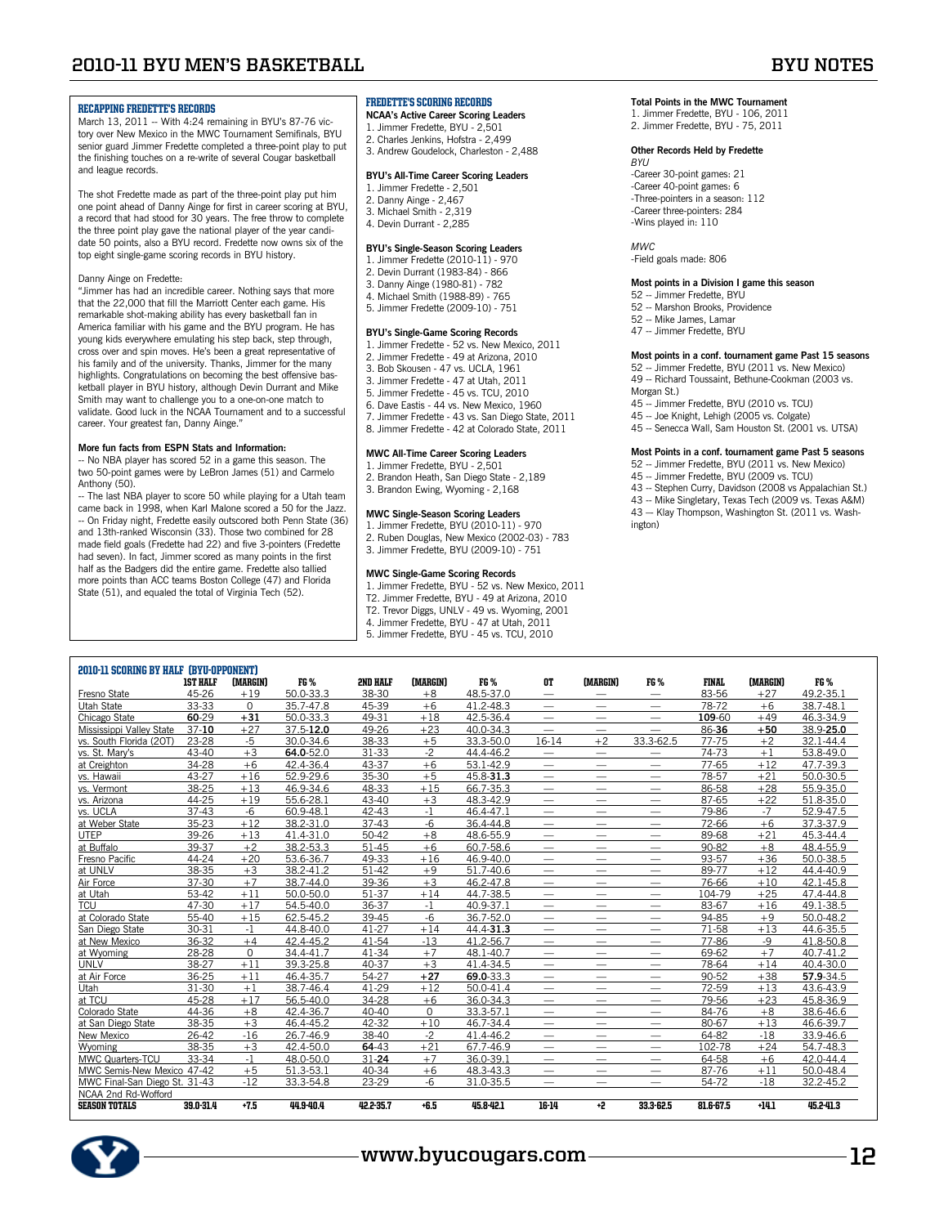## **2010-11 BYU Men's Basketball BYU Notes**

### Recapping Fredette's Records

March 13, 2011 -- With 4:24 remaining in BYU's 87-76 victory over New Mexico in the MWC Tournament Semifinals, BYU senior guard Jimmer Fredette completed a three-point play to put the finishing touches on a re-write of several Cougar basketball and league records.

The shot Fredette made as part of the three-point play put him one point ahead of Danny Ainge for first in career scoring at BYU, a record that had stood for 30 years. The free throw to complete the three point play gave the national player of the year candidate 50 points, also a BYU record. Fredette now owns six of the top eight single-game scoring records in BYU history.

#### Danny Ainge on Fredette:

"Jimmer has had an incredible career. Nothing says that more that the 22,000 that fill the Marriott Center each game. His remarkable shot-making ability has every basketball fan in America familiar with his game and the BYU program. He has young kids everywhere emulating his step back, step through, cross over and spin moves. He's been a great representative of his family and of the university. Thanks, Jimmer for the many highlights. Congratulations on becoming the best offensive basketball player in BYU history, although Devin Durrant and Mike Smith may want to challenge you to a one-on-one match to validate. Good luck in the NCAA Tournament and to a successful career. Your greatest fan, Danny Ainge."

### **More fun facts from ESPN Stats and Information:**

-- No NBA player has scored 52 in a game this season. The two 50-point games were by LeBron James (51) and Carmelo Anthony (50).

-- The last NBA player to score 50 while playing for a Utah team came back in 1998, when Karl Malone scored a 50 for the Jazz. -- On Friday night, Fredette easily outscored both Penn State (36) and 13th-ranked Wisconsin (33). Those two combined for 28 made field goals (Fredette had 22) and five 3-pointers (Fredette had seven). In fact, Jimmer scored as many points in the first half as the Badgers did the entire game. Fredette also tallied more points than ACC teams Boston College (47) and Florida State (51), and equaled the total of Virginia Tech (52).

## Fredette's Scoring Records

- **NCAA's Active Career Scoring Leaders**  1. Jimmer Fredette, BYU - 2,501
- 2. Charles Jenkins, Hofstra 2,499
- 3. Andrew Goudelock, Charleston 2,488

#### **BYU's All-Time Career Scoring Leaders**  1. Jimmer Fredette - 2,501

- 2. Danny Ainge 2,467
- 3. Michael Smith 2,319
- 4. Devin Durrant 2,285

### **BYU's Single-Season Scoring Leaders**

- 1. Jimmer Fredette (2010-11) 970
- 2. Devin Durrant (1983-84) 866
- 3. Danny Ainge (1980-81) 782 4. Michael Smith (1988-89) - 765
- 5. Jimmer Fredette (2009-10) 751

### **BYU's Single-Game Scoring Records**

- 1. Jimmer Fredette 52 vs. New Mexico, 2011
- 2. Jimmer Fredette 49 at Arizona, 2010
- 3. Bob Skousen 47 vs. UCLA, 1961 3. Jimmer Fredette - 47 at Utah, 2011
- 5. Jimmer Fredette 45 vs. TCU, 2010
- 6. Dave Eastis 44 vs. New Mexico, 1960
- 7. Jimmer Fredette 43 vs. San Diego State, 2011
- 8. Jimmer Fredette 42 at Colorado State, 2011

#### **MWC All-Time Career Scoring Leaders**

- 1. Jimmer Fredette, BYU 2,501
- 2. Brandon Heath, San Diego State 2,189
- 3. Brandon Ewing, Wyoming 2,168

### **MWC Single-Season Scoring Leaders**

- 1. Jimmer Fredette, BYU (2010-11) 970 2. Ruben Douglas, New Mexico (2002-03) - 783
- 3. Jimmer Fredette, BYU (2009-10) 751

- **MWC Single-Game Scoring Records**  1. Jimmer Fredette, BYU 52 vs. New Mexico, 2011
- T2. Jimmer Fredette, BYU 49 at Arizona, 2010
- T2. Trevor Diggs, UNLV 49 vs. Wyoming, 2001 4. Jimmer Fredette, BYU - 47 at Utah, 2011
- 5. Jimmer Fredette, BYU 45 vs. TCU, 2010
- 

## **Total Points in the MWC Tournament**

1. Jimmer Fredette, BYU - 106, 2011 2. Jimmer Fredette, BYU - 75, 2011

#### **Other Records Held by Fredette**  *BYU*

-Career 30-point games: 21 -Career 40-point games: 6 -Three-pointers in a season: 112 -Career three-pointers: 284 -Wins played in: 110

#### *MWC*

-Field goals made: 806

#### **Most points in a Division I game this season**

- 52 -- Jimmer Fredette, BYU
- 52 -- Marshon Brooks, Providence 52 -- Mike James, Lamar
- 47 -- Jimmer Fredette, BYU

### **Most points in a conf. tournament game Past 15 seasons**

- 52 -- Jimmer Fredette, BYU (2011 vs. New Mexico)
- 49 -- Richard Toussaint, Bethune-Cookman (2003 vs. Morgan St.)
- 45 -- Jimmer Fredette, BYU (2010 vs. TCU)
- 45 -- Joe Knight, Lehigh (2005 vs. Colgate)
- 45 -- Senecca Wall, Sam Houston St. (2001 vs. UTSA)

#### **Most Points in a conf. tournament game Past 5 seasons**

- 52 -- Jimmer Fredette, BYU (2011 vs. New Mexico)
- 45 -- Jimmer Fredette, BYU (2009 vs. TCU)
- 43 -- Stephen Curry, Davidson (2008 vs Appalachian St.)
- 43 -- Mike Singletary, Texas Tech (2009 vs. Texas A&M) 43 -- Klay Thompson, Washington St. (2011 vs. Washington)

| 2010-11 SCORING BY HALF (BYU-OPPONENT) |                 |             |           |                 |          |           |                          |                                 |                          |              |          |           |
|----------------------------------------|-----------------|-------------|-----------|-----------------|----------|-----------|--------------------------|---------------------------------|--------------------------|--------------|----------|-----------|
|                                        | <b>1ST HALF</b> | (MARGIN)    | FG %      | <b>2ND HALF</b> | (MARGIN) | FG %      | OT.                      | (MARGIN)                        | FG %                     | <b>FINAL</b> | (MARGIN) | FG %      |
| Fresno State                           | 45-26           | $+19$       | 50.0-33.3 | 38-30           | $+8$     | 48.5-37.0 | $\qquad \qquad$          | $\hspace{0.1mm}-\hspace{0.1mm}$ | $\qquad \qquad -$        | 83-56        | $+27$    | 49.2-35.1 |
| Utah State                             | 33-33           | $\Omega$    | 35.7-47.8 | 45-39           | $+6$     | 41.2-48.3 | $\overline{\phantom{0}}$ |                                 | $\qquad \qquad -$        | 78-72        | $+6$     | 38.7-48.1 |
| Chicago State                          | 60-29           | $+31$       | 50.0-33.3 | 49-31           | $+18$    | 42.5-36.4 | $\longrightarrow$        | $\overline{\phantom{m}}$        | $\qquad \qquad -$        | 109-60       | $+49$    | 46.3-34.9 |
| Mississippi Valley State               | $37 - 10$       | $+27$       | 37.5-12.0 | 49-26           | $+23$    | 40.0-34.3 | $\qquad \qquad -$        | $\overline{\phantom{m}}$        | $\overline{\phantom{0}}$ | 86-36        | $+50$    | 38.9-25.0 |
| vs. South Florida (20T)                | 23-28           | $-5$        | 30.0-34.6 | 38-33           | $+5$     | 33.3-50.0 | 16-14                    | $+2$                            | 33.3-62.5                | 77-75        | $+2$     | 32.1-44.4 |
| vs. St. Mary's                         | 43-40           | $+3$        | 64.0-52.0 | 31-33           | $-2$     | 44.4-46.2 | $\qquad \qquad$          | $\overline{\phantom{m}}$        | $\qquad \qquad$          | 74-73        | $+1$     | 53.8-49.0 |
| at Creighton                           | 34-28           | $+6$        | 42.4-36.4 | 43-37           | $+6$     | 53.1-42.9 | $\overline{\phantom{0}}$ | -                               | $\overline{\phantom{0}}$ | 77-65        | $+12$    | 47.7-39.3 |
| vs. Hawaii                             | 43-27           | $+16$       | 52.9-29.6 | 35-30           | $+5$     | 45.8-31.3 | $\overline{\phantom{0}}$ | $\overline{\phantom{0}}$        | $\overline{\phantom{0}}$ | 78-57        | $+21$    | 50.0-30.5 |
| vs. Vermont                            | 38-25           | $+13$       | 46.9-34.6 | 48-33           | $+15$    | 66.7-35.3 | $\overline{\phantom{0}}$ | --                              | $\overline{\phantom{0}}$ | 86-58        | $+28$    | 55.9-35.0 |
| vs. Arizona                            | 44-25           | $+19$       | 55.6-28.1 | $43 - 40$       | $+3$     | 48.3-42.9 |                          |                                 |                          | 87-65        | $+22$    | 51.8-35.0 |
| vs. UCLA                               | $37 - 43$       | $-6$        | 60.9-48.1 | 42-43           | $-1$     | 46.4-47.1 | $\overline{\phantom{0}}$ |                                 | $\overline{\phantom{0}}$ | 79-86        | $-7$     | 52.9-47.5 |
| at Weber State                         | 35-23           | $+12$       | 38.2-31.0 | $37 - 43$       | $-6$     | 36.4-44.8 |                          |                                 |                          | 72-66        | $+6$     | 37.3-37.9 |
| <b>UTEP</b>                            | 39-26           | $+13$       | 41.4-31.0 | 50-42           | $+8$     | 48.6-55.9 | $\overline{\phantom{0}}$ |                                 | $\overline{\phantom{0}}$ | 89-68        | $+21$    | 45.3-44.4 |
| at Buffalo                             | 39-37           | $+2$        | 38.2-53.3 | 51-45           | $+6$     | 60.7-58.6 | $\overline{\phantom{0}}$ |                                 | $\overline{\phantom{0}}$ | 90-82        | $+8$     | 48.4-55.9 |
| Fresno Pacific                         | 44-24           | $+20$       | 53.6-36.7 | 49-33           | $+16$    | 46.9-40.0 | $\qquad \qquad$          | $\overline{\phantom{0}}$        | $\overline{\phantom{0}}$ | 93-57        | $+36$    | 50.0-38.5 |
| at UNLV                                | 38-35           | $+3$        | 38.2-41.2 | 51-42           | $+9$     | 51.7-40.6 | $\overline{\phantom{0}}$ | $\overline{\phantom{0}}$        | $\overline{\phantom{0}}$ | 89-77        | $+12$    | 44.4-40.9 |
| Air Force                              | 37-30           | $+7$        | 38.7-44.0 | 39-36           | $+3$     | 46.2-47.8 | $\equiv$                 |                                 | $\overline{\phantom{0}}$ | 76-66        | $+10$    | 42.1-45.8 |
| at Utah                                | 53-42           | $+11$       | 50.0-50.0 | 51-37           | $+14$    | 44.7-38.5 | $\equiv$                 | —                               | $\overline{\phantom{0}}$ | 104-79       | $+25$    | 47.4-44.8 |
| <b>TCU</b>                             | 47-30           | $+17$       | 54.5-40.0 | 36-37           | $-1$     | 40.9-37.1 | $\overline{\phantom{0}}$ |                                 | $\overline{\phantom{0}}$ | 83-67        | $+16$    | 49.1-38.5 |
| at Colorado State                      | 55-40           | $+15$       | 62.5-45.2 | 39-45           | $-6$     | 36.7-52.0 | $\overline{\phantom{0}}$ | $\overline{\phantom{0}}$        | $\overline{\phantom{0}}$ | 94-85        | $+9$     | 50.0-48.2 |
| San Diego State                        | 30-31           | $-1$        | 44.8-40.0 | 41-27           | $+14$    | 44.4-31.3 | $\overline{\phantom{0}}$ | $\overline{\phantom{0}}$        | $\overline{\phantom{0}}$ | 71-58        | $+13$    | 44.6-35.5 |
| at New Mexico                          | 36-32           | $+4$        | 42.4-45.2 | 41-54           | $-13$    | 41.2-56.7 | $\overline{\phantom{0}}$ | $\overline{\phantom{0}}$        | $\overline{\phantom{0}}$ | 77-86        | $-9$     | 41.8-50.8 |
| at Wyoming                             | 28-28           | $\mathbf 0$ | 34.4-41.7 | 41-34           | $+7$     | 48.1-40.7 | $\overline{\phantom{0}}$ | $\overline{\phantom{0}}$        | $\overline{\phantom{0}}$ | 69-62        | $+7$     | 40.7-41.2 |
| <b>UNLV</b>                            | 38-27           | $+11$       | 39.3-25.8 | 40-37           | $+3$     | 41.4-34.5 | $\qquad \qquad$          | $\overline{\phantom{0}}$        | $\overline{\phantom{0}}$ | 78-64        | $+14$    | 40.4-30.0 |
| at Air Force                           | 36-25           | $+11$       | 46.4-35.7 | 54-27           | $+27$    | 69.0-33.3 | $\overline{\phantom{0}}$ | $\overline{\phantom{0}}$        | $\overline{\phantom{0}}$ | 90-52        | $+38$    | 57.9-34.5 |
| Utah                                   | 31-30           | $+1$        | 38.7-46.4 | 41-29           | $+12$    | 50.0-41.4 | $\qquad \qquad$          | $\hspace{0.1mm}-\hspace{0.1mm}$ | $\overline{\phantom{m}}$ | 72-59        | $+13$    | 43.6-43.9 |
| at TCU                                 | 45-28           | $+17$       | 56.5-40.0 | 34-28           | $+6$     | 36.0-34.3 |                          | $\overline{\phantom{0}}$        | $\overline{\phantom{m}}$ | 79-56        | $+23$    | 45.8-36.9 |
| Colorado State                         | 44-36           | $+8$        | 42.4-36.7 | 40-40           | $\Omega$ | 33.3-57.1 | $\qquad \qquad$          | —                               | —                        | 84-76        | $+8$     | 38.6-46.6 |
| at San Diego State                     | 38-35           | $+3$        | 46.4-45.2 | 42-32           | $+10$    | 46.7-34.4 | $\overline{\phantom{0}}$ |                                 |                          | 80-67        | $+13$    | 46.6-39.7 |
| New Mexico                             | 26-42           | $-16$       | 26.7-46.9 | 38-40           | $-2$     | 41.4-46.2 | $\overline{\phantom{0}}$ | —                               | $\overline{\phantom{0}}$ | 64-82        | $-18$    | 33.9-46.6 |
| Wyoming                                | 38-35           | $+3$        | 42.4-50.0 | 64-43           | $+21$    | 67.7-46.9 | $\overline{\phantom{0}}$ | —                               | —                        | 102-78       | $+24$    | 54.7-48.3 |
| MWC Quarters-TCU                       | 33-34           | $-1$        | 48.0-50.0 | $31 - 24$       | $+7$     | 36.0-39.1 | $\overline{\phantom{0}}$ | —                               | $\overline{\phantom{0}}$ | 64-58        | $+6$     | 42.0-44.4 |
| MWC Semis-New Mexico 47-42             |                 | $+5$        | 51.3-53.1 | 40-34           | $+6$     | 48.3-43.3 | $\overline{\phantom{0}}$ | —<br>——                         | --                       | 87-76        | $+11$    | 50.0-48.4 |
| MWC Final-San Diego St. 31-43          |                 | $-12$       | 33.3-54.8 | 23-29           | $-6$     | 31.0-35.5 | $\overline{\phantom{0}}$ |                                 |                          | 54-72        | $-18$    | 32.2-45.2 |
| NCAA 2nd Rd-Wofford                    |                 |             |           |                 |          |           |                          |                                 |                          |              |          |           |
| <b>SEASON TOTALS</b>                   | 39.0-31.4       | $+7.5$      | 44.9-40.4 | 42.2-35.7       | $+6.5$   | 45.8-42.1 | 16-14                    | +2                              | 33.3-62.5                | 81.6-67.5    | $+14.1$  | 45.2-41.3 |

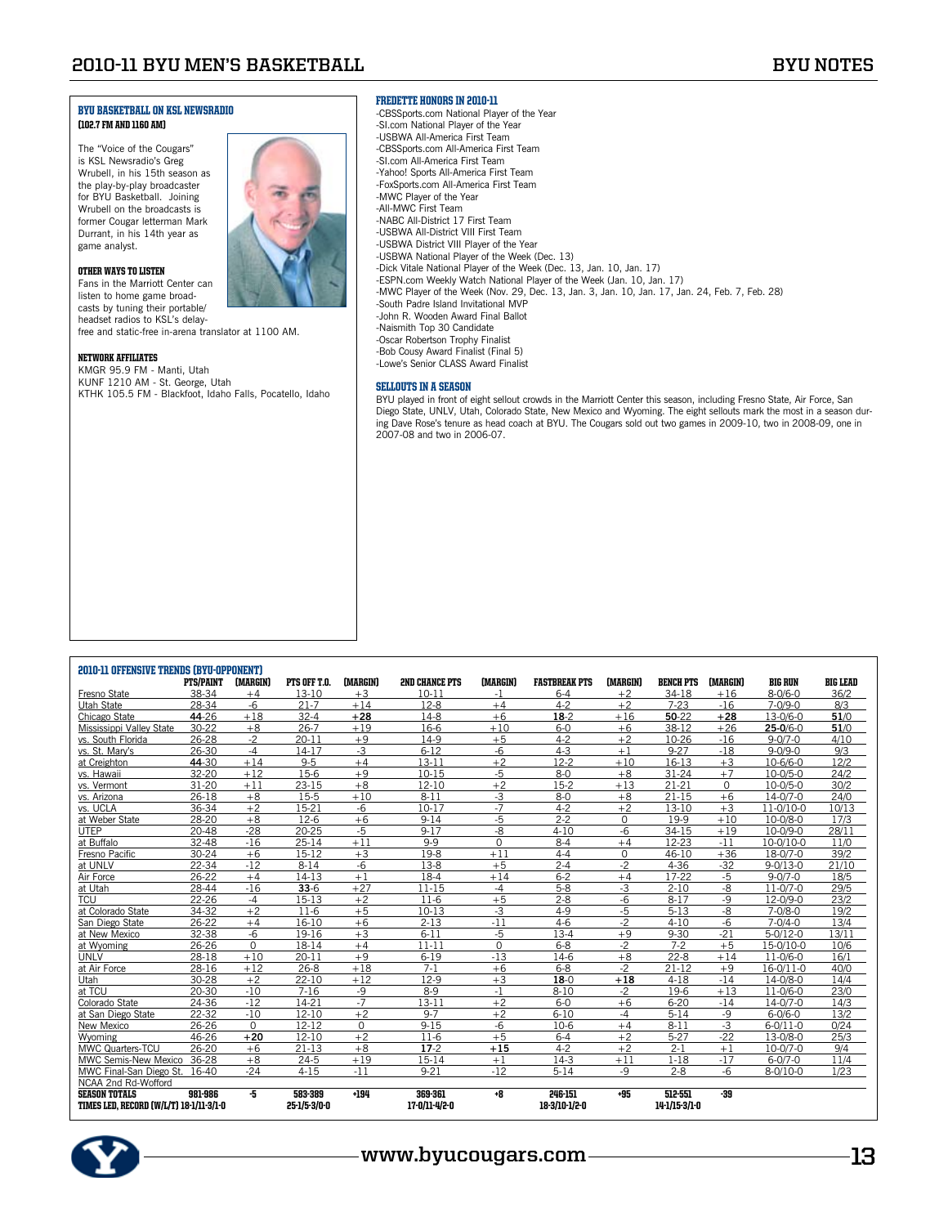#### BYU BASKETBALL ON KSL NEWSRADIO (102.7 FM and 1160 AM)

The "Voice of the Cougars" is KSL Newsradio's Greg Wrubell, in his 15th season as the play-by-play broadcaster for BYU Basketball. Joining Wrubell on the broadcasts is former Cougar letterman Mark Durrant, in his 14th year as game analyst.



Other Ways to Listen

Fans in the Marriott Center can listen to home game broadcasts by tuning their portable/ headset radios to KSL's delay-

free and static-free in-arena translator at 1100 AM.

#### Network Affiliates

KMGR 95.9 FM - Manti, Utah KUNF 1210 AM - St. George, Utah KTHK 105.5 FM - Blackfoot, Idaho Falls, Pocatello, Idaho

#### Fredette Honors in 2010-11

-CBSSports.com National Player of the Year -SI.com National Player of the Year -USBWA All-America First Team -CBSSports.com All-America First Team -SI.com All-America First Team -Yahoo! Sports All-America First Team -FoxSports.com All-America First Team -MWC Player of the Year -All-MWC First Team -NABC All-District 17 First Team -USBWA All-District VIII First Team -USBWA District VIII Player of the Year -USBWA National Player of the Week (Dec. 13) -Dick Vitale National Player of the Week (Dec. 13, Jan. 10, Jan. 17) -ESPN.com Weekly Watch National Player of the Week (Jan. 10, Jan. 17) -MWC Player of the Week (Nov. 29, Dec. 13, Jan. 3, Jan. 10, Jan. 17, Jan. 24, Feb. 7, Feb. 28) -South Padre Island Invitational MVP -John R. Wooden Award Final Ballot -Naismith Top 30 Candidate -Oscar Robertson Trophy Finalist -Bob Cousy Award Finalist (Final 5) -Lowe's Senior CLASS Award Finalist

#### Sellouts in a season

BYU played in front of eight sellout crowds in the Marriott Center this season, including Fresno State, Air Force, San Diego State, UNLV, Utah, Colorado State, New Mexico and Wyoming. The eight sellouts mark the most in a season during Dave Rose's tenure as head coach at BYU. The Cougars sold out two games in 2009-10, two in 2008-09, one in 2007-08 and two in 2006-07.

| <b>2010-11 OFFENSIVE TRENDS (BYU-OPPONENT)</b> |                  |          |              |          |                       |          |                      |             |                  |             |                |                 |
|------------------------------------------------|------------------|----------|--------------|----------|-----------------------|----------|----------------------|-------------|------------------|-------------|----------------|-----------------|
|                                                | <b>PTS/PAINT</b> | (MARGIN) | PTS OFF T.O. | (MARGIN) | <b>2ND CHANCE PTS</b> | (MARGIN) | <b>FASTBREAK PTS</b> | (MARGIN)    | <b>BENCH PTS</b> | (MARGIN)    | <b>BIG RUN</b> | <b>BIG LEAD</b> |
| Fresno State                                   | 38-34            | $+4$     | 13-10        | $+3$     | $10 - 11$             | $-1$     | $6 - 4$              | $+2$        | 34-18            | $+16$       | $8 - 0/6 - 0$  | 36/2            |
| Utah State                                     | 28-34            | $-6$     | $21 - 7$     | $+14$    | $12-8$                | $+4$     | $4 - 2$              | $+2$        | $7 - 23$         | $-16$       | $7 - 0/9 - 0$  | 8/3             |
| Chicago State                                  | 44-26            | $+18$    | $32 - 4$     | $+28$    | $14-8$                | $+6$     | $18-2$               | $+16$       | 50-22            | $+28$       | 13-0/6-0       | 51/0            |
| Mississippi Valley State                       | 30-22            | $+8$     | $26 - 7$     | $+19$    | 16-6                  | $+10$    | $6-0$                | $+6$        | 38-12            | $+26$       | $25-0/6-0$     | 51/0            |
| vs. South Florida                              | 26-28            | $-2$     | $20 - 11$    | $+9$     | 14-9                  | $+5$     | $4 - 2$              | $+2$        | 10-26            | $-16$       | $9 - 0/7 - 0$  | 4/10            |
| vs. St. Mary's                                 | 26-30            | $-4$     | 14-17        | $-3$     | $6 - 12$              | $-6$     | $4 - 3$              | $+1$        | $9 - 27$         | $-18$       | $9 - 0/9 - 0$  | 9/3             |
| at Creighton                                   | 44-30            | $+14$    | $9 - 5$      | $+4$     | $13 - 11$             | $+2$     | $12-2$               | $+10$       | 16-13            | $+3$        | 10-6/6-0       | 12/2            |
| vs. Hawaii                                     | 32-20            | $+12$    | 15-6         | $+9$     | $10 - 15$             | $-5$     | $8-0$                | $+8$        | 31-24            | $+7$        | $10 - 0/5 - 0$ | 24/2            |
| vs. Vermont                                    | $31 - 20$        | $+11$    | $23 - 15$    | $+8$     | $12 - 10$             | $+2$     | $15-2$               | $+13$       | $21 - 21$        | $\mathbf 0$ | $10-0/5-0$     | 30/2            |
| vs. Arizona                                    | $26 - 18$        | $+8$     | $15-5$       | $+10$    | $8 - 11$              | $-3$     | $8 - 0$              | $+8$        | $21 - 15$        | $+6$        | $14 - 0/7 - 0$ | 24/0            |
| vs. UCLA                                       | 36-34            | $+2$     | 15-21        | $-6$     | $10 - 17$             | $-7$     | $4 - 2$              | $+2$        | 13-10            | $+3$        | 11-0/10-0      | 10/13           |
| at Weber State                                 | 28-20            | $+8$     | $12-6$       | $+6$     | $9 - 14$              | $-5$     | $2 - 2$              | $\mathbf 0$ | 19-9             | $+10$       | 10-0/8-0       | 17/3            |
| <b>UTEP</b>                                    | 20-48            | $-28$    | 20-25        | $-5$     | $9 - 17$              | -8       | $4 - 10$             | $-6$        | 34-15            | $+19$       | 10-0/9-0       | 28/11           |
| at Buffalo                                     | 32-48            | $-16$    | $25 - 14$    | $+11$    | $9 - 9$               | $\Omega$ | $8 - 4$              | $+4$        | 12-23            | $-11$       | 10-0/10-0      | 11/0            |
| Fresno Pacific                                 | 30-24            | $+6$     | 15-12        | $+3$     | $19-8$                | $+11$    | $4 - 4$              | 0           | 46-10            | $+36$       | 18-0/7-0       | 39/2            |
| at UNLV                                        | 22-34            | $-12$    | $8 - 14$     | $-6$     | $13-8$                | $+5$     | $2 - 4$              | $-2$        | $4 - 36$         | $-32$       | $9 - 0/13 - 0$ | 21/10           |
| Air Force                                      | 26-22            | $+4$     | 14-13        | $+1$     | 18-4                  | $+14$    | $6 - 2$              | $+4$        | 17-22            | $-5$        | $9 - 0/7 - 0$  | 18/5            |
| at Utah                                        | 28-44            | $-16$    | $33-6$       | $+27$    | $11 - 15$             | $-4$     | $5-8$                | $-3$        | $2 - 10$         | -8          | $11 - 0/7 - 0$ | 29/5            |
| <b>TCU</b>                                     | $22 - 26$        | $-4$     | 15-13        | $+2$     | $11-6$                | $+5$     | $2 - 8$              | -6          | $8 - 17$         | $-9$        | 12-0/9-0       | 23/2            |
| at Colorado State                              | 34-32            | $+2$     | $11-6$       | $+5$     | $10 - 13$             | $-3$     | $4 - 9$              | $-5$        | $5 - 13$         | $-8$        | $7 - 0/8 - 0$  | 19/2            |
| San Diego State                                | 26-22            | $+4$     | 16-10        | $+6$     | $2 - 13$              | $-11$    | $4-6$                | $-2$        | $4 - 10$         | $-6$        | $7 - 0/4 - 0$  | 13/4            |
| at New Mexico                                  | 32-38            | -6       | 19-16        | $+3$     | $6 - 11$              | $-5$     | $13 - 4$             | $+9$        | $9 - 30$         | $-21$       | $5-0/12-0$     | 13/11           |
| at Wyoming                                     | 26-26            | $\Omega$ | 18-14        | $+4$     | $11 - 11$             | $\Omega$ | $6 - 8$              | $-2$        | $7 - 2$          | $+5$        | 15-0/10-0      | 10/6            |
| UNLV                                           | 28-18            | $+10$    | $20 - 11$    | $+9$     | $6 - 19$              | $-13$    | $14-6$               | $+8$        | $22 - 8$         | $+14$       | $11 - 0/6 - 0$ | 16/1            |
| at Air Force                                   | 28-16            | $+12$    | $26 - 8$     | $+18$    | $7-1$                 | $+6$     | $6 - 8$              | $-2$        | $21 - 12$        | $+9$        | 16-0/11-0      | 40/0            |
| Utah                                           | 30-28            | $+2$     | $22 - 10$    | $+12$    | $12-9$                | $+3$     | $18 - 0$             | $+18$       | $4 - 18$         | $-14$       | 14-0/8-0       | 14/4            |
| at TCU                                         | 20-30            | $-10$    | $7 - 16$     | $-9$     | $8-9$                 | $-1$     | $8 - 10$             | $-2$        | 19-6             | $+13$       | $11 - 0/6 - 0$ | 23/0            |
| Colorado State                                 | 24-36            | $-12$    | 14-21        | $-7$     | $13 - 11$             | $+2$     | $6-0$                | $+6$        | $6 - 20$         | $-14$       | $14 - 0/7 - 0$ | 14/3            |
| at San Diego State                             | 22-32            | $-10$    | $12 - 10$    | $+2$     | $9 - 7$               | $+2$     | $6 - 10$             | $-4$        | $5 - 14$         | $-9$        | $6 - 0/6 - 0$  | 13/2            |
| New Mexico                                     | 26-26            | $\Omega$ | $12 - 12$    | $\Omega$ | $9 - 15$              | $-6$     | $10-6$               | $+4$        | $8 - 11$         | $-3$        | $6 - 0/11 - 0$ | 0/24            |
| Wyoming                                        | 46-26            | $+20$    | $12 - 10$    | $+2$     | $11-6$                | $+5$     | $6 - 4$              | $+2$        | $5 - 27$         | $-22$       | 13-0/8-0       | 25/3            |
| MWC Quarters-TCU                               | 26-20            | $+6$     | $21 - 13$    | $+8$     | $17-2$                | $+15$    | $4 - 2$              | $+2$        | $2 - 1$          | $+1$        | 10-0/7-0       | 9/4             |
| MWC Semis-New Mexico                           | 36-28            | $+8$     | $24 - 5$     | $+19$    | 15-14                 | $+1$     | $14-3$               | $+11$       | $1 - 18$         | $-17$       | $6 - 0/7 - 0$  | 11/4            |
| MWC Final-San Diego St.                        | 16-40            | $-24$    | $4 - 15$     | $-11$    | $9 - 21$              | $-12$    | $5 - 14$             | $-9$        | $2 - 8$          | $-6$        | $8 - 0/10 - 0$ | 1/23            |
| NCAA 2nd Rd-Wofford                            |                  |          |              |          |                       |          |                      |             |                  |             |                |                 |
| <b>SEASON TOTALS</b>                           | 981-986          | -5       | 583-389      | $+194$   | 369-361               | +8       | 246-151              | +95         | 512-551          | $-39$       |                |                 |
| TIMES LED. RECORD (W/L/T) 18-1/11-3/1-0        |                  |          | 25-1/5-3/0-0 |          | 17-0/11-4/2-0         |          | 18-3/10-1/2-0        |             | 14-1/15-3/1-0    |             |                |                 |

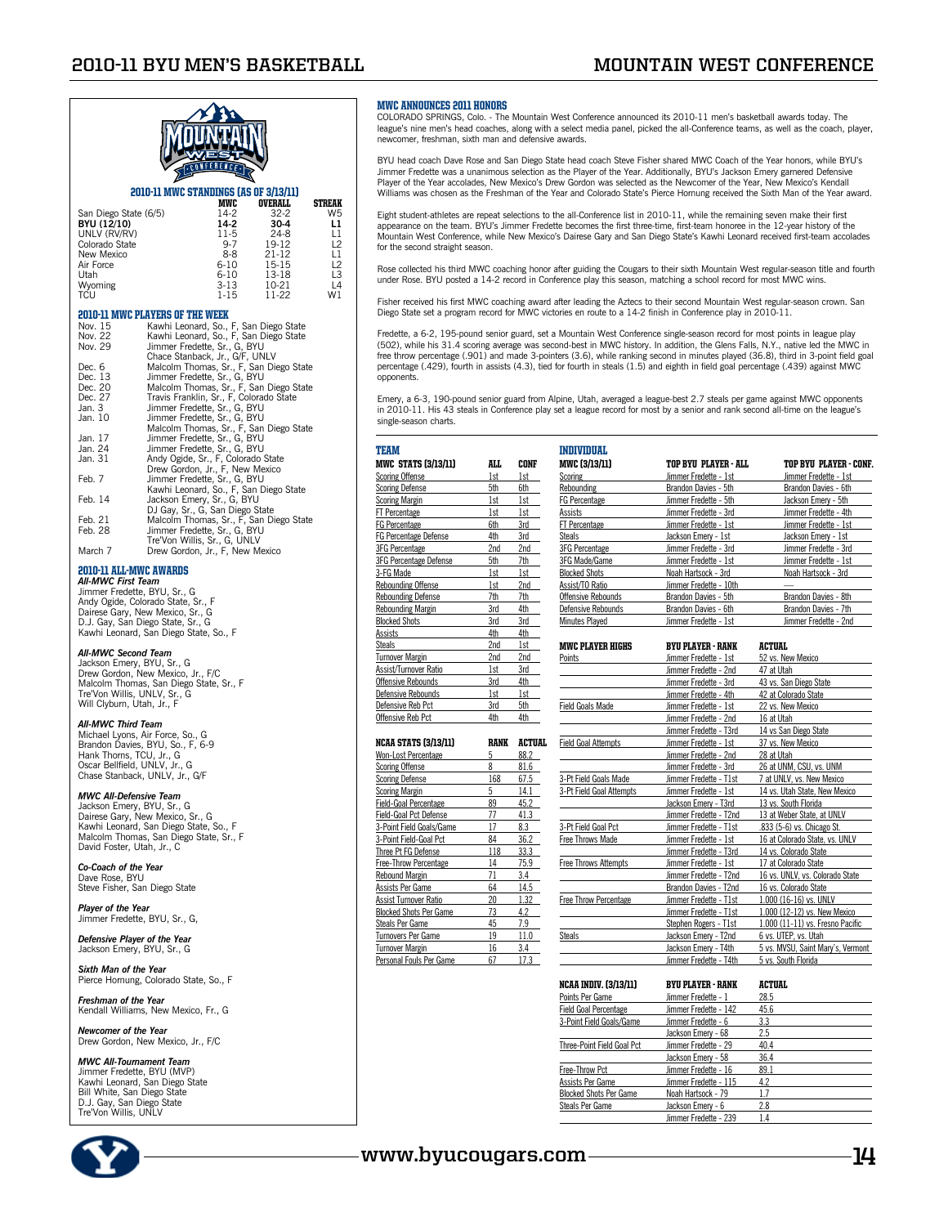

## **2010-11 MWC STANDINGS (AS OF 3/13/11)**<br>MWC OVERALL

MWC OVERALL STREAK<br>14-2 32-2 W5 San Diego State (6/5) 14-2 32-2 W5 **BYU (12/10) 14-2 30-4 L1 BYU (12/10)** 14-2 **30-4 L1**<br>
UNLV (RV/RV) 11-5 24-8 L1<br>
Colorado State 9-7 19-12 L2 Colorado State **19-7** 19-12 L2<br>New Mexico 8-8 21-12 L1 New Mexico and the term of the Mexico and the term of the term of the term of the term of the term of term of term of term of term of term of term of term of term of term of term of term of term of term of term of term of Air Force 6-10 15-15<br>
Utah 6-10 13-18 Utah 6-10 13-18 L3 Wyoming 3-13 10-21 L4 TCU 1-15 11-22 W1

#### 2010-11 MWC PLAYERS OF THE WEEK

| Kawhi Leonard, So., F, San Diego State  |
|-----------------------------------------|
| Kawhi Leonard, So., F, San Diego State  |
| Jimmer Fredette, Sr., G, BYU            |
| Chace Stanback, Jr., G/F, UNLV          |
| Malcolm Thomas, Sr., F, San Diego State |
| Jimmer Fredette, Sr., G, BYU            |
| Malcolm Thomas, Sr., F, San Diego State |
| Travis Franklin, Sr., F, Colorado State |
| Jimmer Fredette, Sr., G, BYU            |
| Jimmer Fredette, Sr., G, BYU            |
| Malcolm Thomas, Sr., F, San Diego State |
| Jimmer Fredette, Sr., G, BYU            |
| Jimmer Fredette, Sr., G, BYU            |
| Andy Ogide, Sr., F, Colorado State      |
| Drew Gordon, Jr., F, New Mexico         |
| Jimmer Fredette, Sr., G, BYU            |
| Kawhi Leonard, So., F, San Diego State  |
| Jackson Emery, Sr., G, BYU              |
| DJ Gay, Sr., G, San Diego State         |
| Malcolm Thomas, Sr., F, San Diego State |
| Jimmer Fredette, Sr., G, BYU            |
| Tre'Von Willis, Sr., G, UNLV            |
| Drew Gordon, Jr., F, New Mexico         |
|                                         |

#### 2010-11 All-MWC Awards *All-MWC First Team*

Jimmer Fredette, BYU, Sr., G Andy Ogide, Colorado State, Sr., F Dairese Gary, New Mexico, Sr., G. D.J. Gay, San Diego State, Sr., G Kawhi Leonard, San Diego State, So., F

#### *All-MWC Second Team*

Jackson Emery, BYU, Sr., G Drew Gordon, New Mexico, Jr., F/C Malcolm Thomas, San Diego State, Sr., F Tre'Von Willis, UNLV, Sr., G Will Clyburn, Utah, Jr., F

#### *All-MWC Third Team*

Michael Lyons, Air Force, So., G Brandon Davies, BYU, So., F, 6-9 Hank Thorns, TCU, Jr., G Oscar Bellfield, UNLV, Jr., G Chase Stanback, UNLV, Jr., G/F

*MWC All-Defensive Team*<br>Jackson Emery, BYU, Sr., G<br>Dairese Gary, New Mexico, Sr., G<br>Kawhi Leonard, San Diego State, So., F Malcolm Thomas, San Diego State, Sr., F David Foster, Utah, Jr., C

*Co-Coach of the Year* Dave Rose, BYU Steve Fisher, San Diego State

*Player of the Year* Jimmer Fredette, BYU, Sr., G,

*Defensive Player of the Year* Jackson Emery, BYU, Sr., G

*Sixth Man of the Year* Pierce Hornung, Colorado State, So., F

*Freshman of the Year* Kendall Williams, New Mexico, Fr., G

*Newcomer of the Year* Drew Gordon, New Mexico, Jr., F/C

*MWC All-Tournament Team* Jimmer Fredette, BYU (MVP) Kawhi Leonard, San Diego State Bill White, San Diego State D.J. Gay, San Diego State Tre'Von Willis, UNLV



#### MWC Announces 2011 Honors

COLORADO SPRINGS, Colo. - The Mountain West Conference announced its 2010-11 men's basketball awards today. The<br>league's nine men's head coaches, along with a select media panel, picked the all-Conference teams, as well as newcomer, freshman, sixth man and defensive awards.

BYU head coach Dave Rose and San Diego State head coach Steve Fisher shared MWC Coach of the Year honors, while BYU's Jimmer Fredette was a unanimous selection as the Player of the Year. Additionally, BYU's Jackson Emery garnered Defensive Player of the Year accolades, New Mexico's Drew Gordon was selected as the Newcomer of the Year, New Mexico's Kendall<br>Williams was chosen as the Freshman of the Year and Colorado State's Pierce Homung received the Sixth Ma

Eight student-athletes are repeat selections to the all-Conference list in 2010-11, while the remaining seven make their first<br>appearance on the team. BYU's Jimmer Fredette becomes the first three-time, first-team honoree Mountain West Conference, while New Mexico's Dairese Gary and San Diego State's Kawhi Leonard received first-team accolades for the second straight season.

Rose collected his third MWC coaching honor after guiding the Cougars to their sixth Mountain West regular-season title and fourth under Rose. BYU posted a 14-2 record in Conference play this season, matching a school record for most MWC wins.

Fisher received his first MWC coaching award after leading the Aztecs to their second Mountain West regular-season crown. San Diego State set a program record for MWC victories en route to a 14-2 finish in Conference play in 2010-11.

Fredette, a 6-2, 195-pound senior guard, set a Mountain West Conference single-season record for most points in league play (502), while his 31.4 scoring average was second-best in MWC history. In addition, the Glens Falls, N.Y., native led the MWC in<br>free throw percentage (.901) and made 3-pointers (3.6), while ranking second in minutes played percentage (.429), fourth in assists (4.3), tied for fourth in steals (1.5) and eighth in field goal percentage (.439) against MWC opponents.

Emery, a 6-3, 190-pound senior guard from Alpine, Utah, averaged a league-best 2.7 steals per game against MWC opponents<br>in 2010-11. His 43 steals in Conference play set a league record for most by a senior and rank second single-season charts.

| TEAM                          |      |      |
|-------------------------------|------|------|
| <b>MWC STATS (3/13/11)</b>    | ALL. | CONF |
| <b>Scoring Offense</b>        | 1st  | 1st  |
| <b>Scoring Defense</b>        | 5th  | 6th  |
| <b>Scoring Margin</b>         | 1st  | 1st  |
| FT Percentage                 | 1st  | 1st  |
| <b>FG Percentage</b>          | 6th  | 3rd  |
| <b>FG Percentage Defense</b>  | 4th  | 3rd  |
| <b>3FG Percentage</b>         | 2nd  | 2nd  |
| <b>3FG Percentage Defense</b> | 5th  | 7th  |
| 3-FG Made                     | 1st  | 1st  |
| <b>Rebounding Offense</b>     | 1st  | 2nd  |
| <b>Rebounding Defense</b>     | 7th  | 7th  |
| <b>Rebounding Margin</b>      | 3rd  | 4th  |
| <b>Blocked Shots</b>          | 3rd  | 3rd  |
| Assists                       | 4th  | 4th  |
| <b>Steals</b>                 | 2nd  | 1st  |
| <b>Turnover Margin</b>        | 2nd  | 2nd  |
| Assist/Turnover Ratio         | 1st  | 3rd  |
| Offensive Rebounds            | 3rd  | 4th  |
| Defensive Rebounds            | 1st  | 1st  |
| Defensive Reb Pct             | 3rd  | 5th  |
| Offensive Reb Pct             | 4th  | 4th  |

| <b>NCAA STATS (3/13/11)</b>   | RANK | ACTIIAI. |
|-------------------------------|------|----------|
| Won-Lost Percentage           | 5    | 88.2     |
| <b>Scoring Offense</b>        | 8    | 81.6     |
| <b>Scoring Defense</b>        | 168  | 67.5     |
| <b>Scoring Margin</b>         | 5    | 14.1     |
| <b>Field-Goal Percentage</b>  | 89   | 45.2     |
| <b>Field-Goal Pct Defense</b> | 77   | 41.3     |
| 3-Point Field Goals/Game      | 17   | 8.3      |
| 3-Point Field-Goal Pct        | 84   | 36.2     |
| Three Pt FG Defense           | 118  | 33.3     |
| <b>Free-Throw Percentage</b>  | 14   | 75.9     |
| <b>Rebound Margin</b>         | 71   | 3.4      |
| Assists Per Game              | 64   | 14.5     |
| Assist Turnover Ratio         | 20   | 1.32     |
| Blocked Shots Per Game        | 73   | 4.2      |
| <b>Steals Per Game</b>        | 45   | 7.9      |
| Tumovers Per Game             | 19   | 11.0     |
| <b>Turnover Margin</b>        | 16   | 3.4      |
| Personal Fouls Per Game       | 67   | 17.3     |

| INDIVIDUAI.           |                        |                        |
|-----------------------|------------------------|------------------------|
| <b>MWC [3/13/11]</b>  | TOP BYU PLAYER - ALL   | TOP BYU PLAYER - CONF. |
| Scoring               | Jimmer Fredette - 1st  | Jimmer Fredette - 1st  |
| Rebounding            | Brandon Davies - 5th   | Brandon Davies - 6th   |
| <b>FG Percentage</b>  | Jimmer Fredette - 5th  | Jackson Emerv - 5th    |
| Assists               | Jimmer Fredette - 3rd  | Jimmer Fredette - 4th  |
| <b>FT Percentage</b>  | Jimmer Fredette - 1st  | Jimmer Fredette - 1st  |
| Steals                | Jackson Emery - 1st    | Jackson Emery - 1st    |
| <b>3FG Percentage</b> | Jimmer Fredette - 3rd  | Jimmer Fredette - 3rd  |
| 3FG Made/Game         | Jimmer Fredette - 1st  | Jimmer Fredette - 1st  |
| <b>Blocked Shots</b>  | Noah Hartsock - 3rd    | Noah Hartsock - 3rd    |
| Assist/TO Ratio       | Jimmer Fredette - 10th |                        |
| Offensive Rebounds    | Brandon Davies - 5th   | Brandon Davies - 8th   |
| Defensive Rebounds    | Brandon Davies - 6th   | Brandon Davies - 7th   |
| Minutes Plaved        | Jimmer Fredette - 1st  | Jimmer Fredette - 2nd  |

| <b>MWC PLAYER HIGHS</b>      | <b>BYU PLAYER - RANK</b> | ACTUAL                            |
|------------------------------|--------------------------|-----------------------------------|
| Points                       | Jimmer Fredette - 1st    | 52 vs. New Mexico                 |
|                              | Jimmer Fredette - 2nd    | 47 at Utah                        |
|                              | Jimmer Fredette - 3rd    | 43 vs. San Diego State            |
|                              | Jimmer Fredette - 4th    | 42 at Colorado State              |
| <b>Field Goals Made</b>      | Jimmer Fredette - 1st    | 22 vs. New Mexico                 |
|                              | Jimmer Fredette - 2nd    | 16 at Utah                        |
|                              | Jimmer Fredette - T3rd   | 14 vs San Diego State             |
| <b>Field Goal Attempts</b>   | Jimmer Fredette - 1st    | 37 vs. New Mexico                 |
|                              | Jimmer Fredette - 2nd    | 28 at Utah                        |
|                              | Jimmer Fredette - 3rd    | 26 at UNM, CSU, vs. UNM           |
| 3-Pt Field Goals Made        | Jimmer Fredette - T1st   | 7 at UNLV, vs. New Mexico         |
| 3-Pt Field Goal Attempts     | Jimmer Fredette - 1st    | 14 vs. Utah State, New Mexico     |
|                              | Jackson Emery - T3rd     | 13 vs. South Florida              |
|                              | Jimmer Fredette - T2nd   | 13 at Weber State, at UNLV        |
| 3-Pt Field Goal Pct          | Jimmer Fredette - T1st   | .833 (5-6) vs. Chicago St.        |
| <b>Free Throws Made</b>      | Jimmer Fredette - 1st    | 16 at Colorado State, vs. UNLV    |
|                              | Jimmer Fredette - T3rd   | 14 vs. Colorado State             |
| <b>Free Throws Attempts</b>  | Jimmer Fredette - 1st    | 17 at Colorado State              |
|                              | Jimmer Fredette - T2nd   | 16 vs. UNLV. vs. Colorado State   |
|                              | Brandon Davies - T2nd    | 16 vs. Colorado State             |
| <b>Free Throw Percentage</b> | Jimmer Fredette - T1st   | 1.000 (16-16) vs. UNLV            |
|                              | Jimmer Fredette - T1st   | 1.000 (12-12) vs. New Mexico      |
|                              | Stephen Rogers - T1st    | 1.000 (11-11) vs. Fresno Pacific  |
| <b>Steals</b>                | Jackson Emery - T2nd     | 6 vs. UTEP, vs. Utah              |
|                              | Jackson Emery - T4th     | 5 vs. MVSU, Saint Mary's, Vermont |
|                              | Jimmer Fredette - T4th   | 5 vs. South Florida               |

| <b>NCAA INDIV. (3/13/11)</b>  | <b>BYU PLAYER - RANK</b> | ACTUAL |
|-------------------------------|--------------------------|--------|
| Points Per Game               | Jimmer Fredette - 1      | 28.5   |
| <b>Field Goal Percentage</b>  | Jimmer Fredette - 142    | 45.6   |
| 3-Point Field Goals/Game      | Jimmer Fredette - 6      | 3.3    |
|                               | Jackson Emerv - 68       | 2.5    |
| Three-Point Field Goal Pct    | Jimmer Fredette - 29     | 40.4   |
|                               | Jackson Emery - 58       | 36.4   |
| Free-Throw Pct                | Jimmer Fredette - 16     | 89.1   |
| Assists Per Game              | Jimmer Fredette - 115    | 4.2    |
| <b>Blocked Shots Per Game</b> | Noah Hartsock - 79       | 17     |
| <b>Steals Per Game</b>        | Jackson Emery - 6        | 2.8    |
|                               | Jimmer Fredette - 239    | 1.4    |

## **www.byucougars.com 14**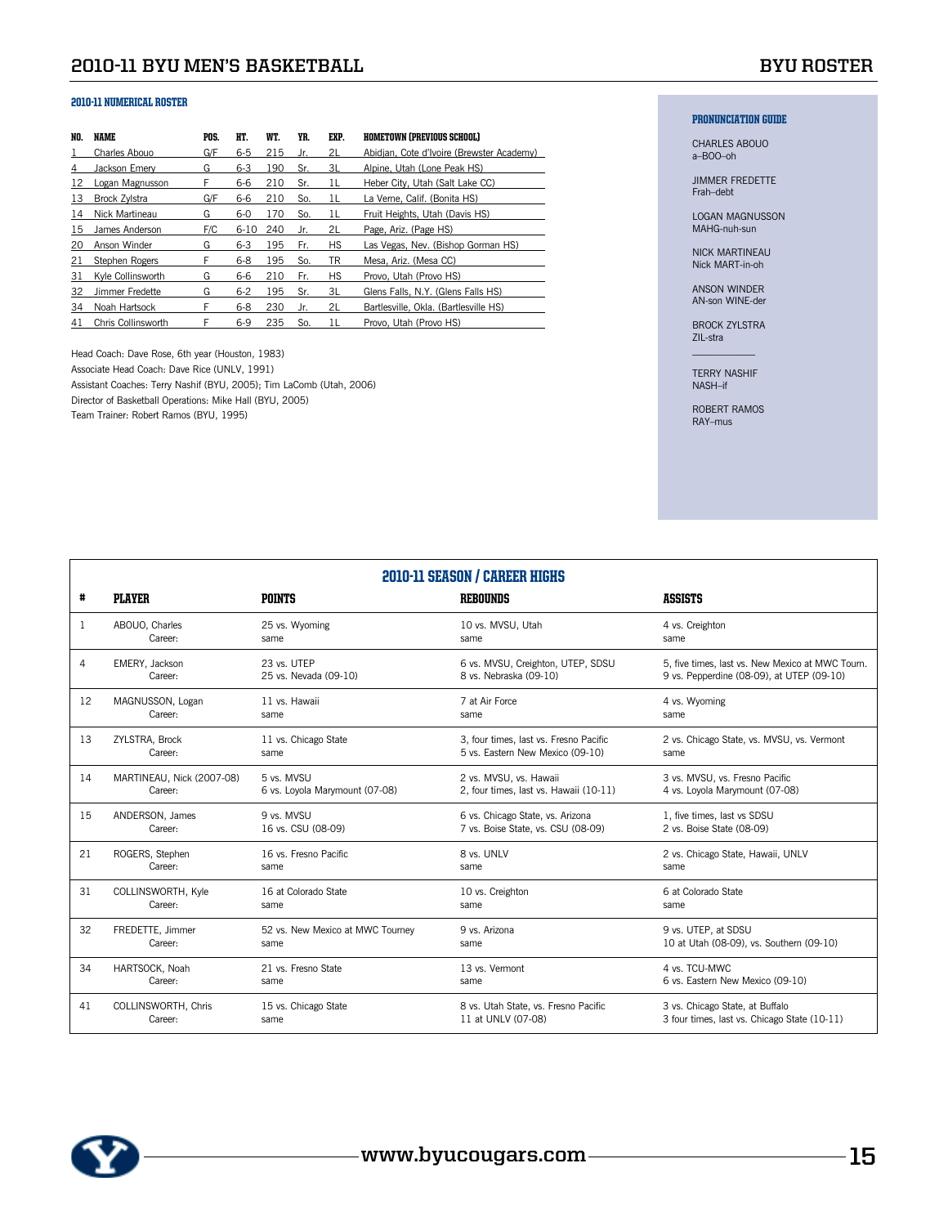| NO. | NAME                 | POS. | HT.      | WT. | YR. | EXP.      | <b>HOMETOWN (PREVIOUS SCHOOL)</b>         |
|-----|----------------------|------|----------|-----|-----|-----------|-------------------------------------------|
|     | Charles Abouo        | G/F  | $6-5$    | 215 | Jr. | 2L        | Abidjan, Cote d'Ivoire (Brewster Academy) |
| 4   | Jackson Emerv        | G    | $6 - 3$  | 190 | Sr. | 3L        | Alpine, Utah (Lone Peak HS)               |
| 12  | Logan Magnusson      | F    | 6-6      | 210 | Sr. | 11        | Heber City, Utah (Salt Lake CC)           |
| 13  | <b>Brock Zvistra</b> | G/F  | 6-6      | 210 | So. | 11        | La Verne, Calif. (Bonita HS)              |
| 14  | Nick Martineau       | G    | $6-0$    | 170 | So. | 11        | Fruit Heights, Utah (Davis HS)            |
| 15  | James Anderson       | F/C  | $6 - 10$ | 240 | Jr. | 2L        | Page, Ariz. (Page HS)                     |
| 20  | Anson Winder         | G    | $6 - 3$  | 195 | Fr. | <b>HS</b> | Las Vegas, Nev. (Bishop Gorman HS)        |
| 21  | Stephen Rogers       | F    | $6 - 8$  | 195 | So. | TR        | Mesa, Ariz. (Mesa CC)                     |
| 31  | Kyle Collinsworth    | G    | 6-6      | 210 | Fr. | <b>HS</b> | Provo, Utah (Provo HS)                    |
| 32  | Jimmer Fredette      | G    | $6 - 2$  | 195 | Sr. | 3L        | Glens Falls, N.Y. (Glens Falls HS)        |
| 34  | Noah Hartsock        | F    | $6 - 8$  | 230 | Jr. | 2L        | Bartlesville, Okla. (Bartlesville HS)     |
| 41  | Chris Collinsworth   | F    | $6-9$    | 235 | So. | 11        | Provo, Utah (Provo HS)                    |

Head Coach: Dave Rose, 6th year (Houston, 1983) Associate Head Coach: Dave Rice (UNLV, 1991) Assistant Coaches: Terry Nashif (BYU, 2005); Tim LaComb (Utah, 2006) Director of Basketball Operations: Mike Hall (BYU, 2005) Team Trainer: Robert Ramos (BYU, 1995)

## PRONUNCIATION GUIDE

CHARLES ABOUO a–BOO–oh

JIMMER FREDETTE Frah–debt

LOGAN MAGNUSSON MAHG-nuh-sun

NICK MARTINEAU Nick MART-in-oh

ANSON WINDER AN-son WINE-der

BROCK ZYLSTRA ZIL-stra  $\mathcal{L}_\text{max}$ 

TERRY NASHIF NASH–if

ROBERT RAMOS RAY–mus

|    |                            |                                  | <b>2010-11 SEASON / CAREER HIGHS</b>   |                                                  |
|----|----------------------------|----------------------------------|----------------------------------------|--------------------------------------------------|
| #  | <b>PLAYER</b>              | <b>POINTS</b>                    | <b>REBOUNDS</b>                        | <b>ASSISTS</b>                                   |
| 1  | ABOUO, Charles             | 25 vs. Wyoming                   | 10 vs. MVSU, Utah                      | 4 vs. Creighton                                  |
|    | Career:                    | same                             | same                                   | same                                             |
| 4  | EMERY, Jackson             | 23 vs. UTEP                      | 6 vs. MVSU, Creighton, UTEP, SDSU      | 5, five times, last vs. New Mexico at MWC Tourn. |
|    | Career:                    | 25 vs. Nevada (09-10)            | 8 vs. Nebraska (09-10)                 | 9 vs. Pepperdine (08-09), at UTEP (09-10)        |
| 12 | MAGNUSSON, Logan           | 11 vs. Hawaii                    | 7 at Air Force                         | 4 vs. Wyoming                                    |
|    | Career:                    | same                             | same                                   | same                                             |
| 13 | ZYLSTRA, Brock             | 11 vs. Chicago State             | 3, four times, last vs. Fresno Pacific | 2 vs. Chicago State, vs. MVSU, vs. Vermont       |
|    | Career:                    | same                             | 5 vs. Eastern New Mexico (09-10)       | same                                             |
| 14 | MARTINEAU, Nick (2007-08)  | 5 vs. MVSU                       | 2 vs. MVSU, vs. Hawaii                 | 3 vs. MVSU, vs. Fresno Pacific                   |
|    | Career:                    | 6 vs. Loyola Marymount (07-08)   | 2, four times, last vs. Hawaii (10-11) | 4 vs. Loyola Marymount (07-08)                   |
| 15 | ANDERSON, James            | 9 vs. MVSU                       | 6 vs. Chicago State, vs. Arizona       | 1, five times, last vs SDSU                      |
|    | Career:                    | 16 vs. CSU (08-09)               | 7 vs. Boise State, vs. CSU (08-09)     | 2 vs. Boise State (08-09)                        |
| 21 | ROGERS, Stephen            | 16 vs. Fresno Pacific            | 8 vs. UNLV                             | 2 vs. Chicago State, Hawaii, UNLV                |
|    | Career:                    | same                             | same                                   | same                                             |
| 31 | COLLINSWORTH, Kyle         | 16 at Colorado State             | 10 vs. Creighton                       | 6 at Colorado State                              |
|    | Career:                    | same                             | same                                   | same                                             |
| 32 | FREDETTE. Jimmer           | 52 vs. New Mexico at MWC Tourney | 9 vs. Arizona                          | 9 vs. UTEP. at SDSU                              |
|    | Career:                    | same                             | same                                   | 10 at Utah (08-09), vs. Southern (09-10)         |
| 34 | HARTSOCK, Noah             | 21 vs. Fresno State              | 13 vs. Vermont                         | 4 vs. TCU-MWC                                    |
|    | Career:                    | same                             | same                                   | 6 vs. Eastern New Mexico (09-10)                 |
| 41 | <b>COLLINSWORTH. Chris</b> | 15 vs. Chicago State             | 8 vs. Utah State, vs. Fresno Pacific   | 3 vs. Chicago State, at Buffalo                  |
|    | Career:                    | same                             | 11 at UNLV (07-08)                     | 3 four times, last vs. Chicago State (10-11)     |

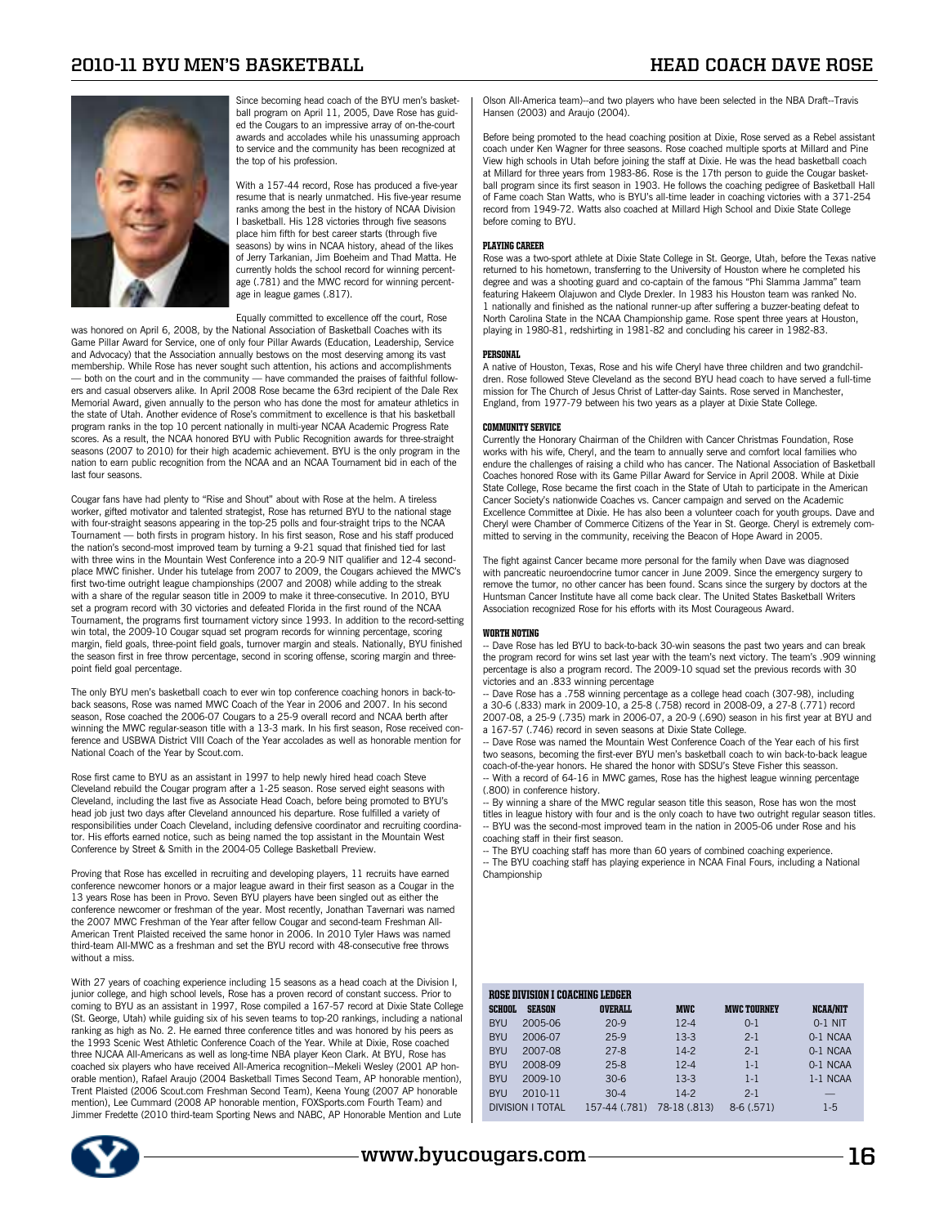

Since becoming head coach of the BYU men's basketball program on April 11, 2005, Dave Rose has guided the Cougars to an impressive array of on-the-court awards and accolades while his unassuming approach to service and the community has been recognized at the top of his profession.

With a 157-44 record, Rose has produced a five-year resume that is nearly unmatched. His five-year resume ranks among the best in the history of NCAA Division I basketball. His 128 victories through five seasons place him fifth for best career starts (through five seasons) by wins in NCAA history, ahead of the likes of Jerry Tarkanian, Jim Boeheim and Thad Matta. He currently holds the school record for winning percentage (.781) and the MWC record for winning percentage in league games (.817).

Equally committed to excellence off the court, Rose

was honored on April 6, 2008, by the National Association of Basketball Coaches with its Game Pillar Award for Service, one of only four Pillar Awards (Education, Leadership, Service and Advocacy) that the Association annually bestows on the most deserving among its vast membership. While Rose has never sought such attention, his actions and accomplishments both on the court and in the community - have commanded the praises of faithful followers and casual observers alike. In April 2008 Rose became the 63rd recipient of the Dale Rex Memorial Award, given annually to the person who has done the most for amateur athletics in the state of Utah. Another evidence of Rose's commitment to excellence is that his basketball program ranks in the top 10 percent nationally in multi-year NCAA Academic Progress Rate scores. As a result, the NCAA honored BYU with Public Recognition awards for three-straight seasons (2007 to 2010) for their high academic achievement. BYU is the only program in the nation to earn public recognition from the NCAA and an NCAA Tournament bid in each of the last four seasons.

Cougar fans have had plenty to "Rise and Shout" about with Rose at the helm. A tireless worker, gifted motivator and talented strategist, Rose has returned BYU to the national stage with four-straight seasons appearing in the top-25 polls and four-straight trips to the NCAA Tournament — both firsts in program history. In his first season, Rose and his staff produced the nation's second-most improved team by turning a 9-21 squad that finished tied for last with three wins in the Mountain West Conference into a 20-9 NIT qualifier and 12-4 secondplace MWC finisher. Under his tutelage from 2007 to 2009, the Cougars achieved the MWC's first two-time outright league championships (2007 and 2008) while adding to the streak with a share of the regular season title in 2009 to make it three-consecutive. In 2010, BYU set a program record with 30 victories and defeated Florida in the first round of the NCAA Tournament, the programs first tournament victory since 1993. In addition to the record-setting win total, the 2009-10 Cougar squad set program records for winning percentage, scoring margin, field goals, three-point field goals, turnover margin and steals. Nationally, BYU finished the season first in free throw percentage, second in scoring offense, scoring margin and threepoint field goal percentage.

The only BYU men's basketball coach to ever win top conference coaching honors in back-toback seasons, Rose was named MWC Coach of the Year in 2006 and 2007. In his second season, Rose coached the 2006-07 Cougars to a 25-9 overall record and NCAA berth after winning the MWC regular-season title with a 13-3 mark. In his first season, Rose received conference and USBWA District VIII Coach of the Year accolades as well as honorable mention for National Coach of the Year by Scout.com.

Rose first came to BYU as an assistant in 1997 to help newly hired head coach Steve Cleveland rebuild the Cougar program after a 1-25 season. Rose served eight seasons with Cleveland, including the last five as Associate Head Coach, before being promoted to BYU's head job just two days after Cleveland announced his departure. Rose fulfilled a variety of responsibilities under Coach Cleveland, including defensive coordinator and recruiting coordinator. His efforts earned notice, such as being named the top assistant in the Mountain West Conference by Street & Smith in the 2004-05 College Basketball Preview.

Proving that Rose has excelled in recruiting and developing players, 11 recruits have earned conference newcomer honors or a major league award in their first season as a Cougar in the 13 years Rose has been in Provo. Seven BYU players have been singled out as either the conference newcomer or freshman of the year. Most recently, Jonathan Tavernari was named the 2007 MWC Freshman of the Year after fellow Cougar and second-team Freshman All-American Trent Plaisted received the same honor in 2006. In 2010 Tyler Haws was named third-team All-MWC as a freshman and set the BYU record with 48-consecutive free throws without a miss.

With 27 years of coaching experience including 15 seasons as a head coach at the Division I. junior college, and high school levels, Rose has a proven record of constant success. Prior to coming to BYU as an assistant in 1997, Rose compiled a 167-57 record at Dixie State College (St. George, Utah) while guiding six of his seven teams to top-20 rankings, including a national ranking as high as No. 2. He earned three conference titles and was honored by his peers as the 1993 Scenic West Athletic Conference Coach of the Year. While at Dixie, Rose coached three NJCAA All-Americans as well as long-time NBA player Keon Clark. At BYU, Rose has coached six players who have received All-America recognition--Mekeli Wesley (2001 AP honorable mention), Rafael Araujo (2004 Basketball Times Second Team, AP honorable mention), Trent Plaisted (2006 Scout.com Freshman Second Team), Keena Young (2007 AP honorable mention), Lee Cummard (2008 AP honorable mention, FOXSports.com Fourth Team) and Jimmer Fredette (2010 third-team Sporting News and NABC, AP Honorable Mention and Lute



Olson All-America team)--and two players who have been selected in the NBA Draft--Travis Hansen (2003) and Araujo (2004).

Before being promoted to the head coaching position at Dixie, Rose served as a Rebel assistant coach under Ken Wagner for three seasons. Rose coached multiple sports at Millard and Pine View high schools in Utah before joining the staff at Dixie. He was the head basketball coach at Millard for three years from 1983-86. Rose is the 17th person to guide the Cougar basketball program since its first season in 1903. He follows the coaching pedigree of Basketball Hall of Fame coach Stan Watts, who is BYU's all-time leader in coaching victories with a 371-254 record from 1949-72. Watts also coached at Millard High School and Dixie State College before coming to BYU.

#### PLAYING CAREER

Rose was a two-sport athlete at Dixie State College in St. George, Utah, before the Texas native returned to his hometown, transferring to the University of Houston where he completed his degree and was a shooting guard and co-captain of the famous "Phi Slamma Jamma" team featuring Hakeem Olajuwon and Clyde Drexler. In 1983 his Houston team was ranked No. 1 nationally and finished as the national runner-up after suffering a buzzer-beating defeat to North Carolina State in the NCAA Championship game. Rose spent three years at Houston, playing in 1980-81, redshirting in 1981-82 and concluding his career in 1982-83.

#### PERSONAL

A native of Houston, Texas, Rose and his wife Cheryl have three children and two grandchildren. Rose followed Steve Cleveland as the second BYU head coach to have served a full-time mission for The Church of Jesus Christ of Latter-day Saints. Rose served in Manchester, England, from 1977-79 between his two years as a player at Dixie State College.

#### COMMUNITY SERVICE

Currently the Honorary Chairman of the Children with Cancer Christmas Foundation, Rose works with his wife, Cheryl, and the team to annually serve and comfort local families who endure the challenges of raising a child who has cancer. The National Association of Basketball Coaches honored Rose with its Game Pillar Award for Service in April 2008. While at Dixie State College, Rose became the first coach in the State of Utah to participate in the American Cancer Society's nationwide Coaches vs. Cancer campaign and served on the Academic Excellence Committee at Dixie. He has also been a volunteer coach for youth groups. Dave and Cheryl were Chamber of Commerce Citizens of the Year in St. George. Cheryl is extremely committed to serving in the community, receiving the Beacon of Hope Award in 2005.

The fight against Cancer became more personal for the family when Dave was diagnosed with pancreatic neuroendocrine tumor cancer in June 2009. Since the emergency surgery to remove the tumor, no other cancer has been found. Scans since the surgery by doctors at the Huntsman Cancer Institute have all come back clear. The United States Basketball Writers Association recognized Rose for his efforts with its Most Courageous Award.

#### WORTH NOTING

- Dave Rose has led BYU to back-to-back 30-win seasons the past two years and can break the program record for wins set last year with the team's next victory. The team's .909 winning percentage is also a program record. The 2009-10 squad set the previous records with 30 victories and an .833 winning percentage

Dave Rose has a .758 winning percentage as a college head coach (307-98), including a 30-6 (.833) mark in 2009-10, a 25-8 (.758) record in 2008-09, a 27-8 (.771) record 2007-08, a 25-9 (.735) mark in 2006-07, a 20-9 (.690) season in his first year at BYU and a 167-57 (.746) record in seven seasons at Dixie State College.

-- Dave Rose was named the Mountain West Conference Coach of the Year each of his first two seasons, becoming the first-ever BYU men's basketball coach to win back-to-back league coach-of-the-year honors. He shared the honor with SDSU's Steve Fisher this seasson. -- With a record of 64-16 in MWC games, Rose has the highest league winning percentage (.800) in conference history.

-- By winning a share of the MWC regular season title this season, Rose has won the most titles in league history with four and is the only coach to have two outright regular season titles. -- BYU was the second-most improved team in the nation in 2005-06 under Rose and his coaching staff in their first season.

-- The BYU coaching staff has more than 60 years of combined coaching experience. -- The BYU coaching staff has playing experience in NCAA Final Fours, including a National Championship

|               |                  | <b>ROSE DIVISION I COACHING LEDGER</b> |              |                    |                 |
|---------------|------------------|----------------------------------------|--------------|--------------------|-----------------|
| <b>SCHOOL</b> | <b>SEASON</b>    | <b>OVERALL</b>                         | <b>MWC</b>   | <b>MWC TOURNEY</b> | <b>NCAA/NIT</b> |
| <b>BYU</b>    | 2005-06          | $20-9$                                 | $12 - 4$     | $O-1$              | $0-1$ NIT       |
| <b>BYU</b>    | 2006-07          | $25-9$                                 | $13-3$       | $2 - 1$            | 0-1 NCAA        |
| <b>BYU</b>    | 2007-08          | $27 - 8$                               | $14-2$       | $2 - 1$            | 0-1 NCAA        |
| <b>BYU</b>    | 2008-09          | $25 - 8$                               | $12 - 4$     | $1 - 1$            | 0-1 NCAA        |
| <b>BYU</b>    | 2009-10          | $30-6$                                 | $13-3$       | $1 - 1$            | 1-1 NCAA        |
| <b>BYU</b>    | 2010-11          | $30-4$                                 | $14-2$       | $2 - 1$            |                 |
|               | DIVISION I TOTAL | 157-44 (.781)                          | 78-18 (.813) | $8-6(.571)$        | $1-5$           |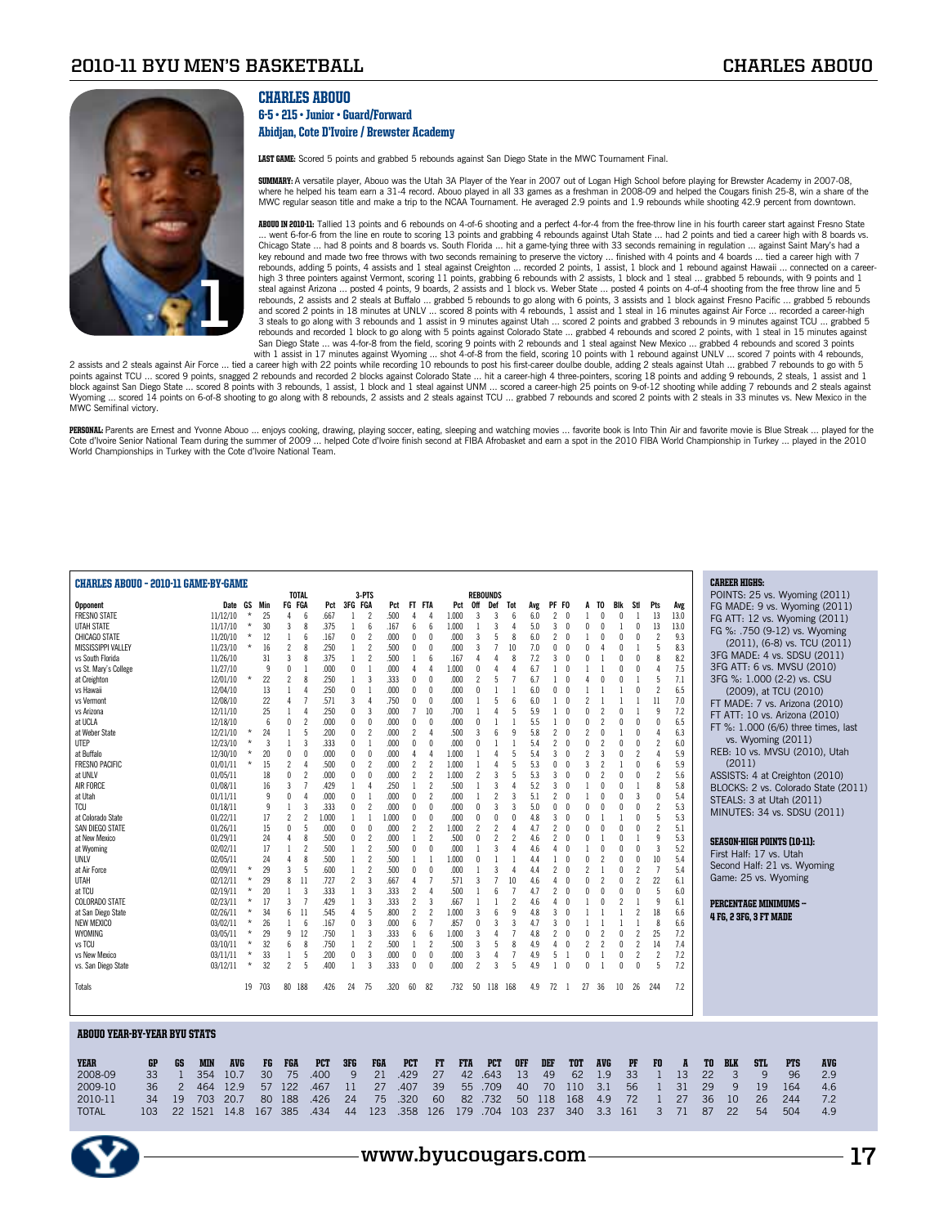

## CHARLES ABOUO

### 6-5 • 215 • Junior • Guard/Forward Abidjan, Cote D'Ivoire / Brewster Academy

LAST GAME: Scored 5 points and grabbed 5 rebounds against San Diego State in the MWC Tournament Final.

**SUMMARY:** A versatile player, Abouo was the Utah 3A Player of the Year in 2007 out of Logan High School before playing for Brewster Academy in 2007-08, where he helped his team earn a 31-4 record. Abouo played in all 33 games as a freshman in 2008-09 and helped the Cougars finish 25-8, win a share of the<br>MWC regular season title and make a trip to the NCAA Tournament. He

ABOUO IN 2010-11: Tallied 13 points and 6 rebounds on 4-of-6 shooting and a perfect 4-for-4 from the free-throw line in his fourth career start against Fresno State ... went 6-for-6 from the line en route to scoring 13 points and grabbing 4 rebounds against Utah State ... had 2 points and tied a career high with 8 boards vs. Chicago State ... had 8 points and 8 boards vs. South Florida ... hit a game-tying three with 33 seconds remaining in regulation ... against Saint Mary's had a key rebound and made two free throws with two seconds remaining to preserve the victory … finished with 4 points and 4 boards … tied a career high with 7<br>rebounds, adding 5 points, 4 assists and 1 steal against Creighton … high 3 three pointers against Vermont, scoring 11 points, grabbing 6 rebounds with 2 assists, 1 block and 1 steal ... grabbed 5 rebounds, with 9 points and 1<br>steal against Arizona ... posted 4 points, 9 boards, 2 assists a 3 steals to go along with 3 rebounds and 1 assist in 9 minutes against Utah … scored 2 points and grabbed 3 rebounds in 9 minutes against TCU … grabbed 5<br>rebounds and recorded 1 block to go along with 5 points against Colo San Diego State ... was 4-for-8 from the field, scoring 9 points with 2 rebounds and 1 steal against New Mexico ... grabbed 4 rebounds and scored 3 points

with 1 assist in 17 minutes against Wyoming ... shot 4-of-8 from the field, scoring 10 points with 1 rebound against UNLV ... scored 7 points with 4 rebounds,<br>5 assists and 2 steals against Utah ... grabbed 7 rebounds to g points against TCU ... scored 9 points, snagged 2 rebounds and recorded 2 blocks against Colorado State ... hit a career-high 4 three-pointers, scoring 18 points and adding 9 rebounds, 2 steals, 1 assist and 1 block against San Diego State … scored 8 points with 3 rebounds, 1 assist, 1 block and 1 steal against UNM … scored a career-high 25 points on 9-of-12 shooting while adding 7 rebounds and 2 steals against<br>Wyoming … scored MWC Semifinal victory.

**PERSONAL:** Parents are Ernest and Yvonne Abouo … enjoys cooking, drawing, playing soccer, eating, sleeping and watching movies … favorite book is Into Thin Air and favorite movie is Blue Streak … played for the<br>Cote d'Voi

| <b>CHARLES ABOUO - 2010-11 GAME-BY-GAME</b> |     |                |            |            |          |        |                          |                          |            |                |                          |       |                          |                          |            |                 |                 |                          |     |                                      |                                 |                          |                          |                          |                          |                |    | <b>CAREER HIGHS:</b> |                               |                                    |                                     |  |
|---------------------------------------------|-----|----------------|------------|------------|----------|--------|--------------------------|--------------------------|------------|----------------|--------------------------|-------|--------------------------|--------------------------|------------|-----------------|-----------------|--------------------------|-----|--------------------------------------|---------------------------------|--------------------------|--------------------------|--------------------------|--------------------------|----------------|----|----------------------|-------------------------------|------------------------------------|-------------------------------------|--|
|                                             |     |                |            |            |          |        |                          | <b>TOTAL</b>             |            |                | 3-PTS                    |       |                          |                          |            | <b>REBOUNDS</b> |                 |                          |     |                                      |                                 |                          |                          |                          |                          |                |    |                      |                               |                                    | POINTS: 25 vs. Wyoming (2011)       |  |
| Opponent                                    |     |                |            | Date GS    |          | Min    | FG FGA                   |                          | Pct        | 3FG FGA        |                          | Pct   | FT FTA                   |                          | Pct        | 0ff             | Def             | Tot                      | Avg | PF FO                                |                                 | TO<br>A                  | Blk                      | Stl                      | Pts                      | Avg            |    |                      |                               |                                    | FG MADE: 9 vs. Wyoming (2011)       |  |
| <b>FRESNO STATE</b>                         |     |                |            | 11/12/10   | $\star$  | 25     | $\overline{4}$           | 6                        | .667       | $\mathbf{1}$   | $\overline{\phantom{a}}$ | 500   | $\Lambda$                | 4                        | 1.000      | 3               | 3               | 6                        | 6.0 | $\overline{c}$<br>$\sqrt{ }$         |                                 |                          | $\sqrt{ }$               | $\mathbf{1}$             | 13                       | 13.0           |    |                      |                               |                                    | FG ATT: 12 vs. Wyoming (2011)       |  |
| UTAH STATE                                  |     |                |            | 11/17/10   | $\star$  | 30     | 3                        | 8                        | .375       | 1              | 6                        | .167  | 6                        | 6                        | 1.000      |                 | 3               | $\overline{4}$           | 5.0 | 3<br>$\theta$                        | $\mathbf 0$                     | 0                        | 1                        | $\theta$                 | 13                       | 13.0           |    |                      |                               |                                    | FG %: .750 (9-12) vs. Wyoming       |  |
| CHICAGO STATE                               |     |                |            | 11/20/10   | $\star$  | 12     | $\mathbf{1}$             | 6                        | .167       | 0              | $\overline{c}$           | .000  | $\theta$                 | $\Omega$                 | .000       | 3               | 5               | 8                        | 6.0 | $\overline{c}$                       | $\theta$                        | $\theta$                 | $\theta$                 | 0                        | $\overline{2}$           | 9.3            |    |                      |                               |                                    |                                     |  |
| <b>MISSISSIPPI VALLEY</b>                   |     |                |            | 11/23/10   | $^\star$ | 16     | $\overline{c}$           | 8                        | .250       | $\mathbf{1}$   | $\overline{c}$           | .500  | $\theta$                 | $\Omega$                 | .000       | 3               | $\overline{1}$  | 10                       | 7.0 | 0                                    | $\theta$<br>$\mathbf{0}$        |                          | $\theta$                 |                          | 5                        | 8.3            |    |                      |                               |                                    | (2011), (6-8) vs. TCU (2011)        |  |
| vs South Florida                            |     |                |            | 11/26/10   |          | 31     | $\overline{3}$           | 8                        | .375       | 1              | $\overline{\phantom{a}}$ | .500  | $\overline{1}$           | 6                        | .167       |                 | $\Delta$        | 8                        | 7.2 | 3<br>$\theta$                        | $\theta$                        |                          | $\sqrt{ }$               | $\Omega$                 | 8                        | 8.2            |    |                      |                               |                                    | 3FG MADE: 4 vs. SDSU (2011)         |  |
|                                             |     |                |            |            |          |        |                          |                          |            |                | $\overline{1}$           |       |                          |                          |            |                 |                 | $\Delta$                 |     |                                      | $\sqrt{ }$                      |                          | $\sqrt{ }$               |                          | $\Delta$                 |                |    |                      |                               | 3FG ATT: 6 vs. MVSU (2010)         |                                     |  |
| vs St. Mary's College                       |     |                |            | 11/27/10   |          | 9      | $\mathbf{0}$             |                          | .000       | $\theta$       |                          | .000  | 4                        | $\Delta$                 | 1.000      | $\theta$        | Δ               |                          | 6.7 | 1                                    |                                 |                          |                          | 0                        |                          | 7.5            |    |                      |                               |                                    |                                     |  |
| at Creighton                                |     |                |            | 12/01/10   | $\star$  | 22     | $\overline{\phantom{a}}$ | 8                        | .250       | 1              | 3                        | .333  | 0                        | $\theta$                 | .000       |                 | 5               |                          | 6.7 |                                      | $\theta$<br>4                   | N                        | $\theta$                 |                          | 5                        | 7.1            |    |                      |                               | 3FG %: 1.000 (2-2) vs. CSU         |                                     |  |
| vs Hawaii                                   |     |                |            | 12/04/10   |          | 13     | $\mathbf{1}$             | 4                        | .250       | 0              | $\mathbf{1}$             | .000  | $\theta$                 | $\Omega$                 | .000       | $\Omega$        |                 |                          | 6.0 | $\theta$<br>U                        |                                 |                          |                          | $\theta$                 | $\overline{2}$           | 6.5            |    |                      |                               | (2009), at TCU (2010)              |                                     |  |
| vs Vermont                                  |     |                |            | 12/08/10   |          | 22     | $\Delta$                 | $\overline{1}$           | .571       | 3              | $\Delta$                 | .750  | $\mathbf{0}$             | $\mathsf{r}$             | .000       |                 | 5               | 6                        | 6.0 | 1<br>$\sqrt{ }$                      | $\overline{\phantom{a}}$        |                          |                          |                          | 11                       | 7.0            |    |                      |                               |                                    | FT MADE: 7 vs. Arizona (2010)       |  |
| vs Arizona                                  |     |                |            | 12/11/10   |          | 25     | $\overline{1}$           | 4                        | .250       | $\mathbf{0}$   | 3                        | .000  | $\overline{7}$           | 10                       | .700       |                 | 4               | 5                        | 5.9 | $\sqrt{ }$<br>1                      | $\mathsf{\Omega}$               | $\mathfrak{p}$           | $\sqrt{ }$               |                          | $\mathsf{q}$             | 7.2            |    |                      |                               |                                    |                                     |  |
| at UCLA                                     |     |                |            | 12/18/10   |          | 6      | $\mathbf{0}$             | $\overline{\phantom{a}}$ | .000       | $\theta$       | $\Omega$                 | .000  | $\mathbf{0}$             | $\Omega$                 | .000       | n               |                 | $\overline{1}$           | 5.5 | 1                                    | $\mathsf{\Omega}$<br>$\sqrt{ }$ | 2                        | $\sqrt{ }$               | n                        | $\theta$                 | 6.5            |    |                      |                               | FT ATT: 10 vs. Arizona (2010)      |                                     |  |
| at Weber State                              |     |                |            | 12/21/10   | $\star$  | 24     | 1                        | 5                        | .200       | $\theta$       | $\overline{\phantom{a}}$ | .000  | $\overline{\phantom{a}}$ | $\Delta$                 | .500       | 3               | $6\overline{6}$ | 9                        | 5.8 | $\overline{c}$<br>$\theta$           | $\overline{\phantom{a}}$        | $\theta$                 |                          | 0                        | 4                        | 6.3            |    |                      |                               |                                    | FT %: 1.000 (6/6) three times, last |  |
|                                             |     |                |            |            | $\star$  |        |                          |                          |            |                |                          |       |                          |                          | .000       | $\Omega$        |                 |                          |     |                                      |                                 |                          |                          |                          | $\overline{\phantom{a}}$ |                |    |                      |                               | vs. Wyoming (2011)                 |                                     |  |
| UTEP                                        |     |                |            | 12/23/10   |          | 3      | $\mathbf{1}$             | 3                        | .333       | $\theta$       | $\mathbf{1}$             | .000  | $\mathbf{0}$             | $\theta$                 |            |                 |                 |                          | 5.4 | $\overline{\phantom{a}}$<br>$\theta$ | $\mathbf{0}$                    | $\overline{\phantom{a}}$ | $\theta$                 | $\theta$                 |                          | 6.0            |    |                      |                               |                                    | REB: 10 vs. MVSU (2010), Utah       |  |
| at Buffalo                                  |     |                |            | 12/30/10   | $\star$  | 20     | $\mathbf{0}$             | 0                        | .000       | $\mathbf{0}$   | $\Omega$                 | .000  | 4                        | $\Delta$                 | 1.000      |                 | 4               | 5                        | 5.4 | 3<br>$\sqrt{ }$                      | $\overline{2}$                  | 3                        | $\sqrt{ }$               | $\overline{c}$           | 4                        | 5.9            |    |                      |                               |                                    |                                     |  |
| <b>FRESNO PACIFIC</b>                       |     |                |            | 01/01/11   | $^\star$ | 15     | $\overline{c}$           | Δ                        | .500       | $\theta$       | $\overline{c}$           | .000  | $\overline{c}$           | $\overline{c}$           | 1.000      | 1               | 4               | 5                        | 5.3 | $\theta$<br>0                        | 3                               | $\overline{\phantom{a}}$ | $\overline{1}$           | $\Omega$                 | $6\overline{6}$          | 5.9            |    | (2011)               |                               |                                    |                                     |  |
| at UNLV                                     |     |                |            | 01/05/11   |          | 18     | $\mathbf{0}$             | $\overline{\mathbf{c}}$  | .000       | 0              | $\mathbf{0}$             | .000  | $\overline{c}$           | $\overline{2}$           | 1.000      | $\mathcal{P}$   | 3               | 5                        | 5.3 | 3                                    | $\theta$<br>$\mathbf{0}$        | 2                        | $\theta$                 | 0                        | $\overline{2}$           | 5.6            |    |                      |                               |                                    | ASSISTS: 4 at Creighton (2010)      |  |
| AIR FORCE                                   |     |                |            | 01/08/11   |          | 16     | $\overline{3}$           | 7                        | .429       | $\mathbf{1}$   | $\Delta$                 | .250  |                          | $\overline{\phantom{a}}$ | .500       |                 | 3               | $\overline{4}$           | 5.2 | 3<br>$\theta$                        |                                 |                          | $\theta$                 |                          | 8                        | 5.8            |    |                      |                               |                                    | BLOCKS: 2 vs. Colorado State (2011) |  |
| at Utah                                     |     |                |            | 01/11/11   |          | 9      | $\theta$                 | $\Delta$                 | .000       | $\mathbf{0}$   | $\overline{1}$           | .000  | $\mathbf{0}$             | 2                        | .000       | $\overline{1}$  | $\overline{2}$  | 3                        | 5.1 | $\overline{c}$<br>$\theta$           | $\mathbf{1}$                    | $\Omega$                 | $\mathbf{0}$             | 3                        | $\theta$                 | 5.4            |    |                      |                               |                                    |                                     |  |
| <b>TCU</b>                                  |     |                |            | 01/18/11   |          | 9      | $\overline{1}$           | 3                        | .333       | $\mathbf{0}$   | $\mathcal{P}$            | .000  | $\mathbf{0}$             | $\Omega$                 | .000       | $\theta$        | 3               | 3                        | 5.0 | 0                                    | $\mathsf{\Omega}$<br>$\sqrt{ }$ | N                        | $\sqrt{ }$               | $\Omega$                 | $\overline{\phantom{a}}$ | 5.3            |    |                      |                               | STEALS: 3 at Utah (2011)           |                                     |  |
|                                             |     |                |            |            |          |        |                          |                          |            |                |                          |       |                          |                          |            |                 |                 |                          |     |                                      |                                 |                          |                          |                          |                          |                |    |                      |                               |                                    | MINUTES: 34 vs. SDSU (2011)         |  |
| at Colorado State                           |     |                |            | 01/22/11   |          | 17     | $\overline{\phantom{a}}$ | $\overline{\phantom{a}}$ | 1.000      | $\mathbf{1}$   | $\overline{1}$           | 1.000 | $\mathbf{0}$             | $\theta$                 | .000       | $\Omega$        | $\theta$        | $\Omega$                 | 4.8 | 3<br>$\theta$                        | $\mathbf{0}$                    |                          | $\mathbf{1}$             | $\Omega$                 | 5                        | 5.3            |    |                      |                               |                                    |                                     |  |
| SAN DIEGO STATE                             |     |                |            | 01/26/11   |          | 15     | $\mathbf 0$              | 5                        | .000       | $\theta$       | $\theta$                 | .000  | $\overline{2}$           | $\overline{c}$           | 1.000      | $\overline{c}$  | $\overline{2}$  | $\overline{4}$           | 4.7 | $\overline{c}$<br>$\sqrt{ }$         | $\mathbf{0}$                    | $\theta$                 | $\theta$                 | $\theta$                 | $\overline{2}$           | 5.1            |    |                      |                               |                                    |                                     |  |
| at New Mexico                               |     |                |            | 01/29/11   |          | 24     | $\overline{4}$           | 8                        | .500       | $\mathbf{0}$   | $\overline{\phantom{a}}$ | .000  |                          | $\overline{\phantom{a}}$ | .500       | $\theta$        | $\mathfrak{p}$  | $\overline{\phantom{a}}$ | 4.6 | 2                                    | $\theta$<br>0                   |                          | $\theta$                 |                          | 9                        | 5.3            |    |                      |                               | <b>SEASON-HIGH POINTS (10-11):</b> |                                     |  |
| at Wyoming                                  |     |                |            | 02/02/11   |          | 17     | $\mathbf{1}$             | $\overline{\phantom{a}}$ | .500       | $\mathbf{1}$   | $\overline{\phantom{a}}$ | .500  | $\mathbf{0}$             | $\mathbf{0}$             | .000       | $\overline{1}$  | 3               | $\Delta$                 | 4.6 | $\theta$<br>4                        |                                 | $\theta$                 | $\theta$                 | $\theta$                 | $\overline{3}$           | 5.2            |    |                      |                               | First Half: 17 vs. Utah            |                                     |  |
| UNLV                                        |     |                |            | 02/05/11   |          | 24     | $\overline{4}$           | 8                        | .500       | $\mathbf{1}$   | $\overline{\phantom{a}}$ | .500  | 1                        | $\mathbf{1}$             | 1.000      | $\theta$        |                 |                          | 4.4 | 1                                    | $\mathbf{0}$<br>$\theta$        | 2                        | $\theta$                 | 0                        | 10                       | 5.4            |    |                      |                               |                                    |                                     |  |
| at Air Force                                |     |                |            | 02/09/11   | $\star$  | 29     | $\overline{3}$           | 5                        | .600       | $\mathbf{1}$   | $\overline{\phantom{a}}$ | .500  | $\mathbf{0}$             | $\theta$                 | .000       |                 | $\overline{3}$  | 4                        | 4.4 | $\overline{c}$<br>$\theta$           | $\overline{\phantom{a}}$        |                          | $\theta$                 | $\overline{\phantom{a}}$ | $\overline{7}$           | 5.4            |    |                      |                               | Second Half: 21 vs. Wyoming        |                                     |  |
| UTAH                                        |     |                |            | 02/12/11   | $\star$  | 29     | 8                        | 11                       | .727       | $\overline{c}$ | $\overline{3}$           | .667  | $\Delta$                 | $\overline{7}$           | .571       | 3               |                 | 10                       | 4.6 | $\Delta$                             | $\theta$<br>$\mathbf{0}$        | $\overline{c}$           | $\theta$                 | $\overline{c}$           | 22                       | 6.1            |    |                      |                               | Game: 25 vs. Wyoming               |                                     |  |
|                                             |     |                |            |            | $\star$  |        | $\mathbf{1}$             | $\overline{3}$           | .333       | $\mathbf{1}$   | $\overline{3}$           | .333  | $\overline{c}$           | $\Delta$                 | .500       |                 | 6               | $\overline{7}$           |     | $\overline{c}$<br>$\sqrt{ }$         | $\mathsf{\Omega}$               |                          | $\sqrt{ }$               | $\Omega$                 | 5                        | 6.0            |    |                      |                               |                                    |                                     |  |
| at TCU                                      |     |                |            | 02/19/11   |          | 20     |                          |                          |            |                |                          |       |                          |                          |            |                 |                 |                          | 4.7 |                                      |                                 |                          |                          |                          |                          |                |    |                      |                               |                                    |                                     |  |
| <b>COLORADO STATE</b>                       |     |                |            | 02/23/11   | $\star$  | 17     | 3                        | $\overline{7}$           | .429       | $\mathbf{1}$   | $\overline{3}$           | .333  | $\overline{c}$           | 3                        | .667       | -1              | $\mathbf{1}$    | $\overline{c}$           | 4.6 | $\Delta$                             | $\sqrt{ }$<br>1                 | $\Omega$                 | $\overline{\phantom{a}}$ |                          | 9                        | 6.1            |    |                      |                               | PERCENTAGE MINIMUMS -              |                                     |  |
| at San Diego State                          |     |                |            | 02/26/11   | $\star$  | 34     | 6                        | 11                       | .545       | $\overline{4}$ | 5                        | .800  | $\overline{c}$           | $\overline{\phantom{a}}$ | 1.000      | 3               | 6               | 9                        | 4.8 | 3                                    | $\sqrt{ }$                      |                          |                          | 2                        | 18                       | 6.6            |    |                      | <b>4 FG, 2 3FG, 3 FT MADE</b> |                                    |                                     |  |
| <b>NEW MEXICO</b>                           |     |                |            | 03/02/11   | $\star$  | 26     | $\mathbf{1}$             | 6                        | .167       | $\theta$       | 3                        | .000  | 6                        | $\overline{7}$           | .857       | $\Omega$        | 3               | 3                        | 4.7 | 3<br>$\theta$                        |                                 |                          |                          |                          | 8                        | 6.6            |    |                      |                               |                                    |                                     |  |
| WYOMING                                     |     |                |            | 03/05/11   | $^\star$ | 29     | 9                        | 12                       | .750       | 1              | 3                        | .333  | 6                        | 6                        | 1.000      | 3               | $\Delta$        | $\overline{7}$           | 4.8 | $\overline{c}$<br>$\theta$           | $\mathbf 0$                     | $\overline{2}$           | $\sqrt{ }$               | $\overline{c}$           | 25                       | 7.2            |    |                      |                               |                                    |                                     |  |
| vs TCU                                      |     |                |            | 03/10/11   | $\star$  | 32     | 6                        | 8                        | .750       | $\mathbf{1}$   | $\overline{2}$           | .500  | $\mathbf{1}$             | $\overline{\phantom{a}}$ | .500       | 3               | 5               | 8                        | 4.9 | $\sqrt{ }$<br>4                      | $\overline{2}$                  | $\overline{\phantom{a}}$ | $\sqrt{ }$               | $\overline{2}$           | 14                       | 7.4            |    |                      |                               |                                    |                                     |  |
| vs New Mexico                               |     |                |            | 03/11/11   | $\star$  | 33     | $\overline{1}$           | 5                        | .200       | $\mathbf{0}$   | 3                        | .000  | 0                        | $\theta$                 | .000       | 3               | 4               | $\overline{7}$           | 4.9 | 5<br>$\overline{1}$                  | $\mathbf 0$                     |                          | $\mathbf 0$              | $\mathcal{P}$            | $\overline{\phantom{a}}$ | 7.2            |    |                      |                               |                                    |                                     |  |
|                                             |     |                |            |            | $\star$  | 32     | $\overline{\phantom{a}}$ | 5                        | .400       | $\mathbf{1}$   | 3                        | 333   | $\mathbf{0}$             | $\Omega$                 | .000       | $\mathfrak{p}$  | 3               | 5                        | 4.9 | 1                                    | $\theta$<br>$\theta$            |                          | $\sqrt{ }$               | $\Omega$                 | 5                        | 7.2            |    |                      |                               |                                    |                                     |  |
| vs. San Diego State                         |     |                |            | 03/12/11   |          |        |                          |                          |            |                |                          |       |                          |                          |            |                 |                 |                          |     |                                      |                                 |                          |                          |                          |                          |                |    |                      |                               |                                    |                                     |  |
|                                             |     |                |            |            |          |        |                          |                          |            |                |                          |       |                          |                          |            |                 |                 |                          |     |                                      |                                 |                          |                          |                          |                          |                |    |                      |                               |                                    |                                     |  |
| Totals                                      |     |                |            |            |          | 19 703 | 80 188                   |                          | .426       | 24             | - 75                     | .320  | 60                       | 82                       | .732       | 50              | 118             | 168                      | 4.9 | 72<br>$\overline{1}$                 | 27                              | 36                       | 10 <sup>2</sup>          | 26                       | -244                     | 7.2            |    |                      |                               |                                    |                                     |  |
|                                             |     |                |            |            |          |        |                          |                          |            |                |                          |       |                          |                          |            |                 |                 |                          |     |                                      |                                 |                          |                          |                          |                          |                |    |                      |                               |                                    |                                     |  |
|                                             |     |                |            |            |          |        |                          |                          |            |                |                          |       |                          |                          |            |                 |                 |                          |     |                                      |                                 |                          |                          |                          |                          |                |    |                      |                               |                                    |                                     |  |
|                                             |     |                |            |            |          |        |                          |                          |            |                |                          |       |                          |                          |            |                 |                 |                          |     |                                      |                                 |                          |                          |                          |                          |                |    |                      |                               |                                    |                                     |  |
| <b>ABOUO YEAR-BY-YEAR BYU STATS</b>         |     |                |            |            |          |        |                          |                          |            |                |                          |       |                          |                          |            |                 |                 |                          |     |                                      |                                 |                          |                          |                          |                          |                |    |                      |                               |                                    |                                     |  |
|                                             |     |                |            |            |          |        |                          |                          |            |                |                          |       |                          |                          |            |                 |                 |                          |     |                                      |                                 |                          |                          |                          |                          |                |    |                      |                               |                                    |                                     |  |
|                                             |     |                |            |            |          |        |                          |                          |            |                |                          |       |                          |                          |            |                 |                 |                          |     |                                      |                                 |                          |                          |                          |                          |                |    |                      |                               |                                    |                                     |  |
| <b>YEAR</b>                                 | GP  | GS             | <b>MIN</b> | <b>AVG</b> |          | FG     | <b>FGA</b>               |                          | <b>PCT</b> | 3FG            | FGA                      |       | <b>PCT</b>               | <b>FT</b>                | <b>FTA</b> |                 | <b>PCT</b>      | <b>OFF</b>               |     | DEF                                  | <b>TOT</b>                      | <b>AVG</b>               |                          | PF                       | F0                       | $\overline{p}$ | TO | <b>BLK</b>           | <b>STL</b>                    | <b>PTS</b>                         | <b>AVG</b>                          |  |
| 2008-09                                     | 33  | $\mathbf{1}$   | 354        | 10.7       |          | 30     | 75                       |                          | .400       | 9              | 21                       |       | .429                     | 27                       | 42         |                 | 643             | 13                       |     | 49                                   | 62                              | 1.9                      |                          | 33                       | $\mathbf{1}$             | 13             | 22 | 3                    | 9                             | 96                                 | 2.9                                 |  |
|                                             |     |                |            |            |          |        | 122                      |                          |            |                | 27                       |       | .407                     |                          |            |                 |                 |                          |     |                                      |                                 | 3.1                      |                          |                          |                          | 31             | 29 |                      |                               |                                    |                                     |  |
| 2009-10                                     | 36  | $\overline{2}$ | 464        | 12.9       |          | 57     |                          |                          | .467       | 11             |                          |       |                          | 39                       | 55         |                 | .709            | 40                       |     | 70                                   | 110                             |                          |                          | 56                       | $\mathbf{1}$             |                |    | 9                    | 19                            | 164                                | 4.6                                 |  |
| 2010-11                                     | 34  | 19             | 703        | 20.7       |          | 80     | 188                      |                          | .426       | 24             | 75                       |       | .320                     | 60                       | 82         |                 | .732            | 50                       | 118 |                                      | 168                             | 4.9                      |                          | 72                       | $\mathbf{1}$             | 27             | 36 | 10                   | 26                            | 244                                | 7.2                                 |  |
| <b>TOTAL</b>                                | 103 | 22             | 1521       | 14.8       |          | 167    | 385                      |                          | .434       | 44             | 123                      |       | .358                     | 126                      | 179        |                 | .704            | 103                      | 237 |                                      | 340                             | 3.3                      |                          | 161                      | 3                        | 71             | 87 | 22                   | 54                            | 504                                | 4.9                                 |  |
|                                             |     |                |            |            |          |        |                          |                          |            |                |                          |       |                          |                          |            |                 |                 |                          |     |                                      |                                 |                          |                          |                          |                          |                |    |                      |                               |                                    |                                     |  |
|                                             |     |                |            |            |          |        |                          |                          |            |                |                          |       |                          |                          |            |                 |                 |                          |     |                                      |                                 |                          |                          |                          |                          |                |    |                      |                               |                                    |                                     |  |

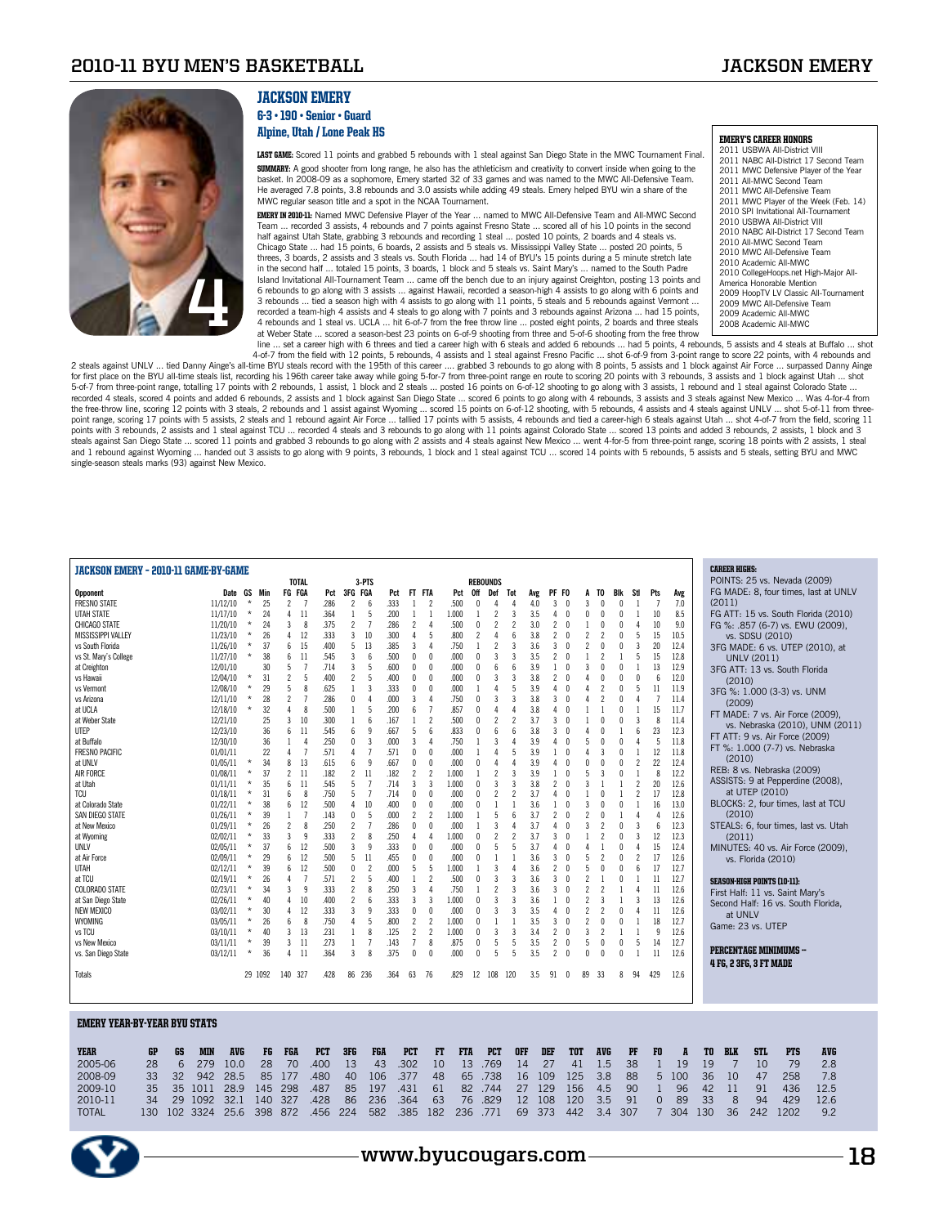

## JACKSON EMERY

6-3 • 190 • Senior • Guard Alpine, Utah / Lone Peak HS

LAST GAME: Scored 11 points and grabbed 5 rebounds with 1 steal against San Diego State in the MWC Tournament Final. **SUMMARY:** A good shooter from long range, he also has the athleticism and creativity to convert inside when going to the basket. In 2008-09 as a sophomore, Emery started 32 of 33 games and was named to the MWC All-Defensive Team. He averaged 7.8 points, 3.8 rebounds and 3.0 assists while adding 49 steals. Emery helped BYU win a share of the MWC regular season title and a spot in the NCAA Tournament.

**EMERY IN 2010-11:** Named MWC Defensive Player of the Year … named to MWC All-Defensive Team and All-MWC Second<br>Team … recorded 3 assists, 4 rebounds and 7 points against Fresno State … scored all of his 10 points in the s half against Utah State, grabbing 3 rebounds and recording 1 steal ... posted 10 points, 2 boards and 4 steals vs. Chicago State … had 15 points, 6 boards, 2 assists and 5 steals vs. Mississippi Valley State … posted 20 points, 5<br>threes, 3 boards, 2 assists and 3 steals vs. South Florida … had 14 of BYU's 15 points during a 5 minute st in the second half ... totaled 15 points, 3 boards, 1 block and 5 steals vs. Saint Mary's ... named to the South Padre Island Invitational All-Tournament Team … came off the bench due to an injury against Creighton, posting 13 points and<br>6 rebounds to go along with 3 assists … against Hawaii, recorded a season-high 4 assists to go along wi 3 rebounds ... tied a season high with 4 assists to go along with 11 points, 5 steals and 5 rebounds against Vermont ... recorded a team-high 4 assists and 4 steals to go along with 7 points and 3 rebounds against Arizona … had 15 points,<br>4 rebounds and 1 steal vs. UCLA … hit 6-of-7 from the free throw line … posted eight points, 2 boards an at Weber State … scored a season-best 23 points on 6-of-9 shooting from three and 5-of-6 shooting from the free throw Land State and 4 steals at Buffalo … shot<br>line … set a career high with 6 threes and tied a career high

Emery's Career Honors

2011 USBWA All-District VIII 2011 NABC All-District 17 Second Team 2011 MWC Defensive Player of the Year 2011 All-MWC Second Team 2011 MWC All-Defensive Team 2011 MWC Player of the Week (Feb. 14) 2010 SPI Invitational All-Tournament 2010 USBWA All-District VIII 2010 NABC All-District 17 Second Team 2010 All-MWC Second Team 2010 MWC All-Defensive Team 2010 Academic All-MWC 2010 CollegeHoops.net High-Major All-America Honorable Mention 2009 HoopTV LV Classic All-Tournament 2009 MWC All-Defensive Team 2009 Academic All-MWC 2008 Academic All-MWC

4-of-7 from the field with 12 points, 5 rebounds, 4 assists and 1 steal against Fresno Pacific ... shot 6-of-9 from 3-point range to score 22 points, with 4 rebounds and 2 steals against UNLV … tied Danny Ainge's all-time BYU steals record with the 195th of this career … grabbed 3 rebounds to go along with 8 points, 5 assists and 1 block against Air Force … surpassed Danny Ainge<br>for first 5-of-7 from three-point range, totalling 17 points with 2 rebounds, 1 assist, 1 block and 2 steals ... posted 16 points on 6-of-12 shooting to go along with 3 assists, 1 rebound and 1 steal against Colorado State ... recorded 4 steals, scored 4 points and added 6 rebounds, 2 assists and 1 block against San Diego State ... scored 6 points to go along with 4 rebounds, 3 assists and 3 steals against New Mexico ... Was 4-for-4 from the free-throw line, scoring 12 points with 3 steals, 2 rebounds and 1 assist against Wyoming ... scored 15 points on 6-of-12 shooting, with 5 rebounds, 4 assists and 4 steals against UNLV ... shot 5-of-11 from three-<br>poin points with 3 rebounds, 2 assists and 1 steal against TCU … recorded 4 steals and 3 rebounds to go along with 11 points against Colorado State … scored 13 points and added 3 rebounds, 2 assists, 1 block and 3<br>steals agains and 1 rebound against Wyoming … handed out 3 assists to go along with 9 points, 3 rebounds, 1 block and 1 steal against TCU … scored 14 points with 5 rebounds, 5 assists and 5 steals, setting BYU and MWC<br>single-season stea

| <b>JACKSON EMERY - 2010-11 GAME-BY-GAME</b> |          |              |         |                          | <b>TOTAL</b>   |      | 3-PTS                    |                          |      |                |                          |       |                   | <b>REBOUNDS</b> |                          |     |                          |              |                |     |          |                          |                |      | <b>CAREER HIGHS:</b><br>POINTS: 25 vs. Nevada (2009) |
|---------------------------------------------|----------|--------------|---------|--------------------------|----------------|------|--------------------------|--------------------------|------|----------------|--------------------------|-------|-------------------|-----------------|--------------------------|-----|--------------------------|--------------|----------------|-----|----------|--------------------------|----------------|------|------------------------------------------------------|
| <b>Opponent</b>                             | Date GS  |              | Min     | FG FGA                   |                | Pct  | 3FG FGA                  |                          | Pct  | FT FTA         |                          | Pct   | 0ff               | Def             | Tot                      | Avg | PF FO                    |              |                | TO. | Blk      | Stl                      | Pts            | Avg  | FG MADE: 8, four times, last at UNLV                 |
| FRESNO STATE                                | 11/12/10 | $\star$      | 25      | $\overline{\phantom{a}}$ | 7              | .286 | $\overline{\phantom{a}}$ | 6                        | .333 |                | $\overline{\phantom{a}}$ | .500  | $\Omega$          |                 |                          | 4.0 | 3                        | $\theta$     | 3              |     | $\theta$ |                          | $\overline{7}$ | 7.0  | (2011)                                               |
| <b>UTAH STATE</b>                           | 11/17/10 | $^\star$     | 24      | 4                        | 11             | .364 |                          | 5                        | .200 |                |                          | 1.000 |                   | $\overline{c}$  | 3                        | 3.5 | 4                        | $\theta$     |                |     |          |                          | 10             | 8.5  | FG ATT: 15 vs. South Florida (2010)                  |
| CHICAGO STATE                               | 11/20/10 | $\star$      | 24      | 3                        | 8              | .375 | 2                        |                          | .286 | 2              |                          | .500  | 0                 |                 | $\overline{c}$           | 3.0 | 2                        | $\theta$     |                |     |          |                          | 10             | 9.0  | FG %: .857 (6-7) vs. EWU (2009),                     |
| MISSISSIPPI VALLEY                          | 11/23/10 | *            | 26      |                          | 12             | .333 | 3                        | 10                       | .300 | 4              |                          | .800  | $\mathcal{P}$     |                 |                          | 3.8 |                          | $\mathbf{0}$ |                |     |          | 5                        | 15             | 10.5 | vs. SDSU (2010)                                      |
| vs South Florida                            | 11/26/10 | $\star$      | 37      | 6                        | 15             | .400 | 5                        | 13                       | .385 | 3              |                          | .750  |                   | $\overline{c}$  | 3                        | 3.6 | 3                        | $\theta$     |                |     |          | 3                        | 20             | 12.4 | 3FG MADE: 6 vs. UTEP (2010), at                      |
| vs St. Mary's College                       | 11/27/10 | $\star$      | 38      | 6                        | 11             | .545 | 3                        |                          | .500 | $\theta$       | $\theta$                 | .000  | 0                 | 3               | 3                        | 3.5 | 2                        | $\theta$     |                |     |          | 5                        | 15             | 12.8 | <b>UNLV (2011)</b>                                   |
| at Creighton                                | 12/01/10 |              | 30      | 5                        |                | .714 | 3                        | -5                       | .600 | $\theta$       | $\theta$                 | .000  | $\mathbf{0}$      | 6               | 6                        | 3.9 |                          | $\theta$     |                |     |          |                          | 13             | 12.9 | 3FG ATT: 13 vs. South Florida                        |
| vs Hawaii                                   | 12/04/10 | $\star$      | 31      | $\overline{\phantom{a}}$ | 5              | .400 | $\overline{c}$           | 5                        | .400 | $\theta$       | $\sqrt{ }$               | .000  | $\mathbf{0}$      | 3               | $\overline{3}$           | 3.8 | $\mathcal{P}$            | $\theta$     |                |     |          |                          | $\mathsf{f}$   | 12.0 | (2010)                                               |
| vs Vermont                                  | 12/08/10 |              | 29      | 5                        | 8              | .625 |                          |                          | .333 | 0              | $\sqrt{ }$               | .000  |                   |                 | 5                        | 3.9 | 4                        | $\theta$     |                |     | $\theta$ | 5                        | 11             | 11.9 | 3FG %: 1.000 (3-3) vs. UNM                           |
| vs Arizona                                  | 12/11/10 | $\star$      | 28      | $\overline{\phantom{a}}$ |                | .286 | 0                        |                          | .000 | 3              |                          | .750  | 0                 | 3               | 3                        | 3.8 | 3                        | $\theta$     |                |     | $\theta$ | 4                        | $\overline{7}$ | 11.4 | (2009)                                               |
| at UCLA                                     | 12/18/10 | $\star$      | 32      |                          | 8              | .500 |                          |                          | .200 | 6              |                          | .857  | $\theta$          |                 |                          | 3.8 |                          | $\theta$     |                |     |          |                          | 15             | 11.7 | FT MADE: 7 vs. Air Force (2009),                     |
| at Weber State                              | 12/21/10 |              | 25      | 3                        | 10             | .300 |                          |                          | .167 |                | $\overline{\phantom{a}}$ | .500  | $\theta$          | $\mathfrak{p}$  | $\overline{\phantom{a}}$ | 3.7 | 3                        | $\theta$     |                |     |          |                          | 8              | 11.4 | vs. Nebraska (2010), UNM (2011)                      |
| <b>UTEP</b>                                 | 12/23/10 |              | 36      | 6                        | 11             | .545 | 6                        |                          | .667 | 5              |                          | .833  | $\theta$          |                 |                          | 3.8 | 3                        | $\theta$     |                |     |          |                          | 23             | 12.3 | FT ATT: 9 vs. Air Force (2009)                       |
| at Buffalo                                  | 12/30/10 |              | 36      |                          | $\overline{4}$ | .250 | $\theta$                 | 3                        | .000 | 3              | $\Delta$                 | .750  |                   |                 |                          | 3.9 |                          | $\theta$     |                |     | $\theta$ |                          | 5              | 11.8 | FT %: 1.000 (7-7) vs. Nebraska                       |
| <b>FRESNO PACIFIC</b>                       | 01/01/11 |              | 22      |                          | 7              | .571 | 4                        |                          | .571 | 0              | $\theta$                 | .000  |                   |                 | 5                        | 3.9 |                          | $\Omega$     |                |     |          |                          | 12             | 11.8 |                                                      |
| at UNLV                                     | 01/05/11 | $\star$      | 34      | 8                        | 13             | .615 | 6                        | 9                        | .667 | $\theta$       |                          | .000  | $\theta$          |                 |                          | 3.9 |                          | $\theta$     |                |     |          | $\overline{\phantom{a}}$ | 22             | 12.4 | (2010)                                               |
| <b>AIR FORCE</b>                            | 01/08/11 | $\star$      | 37      | $\overline{\phantom{a}}$ | 11             | .182 | 2                        | 11                       | .182 | 2              |                          | 1.000 |                   | 2               | 3                        | 3.9 |                          | $\theta$     |                |     |          |                          | 8              | 12.2 | REB: 8 vs. Nebraska (2009)                           |
| at Utah                                     | 01/11/11 | *            | 35      | 6                        | 11             | .545 | 5                        |                          | .714 | 3              | 3                        | 1.000 | $\mathbf{0}$      |                 | 3                        | 3.8 |                          | $\theta$     |                |     |          | 2                        | 20             | 12.6 | ASSISTS: 9 at Pepperdine (2008),                     |
| <b>TCU</b>                                  | 01/18/11 | $\star$      | 31      | 6                        | 8              | .750 |                          |                          | .714 | $\theta$       | $\theta$                 | .000  | $\Omega$          | $\overline{c}$  | $\overline{\phantom{a}}$ | 3.7 |                          | $\Omega$     |                |     |          | $\mathcal{P}$            | 17             | 12.8 | at UTEP (2010)                                       |
| at Colorado State                           | 01/22/11 | $\star$      | 38      | 6                        | 12             | .500 | 4                        | 10                       | .400 | $\theta$       | $\theta$                 | .000  | $\Omega$          |                 |                          | 3.6 |                          | $\theta$     |                |     |          |                          | 16             | 13.0 | BLOCKS: 2, four times, last at TCU                   |
| SAN DIEGO STATE                             | 01/26/11 | $^\star$     | 39      |                          |                | .143 |                          | 5                        | .000 | $\overline{c}$ | $\overline{\phantom{a}}$ | 1.000 |                   |                 |                          | 3.7 | 2                        | $\mathbf{0}$ |                |     |          |                          |                | 12.6 | (2010)                                               |
| at New Mexico                               | 01/29/11 | $^\star$     | 26      | $\overline{2}$           | 8              | .250 | $\overline{\phantom{a}}$ | $\overline{7}$           | .286 | 0              | $\theta$                 | .000  |                   |                 |                          | 3.7 |                          | $\theta$     |                |     | $\theta$ | 3                        | 6              | 12.3 | STEALS: 6, four times, last vs. Utah                 |
| at Wyoming                                  | 02/02/11 | $^\star$     | 33      | $\mathbf{3}$             | 9              | .333 | $\overline{c}$           | 8                        | .250 | 4              | 4                        | 1.000 | $\theta$          | $\mathfrak{p}$  | $\overline{2}$           | 3.7 | 3                        | $\theta$     |                |     | $\theta$ | $\mathbf{3}$             | 12             | 12.3 | (2011)                                               |
| UNLV                                        | 02/05/11 | $^\star$     | 37      | 6                        | 12             | .500 | 3                        | 9                        | .333 | $\theta$       | $\theta$                 | .000  | $\theta$          |                 | 5                        | 3.7 |                          | $\theta$     |                |     |          |                          | 15             | 12.4 | MINUTES: 40 vs. Air Force (2009),                    |
| at Air Force                                | 02/09/11 | $^\star$     | 29      | 6                        | 12             | .500 | 5                        | 11                       | .455 | $\theta$       | $\theta$                 | .000  | $\theta$          |                 |                          | 3.6 | 3                        | $\theta$     |                |     | $\theta$ | $\overline{2}$           | 17             | 12.6 | vs. Florida (2010)                                   |
| UTAH                                        | 02/12/11 | $\star$      | 39      | 6                        | 12             | .500 |                          | $\overline{\phantom{a}}$ | .000 | 5              |                          | 1.000 |                   | 3               |                          | 3.6 | $\overline{\phantom{a}}$ | $\mathbf{0}$ |                |     |          |                          | 17             | 12.7 |                                                      |
| at TCU                                      | 02/19/11 | $\star$      | 26      |                          |                | .571 |                          |                          | .400 |                | $\overline{\phantom{a}}$ | .500  |                   |                 |                          | 3.6 | 3                        | $\theta$     |                |     |          |                          | 11             | 12.7 | <b>SEASON-HIGH POINTS (10-11):</b>                   |
| <b>COLORADO STATE</b>                       | 02/23/11 | $\star$      | 34      | 3                        | 9              | .333 | $\overline{c}$           | 8                        | .250 | 3              | $\Delta$                 | .750  |                   | $\overline{c}$  | 3                        | 3.6 | 3                        | $\theta$     |                |     |          |                          | 11             | 12.6 | First Half: 11 vs. Saint Mary's                      |
| at San Diego State                          | 02/26/11 | $\star$      | 40      |                          | 10             | .400 | $\mathcal{P}$            | 6                        | .333 | 3              | 3                        | 1.000 | 0                 |                 | 3                        | 3.6 |                          | $\theta$     |                |     |          | 3                        | 13             | 12.6 | Second Half: 16 vs. South Florida,                   |
| <b>NEW MEXICO</b>                           | 03/02/11 | $\star$      | 30      | 4                        | 12             | .333 | 3                        | 9                        | .333 | 0              | $\theta$                 | .000  | $\Omega$          | 3               | $\overline{3}$           | 3.5 |                          | $\Omega$     | $\overline{2}$ |     |          | $\Delta$                 | 11             | 12.6 | at UNLV                                              |
| WYOMING                                     | 03/05/11 | $^\star$     | 26      | 6                        | 8              | .750 | 4                        | 5                        | .800 | 2              | $\overline{\phantom{a}}$ | 1.000 | $\theta$          |                 |                          | 3.5 | 3                        | $\theta$     |                |     |          |                          | 18             | 12.7 | Game: 23 vs. UTEP                                    |
| vs TCU                                      | 03/10/11 | $\star$      | 40      | 3                        | 13             | .231 |                          | 8                        | .125 | 2              | $\overline{\phantom{a}}$ | 1.000 | 0                 |                 | 3                        | 3.4 | 2                        | $\mathbf{0}$ |                |     |          |                          | 9              | 12.6 |                                                      |
| vs New Mexico                               | 03/11/11 | *            | 39      | 3                        | 11             | .273 |                          |                          | .143 |                | 8                        | .875  | $\theta$          |                 | 5                        | 3.5 | 2                        | 0            |                |     |          | 5                        | 14             | 12.7 | PERCENTAGE MINIMUMS -                                |
| vs. San Diego State                         | 03/12/11 | ${}^{\star}$ | 36      |                          | 11             | .364 | 3                        | 8                        | 375  | $\theta$       | $\theta$                 | .000  | $\Omega$          |                 | 5                        | 3.5 | $\mathcal{P}$            | $\theta$     |                |     |          |                          | 11             | 12.6 |                                                      |
| Totals                                      |          |              | 29 1092 | 140 327                  |                | .428 | 86 236                   |                          | .364 | 63             | -76                      | .829  | $12 \overline{ }$ | 108             | 120                      | 3.5 | 91                       | $\mathbf{0}$ | 89             | -33 | 8        | 94                       | 429            | 12.6 | <b>4 FG, 2 3FG, 3 FT MADE</b>                        |

### Emery YEAR-BY-YEAR BYU STATS

| <b>YEAR</b>  | 6P | - GS          | <b>MIN</b>      | <b>AVG</b> | FG  | <b>FGA</b> | <b>PCT</b> | 3FG | FGA | <b>PCT</b> | <b>FT</b> | <b>FTA</b> | <b>PCT</b> | OFF | DEF    | <b>TOT</b> | AVG | PF  | FO.      | A   | TO T | <b>BLK</b> | <b>STL</b> | <b>PTS</b> | <b>AVG</b> |
|--------------|----|---------------|-----------------|------------|-----|------------|------------|-----|-----|------------|-----------|------------|------------|-----|--------|------------|-----|-----|----------|-----|------|------------|------------|------------|------------|
| 2005-06      | 28 | 6             | 279             | 10 Q       | 28  | 70         | .400       | 13  | 43  | .302       | 10        | 13         | .769       | 14  | 27     | 41         | 1.5 | 38  |          | 19  | 19   |            | 10         | 79         |            |
| 2008-09      |    | $33 \quad 32$ | 942             | 28.5       | 85  | 177        | .480       | 40  | 106 | .377       | 48        |            | 65.738     | 16  | 109    | 125        | 3.8 | 88  | 5        | 100 | 36   | 10         | 47         | 258        |            |
| 2009-10      |    |               | 35 35 1011      | 28.9       |     | 145 298    | .487       | 85  | 197 | .431       | 61        |            | 82 .744    | 27  | 129    | 156        | 4.5 | 90  |          | 96  | 42   |            | 91         | 436        |            |
| 2010-11      |    |               | 34 29 1092 32.1 |            | 140 | - 327      | .428       | 86  | 236 | .364       | 63        | 76         | .829       | 12  | 108    | 120        | 3.5 | 91  | $\Omega$ | 89  | 33   | 8          | 94         | 429        |            |
| <b>TOTAL</b> |    |               | 130 102 3324    | 25.6       | 398 | 872        | .456       | 224 | 582 | .385       | 182       | 236 .771   |            |     | 69 373 | 442        | 3.4 | 307 |          | 304 | 130  | 36         | 242        | 1202       | 9.2        |

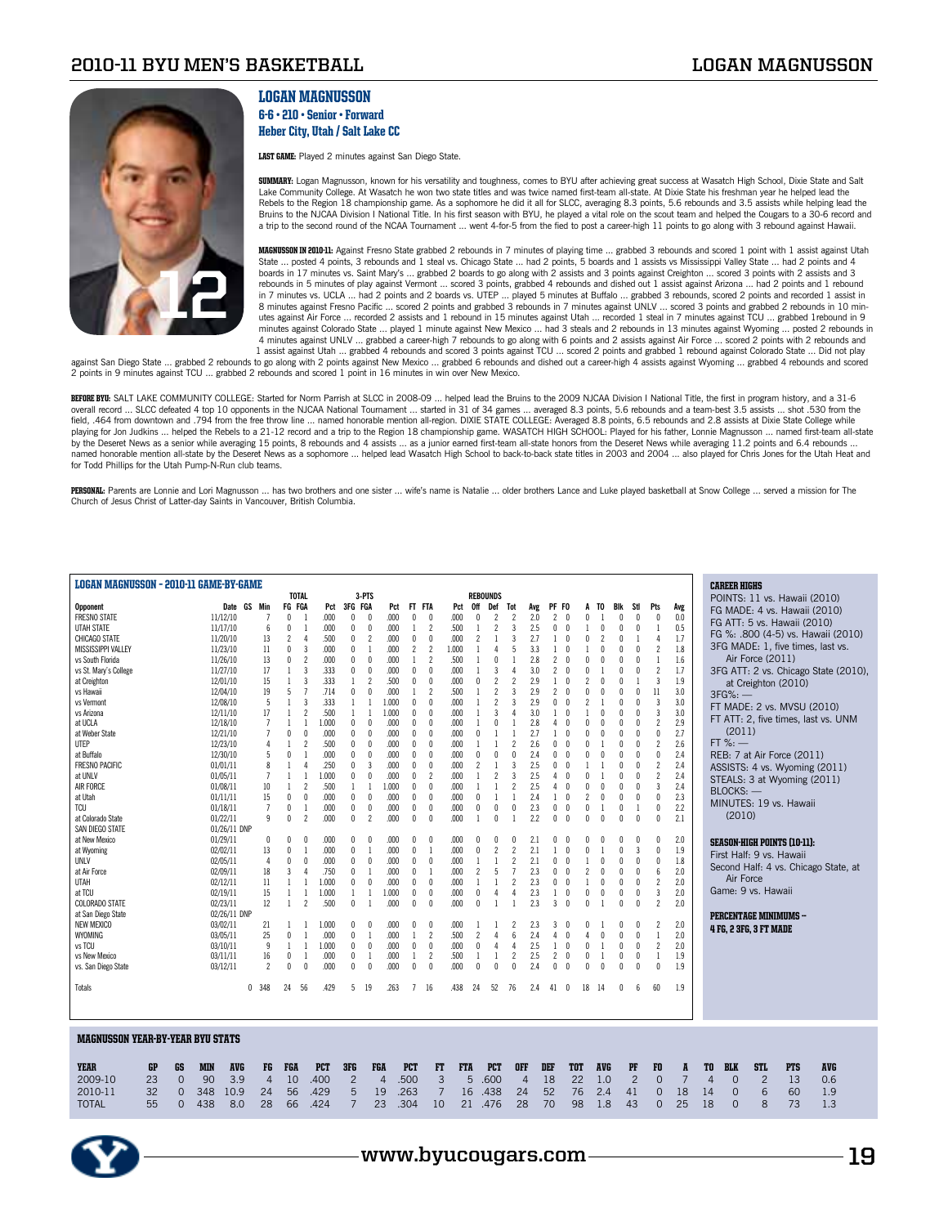

## Logan Magnusson 6-6 • 210 • Senior • Forward

Heber City, Utah / Salt Lake CC

LAST GAME: Played 2 minutes against San Diego State.

**SUMMARY:** Logan Magnusson, known for his versatility and toughness, comes to BYU after achieving great success at Wasatch High School, Dixie State and Salt<br>Lake Community College. At Wasatch he won two state titles and wa Rebels to the Region 18 championship game. As a sophomore he did it all for SLCC, averaging 8.3 points, 5.6 rebounds and 3.5 assists while helping lead the Bruins to the NJCAA Division I National Title. In his first season with BYU, he played a vital role on the scout team and helped the Cougars to a 30-6 record and<br>a trip to the second round of the NCAA Tournament … went 4-f

MAGNUSSON IN 2010-11: Against Fresno State grabbed 2 rebounds in 7 minutes of playing time … grabbed 3 rebounds and scored 1 point with 1 assist against Utah<br>State … posted 4 points, 3 rebounds and 1 steal vs. Chicago Stat boards in 17 minutes vs. Saint Mary's ... grabbed 2 boards to go along with 2 assists and 3 points against Creighton ... scored 3 points with 2 assists and 3 rebounds in 5 minutes of play against Vermont … scored 3 points, grabbed 4 rebounds and dished out 1 assist against Arizona … had 2 points and 1 rebound<br>in 7 minutes vs. UCLA … had 2 points and 2 boards vs. UTEP … played 5 8 minutes against Fresno Pacific ... scored 2 points and grabbed 3 rebounds in 7 minutes against UNLV ... scored 3 points and grabbed 2 rebounds in 10 minutes against Air Force ... recorded 2 assists and 1 rebound in 15 minutes against Utah ... recorded 1 steal in 7 minutes against TCU ... grabbed 1rebound in 9 minutes against Colorado State ... played 1 minute against New Mexico ... had 3 steals and 2 rebounds in 13 minutes against Wyoming ... posted 2 rebounds in 4 minutes against UNLV ... grabbed a career-high 7 rebounds to go along with 6 points and 2 assists against Air Force ... scored 2 points with 2 rebounds and<br>1 assist against Utah ... grabbed 4 rebounds and scored 3 points

against San Diego State … grabbed 2 rebounds to go along with 2 points against New Mexico … grabbed 6 rebounds and dished out a career-high 4 assists against Wyoming … grabbed 4 rebounds and scored<br>2 points in 9 minutes ag

BEFORE BYU: SALT LAKE COMMUNITY COLLEGE: Started for Norm Parrish at SLCC in 2008-09 ... helped lead the Bruins to the 2009 NJCAA Division I National Title, the first in program history, and a 31-6 overall record … SLCC defeated 4 top 10 opponents in the NJCAA National Tournament … started in 31 of 34 games … averaged 8.3 points, 5.6 rebounds and a team-best 3.5 assists … shot .530 from the<br>field, .464 from downtown playing for Jon Judkins … helped the Rebels to a 21-12 record and a trip to the Region 18 championship game. WASATCH HIGH SCHOOL: Played for his father, Lonnie Magnusson … named first-team all-state<br>by the Deseret News as named honorable mention all-state by the Deseret News as a sophomore ... helped lead Wasatch High School to back-to-back state titles in 2003 and 2004 ... also played for Chris Jones for the Utah Heat and for Todd Phillips for the Utah Pump-N-Run club teams.

PERSONAL: Parents are Lonnie and Lori Magnusson ... has two brothers and one sister ... wife's name is Natalie ... older brothers Lance and Luke played basketball at Snow College ... served a mission for The Church of Jesus Christ of Latter-day Saints in Vancouver, British Columbia.

| <b>LOGAN MAGNUSSON - 2010-11 GAME-BY-GAME</b> |                          |                          |                                            |            |                |                                  |                |                |            |                                          |                |                |                                         |                   |                          |              |                |                          |                |                |                        |           |                  |                                    |                                      |  |
|-----------------------------------------------|--------------------------|--------------------------|--------------------------------------------|------------|----------------|----------------------------------|----------------|----------------|------------|------------------------------------------|----------------|----------------|-----------------------------------------|-------------------|--------------------------|--------------|----------------|--------------------------|----------------|----------------|------------------------|-----------|------------------|------------------------------------|--------------------------------------|--|
|                                               |                          |                          | <b>TOTAL</b>                               |            | 3-PTS          |                                  |                |                |            | <b>REBOUNDS</b>                          |                |                |                                         |                   |                          |              |                |                          |                |                | <b>CAREER HIGHS</b>    |           |                  |                                    |                                      |  |
| <b>Opponent</b>                               | Date GS Min              |                          | FG FGA                                     | Pct        | 3FG FGA        | Pct                              | FT             | <b>FTA</b>     | Pct        | 0ff<br>Def                               | Tot            | Avg            | PF FO                                   | A                 | TO                       | Blk          | Stl            | Pts                      | Avg            |                |                        |           |                  |                                    | POINTS: 11 vs. Hawaii (2010)         |  |
| <b>FRESNO STATE</b>                           | 11/12/10                 | $\overline{7}$           | $\mathbf 0$<br>$\overline{1}$              | .000       | $\theta$       | .000<br>$\Omega$                 | 0              | $\theta$       | .000       | $\Omega$<br>$\overline{2}$               | $\overline{c}$ | 2.0            | 2<br>0                                  | 0                 |                          | $\theta$     | $\theta$       | $\theta$                 | 0.0            |                |                        |           |                  |                                    | FG MADE: 4 vs. Hawaii (2010)         |  |
| <b>UTAH STATE</b>                             | 11/17/10                 | $6\phantom{.}6$          | $\pmb{0}$<br>$\mathbf{1}$                  | .000       | $\theta$       | .000<br>0                        | $\mathbf{1}$   | $\overline{c}$ | .500       | $\overline{2}$                           | $\overline{3}$ | 2.5            | 0<br>$\theta$                           |                   | 0                        | $\theta$     | $\theta$       |                          | 0.5            |                |                        |           |                  | FG ATT: 5 vs. Hawaii (2010)        |                                      |  |
| CHICAGO STATE                                 | 11/20/10                 | 13                       | $\overline{c}$<br>$\overline{4}$           | .500       | $\theta$       | $\overline{2}$<br>.000           | $\mathbf{0}$   | $\theta$       | .000       | $\overline{\phantom{a}}$<br>$\mathbf{1}$ | 3              | 2.7            | $\theta$<br>$\mathbf{1}$                | $\mathbf 0$       | $\overline{\phantom{a}}$ | $\theta$     |                | $\Delta$                 | 1.7            |                |                        |           |                  |                                    | FG %: .800 (4-5) vs. Hawaii (2010)   |  |
| <b>MISSISSIPPI VALLEY</b>                     | 11/23/10                 | 11                       | $\mathbf{0}$<br>$\overline{3}$             | .000       | $\theta$       | .000<br>$\overline{1}$           | $\overline{c}$ | $\overline{c}$ | 1.000      | 4                                        | 5              | 3.3            | 1<br>$\theta$                           | 1                 | $\theta$                 | $\mathbf{0}$ | $\theta$       | $\overline{\phantom{a}}$ | 1.8            |                |                        |           |                  |                                    | 3FG MADE: 1, five times, last vs.    |  |
| vs South Florida                              | 11/26/10                 | 13                       | $\mathbf{0}$<br>$\overline{2}$             | .000       | $\mathbf{0}$   | .000<br>$\theta$                 | $\mathbf{1}$   | $\overline{2}$ | .500       | $\mathsf{n}$<br>-1                       | $\overline{1}$ | 2.8            | $\overline{\mathbf{c}}$<br>$\sqrt{ }$   | $\mathbf{0}$      | $\theta$                 | $\mathbf{0}$ | n              | 1                        | 1.6            |                |                        |           | Air Force (2011) |                                    |                                      |  |
| vs St. Mary's College                         | 11/27/10                 | 17                       | 1<br>3                                     | .333       | $\theta$       | .000<br>$\theta$                 | 0              | $\theta$       | .000       | 3                                        | $\overline{4}$ | 3.0            | 2<br>$\theta$                           | $\mathbf{0}$      |                          | $\mathbf 0$  | $\theta$       | $\overline{2}$           | 1.7            |                |                        |           |                  |                                    | 3FG ATT: 2 vs. Chicago State (2010), |  |
| at Creighton                                  | 12/01/10                 | 15                       | $\mathbf{1}$<br>3                          | .333       | 1              | $\overline{c}$<br>.500           | 0              | $\theta$       | .000       | $\overline{2}$<br>0                      | $\overline{c}$ | 2.9            | 1<br>$\sqrt{ }$                         | $\overline{2}$    | $\theta$                 | $\sqrt{ }$   |                | $\overline{\mathbf{3}}$  | 1.9            |                |                        |           |                  |                                    |                                      |  |
| vs Hawaii                                     | 12/04/10                 | 19                       | 5<br>7                                     | .714       | 0              | .000<br>0                        |                | $\overline{2}$ | .500       | $\overline{2}$                           | 3              | 2.9            | $\overline{c}$<br>$\theta$              | 0                 | $\theta$                 | $\theta$     | $\Omega$       | 11                       | 3.0            |                |                        |           |                  | at Creighton (2010)                |                                      |  |
| vs Vermont                                    | 12/08/10                 | 5                        | $\overline{1}$<br>$\overline{3}$           | 333        | $\mathbf{1}$   | 1.000<br>$\mathbf{1}$            | $\mathbf{0}$   | $\theta$       | .000       | $\overline{2}$                           | 3              | 2.9            | 0<br>$\theta$                           | $\overline{2}$    |                          | $\theta$     |                | $\overline{\mathbf{3}}$  | 3.0            |                | $3FG%:$ —              |           |                  |                                    |                                      |  |
| vs Arizona                                    | 12/11/10                 | 17                       | $\overline{\phantom{a}}$<br>$\overline{1}$ | .500       | -1             | 1.000<br>$\mathbf{1}$            | $\mathbf{0}$   | $\sqrt{ }$     | .000       | 3<br>-1                                  | $\mathbf{A}$   | 3.0            | $\sqrt{ }$<br>1                         | 1                 | N                        | $\sqrt{ }$   | n              | 3                        | 3.0            |                |                        |           |                  |                                    | FT MADE: 2 vs. MVSU (2010)           |  |
| at UCLA                                       | 12/18/10                 | $\overline{7}$           | $\overline{1}$<br>$\overline{1}$           | 1.000      | $\theta$       | $\theta$<br>.000                 | $\mathbf{0}$   | $\mathbf{0}$   | .000       | $\mathbf{0}$<br>$\overline{1}$           | $\mathbf{1}$   | 2.8            | $\theta$<br>4                           | $\mathbf{0}$      | $\theta$                 | $\mathbf{0}$ | $\theta$       | $\overline{\phantom{a}}$ | 2.9            |                |                        |           |                  |                                    | FT ATT: 2, five times, last vs. UNM  |  |
| at Weber State                                | 12/21/10                 | $\overline{7}$           | $\theta$<br>$\mathbf{0}$                   | .000       | $\theta$       | .000<br>$\theta$                 | $\mathbf{0}$   | $\theta$       | .000       | n                                        | $\overline{1}$ | 2.7            | $\sqrt{ }$<br>1                         | $\mathbf{0}$      | O                        | $\sqrt{ }$   | $\Omega$       | $\theta$                 | 2.7            |                |                        | (2011)    |                  |                                    |                                      |  |
| UTEP                                          | 12/23/10                 | $\overline{4}$           | $\overline{\mathbf{c}}$<br>$\mathbf{1}$    | .500       | 0              | .000<br>$\theta$                 | 0              | $\theta$       | .000       |                                          | $\overline{2}$ | 2.6            | $\theta$<br>0                           | $\mathbf{0}$      |                          | $\theta$     | $\theta$       | $\overline{2}$           | 2.6            |                | $FT$ %: $-$            |           |                  |                                    |                                      |  |
| at Buffalo                                    | 12/30/10                 | 5                        | $\theta$                                   | .000       | $\theta$       | .000<br>0                        | $\mathbf{0}$   | $\theta$       | .000       | $\theta$                                 | $\Omega$       | 2.4            | $\theta$<br>0                           | $\mathbf 0$       | $\theta$                 | $\theta$     | $\theta$       | $\theta$                 | 2.4            |                |                        |           |                  | REB: 7 at Air Force (2011)         |                                      |  |
| <b>FRESNO PACIFIC</b>                         | 01/01/11                 | 8                        | 4                                          | .250       | 0              | 3<br>.000                        | $\theta$       | $\theta$       | .000       |                                          | $\overline{3}$ | 2.5            | $\mathbf{0}$<br>$\sqrt{ }$              |                   |                          | $\sqrt{ }$   |                | $\overline{\phantom{a}}$ | 2.4            |                |                        |           |                  |                                    | ASSISTS: 4 vs. Wyoming (2011)        |  |
| at UNLV                                       | 01/05/11                 | $\overline{1}$           | $\overline{1}$<br>$\overline{1}$           | 1.000      | 0              | .000<br>0                        | $\mathbf{0}$   | $\overline{c}$ | .000       | $\overline{2}$                           | 3              | 2.5            | $\theta$<br>4                           | $\mathbf{0}$      |                          | $\sqrt{ }$   | $\theta$       | $\overline{2}$           | 2.4            |                |                        |           |                  |                                    |                                      |  |
| AIR FORCE                                     | 01/08/11                 | 10                       | $\overline{1}$<br>$\overline{\phantom{a}}$ | .500       | $\mathbf{1}$   | 1.000<br>$\mathbf{1}$            | $\mathbf{0}$   | $\theta$       | .000       |                                          | $\overline{c}$ | 2.5            | $\sqrt{ }$<br>4                         | $\mathbf 0$       | $\sqrt{ }$               | $\sqrt{ }$   | $\theta$       | $\overline{3}$           | 2.4            |                |                        |           |                  |                                    | STEALS: 3 at Wyoming (2011)          |  |
| at Utah                                       | 01/11/11                 | 15                       | $\theta$<br>0                              | .000       | 0              | $\theta$<br>.000                 | 0              | $\mathbf 0$    | .000       | $\mathbf{1}$<br>$\Omega$                 | 1              | 2.4            | $\mathbf{0}$<br>1                       | $\overline{c}$    | $\theta$                 | $\mathbf 0$  | $\theta$       | $\theta$                 | 2.3            |                | $BLOCKS:$ —            |           |                  |                                    |                                      |  |
| TCU                                           | 01/18/11                 | $\overline{1}$           | $\theta$                                   | .000       | $\theta$       | .000<br>$\theta$                 | $\mathbf{0}$   | $\theta$       | .000       | $\theta$<br>$\theta$                     | $\theta$       | 2.3            | $\theta$<br>$\theta$                    | $\mathbf{0}$      |                          | $\theta$     |                | $\theta$                 | 2.2            |                |                        |           |                  | MINUTES: 19 vs. Hawaii             |                                      |  |
| at Colorado State                             | 01/22/11                 | 9                        | $\sqrt{ }$<br>$\overline{\phantom{a}}$     | .000       | 0              | $\overline{\phantom{a}}$<br>.000 | $\mathbf{0}$   | $\mathbf{0}$   | .000       | $\mathsf{n}$                             |                | 2.2            | $\sqrt{ }$<br>0                         | $\mathsf{\Omega}$ | $\sqrt{ }$               | $\sqrt{ }$   | $\Omega$       | $\theta$                 | 2.1            |                |                        | (2010)    |                  |                                    |                                      |  |
| SAN DIEGO STATE                               | 01/26/11 DNP             |                          |                                            |            |                |                                  |                |                |            |                                          |                |                |                                         |                   |                          |              |                |                          |                |                |                        |           |                  |                                    |                                      |  |
| at New Mexico                                 | 01/29/11                 | $\theta$                 | $\sqrt{ }$<br>n                            | .000       | $\sqrt{ }$     | .000<br>n                        | $\sqrt{ }$     | $\sqrt{ }$     | .000       | O<br>n                                   | $\mathsf{r}$   | 2.1            | n<br>n                                  | n                 |                          |              | C              | $\mathbf{0}$             | 2.0            |                |                        |           |                  | <b>SEASON-HIGH POINTS (10-11):</b> |                                      |  |
| at Wyoming                                    | 02/02/11                 | 13                       | $\theta$<br>$\mathbf{1}$                   | .000       | $\mathbf{0}$   | .000<br>$\overline{1}$           | $\mathbf{0}$   | $\overline{1}$ | .000       | $\overline{2}$<br>$\Omega$               | $\overline{2}$ | 2.1            | $\mathbf{0}$<br>1                       | $\mathbf 0$       |                          | $\mathbf{0}$ | 3              | $\theta$                 | 1.9            |                |                        |           |                  |                                    |                                      |  |
| <b>UNLV</b>                                   | 02/05/11                 | 4                        | $\theta$<br>$\theta$                       | .000       | $\theta$       | .000<br>$\theta$                 | $\mathbf{0}$   | $\theta$       | .000       | $\mathbf{1}$                             | $\overline{c}$ | 2.1            | 0<br>$\theta$                           |                   | $\theta$                 | $\theta$     | $\theta$       | $\theta$                 | 1.8            |                |                        |           |                  | First Half: 9 vs. Hawaii           |                                      |  |
| at Air Force                                  | 02/09/11                 | 18                       | $\overline{3}$<br>4                        | .750       | $\theta$       | .000<br>$\mathbf{1}$             | $\mathbf{0}$   | $\mathbf{1}$   | .000       | 5<br>$\overline{\phantom{a}}$            | $\overline{7}$ | 2.3            | $\sqrt{ }$<br>0                         | $\overline{c}$    | 0                        | $\sqrt{ }$   | n              | $6\overline{6}$          | 2.0            |                |                        |           |                  |                                    | Second Half: 4 vs. Chicago State, at |  |
| UTAH                                          | 02/12/11                 | 11                       | $\mathbf{1}$                               | 1.000      | 0              | 0<br>.000                        | 0              | $\mathbf{0}$   | .000       |                                          | $\overline{c}$ | 2.3            | 0<br>$\theta$                           |                   | $\theta$                 | $\theta$     | $\Omega$       | $\overline{\phantom{a}}$ | 2.0            |                |                        | Air Force |                  |                                    |                                      |  |
| at TCU                                        | 02/19/11                 | 15                       | $\overline{1}$                             | 1.000      | 1              | 1.000<br>$\mathbf{1}$            | $\mathbf{0}$   | $\theta$       | .000       | $\theta$<br>$\overline{4}$               | 4              | 2.3            | $\theta$<br>1                           | $\mathbf 0$       | 0                        | $\mathbf{0}$ | $\theta$       | $\overline{\mathbf{3}}$  | 2.0            |                | Game: 9 vs. Hawaii     |           |                  |                                    |                                      |  |
| <b>COLORADO STATE</b>                         | 02/23/11                 | 12                       | $\overline{\phantom{a}}$<br>$\mathbf{1}$   | .500       | $\mathbf{0}$   | .000<br>$\overline{1}$           | $\mathbf{0}$   | $\mathbf{0}$   | .000       | $\mathsf{n}$<br>$\overline{1}$           | $\overline{1}$ | 2.3            | 3<br>$\sqrt{ }$                         | $\mathbf{0}$      |                          | $\sqrt{ }$   | $\theta$       | $\overline{\phantom{a}}$ | 2.0            |                |                        |           |                  |                                    |                                      |  |
| at San Diego State                            | 02/26/11 DNP             |                          |                                            |            |                |                                  |                |                |            |                                          |                |                |                                         |                   |                          |              |                |                          |                |                |                        |           |                  | <b>PERCENTAGE MINIMUMS -</b>       |                                      |  |
| <b>NEW MEXICO</b>                             | 03/02/11                 | 21                       | $\mathbf{1}$<br>-1                         | 1.000      | $\theta$       | .000<br>0                        | $\sqrt{ }$     | $\Omega$       | .000       |                                          | 2              | 2.3            | 3<br>$\overline{0}$                     | 0                 |                          |              |                | $\overline{\phantom{a}}$ | 2.0            |                | 4 FG, 2 3FG, 3 FT MADE |           |                  |                                    |                                      |  |
| WYOMING                                       | 03/05/11                 | 25                       | 0                                          | .000       | $\theta$       | .000<br>-1                       | $\mathbf{1}$   | $\overline{c}$ | .500       | $\overline{c}$<br>4                      | 6              | 2.4            | $\mathbf{0}$<br>4                       | 4                 | $\mathbf{0}$             | $\mathbf 0$  | 0              |                          | 2.0            |                |                        |           |                  |                                    |                                      |  |
| vs TCU                                        | 03/10/11                 | 9                        | $\mathbf{1}$                               | 1.000      | $\theta$       | .000<br>$\Omega$                 | $\mathbf{0}$   | $\theta$       | .000       | $\Omega$<br>$\Delta$                     | $\Delta$       | 2.5            | $\sqrt{ }$<br>1                         | $\mathsf{n}$      |                          | $\mathbf{0}$ | $\Omega$       | $\overline{\phantom{a}}$ | 2.0            |                |                        |           |                  |                                    |                                      |  |
| vs New Mexico                                 | 03/11/11                 | 16                       | $\theta$                                   | .000       | $\theta$       | .000<br>$\overline{1}$           | 1              | $\overline{2}$ | .500       | $\overline{1}$<br>$\mathbf{1}$           | $\overline{2}$ | 2.5            | $\overline{\mathbf{c}}$<br>$\mathbf{0}$ | $\mathbf 0$       |                          | $\mathbf 0$  | $\theta$       | $\mathbf{1}$             | 1.9            |                |                        |           |                  |                                    |                                      |  |
| vs. San Diego State                           | 03/12/11                 | $\overline{\phantom{a}}$ | $\mathbf{0}$<br>$\mathbf{0}$               | .000       | $\mathbf{0}$   | .000<br>$\theta$                 | $\mathbf{0}$   | $\mathbf{0}$   | .000       | $\mathbf{0}$<br>$\mathbf{0}$             | $\Omega$       | 2.4            | 0<br>$\sqrt{ }$                         | $\mathbf{0}$      | $\theta$                 | $\mathbf{0}$ | $\mathbf{0}$   | $\theta$                 | 1.9            |                |                        |           |                  |                                    |                                      |  |
|                                               |                          |                          |                                            |            |                |                                  |                |                |            |                                          |                |                |                                         |                   |                          |              |                |                          |                |                |                        |           |                  |                                    |                                      |  |
| Totals                                        | 0                        | 348                      | 24<br>56                                   | .429       | 5              | .263<br>19                       | 7              | 16             | .438       | 24<br>52                                 | 76             | 2.4            | 41<br>0                                 | 18                | -14                      | $\theta$     | 6              | 60                       | 1.9            |                |                        |           |                  |                                    |                                      |  |
|                                               |                          |                          |                                            |            |                |                                  |                |                |            |                                          |                |                |                                         |                   |                          |              |                |                          |                |                |                        |           |                  |                                    |                                      |  |
|                                               |                          |                          |                                            |            |                |                                  |                |                |            |                                          |                |                |                                         |                   |                          |              |                |                          |                |                |                        |           |                  |                                    |                                      |  |
|                                               |                          |                          |                                            |            |                |                                  |                |                |            |                                          |                |                |                                         |                   |                          |              |                |                          |                |                |                        |           |                  |                                    |                                      |  |
| <b>MAGNUSSON YEAR-BY-YEAR BYU STATS</b>       |                          |                          |                                            |            |                |                                  |                |                |            |                                          |                |                |                                         |                   |                          |              |                |                          |                |                |                        |           |                  |                                    |                                      |  |
| <b>YEAR</b><br>GP<br>GS                       | <b>MIN</b><br><b>AVG</b> | FG                       | <b>FGA</b>                                 | <b>PCT</b> | 3FG            | <b>FGA</b>                       | <b>PCT</b>     | FT             | <b>FTA</b> | <b>PCT</b>                               | <b>OFF</b>     |                | DEF                                     | <b>TOT</b>        | <b>AVG</b>               |              | PF             | FO                       | A              | TO             | <b>BLK</b>             |           | STL              | <b>PTS</b>                         | <b>AVG</b>                           |  |
| 2009-10<br>23<br>$\Omega$                     | 90<br>3.9                | $\overline{4}$           | 10                                         | .400       | $\overline{2}$ | $\overline{4}$                   | .500           | 3              | 5          | .600                                     |                | $\overline{4}$ | 18                                      | 22                | 1.0                      |              | $\overline{2}$ | $\overline{0}$           | $\overline{7}$ | $\overline{4}$ | $\Omega$               |           | $\overline{2}$   | 13                                 | 0.6                                  |  |
| 2010-11<br>32<br>$\Omega$                     | 348<br>10.9              | 24                       | 56                                         | .429       | 5              | 19                               | .263           | $\overline{7}$ | 16         | .438                                     | 24             |                | 52                                      | 76                | 2.4                      |              |                |                          | 18             |                | $\Omega$               |           | 6                | 60                                 |                                      |  |
|                                               |                          |                          |                                            |            |                |                                  |                |                |            |                                          |                |                |                                         |                   |                          |              | 41             | $\mathbf{0}$             |                | 14             |                        |           |                  |                                    | 1.9                                  |  |
| 55<br>$\Omega$<br><b>TOTAL</b>                | 438<br>8.0               | 28                       | 66                                         | .424       | $\overline{7}$ | 23                               | .304           | 10             | $21 -$     | .476                                     | 28             |                | 70                                      | 98                | 1.8                      |              | 43             | $\Omega$                 | 25             | 18             | $\Omega$               |           | 8                | 73                                 | 1.3                                  |  |
|                                               |                          |                          |                                            |            |                |                                  |                |                |            |                                          |                |                |                                         |                   |                          |              |                |                          |                |                |                        |           |                  |                                    |                                      |  |

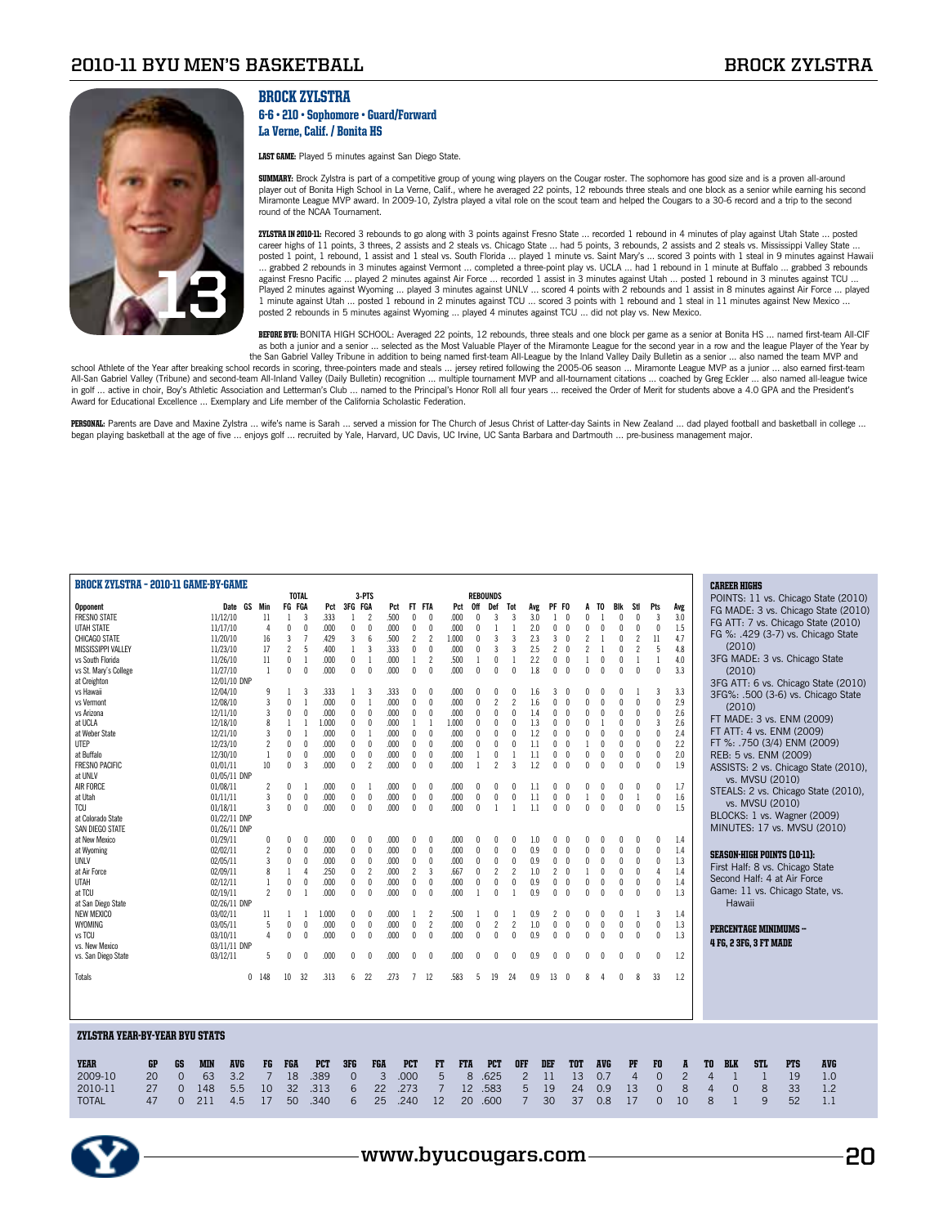

### Brock Zylstra

#### 6-6 • 210 • Sophomore • Guard/Forward La Verne, Calif. / Bonita HS

LAST GAME: Played 5 minutes against San Diego State.

SUMMARY: Brock Zylstra is part of a competitive group of young wing players on the Cougar roster. The sophomore has good size and is a proven all-around player out of Bonita High School in La Verne, Calif., where he averaged 22 points, 12 rebounds three steals and one block as a senior while earning his second<br>Miramonte League MVP award. In 2009-10, Zylstra played a vital round of the NCAA Tournament.

**ZYLSTRA IN 2010-11:** Recored 3 rebounds to go along with 3 points against Fresno State … recorded 1 rebound in 4 minutes of play against Utah State … posted<br>career highs of 11 points, 3 threes, 2 assists and 2 steals vs. posted 1 point, 1 rebound, 1 assist and 1 steal vs. South Florida … played 1 minute vs. Saint Mary's … scored 3 points with 1 steal in 9 minutes against Hawaii<br>… grabbed 2 rebounds in 3 minutes against Vermont … completed Played 2 minutes against Wyoming ... played 3 minutes against UNLV ... scored 4 points with 2 rebounds and 1 assist in 8 minutes against Air Force ... played 1 minute against Utah ... posted 1 rebound in 2 minutes against TCU ... scored 3 points with 1 rebound and 1 steal in 11 minutes against New Mexico ... posted 2 rebounds in 5 minutes against Wyoming ... played 4 minutes against TCU ... did not play vs. New Mexico.

BEFORE BYU: BONITA HIGH SCHOOL: Averaged 22 points, 12 rebounds, three steals and one block per game as a senior at Bonita HS ... named first-team All-CIF as both a junior and a senior … selected as the Most Valuable Player of the Miramonte League for the second year in a row and the league Player of the Year by<br>the San Gabriel Valley Tribune in addition to being named first

school Athlete of the Year after breaking school records in scoring, three-pointers made and steals ... jersey retired following the 2005-06 season ... Miramonte League MVP as a junior ... also earned first-team All-San Gabriel Valley (Tribune) and second-team All-Inland Valley (Daily Bulletin) recognition ... multiple tournament MVP and all-tournament citations ... coached by Greg Eckler ... also named all-league twice<br>in golf .. Award for Educational Excellence ... Exemplary and Life member of the California Scholastic Federation.

**PERSONAL**: Parents are Dave and Maxine Zylstra … wife's name is Sarah … served a mission for The Church of Jesus Christ of Latter-day Saints in New Zealand … dad played football and basketball in college …<br>began playing b

| <b>BROCK ZYLSTRA - 2010-11 GAME-BY-GAME</b> |           |                |            |                          |         |                 |                |                |            |              |                |      |                |                          |            |                 |                |                |                |                |                        |                          |                        |                      |                |                |                |                | <b>CAREER HIGHS</b> |                               |                                    |                                      |  |
|---------------------------------------------|-----------|----------------|------------|--------------------------|---------|-----------------|----------------|----------------|------------|--------------|----------------|------|----------------|--------------------------|------------|-----------------|----------------|----------------|----------------|----------------|------------------------|--------------------------|------------------------|----------------------|----------------|----------------|----------------|----------------|---------------------|-------------------------------|------------------------------------|--------------------------------------|--|
|                                             |           |                |            |                          |         |                 | <b>TOTAL</b>   |                |            |              | 3-PTS          |      |                |                          |            | <b>REBOUNDS</b> |                |                |                |                |                        |                          |                        |                      |                |                |                |                |                     |                               |                                    | POINTS: 11 vs. Chicago State (2010)  |  |
| <b>Opponent</b>                             |           |                |            | Date GS Min              |         |                 | FG FGA         |                | Pct        | 3FG FGA      |                | Pct  | FT             | <b>FTA</b>               | Pct        | 0ff             | Def            | Tot            | Avg            | PF FO          |                        | A                        | TO.                    | Blk                  | Stl            | Pts            | Avg            |                |                     |                               |                                    | FG MADE: 3 vs. Chicago State (2010)  |  |
| <b>FRESNO STATE</b>                         |           |                |            | 11/12/10                 |         | 11              | 1              | 3              | .333       | 1            | $\overline{c}$ | .500 | 0              | $\theta$                 | .000       | $\mathbf{0}$    | 3              | 3              | 3.0            | $\overline{1}$ | $\theta$               | $\mathbf{0}$             |                        | $\theta$             | $\mathbf{0}$   | 3              | 3.0            |                |                     |                               |                                    | FG ATT: 7 vs. Chicago State (2010)   |  |
| UTAH STATE                                  |           |                |            | 11/17/10                 |         | 4               | $\mathbf 0$    | $\mathbf{0}$   | .000       | 0            | $\mathbf{0}$   | .000 | 0              | $\theta$                 | .000       | n               | 1              | 1              | 2.0            | 0              |                        | $\mathbf{0}$             | $\theta$               | $\theta$             | $\pmb{0}$      | 0              | 1.5            |                |                     |                               |                                    | FG %: .429 (3-7) vs. Chicago State   |  |
| CHICAGO STATE                               |           |                |            | 11/20/10                 |         | 16              | 3              | $\overline{7}$ | .429       | 3            | 6              | .500 | $\overline{2}$ | $\overline{2}$           | 1.000      | $\theta$        | 3              | 3              | 2.3            | 3              | $\sqrt{ }$             | $\overline{c}$           |                        | 0                    | $\overline{2}$ | 11             | 4.7            |                | (2010)              |                               |                                    |                                      |  |
| MISSISSIPPI VALLEY                          |           |                |            | 11/23/10                 |         | 17              | $\overline{2}$ | 5              | 400        | $\mathbf{1}$ | $\overline{3}$ | .333 | $\mathbf{0}$   | $\theta$                 | .000       | $\theta$        | 3              | 3              | 2.5            | $\overline{c}$ | $\sqrt{ }$             | $\overline{\phantom{a}}$ |                        | $\theta$             | $\overline{2}$ | 5              | 4.8            |                |                     |                               |                                    |                                      |  |
| vs South Florida                            |           |                |            | 11/26/10                 |         | 11              | $\mathbf{0}$   | 1              | .000       | $\mathbf{0}$ | $\overline{1}$ | .000 | $\mathbf{1}$   | $\overline{2}$           | .500       | $\overline{1}$  | $\mathbf{0}$   | $\overline{1}$ | 2.2            | $\mathbf{0}$   | $\sqrt{ }$             | $\mathbf{1}$             | n                      | $\theta$             | $\overline{1}$ | $\overline{1}$ | 4.0            |                |                     |                               |                                    | 3FG MADE: 3 vs. Chicago State        |  |
| vs St. Mary's College                       |           |                |            | 11/27/10                 |         | $\mathbf{1}$    | $\mathbf{0}$   | $\mathbf{0}$   | .000       | $\mathbf{0}$ | 0              | .000 | $\mathbf{0}$   | $\Omega$                 | .000       | $\mathbf{0}$    | $\mathbf{0}$   | $\mathbf{0}$   | 1.8            | $\mathbf{0}$   | $\sqrt{ }$             | $\mathsf{\Omega}$        | $\mathbf{0}$           | $\theta$             | $\theta$       | 0              | 3.3            |                | (2010)              |                               |                                    |                                      |  |
| at Creighton                                |           |                |            | 12/01/10 DNP             |         |                 |                |                |            |              |                |      |                |                          |            |                 |                |                |                |                |                        |                          |                        |                      |                |                |                |                |                     |                               |                                    | 3FG ATT: 6 vs. Chicago State (2010)  |  |
| vs Hawaii                                   |           |                |            | 12/04/10                 |         | 9               | 1              | 3              | .333       | 1            | 3              | .333 | $\mathbf{0}$   | $\sqrt{ }$               | .000       | n               | n              | $\theta$       | 1.6            | 3              |                        | N                        |                        |                      |                | 3              | 3.3            |                |                     |                               |                                    | 3FG%: .500 (3-6) vs. Chicago State   |  |
| vs Vermont                                  |           |                |            | 12/08/10                 |         | 3               | $\theta$       |                | .000       | 0            | $\overline{1}$ | .000 | $\mathbf{0}$   | 0                        | .000       | $\Omega$        | $\overline{2}$ | $\overline{c}$ | 1.6            | 0              | $\sqrt{ }$             | $\mathbf{0}$             | $\sqrt{ }$             | $\theta$             | $\theta$       | 0              | 2.9            |                | (2010)              |                               |                                    |                                      |  |
| vs Arizona                                  |           |                |            | 12/11/10                 |         | 3               | $\theta$       | $\theta$       | .000       | $\mathbf{0}$ | $\mathbf{0}$   | .000 | $\mathbf{0}$   | $\theta$                 | .000       | $\mathbf{0}$    | $\mathbf{0}$   | $\mathbf{0}$   | 1.4            | $\mathbf{0}$   | $\sqrt{ }$             | $\mathbf{0}$             | $\sqrt{ }$             | $\theta$             | $\theta$       | 0              | 2.6            |                |                     |                               | FT MADE: 3 vs. ENM (2009)          |                                      |  |
| at UCLA                                     |           |                |            | 12/18/10                 |         | 8               | $\mathbf{1}$   | -1             | 1.000      | $\mathbf{0}$ | $\mathbf{0}$   | .000 | $\mathbf{1}$   | $\overline{1}$           | 1.000      | $\Omega$        | $\mathbf{0}$   | $\mathbf{0}$   | 1.3            | $\mathsf{n}$   | $\sqrt{ }$             | $\mathsf{\Omega}$        |                        | $\theta$             | $\Omega$       | 3              | 2.6            |                |                     |                               | FT ATT: 4 vs. ENM (2009)           |                                      |  |
| at Weber State                              |           |                |            | 12/21/10                 |         | 3               | $\theta$       | $\mathbf{1}$   | .000       | $\mathbf 0$  | $\overline{1}$ | .000 | $\mathbf{0}$   | $\mathbf{0}$             | .000       | $\theta$        | $\theta$       | $\theta$       | 1.2            | $\mathbf{0}$   | $\sqrt{ }$             | $\Omega$                 |                        | $\theta$             | $\Omega$       | 0              | 2.4            |                |                     |                               |                                    | FT %: .750 (3/4) ENM (2009)          |  |
| <b>UTEP</b>                                 |           |                |            | 12/23/10                 |         | $\overline{c}$  | $\mathbf{0}$   | $\mathbf{0}$   | .000       | $\mathbf{0}$ | $\mathbf{0}$   | .000 | $\mathbf{0}$   | $\theta$                 | .000       | $\theta$        | $\mathbf{0}$   | $\mathbf{0}$   | 1.1            | 0              | $\theta$               |                          | $\theta$               | $\theta$<br>$\theta$ | $\theta$       | 0              | 2.2            |                |                     |                               |                                    |                                      |  |
| at Buffalo                                  |           |                |            | 12/30/10                 |         | 1               | $\theta$       | $\theta$       | .000       | $\pmb{0}$    | 0              | .000 | 0              | 0                        | .000       |                 | $\theta$       | $\mathbf{1}$   | 1.1            | 0              | $\theta$<br>$\sqrt{ }$ | 0                        | $\theta$<br>$\sqrt{ }$ | $\theta$             | $\theta$       | 0              | 2.0            |                |                     |                               | REB: 5 vs. ENM (2009)              |                                      |  |
| <b>FRESNO PACIFIC</b><br>at UNLV            |           |                |            | 01/01/11<br>01/05/11 DNP |         | 10 <sup>1</sup> | $\mathbf{0}$   | 3              | .000       | $\mathbf{0}$ | $\overline{c}$ | .000 | $\mathbf{0}$   | $\theta$                 | .000       | $\overline{1}$  | $\mathfrak{p}$ | $\overline{3}$ | 1.2            | $\mathbf{0}$   |                        | $\mathbf{0}$             |                        |                      | $\Omega$       | $\mathbf{0}$   | 1.9            |                |                     | vs. MVSU (2010)               |                                    | ASSISTS: 2 vs. Chicago State (2010), |  |
| <b>AIR FORCE</b>                            |           |                | 01/08/11   |                          |         | $\overline{2}$  | $\mathbf{0}$   | $\overline{1}$ | .000       | $\mathbf{0}$ | $\overline{1}$ | .000 | $\mathbf{0}$   | $\Omega$                 | .000       | $\sqrt{ }$      | $\mathsf{r}$   | $\Omega$       | $1.1\,$        | 0              |                        | n                        |                        | $\mathbf{0}$         | $\sqrt{ }$     | $\mathbf{0}$   | 1.7            |                |                     |                               |                                    | STEALS: 2 vs. Chicago State (2010),  |  |
| at Utah                                     |           |                |            | 01/11/11                 |         | 3               | $\mathbf 0$    | $\mathbf 0$    | .000       | $\mathbf 0$  | $\mathbf{0}$   | .000 | 0              | $\theta$                 | .000       | $\theta$        | $\mathbf 0$    | $\mathbf 0$    | 1.1            | $\mathbf{0}$   | $\mathbf 0$            | $\mathbf{1}$             | $\mathbf 0$            | $\mathbf{0}$         | $\overline{1}$ | 0              | 1.6            |                |                     |                               |                                    |                                      |  |
| <b>TCU</b>                                  |           |                |            | 01/18/11                 |         | 3               | $\theta$       | $\mathbf{0}$   | .000       | $\mathbf{0}$ | $\mathbf{0}$   | .000 | $\mathbf{0}$   | $\theta$                 | .000       | $\mathbf{0}$    | $\mathbf{1}$   | $\overline{1}$ | 1.1            | 0              | $\sqrt{ }$             | $\mathbf{0}$             | $\sqrt{ }$             | $\theta$             | $\theta$       | 0              | 1.5            |                |                     | vs. MVSU (2010)               |                                    |                                      |  |
| at Colorado State                           |           |                |            | 01/22/11 DNP             |         |                 |                |                |            |              |                |      |                |                          |            |                 |                |                |                |                |                        |                          |                        |                      |                |                |                |                |                     |                               |                                    | BLOCKS: 1 vs. Wagner (2009)          |  |
| SAN DIEGO STATE                             |           |                |            | 01/26/11 DNP             |         |                 |                |                |            |              |                |      |                |                          |            |                 |                |                |                |                |                        |                          |                        |                      |                |                |                |                |                     |                               |                                    | MINUTES: 17 vs. MVSU (2010)          |  |
| at New Mexico                               |           |                |            | 01/29/11                 |         | $\mathbf{0}$    | O              | $\sqrt{ }$     | .000       | $\mathsf{r}$ | $\sqrt{ }$     | .000 | $\sqrt{ }$     | $\sqrt{ }$               | .000       | $\sqrt{ }$      | n              | $\Omega$       | 1.0            | n              | n                      | n                        |                        | $\mathbf{0}$         | $\sqrt{ }$     | 0              | 1.4            |                |                     |                               |                                    |                                      |  |
| at Wyoming                                  |           |                |            | 02/02/11                 |         | $\overline{2}$  | $\mathbf 0$    | 0              | .000       | $\mathbf 0$  | $\mathbf 0$    | .000 | $\mathbf{0}$   | $\mathbf{0}$             | .000       | $\mathbf{0}$    | $\mathbf{0}$   | $\mathbf 0$    | 0.9            | $\mathbf{0}$   | $\sqrt{ }$             | $\mathbf{0}$             | $\mathbf{0}$           | $\theta$             | $\mathbf{0}$   | 0              | 1.4            |                |                     |                               | <b>SEASON-HIGH POINTS (10-11):</b> |                                      |  |
| UNLV                                        |           |                |            | 02/05/11                 |         | 3               | $\theta$       | $\mathbf{0}$   | .000       | $\mathbf{0}$ | $\mathbf{0}$   | .000 | $\mathbf{0}$   | $\theta$                 | .000       | $\theta$        | $\theta$       | $\theta$       | 0.9            | $\mathbf{0}$   | $\sqrt{ }$             | $\mathbf{0}$             | $\theta$               | $\theta$             | $\Omega$       | $\mathbf{0}$   | 1.3            |                |                     |                               | First Half: 8 vs. Chicago State    |                                      |  |
| at Air Force                                |           |                |            | 02/09/11                 |         | 8               | 1              |                | .250       | $\mathbf{0}$ | $\overline{2}$ | .000 | $\overline{2}$ | 3                        | .667       | $\Omega$        | $\overline{2}$ | $\overline{2}$ | 1.0            | $\mathfrak{p}$ | $\sqrt{ }$             | 1                        |                        | $\theta$             | $\Omega$       | $\Delta$       | 1.4            |                |                     |                               |                                    |                                      |  |
| <b>UTAH</b>                                 |           |                |            | 02/12/11                 |         | $\mathbf{1}$    | $\theta$       | $\mathbf{0}$   | .000       | 0            | $\mathbf{0}$   | .000 | $\mathbf{0}$   | $\theta$                 | .000       | $\theta$        | $\theta$       | $\mathbf{0}$   | 0.9            | $\mathsf{n}$   | $\sqrt{ }$             | $\Omega$                 | $\Omega$               | $\theta$             | $\theta$       | 0              | 1.4            |                |                     |                               | Second Half: 4 at Air Force        |                                      |  |
| at TCU                                      |           |                |            | 02/19/11                 |         | $\overline{c}$  | $\theta$       | $\overline{1}$ | .000       | $\mathbf 0$  | $\mathbf{0}$   | .000 | $\mathbf{0}$   | $\Omega$                 | .000       | $\mathbf{1}$    | $\mathbf 0$    | $\overline{1}$ | 0.9            | $\mathbf{0}$   | $\sqrt{ }$             | $\mathsf{\Omega}$        | $\sqrt{ }$             | $\sqrt{ }$           | $\Omega$       | $\mathbf{0}$   | 1.3            |                |                     |                               |                                    | Game: 11 vs. Chicago State, vs.      |  |
| at San Diego State                          |           |                |            | 02/26/11 DNP             |         |                 |                |                |            |              |                |      |                |                          |            |                 |                |                |                |                |                        |                          |                        |                      |                |                |                |                | Hawaii              |                               |                                    |                                      |  |
| <b>NEW MEXICO</b>                           |           |                |            | 03/02/11                 |         | 11              |                | -1             | 1.000      | $\theta$     | $\theta$       | .000 |                | $\overline{\phantom{a}}$ | .500       |                 | $\theta$       | -1             | 0.9            | 2              |                        | $\theta$                 |                        | $\mathbf{0}$         | $\mathbf{1}$   | 3              | 1.4            |                |                     |                               |                                    |                                      |  |
| <b>WYOMING</b>                              |           |                |            | 03/05/11                 |         | 5               | $\mathbf 0$    | 0              | .000       | $\mathbf{0}$ | $\mathbf{0}$   | .000 | $\mathbf{0}$   | $\overline{2}$           | .000       | 0               | $\overline{2}$ | $\overline{2}$ | 1.0            | 0              | $\theta$               | $\mathbf{0}$             | $\theta$               | $\mathbf 0$          | $\mathbf{0}$   | 0              | 1.3            |                |                     |                               | PERCENTAGE MINIMUMS -              |                                      |  |
| vs TCU                                      |           |                |            | 03/10/11                 |         | 4               | $\mathbf{0}$   | $\mathbf{0}$   | .000       | $\mathbf{0}$ | $\mathbf{0}$   | .000 | $\mathbf{0}$   | $\theta$                 | .000       | $\mathbf{0}$    | $\mathbf{0}$   | $\mathbf{0}$   | 0.9            | $\mathbf{0}$   | $\sqrt{ }$             | $\mathsf{\Omega}$        | $\sqrt{ }$             | $\theta$             | $\theta$       | $\mathbf{0}$   | 1.3            |                |                     | <b>4 FG. 2 3FG. 3 FT MADE</b> |                                    |                                      |  |
| vs. New Mexico                              |           |                |            | 03/11/11 DNP             |         |                 |                |                |            |              |                |      |                |                          |            |                 |                |                |                |                |                        |                          |                        |                      |                |                |                |                |                     |                               |                                    |                                      |  |
| vs. San Diego State                         |           |                |            | 03/12/11                 |         | 5               | $\theta$       | $\sqrt{ }$     | .000       | $\mathbf{0}$ | $\mathbf{0}$   | .000 | $\mathbf{0}$   | $\Omega$                 | .000       | n               | $\theta$       | $\Omega$       | 0.9            | $\mathbf{0}$   | $\sqrt{ }$             | $\theta$                 |                        | $\theta$             | $\Omega$       | $\mathbf{0}$   | 1.2            |                |                     |                               |                                    |                                      |  |
| Totals                                      |           |                |            |                          | $0$ 148 |                 | 10             | 32             | .313       | 6            | 22             | .273 | 7              | 12                       | .583       | 5               | 19             | 24             | 0.9            | 13             | $\sqrt{ }$             | 8                        |                        | $\theta$             | 8              | 33             | 1.2            |                |                     |                               |                                    |                                      |  |
|                                             |           |                |            |                          |         |                 |                |                |            |              |                |      |                |                          |            |                 |                |                |                |                |                        |                          |                        |                      |                |                |                |                |                     |                               |                                    |                                      |  |
|                                             |           |                |            |                          |         |                 |                |                |            |              |                |      |                |                          |            |                 |                |                |                |                |                        |                          |                        |                      |                |                |                |                |                     |                               |                                    |                                      |  |
|                                             |           |                |            |                          |         |                 |                |                |            |              |                |      |                |                          |            |                 |                |                |                |                |                        |                          |                        |                      |                |                |                |                |                     |                               |                                    |                                      |  |
| <b>ZYLSTRA YEAR-BY-YEAR BYU STATS</b>       |           |                |            |                          |         |                 |                |                |            |              |                |      |                |                          |            |                 |                |                |                |                |                        |                          |                        |                      |                |                |                |                |                     |                               |                                    |                                      |  |
| <b>YEAR</b>                                 | <b>GP</b> | GS             | <b>MIN</b> | <b>AVG</b>               |         | FG              | <b>FGA</b>     |                | <b>PCT</b> | 3FG          | FGA            |      | <b>PCT</b>     | FT.                      | <b>FTA</b> |                 | <b>PCT</b>     | <b>OFF</b>     |                | DEF            | <b>TOT</b>             |                          | <b>AVG</b>             |                      | PF             | FO             | A              | TO             | <b>BLK</b>          | STL                           | <b>PTS</b>                         | <b>AVG</b>                           |  |
| 2009-10                                     | 20        | $\mathbf{0}$   | 63         | 3.2                      |         | $\overline{7}$  | 18             |                | .389       | $\mathbf{0}$ |                | 3    | .000           | 5                        |            | 8               | .625           |                | $\overline{2}$ | 11             | 13                     |                          | 0.7                    |                      | $\overline{4}$ | $\overline{0}$ | $\overline{2}$ | $\overline{4}$ | $\overline{1}$      | $\mathbf{1}$                  | 19                                 | 1.0                                  |  |
| 2010-11                                     | 27        | $\overline{0}$ | 148        | 5.5                      |         | 10              | 32             |                | .313       | 6            | 22             |      | .273           | $\overline{7}$           | 12         |                 | .583           |                | 5              | 19             | 24                     |                          | 0.9                    |                      | 13             | $\overline{0}$ | 8              | $\overline{4}$ | $\overline{0}$      | 8                             | 33                                 | 1.2                                  |  |
|                                             |           |                |            |                          |         |                 |                |                |            |              |                |      |                |                          |            |                 |                |                |                |                |                        |                          |                        |                      |                |                |                |                |                     |                               |                                    |                                      |  |
| <b>TOTAL</b>                                | 47        | $\Omega$       | 211        | 4.5                      |         | 17              | 50             |                | .340       | 6            | 25             |      | .240           | 12                       |            | 20              | .600           |                | $\overline{7}$ | 30             | 37                     |                          | 0.8                    |                      | 17             | $\Omega$       | 10             | 8              | $\mathbf{1}$        | 9                             | 52                                 | 1.1                                  |  |
|                                             |           |                |            |                          |         |                 |                |                |            |              |                |      |                |                          |            |                 |                |                |                |                |                        |                          |                        |                      |                |                |                |                |                     |                               |                                    |                                      |  |

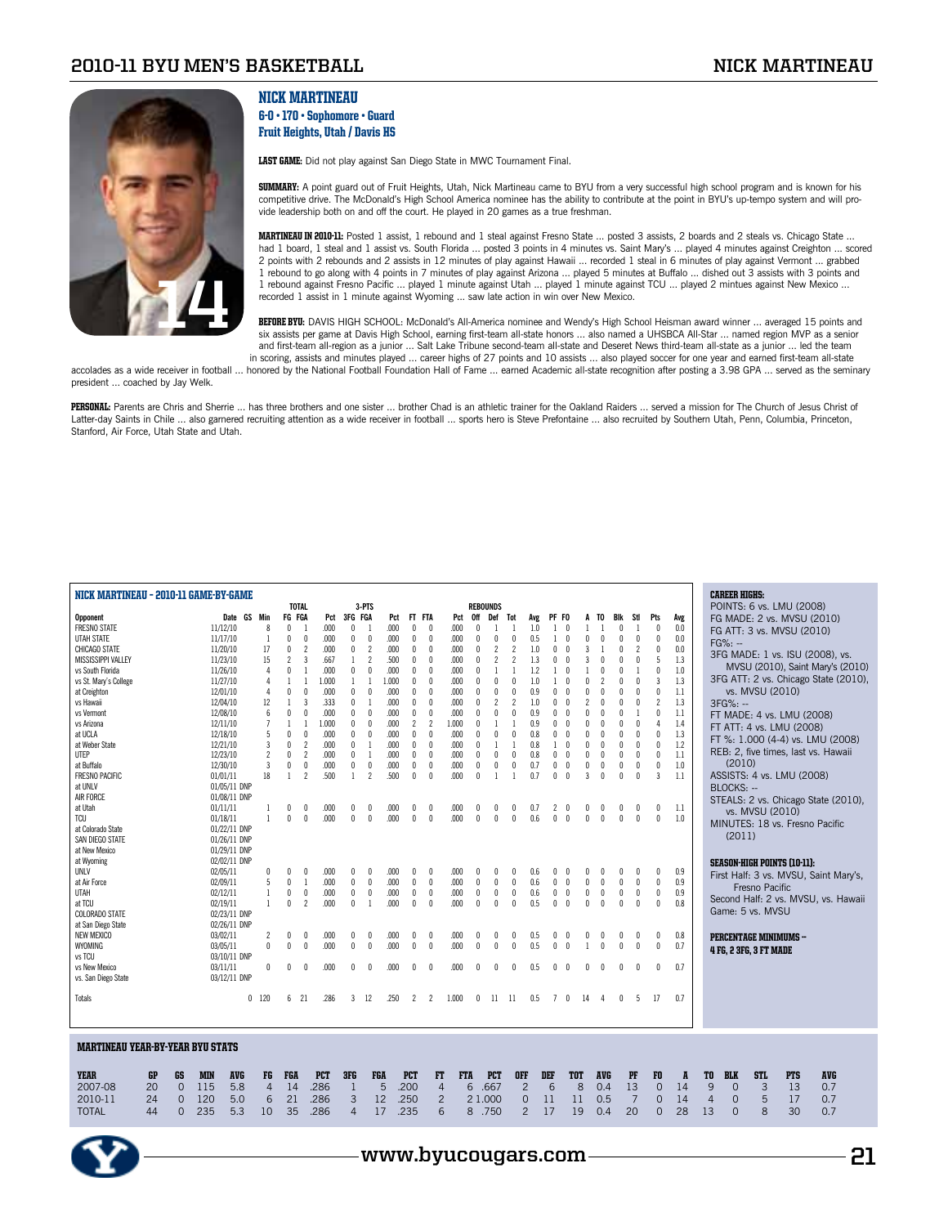

president ... coached by Jay Welk.

## Nick Martineau 6-0 • 170 • Sophomore • Guard Fruit Heights, Utah / Davis HS

LAST GAME: Did not play against San Diego State in MWC Tournament Final.

**SUMMARY:** A point guard out of Fruit Heights, Utah, Nick Martineau came to BYU from a very successful high school program and is known for his competitive drive. The McDonald's High School America nominee has the ability to contribute at the point in BYU's up-tempo system and will provide leadership both on and off the court. He played in 20 games as a true freshman.

MARTINEAU IN 2010-11: Posted 1 assist, 1 rebound and 1 steal against Fresno State ... posted 3 assists, 2 boards and 2 steals vs. Chicago State ... had 1 board, 1 steal and 1 assist vs. South Florida ... posted 3 points in 4 minutes vs. Saint Mary's ... played 4 minutes against Creighton ... scored 2 points with 2 rebounds and 2 assists in 12 minutes of play against Hawaii ... recorded 1 steal in 6 minutes of play against Vermont ... grabbed 1 rebound to go along with 4 points in 7 minutes of play against Arizona ... played 5 minutes at Buffalo ... dished out 3 assists with 3 points and 1 rebound against Fresno Pacific ... played 1 minute against Utah ... played 1 minute against TCU ... played 2 mintues against New Mexico ... recorded 1 assist in 1 minute against Wyoming ... saw late action in win over New Mexico.

BEFORE BYU: DAVIS HIGH SCHOOL: McDonald's All-America nominee and Wendy's High School Heisman award winner ... averaged 15 points and six assists per game at Davis High School, earning first-team all-state honors ... also named a UHSBCA All-Star ... named region MVP as a senior and first-team all-region as a junior ... Salt Lake Tribune second-team all-state and Deseret News third-team all-state as a junior ... led the team in scoring, assists and minutes played ... career highs of 27 points and 10 assists ... also played soccer for one year and earned first-team all-state

accolades as a wide receiver in football ... honored by the National Football Foundation Hall of Fame ... earned Academic all-state recognition after posting a 3.98 GPA ... served as the seminary

PERSONAL: Parents are Chris and Sherrie ... has three brothers and one sister ... brother Chad is an athletic trainer for the Oakland Raiders ... served a mission for The Church of Jesus Christ of Latter-day Saints in Chile ... also garnered recruiting attention as a wide receiver in football ... sports hero is Steve Prefontaine ... also recruited by Southern Utah, Penn, Columbia, Princeton, Stanford, Air Force, Utah State and Utah.

| NICK MARTINEAU - 2010-11 GAME-BY-GAME<br><b>TOTAL</b><br>3-PTS<br><b>REBOUNDS</b><br>FG FGA<br>3FG FGA<br>Min<br><b>Opponent</b><br>Date GS<br>Pct<br>Pct<br>FT FTA<br>Pct<br>0ff<br>Def<br>PF FO<br>Stl<br>Pts<br>Avg<br>Tot<br>Avg<br>TO.<br>Bik |                          |                |                          |                          |            |              |                |       |                          |                          |            |              |                   | <b>CAREER HIGHS:</b><br>POINTS: 6 vs. LMU (2008) |     |              |              |              |            |              |                |                |         |                                                     |
|----------------------------------------------------------------------------------------------------------------------------------------------------------------------------------------------------------------------------------------------------|--------------------------|----------------|--------------------------|--------------------------|------------|--------------|----------------|-------|--------------------------|--------------------------|------------|--------------|-------------------|--------------------------------------------------|-----|--------------|--------------|--------------|------------|--------------|----------------|----------------|---------|-----------------------------------------------------|
|                                                                                                                                                                                                                                                    |                          |                |                          |                          |            |              |                |       |                          |                          |            |              |                   |                                                  |     |              |              |              |            |              |                |                |         |                                                     |
|                                                                                                                                                                                                                                                    |                          |                | $\sqrt{ }$               | - 1                      |            |              |                |       |                          |                          |            |              |                   |                                                  |     |              |              |              |            |              |                |                |         | FG MADE: 2 vs. MVSU (2010)                          |
| <b>FRESNO STATE</b>                                                                                                                                                                                                                                | 11/12/10                 | 8              |                          |                          | .000       | $\mathbf{0}$ | -1             | .000  | $\mathbf{0}$             | $\Omega$                 | .000       | $\sqrt{ }$   |                   |                                                  | 1.0 |              |              |              |            | $\mathbf{0}$ |                | 0              | 0.0     | FG ATT: 3 vs. MVSU (2010)                           |
| UTAH STATE                                                                                                                                                                                                                                         | 11/17/10                 | 1              | $\mathbf 0$              | 0                        | .000       | $\mathbf{0}$ | 0              | .000  | $\mathbf{0}$             | $\mathbf{0}$             | .000       | $\Omega$     | $\mathsf{\Omega}$ | $\theta$                                         | 0.5 | -1           | $\sqrt{ }$   | $\Omega$     | $\sqrt{ }$ | $\theta$     | $\mathbf{0}$   | 0              | 0.0     | $FG\%: -$                                           |
| CHICAGO STATE                                                                                                                                                                                                                                      | 11/20/10                 | 17             | $\theta$                 | $\overline{\phantom{a}}$ | .000       | 0            | 2              | .000  | $\Omega$                 | $\Omega$                 | .000       | $\mathsf{r}$ | $\mathfrak{p}$    | $\overline{\phantom{a}}$                         | 1.0 | $\Omega$     |              |              |            | $\theta$     | $\overline{2}$ | 0              | $0.0\,$ | 3FG MADE: 1 vs. ISU (2008), vs.                     |
| MISSISSIPPI VALLEY                                                                                                                                                                                                                                 | 11/23/10                 | 15             | $\overline{\phantom{a}}$ | 3                        | .667       | $\mathbf{1}$ | 2              | .500  | $\theta$                 | $\theta$                 | .000       | $\theta$     | $\mathfrak{p}$    | $\overline{\phantom{a}}$                         | 1.3 | $\Omega$     |              |              |            | $\theta$     | $\theta$       | 5              | 1.3     |                                                     |
| vs South Florida                                                                                                                                                                                                                                   | 11/26/10                 | 4              | $\theta$                 |                          | .000       | $\mathbf{0}$ | $\theta$       | .000  | $\theta$                 | $\theta$                 | .000       |              |                   |                                                  | 1.2 |              |              |              |            |              |                | 0              | $1.0\,$ | MVSU (2010), Saint Mary's (2010)                    |
| vs St. Mary's College                                                                                                                                                                                                                              | 11/27/10                 | 4              |                          |                          | 1.000      | -1           |                | 1.000 | $\mathbf{0}$             | $\Omega$                 | .000       |              |                   |                                                  | 1.0 |              |              |              |            |              | $\Omega$       | 3              | 1.3     | 3FG ATT: 2 vs. Chicago State (2010),                |
| at Creighton                                                                                                                                                                                                                                       | 12/01/10                 | 4              | $\theta$                 | $\mathbf{0}$             | .000       | $\theta$     | $\theta$       | .000  | $\mathbf{0}$             | $\mathbf{0}$             | .000       |              |                   |                                                  | 0.9 |              |              |              |            | $\theta$     | $\Omega$       | 0              | 1.1     | vs. MVSU (2010)                                     |
| vs Hawaii                                                                                                                                                                                                                                          | 12/04/10                 | 12             | $\overline{1}$           | 3                        | .333       | $\theta$     |                | .000  | $\mathbf{0}$             | $\Omega$                 | .000       | $\mathsf{n}$ |                   | $\overline{\phantom{a}}$                         | 1.0 |              |              |              |            | $\theta$     | $\theta$       | $\overline{c}$ | 1.3     | 3FG%: --                                            |
|                                                                                                                                                                                                                                                    |                          |                | $\sqrt{ }$               | $\theta$                 |            |              |                |       |                          | $\Omega$                 |            |              | $\mathsf{\Omega}$ | $\theta$                                         |     | Λ            |              |              |            | $\theta$     |                |                |         |                                                     |
| vs Vermont                                                                                                                                                                                                                                         | 12/08/10                 | 6              |                          |                          | .000       | $\mathbf{0}$ | $\mathbf{0}$   | .000  | $\mathbf{0}$             |                          | .000       | $\mathsf{n}$ |                   |                                                  | 0.9 |              |              |              |            |              |                | 0              | 1.1     | FT MADE: 4 vs. LMU (2008)                           |
| vs Arizona                                                                                                                                                                                                                                         | 12/11/10                 | $\overline{7}$ |                          |                          | 1.000      | $\mathbf{0}$ | $\mathsf{n}$   | .000  | $\overline{\phantom{a}}$ | $\overline{\phantom{a}}$ | 1.000      | $\mathsf{n}$ |                   |                                                  | 0.9 |              |              |              |            | $\theta$     | $\Omega$       | $\Delta$       | 1.4     | FT ATT: 4 vs. LMU (2008)                            |
| at UCLA                                                                                                                                                                                                                                            | 12/18/10                 | 5              | $\theta$                 | $\mathbf{0}$             | .000       | $\theta$     | $\mathbf{0}$   | .000  | $\mathbf{0}$             | $\mathbf{0}$             | .000       |              |                   | $\theta$                                         | 0.8 | U            |              |              |            | $\theta$     | $\theta$       | 0              | 1.3     | FT %: 1.000 (4-4) vs. LMU (2008)                    |
| at Weber State                                                                                                                                                                                                                                     | 12/21/10                 | 3              | $\theta$                 | $\overline{\phantom{a}}$ | .000       | $\mathbf{0}$ |                | .000  | $\mathbf{0}$             | $\mathbf{0}$             | .000       |              |                   |                                                  | 0.8 |              |              |              |            |              | $\Omega$       | 0              | $1.2\,$ |                                                     |
| UTEP                                                                                                                                                                                                                                               | 12/23/10                 | $\overline{c}$ | $\theta$                 | $\overline{c}$           | .000       | $\theta$     |                | .000  | $\theta$                 | $\mathbf{0}$             | .000       |              |                   | $\theta$                                         | 0.8 | $\theta$     |              |              |            |              | $\Omega$       | $\mathbf{0}$   | 1.1     | REB: 2, five times, last vs. Hawaii                 |
| at Buffalo                                                                                                                                                                                                                                         | 12/30/10                 | 3              | $\theta$                 | $\mathbf{0}$             | .000       | $\mathbf{0}$ | $\theta$       | .000  | $\mathbf{0}$             | $\mathbf{0}$             | .000       | $\theta$     | 0                 | $\theta$                                         | 0.7 | 0            | $\mathbf{0}$ | $\theta$     |            | $\theta$     | $\Omega$       | $\mathbf{0}$   | 1.0     | (2010)                                              |
| <b>FRESNO PACIFIC</b>                                                                                                                                                                                                                              | 01/01/11                 | 18             | $\overline{1}$           | $\mathfrak{p}$           | .500       | $\mathbf{1}$ | $\overline{c}$ | .500  | $\mathbf{0}$             | $\mathbf{0}$             | .000       | $\mathbf{0}$ |                   |                                                  | 0.7 | $\mathsf{r}$ | $\sqrt{ }$   | 3            |            | $\theta$     | $\Omega$       | 3              | 1.1     | ASSISTS: 4 vs. LMU (2008)                           |
| at UNLV                                                                                                                                                                                                                                            | 01/05/11 DNP             |                |                          |                          |            |              |                |       |                          |                          |            |              |                   |                                                  |     |              |              |              |            |              |                |                |         |                                                     |
|                                                                                                                                                                                                                                                    |                          |                |                          |                          |            |              |                |       |                          |                          |            |              |                   |                                                  |     |              |              |              |            |              |                |                |         | BLOCKS: --                                          |
| AIR FORCE                                                                                                                                                                                                                                          | 01/08/11 DNP             |                |                          |                          |            |              |                |       |                          |                          |            |              |                   |                                                  |     |              |              |              |            |              |                |                |         | STEALS: 2 vs. Chicago State (2010),                 |
| at Utah                                                                                                                                                                                                                                            | 01/11/11                 |                | $\theta$                 | 0                        | .000       | 0            | 0              | .000  | $\mathbf{0}$             |                          | .000       | 0            |                   | 0                                                | 0.7 | 2            | 0            | 0            |            | 0            | 0              | 0              | $1.1\,$ | vs. MVSU (2010)                                     |
| <b>TCU</b>                                                                                                                                                                                                                                         | 01/18/11                 | $\mathbf{1}$   | $\sqrt{ }$               | $\theta$                 | .000       | $\mathbf{0}$ | $\mathbf{0}$   | .000  | $\mathbf{0}$             | $\mathbf{0}$             | .000       | $\mathbf{0}$ | $\mathsf{\Omega}$ | $\theta$                                         | 0.6 | $\mathbf{0}$ | $\sqrt{ }$   | $\mathbf{0}$ | $\sqrt{ }$ | $\mathbf{0}$ | $\theta$       | $\mathbf{0}$   | $1.0\,$ | MINUTES: 18 vs. Fresno Pacific                      |
| at Colorado State                                                                                                                                                                                                                                  | 01/22/11 DNP             |                |                          |                          |            |              |                |       |                          |                          |            |              |                   |                                                  |     |              |              |              |            |              |                |                |         |                                                     |
| SAN DIEGO STATE                                                                                                                                                                                                                                    | 01/26/11 DNP             |                |                          |                          |            |              |                |       |                          |                          |            |              |                   |                                                  |     |              |              |              |            |              |                |                |         | (2011)                                              |
| at New Mexico                                                                                                                                                                                                                                      | 01/29/11 DNP             |                |                          |                          |            |              |                |       |                          |                          |            |              |                   |                                                  |     |              |              |              |            |              |                |                |         |                                                     |
| at Wyoming                                                                                                                                                                                                                                         | 02/02/11 DNP             |                |                          |                          |            |              |                |       |                          |                          |            |              |                   |                                                  |     |              |              |              |            |              |                |                |         |                                                     |
| UNLV                                                                                                                                                                                                                                               | 02/05/11                 | 0              | $\sqrt{ }$               | n                        |            | n            | n              | .000  | n                        | n                        | .000       |              |                   |                                                  |     |              |              |              |            |              | n              | n              | 0.9     | <b>SEASON-HIGH POINTS (10-11):</b>                  |
|                                                                                                                                                                                                                                                    |                          |                |                          |                          | .000       |              |                | .000  |                          |                          |            |              |                   |                                                  | 0.6 |              | $\sqrt{ }$   |              | $\sqrt{ }$ | $\theta$     |                | $\mathbf{0}$   | 0.9     | First Half: 3 vs. MVSU, Saint Mary's,               |
| at Air Force                                                                                                                                                                                                                                       | 02/09/11                 | 5              | $\theta$                 | $\mathbf{1}$             | .000       | $\mathbf{0}$ | $\mathbf{0}$   |       | $\mathbf{0}$             | $\mathbf{0}$             | .000       | $\theta$     | $\mathbf{0}$      | $\theta$                                         | 0.6 | 0            |              | $\theta$     |            |              | $\theta$       |                |         | Fresno Pacific                                      |
| UTAH                                                                                                                                                                                                                                               | 02/12/11                 | 1              | $\theta$                 | $\mathbf{0}$             | .000       | 0            | 0              | .000  | $\mathbf{0}$             | $\mathbf{0}$             | .000       | 0            | $\mathbf{0}$      | 0                                                | 0.6 | 0            | $\sqrt{ }$   | $\theta$     | n          | $\mathbf 0$  | 0              | 0              | 0.9     | Second Half: 2 vs. MVSU, vs. Hawaii                 |
| at TCU                                                                                                                                                                                                                                             | 02/19/11                 | $\mathbf{1}$   | $\sqrt{ }$               | $\overline{\phantom{a}}$ | .000       | $\theta$     |                | .000  | $\Omega$                 | $\mathbf{0}$             | .000       | $\Omega$     | $\Omega$          | $\theta$                                         | 0.5 | $\Omega$     | $\sqrt{ }$   | $\theta$     | $\sqrt{ }$ | $\theta$     | $\theta$       | $\mathbf{0}$   | 0.8     |                                                     |
| <b>COLORADO STATE</b>                                                                                                                                                                                                                              | 02/23/11 DNP             |                |                          |                          |            |              |                |       |                          |                          |            |              |                   |                                                  |     |              |              |              |            |              |                |                |         | Game: 5 vs. MVSU                                    |
| at San Diego State                                                                                                                                                                                                                                 | 02/26/11 DNP             |                |                          |                          |            |              |                |       |                          |                          |            |              |                   |                                                  |     |              |              |              |            |              |                |                |         |                                                     |
| <b>NEW MEXICO</b>                                                                                                                                                                                                                                  | 03/02/11                 |                | $\theta$                 | 0                        | .000       | 0            | 0              | .000  | $\mathbf{0}$             | $\mathbf{0}$             | .000       | $\mathbf{0}$ |                   | $\theta$                                         | 0.5 | 0            | $\sqrt{ }$   | 0            |            | $\theta$     | 0              | 0              | 0.8     | <b>PERCENTAGE MINIMUMS -</b>                        |
| WYOMING                                                                                                                                                                                                                                            | 03/05/11                 | $\mathbf{0}$   | $\sqrt{ }$               | $\mathbf{0}$             | .000       | $\mathbf{0}$ | $\mathsf{n}$   | .000  | $\Omega$                 | $\mathsf{n}$             | .000       | $\Omega$     | n                 | $\theta$                                         | 0.5 | $\mathbf{0}$ | $\sqrt{ }$   |              |            | $\theta$     | $\theta$       | $\mathbf{0}$   | 0.7     |                                                     |
|                                                                                                                                                                                                                                                    |                          |                |                          |                          |            |              |                |       |                          |                          |            |              |                   |                                                  |     |              |              |              |            |              |                |                |         | <b>4 FG, 2 3FG, 3 FT MADE</b>                       |
| vs TCU                                                                                                                                                                                                                                             | 03/10/11 DNP             |                |                          |                          |            |              |                |       |                          |                          |            |              |                   |                                                  |     |              |              |              |            |              |                |                |         |                                                     |
| vs New Mexico                                                                                                                                                                                                                                      | 03/11/11                 | $\mathbf{0}$   | $\sqrt{ }$               | $\mathbf{0}$             | .000       | $\theta$     | $\theta$       | .000  | $\theta$                 | $\mathbf{0}$             | .000       | $\mathbf{0}$ | Λ                 | $\mathsf{r}$                                     | 0.5 | $\mathbf{0}$ | $\sqrt{ }$   | n            |            |              | $\Omega$       | $\mathbf{0}$   | 0.7     |                                                     |
| vs. San Diego State                                                                                                                                                                                                                                | 03/12/11 DNP             |                |                          |                          |            |              |                |       |                          |                          |            |              |                   |                                                  |     |              |              |              |            |              |                |                |         |                                                     |
| Totals                                                                                                                                                                                                                                             |                          | $0$ 120        | 6                        | -21                      | .286       | 3            | -12            | .250  | 2                        | 2                        | 1.000      | 0            | -11               | - 11                                             | 0.5 | 7            | $\mathbf{0}$ | 14           | 4          | $\mathbf{0}$ | 5              | 17             | 0.7     |                                                     |
|                                                                                                                                                                                                                                                    |                          |                |                          |                          |            |              |                |       |                          |                          |            |              |                   |                                                  |     |              |              |              |            |              |                |                |         |                                                     |
|                                                                                                                                                                                                                                                    |                          |                |                          |                          |            |              |                |       |                          |                          |            |              |                   |                                                  |     |              |              |              |            |              |                |                |         |                                                     |
| <b>MARTINEAU YEAR-BY-YEAR BYU STATS</b>                                                                                                                                                                                                            |                          |                |                          |                          |            |              |                |       |                          |                          |            |              |                   |                                                  |     |              |              |              |            |              |                |                |         |                                                     |
|                                                                                                                                                                                                                                                    |                          |                |                          |                          |            |              |                |       |                          |                          |            |              |                   |                                                  |     |              |              |              |            |              |                |                |         |                                                     |
| GP<br><b>YEAR</b><br>GS                                                                                                                                                                                                                            | <b>MIN</b><br><b>AVG</b> | FG             | FGA                      |                          | <b>PCT</b> | 3FG          | <b>FGA</b>     |       | <b>PCT</b>               | FT                       | <b>FTA</b> |              | <b>PCT</b>        | <b>OFF</b>                                       |     | DEF          | <b>TOT</b>   |              | <b>AVG</b> |              | PF             | F0             | A       | <b>AVG</b><br>TO<br><b>BLK</b><br>STL<br><b>PTS</b> |

2007-08 20 0 115 5.8 4 14 .286 1 5 .200 4 6 .667 2 6 8 0.4 13 0 14 9 0 3 13 0.7 2010-11 24 0 120 5.0 6 21 .286 3 12 .250 2 2 1.000 0 11 11 0.5 7 0 14 4 0 5 17 0.7 TOTAL 44 0 235 5.3 10 35 .286 4 17 .235 6 8 .750 2 17 19 0.4 20 0 28 13 0 8 30 0.7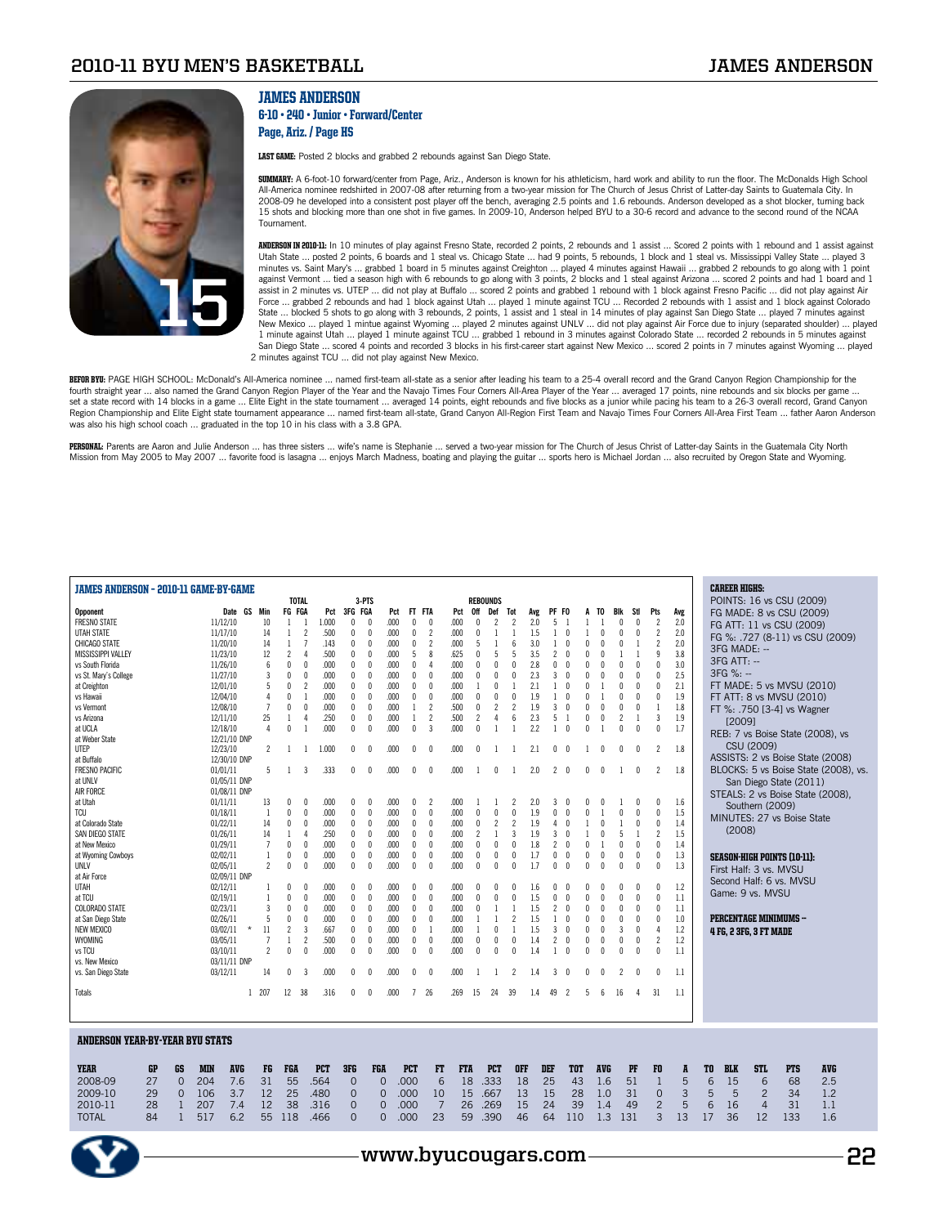

## JAMES ANDERSON

#### 6-10 • 240 • Junior • Forward/Center Page, Ariz. / Page HS

LAST GAME: Posted 2 blocks and grabbed 2 rebounds against San Diego State.

SUMMARY: A 6-foot-10 forward/center from Page, Ariz., Anderson is known for his athleticism, hard work and ability to run the floor. The McDonalds High School All-America nominee redshirted in 2007-08 after returning from a two-year mission for The Church of Jesus Christ of Latter-day Saints to Guatemala City. In<br>2008-09 he developed into a consistent post player off the bench, 15 shots and blocking more than one shot in five games. In 2009-10, Anderson helped BYU to a 30-6 record and advance to the second round of the NCAA Tournament.

ANDERSON IN 2010-11: In 10 minutes of play against Fresno State, recorded 2 points, 2 rebounds and 1 assist ... Scored 2 points with 1 rebound and 1 assist against Utah State ... posted 2 points, 6 boards and 1 steal vs. Chicago State ... had 9 points, 5 rebounds, 1 block and 1 steal vs. Mississippi Valley State ... played 3 minutes vs. Saint Mary's … grabbed 1 board in 5 minutes against Creighton … played 4 minutes against Hawaii … grabbed 2 rebounds to go along with 1 point<br>against Vermont … tied a season high with 6 rebounds to go along wit assist in 2 minutes vs. UTEP ... did not play at Buffalo ... scored 2 points and grabbed 1 rebound with 1 block against Fresno Pacific ... did not play against Air Force ... grabbed 2 rebounds and had 1 block against Utah ... played 1 minute against TCU ... Recorded 2 rebounds with 1 assist and 1 block against Colorado State ... blocked 5 shots to go along with 3 rebounds, 2 points, 1 assist and 1 steal in 14 minutes of play against San Diego State ... played 7 minutes against New Mexico … played 1 mintue against Wyoming … played 2 minutes against UNLV … did not play against Air Force due to injury (separated shoulder) … played<br>1 minute against Utah … played 1 minute against TCU … grabbed 1 rebo San Diego State ... scored 4 points and recorded 3 blocks in his first-career start against New Mexico ... scored 2 points in 7 minutes against Wyoming ... played 2 minutes against TCU ... did not play against New Mexico.

**BEFOR BYU:** PAGE HIGH SCHOOL: McDonald's All-America nominee … named first-team all-state as a senior after leading his team to a 25-4 overall record and the Grand Canyon Region Championship for the<br>fourth straight year … set a state record with 14 blocks in a game ... Elite Eight in the state tournament ... averaged 14 points, eight rebounds and five blocks as a junior while pacing his team to a 26-3 overall record, Grand Canyon Region Championship and Elite Eight state tournament appearance ... named first-team all-state, Grand Canyon All-Region First Team and Navajo Times Four Corners All-Area First Team ... father Aaron Anderson was also his high school coach ... graduated in the top 10 in his class with a 3.8 GPA.

PERSONAL: Parents are Aaron and Julie Anderson ... has three sisters ... wife's name is Stephanie ... served a two-year mission for The Church of Jesus Christ of Latter-day Saints in the Guatemala City North Mission from May 2005 to May 2007 ... favorite food is lasagna ... enjoys March Madness, boating and playing the guitar ... sports hero is Michael Jordan ... also recruited by Oregon State and Wyoming.

| JAMES ANDERSON - 2010-11 GAME-BY-GAME  |                    |            |                     |                |                |                          |            |                |              |      |                |                          |            |                          |                |                          |     |                |                          |                |              |                |                |                |                  |    | <b>CAREER HIGHS:</b> |                               |                                    |                                      |  |
|----------------------------------------|--------------------|------------|---------------------|----------------|----------------|--------------------------|------------|----------------|--------------|------|----------------|--------------------------|------------|--------------------------|----------------|--------------------------|-----|----------------|--------------------------|----------------|--------------|----------------|----------------|----------------|------------------|----|----------------------|-------------------------------|------------------------------------|--------------------------------------|--|
|                                        |                    |            |                     |                | <b>TOTAL</b>   |                          |            |                | 3-PTS        |      |                |                          |            | <b>REBOUNDS</b>          |                |                          |     |                |                          |                |              |                |                |                |                  |    |                      |                               | POINTS: 16 vs CSU (2009)           |                                      |  |
| Opponent                               |                    |            | Date GS             | Min            | FG FGA         |                          | Pct        | 3FG FGA        |              | Pct  | FT FTA         |                          | Pct        | 0ff                      | Def            | Tot                      | Avg | PF FO          |                          | A              | TO           | Blk            | Stl            | Pts            | Avg              |    |                      |                               | FG MADE: 8 vs CSU (2009)           |                                      |  |
| <b>FRESNO STATE</b>                    |                    |            | 11/12/10            | 10             | $\overline{1}$ | $\overline{1}$           | 1.000      | $\mathbf{0}$   | $\Omega$     | .000 | $\mathbf{0}$   | $\theta$                 | .000       | $\theta$                 | $\mathfrak{p}$ | $\overline{\phantom{a}}$ | 2.0 | 5              |                          |                |              | $\theta$       | $\theta$       | $\overline{c}$ | 2.0              |    |                      |                               | FG ATT: 11 vs CSU (2009)           |                                      |  |
| UTAH STATE                             |                    |            | 11/17/10            | 14             | 1              | $\overline{2}$           | .500       | 0              | $\mathbf{0}$ | .000 | 0              | $\overline{2}$           | .000       | $\theta$                 | 1              | 1                        | 1.5 | 1              | $\mathbf{0}$             | 1              |              | 0              | $\Omega$       | $\overline{2}$ | 2.0              |    |                      |                               |                                    | FG %: .727 (8-11) vs CSU (2009)      |  |
| CHICAGO STATE                          |                    |            | 11/20/10            | 14             | $\mathbf{1}$   | $\overline{7}$           | .143       | $\mathbf 0$    | $\mathbf{0}$ | .000 | $\mathbf 0$    | $\overline{\phantom{a}}$ | .000       | 5                        | $\mathbf{1}$   | $6\overline{6}$          | 3.0 | 1              | $\theta$                 | $\overline{0}$ |              | $\theta$       |                | $\overline{c}$ | 2.0              |    |                      |                               |                                    |                                      |  |
| MISSISSIPPI VALLEY                     |                    |            | 11/23/10            | 12             | $\overline{2}$ | $\Delta$                 | .500       | $\mathbf{0}$   | $\Omega$     | .000 | 5              | $\mathbf{8}$             | .625       | $\Omega$                 | 5              | 5                        | 3.5 | $\overline{c}$ | $\sqrt{ }$               | $\theta$       |              |                |                | 9              | 3.8              |    |                      | 3FG MADE: --                  |                                    |                                      |  |
| vs South Florida                       |                    |            | 11/26/10            | 6              | $\mathbf{0}$   | $\mathbf{0}$             | .000       | $\mathbf{0}$   | 0            | .000 | $\mathbf{0}$   | 4                        | .000       | $\Omega$                 | $\theta$       | $\Omega$                 | 2.8 | $\Omega$       | $\theta$                 | O              | $\mathbf{0}$ | $\mathsf{n}$   | $\Omega$       | $\mathbf{0}$   | 3.0              |    | $3FG$ ATT: $-$       |                               |                                    |                                      |  |
| vs St. Mary's College                  |                    |            | 11/27/10            | 3              | $\mathbf{0}$   | 0                        | .000       | 0              | 0            | .000 | 0              | $\mathsf{r}$             | .000       | $\theta$                 | $\theta$       | $\theta$                 | 2.3 | 3              | $\mathbf{0}$             | 0              |              | $\theta$       | $\theta$       | $\mathbf 0$    | 2.5              |    | 3FG %: --            |                               |                                    |                                      |  |
|                                        |                    |            |                     | 5              | $\mathbf{0}$   | $\overline{\phantom{a}}$ | .000       |                | $\mathbf{0}$ | .000 |                | $\theta$                 | .000       |                          | $\theta$       |                          | 2.1 |                | $\sqrt{ }$               | 0              |              | $\mathsf{n}$   | $\Omega$       | $\mathbf 0$    | 2.1              |    |                      |                               |                                    | FT MADE: 5 vs MVSU (2010)            |  |
| at Creighton                           |                    |            | 12/01/10            |                |                |                          |            | 0              |              |      | 0              |                          |            |                          |                |                          |     |                |                          |                |              |                |                |                |                  |    |                      |                               |                                    |                                      |  |
| vs Hawaii                              |                    |            | 12/04/10            | $\overline{4}$ | $\mathbf{0}$   | $\overline{1}$           | .000       | $\mathbf{0}$   | $\mathbf{0}$ | .000 | $\mathbf{0}$   | $\Omega$                 | .000       | $\Omega$                 | $\Omega$       | $\theta$                 | 1.9 | 1              | $\theta$                 | $\theta$       |              | $\mathbf{0}$   | $\Omega$       | $\mathbf{0}$   | 1.9              |    |                      |                               | FT ATT: 8 vs MVSU (2010)           |                                      |  |
| vs Vermont                             |                    |            | 12/08/10            | $\overline{1}$ | $\mathbf{0}$   | $\mathbf{0}$             | .000       | $\mathbf{0}$   | 0            | .000 | $\mathbf{1}$   | $\overline{\phantom{a}}$ | .500       | $\theta$                 | $\mathfrak{p}$ | $\overline{\phantom{a}}$ | 1.9 | 3              | $\theta$                 | $\theta$       |              | $\mathsf{n}$   | $\Omega$       | $\mathbf{1}$   | 1.8              |    |                      |                               | FT %: .750 [3-4] vs Wagner         |                                      |  |
| vs Arizona                             |                    |            | 12/11/10            | 25             | -1             | 4                        | .250       | $\mathbf{0}$   | 0            | .000 | 1              | $\overline{c}$           | .500       | 2                        | 4              | $6\overline{6}$          | 2.3 | 5              | $\overline{1}$           | 0              | $\theta$     | $\overline{2}$ | $\mathbf{1}$   | 3              | 1.9              |    | [2009]               |                               |                                    |                                      |  |
| at UCLA                                |                    |            | 12/18/10            | $\overline{a}$ | $\mathbf{0}$   | $\overline{1}$           | .000       | $\mathbf{0}$   | $\mathbf{0}$ | .000 | 0              | $\overline{3}$           | .000       | $\Omega$                 |                | 1                        | 2.2 | 1              | $\sqrt{ }$               | $\theta$       |              | $\mathbf{0}$   | $\Omega$       | $\mathbf 0$    | 1.7              |    |                      |                               |                                    |                                      |  |
| at Weber State                         |                    |            | 12/21/10 DNP        |                |                |                          |            |                |              |      |                |                          |            |                          |                |                          |     |                |                          |                |              |                |                |                |                  |    |                      |                               |                                    | REB: 7 vs Boise State (2008), vs     |  |
| UTEP                                   |                    |            | 12/23/10            | $\overline{c}$ | $\overline{1}$ | $\overline{1}$           | 1.000      | $\mathbf{0}$   | $\Omega$     | .000 | $\mathbf{0}$   | $\theta$                 | .000       | n                        |                | -1                       | 2.1 | 0              | $\theta$                 | -1             |              | $\mathbf{0}$   | $\Omega$       | $\overline{2}$ | 1.8              |    |                      | CSU (2009)                    |                                    |                                      |  |
| at Buffalo                             |                    |            | 12/30/10 DNP        |                |                |                          |            |                |              |      |                |                          |            |                          |                |                          |     |                |                          |                |              |                |                |                |                  |    |                      |                               |                                    | ASSISTS: 2 vs Boise State (2008)     |  |
| <b>FRESNO PACIFIC</b>                  |                    |            | 01/01/11            | 5              | -1             | 3                        | .333       | $\mathbf{0}$   | 0            | .000 | 0              | $\mathsf{n}$             | .000       | -1                       | $\mathbf 0$    | -1                       | 2.0 | 2              | $\mathbf{0}$             | $\mathbf 0$    | $\mathbf{0}$ | $\mathbf{1}$   | $\mathbf{0}$   | $\overline{2}$ | 1.8              |    |                      |                               |                                    | BLOCKS: 5 vs Boise State (2008), vs. |  |
| at UNLV                                |                    |            | 01/05/11 DNP        |                |                |                          |            |                |              |      |                |                          |            |                          |                |                          |     |                |                          |                |              |                |                |                |                  |    |                      |                               | San Diego State (2011)             |                                      |  |
| AIR FORCE                              |                    |            | 01/08/11 DNP        |                |                |                          |            |                |              |      |                |                          |            |                          |                |                          |     |                |                          |                |              |                |                |                |                  |    |                      |                               |                                    |                                      |  |
| at Utah                                |                    |            | 01/11/11            | 13             | $\theta$       | $\mathbf{0}$             | .000       | $\mathbf{0}$   | $\Omega$     | .000 | $\Omega$       | $\overline{\phantom{a}}$ | .000       |                          |                | $\overline{\phantom{a}}$ | 2.0 | 3              | $\mathbf{0}$             | Λ              |              |                | $\sqrt{ }$     | $\mathbf{0}$   | $1.6\phantom{0}$ |    |                      |                               |                                    | STEALS: 2 vs Boise State (2008),     |  |
| <b>TCU</b>                             |                    |            | 01/18/11            | $\overline{1}$ | $\mathbf{0}$   | $\mathbf{0}$             | .000       | $\mathbf{0}$   | 0            | .000 | $\mathbf{0}$   | $\theta$                 | .000       | $\Omega$                 | $\theta$       | $\theta$                 | 1.9 | $\mathbf{0}$   | $\theta$                 | $\theta$       |              | $\theta$       | $\theta$       | $\mathbf{0}$   | 1.5              |    |                      | Southern (2009)               |                                    |                                      |  |
|                                        |                    |            | 01/22/11            |                |                | $\mathbf{0}$             | .000       |                |              | .000 |                | $\mathsf{n}$             | .000       | n                        | $\overline{c}$ | $\overline{\phantom{a}}$ | 1.9 |                | $\sqrt{ }$               | 1              |              | $\mathbf{1}$   | $\Omega$       |                | 1.4              |    |                      |                               | MINUTES: 27 vs Boise State         |                                      |  |
| at Colorado State                      |                    |            |                     | 14             | $\mathbf{0}$   |                          |            | 0              | 0            |      | 0              |                          |            |                          |                |                          |     | 4              |                          |                |              |                |                | $\mathbf 0$    |                  |    | (2008)               |                               |                                    |                                      |  |
| SAN DIEGO STATE                        |                    |            | 01/26/11            | 14             | $\mathbf{1}$   | $\overline{4}$           | .250       | 0              | $\mathbf{0}$ | .000 | 0              | $\theta$                 | .000       | $\overline{\phantom{a}}$ | $\overline{1}$ | $\overline{3}$           | 1.9 | 3              | $\theta$                 | 1              | $\theta$     | 5              | $\overline{1}$ | $\overline{2}$ | 1.5              |    |                      |                               |                                    |                                      |  |
| at New Mexico                          |                    |            | 01/29/11            | $\overline{7}$ | $\mathbf{0}$   | $\mathbf{0}$             | .000       | 0              | 0            | .000 | 0              | $\theta$                 | .000       | $\theta$                 | $\theta$       | $\Omega$                 | 1.8 | $\overline{c}$ | $\theta$                 | 0              |              | $\mathsf{n}$   | $\theta$       | $\mathbf 0$    | 1.4              |    |                      |                               |                                    |                                      |  |
| at Wyoming Cowboys                     |                    |            | 02/02/11            | 1              | $\mathbf{0}$   | $\mathbf 0$              | .000       | 0              | 0            | .000 | 0              | $\theta$                 | .000       | 0                        | $\theta$       | $\theta$                 | 1.7 | $\theta$       | $\theta$                 | 0              |              | $\theta$       | $\theta$       | $\mathbf 0$    | 1.3              |    |                      |                               | <b>SEASON-HIGH POINTS (10-11):</b> |                                      |  |
| <b>UNLV</b>                            |                    |            | 02/05/11            | $\overline{c}$ | $\theta$       | $\mathbf{0}$             | .000       | $\mathbf{0}$   | $\mathbf{0}$ | .000 | $\mathbf{0}$   | $\theta$                 | .000       | $\Omega$                 | $\Omega$       | $\Omega$                 | 1.7 | $\mathbf{0}$   | $\mathbf{0}$             | $\theta$       |              | $\mathbf{0}$   | $\Omega$       | $\mathbf{0}$   | 1.3              |    |                      |                               | First Half: 3 vs. MVSU             |                                      |  |
| at Air Force                           |                    |            | 02/09/11 DNP        |                |                |                          |            |                |              |      |                |                          |            |                          |                |                          |     |                |                          |                |              |                |                |                |                  |    |                      |                               | Second Half: 6 vs. MVSU            |                                      |  |
| <b>UTAH</b>                            |                    |            | 02/12/11            | $\overline{1}$ | $\theta$       | $\mathbf{0}$             | .000       | 0              | $\theta$     | .000 | 0              | $\Omega$                 | .000       | U                        | O              |                          | 1.6 | 0              |                          | ſ              |              | $\mathsf{r}$   | $\sqrt{ }$     | $\theta$       | 1.2              |    |                      |                               |                                    |                                      |  |
| at TCU                                 |                    |            | 02/19/11            | $\overline{1}$ | $\theta$       | $\mathbf{0}$             | .000       | $\mathbf{0}$   | 0            | .000 | $\mathbf{0}$   | $\theta$                 | .000       | $\Omega$                 | $\Omega$       | $\Omega$                 | 1.5 | $\theta$       | $\theta$                 | $\theta$       | $\theta$     | $\mathsf{n}$   | $\Omega$       | $\mathbf{0}$   | 1.1              |    |                      | Game: 9 vs. MVSU              |                                    |                                      |  |
| <b>COLORADO STATE</b>                  |                    |            | 02/23/11            | $\overline{3}$ | $\theta$       | $\mathbf{0}$             | .000       | $\mathbf{0}$   | $\Omega$     | .000 | $\mathbf{0}$   | $\mathsf{n}$             | .000       | n                        |                | $\mathbf{1}$             | 1.5 | $\overline{2}$ | $\mathbf{0}$             | $\mathbf{0}$   |              | $\mathbf{0}$   | $\theta$       | $\mathbf{0}$   | 1.1              |    |                      |                               |                                    |                                      |  |
| at San Diego State                     |                    |            | 02/26/11            | 5              | $\theta$       | $\mathbf{0}$             | .000       | $\mathbf{0}$   | $\theta$     | .000 | $\mathbf{0}$   | $\mathbf{0}$             | .000       |                          | $\mathbf{1}$   | $\overline{\phantom{a}}$ | 1.5 | $\mathbf{1}$   | $\theta$                 | $\theta$       | $\theta$     | $\theta$       | $\Omega$       | $\mathbf{0}$   | 1.0              |    |                      |                               | PERCENTAGE MINIMUMS -              |                                      |  |
| <b>NEW MEXICO</b>                      |                    |            | 03/02/11<br>$\star$ | 11             | $\overline{c}$ | 3                        | .667       | $\mathbf 0$    | 0            | .000 | 0              | $\mathbf{1}$             | .000       |                          | $\theta$       | $\mathbf{1}$             | 1.5 | 3              | $\theta$                 | 0              |              | 3              | $\theta$       | $\overline{4}$ | 1.2              |    |                      |                               |                                    |                                      |  |
| WYOMING                                |                    |            | 03/05/11            | $\overline{7}$ | $\overline{1}$ | $\overline{2}$           | .500       | 0              | 0            | .000 | 0              | $\theta$                 | .000       | $\Omega$                 | $\Omega$       | $\Omega$                 | 1.4 | $\overline{c}$ | $\theta$                 | $\theta$       | $\theta$     | $\theta$       | $\mathbf{0}$   | 2              | 1.2              |    |                      | <b>4 FG, 2 3FG, 3 FT MADE</b> |                                    |                                      |  |
| vs TCU                                 |                    |            | 03/10/11            | $\overline{2}$ | $\theta$       | $\mathbf{0}$             | .000       | $\mathbf{0}$   | $\Omega$     | .000 | $\mathbf{0}$   | $\mathbf{0}$             | .000       | $\Omega$                 | $\mathsf{n}$   | $\mathbf{0}$             | 1.4 | 1              | $\mathbf{0}$             | $\theta$       |              | $\mathbf{0}$   | $\Omega$       | $\mathbf{0}$   | 1.1              |    |                      |                               |                                    |                                      |  |
|                                        |                    |            |                     |                |                |                          |            |                |              |      |                |                          |            |                          |                |                          |     |                |                          |                |              |                |                |                |                  |    |                      |                               |                                    |                                      |  |
| vs. New Mexico                         |                    |            | 03/11/11 DNP        |                |                |                          |            |                |              |      |                |                          |            |                          |                |                          |     |                |                          |                |              |                |                |                |                  |    |                      |                               |                                    |                                      |  |
| vs. San Diego State                    |                    |            | 03/12/11            | 14             | $\theta$       | 3                        | .000       | 0              | 0            | .000 | 0              | $\theta$                 | .000       | -1                       |                | $\overline{\phantom{a}}$ | 1.4 | 3              | n                        | $\theta$       |              | $\gamma$       | $\theta$       | $\mathbf{0}$   | 1.1              |    |                      |                               |                                    |                                      |  |
| Totals                                 |                    |            | $\mathbf{1}$        | 207            | 12             | -38                      | .316       | $\mathsf{U}$   | $\Omega$     | .000 | $\overline{7}$ | 26                       | .269       | 15                       | 24             | 39                       | 1.4 | 49             | $\overline{\phantom{a}}$ | .5             | ĥ            | 16             | 4              | 31             | 1.1              |    |                      |                               |                                    |                                      |  |
|                                        |                    |            |                     |                |                |                          |            |                |              |      |                |                          |            |                          |                |                          |     |                |                          |                |              |                |                |                |                  |    |                      |                               |                                    |                                      |  |
|                                        |                    |            |                     |                |                |                          |            |                |              |      |                |                          |            |                          |                |                          |     |                |                          |                |              |                |                |                |                  |    |                      |                               |                                    |                                      |  |
|                                        |                    |            |                     |                |                |                          |            |                |              |      |                |                          |            |                          |                |                          |     |                |                          |                |              |                |                |                |                  |    |                      |                               |                                    |                                      |  |
| <b>ANDERSON YEAR-BY-YEAR BYU STATS</b> |                    |            |                     |                |                |                          |            |                |              |      |                |                          |            |                          |                |                          |     |                |                          |                |              |                |                |                |                  |    |                      |                               |                                    |                                      |  |
|                                        |                    |            |                     |                |                |                          |            |                |              |      |                |                          |            |                          |                |                          |     |                |                          |                |              |                |                |                |                  |    |                      |                               |                                    |                                      |  |
| <b>YEAR</b>                            | GP<br>GS           | <b>MIN</b> | <b>AVG</b>          | FG             | <b>FGA</b>     |                          | <b>PCT</b> | 3FG            | FGA          |      | <b>PCT</b>     | <b>FT</b>                | <b>FTA</b> |                          | <b>PCT</b>     | <b>OFF</b>               |     | DEF            | <b>TOT</b>               |                | <b>AVG</b>   |                | PF             | FO             | Ā                | TO | <b>BLK</b>           | STL                           | <b>PTS</b>                         | <b>AVG</b>                           |  |
| 2008-09<br>27                          | $\Omega$           | 204        | 7.6                 | 31             | 55             |                          |            |                | $\Omega$     |      | .000           | 6                        | 18         |                          | .333           |                          |     | 25             | 43                       |                | 1.6          | 51             |                | $\mathbf{1}$   | 5                | 6  | 15                   |                               | 68                                 | 2.5                                  |  |
|                                        |                    |            |                     |                |                |                          | 564        | $\overline{0}$ |              |      |                |                          |            |                          |                | 18                       |     |                |                          |                |              |                |                |                |                  |    |                      | 6                             |                                    |                                      |  |
| 2009-10                                | 29<br>$\Omega$     | 106        | 3.7                 | 12             | 25             |                          | .480       | $\overline{0}$ | $\Omega$     |      | .000           | 10                       | 15         |                          | .667           | 13                       |     | 15             | 28                       |                | 1.0          | 31             |                | $\overline{0}$ | 3                | 5  | 5                    | $\overline{2}$                | 34                                 | 1.2                                  |  |
| 2010-11                                | 28<br>$\mathbf{1}$ | 207        | 7.4                 | 12             | 38             |                          | .316       | $\overline{0}$ | $\Omega$     |      | .000           | $\overline{7}$           | 26         |                          | .269           | 15                       |     | 24             | 39                       |                | 1.4          | 49             |                | $\overline{c}$ | 5                | 6  | 16                   | $\overline{4}$                | 31                                 | 1.1                                  |  |
| <b>TOTAL</b>                           | 84<br>$\mathbf{1}$ | 517        | 6.2                 | 55             | 118            |                          | .466       | $\Omega$       | $\Omega$     |      | .000           | 23                       | 59         |                          | .390           | 46                       |     | 64             | 110                      |                | 1.3          | 131            |                | 3              | 13               | 17 | 36                   | 12                            | 133                                | 1.6                                  |  |
|                                        |                    |            |                     |                |                |                          |            |                |              |      |                |                          |            |                          |                |                          |     |                |                          |                |              |                |                |                |                  |    |                      |                               |                                    |                                      |  |
| -                                      |                    |            |                     |                |                |                          |            |                |              |      |                |                          |            |                          |                |                          |     |                |                          |                |              |                |                |                |                  |    |                      |                               |                                    |                                      |  |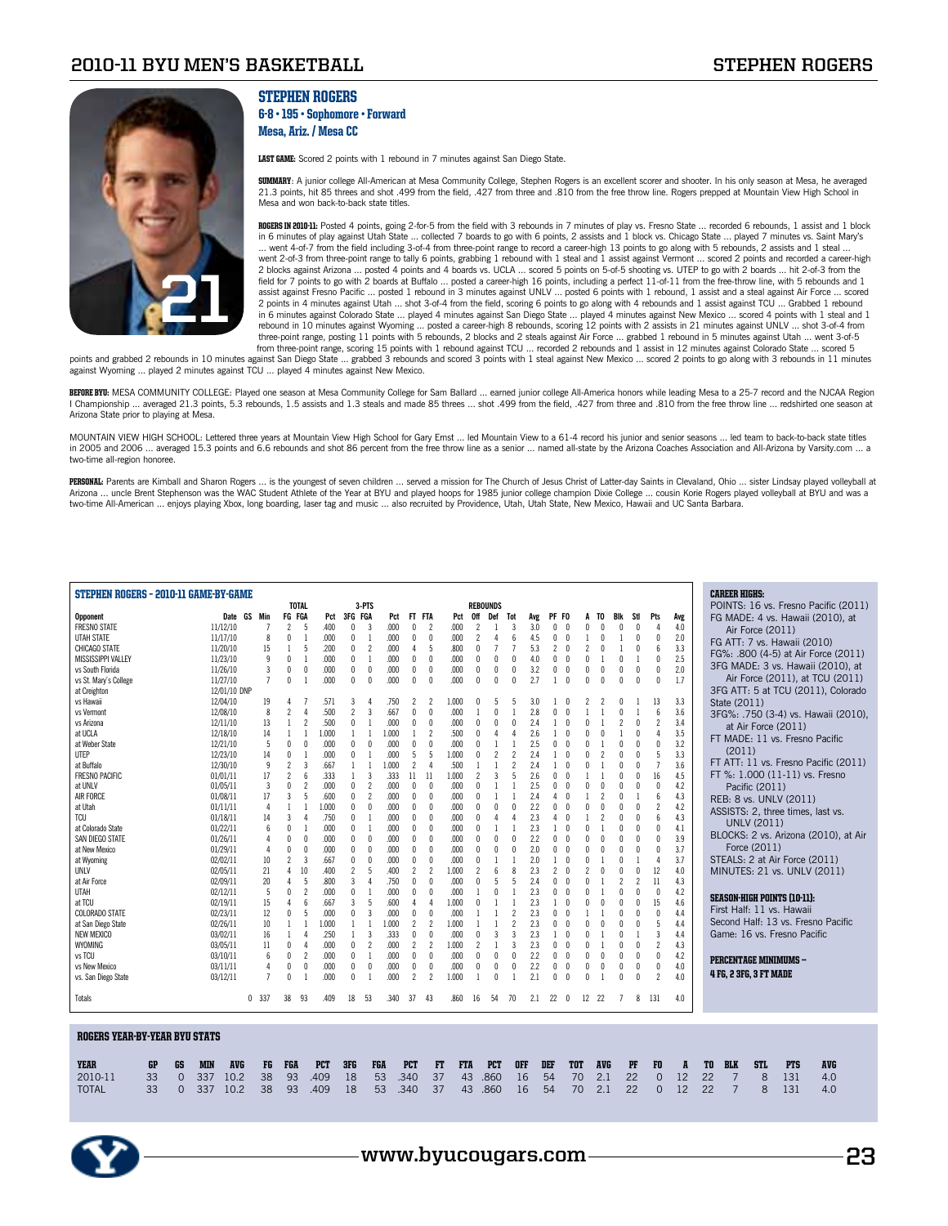

## Stephen Rogers

#### 6-8 • 195 • Sophomore • Forward Mesa, Ariz. / Mesa CC

LAST GAME: Scored 2 points with 1 rebound in 7 minutes against San Diego State.

**SUMMARY:** A junior college All-American at Mesa Community College, Stephen Rogers is an excellent scorer and shooter. In his only season at Mesa, he averaged 21.3 points, hit 85 threes and shot .499 from the field, .427 from three and .810 from the free throw line. Rogers prepped at Mountain View High School in Mesa and won back-to-back state titles.

ROGERS IN 2010-11: Posted 4 points, going 2-for-5 from the field with 3 rebounds in 7 minutes of play vs. Fresno State ... recorded 6 rebounds, 1 assist and 1 block in 6 minutes of play against Utah State ... collected 7 boards to go with 6 points, 2 assists and 1 block vs. Chicago State ... played 7 minutes vs. Saint Mary's ... went 4-of-7 from the field including 3-of-4 from three-point range to record a career-high 13 points to go along with 5 rebounds, 2 assists and 1 steal ... went 2-of-3 from three-point range to tally 6 points, grabbing 1 rebound with 1 steal and 1 assist against Vermont ... scored 2 points and recorded a career-high 2 blocks against Arizona ... posted 4 points and 4 boards vs. UCLA ... scored 5 points on 5-of-5 shooting vs. UTEP to go with 2 boards ... hit 2-of-3 from the field for 7 points to go with 2 boards at Buffalo ... posted a career-high 16 points, including a perfect 11-of-11 from the free-throw line, with 5 rebounds and 1 assist against Fresno Pacific … posted 1 rebound in 3 minutes against UNLV … posted 6 points with 1 rebound, 1 assist and a steal against Air Force … scored<br>2 points in 4 minutes against Utah … shot 3-of-4 from the field, in 6 minutes against Colorado State ... played 4 minutes against San Diego State ... played 4 minutes against New Mexico ... scored 4 points with 1 steal and 1 rebound in 10 minutes against Wyoming … posted a career-high 8 rebounds, scoring 12 points with 2 assists in 21 minutes against UNLV … shot 3-of-4 from<br>three-point range, posting 11 points with 5 rebounds, 2 blocks and 2 s from three-point range, scoring 15 points with 1 rebound against TCU ... recorded 2 rebounds and 1 assist in 12 minutes against Colorado State ... scored 5

points and grabbed 2 rebounds in 10 minutes against San Diego State ... grabbed 3 rebounds and scored 3 points with 1 steal against New Mexico ... scored 2 points to go along with 3 rebounds in 11 minutes against Wyoming ... played 2 minutes against TCU ... played 4 minutes against New Mexico.

BEFORE BYU: MESA COMMUNITY COLLEGE: Played one season at Mesa Community College for Sam Ballard ... earned junior college All-America honors while leading Mesa to a 25-7 record and the NJCAA Region I Championship ... averaged 21.3 points, 5.3 rebounds, 1.5 assists and 1.3 steals and made 85 threes ... shot .499 from the field, .427 from three and .810 from the free throw line ... redshirted one season at Arizona State prior to playing at Mesa.

MOUNTAIN VIEW HIGH SCHOOL: Lettered three years at Mountain View High School for Gary Ernst ... led Mountain View to a 61-4 record his junior and senior seasons ... led team to back-to-back state titles in 2005 and 2006 ... averaged 15.3 points and 6.6 rebounds and shot 86 percent from the free throw line as a senior ... named all-state by the Arizona Coaches Association and All-Arizona by Varsity.com ... a two-time all-region honoree.

PERSONAL: Parents are Kimball and Sharon Rogers ... is the youngest of seven children ... served a mission for The Church of Jesus Christ of Latter-day Saints in Clevaland, Ohio ... sister Lindsay played volleyball at Arizona … uncle Brent Stephenson was the WAC Student Athlete of the Year at BYU and played hoops for 1985 junior college champion Dixie College … cousin Korie Rogers played volleyball at BYU and was a<br>two-time All-American

| STEPHEN ROGERS - 2010-11 GAME-BY-GAME |                                  | <b>TOTAL</b>                             |              | 3-PTS                          |                                  |                            |                                  | <b>REBOUNDS</b>      |                          |                                                           |                   |                          |                                                      |                          |            | <b>CAREER HIGHS:</b>               |            | POINTS: 16 vs. Fresno Pacific (2011) |  |
|---------------------------------------|----------------------------------|------------------------------------------|--------------|--------------------------------|----------------------------------|----------------------------|----------------------------------|----------------------|--------------------------|-----------------------------------------------------------|-------------------|--------------------------|------------------------------------------------------|--------------------------|------------|------------------------------------|------------|--------------------------------------|--|
| Opponent                              | Date GS Min                      | FG FGA                                   | Pct          | 3FG FGA                        | Pct<br>FT                        | <b>FTA</b>                 | Pct<br>0ff                       | Def                  | Tot                      | PF FO<br>Avg                                              |                   | TO                       | Blk<br>Stl                                           | Pts                      | Avg        | FG MADE: 4 vs. Hawaii (2010), at   |            |                                      |  |
| <b>FRESNO STATE</b>                   | 11/12/10<br>$\overline{7}$       | $\overline{2}$<br>-5                     | .400         | 3<br>$\mathbf{0}$              | .000<br>$\theta$                 | 2                          | .000<br>$\overline{\phantom{a}}$ |                      | 3                        | 3.0<br>$\theta$<br>0                                      | $\mathbf{0}$      |                          |                                                      | 4                        | 4.0        |                                    |            |                                      |  |
| UTAH STATE                            | 11/17/10<br>8                    | $\theta$                                 | .000         | $\theta$<br>$\overline{1}$     | .000<br>$\theta$                 | $\theta$                   | .000                             | 4                    | 6                        | $\theta$<br>4.5<br>$\mathbf{0}$                           |                   | $\theta$                 | $\mathbf{1}$<br>$\Omega$                             | $\theta$                 | 2.0        | Air Force (2011)                   |            |                                      |  |
| CHICAGO STATE                         | 11/20/10<br>15                   | 5                                        | .200         | $\mathbf{0}$<br>$\overline{2}$ | .000<br>4                        | 5                          | .800<br>$\sqrt{ }$               | 7                    |                          | 5.3<br>2<br>$\sqrt{ }$                                    | $\mathfrak{p}$    |                          | n                                                    | $\mathsf{f}$             | 3.3        | FG ATT: 7 vs. Hawaii (2010)        |            |                                      |  |
| <b>MISSISSIPPI VALLEY</b>             | 11/23/10<br>9                    | $\theta$                                 | .000         | 0<br>-1                        | .000<br>0                        | $\mathbf{0}$               | .000                             | $\mathbf{0}$         | $\Omega$                 | 4.0<br>0<br>$\sqrt{ }$                                    | n                 |                          | $\sqrt{ }$                                           | $\theta$                 | 2.5        |                                    |            | FG%: .800 (4-5) at Air Force (2011)  |  |
| vs South Florida                      | 11/26/10<br>3                    | $\theta$<br>$\mathbf{0}$                 | .000         | $\mathbf{0}$<br>0              | .000<br>$\mathbf{0}$             | $\mathbf{0}$               | .000<br>$\theta$                 | $\theta$             | $\theta$                 | 3.2<br>0<br>$\theta$                                      | $\mathbf{0}$      |                          | $\theta$<br>$\theta$                                 | $\theta$                 | 2.0        | 3FG MADE: 3 vs. Hawaii (2010), at  |            |                                      |  |
| vs St. Mary's College                 | $\overline{7}$<br>11/27/10       | $\sqrt{ }$<br>$\overline{1}$             | .000         | $\theta$<br>$\theta$           | .000<br>$\mathsf{n}$             | $\sqrt{ }$                 | .000<br>$\Omega$                 | n                    | $\sqrt{ }$               | 2.7<br>$\sqrt{ }$<br>1                                    | n                 | $\sqrt{ }$               | $\sqrt{ }$<br>$\theta$                               | $\sqrt{2}$               | 1.7        |                                    |            | Air Force (2011), at TCU (2011)      |  |
| at Creighton                          | 12/01/10 DNP                     |                                          |              |                                |                                  |                            |                                  |                      |                          |                                                           |                   |                          |                                                      |                          |            |                                    |            | 3FG ATT: 5 at TCU (2011), Colorado   |  |
| vs Hawaii                             | 12/04/10<br>19                   | 4                                        | .571         | 3<br>Δ                         | .750                             |                            | 1.000                            |                      | 5                        | 3.0                                                       |                   |                          |                                                      | 13                       | 3.3        | State (2011)                       |            |                                      |  |
| vs Vermont                            | 12/08/10<br>8                    | $\overline{\phantom{a}}$<br>$\Delta$     | .500         | $\overline{\phantom{a}}$<br>3  | .667<br>$\mathbf{0}$             | $\theta$                   | .000                             | $\mathsf{\Omega}$    | $\overline{1}$           | 2.8<br>0<br>$\sqrt{ }$                                    |                   |                          | $\sqrt{ }$                                           | $6\overline{6}$          | 3.6        |                                    |            | 3FG%: .750 (3-4) vs. Hawaii (2010),  |  |
| vs Arizona                            | 12/11/10<br>13                   | $\overline{\mathbf{c}}$                  | .500         | $\theta$                       | .000<br>0                        | $\mathbf{0}$               | .000                             | $\mathsf{\Omega}$    | $\Omega$                 | 2.4<br>$\sqrt{ }$                                         | $\mathbf{0}$      |                          |                                                      | $\overline{2}$           | 3.4        | at Air Force (2011)                |            |                                      |  |
| at UCLA                               | 12/18/10<br>14                   |                                          | 1.000        | $\mathbf{1}$                   | 1.000                            | $\overline{\phantom{a}}$   | .500                             |                      |                          | 2.6<br>$\sqrt{ }$                                         | $\mathsf{\Omega}$ |                          |                                                      | $\Delta$                 | 3.5        | FT MADE: 11 vs. Fresno Pacific     |            |                                      |  |
| at Weber State                        | 5<br>12/21/10                    | $\theta$<br>$\theta$                     | .000         | $\theta$<br>$\theta$           | .000<br>0                        | $\theta$                   | .000                             |                      |                          | 2.5<br>$\theta$<br>0                                      | $\mathsf{\Omega}$ |                          |                                                      | $\theta$                 | 3.2        |                                    |            |                                      |  |
| UTEP                                  | 12/23/10<br>14                   | $\theta$                                 | .000         | $\theta$                       | .000<br>5                        | 5                          | 1.000                            |                      | 2                        | 2.4<br>$\theta$                                           |                   |                          |                                                      | 5                        | 3.3        | (2011)                             |            |                                      |  |
| at Buffalo                            | 12/30/10<br>9                    | $\overline{2}$<br>3                      | .667         | $\mathbf{1}$<br>$\overline{1}$ | 2<br>1.000                       | $\boldsymbol{\Lambda}$     | .500                             |                      | $\overline{\phantom{a}}$ | 2.4                                                       | $\mathsf{\Omega}$ |                          | $\sqrt{ }$                                           | $\overline{7}$           | 3.6        |                                    |            | FT ATT: 11 vs. Fresno Pacific (2011) |  |
| <b>FRESNO PACIFIC</b>                 | 01/01/11<br>17                   | $\overline{\phantom{a}}$<br>$\mathsf{6}$ | 333          | $\overline{3}$<br>$\mathbf{1}$ | .333<br>11                       | 11                         | 1.000                            | $\overline{3}$       | 5                        | 2.6<br>0<br>$\sqrt{ }$                                    |                   |                          | $\sqrt{ }$<br>$\Omega$                               | 16                       | 4.5        | FT %: 1.000 (11-11) vs. Fresno     |            |                                      |  |
| at UNLV                               | 3<br>01/05/11                    | $\mathbf{0}$<br>$\overline{c}$           | .000         | $\mathbf{0}$<br>$\overline{2}$ | .000<br>$\mathbf{0}$             | $\Omega$                   | .000<br>n                        |                      |                          | 2.5<br>0<br>$\sqrt{ }$                                    | $\mathsf{\Omega}$ |                          | $\sqrt{ }$<br>n                                      | $\theta$                 | 4.2        | Pacific (2011)                     |            |                                      |  |
| AIR FORCE                             | 01/08/11<br>17                   | $\overline{3}$<br>5                      | .600         | $\mathbf{0}$<br>2              | .000<br>$\mathbf{0}$             | $\mathbf{0}$               | .000<br>n                        |                      | $\overline{1}$           | 2.4<br>$\theta$<br>4                                      |                   | $\overline{\phantom{a}}$ | $\sqrt{ }$                                           | $\mathsf{f}$             | 4.3        | REB: 8 vs. UNLV (2011)             |            |                                      |  |
| at Utah                               | 01/11/11<br>$\overline{4}$       |                                          | 1.000        | 0<br>$\theta$                  | .000<br>$\theta$                 | $\Omega$                   | .000                             | $\mathsf{\Omega}$    | $\Omega$                 | 2.2<br>0<br>$\sqrt{ }$                                    | $\mathsf{\Omega}$ |                          | $\sqrt{ }$                                           | $\overline{2}$           | 4.2        | ASSISTS: 2, three times, last vs.  |            |                                      |  |
| <b>TCU</b>                            | 01/18/11<br>14                   | $\overline{3}$<br>4                      | .750         | 0<br>$\mathbf{1}$              | .000<br>$\theta$                 | $\theta$                   | .000                             | 4                    | $\overline{4}$           | 2.3<br>$\theta$<br>4                                      |                   |                          | $\theta$                                             | 6                        | 4.3        | <b>UNLV (2011)</b>                 |            |                                      |  |
| at Colorado State                     | 01/22/11<br>6                    | $\sqrt{ }$                               | .000         | $\mathbf{0}$                   | .000<br>$\theta$                 | $\Omega$                   | .000                             |                      |                          | 2.3                                                       |                   |                          |                                                      | $\theta$                 | 4.1        |                                    |            | BLOCKS: 2 vs. Arizona (2010), at Air |  |
| SAN DIEGO STATE                       | 01/26/11<br>$\overline{4}$       | $\theta$<br>$\mathbf 0$                  | .000         | $\mathbf{0}$<br>$\theta$       | .000<br>$\theta$                 | $\theta$                   | .000                             |                      | $\Omega$                 | 2.2<br>U<br>$\sqrt{ }$                                    |                   |                          |                                                      | $\theta$                 | 3.9        | Force (2011)                       |            |                                      |  |
| at New Mexico                         | 01/29/11<br>$\overline{4}$       | $\mathbf{0}$<br>$\mathbf{0}$             | .000         | 0<br>$\theta$                  | .000<br>0                        | $\theta$                   | .000                             | $\mathbf{0}$         | $\theta$                 | 2.0<br>U<br>$\theta$                                      |                   |                          |                                                      | $\theta$                 | 3.7        | STEALS: 2 at Air Force (2011)      |            |                                      |  |
| at Wyoming                            | 10<br>02/02/11                   | $\overline{\phantom{a}}$<br>3            | .667         | $\theta$<br>$\theta$           | .000<br>$\theta$<br>.400         | $\theta$                   | .000                             |                      |                          | 2.0                                                       | $\mathbf{0}$      |                          |                                                      | $\overline{4}$           | 3.7<br>4.0 |                                    |            |                                      |  |
| UNLV                                  | 21<br>02/05/11<br>20<br>02/09/11 | 4<br>10<br>$\overline{4}$<br>5           | .400<br>.800 | $\overline{c}$<br>5<br>3<br>4  | 2<br>.750<br>$\mathbf{0}$        | $\overline{c}$<br>$\Omega$ | 1.000<br>.000                    | $6\overline{6}$<br>5 | 8<br>5                   | 2.3<br>$\overline{c}$<br>$\theta$<br>2.4<br>0<br>$\theta$ | $\mathfrak{p}$    |                          | $\overline{\phantom{a}}$<br>$\overline{\phantom{a}}$ | 12<br>11                 | 4.3        | MINUTES: 21 vs. UNLV (2011)        |            |                                      |  |
| at Air Force<br><b>UTAH</b>           | 02/12/11<br>-5                   | $\mathbf 0$<br>$\overline{\phantom{a}}$  | .000         | $\theta$<br>-1                 | .000<br>$\mathbf{0}$             | $\theta$                   | .000                             | n                    | $\overline{1}$           | 2.3<br>$\sqrt{ }$<br>U                                    |                   |                          | $\sqrt{ }$<br>n                                      | $\theta$                 | 4.2        |                                    |            |                                      |  |
| at TCU                                | 02/19/11<br>15                   | $\overline{4}$<br>6                      | .667         | 3<br>5                         | .600<br>4                        | $\Delta$                   | 1.000                            |                      | $\overline{1}$           | 2.3<br>$\sqrt{ }$                                         | $\mathsf{\Omega}$ |                          | $\sqrt{ }$<br>$\Omega$                               | 15                       | 4.6        | <b>SEASON-HIGH POINTS (10-11):</b> |            |                                      |  |
| <b>COLORADO STATE</b>                 | 02/23/11<br>12                   | $\mathbf 0$<br>5                         | .000         | 3<br>$\mathbf{0}$              | .000<br>0                        | $\mathbf 0$                | .000                             | $\mathbf{1}$         | $\overline{2}$           | 2.3<br>0<br>$\sqrt{ }$                                    |                   |                          | $\mathbf{0}$<br>$\theta$                             | $\sqrt{ }$               | 4.4        | First Half: 11 vs. Hawaii          |            |                                      |  |
| at San Diego State                    | 02/26/11<br>10                   |                                          | 1.000        | $\mathbf{1}$<br>$\mathbf{1}$   | 1.000<br>2                       | $\overline{\phantom{a}}$   | 1.000                            |                      | $\overline{\phantom{a}}$ | 2.3<br>0<br>$\sqrt{ }$                                    | $\mathsf{\Omega}$ |                          | $\sqrt{ }$<br>$\Omega$                               | 5                        | 4.4        | Second Half: 13 vs. Fresno Pacific |            |                                      |  |
| <b>NEW MEXICO</b>                     | 03/02/11<br>16                   | Δ                                        | .250         | 3<br>-1                        | .333<br>$\mathbf{0}$             | $\mathbf{0}$               | .000                             | 3                    | 3                        | 2.3<br>$\sqrt{ }$                                         | n                 |                          |                                                      | $\overline{\mathbf{3}}$  | 4.4        | Game: 16 vs. Fresno Pacific        |            |                                      |  |
| WYOMING                               | 03/05/11<br>11                   | $\theta$<br>4                            | .000         | 0<br>$\overline{\phantom{a}}$  | .000<br>$\overline{\phantom{a}}$ | $\overline{\phantom{a}}$   | 1.000                            |                      | $\overline{3}$           | 2.3<br>O.<br>$\sqrt{ }$                                   | $\mathsf{\Omega}$ |                          |                                                      | $\overline{\phantom{a}}$ | 4.3        |                                    |            |                                      |  |
| vs TCU                                | 03/10/11<br>6                    | 0<br>$\overline{\mathbf{c}}$             | .000         | $\theta$                       | .000<br>$\mathbf{0}$             | $\theta$                   | .000                             | $\mathsf{\Omega}$    | $\theta$                 | 2.2<br>$\theta$<br>0                                      | $\mathsf{\Omega}$ |                          |                                                      | $\theta$                 | 4.2        |                                    |            |                                      |  |
| vs New Mexico                         | $\overline{4}$<br>03/11/11       | $\theta$<br>$\mathbf{0}$                 | .000         | $\mathbf{0}$<br>$\theta$       | .000<br>$\theta$                 | $\theta$                   | .000                             | $\mathbf{0}$         | $\Omega$                 | 2.2<br>0<br>$\theta$                                      | $\mathbf{0}$      | $\theta$                 | $\theta$                                             | $\theta$                 | 4.0        | <b>PERCENTAGE MINIMUMS -</b>       |            |                                      |  |
| vs. San Diego State                   | $\overline{7}$<br>03/12/11       | $\sqrt{ }$                               | .000         | $\theta$                       | .000<br>$\mathcal{P}$            | $\overline{\phantom{a}}$   | 1.000                            | $\mathsf{n}$         |                          | 2.1<br>$\sqrt{ }$<br>0                                    | $\mathsf{n}$      |                          | $\sqrt{ }$                                           | $\overline{\phantom{a}}$ | 4.0        | <b>4 FG, 2 3FG, 3 FT MADE</b>      |            |                                      |  |
| Totals                                | 0.337                            | 38<br>93                                 | .409         | 18<br>-53                      | .340<br>-37                      | 43                         | .860<br>16                       | 54                   | 70                       | 2.1<br>22 0                                               | 12 22             |                          | 8<br>7                                               | 131                      | 4.0        |                                    |            |                                      |  |
|                                       |                                  |                                          |              |                                |                                  |                            |                                  |                      |                          |                                                           |                   |                          |                                                      |                          |            |                                    |            |                                      |  |
| <b>ROGERS YEAR-BY-YEAR BYU STATS</b>  |                                  |                                          |              |                                |                                  |                            |                                  |                      |                          |                                                           |                   |                          |                                                      |                          |            |                                    |            |                                      |  |
| <b>YEAR</b><br>GP<br>GS               | <b>MIN</b><br><b>AVG</b><br>FG   | FGA                                      | <b>PCT</b>   | 3FG<br>FGA                     | <b>PCT</b>                       | FT                         | <b>FTA</b>                       | <b>PCT</b>           | <b>OFF</b>               | DEF                                                       | <b>TOT</b>        | <b>AVG</b>               | PF                                                   | FO                       | A          | <b>BLK</b><br><b>STL</b><br>TO     | <b>PTS</b> | <b>AVG</b>                           |  |
| 2010-11<br>33<br>$\Omega$             | 337<br>10.2<br>38                | 93                                       | .409         | 18<br>53                       | .340                             | 37                         | 43                               | .860                 | 16                       | 54                                                        | 70                | 2.1                      | 22                                                   | $\Omega$                 | 12         | 22<br>$\overline{7}$<br>8          | 131        | 4.0                                  |  |
| <b>TOTAL</b><br>33<br>$\Omega$        | 337<br>10.2<br>38                | 93                                       | .409         | 53<br>18                       | .340                             | 37                         | 43                               | .860                 | 16                       | 54                                                        | 70                | 2.1                      | 22                                                   | $\overline{0}$           | 12         | $\overline{7}$<br>22<br>8          | 131        | 4.0                                  |  |

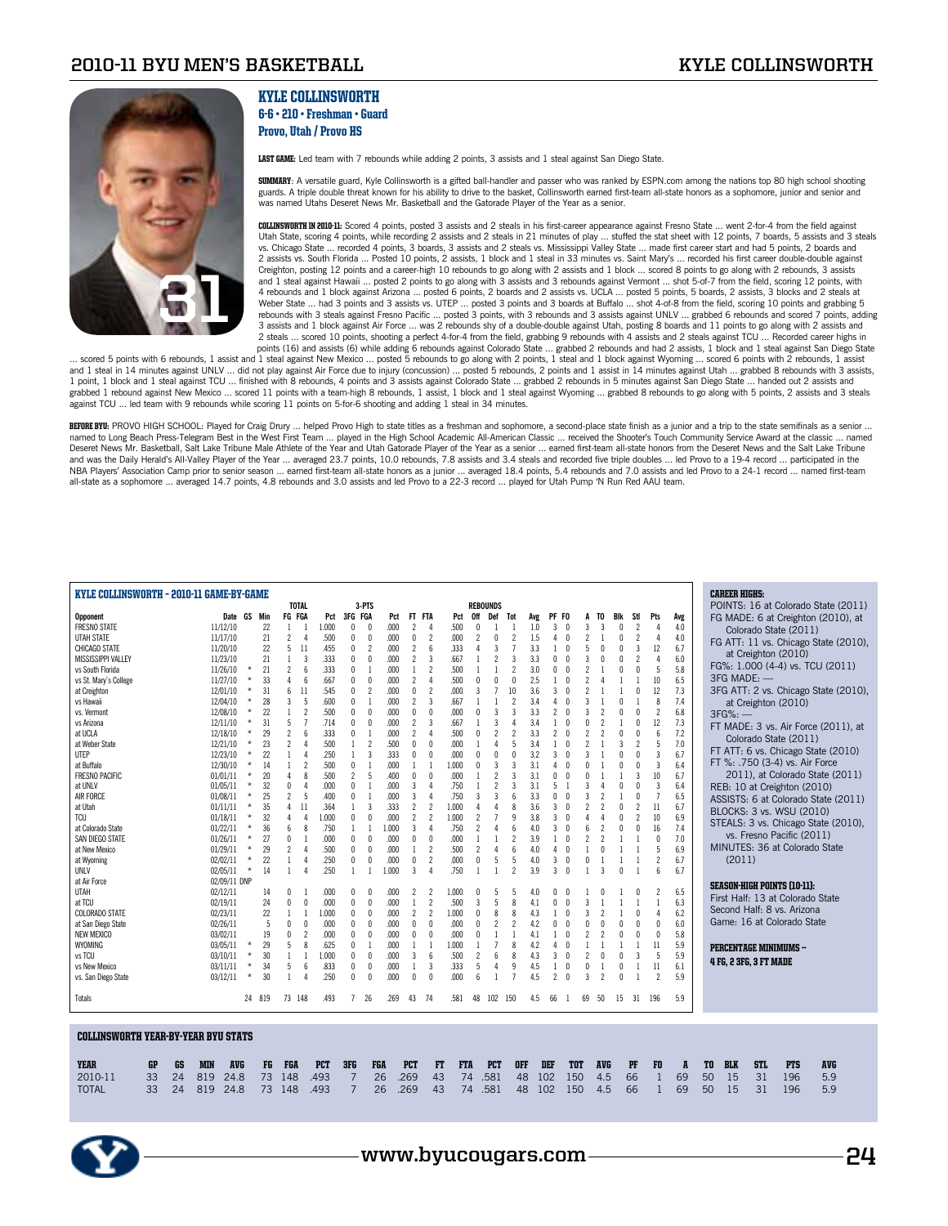

## Kyle Collinsworth 6-6 • 210 • Freshman • Guard Provo, Utah / Provo HS

LAST GAME: Led team with 7 rebounds while adding 2 points, 3 assists and 1 steal against San Diego State.

**SUMMARY:** A versatile guard, Kyle Collinsworth is a gifted ball-handler and passer who was ranked by ESPN.com among the nations top 80 high school shooting guards. A triple double threat known for his ability to drive to the basket, Collinsworth earned first-team all-state honors as a sophomore, junior and senior and was named Utahs Deseret News Mr. Basketball and the Gatorade Player of the Year as a senior.

COLLINSWORTH IN 2010-11: Scored 4 points, posted 3 assists and 2 steals in his first-career appearance against Fresno State ... went 2-for-4 from the field against Utah State, scoring 4 points, while recording 2 assists and 2 steals in 21 minutes of play … stuffed the stat sheet with 12 points, 7 boards, 5 assists and 3 steals<br>vs. Chicago State … recorded 4 points, 3 boards, 3 assist 2 assists vs. South Florida ... Posted 10 points, 2 assists, 1 block and 1 steal in 33 minutes vs. Saint Mary's ... recorded his first career double-double against Creighton, posting 12 points and a career-high 10 rebounds to go along with 2 assists and 1 block ... scored 8 points to go along with 2 rebounds, 3 assists and 1 steal against Hawaii ... posted 2 points to go along with 3 assists and 3 rebounds against Vermont ... shot 5-of-7 from the field, scoring 12 points, with 4 rebounds and 1 block against Arizona ... posted 6 points, 2 boards and 2 assists vs. UCLA ... posted 5 points, 5 boards, 2 assists, 3 blocks and 2 steals at Weber State ... had 3 points and 3 assists vs. UTEP ... posted 3 points and 3 boards at Buffalo ... shot 4-of-8 from the field, scoring 10 points and grabbing 5 rebounds with 3 steals against Fresno Pacific ... posted 3 points, with 3 rebounds and 3 assists against UNLV ... grabbed 6 rebounds and scored 7 points, adding 3 assists and 1 block against Air Force ... was 2 rebounds shy of a double-double against Utah, posting 8 boards and 11 points to go along with 2 assists and 2 steals ... scored 10 points, shooting a perfect 4-for-4 from the field, grabbing 9 rebounds with 4 assists and 2 steals against TCU ... Recorded career highs in

points (16) and assists (6) while adding 6 rebounds against Colorado State ... grabbed 2 rebounds and had 2 assists, 1 block and 1 steal against San Diego State<br>Start and 1 steal against New Mexico ... posted 5 rebounds to and 1 steal in 14 minutes against UNLV ... did not play against Air Force due to injury (concussion) ... posted 5 rebounds, 2 points and 1 assist in 14 minutes against Utah ... grabbed 8 rebounds with 3 assists, 1 point, 1 block and 1 steal against TCU … finished with 8 rebounds, 4 points and 3 assists against Colorado State … grabbed 2 rebounds in 5 minutes against San Diego State … handed out 2 assists and<br>grabbed 1 rebound agai against TCU ... led team with 9 rebounds while scoring 11 points on 5-for-6 shooting and adding 1 steal in 34 minutes.

BEFORE BYU: PROVO HIGH SCHOOL: Played for Craig Drury ... helped Provo High to state titles as a freshman and sophomore, a second-place state finish as a junior and a trip to the state semifinals as a senior .. named to Long Beach Press-Telegram Best in the West First Team ... played in the High School Academic All-American Classic ... received the Shooter's Touch Community Service Award at the classic ... named Deseret News Mr. Basketball, Salt Lake Tribune Male Athlete of the Year and Utah Gatorade Player of the Year as a senior ... earned first-team all-state honors from the Deseret News and the Salt Lake Tribune and was the Daily Herald's All-Valley Player of the Year … averaged 23.7 points, 10.0 rebounds, 7.8 assists and 3.4 steals and recorded five triple doubles … led Provo to a 19-4 record … participated in the<br>NBA Players' As all-state as a sophomore ... averaged 14.7 points, 4.8 rebounds and 3.0 assists and led Provo to a 22-3 record ... played for Utah Pump 'N Run Red AAU team.

| KYLE COLLINSWORTH - 2010-11 GAME-BY-GAME   |              |          |        |                          | <b>TOTAL</b>             |       |                | 3-PTS                    |       |                          |                          |       |     | <b>REBOUNDS</b>          |                          |     |                          |            |                          |     |              |                          |                          |     | <b>CAREER HIGHS:</b><br>POINTS: 16 at Colorado State (2011) |
|--------------------------------------------|--------------|----------|--------|--------------------------|--------------------------|-------|----------------|--------------------------|-------|--------------------------|--------------------------|-------|-----|--------------------------|--------------------------|-----|--------------------------|------------|--------------------------|-----|--------------|--------------------------|--------------------------|-----|-------------------------------------------------------------|
| <b>Opponent</b>                            | Date GS Min  |          |        | FG FGA                   |                          | Pct   | 3FG FGA        |                          | Pct   | FT FTA                   |                          | Pct   | 0ff | Def                      | Tot                      | Avg | PF FO                    |            |                          | TO. | Blk          | Stl                      | Pts                      | Avg | FG MADE: 6 at Creighton (2010), at                          |
| <b>FRESNO STATE</b>                        | 11/12/10     |          | 22     |                          |                          | 1.000 | $\mathbf{0}$   | $\theta$                 | .000  | $\overline{\phantom{a}}$ |                          | .500  |     |                          |                          | 1.0 | 3                        |            | 3                        |     |              | $\overline{\phantom{a}}$ | 4                        | 4.0 |                                                             |
| <b>UTAH STATE</b>                          | 11/17/10     |          | 21     | $\overline{2}$           | 4                        | .500  | $\mathbf{0}$   | $\theta$                 | .000  | 0                        | $\overline{\phantom{a}}$ | .000  |     |                          | $\overline{\phantom{a}}$ | 1.5 |                          |            | $\overline{c}$           |     | $\mathbf{0}$ | $\overline{2}$           | 4                        | 4.0 | Colorado State (2011)                                       |
| CHICAGO STATE                              | 11/20/10     |          | 22     | 5                        | 11                       | .455  | 0              | $\overline{\phantom{a}}$ | ,000  | $\overline{\phantom{a}}$ |                          | .333  |     |                          |                          | 3.3 |                          |            |                          |     |              | 3                        | 12                       | 6.7 | FG ATT: 11 vs. Chicago State (2010),                        |
| <b>MISSISSIPPI VALLEY</b>                  | 11/23/10     |          | 21     | $\overline{1}$           | 3                        | .333  | $\mathbf{0}$   | $\theta$                 | .000  | $\overline{c}$           | 3                        | .667  |     | $\mathfrak{p}$           | 3                        | 3.3 | $\Omega$                 |            | 3                        |     |              | $\overline{\phantom{a}}$ | $\Delta$                 | 6.0 | at Creighton (2010)                                         |
| vs South Florida                           | 11/26/10     | $\star$  | 21     | $\overline{\phantom{a}}$ | 6                        | .333  | $\mathbf{0}$   |                          | .000  | $\mathbf{1}$             | $\overline{\phantom{a}}$ | .500  |     |                          | $\overline{\phantom{a}}$ | 3.0 | $\Omega$                 |            |                          |     | $\theta$     | $\Omega$                 | 5                        | 5.8 | FG%: 1.000 (4-4) vs. TCU (2011)                             |
| vs St. Mary's College                      | 11/27/10     | $\star$  | 33     | $\overline{4}$           | 6                        | .667  | 0              | $\Omega$                 | .000  | $\overline{c}$           |                          | .500  |     |                          |                          | 2.5 |                          |            |                          |     |              |                          | 10                       | 6.5 | 3FG MADE: -                                                 |
| at Creighton                               | 12/01/10     | $\star$  | 31     | 6                        | 11                       | .545  | $\mathbf{0}$   | $\overline{\phantom{a}}$ | .000  | $\mathbf{0}$             | $\overline{\phantom{a}}$ | .000  |     |                          | 10                       | 3.6 | 3                        |            |                          |     |              | $\Omega$                 | 12                       | 7.3 | 3FG ATT: 2 vs. Chicago State (2010),                        |
| vs Hawaii                                  | 12/04/10     | $\star$  | 28     | $\overline{3}$           | 5                        | .600  | $\mathbf{0}$   | $\mathbf{1}$             | .000  | $\overline{c}$           | 3                        | .667  |     |                          | $\overline{\phantom{a}}$ | 3.4 |                          |            |                          |     |              |                          | 8                        | 7.4 | at Creighton (2010)                                         |
| vs. Vermont                                | 12/08/10     | $\star$  | 22     |                          | $\overline{\phantom{a}}$ | .500  | 0              | $\Omega$                 | .000  | 0                        | $\theta$                 | .000  |     |                          | 3                        | 3.3 | $\overline{c}$           |            |                          |     |              |                          | $\overline{2}$           | 6.8 | $3FG%$ : —                                                  |
| vs Arizona                                 | 12/11/10     | $\star$  | 31     | 5                        |                          | .714  | $\mathbf{0}$   | $\Omega$                 | .000  | $\overline{c}$           | 3                        | .667  |     | 3                        |                          |     |                          |            |                          |     |              | $\Omega$                 | 12                       | 7.3 |                                                             |
| at UCLA                                    | 12/18/10     | $\star$  | 29     | $\overline{2}$           | 6                        | .333  | 0              |                          | .000  | 2                        |                          | .500  |     | $\overline{c}$           | $\overline{\phantom{a}}$ | 3.3 | $\overline{\phantom{a}}$ |            |                          |     |              | $\Omega$                 | 6                        | 7.2 | FT MADE: 3 vs. Air Force (2011), at                         |
| at Weber State                             | 12/21/10     | $\star$  | 23     | $\overline{2}$           |                          | .500  |                | $\overline{\phantom{a}}$ | .500  | $\mathbf{0}$             | $\theta$                 | .000  |     |                          |                          | 3.4 |                          |            |                          |     | 3            | $\overline{\phantom{a}}$ | 5                        | 7.0 | Colorado State (2011)                                       |
| <b>UTEP</b>                                | 12/23/10     | $\star$  | 22     | $\mathbf{1}$             | Δ                        | .250  |                | $\overline{3}$           | .333  | $\mathbf{0}$             | $\theta$                 | .000  |     |                          | $\theta$                 | 3.2 | 3                        |            |                          |     |              | $\Omega$                 | 3                        | 6.7 | FT ATT: 6 vs. Chicago State (2010)                          |
| at Buffalo                                 | 12/30/10     | $\star$  | 14     |                          | $\overline{\phantom{a}}$ | .500  | $\theta$       |                          | .000  | $\overline{1}$           |                          | 1.000 |     |                          | $\overline{3}$           | 3.1 |                          |            |                          |     |              | $\Omega$                 | 3                        | 6.4 | FT %: .750 (3-4) vs. Air Force                              |
| <b>FRESNO PACIFIC</b>                      | 01/01/11     | $\star$  | 20     | $\Delta$                 | 8                        | .500  | $\overline{c}$ | 5                        | .400  | $\mathbf{0}$             | $\sqrt{ }$               | .000  |     |                          | $\overline{3}$           | 3.1 |                          |            |                          |     |              | 3                        | 10                       | 6.7 | 2011), at Colorado State (2011)                             |
| at UNLV                                    | 01/05/11     | $\star$  | 32     | $\mathbf 0$              | $\Delta$                 | .000  | $\mathbf{0}$   |                          | .000  | 3                        |                          | .750  |     | $\overline{\phantom{a}}$ | $\overline{3}$           | 3.1 | 5                        |            |                          |     | $\sqrt{ }$   | $\theta$                 | 3                        | 6.4 | REB: 10 at Creighton (2010)                                 |
| AIR FORCE                                  | 01/08/11     | $^\star$ | 25     | $\overline{2}$           | 5                        | .400  | 0              |                          | .000  | 3                        |                          | .750  |     |                          |                          | 3.3 | $\Omega$                 |            |                          |     |              | $\Omega$                 | $\overline{7}$           | 6.5 | ASSISTS: 6 at Colorado State (2011)                         |
| at Utah                                    | 01/11/11     |          | 35     | $\Delta$                 | 11                       | .364  |                | $\overline{3}$           | .333  | $\overline{c}$           | $\overline{\phantom{a}}$ | 1.000 |     |                          |                          | 3.6 | 3                        |            |                          |     |              | $\overline{2}$           | 11                       | 6.7 | BLOCKS: 3 vs. WSU (2010)                                    |
| <b>TCU</b>                                 | 01/18/11     | $^\star$ | 32     | $\overline{4}$           | 4                        | 1.000 | $\mathbf{0}$   | $\Omega$                 | .000  | 2                        | $\overline{\phantom{a}}$ | 1.000 |     |                          |                          | 3.8 | 3                        |            |                          |     |              | 2                        | 10                       | 6.9 | STEALS: 3 vs. Chicago State (2010),                         |
| at Colorado State                          | 01/22/11     | $\star$  | 36     | 6                        | 8                        | .750  |                |                          | 1.000 | 3                        |                          | .750  |     |                          |                          | 4.0 | 3                        |            |                          |     |              | $\Omega$                 | 16                       | 7.4 | vs. Fresno Pacific (2011)                                   |
| SAN DIEGO STATE                            | 01/26/11     | $^\star$ | 27     | $\theta$                 |                          | .000  | $\mathbf{0}$   | $\Omega$                 | .000  | $\mathbf{0}$             | $\theta$                 | .000  |     |                          |                          | 3.9 |                          |            |                          |     |              |                          | $\mathbf{0}$             | 7.0 |                                                             |
| at New Mexico                              | 01/29/11     | $\star$  | 29     | $\overline{2}$           |                          | .500  | 0              | $\Omega$                 | .000  |                          | $\overline{2}$           | .500  |     |                          |                          | 4.0 |                          |            |                          |     |              |                          | 5                        | 6.9 | MINUTES: 36 at Colorado State                               |
| at Wyoming                                 | 02/02/11     | $^\star$ | 22     |                          | 4                        | .250  | $\mathbf{0}$   | $\Omega$                 | .000  | $\mathbf{0}$             | $\overline{\phantom{a}}$ | .000  |     | 5                        | 5                        | 4.0 | 3                        |            |                          |     |              |                          | $\overline{\phantom{a}}$ | 6.7 | (2011)                                                      |
| UNLV                                       | 02/05/11     | $\star$  | 14     | $\overline{1}$           | Δ                        | .250  |                |                          | 1.000 | 3                        |                          | .750  |     |                          | $\overline{\phantom{a}}$ | 3.9 | 3                        | $\sqrt{ }$ |                          |     | $\sqrt{2}$   |                          | $6\overline{6}$          | 6.7 |                                                             |
| at Air Force                               | 02/09/11 DNP |          |        |                          |                          |       |                |                          |       |                          |                          |       |     |                          |                          |     |                          |            |                          |     |              |                          |                          |     | <b>SEASON-HIGH POINTS (10-11):</b>                          |
| UTAH                                       | 02/12/11     |          | 14     | $\mathbf{0}$             |                          | .000  | $\theta$       | $\Omega$                 | .000  |                          |                          | 1.000 |     |                          |                          |     |                          |            |                          |     |              |                          | $\mathfrak{p}$           | 6.5 | First Half: 13 at Colorado State                            |
| at TCU                                     | 02/19/11     |          | 24     | $\theta$                 | $\theta$                 | .000  | 0              | $\theta$                 | .000  | $\mathbf{1}$             | $\overline{\phantom{a}}$ | .500  | 3   |                          | $\mathbf{8}$             | 4.1 | $\Omega$                 |            |                          |     |              |                          |                          | 6.3 | Second Half: 8 vs. Arizona                                  |
| <b>COLORADO STATE</b>                      | 02/23/11     |          | 22     | 1                        |                          | 1.000 | $\mathbf{0}$   | $\theta$                 | .000  | $\overline{\phantom{a}}$ | $\overline{\phantom{a}}$ | 1.000 |     |                          | 8                        | 4.3 |                          |            |                          |     |              |                          | Δ                        | 6.2 |                                                             |
| at San Diego State                         | 02/26/11     |          | 5      | $\mathbf 0$              | 0                        | .000  | 0              | $\theta$                 | .000  | 0                        | $\theta$                 | .000  |     | 2                        | $\overline{\phantom{a}}$ | 4.2 | $\Omega$                 |            |                          |     | $\theta$     | $\Omega$                 | $\mathsf{\Omega}$        | 6.0 | Game: 16 at Colorado State                                  |
| NEW MEXICO                                 | 03/02/11     |          | 19     | $\mathbf 0$              | $\overline{2}$           | .000  | $\mathbf{0}$   | $\theta$                 | .000  | 0                        | $\theta$                 | .000  |     |                          |                          | 4.1 |                          | $\sqrt{ }$ | $\overline{\phantom{a}}$ |     |              | $\Omega$                 | $\mathbf 0$              | 5.8 |                                                             |
| WYOMING                                    | 03/05/11     |          | 29     | 5                        | 8                        | .625  | $\mathbf{0}$   |                          | ,000  | $\overline{1}$           |                          | 1.000 |     |                          |                          | 4.2 |                          |            |                          |     |              |                          | 11                       | 5.9 | PERCENTAGE MINIMUMS -                                       |
| vs TCU                                     | 03/10/11     | $\star$  | 30     | 1                        |                          | 1.000 | $\mathbf{0}$   | $\theta$                 | .000  | 3                        |                          | .500  |     |                          | 8                        | 4.3 | 3                        |            | $\overline{\phantom{a}}$ |     | $\sqrt{ }$   | 3                        | 5                        | 5.9 | <b>4 FG. 2 3FG. 3 FT MADE</b>                               |
| vs New Mexico                              | 03/11/11     | $\star$  | 34     | 5                        | 6                        | .833  | 0              | 0                        | .000  | $\mathbf{1}$             | 3                        | .333  | 5   |                          | 9                        | 4.5 |                          |            | $\theta$                 |     |              |                          | 11                       | 6.1 |                                                             |
| vs. San Diego State                        | 03/12/11     | $\star$  | 30     | $\mathbf{1}$             |                          | .250  | $\mathbf{0}$   | $\Omega$                 | 000   | $\mathbf{0}$             | $\theta$                 | .000  |     |                          |                          |     | $\mathcal{P}$            |            | 3                        |     |              |                          | $\mathfrak{p}$           | 5.9 |                                                             |
| Totals                                     |              |          | 24 819 | 73 148                   |                          | .493  | 7              | 26                       | .269  | 43                       | - 74                     | .581  | 48  | 102 150                  |                          | 4.5 | 66                       | -1         | 69                       | 50  | 15           | 31                       | 196                      | 5.9 |                                                             |
|                                            |              |          |        |                          |                          |       |                |                          |       |                          |                          |       |     |                          |                          |     |                          |            |                          |     |              |                          |                          |     |                                                             |
| <b>COLLINSWORTH YEAR-BY-YEAR BYU STATS</b> |              |          |        |                          |                          |       |                |                          |       |                          |                          |       |     |                          |                          |     |                          |            |                          |     |              |                          |                          |     |                                                             |

| <b>YEAR</b>  |  |  |  |  |  |  |  |  |  |  |  | GP GS MIN AVG FG FGA PCT 3FG FGA PCT FT FTA PCT OFF DEF TOT AVG PF FO A TO BLK STL PTS                          | <b>AVG</b> |
|--------------|--|--|--|--|--|--|--|--|--|--|--|-----------------------------------------------------------------------------------------------------------------|------------|
| $2010 - 11$  |  |  |  |  |  |  |  |  |  |  |  | 33 24 819 24.8 73 148 .493  7  26  269  43  74 .581  48 102  150  4.5  66   1  69  50  15  31  196   5.9        |            |
| <b>TOTAL</b> |  |  |  |  |  |  |  |  |  |  |  | 33  24  819  24.8  73  148  .493  7  26  .269  43  74  .581  48  102  150  4.5  66  1  69  50  15  31  196  5.9 |            |

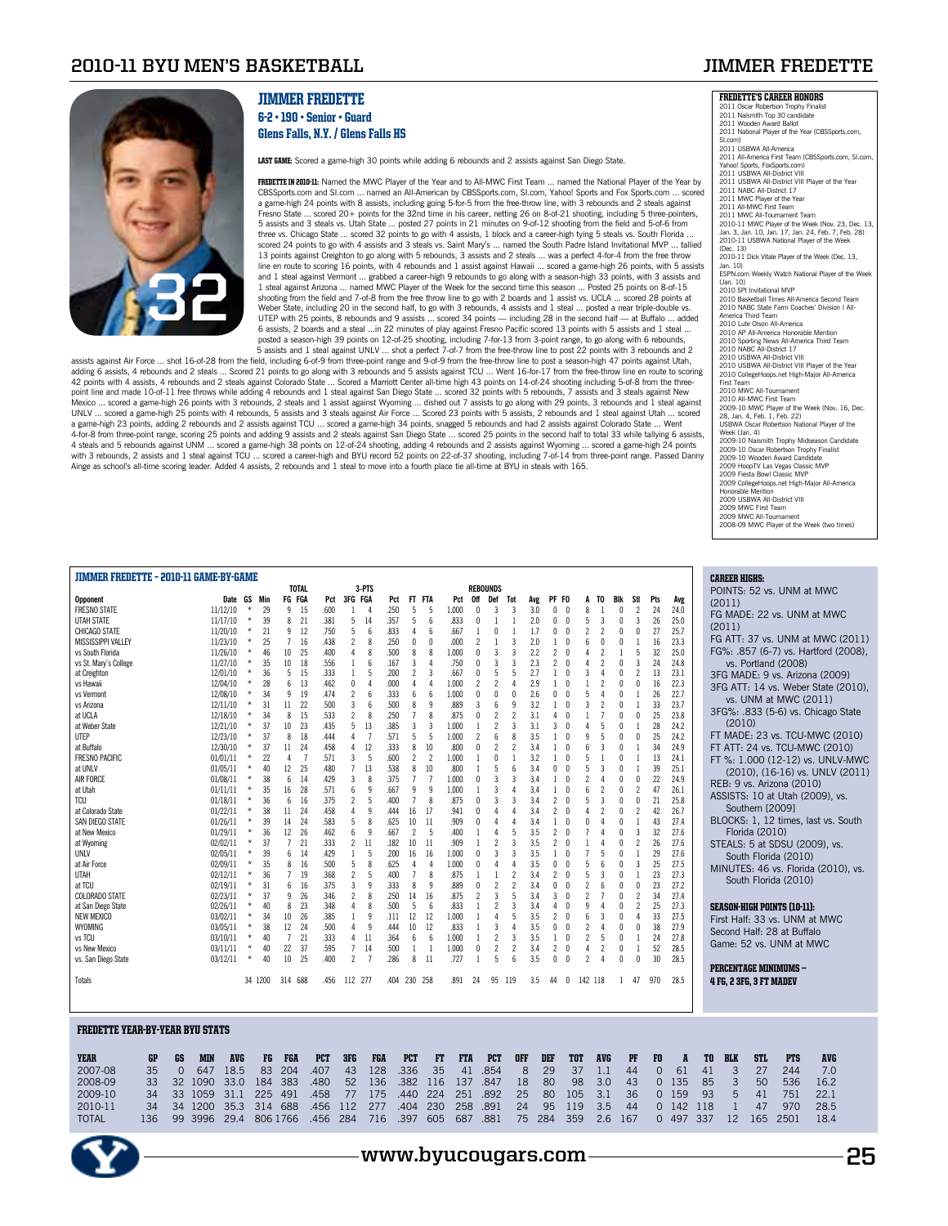## **2010-11 BYU Men's Basketball Jimmer Fredette**



### JIMMER FREDETTE 6-2 • 190 • Senior • Guard Glens Falls, N.Y. / Glens Falls HS

LAST GAME: Scored a game-high 30 points while adding 6 rebounds and 2 assists against San Diego State.

**FREDETTE IN 2010-11:** Named the MWC Player of the Year and to All-MWC First Team ... named the National Player of the Year by CBSSports.com and SI.com ... named an All-American by CBSSports.com, SI.com, Yahoo! Sports and Fox Sports.com ... scored a game-high 24 points with 8 assists, including going 5-for-5 from the free-throw line, with 3 rebounds and 2 steals against Fresno State ... scored 20+ points for the 32nd time in his career, netting 26 on 8-of-21 shooting, including 5 three-pointers, 5 assists and 3 steals vs. Utah State ... posted 27 points in 21 minutes on 9-of-12 shooting from the field and 5-of-6 from three vs. Chicago State … scored 32 points to go with 4 assists, 1 block and a career-high tying 5 steals vs. South Florida …<br>scored 24 points to go with 4 assists and 3 steals vs. Saint Mary's … named the South Padre Isla 13 points against Creighton to go along with 5 rebounds, 3 assists and 2 steals … was a perfect 4-for-4 from the free throw<br>line en route to scoring 16 points, with 4 rebounds and 1 assist against Hawaii … scored a game-hi and 1 steal against Vermont ... grabbed a career-high 9 rebounds to go along with a season-high 33 points, with 3 assists and 1 steal against Arizona ... named MWC Player of the Week for the second time this season ... Posted 25 points on 8-of-15 shooting from the field and 7-of-8 from the free throw line to go with 2 boards and 1 assist vs. UCLA ... scored 28 points at Weber State, including 20 in the second half, to go with 3 rebounds, 4 assists and 1 steal … posted a near triple-double vs.<br>UTEP with 25 points, 8 rebounds and 9 assists … scored 34 points — including 28 in the second hal 6 assists, 2 boards and a steal …in 22 minutes of play against Fresno Pacific scored 13 points with 5 assists and 1 steal …<br>posted a season-high 39 points on 12-of-25 shooting, including 7-for-13 from 3-point range, to go

assists against Air Force ... shot 16-of-28 from the field, including 6-of-9 from three-point range and 9-of-9 from the free-throw line to post a season-high 47 points against Utah, adding 6 assists, 4 rebounds and 2 steals ... Scored 21 points to go along with 3 rebounds and 5 assists against TCU ... Went 16-for-17 from the free-throw line en route to scoring 42 points with 4 assists, 4 rebounds and 2 steals against Colorado State … Scored a Marriott Center all-time high 43 points on 14-of-24 shooting including 5-of-8 from the three-<br>point line and made 10-of-11 free throws whi Mexico … scored a game-high 26 points with 3 rebounds, 2 steals and 1 assist against Wyoming … dished out 7 assists to go along with 29 points, 3 rebounds and 1 steal against<br>UNLV … scored a game-high 25 points with 4 rebo a game-high 23 points, adding 2 rebounds and 2 assists against TCU ... scored a game-high 34 points, snagged 5 rebounds and had 2 assists against Colorado State ... Went 4-for-8 from three-point range, scoring 25 points and adding 9 assists and 2 steals against San Diego State ... scored 25 points in the second half to total 33 while tallying 6 assists,<br>4 steals and 5 rebounds against UNM Ainge as school's all-time scoring leader. Added 4 assists, 2 rebounds and 1 steal to move into a fourth place tie all-time at BYU in steals with 165.

| <b>JIMMER FREDETTE - 2010-11 GAME-BY-GAME</b> |          |                          |                           |              |      |                |              |      |                  |                          |       |                          |                          |                          |     |                          |              |                               |              |                |     |      | <b>CAREER HIGHS:</b>                 |
|-----------------------------------------------|----------|--------------------------|---------------------------|--------------|------|----------------|--------------|------|------------------|--------------------------|-------|--------------------------|--------------------------|--------------------------|-----|--------------------------|--------------|-------------------------------|--------------|----------------|-----|------|--------------------------------------|
|                                               |          |                          |                           | <b>TOTAL</b> |      |                | 3-PTS        |      |                  |                          |       |                          | <b>REBOUNDS</b>          |                          |     |                          |              |                               |              |                |     |      | POINTS: 52 vs. UNM at MWC            |
| <b>Opponent</b>                               | Date GS  | Min                      |                           | FG FGA       | Pct  | 3FG FGA        |              | Pct  | FT FTA           |                          | Pct   | 0ff                      | Def                      | Tot                      | Avg | PF FO                    |              | TO                            | Blk          | Stl            | Pts | Avg  | (2011)                               |
| <b>FRESNO STATE</b>                           | 11/12/10 | $\star$<br>29            | 9                         | -15          | .600 |                |              | .250 | 5                | 5                        | 1.000 |                          |                          |                          | 3.0 | 0                        | $\sqrt{ }$   | 8                             |              | 2              | 24  | 24.0 | FG MADE: 22 vs. UNM at MWC           |
| <b>UTAH STATE</b>                             | 11/17/10 | $\star$<br>39            | 8                         | 21           | .381 | 5              | 14           | .357 | 5                | $\mathsf{f}$             | .833  | U                        |                          |                          | 2.0 | 0                        | 0            | 3                             | $\mathbf{0}$ | 3              | 26  | 25.0 | (2011)                               |
| CHICAGO STATE                                 | 11/20/10 | $\star$<br>21            | 9                         | 12           | .750 | 5              | 6            | .833 | 4                | $\mathsf{f}$             | .667  |                          | O                        |                          | 1.7 | n                        | $\sqrt{ }$   | 2<br>$\overline{\phantom{a}}$ | $\mathbf{0}$ | $\Omega$       | 27  | 25.7 |                                      |
| MISSISSIPPI VALLEY                            | 11/23/10 | $\star$<br>25            |                           | 16           | .438 | 2              | 8            | .250 | $\theta$         | $\theta$                 | .000  | $\overline{\phantom{a}}$ |                          |                          | 2.0 |                          | $\theta$     | 6<br>$\theta$                 | $\Omega$     |                | 16  | 23.3 | FG ATT: 37 vs. UNM at MWC (2011)     |
| vs South Florida                              | 11/26/10 | $\star$<br>46            | 10                        | 25           | .400 |                | 8            | .500 | 8                | 8                        | 1.000 | U                        | 3                        |                          | 2.2 | $\overline{\phantom{a}}$ | $\theta$     | $\overline{\phantom{a}}$      |              | 5              | 32  | 25.0 | FG%: .857 (6-7) vs. Hartford (2008), |
| vs St. Mary's College                         | 11/27/10 | 35                       | 10                        | 18           | .556 |                | $\mathsf{6}$ | .167 | 3                | 4                        | .750  |                          |                          |                          | 2.3 | $\overline{\phantom{a}}$ | $\sqrt{ }$   |                               |              | 3              | 24  | 24.8 | vs. Portland (2008)                  |
| at Creighton                                  | 12/01/10 | $\star$<br>36            | -5                        | 15           | .333 |                | 5            | .200 | $\mathfrak{p}$   | $\overline{3}$           | .667  | U                        | 5                        |                          | 2.7 |                          | $\sqrt{ }$   | 3                             | $\theta$     | $\mathfrak{p}$ | 13  | 23.1 | 3FG MADE: 9 vs. Arizona (2009)       |
| vs Hawaii                                     | 12/04/10 | $\star$<br>28            | 6                         | 13           | .462 | $\mathbf{0}$   |              | .000 | 4                | $\Delta$                 | 1.000 | $\overline{\phantom{a}}$ | $\overline{\phantom{a}}$ |                          | 2.9 |                          |              | $\overline{\phantom{a}}$      | $\theta$     | $\Omega$       | 16  | 22.3 | 3FG ATT: 14 vs. Weber State (2010).  |
| vs Vermont                                    | 12/08/10 | 34<br>$\star$            | 9                         | 19           | .474 | 2              | 6            | .333 | 6                | 6                        | 1.000 | U                        |                          |                          | 2.6 | 0                        | $\theta$     |                               | $\theta$     |                | 26  | 22.7 | vs. UNM at MWC (2011)                |
| vs Arizona                                    | 12/11/10 | $\star$<br>31            | 11                        | 22           | .500 | 3              | 6            | .500 | 8                | 9                        | .889  | 3                        |                          |                          | 3.2 |                          | $\sqrt{ }$   |                               |              |                | 33  | 23.7 | 3FG%: .833 (5-6) vs. Chicago State   |
| at UCLA                                       | 12/18/10 | $\star$<br>34            | 8                         | 15           | .533 | 2              | 8            | .250 | $\overline{7}$   | 8                        | .875  | U                        | $\overline{c}$           |                          | 3.1 | 4                        |              |                               |              | $\Omega$       | 25  | 23.8 | (2010)                               |
| at Weber State                                | 12/21/10 | $\star$<br>37            | 10                        | 23           | .435 | 5              | 13           | .385 | 3                | $\overline{3}$           | 1.000 |                          | $\overline{\phantom{a}}$ |                          | 3.1 | $\overline{3}$           | $\sqrt{ }$   |                               |              |                | 28  | 24.2 |                                      |
| UTEP                                          | 12/23/10 | $\star$<br>37            | 8                         | 18           | .444 |                |              | .571 | 5                | -5                       | 1.000 | $\overline{c}$           | $6\overline{6}$          |                          | 3.5 |                          | $\theta$     | 5<br>q                        | $\mathbf{0}$ | 0              | 25  | 24.2 | FT MADE: 23 vs. TCU-MWC (2010)       |
| at Buffalo                                    | 12/30/10 | 37                       | 11                        | 24           | .458 |                | 12           | .333 | 8                | 10                       | .800  | U                        |                          |                          | 3.4 |                          | $\sqrt{ }$   |                               |              |                | 34  | 24.9 | FT ATT: 24 vs. TCU-MWC (2010)        |
| <b>FRESNO PACIFIC</b>                         | 01/01/11 | 22<br>*                  |                           |              | .571 |                | 5            | .600 | $\overline{c}$   | $\overline{\phantom{a}}$ | 1.000 |                          |                          |                          | 3.2 |                          | $\theta$     |                               |              |                | 13  | 24.1 | FT %: 1.000 (12-12) vs. UNLV-MWC     |
| at UNLV                                       | 01/05/11 | 40<br>*                  | 12                        | 25           | .480 |                | 13           | .538 | 8                | 10                       | .800  |                          |                          |                          | 3.4 | U                        | $\sqrt{ }$   | 5<br>$\mathbf{3}$             |              |                | 39  | 25.1 | (2010), (16-16) vs. UNLV (2011)      |
| <b>AIR FORCE</b>                              | 01/08/11 | $\star$<br>38            | 6                         | 14           | .429 | 3              | 8            | .375 | $\overline{7}$   | $\overline{7}$           | 1.000 | U                        | $\overline{3}$           |                          | 3.4 |                          | $\theta$     | $\overline{\phantom{a}}$      |              | 0              | 22  | 24.9 | REB: 9 vs. Arizona (2010)            |
| at Utah                                       | 01/11/11 | $\star$<br>35            | 16                        | 28           | .571 |                | q            | .667 | 9                | -9                       | 1.000 |                          | 3                        |                          | 3.4 |                          | $\theta$     | 6                             |              | $\overline{c}$ | 47  | 26.1 | ASSISTS: 10 at Utah (2009), vs.      |
| <b>TCU</b>                                    | 01/18/11 | $\star$<br>36            | 6                         | -16          | .375 | 2              | 5            | .400 | $\overline{7}$   | $\mathbf{8}$             | .875  | U                        |                          |                          | 3.4 | $\overline{\phantom{a}}$ | $\theta$     |                               |              | 0              | 21  | 25.8 | Southern [2009]                      |
| at Colorado State                             | 01/22/11 | $\star$<br>38            | 11                        | 24           | .458 | $\Delta$       | q            | 444  | 16               | 17                       | .941  | U                        | $\Delta$                 |                          | 3.4 | $\overline{\phantom{a}}$ | $\sqrt{ }$   | $\overline{\phantom{a}}$      | $\theta$     | $\overline{c}$ | 42  | 26.7 |                                      |
| SAN DIEGO STATE                               | 01/26/11 | $\star$<br>39            | 14                        | 24           | .583 | 5              | 8            | .625 | 10               | -11                      | .909  | 0                        |                          |                          | 3.4 |                          | $\sqrt{ }$   |                               |              |                | 43  | 27.4 | BLOCKS: 1, 12 times, last vs. South  |
| at New Mexico                                 | 01/29/11 | $\star$<br>36            | 12                        | 26           | .462 | 6              | 9            | .667 | 2                | -5                       | .400  |                          |                          |                          | 3.5 | $\overline{c}$           | $\sqrt{ }$   |                               | $\mathbf{0}$ | 3              | 32  | 27.6 | Florida (2010)                       |
| at Wyoming                                    | 02/02/11 | $\star$<br>37            | $\overline{7}$            | 21           | .333 | 2              | 11           | .182 | 10 <sup>10</sup> | 11                       | .909  |                          | $\overline{\phantom{a}}$ |                          | 3.5 | $\overline{\phantom{a}}$ | $\sqrt{ }$   |                               |              | $\overline{c}$ | 26  | 27.6 | STEALS: 5 at SDSU (2009), vs.        |
| UNLV                                          | 02/05/11 | $\star$<br>39<br>$\star$ | 6                         | 14           | .429 |                | 5            | .200 | 16               | 16                       | 1.000 | $\mathbf{0}$             | $\overline{3}$           |                          | 3.5 | 1                        | $\sqrt{ }$   |                               | $\theta$     |                | 29  | 27.6 | South Florida (2010)                 |
| at Air Force                                  | 02/09/11 | 35                       | 8                         | 16           | .500 | 5              | 8            | .625 | 4                | $\mathbf{A}$             | 1.000 | U                        |                          |                          | 3.5 |                          | $\sqrt{ }$   |                               |              | 3              | 25  | 27.5 | MINUTES: 46 vs. Florida (2010), vs.  |
| <b>UTAH</b>                                   | 02/12/11 | $\star$<br>36            | $\overline{7}$            | 19           | .368 | 2              | 5            | .400 | $\overline{7}$   | 8                        | .875  |                          |                          |                          | 3.4 | $\overline{\phantom{a}}$ | $\theta$     | 3                             |              |                | 23  | 27.3 | South Florida (2010)                 |
| at TCU                                        | 02/19/11 | 31<br>$\star$            | $6\overline{6}$           | 16           | .375 | 3              | q            | .333 | 8                | q                        | .889  | U                        |                          | $\overline{\phantom{a}}$ | 3.4 |                          | $\sqrt{ }$   | 2                             |              | n              | 23  | 27.2 |                                      |
| <b>COLORADO STATE</b>                         | 02/23/11 | $\star$<br>37            | 9                         | 26           | .346 | 2              | 8            | .250 | 14               | 16                       | .875  | 2                        | 3                        |                          | 3.4 | 3                        | $\sqrt{ }$   | $\overline{\mathbf{c}}$       |              | 2              | 34  | 27.4 |                                      |
| at San Diego State                            | 02/26/11 | $\star$<br>40            | $\boldsymbol{\mathsf{R}}$ | 23           | 348  | 4              | $\mathbf{8}$ | .500 | 5                | $\mathsf{f}$             | .833  |                          | $\overline{\phantom{a}}$ | 3                        | 3.4 | 4                        | $\sqrt{ }$   |                               | $\Omega$     | $\overline{c}$ | 25  | 27.3 | <b>SEASON-HIGH POINTS (10-11):</b>   |
| NEW MEXICO                                    | 03/02/11 | $\star$<br>34            | 10                        | 26           | .385 |                | 9            | .111 | 12               | 12                       | 1.000 |                          |                          |                          | 3.5 | $\overline{c}$           | 0            | 3                             | $\theta$     | $\overline{4}$ | 33  | 27.5 | First Half: 33 vs. UNM at MWC        |
| WYOMING                                       | 03/05/11 | $\star$<br>38            | 12                        | 24           | .500 |                | q            | .444 | 10               | 12                       | .833  |                          | 3                        |                          | 3.5 | 0                        | $\theta$     |                               | U            | n              | 38  | 27.9 | Second Half: 28 at Buffalo           |
| vs TCU                                        | 03/10/11 | $\star$<br>40            | $\overline{7}$            | 21           | .333 | 4              | 11           | .364 | 6                | $\mathsf{f}$             | 1.000 |                          | $\overline{\phantom{a}}$ | 3                        | 3.5 |                          | $\theta$     | $\overline{\phantom{a}}$      | 0            |                | 24  | 27.8 | Game: 52 vs. UNM at MWC              |
| vs New Mexico                                 | 03/11/11 | $\star$<br>40            | 22                        | 37           | 595  | $\overline{7}$ | 14           | .500 | 1                |                          | 1.000 | $\mathbf{0}$             | $\overline{c}$           |                          | 3.4 | 2                        | $\theta$     | $\overline{\phantom{a}}$<br>Δ | U            |                | 52  | 28.5 |                                      |
| vs. San Diego State                           | 03/12/11 | $\star$<br>40            | 10                        | 25           | .400 | $\mathcal{P}$  |              | .286 | 8                | -11                      | .727  |                          | 5                        | ĥ                        | 3.5 | n                        | $\mathsf{n}$ | $\overline{\phantom{a}}$      | U            | n              | 30  | 28.5 | <b>PERCENTAGE MINIMUMS -</b>         |
|                                               |          |                          |                           |              |      |                |              |      |                  |                          |       |                          |                          |                          |     |                          |              |                               |              |                |     |      |                                      |
| Totals                                        |          | 34 1200                  |                           | 314 688      | .456 | 112 277        |              | 404  | 230 258          |                          | .891  | 24                       | 95                       | 119                      | 3.5 | 44                       | 0            | 142 118                       |              | 47             | 970 | 28.5 | <b>4 FG. 2 3FG. 3 FT MADEV</b>       |
|                                               |          |                          |                           |              |      |                |              |      |                  |                          |       |                          |                          |                          |     |                          |              |                               |              |                |     |      |                                      |

#### Fredette YEAR-BY-YEAR BYU STATS

| <b>YEAR</b>  | GP   | GS. | <b>MIN</b>      | <b>AVG</b> | FG  | <b>FGA</b> | <b>PCT</b> | 3FG | <b>FGA</b> | <b>PCT</b> | FT              | <b>FTA</b> | <b>PCT</b> | <b>OFF</b> | DEF | <b>TOT</b> | <b>AVG</b> | $P$ F | FO.      | $\mathbf{A}$ | TO.     | <b>BLK</b> | <b>STL</b> | <b>PTS</b> | <b>AVG</b> |
|--------------|------|-----|-----------------|------------|-----|------------|------------|-----|------------|------------|-----------------|------------|------------|------------|-----|------------|------------|-------|----------|--------------|---------|------------|------------|------------|------------|
| 2007-08      | 35.  |     | 647             | 18.5       | 83  | 204        | .407       | 43  | 128        | .336       | 35 <sub>1</sub> | 41         | .854       | 8          | 29  | 37         | 1.1        | 44    | $\Omega$ | 61           | 41      |            |            | 244        |            |
| 2008-09      |      |     | 33 32 1090 33.0 |            | 184 | 383        | .480       | 52  | 136        | .382       | 116             | 137        | .847       | 18         | 80  | 98         | 3.0        | 43    | $\Omega$ | 135          | 85      |            | 50         | 536        | 16.2       |
| 2009-10      |      |     | 34 33 1059 31.1 |            | 225 | 491        | .458       | 77  | 175        | .440 224   |                 | 251        | .892       | 25         | 80  | 105        | 3.1        | -36   | $\Omega$ | 159          | 93      | h          | 41         | 751        | 22.1       |
| 2010-11      |      |     | 34 34 1200      | 35.3       | 314 | 688        | .456       | 112 | 277        | .404       | 230             | 258        | .891       | 24         | 95  | 19         | 3.5        | 44    | $\Omega$ |              | 142 118 |            | 47         | 970        | 28.5       |
| <b>TOTAL</b> | 136. |     | 99 3996         | 29.4       |     | 806 1766   | .456       | 284 | 716        | .397       | 605             | 687        | .881       | 75         | 284 | 359        | 2.6        | 167   | $\Omega$ | 497          | 337     | 12         | 165        | 2501       | 18.4       |



| <b>FREDETTE'S CAREER HONORS</b>                     |
|-----------------------------------------------------|
| 2011 Oscar Robertson Trophy Finalist                |
| 2011 Naismith Top 30 candidate                      |
| 2011 Wooden Award Ballot                            |
| 2011 National Player of the Year (CBSSports.com,    |
| SI.com)                                             |
| 2011 USBWA All-America                              |
| 2011 All-America First Team (CBSSports.com, SI.com, |
| Yahoo! Sports, FoxSports.com)                       |
| 2011 USBWA All-District VIII                        |
| 2011 USBWA All-District VIII Player of the Year     |
| 2011 NABC All-District 17                           |
| 2011 MWC Player of the Year                         |
| 2011 All-MWC First Team                             |
|                                                     |
| 2011 MWC All-Tournament Team                        |
| 2010-11 MWC Player of the Week (Nov. 23, Dec. 13,   |
| Jan. 3, Jan. 10, Jan. 17, Jan. 24, Feb. 7, Feb. 28) |
| 2010-11 USBWA National Player of the Week           |
| (Dec. 13)                                           |
| 2010-11 Dick Vitale Player of the Week (Dec. 13,    |
| Jan. 10)                                            |
| ESPN.com Weekly Watch National Player of the Week   |
| (Jan. 10)                                           |
| 2010 SPI Invitational MVP                           |
| 2010 Basketball Times All-America Second Team       |
| 2010 NABC State Farm Coaches' Division I All-       |
| America Third Team                                  |
| 2010 Lute Olson All-America                         |
| 2010 AP All-America Honorable Mention               |
| 2010 Sporting News All-America Third Team           |
| 2010 NABC All-District 17                           |
| 2010 USBWA All-District VIII                        |
| 2010 USBWA All-District VIII Player of the Year     |
| 2010 CollegeHoops.net High-Major All-America        |
| First Team                                          |
| 2010 MWC All-Tournament                             |
| 2010 All-MWC First Team                             |
| 2009-10 MWC Player of the Week (Nov. 16, Dec.       |
| 28, Jan. 4, Feb. 1, Feb. 22)                        |
| USBWA Oscar Robertson National Player of the        |
| Week (Jan. 4)                                       |
|                                                     |
| 2009-10 Naismith Trophy Midseason Candidate         |
| 2009-10 Oscar Robertson Trophy Finalist             |
| 2009-10 Wooden Award Candidate                      |
| 2009 HoopTV Las Vegas Classic MVP                   |
| 2009 Fiesta Bowl Classic MVP                        |
| 2009 CollegeHoops.net High-Major All-America        |
| Honorable Mention                                   |
| 2009 USBWA All-District VIII                        |
| 2009 MWC First Team                                 |

2009 MWC First Team 2009 MWC All-Tournament 2008-09 MWC Player of the Week (two times)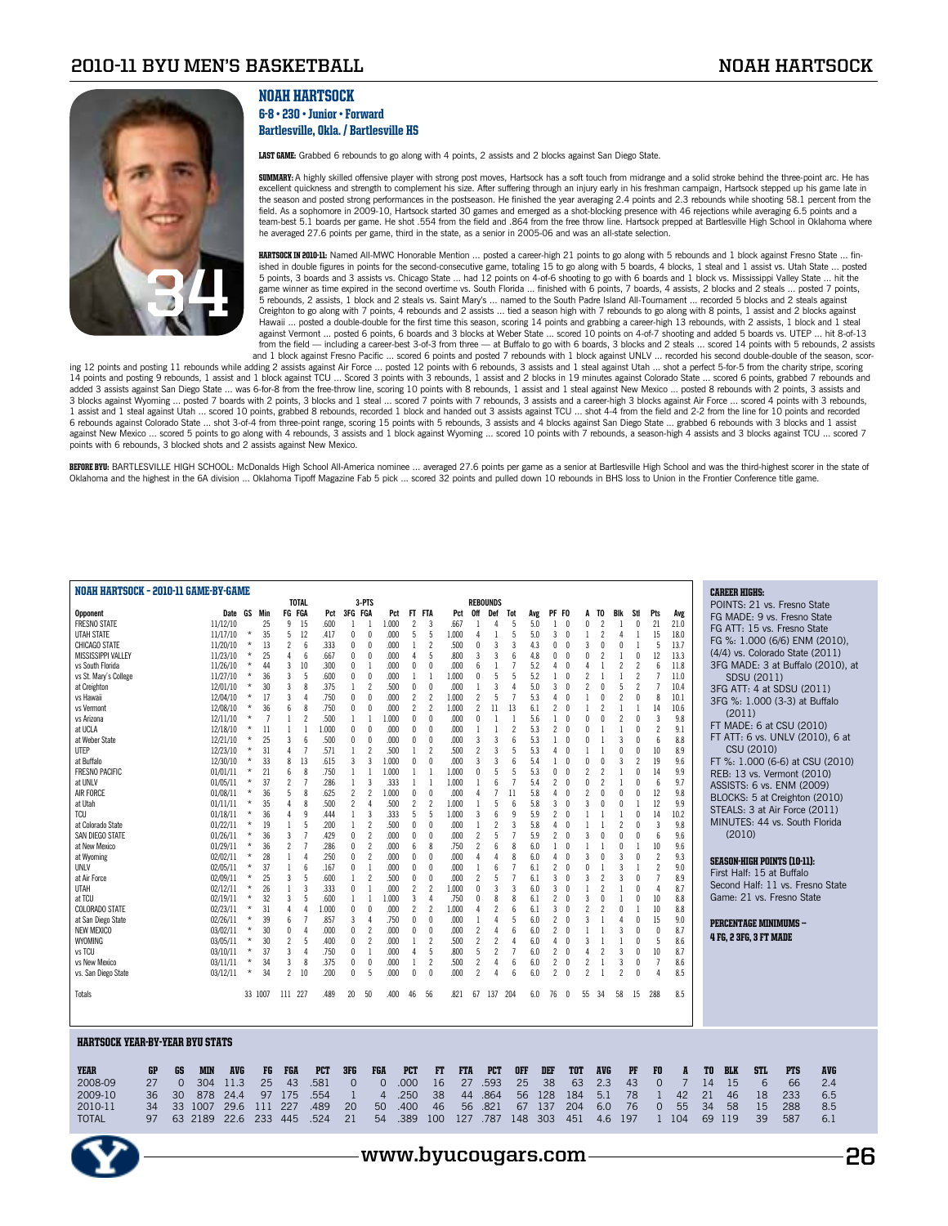## **2010-11 BYU Men's Basketball Noah Hartsock**



### NOAH HARTSOCK 6-8 • 230 • Junior • Forward Bartlesville, Okla. / Bartlesville HS

LAST GAME: Grabbed 6 rebounds to go along with 4 points, 2 assists and 2 blocks against San Diego State.

**SUMMARY:** A highly skilled offensive player with strong post moves, Hartsock has a soft touch from midrange and a solid stroke behind the three-point arc. He has<br>excellent quickness and strength to complement his size. Af the season and posted strong performances in the postseason. He finished the year averaging 2.4 points and 2.3 rebounds while shooting 58.1 percent from the field. As a sophomore in 2009-10, Hartsock started 30 games and emerged as a shot-blocking presence with 46 rejections while averaging 6.5 points and a<br>team-best 5.1 boards per game. He shot .554 from the field and .864 fr he averaged 27.6 points per game, third in the state, as a senior in 2005-06 and was an all-state selection.

HARTSOCK IN 2010-11: Named All-MWC Honorable Mention ... posted a career-high 21 points to go along with 5 rebounds and 1 block against Fresno State ... finished in double figures in points for the second-consecutive game, totaling 15 to go along with 5 boards, 4 blocks, 1 steal and 1 assist vs. Utah State ... posted 5 points, 3 boards and 3 assists vs. Chicago State ... had 12 points on 4-of-6 shooting to go with 6 boards and 1 block vs. Mississippi Valley State ... hit the game winner as time expired in the second overtime vs. South Florida … finished with 6 points, 7 boards, 4 assists, 2 blocks and 2 steals … posted 7 points,<br>5 rebounds, 2 assists, 1 block and 2 steals vs. Saint Mary's … na Creighton to go along with 7 points, 4 rebounds and 2 assists ... tied a season high with 7 rebounds to go along with 8 points, 1 assist and 2 blocks against Hawaii ... posted a double-double for the first time this season, scoring 14 points and grabbing a career-high 13 rebounds, with 2 assists, 1 block and 1 steal against Vermont ... posted 6 points, 6 boards and 3 blocks at Weber State ... scored 10 points on 4-of-7 shooting and added 5 boards vs. UTEP ... hit 8-of-13 from the field — including a career-best 3-of-3 from three — at Buffalo to go with 6 boards, 3 blocks and 2 steals ... scored 14 points with 5 rebounds, 2 assists<br>and 1 block against Fresno Pacific ... scored 6 points and

ing 12 points and posting 11 rebounds while adding 2 assists against Air Force ... posted 12 points with 6 rebounds, 3 assists and 1 steal against Utah ... shot a perfect 5-for-5 from the charity stripe, scoring 14 points and posting 9 rebounds, 1 assist and 1 block against TCU … Scored 3 points with 3 rebounds, 1 assist and 2 blocks in 19 minutes against Colorado State … scored 6 points, grabbed 7 rebounds and<br>added 3 assists aga 3 blocks against Wyoming ... posted 7 boards with 2 points, 3 blocks and 1 steal ... scored 7 points with 7 rebounds, 3 assists and a career-high 3 blocks against Air Force ... scored 4 points with 3 rebounds, 1 assist and 1 steal against Utah ... scored 10 points, grabbed 8 rebounds, recorded 1 block and handed out 3 assists against TCU ... shot 4-4 from the field and 2-2 from the line for 10 points and recorded 6 rebounds against Colorado State ... shot 3-of-4 from three-point range, scoring 15 points with 5 rebounds, 3 assists and 4 blocks against San Diego State ... grabbed 6 rebounds with 3 blocks and 1 assist against New Mexico ... scored 5 points to go along with 4 rebounds, 3 assists and 1 block against Wyoming ... scored 10 points with 7 rebounds, a season-high 4 assists and 3 blocks against TCU ... scored 7 points with 6 rebounds, 3 blocked shots and 2 assists against New Mexico.

BEFORE BYU: BARTLESVILLE HIGH SCHOOL: McDonalds High School All-America nominee ... averaged 27.6 points per game as a senior at Bartlesville High School and was the third-highest scorer in the state of Oklahoma and the highest in the 6A division ... Oklahoma Tipoff Magazine Fab 5 pick ... scored 32 points and pulled down 10 rebounds in BHS loss to Union in the Frontier Conference title game.

| NOAH HARTSOCK - 2010-11 GAME-BY-GAME   |                |            |            |          |                |                |                                  |     |                          |                                   |            |                |                          |            |                          |                          |               |     |                          |              |                                      |            |                |                          |                |                |    | <b>CAREER HIGHS:</b>   |             |                                     |                                   |  |
|----------------------------------------|----------------|------------|------------|----------|----------------|----------------|----------------------------------|-----|--------------------------|-----------------------------------|------------|----------------|--------------------------|------------|--------------------------|--------------------------|---------------|-----|--------------------------|--------------|--------------------------------------|------------|----------------|--------------------------|----------------|----------------|----|------------------------|-------------|-------------------------------------|-----------------------------------|--|
|                                        |                |            |            |          |                | <b>TOTAL</b>   |                                  |     | 3-PTS                    |                                   |            |                |                          |            | <b>REBOUNDS</b>          |                          |               |     |                          |              |                                      |            |                |                          |                |                |    |                        |             | POINTS: 21 vs. Fresno State         |                                   |  |
| <b>Opponent</b>                        |                |            | Date       | GS       | Min            | FG FGA         | Pct                              |     | 3FG FGA                  | Pct                               | FT         | FTA            |                          | Pct        | 0ff                      | Def                      | Tot           | Avg | PF FO                    |              | TO<br>A                              |            | Blk<br>Stl     | Pts                      |                | Avg            |    |                        |             | FG MADE: 9 vs. Fresno State         |                                   |  |
| <b>FRESNO STATE</b>                    |                |            | 11/12/10   |          | 25             | 9              | .600<br>15                       |     | $\mathbf{1}$             | 1.000                             |            | $\overline{c}$ | 3                        | .667       |                          | Δ                        |               | 5.0 | $\mathbf{1}$             | $\sqrt{ }$   | 0<br>$\overline{c}$                  |            |                | 21<br>$\theta$           |                | 21.0           |    |                        |             |                                     |                                   |  |
| <b>UTAH STATE</b>                      |                |            | 11/17/10   | $\star$  | 35             | 5              | 12<br>.417                       |     | 0                        | $\mathbf{0}$<br>.000              |            | 5              | 5                        | 1.000      | 4                        |                          | 5             | 5.0 | 3                        | 0            | $\overline{\phantom{a}}$             |            | 4              | 15<br>1                  |                | 18.0           |    |                        |             | FG ATT: 15 vs. Fresno State         |                                   |  |
| CHICAGO STATE                          |                |            | 11/20/10   | $\star$  | 13             | $\overline{c}$ | .333<br>$\mathsf{f}$             |     | n                        | .000<br>$\Omega$                  |            | 1              | $\overline{\phantom{a}}$ | .500       | 0                        | 3                        | 3             | 4.3 | 0                        | $\sqrt{ }$   | 3<br>$\sqrt{ }$                      |            | n              | -1                       | -5             | 13.7           |    |                        |             |                                     | FG %: 1.000 (6/6) ENM (2010),     |  |
| MISSISSIPPI VALLEY                     |                |            | 11/23/10   | $\star$  | 25             | 4              | .667<br>6                        |     | $\theta$                 | $\mathbf{0}$<br>.000              |            | 4              | 5                        | .800       | 3                        | 3                        | 6             | 4.8 | 0                        | $\theta$     | $\overline{\phantom{a}}$<br>$\theta$ |            | $\overline{1}$ | 0<br>12                  |                | 13.3           |    |                        |             | $(4/4)$ vs. Colorado State $(2011)$ |                                   |  |
| vs South Florida                       |                |            | 11/26/10   | $\star$  | 44             | 3              | .300<br>10                       |     | 0                        | .000                              |            | 0              | $\mathbf{0}$             | .000       | 6                        | 1                        |               | 5.2 | 4                        | $\theta$     | 4                                    |            | $\overline{c}$ | $\overline{c}$           | 6              | 11.8           |    |                        |             |                                     | 3FG MADE: 3 at Buffalo (2010), at |  |
| vs St. Mary's College                  |                |            | 11/27/10   | $\star$  | 36             | 3              | .600<br>5                        |     | $\theta$                 | .000<br>$\Omega$                  |            | 1              | $\mathbf{1}$             | 1.000      | 0                        | 5                        |               | 5.2 |                          | $\theta$     |                                      |            |                | $\overline{\phantom{a}}$ |                | 11.0           |    |                        | SDSU (2011) |                                     |                                   |  |
| at Creighton                           |                |            | 12/01/10   | $\star$  | 30             | 3              | 8<br>.375                        |     | $\mathbf{1}$             | $\overline{\phantom{a}}$<br>.500  |            | 0              | $\theta$                 | 000        |                          | 3                        |               | 5.0 | 3                        | 0            | 2<br>$\theta$                        |            | 5              | $\overline{c}$           | $\overline{7}$ | 10.4           |    |                        |             | 3FG ATT: 4 at SDSU (2011)           |                                   |  |
| vs Hawaii                              |                |            | 12/04/10   | $\star$  | 17             | 3              | .750                             |     | $\theta$                 | .000<br>$\Omega$                  |            | 2              | 2                        | 1.000      | $\overline{c}$           | 5                        |               | 5.3 | $\Delta$                 | $\sqrt{ }$   | $\theta$                             |            | $\overline{c}$ | $\Omega$                 | 8              | 10.1           |    |                        |             | 3FG %: 1,000 (3-3) at Buffalo       |                                   |  |
| vs Vermont                             |                |            | 12/08/10   | $\star$  | 36             | 6              | .750<br>8                        |     | $\theta$                 | $\mathbf{0}$<br>.000              |            | $\overline{c}$ | $\overline{c}$           | 1.000      | $\mathfrak{p}$           | 11                       | 13            | 6.1 | $\mathfrak{p}$           | $\theta$     | $\overline{c}$                       |            | $\overline{1}$ | 1<br>14                  |                | 10.6           |    |                        |             |                                     |                                   |  |
| vs Arizona                             |                |            | 12/11/10   | $\star$  | $\overline{1}$ | 1              | $\overline{\phantom{a}}$<br>.500 |     | 1                        | 1.000                             |            | 0              | $\mathbf{0}$             | .000       | $\theta$                 | 1                        |               | 5.6 | -1                       | $\theta$     | ſ<br>$\theta$                        |            |                | $\theta$                 | 3              | 9.8            |    | (2011)                 |             |                                     |                                   |  |
| at UCLA                                |                |            | 12/18/10   |          | 11             | 1              | 1.000                            |     | 0                        | n<br>.000                         |            | 0              | $\mathbf{0}$             | .000       |                          |                          | $\mathcal{P}$ | 5.3 | $\overline{\phantom{a}}$ | $\sqrt{ }$   | ſ                                    |            |                | 0                        | $\mathfrak{p}$ | 9.1            |    |                        |             | FT MADE: 6 at CSU (2010)            |                                   |  |
| at Weber State                         |                |            | 12/21/10   | $\star$  | 25             | 3              | .500<br>6                        |     | $\theta$                 | 0<br>.000                         |            | 0              | $\mathbf{0}$             | .000       | 3                        | 3                        |               | 5.3 |                          | $\theta$     |                                      |            | 3              | $\theta$                 | 6              | 8.8            |    |                        |             |                                     | FT ATT: 6 vs. UNLV (2010), 6 at   |  |
| UTEP                                   |                |            | 12/23/10   | $\star$  | 31             | 4              | $\overline{7}$<br>.571           |     | $\mathbf{1}$             | $\overline{2}$<br>.500            |            | 1              | 2                        | .500       | $\overline{c}$           | $\overline{3}$           | 5             | 5.3 | 4                        | $\sqrt{ }$   |                                      |            | 0              | $\theta$<br>10           |                | 8.9            |    |                        | CSU (2010)  |                                     |                                   |  |
| at Buffalo                             |                |            | 12/30/10   | $^\star$ | 33             | 8              | 13<br>.615                       |     | 3                        | 1.000<br>3                        |            | 0              | $\mathbf 0$              | .000       | 3                        | $\overline{3}$           | 6             | 5.4 | 1                        | $\theta$     | $\theta$<br>$\theta$                 |            | 3              | $\overline{c}$<br>19     |                | 9.6            |    |                        |             |                                     | FT %: 1.000 (6-6) at CSU (2010)   |  |
| <b>FRESNO PACIFIC</b>                  |                |            | 01/01/11   | $\star$  | 21             | 6              | .750<br>8                        |     | -1                       | 1.000                             |            | 1              | -1                       | 1.000      | $\Omega$                 | 5                        | 5             | 5.3 | <sup>n</sup>             | $\sqrt{ }$   | $\overline{\phantom{a}}$             |            |                | $\Omega$<br>14           |                | 9.9            |    |                        |             | REB: 13 vs. Vermont (2010)          |                                   |  |
| at UNLV                                |                |            | 01/05/11   | $\star$  | 37             | 2              | 286<br>7                         |     | 1                        | 3<br>.333                         |            | 1              | -1                       | 1.000      |                          | 6                        |               | 5.4 | $\overline{\phantom{a}}$ | $\sqrt{ }$   | $\overline{c}$<br>0                  |            |                | 0                        | 6              | 9.7            |    |                        |             | ASSISTS: 6 vs. ENM (2009)           |                                   |  |
| <b>AIR FORCE</b>                       |                |            | 01/08/11   | $\star$  | 36             | 5              | 8<br>.625                        |     | $\overline{\phantom{a}}$ | $\overline{\phantom{a}}$<br>1.000 |            | 0              | $\mathbf{0}$             | .000       | $\Delta$                 | 7                        | 11            | 5.8 | 4                        | $\theta$     | $\overline{c}$<br>$\theta$           |            | $\theta$       | 0<br>12                  |                | 9.8            |    |                        |             |                                     |                                   |  |
| at Utah                                |                |            | 01/11/11   | $\star$  | 35             | 4              | 8<br>.500                        |     | 2                        | .500<br>4                         |            | $\overline{c}$ | $\overline{c}$           | 1.000      |                          | 5                        | 6             | 5.8 | 3                        | $\sqrt{ }$   | 3<br>$\theta$                        |            | $\mathbf{0}$   | 12                       |                | 9.9            |    |                        |             | BLOCKS: 5 at Creighton (2010)       |                                   |  |
| <b>TCU</b>                             |                |            | 01/18/11   | $\star$  | 36             | 4              | 9<br>.444                        |     | $\mathbf{1}$             | .333<br>3                         |            | 5              | 5                        | 1.000      | 3                        | $6\overline{6}$          | 9             | 5.9 | $\overline{\phantom{a}}$ | $\theta$     |                                      |            |                | 0<br>14                  |                | 10.2           |    |                        |             | STEALS: 3 at Air Force (2011)       |                                   |  |
| at Colorado State                      |                |            | 01/22/11   | $\star$  | 19             | $\mathbf{1}$   | .200<br>-5                       |     | $\mathbf{1}$             | $\overline{\phantom{a}}$<br>.500  |            | 0              | $\mathbf{0}$             | .000       | 1                        | $\overline{\phantom{a}}$ | 3             | 5.8 | 4                        | $\sqrt{ }$   |                                      |            |                | $\Omega$                 | $\mathcal{R}$  | 9.8            |    |                        |             | MINUTES: 44 vs. South Florida       |                                   |  |
| SAN DIEGO STATE                        |                |            | 01/26/11   | $\star$  | 36             | 3              | .429<br>7                        |     | $\theta$                 | $\overline{\phantom{a}}$<br>.000  |            | 0              | $\mathbf{0}$             | .000       | $\overline{c}$           | 5                        |               | 5.9 | 2                        | $\theta$     | 3<br>$\theta$                        |            | $\theta$       | $\theta$                 | 6              | 9.6            |    | (2010)                 |             |                                     |                                   |  |
| at New Mexico                          |                |            | 01/29/11   | $\star$  | 36             | $\overline{c}$ | 286<br>$\overline{7}$            |     | $\theta$                 | $\overline{2}$<br>.000            |            | 6              | 8                        | .750       | $\overline{c}$           | $6\overline{6}$          | 8             | 6.0 |                          | $\theta$     |                                      |            | $\theta$       | 10<br>1                  |                | 9.6            |    |                        |             |                                     |                                   |  |
| at Wyoming                             |                |            | 02/02/11   | $^\star$ | 28             | 1              | 250                              |     | $\theta$                 | $\overline{2}$<br>.000            |            | 0              | $\mathbf{0}$             | .000       | 4                        | Δ                        | 8             | 6.0 | 4                        | $\sqrt{ }$   | 3<br>$\sqrt{ }$                      |            | 3              | $\theta$                 | $\overline{2}$ | 9.3            |    |                        |             | <b>SEASON-HIGH POINTS (10-11):</b>  |                                   |  |
| UNLV                                   |                |            | 02/05/11   | $\star$  | 37             | $\mathbf{1}$   | .167<br>$\mathsf{f}$             |     | $\Omega$                 | .000<br>-1                        |            | 0              | $\mathbf{0}$             | .000       | 1                        | 6                        |               | 6.1 | $\overline{c}$           | $\mathbf{0}$ | n                                    |            | 3              | 1                        | $\overline{c}$ | 9.0            |    |                        |             |                                     |                                   |  |
| at Air Force                           |                |            | 02/09/11   | $\star$  | 25             | 3              | .600<br>5                        |     | $\mathbf{1}$             | $\overline{c}$<br>.500            |            | 0              | $\mathbf{0}$             | .000       | $\overline{\phantom{a}}$ | 5                        |               | 6.1 | 3                        | $\sqrt{ }$   | 3<br>$\overline{\phantom{a}}$        |            | 3              | $\Omega$                 | $\overline{7}$ | 8.9            |    |                        |             | First Half: 15 at Buffalo           |                                   |  |
| UTAH                                   |                |            | 02/12/11   | $\star$  | 26             | 1              | .333                             |     | $\theta$                 | .000                              |            | 2              | 2                        | 1.000      | $\theta$                 | 3                        | 3             | 6.0 | 3                        | $\theta$     | $\overline{\phantom{a}}$             |            |                | $\theta$                 | $\overline{4}$ | 8.7            |    |                        |             |                                     | Second Half: 11 vs. Fresno State  |  |
| at TCU                                 |                |            | 02/19/11   | $\star$  | 32             | 3              | .600<br>5                        |     | 1                        | 1.000                             |            | 3              | 4                        | .750       | $\theta$                 | 8                        | 8             | 6.1 | $\overline{c}$           | $\theta$     | 3<br>0                               |            |                | $\theta$<br>10           |                | 8.8            |    |                        |             | Game: 21 vs. Fresno State           |                                   |  |
| <b>COLORADO STATE</b>                  |                |            | 02/23/11   | $\star$  | 31             | 4              | 1.000                            |     | $\Omega$                 | $\Omega$<br>.000                  |            | $\overline{c}$ | $\overline{\phantom{a}}$ | 1.000      | 4                        | 2                        |               | 6.1 | 3                        | $\sqrt{ }$   |                                      |            |                | 10                       |                | 8.8            |    |                        |             |                                     |                                   |  |
| at San Diego State                     |                |            | 02/26/11   | $\star$  | 39             | 6              | .857<br>7                        |     | 3                        | .750<br>4                         |            | 0              | $\mathbf{0}$             | .000       |                          | $\Delta$                 | 5             | 6.0 | $\mathcal{P}$            | $\mathbf{0}$ | 3                                    |            |                | 0<br>15                  |                | 9.0            |    |                        |             | PERCENTAGE MINIMUMS -               |                                   |  |
| <b>NEW MEXICO</b>                      |                |            | 03/02/11   | $\star$  | 30             | $\mathbf{0}$   | .000<br>4                        |     | $\theta$                 | $\overline{\phantom{a}}$<br>.000  |            | 0              | $\mathbf{0}$             | .000       | $\overline{c}$           | 4                        |               | 6.0 | $\mathcal{P}$            | $\sqrt{ }$   |                                      |            | 3              | $\Omega$                 | $\mathbf{0}$   | 8.7            |    |                        |             |                                     |                                   |  |
| WYOMING                                |                |            | 03/05/11   | $\star$  | 30             | $\overline{c}$ | .400<br>-5                       |     | 0                        | $\overline{\phantom{a}}$<br>.000  |            | $\mathbf{1}$   | $\overline{c}$           | 500        | $\overline{c}$           | $\overline{c}$           |               | 6.0 | 4                        | $\theta$     | 3                                    |            |                | 0                        | 5              | 8.6            |    | 4 FG, 2 3FG, 3 FT MADE |             |                                     |                                   |  |
| vs TCU                                 |                |            | 03/10/11   | $\star$  | 37             | 3              | .750<br>4                        |     | $\theta$                 | $\overline{1}$<br>.000            |            | 4              | 5                        | .800       | 5                        | $\overline{c}$           |               | 6.0 | 2                        | 0            | $\overline{2}$<br>4                  |            | 3              | $\theta$<br>10           |                | 8.7            |    |                        |             |                                     |                                   |  |
| vs New Mexico                          |                |            | 03/11/11   | $\star$  | 34             | 3              | 8<br>.375                        |     | $\theta$                 | $\mathbf{0}$<br>.000              |            | 1              | 2                        | 500        | 2                        | 4                        | 6             | 6.0 | 2                        | 0            | $\overline{2}$                       |            | 3              | $\theta$                 | $\overline{7}$ | 8.6            |    |                        |             |                                     |                                   |  |
| vs. San Diego State                    |                |            | 03/12/11   | $\star$  | 34             | 2              | .200<br>10                       |     | $\Omega$                 | .000<br>5                         |            | 0              | $\mathbf{0}$             | .000       | $\mathfrak{p}$           | $\Lambda$                | ĥ             | 6.0 | 2                        | $\theta$     | 2                                    |            | $\mathfrak{p}$ | $\Omega$                 | $\Lambda$      | 8.5            |    |                        |             |                                     |                                   |  |
| Totals                                 |                |            |            | 33 1007  |                | 111 227        | .489                             | 20  | 50                       | .400                              | 46         | 56             |                          | 821        | 67 137                   |                          | 204           | 6.0 | 76                       | $\mathbf{0}$ | 55<br>34                             |            | 58<br>15       | 288                      |                | 8.5            |    |                        |             |                                     |                                   |  |
|                                        |                |            |            |          |                |                |                                  |     |                          |                                   |            |                |                          |            |                          |                          |               |     |                          |              |                                      |            |                |                          |                |                |    |                        |             |                                     |                                   |  |
|                                        |                |            |            |          |                |                |                                  |     |                          |                                   |            |                |                          |            |                          |                          |               |     |                          |              |                                      |            |                |                          |                |                |    |                        |             |                                     |                                   |  |
| <b>HARTSOCK YEAR-BY-YEAR BYU STATS</b> |                |            |            |          |                |                |                                  |     |                          |                                   |            |                |                          |            |                          |                          |               |     |                          |              |                                      |            |                |                          |                |                |    |                        |             |                                     |                                   |  |
| <b>YEAR</b>                            | GP<br>GS       | <b>MIN</b> | <b>AVG</b> |          | FG             | FGA            | <b>PCT</b>                       | 3FG |                          | FGA                               | <b>PCT</b> |                | FT                       | <b>FTA</b> |                          | <b>PCT</b>               | <b>OFF</b>    |     | DEF                      | <b>TOT</b>   |                                      | <b>AVG</b> | PF             |                          | F0             | $\overline{B}$ | TO | <b>BLK</b>             | STL         | <b>PTS</b>                          | <b>AVG</b>                        |  |
| 2008-09                                | 27<br>$\Omega$ | 304        | 11.3       |          | 25             | 43             | .581                             |     | $\mathbf 0$              | $\mathbf 0$                       | .000       |                | 16                       | 27         |                          | 593                      | 25            |     | 38                       | 63           |                                      | 2.3        | 43             |                          | $\overline{0}$ | $\overline{7}$ | 14 | 15                     | 6           | 66                                  | 2.4                               |  |
| 2009-10                                | 36<br>30       | 878        | 24.4       |          | 97             | 175            | .554                             |     | $\mathbf{1}$             | $\overline{4}$                    | .250       |                | 38                       | 44         |                          | .864                     | 56            |     | 128                      | 184          |                                      | 5.1        | 78             |                          | $\mathbf{1}$   | 42             | 21 | 46                     | 18          | 233                                 | 6.5                               |  |
| 2010-11                                | 34<br>33       | 1007       | 29.6       |          | 111            | 227            | .489                             | 20  |                          | 50                                | .400       |                | 46                       | 56         |                          | .821                     | 67            |     | 137                      | 204          |                                      | 6.0        | 76             |                          | $\overline{0}$ | 55             | 34 | 58                     | 15          | 288                                 | 8.5                               |  |
| <b>TOTAL</b>                           | 97<br>63       | 2189       | 22.6       |          | 233            | 445            | .524                             | 21  |                          | 54                                | 389        |                | 100                      | 127        |                          | .787                     | 148           |     | 303                      | 451          |                                      | 4.6        | 197            |                          | $\mathbf{1}$   | 104            | 69 | 119                    | 39          | 587                                 | 6.1                               |  |
|                                        |                |            |            |          |                |                |                                  |     |                          |                                   |            |                |                          |            |                          |                          |               |     |                          |              |                                      |            |                |                          |                |                |    |                        |             |                                     |                                   |  |
|                                        |                |            |            |          |                |                |                                  |     |                          |                                   |            |                |                          |            |                          |                          |               |     |                          |              |                                      |            |                |                          |                |                |    |                        |             |                                     |                                   |  |

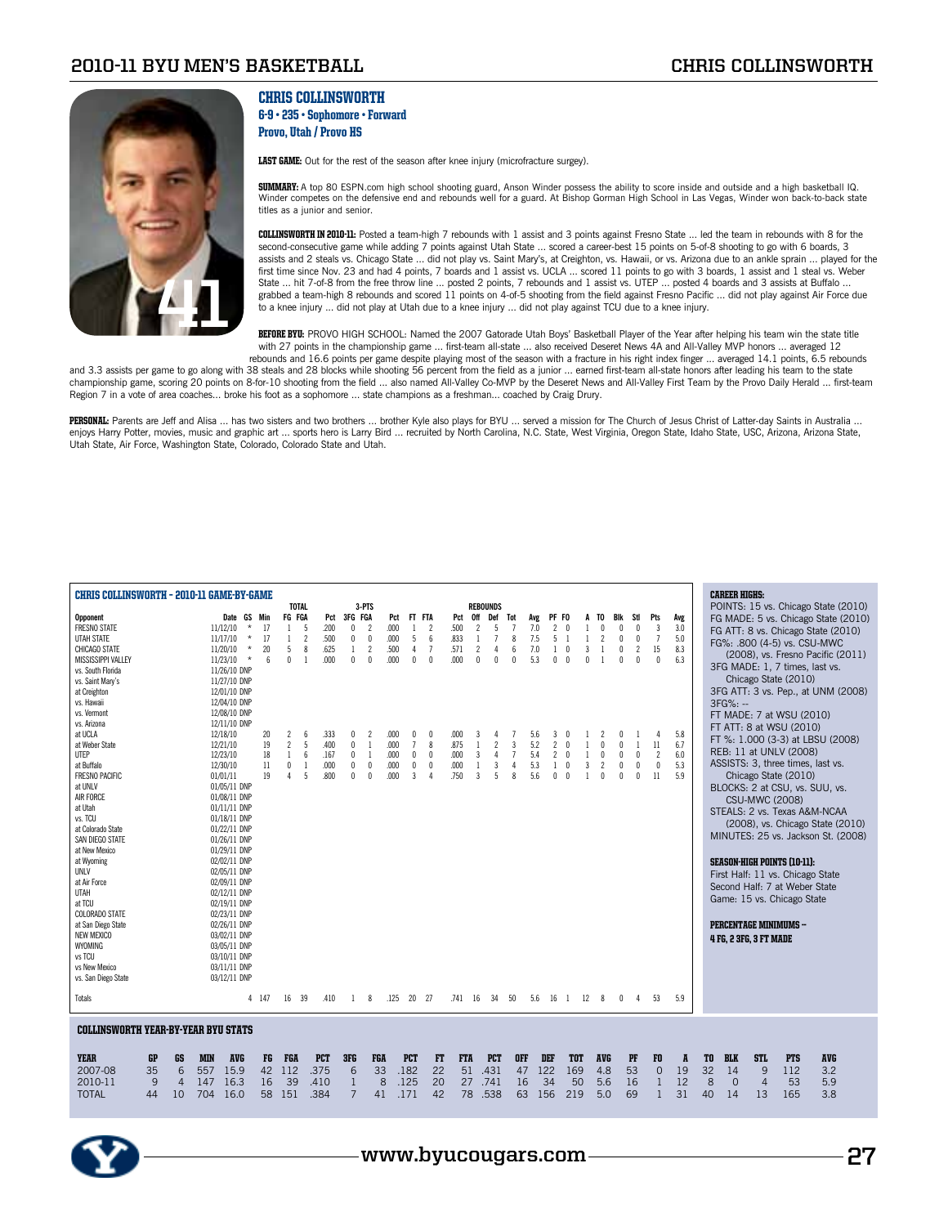

## Chris Collinsworth 6-9 • 235 • Sophomore • Forward Provo, Utah / Provo HS

LAST GAME: Out for the rest of the season after knee injury (microfracture surgey).

**SUMMARY:** A top 80 ESPN.com high school shooting guard, Anson Winder possess the ability to score inside and outside and a high basketball IQ.<br>Winder competes on the defensive end and rebounds well for a guard. At Bishop titles as a junior and senior.

Collinsworth IN 2010-11: Posted a team-high 7 rebounds with 1 assist and 3 points against Fresno State ... led the team in rebounds with 8 for the second-consecutive game while adding 7 points against Utah State ... scored a career-best 15 points on 5-of-8 shooting to go with 6 boards, 3 assists and 2 steals vs. Chicago State ... did not play vs. Saint Mary's, at Creighton, vs. Hawaii, or vs. Arizona due to an ankle sprain ... played for the first time since Nov. 23 and had 4 points, 7 boards and 1 assist vs. UCLA ... scored 11 points to go with 3 boards, 1 assist and 1 steal vs. Weber State ... hit 7-of-8 from the free throw line ... posted 2 points, 7 rebounds and 1 assist vs. UTEP ... posted 4 boards and 3 assists at Buffalo . grabbed a team-high 8 rebounds and scored 11 points on 4-of-5 shooting from the field against Fresno Pacific ... did not play against Air Force due to a knee injury ... did not play at Utah due to a knee injury ... did not play against TCU due to a knee injury.

BEFORE BYU: PROVO HIGH SCHOOL: Named the 2007 Gatorade Utah Boys' Basketball Player of the Year after helping his team win the state title with 27 points in the championship game ... first-team all-state ... also received Deseret News 4A and All-Valley MVP honors ... averaged 12 rebounds and 16.6 points per game despite playing most of the season with a fracture in his right index finger ... averaged 14.1 points, 6.5 rebounds

and 3.3 assists per game to go along with 38 steals and 28 blocks while shooting 56 percent from the field as a junior ... earned first-team all-state honors after leading his team to the state championship game, scoring 20 points on 8-for-10 shooting from the field ... also named All-Valley Co-MVP by the Deseret News and All-Valley First Team by the Provo Daily Herald ... first-team Region 7 in a vote of area coaches... broke his foot as a sophomore ... state champions as a freshman... coached by Craig Drury.

PERSONAL: Parents are Jeff and Alisa ... has two sisters and two brothers ... brother Kyle also plays for BYU ... served a mission for The Church of Jesus Christ of Latter-day Saints in Australia ... enjoys Harry Potter, movies, music and graphic art ... sports hero is Larry Bird ... recruited by North Carolina, N.C. State, West Virginia, Oregon State, Idaho State, USC, Arizona, Arizona, Arizona State, Utah State, Air Force, Washington State, Colorado, Colorado State and Utah.

| <b>CHRIS COLLINSWORTH - 2010-11 GAME-BY-GAME</b> |                          |       |                |                        |                |                          |            |                                            |                         |                 |                          |                |     |                              |                   |      |                |                               |                |     |    | <b>CAREER HIGHS:</b> |                        |                                    |                                     |
|--------------------------------------------------|--------------------------|-------|----------------|------------------------|----------------|--------------------------|------------|--------------------------------------------|-------------------------|-----------------|--------------------------|----------------|-----|------------------------------|-------------------|------|----------------|-------------------------------|----------------|-----|----|----------------------|------------------------|------------------------------------|-------------------------------------|
|                                                  |                          |       | <b>TOTAL</b>   |                        |                | 3-PTS                    |            |                                            |                         | <b>REBOUNDS</b> |                          |                |     |                              |                   |      |                |                               |                |     |    |                      |                        |                                    | POINTS: 15 vs. Chicago State (2010) |
| <b>Opponent</b>                                  | Date GS Min              |       | FG FGA         | Pct                    | 3FG FGA        |                          | Pct        | FT FTA                                     | Pct                     | 0ff             | Def                      | Tot            | Avg | PF FO                        |                   | A TO | Blk            | Stl                           | Pts            | Avg |    |                      |                        |                                    | FG MADE: 5 vs. Chicago State (2010) |
| <b>FRESNO STATE</b>                              | 11/12/10<br>$\star$      | 17    | $\mathbf{1}$   | -5<br>.200             | $\mathbf{0}$   | $\overline{\phantom{a}}$ | .000       | $\overline{1}$<br>$\overline{\phantom{a}}$ | .500                    | $\mathcal{P}$   | 5                        | $\overline{1}$ | 7.0 | $\overline{\phantom{a}}$     |                   |      |                | 0<br>$\theta$                 | 3              | 3.0 |    |                      |                        |                                    | FG ATT: 8 vs. Chicago State (2010)  |
| UTAH STATE                                       | $^\star$<br>11/17/10     | 17    | 1              | $\overline{c}$<br>.500 | 0              | $\mathbf{0}$             | .000       | 5<br>6                                     | .833                    | 1               | $\overline{1}$           | 8              | 7.5 | 5                            | 1                 |      | 2              | $\mathbf 0$<br>0              | $\overline{7}$ | 5.0 |    |                      |                        |                                    |                                     |
| CHICAGO STATE                                    | $\star$<br>11/20/10      | 20    | 5              | 8<br>.625              | $\mathbf{1}$   | $\overline{2}$           | .500       | $\overline{7}$<br>4                        | .571                    | $\overline{c}$  | 4                        | 6              | 7.0 | $\sqrt{ }$<br>1              | 3                 |      |                | $\mathbf 0$<br>$\overline{2}$ | 15             | 8.3 |    |                      |                        | FG%: .800 (4-5) vs. CSU-MWC        |                                     |
| <b>MISSISSIPPI VALLEY</b>                        | $^{\star}$<br>11/23/10   | 6     | $\mathbf{0}$   | .000<br>$\overline{1}$ | $\mathbf{0}$   | $\mathbf{0}$             | .000       | 0<br>$\sqrt{ }$                            | .000                    | $\Omega$        | $\Omega$                 | $\sqrt{ }$     | 5.3 | $\mathbf{0}$<br>$\sqrt{ }$   | $\mathsf{\Omega}$ |      |                | $\sqrt{ }$<br>$\Omega$        | $\mathbf{0}$   | 6.3 |    |                      |                        |                                    | (2008), vs. Fresno Pacific (2011)   |
| vs. South Florida                                | 11/26/10 DNP             |       |                |                        |                |                          |            |                                            |                         |                 |                          |                |     |                              |                   |      |                |                               |                |     |    |                      |                        | 3FG MADE: 1, 7 times, last vs.     |                                     |
| vs. Saint Mary's                                 | 11/27/10 DNP             |       |                |                        |                |                          |            |                                            |                         |                 |                          |                |     |                              |                   |      |                |                               |                |     |    |                      |                        | Chicago State (2010)               |                                     |
| at Creighton                                     | 12/01/10 DNP             |       |                |                        |                |                          |            |                                            |                         |                 |                          |                |     |                              |                   |      |                |                               |                |     |    |                      |                        |                                    | 3FG ATT: 3 vs. Pep., at UNM (2008)  |
| vs. Hawaii                                       | 12/04/10 DNP             |       |                |                        |                |                          |            |                                            |                         |                 |                          |                |     |                              |                   |      |                |                               |                |     |    |                      |                        |                                    |                                     |
|                                                  |                          |       |                |                        |                |                          |            |                                            |                         |                 |                          |                |     |                              |                   |      |                |                               |                |     |    | $3FG%: -$            |                        |                                    |                                     |
| vs. Vermont                                      | 12/08/10 DNP             |       |                |                        |                |                          |            |                                            |                         |                 |                          |                |     |                              |                   |      |                |                               |                |     |    |                      |                        | FT MADE: 7 at WSU (2010)           |                                     |
| vs. Arizona                                      | 12/11/10 DNP             |       |                |                        |                |                          |            |                                            |                         |                 |                          |                |     |                              |                   |      |                |                               |                |     |    |                      |                        | FT ATT: 8 at WSU (2010)            |                                     |
| at UCLA                                          | 12/18/10                 | 20    | $\overline{2}$ | 6<br>.333              | 0              | 2                        | .000       | 0<br>$\theta$                              | .000                    | 3               |                          |                | 5.6 | 3                            |                   |      |                |                               | Δ              | 5.8 |    |                      |                        |                                    | FT %: 1.000 (3-3) at LBSU (2008)    |
| at Weber State                                   | 12/21/10                 | 19    | $\overline{2}$ | 5<br>.400              | 0              | -1                       | .000       | $\overline{7}$<br>8                        | .875                    |                 | $\overline{\phantom{a}}$ | 3              | 5.2 | $\overline{c}$<br>$\sqrt{ }$ | 1                 |      | $\theta$       | $\theta$<br>$\overline{1}$    | 11             | 6.7 |    |                      |                        | REB: 11 at UNLV (2008)             |                                     |
| <b>UTEP</b>                                      | 12/23/10                 | 18    | 1              | 6<br>.167              | 0              | -1                       | .000       | 0<br>$\theta$                              | .000                    | $\overline{3}$  | $\Delta$                 | $\overline{7}$ | 5.4 | $\overline{c}$<br>$\sqrt{ }$ |                   |      | $\mathsf{n}$   | $\mathbf{0}$<br>$\Omega$      | $\overline{2}$ | 6.0 |    |                      |                        |                                    |                                     |
| at Buffalo                                       | 12/30/10                 | 11    | $\mathbf 0$    | .000<br>$\overline{1}$ | 0              | $\pmb{0}$                | .000       | 0<br>$\theta$                              | .000                    |                 | 3                        | $\overline{4}$ | 5.3 | $\mathbf{1}$<br>$\sqrt{ }$   | 3                 |      | $\overline{2}$ | $\mathbf 0$<br>$\theta$       | $\mathbf 0$    | 5.3 |    |                      |                        | ASSISTS: 3, three times, last vs.  |                                     |
| <b>FRESNO PACIFIC</b>                            | 01/01/11                 | 19    | $\Lambda$      | 5<br>800               | $\mathbf{0}$   | $\mathbf{0}$             | .000       | 3                                          | .750                    | $\overline{3}$  | 5                        | $\mathbf{8}$   | 5.6 | $\mathbf{0}$<br>$\sqrt{ }$   |                   |      | $\sqrt{ }$     | $\sqrt{ }$<br>$\Omega$        | 11             | 5.9 |    |                      |                        | Chicago State (2010)               |                                     |
| at UNLV                                          | 01/05/11 DNP             |       |                |                        |                |                          |            |                                            |                         |                 |                          |                |     |                              |                   |      |                |                               |                |     |    |                      |                        | BLOCKS: 2 at CSU, vs. SUU, vs.     |                                     |
| <b>AIR FORCE</b>                                 | 01/08/11 DNP             |       |                |                        |                |                          |            |                                            |                         |                 |                          |                |     |                              |                   |      |                |                               |                |     |    |                      | <b>CSU-MWC (2008)</b>  |                                    |                                     |
| at Utah                                          | 01/11/11 DNP             |       |                |                        |                |                          |            |                                            |                         |                 |                          |                |     |                              |                   |      |                |                               |                |     |    |                      |                        |                                    |                                     |
| vs. TCU                                          | 01/18/11 DNP             |       |                |                        |                |                          |            |                                            |                         |                 |                          |                |     |                              |                   |      |                |                               |                |     |    |                      |                        | STEALS: 2 vs. Texas A&M-NCAA       |                                     |
| at Colorado State                                | 01/22/11 DNP             |       |                |                        |                |                          |            |                                            |                         |                 |                          |                |     |                              |                   |      |                |                               |                |     |    |                      |                        |                                    | (2008), vs. Chicago State (2010)    |
| SAN DIEGO STATE                                  | 01/26/11 DNP             |       |                |                        |                |                          |            |                                            |                         |                 |                          |                |     |                              |                   |      |                |                               |                |     |    |                      |                        |                                    | MINUTES: 25 vs. Jackson St. (2008)  |
| at New Mexico                                    | 01/29/11 DNP             |       |                |                        |                |                          |            |                                            |                         |                 |                          |                |     |                              |                   |      |                |                               |                |     |    |                      |                        |                                    |                                     |
|                                                  |                          |       |                |                        |                |                          |            |                                            |                         |                 |                          |                |     |                              |                   |      |                |                               |                |     |    |                      |                        |                                    |                                     |
| at Wyoming                                       | 02/02/11 DNP             |       |                |                        |                |                          |            |                                            |                         |                 |                          |                |     |                              |                   |      |                |                               |                |     |    |                      |                        | <b>SEASON-HIGH POINTS (10-11):</b> |                                     |
| <b>UNLV</b>                                      | 02/05/11 DNP             |       |                |                        |                |                          |            |                                            |                         |                 |                          |                |     |                              |                   |      |                |                               |                |     |    |                      |                        | First Half: 11 vs. Chicago State   |                                     |
| at Air Force                                     | 02/09/11 DNP             |       |                |                        |                |                          |            |                                            |                         |                 |                          |                |     |                              |                   |      |                |                               |                |     |    |                      |                        | Second Half: 7 at Weber State      |                                     |
| <b>UTAH</b>                                      | 02/12/11 DNP             |       |                |                        |                |                          |            |                                            |                         |                 |                          |                |     |                              |                   |      |                |                               |                |     |    |                      |                        | Game: 15 vs. Chicago State         |                                     |
| at TCU                                           | 02/19/11 DNP             |       |                |                        |                |                          |            |                                            |                         |                 |                          |                |     |                              |                   |      |                |                               |                |     |    |                      |                        |                                    |                                     |
| <b>COLORADO STATE</b>                            | 02/23/11 DNP             |       |                |                        |                |                          |            |                                            |                         |                 |                          |                |     |                              |                   |      |                |                               |                |     |    |                      |                        |                                    |                                     |
| at San Diego State                               | 02/26/11 DNP             |       |                |                        |                |                          |            |                                            |                         |                 |                          |                |     |                              |                   |      |                |                               |                |     |    |                      |                        | <b>PERCENTAGE MINIMUMS --</b>      |                                     |
| <b>NEW MEXICO</b>                                | 03/02/11 DNP             |       |                |                        |                |                          |            |                                            |                         |                 |                          |                |     |                              |                   |      |                |                               |                |     |    |                      | 4 FG, 2 3FG, 3 FT MADE |                                    |                                     |
| <b>WYOMING</b>                                   | 03/05/11 DNP             |       |                |                        |                |                          |            |                                            |                         |                 |                          |                |     |                              |                   |      |                |                               |                |     |    |                      |                        |                                    |                                     |
| vs TCU                                           | 03/10/11 DNP             |       |                |                        |                |                          |            |                                            |                         |                 |                          |                |     |                              |                   |      |                |                               |                |     |    |                      |                        |                                    |                                     |
| vs New Mexico                                    | 03/11/11 DNP             |       |                |                        |                |                          |            |                                            |                         |                 |                          |                |     |                              |                   |      |                |                               |                |     |    |                      |                        |                                    |                                     |
| vs. San Diego State                              | 03/12/11 DNP             |       |                |                        |                |                          |            |                                            |                         |                 |                          |                |     |                              |                   |      |                |                               |                |     |    |                      |                        |                                    |                                     |
|                                                  |                          |       |                |                        |                |                          |            |                                            |                         |                 |                          |                |     |                              |                   |      |                |                               |                |     |    |                      |                        |                                    |                                     |
| Totals                                           |                          | 4 147 | 16 39          | .410                   | -1             | 8                        | .125       | 20 27                                      | .741 16                 |                 | -34                      | 50             | 5.6 | 16 1                         | 12                |      | 8              | 0<br>4                        | 53             | 5.9 |    |                      |                        |                                    |                                     |
|                                                  |                          |       |                |                        |                |                          |            |                                            |                         |                 |                          |                |     |                              |                   |      |                |                               |                |     |    |                      |                        |                                    |                                     |
|                                                  |                          |       |                |                        |                |                          |            |                                            |                         |                 |                          |                |     |                              |                   |      |                |                               |                |     |    |                      |                        |                                    |                                     |
| <b>COLLINSWORTH YEAR-BY-YEAR BYU STATS</b>       |                          |       |                |                        |                |                          |            |                                            |                         |                 |                          |                |     |                              |                   |      |                |                               |                |     |    |                      |                        |                                    |                                     |
|                                                  |                          |       |                |                        |                |                          |            |                                            |                         |                 |                          |                |     |                              |                   |      |                |                               |                |     |    |                      |                        |                                    |                                     |
| <b>YEAR</b><br><b>GP</b><br>GS                   | <b>AVG</b><br><b>MIN</b> | FG    | <b>FGA</b>     | <b>PCT</b>             | 3FG            | <b>FGA</b>               | <b>PCT</b> |                                            | <b>FTA</b><br><b>FT</b> |                 | <b>PCT</b>               | <b>OFF</b>     | DEF |                              | <b>TOT</b>        |      | <b>AVG</b>     | PF                            | F <sub>0</sub> | A   | TO | <b>BLK</b>           | <b>STL</b>             | <b>PTS</b>                         | <b>AVG</b>                          |
| 35<br>6<br>2007-08                               | 557<br>15.9              | 42    | 112            | .375                   | 6              | 33                       | .182       | 22                                         |                         | 51              | .431                     | 47             | 122 |                              | 169               |      | 4.8            | 53                            | $\mathbf{0}$   | 19  | 32 | 14                   | 9                      | 112                                | 3.2                                 |
| 2010-11<br>9<br>$\overline{4}$                   | 147<br>16.3              | 16    | 39             | .410                   | $\mathbf{1}$   | 8                        | .125       | 20                                         |                         | 27              | .741                     | 16             |     | 34                           | 50                |      | 5.6            | 16                            | $\mathbf{1}$   | 12  | 8  | $\Omega$             | $\overline{4}$         | 53                                 | 5.9                                 |
| <b>TOTAL</b><br>44<br>10                         | 704<br>16.0              | 58    | 151            | .384                   | $\overline{7}$ | 41                       | .171       | 42                                         |                         | 78 .538         |                          | 63             | 156 |                              | 219               |      | 5.0            | 69                            | $\mathbf{1}$   | 31  | 40 | 14                   | 13                     | 165                                | 3.8                                 |
|                                                  |                          |       |                |                        |                |                          |            |                                            |                         |                 |                          |                |     |                              |                   |      |                |                               |                |     |    |                      |                        |                                    |                                     |
|                                                  |                          |       |                |                        |                |                          |            |                                            |                         |                 |                          |                |     |                              |                   |      |                |                               |                |     |    |                      |                        |                                    |                                     |
|                                                  |                          |       |                |                        |                |                          |            |                                            |                         |                 |                          |                |     |                              |                   |      |                |                               |                |     |    |                      |                        |                                    |                                     |

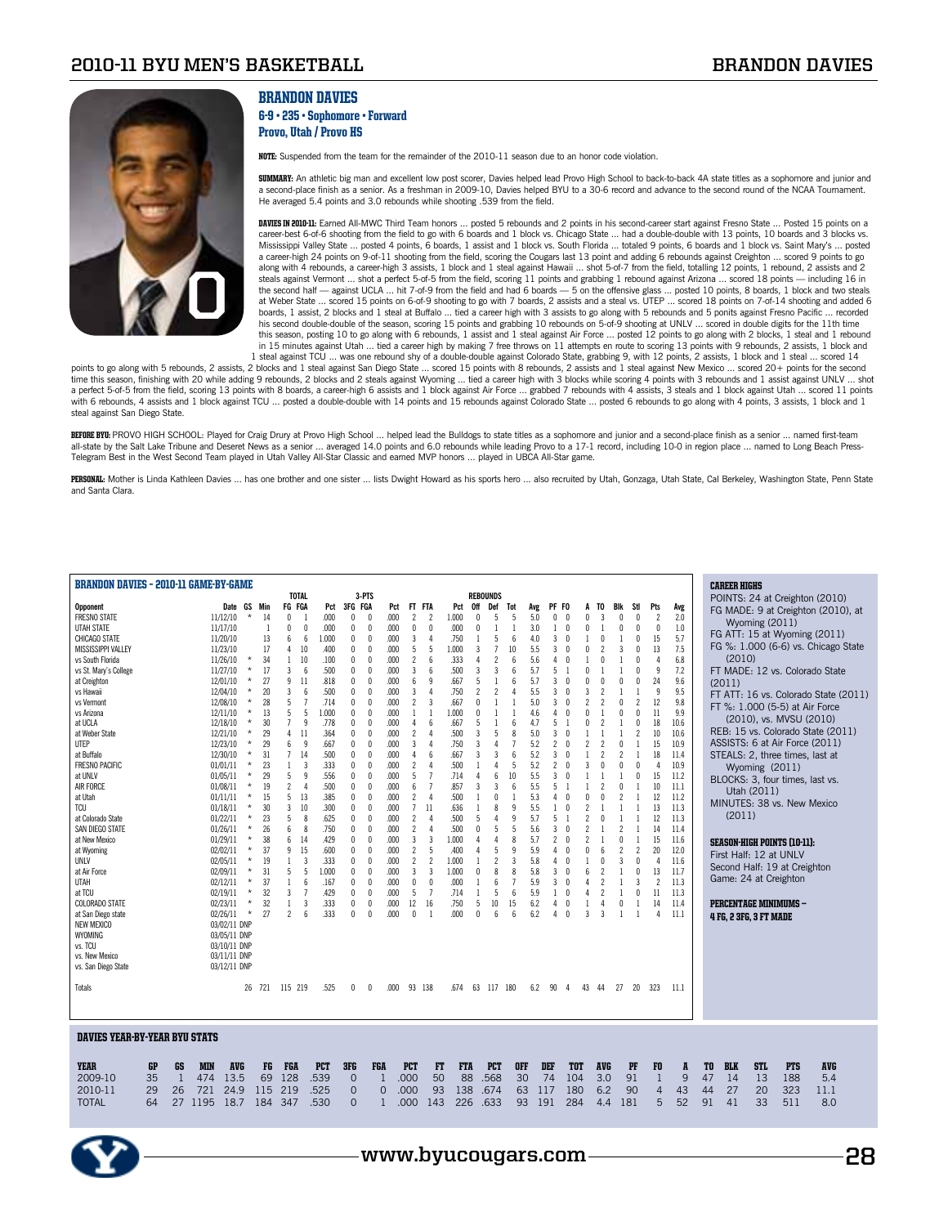

## **BRANDON DAVIES**

#### 6-9 • 235 • Sophomore • Forward Provo, Utah / Provo HS

NOTE: Suspended from the team for the remainder of the 2010-11 season due to an honor code violation.

**SUMMARY:** An athletic big man and excellent low post scorer, Davies helped lead Provo High School to back-to-back 4A state titles as a sophomore and junior and<br>a second-place finish as a senior. As a freshman in 2009-10, He averaged 5.4 points and 3.0 rebounds while shooting .539 from the field.

DAVIES IN 2010-11: Earned All-MWC Third Team honors ... posted 5 rebounds and 2 points in his second-career start against Fresno State ... Posted 15 points on a career-best 6-of-6 shooting from the field to go with 6 boards and 1 block vs. Chicago State … had a double-double with 13 points, 10 boards and 3 blocks vs.<br>Mississippi Valley State … posted 4 points, 6 boards, 1 assist a a career-high 24 points on 9-of-11 shooting from the field, scoring the Cougars last 13 point and adding 6 rebounds against Creighton ... scored 9 points to go along with 4 rebounds, a career-high 3 assists, 1 block and 1 steal against Hawaii … shot 5-of-7 from the field, totalling 12 points, 1 rebound, 2 assists and 2<br>steals against Vermont … shot a perfect 5-of-5 from the field the second half — against UCLA … hit 7-of-9 from the field and had 6 boards — 5 on the offensive glass … posted 10 points, 8 boards, 1 block and two steals<br>at Weber State … scored 15 points on 6-of-9 shooting to go with 7 boards, 1 assist, 2 blocks and 1 steal at Buffalo ... tied a career high with 3 assists to go along with 5 rebounds and 5 ponits against Fresno Pacific ... recorded his second double-double of the season, scoring 15 points and grabbing 10 rebounds on 5-of-9 shooting at UNLV ... scored in double digits for the 11th time this season, posting 10 to go along with 6 rebounds, 1 assist and 1 steal against Air Force ... posted 12 points to go along with 2 blocks, 1 steal and 1 rebound in 15 minutes against Utah ... tied a career high by making 7 free throws on 11 attempts en route to scoring 13 points with 9 rebounds, 2 assists, 1 block and<br>1 steal against TCU ... was one rebound shy of a double-double

points to go along with 5 rebounds, 2 assists, 2 blocks and 1 steal against San Diego State ... scored 15 points with 8 rebounds, 2 assists and 1 steal against New Mexico ... scored 20+ points for the second time this season, finishing with 20 while adding 9 rebounds, 2 blocks and 2 steals against Wyoming ... tied a career high with 3 blocks while scoring 4 points with 3 rebounds and 1 assist against UNLV ... shot a perfect 5-of-5 from the field, scoring 13 points with 8 boards, a career-high 6 assists and 1 block against Air Force ... grabbed 7 rebounds with 4 assists, 3 steals and 1 block against Utah ... scored 11 points<br>with 6 r steal against San Diego State.

BEFORE BYU: PROVO HIGH SCHOOL: Played for Craig Drury at Provo High School … helped lead the Bulldogs to state titles as a sophomore and junior and a second-place finish as a senior … named first-team<br>all-state by the Salt Telegram Best in the West Second Team played in Utah Valley All-Star Classic and earned MVP honors ... played in UBCA All-Star game.

PERSONAL: Mother is Linda Kathleen Davies ... has one brother and one sister ... lists Dwight Howard as his sports hero ... also recruited by Utah, Gonzaga, Utah State, Cal Berkeley, Washington State, Penn State and Santa Clara.

| <b>BRANDON DAVIES - 2010-11 GAME-BY-GAME</b> |          |            |              |            |                |                 | <b>TOTAL</b>   |            |                | 3-PTS      |          |                          |                          |            | <b>REBOUNDS</b> |                 |                 |     |                |              |                          |                          |                          |                          |                          |                |    | <b>CAREER HIGHS</b> |                               |                                    |                                      |  |
|----------------------------------------------|----------|------------|--------------|------------|----------------|-----------------|----------------|------------|----------------|------------|----------|--------------------------|--------------------------|------------|-----------------|-----------------|-----------------|-----|----------------|--------------|--------------------------|--------------------------|--------------------------|--------------------------|--------------------------|----------------|----|---------------------|-------------------------------|------------------------------------|--------------------------------------|--|
|                                              |          |            |              |            |                |                 |                |            |                |            |          |                          |                          |            |                 |                 |                 |     |                |              |                          |                          |                          |                          |                          |                |    |                     |                               |                                    | POINTS: 24 at Creighton (2010)       |  |
| Opponent                                     |          |            | Date GS      |            | Min            | FG FGA          |                | Pct        | 3FG FGA        |            | Pct      | FT.                      | FTA                      | Pct        | 0ff             | Def             | Tot             | Avg | PF FO          |              | A                        | TO                       | Bik                      | Stl                      | Pts                      | Avg            |    |                     |                               |                                    | FG MADE: 9 at Creighton (2010), at   |  |
| <b>FRESNO STATE</b>                          |          |            | 11/12/10     | $\star$    | 14             | $\theta$        | -1             | .000       | $\theta$       | $\Omega$   | .000     | $\overline{\phantom{a}}$ | $\overline{c}$           | 1.000      | n               | 5               | 5               | 5.0 | 0              | $\theta$     | $\mathbf{0}$             | 3                        | $\theta$                 | $\theta$                 | $\overline{\phantom{a}}$ | 2.0            |    |                     | Wyoming (2011)                |                                    |                                      |  |
| UTAH STATE                                   |          |            | 11/17/10     |            | $\overline{1}$ | $\theta$        | $\mathbf{0}$   | .000       | $\theta$       | $\sqrt{ }$ | .000     | $\theta$                 | $\mathsf{r}$             | .000       | n               |                 |                 | 3.0 | 1              | $\sqrt{ }$   | n                        |                          | $\mathbf{0}$             | $\mathsf{n}$             | $\theta$                 | 1.0            |    |                     |                               |                                    |                                      |  |
| CHICAGO STATE                                |          |            | 11/20/10     |            | 13             | 6               | 6              | 1.000      | $\theta$       | $\Omega$   | .000     | 3                        | $\Delta$                 | .750       | $\overline{1}$  | 5               | 6               | 4.0 | 3              | $\sqrt{ }$   |                          | $\Omega$                 | $\overline{1}$           | $\theta$                 | 15                       | 5.7            |    |                     |                               |                                    | FG ATT: 15 at Wyoming (2011)         |  |
| MISSISSIPPI VALLEY                           |          |            | 11/23/10     |            | 17             | $\overline{4}$  | 10             | .400       | $\theta$       | $\theta$   | .000     | 5                        | 5                        | 1.000      | 3               | $\overline{1}$  | 10              | 5.5 | 3              | $\sqrt{ }$   | $\mathsf{\Omega}$        |                          | $\overline{3}$           | $\theta$                 | 13                       | 7.5            |    |                     |                               |                                    | FG %: 1.000 (6-6) vs. Chicago State  |  |
| vs South Florida                             |          |            | 11/26/10     | $^\star$   | 34             | 1               | 10             | .100       | 0              | $\theta$   | .000     | 2                        | 6                        | .333       |                 | $\overline{2}$  | 6               | 5.6 | 4              | $\theta$     |                          | 0                        |                          | 0                        | $\Delta$                 | 6.8            |    | (2010)              |                               |                                    |                                      |  |
| vs St. Mary's College                        |          |            | 11/27/10     | $^\star$   | 17             | $\overline{3}$  | 6              | .500       | $\theta$       | 0          | .000     | 3                        | 6                        | .500       | 3               | 3               | 6               | 5.7 | 5              |              | $\theta$                 |                          |                          |                          | $\overline{9}$           | 7.2            |    |                     |                               |                                    | FT MADE: 12 vs. Colorado State       |  |
| at Creighton                                 |          |            | 12/01/10     | $^\star$   | 27             | 9               | 11             | .818       | $\theta$       | n          | .000     | $\mathsf{f}$             | q                        | .667       |                 |                 | 6               | 5.7 | 3              |              | $\mathsf{\Omega}$        |                          |                          |                          | 24                       | 9.6            |    |                     |                               |                                    |                                      |  |
| vs Hawaii                                    |          |            |              | $\star$    | 20             | $\overline{3}$  | 6              | .500       | $\theta$       | $\theta$   | .000     | 3                        | $\Delta$                 | .750       | $\mathcal{P}$   | $\overline{2}$  | $\Delta$        | 5.5 | 3              | $\theta$     | 3                        | $\overline{2}$           | $\overline{1}$           |                          | q                        | 9.5            |    | (2011)              |                               |                                    |                                      |  |
|                                              |          |            | 12/04/10     | $\star$    |                | 5               | $\overline{7}$ |            | $\theta$       | $\Omega$   |          |                          | 3                        |            | $\Omega$        |                 |                 |     | 3              | $\sqrt{ }$   | $\overline{\phantom{a}}$ | 2                        | $\sqrt{ }$               | $\overline{\phantom{a}}$ | 12                       | 9.8            |    |                     |                               |                                    | FT ATT: 16 vs. Colorado State (2011) |  |
| vs Vermont                                   |          |            | 12/08/10     |            | 28             |                 |                | .714       |                |            | .000     | 2                        |                          | .667       |                 |                 |                 | 5.0 |                |              |                          |                          |                          |                          |                          |                |    |                     |                               |                                    | FT %: 1.000 (5-5) at Air Force       |  |
| vs Arizona                                   |          |            | 12/11/10     | $\star$    | 13             | 5               | 5              | 1.000      | 0              | 0          | .000     | -1                       | $\mathbf{1}$             | 1.000      |                 |                 |                 | 4.6 | 4              | $\theta$     | $\mathbf{0}$             |                          | $\theta$                 | $\theta$                 | 11                       | 9.9            |    |                     |                               | (2010), vs. MVSU (2010)            |                                      |  |
| at UCLA                                      |          |            | 12/18/10     | $^\star$   | 30             | $\overline{1}$  | 9              | .778       | $\theta$       | 0          | .000     | 4                        | 6                        | .667       | 5               |                 | 6               | 4.7 | 5              |              | $\mathbf{0}$             | $\overline{c}$           |                          | 0                        | 18                       | 10.6           |    |                     |                               |                                    |                                      |  |
| at Weber State                               |          |            | 12/21/10     | $^\star$   | 29             | $\overline{4}$  | 11             | .364       | $\theta$       | $\theta$   | .000     | $\overline{\phantom{a}}$ | $\Delta$                 | .500       | 3               | 5               | 8               | 5.0 | 3              | $\theta$     |                          |                          |                          | $\mathcal{P}$            | 10                       | 10.6           |    |                     |                               |                                    | REB: 15 vs. Colorado State (2011)    |  |
| UTEP                                         |          |            | 12/23/10     | $^\star$   | 29             | $6\phantom{.}6$ | 9              | .667       | $\theta$       | $\theta$   | .000     | 3                        | $\Delta$                 | .750       | 3               | 4               | $\overline{7}$  | 5.2 | $\overline{c}$ | $\theta$     | $\overline{\phantom{a}}$ | $\overline{2}$           | $\theta$                 | -1                       | 15                       | 10.9           |    |                     |                               |                                    | ASSISTS: 6 at Air Force (2011)       |  |
| at Buffalo                                   |          |            | 12/30/10     | $\star$    | 31             | $\overline{7}$  | 14             | .500       | $\mathbf{0}$   | $\Omega$   | .000     | 4                        | ĥ                        | .667       | 3               | 3               | 6               | 5.2 | 3              | $\sqrt{ }$   |                          | 2                        | $\overline{\phantom{a}}$ |                          | 18                       | 11.4           |    |                     |                               |                                    | STEALS: 2, three times, last at      |  |
| <b>FRESNO PACIFIC</b>                        |          |            | 01/01/11     | $^\star$   | 23             | $\mathbf{1}$    | 3              | .333       | $\theta$       | $\theta$   | .000     | 2                        | $\Delta$                 | .500       | $\overline{1}$  | 4               | 5               | 5.2 | 2              | $\theta$     | 3                        | $\theta$                 | $\theta$                 | $\theta$                 | $\Delta$                 | 10.9           |    |                     | Wyoming (2011)                |                                    |                                      |  |
| at UNLV                                      |          |            | 01/05/11     | $\star$    | 29             | 5               | 9              | .556       | $\theta$       | 0          | .000     | 5                        | $\overline{7}$           | .714       |                 | 6               | 10              | 5.5 | 3              | $\theta$     |                          |                          |                          | 0                        | 15                       | 11.2           |    |                     |                               |                                    |                                      |  |
| <b>AIR FORCE</b>                             |          |            | 01/08/11     | $^\star$   | 19             | $\overline{2}$  | 4              | .500       | 0              | $\theta$   | .000     | 6                        | $\overline{7}$           | .857       | 3               | 3               | 6               | 5.5 | 5              |              |                          |                          |                          |                          | 10                       | 11.1           |    |                     |                               |                                    | BLOCKS: 3, four times, last vs.      |  |
|                                              |          |            |              | $^\star$   | 15             | 5               | 13             | .385       | $\theta$       |            | .000     | $\overline{c}$           | $\mathbf{A}$             | .500       | $\overline{1}$  | $\mathbf 0$     | $\overline{1}$  | 5.3 | 4              | $\theta$     | $\theta$                 | $\theta$                 | $\overline{2}$           | $\mathbf{1}$             | 12                       | 11.2           |    |                     | Utah (2011)                   |                                    |                                      |  |
| at Utah                                      |          |            | 01/11/11     |            |                |                 |                |            |                | 0          |          |                          |                          |            |                 |                 |                 |     |                |              |                          |                          |                          |                          |                          |                |    |                     |                               |                                    | MINUTES: 38 vs. New Mexico           |  |
| TCU                                          |          |            | 01/18/11     | $^\star$   | 30             | 3               | 10             | .300       | $\theta$       | $\theta$   | .000     | $\overline{7}$           | 11                       | .636       | $\mathbf{1}$    | 8               | q               | 5.5 | 1              | $\sqrt{ }$   | $\overline{\phantom{a}}$ |                          |                          |                          | 13                       | 11.3           |    |                     |                               |                                    |                                      |  |
| at Colorado State                            |          |            | 01/22/11     | $^{\star}$ | 23             | 5               | 8              | .625       | $\theta$       | $\theta$   | .000     | 2                        | $\Delta$                 | .500       | 5               | 4               | 9               | 5.7 | 5              |              | $\overline{\phantom{a}}$ | $\mathbf{0}$             |                          |                          | 12                       | 11.3           |    | (2011)              |                               |                                    |                                      |  |
| SAN DIEGO STATE                              |          |            | 01/26/11     | $\star$    | 26             | 6               | 8              | .750       | $\theta$       | 0          | .000     | 2                        | $\overline{4}$           | .500       | $\theta$        | 5               | 5               | 5.6 | 3              | $\theta$     | $\overline{c}$           |                          | $\overline{c}$           |                          | 14                       | 11.4           |    |                     |                               |                                    |                                      |  |
| at New Mexico                                |          |            | 01/29/11     | $^\star$   | 38             | 6               | 14             | .429       | $\theta$       | $\theta$   | .000     | 3                        | 3                        | 1.000      |                 | $\Delta$        | 8               | 5.7 | 2              | $\theta$     | $\mathfrak{p}$           |                          |                          |                          | 15                       | 11.6           |    |                     |                               | <b>SEASON-HIGH POINTS (10-11):</b> |                                      |  |
| at Wyoming                                   |          |            | 02/02/11     | $\star$    | 37             | 9               | 15             | .600       | $\theta$       | $\Omega$   | .000     | $\overline{c}$           | 5                        | .400       | 4               | 5               | 9               | 5.9 | $\Lambda$      | $\theta$     | $\mathbf{0}$             | 6                        | $\overline{c}$           | $\overline{2}$           | 20                       | 12.0           |    |                     |                               |                                    |                                      |  |
| <b>UNLV</b>                                  |          |            | 02/05/11     | $^\star$   | 19             | $\mathbf{1}$    | 3              | 333        | $\theta$       | $\theta$   | .000     | $\overline{\phantom{a}}$ | $\overline{\phantom{a}}$ | 1.000      | $\mathbf{1}$    | $\mathfrak{p}$  | 3               | 5.8 | 4              | $\theta$     |                          |                          | 3                        | $\theta$                 | $\overline{4}$           | 11.6           |    |                     |                               | First Half: 12 at UNLV             |                                      |  |
| at Air Force                                 |          |            | 02/09/11     | $^\star$   | 31             | 5               | 5              | 1.000      | $\theta$       | $\theta$   | .000     | 3                        | 3                        | 1.000      | $\theta$        | 8               | 8               | 5.8 | 3              | $\theta$     | 6                        | $\overline{\phantom{a}}$ |                          | $\theta$                 | 13                       | 11.7           |    |                     |                               | Second Half: 19 at Creighton       |                                      |  |
| UTAH                                         |          |            |              | $\star$    | 37             | $\mathbf{1}$    | 6              | .167       | $\theta$       | $\theta$   | .000     | $\mathbf{0}$             | $\mathbf{0}$             | .000       | -1              | $6\overline{6}$ | $\overline{7}$  | 5.9 | 3              | $\theta$     | 4                        | $\overline{2}$           |                          | 3                        | $\overline{\phantom{a}}$ | 11.3           |    |                     |                               | Game: 24 at Creighton              |                                      |  |
|                                              |          |            | 02/12/11     | $^{\star}$ |                |                 |                |            |                |            |          |                          |                          |            |                 |                 |                 |     |                |              |                          |                          |                          |                          |                          |                |    |                     |                               |                                    |                                      |  |
| at TCU                                       |          |            | 02/19/11     |            | 32             | $\overline{3}$  | $\overline{7}$ | .429       | $\theta$       | $\theta$   | .000     | 5                        | -7                       | .714       | $\mathbf{1}$    | 5               | 6               | 5.9 | 1              | $\sqrt{ }$   | Δ                        | 2                        |                          | n                        | 11                       | 11.3           |    |                     |                               |                                    |                                      |  |
| COLORADO STATE                               |          |            | 02/23/11     | $\star$    | 32             | 1               | 3              | .333       | $\mathbf{0}$   | $\theta$   | .000     | 12                       | 16                       | .750       | 5               | 10              | 15              | 6.2 | 4              | $\mathbf{0}$ | 1                        | Δ                        | $\mathbf 0$              |                          | 14                       | 11.4           |    |                     |                               | PERCENTAGE MINIMUMS -              |                                      |  |
| at San Diego state                           |          |            | 02/26/11     | $^{\star}$ | 27             | $\overline{c}$  | 6              | .333       | $\mathbf{0}$   | $\theta$   | .000     | 0                        | $\mathbf{1}$             | .000       | 0               | $6\overline{6}$ | $6\phantom{1}6$ | 6.2 | $\Delta$       | $\sqrt{ }$   | 3                        | $\mathbf{3}$             |                          | -1                       | $\Lambda$                | 11.1           |    |                     | <b>4 FG, 2 3FG, 3 FT MADE</b> |                                    |                                      |  |
| <b>NEW MEXICO</b>                            |          |            | 03/02/11 DNP |            |                |                 |                |            |                |            |          |                          |                          |            |                 |                 |                 |     |                |              |                          |                          |                          |                          |                          |                |    |                     |                               |                                    |                                      |  |
| WYOMING                                      |          |            | 03/05/11 DNP |            |                |                 |                |            |                |            |          |                          |                          |            |                 |                 |                 |     |                |              |                          |                          |                          |                          |                          |                |    |                     |                               |                                    |                                      |  |
| vs. TCU                                      |          |            | 03/10/11 DNP |            |                |                 |                |            |                |            |          |                          |                          |            |                 |                 |                 |     |                |              |                          |                          |                          |                          |                          |                |    |                     |                               |                                    |                                      |  |
| vs. New Mexico                               |          |            | 03/11/11 DNP |            |                |                 |                |            |                |            |          |                          |                          |            |                 |                 |                 |     |                |              |                          |                          |                          |                          |                          |                |    |                     |                               |                                    |                                      |  |
|                                              |          |            |              |            |                |                 |                |            |                |            |          |                          |                          |            |                 |                 |                 |     |                |              |                          |                          |                          |                          |                          |                |    |                     |                               |                                    |                                      |  |
| vs. San Diego State                          |          |            | 03/12/11 DNP |            |                |                 |                |            |                |            |          |                          |                          |            |                 |                 |                 |     |                |              |                          |                          |                          |                          |                          |                |    |                     |                               |                                    |                                      |  |
|                                              |          |            |              |            |                |                 |                |            |                |            |          |                          |                          |            |                 |                 |                 |     |                |              |                          |                          |                          |                          |                          |                |    |                     |                               |                                    |                                      |  |
| Totals                                       |          |            |              | 26         | 721            | 115 219         |                | .525       | 0              | 0          | .000     | 93 138                   |                          | .674       |                 | 63 117          | 180             | 6.2 | 90             | 4            | 43                       | 44                       | 27                       | 20<br>323                |                          | 11.1           |    |                     |                               |                                    |                                      |  |
|                                              |          |            |              |            |                |                 |                |            |                |            |          |                          |                          |            |                 |                 |                 |     |                |              |                          |                          |                          |                          |                          |                |    |                     |                               |                                    |                                      |  |
|                                              |          |            |              |            |                |                 |                |            |                |            |          |                          |                          |            |                 |                 |                 |     |                |              |                          |                          |                          |                          |                          |                |    |                     |                               |                                    |                                      |  |
|                                              |          |            |              |            |                |                 |                |            |                |            |          |                          |                          |            |                 |                 |                 |     |                |              |                          |                          |                          |                          |                          |                |    |                     |                               |                                    |                                      |  |
| <b>DAVIES YEAR-BY-YEAR BYU STATS</b>         |          |            |              |            |                |                 |                |            |                |            |          |                          |                          |            |                 |                 |                 |     |                |              |                          |                          |                          |                          |                          |                |    |                     |                               |                                    |                                      |  |
|                                              |          |            |              |            |                |                 |                |            |                |            |          |                          |                          |            |                 |                 |                 |     |                |              |                          |                          |                          |                          |                          |                |    |                     |                               |                                    |                                      |  |
|                                              |          |            |              |            |                |                 |                |            |                |            |          |                          |                          |            |                 |                 |                 |     |                |              |                          |                          |                          |                          |                          |                |    |                     |                               |                                    |                                      |  |
| <b>YEAR</b>                                  | GP<br>GS | <b>MIN</b> | <b>AVG</b>   |            | FG             | <b>FGA</b>      |                | <b>PCT</b> | 3FG            | FGA        |          | <b>PCT</b>               | FT                       | <b>FTA</b> |                 | <b>PCT</b>      | <b>OFF</b>      |     | DEF            | <b>TOT</b>   |                          | <b>AVG</b>               | PF                       |                          | FO                       | $\overline{B}$ | TO | <b>BLK</b>          | STL                           | <b>PTS</b>                         | <b>AVG</b>                           |  |
| 2009-10                                      | 35<br>1  | 474        | 13.5         |            | 69             | 128             |                | .539       | $\mathbf 0$    |            | 1        | .000                     | 50                       | 88         |                 | .568            | 30              |     | 74             | 104          |                          | 3.0                      | 91                       |                          | $\mathbf{1}$             | 9              | 47 | 14                  | 13                            | 188                                | 5.4                                  |  |
|                                              |          |            |              |            |                |                 |                |            |                |            |          |                          |                          |            |                 |                 |                 |     |                |              |                          |                          |                          |                          |                          |                |    |                     |                               |                                    |                                      |  |
| 2010-11                                      | 29<br>26 | 721        | 24.9         |            | 115            | 219             |                | .525       | $\overline{0}$ |            | $\Omega$ | .000                     | 93                       | 138        |                 | .674            | 63              | 117 |                | 180          |                          | 6.2                      | 90                       |                          | $\overline{4}$           | 43             | 44 | 27                  | 20                            | 323                                | 11.1                                 |  |
| <b>TOTAL</b>                                 | 27<br>64 | 1195       | 18.7         |            |                | 184 347         |                | .530       | $\Omega$       |            |          | .000                     | 143                      | 226        |                 | .633            | 93              | 191 |                | 284          |                          | 4.4                      | 181                      |                          | 5                        | 52             | 91 | 41                  | 33                            | 511                                | 8.0                                  |  |
|                                              |          |            |              |            |                |                 |                |            |                |            |          |                          |                          |            |                 |                 |                 |     |                |              |                          |                          |                          |                          |                          |                |    |                     |                               |                                    |                                      |  |
|                                              |          |            |              |            |                |                 |                |            |                |            |          |                          |                          |            |                 |                 |                 |     |                |              |                          |                          |                          |                          |                          |                |    |                     |                               |                                    |                                      |  |
|                                              |          |            |              |            |                |                 |                |            |                |            |          |                          |                          |            |                 |                 |                 |     |                |              |                          |                          |                          |                          |                          |                |    |                     |                               |                                    |                                      |  |

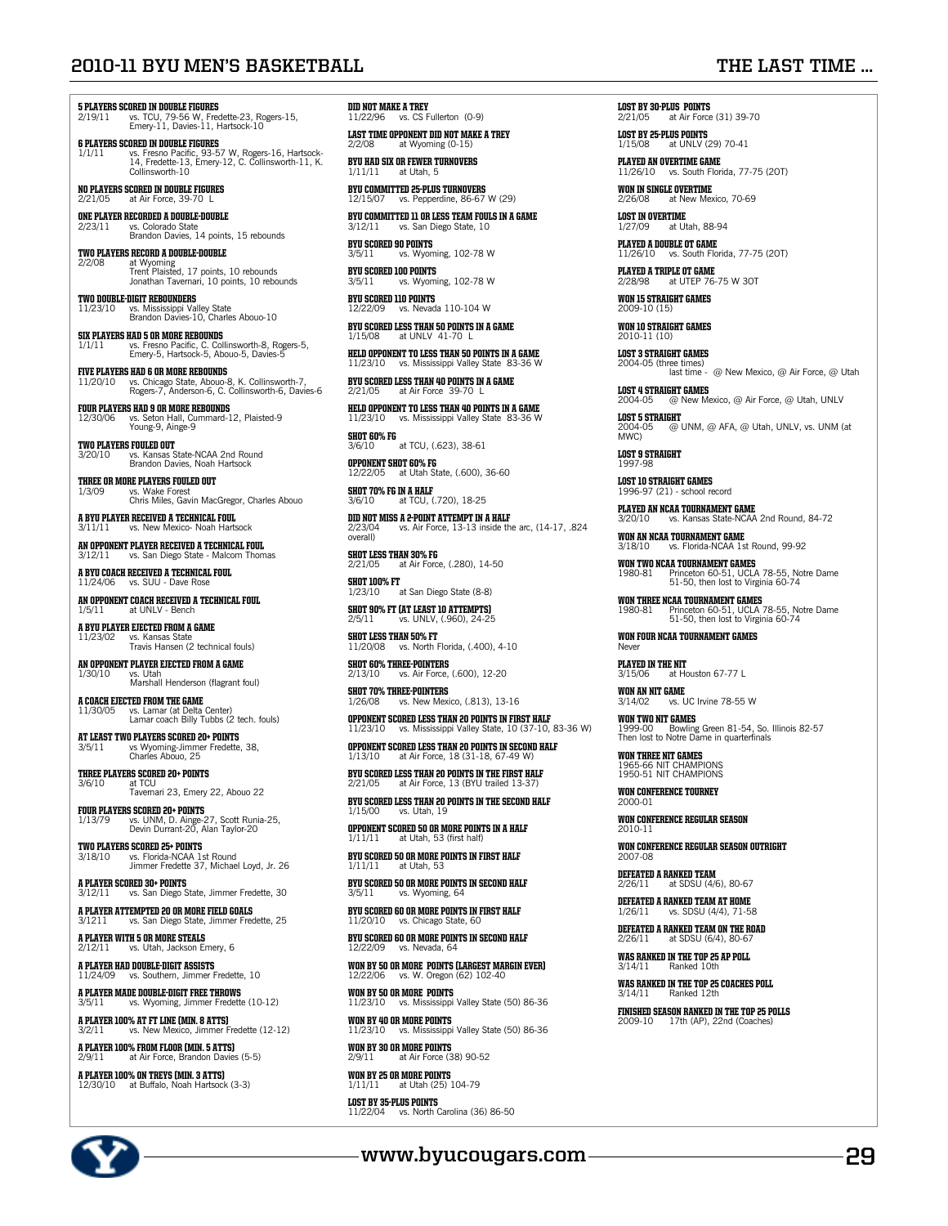## **2010-11 BYU Men's Basketball The Last Time ...**

## **5 PLAYERS SCORED IN DOUBLE FIGURES**<br>2/19/11 vs. TCU, 79-56 W. Fred

2/19/11 vs. TCU, 79-56 W, Fredette-23, Rogers-15, Emery-11, Davies-11, Hartsock-10

**6 PLAYERS SCORED IN DOUBLE FIGURES**<br>1/1/11 vs. Fresno Pacific, 93-57 W, Rogers-16, Hartsock-<br>14, Fredette-13, Emery-12, C. Collinsworth-11, K.<br>Collinsworth-10

No players scoreD in double figures 2/21/05 at Air Force, 39-70 L

**ONE PLAYER RECORDED A DOUBLE-DOUBLE**<br> $2/23/11$  vs. Colorado State 2/23/11 vs. Colorado State Brandon Davies, 14 points, 15 rebounds

**TWO PLAYERS RECORD A DOUBLE-DOUBLE** 2/2/08 at Wyoming Trent Plaisted, 17 points, 10 rebounds Jonathan Tavernari, 10 points, 10 rebounds

two double-digit rebounders 11/23/10 vs. Mississippi Valley State Brandon Davies-10, Charles Abouo-10

**SIX PLAYERS HAD 5 OR MORE REBOUNDS**<br>1/1/11 vs. Fresno Pacific. C. Coll 1/1/11 vs. Fresno Pacific, C. Collinsworth-8, Rogers-5, Emery-5, Hartsock-5, Abouo-5, Davies-5

**FIVE PLAYERS HAD 6 OR MORE REBOUNDS**<br>11/20/10 vs. Chicago State, Abouo-8 11/20/10 vs. Chicago State, Abouo-8, K. Collinsworth-7, Rogers-7, Anderson-6, C. Collinsworth-6, Davies-6

**FOUR PLAYERS HAD 9 OR MORE REBOUNDS**<br>12/30/06 vs. Seton Hall, Cummard-12, Plaisted-9<br>Young-9, Ainge-9

**TWO PLAYERS FOULED OUT**<br>3/20/10 vs. Kansas St 3/20/10 vs. Kansas State-NCAA 2nd Round Brandon Davies, Noah Hartsock

**THREE OR MORE PLAYERS FOULED OUT** 1/3/09 vs. Wake Forest Chris Miles, Gavin MacGregor, Charles Abouo

**A BYU PLAYER RECEIVED A TECHNICAL FOUL**<br>3/11/11 vs. New Mexico- Noah Hartsock

an opponent PLAYER received a technical foul vs. San Diego Stat

a BYU Coach received a technical foul 11/24/06 vs. SUU - Dave Rose

AN OPPONENT COACH RECEIVED A TECHNICAL FOUL<br> $1/5/11$  at UNLV - Bench at UNLV - Bench

a BYU player ejected from a game 11/23/02 vs. Kansas State Travis Hansen (2 technical fouls)

**AN OPPONENT PLAYER EJECTED FROM A GAME**  $1/30/10$  vs. Utah 1 **ANDIA BRUTHE TREAT IT CHANNET**<br>
VS. Utah<br>
Marshall Henderson (flagrant foul)

**A COACH EJECTED FROM THE GAME**<br>11/30/05 vs. Lamar (at Delta ( 11/30/05 vs. Lamar (at Delta Center) Lamar coach Billy Tubbs (2 tech. fouls)

**AT LEAST TWO PLAYERS SCORED 20+ POINTS**<br>3/5/11 vs Wyoming-Jimmer Fredette 3/5/11 vs Wyoming-Jimmer Fredette, 38, Charles Abouo, 25

**THREE PLAYERS SCORED 20+ POINTS**<br> $3/6/10$  at TCU 3/6/10 at TCU Tavernari 23, Emery 22, Abouo 22

FOUR PLAYERS SCORED 20+ POINTS<br>1/13/79 vs. UNM. D. Ainge-2 1/13/79 vs. UNM, D. Ainge-27, Scott Runia-25, Devin Durrant-20, Alan Taylor-20

**TWO PLAYERS SCORED 25+ POINTS**<br>3/18/10 vs. Florida-NCAA 1st 3/18/10 vs. Florida-NCAA 1st Round Jimmer Fredette 37, Michael Loyd, Jr. 26

<mark>A PLAYER SCORED 30+ POINTS</mark><br>3/12/11 vs. San Diego State, Jimmer Fredette, 30

**A PLAYER ATTEMPTED 20 OR MORE FIELD GOALS**<br>3/1211 vs. San Diego State. Jimmer Fred vs. San Diego State, Jimmer Fredette, 25

a player with 5 or more steals vs. Utah, Jackson Emery, 6

**A PLAYER HAD DOUBLE-DIGIT ASSISTS**<br>11/24/09 vs. Southern, Jimmer F vs. Southern, Jimmer Fredette, 10

**A PLAYER MADE DOUBLE-DIGIT FREE THROWS**<br>3/5/11 vs. Wyoming, Jimmer Fredette vs. Wyoming, Jimmer Fredette (10-12)

**A PLAYER 100% AT FT LINE (MIN. 8 ATTS)**<br>3/2/11 vs. New Mexico, limmer Fredette (12-12) vs. New Mexico, Jimmer I

a player 100% from floor (min. 5 atts) at Air Force, Brandon Davies (5-5)

a player 100% on treys (min. 3 atts) 12/30/10 at Buffalo, Noah Hartsock (3-3)

DID NOT MAKE A TREY<br>11/22/96 vs. CS Fullerton (0-9)

**LAST TIME OPPONENT DID NOT MAKE A TREY**  $2/2/08$  at Wyoming (0-15)

BYU HAD SIX OR FEWER TURNOVERS  $1/11/11$  at Utah, 5 at Utah, 5

BYU COMMITTED 25-PLUS TURNOVERS 12/15/07 vs. Pepperdine, 86-67 W (29)

BYU COMMITTED 11 OR LESS TEAM FOULS IN A GAME  $3/12/11$  vs. San Diego State. 10 vs. San Diego State, 10

BYU SCORED 90 POINTS 3/5/11 vs. Wyoming, 102-78 W

**BYU SCORED 100 POINTS**<br>3/5/11 vs. Wyomi vs. Wyoming, 102-78 W

**BYU SCORED 110 POINTS**<br>12/22/09 **VS** Nevada  $\overline{\text{vs.}}$  Nevada 110-104 W

BYU SCORED LESS THAN 50 POINTS IN A GAME<br> $1/15/08$  at UNLY 41-70 L at UNLV 41-70 L

HELD OPPONENT TO LESS THAN 50 POINTS IN A GAME vs. Mississippi Valley State 83-36 W

**BYU SCORED LESS THAN 40 POINTS IN A GAI**<br>2/21/05 at Air Force 39-70 L

HELD OPPONENT TO LESS THAN 40 POINTS IN A GAME 11/23/10 vs. Mississippi Valley State 83-36 W

**SHOT 60% FG**<br>3/6/10 at TCU, (.623), 38-61 OPPONENT SHOT 60% FG

1222 at Utah State, (.600), 36-60 **SHOT 70% FG IN A HALF**<br>3/6/10 at TCU (

at TCU (.720), 18-25 DID NOT MISS A 2-POINT ATTEMPT IN A HALF 2/23/04 vs. Air Force, 13-13 inside the arc, (14-17, .824

overall) **SHOT LESS THAN 30% FG**<br>2/21/05 at Air Force at Air Force, (.280), 14-50

**SHOT 100% FT**<br>1/23/10 at San Diego State (8-8)

**SHOT 90% FT (AT LEAST 10 ATTEMPTS)**<br> $2/5/11$ <br> $960)$   $24-25$ vs. UNLV (960), 24-25

SHOT LESS THAN 50% FT 11/20/08 vs. North Florida, (.400), 4-10

SHOT 60% THREE-POINTERS 2/13/10 vs. Air Force, (.600), 12-20

SHOT 70% THREE-POINTERS vs. New Mexico. (.813), 13-16

OPPONENT SCORED LESS THAN 20 POINTS IN FIRST HALF 11/23/10 vs. Mississippi Valley State, 10 (37-10, 83-36 W)

OPPONENT SCORED LESS THAN 20 POINTS IN SECOND HALF at Air Force, 18 (31-18, 67-4

BYU SCORED LESS THAN 20 POINTS IN THE FIRST HALF at Air Force, 13 (BYU trailed 13

BYU SCORED LESS THAN 20 POINTS IN THE SECOND HALF  $\frac{1}{1.5}$  (1.5/00) vs. Utah, 19

OPPONENT SCORED 50 OR MORE POINTS IN A HALF 1/11/11 at Utah, 53 (first half)

BYU SCORED 50 OR MORE POINTS IN FIRST HALF 1/11/11 at Utah, 53

BYU SCORED 50 OR MORE POINTS IN SECOND HALF  $3/5/11$  vs. Wyoming 64 vs. Wyoming, 64

BYU SCORED 60 OR MORE POINTS IN FIRST HALF 11/20/10 vs. Chicago State, 60

BYU SCORED 60 OR MORE POINTS IN SECOND HALF 12/22/09 vs. Nevada, 64

WON BY 50 OR MORE POINTS (largest margin ever) 12/22/06 vs. W. Oregon (62) 102-40

WON BY 50 OR MORE POINTS 11/23/10 vs. Mississippi Valley State (50) 86-36

WON BY 40 OR MORE POINTS 1 MULL PULLES<br>vs. Mississippi Valley State (50) 86-36

**WON BY 30 OR MORE POINTS**  $2/9/11$  at Air Force (3) at Air Force (38) 90-52

WON BY 25 OR MORE POINTS  $1/11/11$  at Utah (25) 104-79

LOST BY 35-plus POINTS 11/22/04 vs. North Carolina (36) 86-50 **LOST BY 30-PLUS POINTS**<br>2/21/05 at Air Force (31) 39-70

LOST BY 25-plus POINTS 1/15/08 at UNLV (29) 70-41

PLAYED AN OVERTIME GAME 11/26/10 vs. South Florida, 77-75 (2OT)

**WON IN SINGLE OVERTIME**<br>2/26/08 at New Mex 2/26/08 at New Mexico, 70-69

**LOST IN OVERTIME**<br> $\frac{1}{2}$ at Utah, 88-94

PLAYED A DOUBLE OT GAME 11/26/10 vs. South Florida, 77-75 (2OT)

PLAYED A TRIPLE OT GAME at UTEP 76-75 W 30T

WON 15 STRAIGHT GAMES 2009-10 (15)

WON 10 STRAIGHT GAMES 2010-11 (10)

LOST 3 STRAIGHT GAMES 2004-05 (three times) last time - @ New Mexico, @ Air Force, @ Utah

LOST 4 STRAIGHT GAMES<br>2004-05 @ New Mexico, @ Air Force, @ Utah, UNLV

**LOST 5 STRAIGHT**<br>2004-05 @ UNM, @ AFA, @ Utah, UNLV, vs. UNM (at<br>MWC)

**LOST 9 STRAIGHT**<br>1997-98

LOST 10 STRAIGHT GAMES 1996-97 (21) - school record

PLAYED AN NCAA TOURNAMENT GAME<br>3/20/10 vs. Kansas State-NCAA 2nd Round, 84-72

WON AN NCAA TOURNAMENT GAME 3/18/10 vs. Florida-NCAA 1st Round, 99-92

WON TWO NCAA TOURNAMENT GAMES<br>1980-81 Princeton 60-51, UCLA 78-55, Notre Dame<br>51-50, then lost to Virginia 60-74

WON THREE NCAA TOURNAMENT GAMES<br>1980-81 Princeton 60-51, UCLA 78-55, Notre Dame<br>51-50, then lost to Virginia 60-74

WON FOUR NCAA TOURNAMENT GAMES<br>Never

PLAYED IN THE NIT  $\overline{a}$  at Houston 67-77 L

WON AN NIT GAME  $vs.$  UC Irvine 78-55 W

**WON TWO NIT GAMES**<br>1999-00 Bowling Green 81-54, So. Illinois 82-57<br>Then lost to Notre Dame in quarterfinals

WON THREE NIT GAMES<br>1965-66 NIT CHAMPIONS<br>1950-51 NIT CHAMPIONS

WON CONFERENCE TOURNEY

WON CONFERENCE REGULAR SEASON<br>2010-11

WON CONFERENCE REGULAR SEASON OUTRIGHT

DEFEATED A RANKED TEAM  $2/26/11$  at SDSU (4/6), 80-67

DEFEATED A RANKED TEAM AT HOME vs. SDSU (4/4), 71-58

DEFEATED A RANKED TEAM ON THE ROAD 2/26/11 at SDSU (6/4), 80-67

WAS RANKED IN THE TOP 25 AP POLL 3/14/11 Ranked 10th

**www.byucougars.com 295**

**WAS RANKED IN THE TOP 25 COACHES POLL**<br>3/14/11 Ranked 12th Ranked 12th FINISHED SEASON RANKED IN THE TOP 25 POLLS 2009-10 17th (AP), 22nd (Coaches)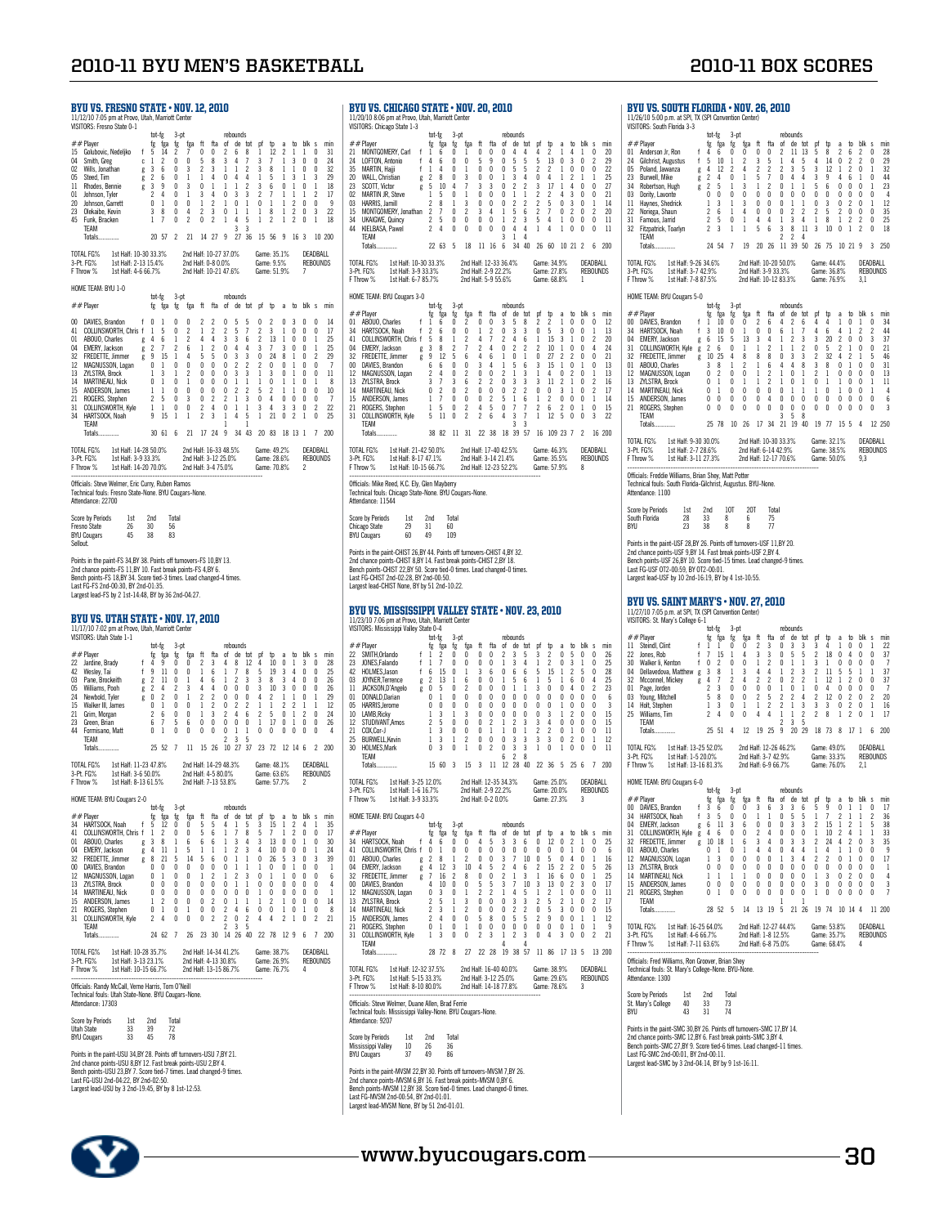BYU vs. South Florida • nov. 26, 2010 11/26/10 5:00 p.m. at SPI, TX (SPI Convention Center) VISITORS: South Florida 3-3

|                                              | BYU VS. FRESNO STATE • NOV. 12, 2010<br>11/12/10 7:05 pm at Provo, Utah, Marriott Center<br><b>VISITORS: Fresno State 0-1</b>                                                                                                                                                                                                                                               |                                                                                            |                |                                                                                                                                                                         |                                                                                                                                                                                |                                                                                                                     |                                                                                                                             |                                                                                                    |                                                                                                                                        |                                                                                                                                  |                                                                                                                                                                          |                                                                                                 |                                                                                                                               |                                                                                                 |                                                                                                             |                                                                                                                                                         |                                                                                                                                                                                            |                                                                        |                                                                                                           |
|----------------------------------------------|-----------------------------------------------------------------------------------------------------------------------------------------------------------------------------------------------------------------------------------------------------------------------------------------------------------------------------------------------------------------------------|--------------------------------------------------------------------------------------------|----------------|-------------------------------------------------------------------------------------------------------------------------------------------------------------------------|--------------------------------------------------------------------------------------------------------------------------------------------------------------------------------|---------------------------------------------------------------------------------------------------------------------|-----------------------------------------------------------------------------------------------------------------------------|----------------------------------------------------------------------------------------------------|----------------------------------------------------------------------------------------------------------------------------------------|----------------------------------------------------------------------------------------------------------------------------------|--------------------------------------------------------------------------------------------------------------------------------------------------------------------------|-------------------------------------------------------------------------------------------------|-------------------------------------------------------------------------------------------------------------------------------|-------------------------------------------------------------------------------------------------|-------------------------------------------------------------------------------------------------------------|---------------------------------------------------------------------------------------------------------------------------------------------------------|--------------------------------------------------------------------------------------------------------------------------------------------------------------------------------------------|------------------------------------------------------------------------|-----------------------------------------------------------------------------------------------------------|
| 04<br>02<br>05<br>11<br>01<br>20<br>23<br>45 | ##Player<br>15 Golubovic, Nedeljko<br>Smith, Greg<br>Wills, Jonathan<br>Steed, Tim<br>Rhodes, Bennie<br>Johnson, Tyler<br>Johnson, Garrett<br>Olekaibe, Kevin<br>Funk, Bracken<br>TEAM<br>Totals                                                                                                                                                                            |                                                                                            | f <sub>5</sub> | tot-fg<br>fg<br>c <sub>1</sub><br>$\begin{array}{ccc} \mathsf{g} & 3 & 6 \\ \mathsf{g} & 2 & 6 \end{array}$<br>g $\frac{3}{6}$<br>2<br>$\mathbb O$<br>3<br>$\mathbf{1}$ | fga<br>14<br>$\mathfrak{p}$<br>$\frac{9}{9}$<br>4<br>$\,1\,$<br>8<br>7<br>20 57                                                                                                | 3-pt<br>fg<br>2<br>0<br>0<br>$\overline{\phantom{a}}$<br>0<br>0<br>0<br>$\mathbf{0}$<br>0<br>$\overline{c}$         | fga<br>7<br>0<br>3<br>1<br>3<br>$\mathbf{1}$<br>0<br>$\overline{4}$<br>$\overline{2}$<br>21                                 | ft<br>0<br>5<br>$\overline{c}$<br>$\mathbf{1}$<br>0<br>3<br>1<br>$\overline{c}$<br>0               | fta<br>0<br>-8<br>3<br>$\overline{4}$<br>$\overline{1}$<br>4<br>$\boldsymbol{2}$<br>3<br>2<br>14 27 9                                  | of<br>2<br>3<br>$\mathbf{1}$<br>$0\quad 4$<br>$\mathbf{1}$<br>0<br>1<br>$\mathbf{0}$<br>$\mathbf{1}$                             | rebounds<br>6<br>$\overline{4}$<br>-1<br>$\mathbf{1}$<br>$\frac{1}{3}$<br>$\mathbb O$<br>-1<br>4<br>3                                                                    | de tot<br>8<br>7<br>$\overline{c}$<br>$\overline{4}$<br>$\overline{c}$<br>3<br>1<br>1<br>5<br>3 | pf<br>1<br>3<br>3<br>-1<br>3<br>$\overline{\mathbf{c}}$<br>0<br>-1<br>1<br>27 36 15 56 9                                      | tp<br>12<br>$\overline{7}$<br>8<br>5<br>6<br>7<br>1<br>8<br>2                                   | a<br>2<br>1<br>$\mathbf{1}$<br>- 1<br>0<br>$\mathbf{1}$<br>1<br>$\mathbf{1}$<br>$\mathbf{1}$                | to<br>1<br>3<br>-1<br>$\overline{\mathbf{3}}$<br>$\frac{1}{2}$<br>$\mathbf{1}$<br>$\overline{2}$<br>$\overline{2}$<br>$\overline{c}$<br>16 <sub>3</sub> | blk s<br>1<br>$\mathbf{0}$<br>0<br>$\overline{1}$<br>$\int_{0}^{4}$<br>$\mathbf{1}$<br>$\mathbb O$<br>$\mathbf{0}$<br>0                                                                    | 0<br>0<br>0<br>3<br>1<br>2<br>0<br>3<br>1                              | min<br>31<br>24<br>32<br>29<br>18<br>17<br>-9<br>22<br>18<br>10 200                                       |
|                                              | TOTAL FG%<br>3-Pt. FG%<br>F Throw %                                                                                                                                                                                                                                                                                                                                         | 1st Half: 10-30 33.3%<br>1st Mail: 10:00 00<br>1st Half: 2-13 15.4%<br>1st Half: 4-6 66.7% |                |                                                                                                                                                                         |                                                                                                                                                                                |                                                                                                                     | 2nd Half: 10-27 37.0%<br>2nd Half: 0-8 0.0%<br>2nd Half: 10-21 47.6%                                                        |                                                                                                    |                                                                                                                                        |                                                                                                                                  |                                                                                                                                                                          |                                                                                                 | Game: 35.1%<br>Game: 9.5%<br>Game: 51.9%                                                                                      |                                                                                                 |                                                                                                             |                                                                                                                                                         | 7                                                                                                                                                                                          | DEADBALL<br>REBOUNDS                                                   |                                                                                                           |
|                                              | HOME TEAM: BYU 1-0                                                                                                                                                                                                                                                                                                                                                          |                                                                                            |                | tot-fg                                                                                                                                                                  |                                                                                                                                                                                | $3-pt$                                                                                                              |                                                                                                                             |                                                                                                    |                                                                                                                                        |                                                                                                                                  | rebounds                                                                                                                                                                 |                                                                                                 |                                                                                                                               |                                                                                                 |                                                                                                             |                                                                                                                                                         |                                                                                                                                                                                            |                                                                        |                                                                                                           |
| $_{01}$<br>04<br>12<br>13<br>14<br>15<br>21  | ##Player<br>00 DAVIES, Brandon<br>41 COLLINSWORTH, Chris f 1 5<br>ABOUO, Charles g 4<br>EMERY, Jackson g 2<br>FREDETTE, Jimmer g 9<br>MAGNUSSON, Logan 0<br>7/I STRA Rmck 1<br>32 FREDETTE, Jimmer<br>32 FREDETTE, Jimmer<br>ZYLSTRA, Brock<br><b>MARTINEAU, Nick</b><br>ANDERSON, James<br>ROGERS, Stephen<br>31 COLLINSWORTH, Kyle<br>34 HARTSOCK, Noah<br>TEAM<br>Totals |                                                                                            | f <sub>0</sub> | -1<br>0 <sub>1</sub><br>$\frac{1}{2}$<br>$\,1\,$<br>9                                                                                                                   | fg fga fg<br>-1<br>6<br>7<br>15<br>$\mathbf{1}$<br>$\overline{3}$<br>$\mathbf{1}$<br>5<br>1<br>15<br>30 61 6                                                                   | 0<br>0<br>1<br>2<br>$\overline{1}$<br>0<br>1<br>$\overline{\mathbf{0}}$<br>$\mathbf{0}$<br>0<br>0<br>$\overline{1}$ | fga ft<br>0<br>2<br>$\boldsymbol{\eta}$<br>6<br>4<br>$\theta$<br>2<br>1<br>$\mathbf{0}$<br>3<br>0<br>$\mathbf{1}$<br>21     | 2<br>$\mathbf{1}$<br>4<br>1<br>5<br>$\theta$<br>0<br>0<br>$\mathbf{0}$<br>0<br>2<br>$\overline{c}$ | fta<br>2<br>$\overline{\mathbf{c}}$<br>4<br>$\overline{c}$<br>5<br>0<br>0<br>0<br>$\mathbf{0}$<br>2<br>$\overline{4}$<br>3<br>17 24    | 0<br>2<br>3<br>0<br>0<br>$\mathbf{0}$<br>0<br>0<br>0<br>2<br>0<br>1<br>1<br>9                                                    | of de tot pf<br>5<br>5<br>3<br>4<br>$\overline{3}$<br>$\overline{2}$<br>$\overline{3}$<br>$\mathbf{1}$<br>$\frac{1}{2}$<br>$\mathbf{1}$<br>$\,$ $\,$ $\,$<br>4           | 5<br>7<br>6<br>4<br>3<br>$\overline{c}$<br>3<br>$\mathbf{1}$<br>2<br>3<br>1<br>5<br>1           | 0<br>2<br>$\overline{c}$<br>3<br>0<br>$\boldsymbol{\eta}$<br>$\mathbf{1}$<br>-1<br>5<br>0<br>3<br>-1<br>34 43 20 83 18 13 1   | Þ<br>2<br>3<br>13<br>7<br>24<br>$\Omega$<br>3<br>0<br>2<br>4<br>4<br>21 <sub>0</sub>            | a<br>0<br>1<br>$\mathbf{1}$<br>3<br>8<br>0<br>0<br>1<br>1<br>0<br>3                                         | 3<br>0<br>0<br>0<br>1<br>$\mathbf{1}$<br>-1<br>1 0<br>$\mathbf{1}$<br>0<br>3<br>$\overline{2}$                                                          | to blk s<br>0<br>0<br>$\theta$<br>0<br>$\mathbf 0$<br>$\mathbf{0}$<br>$\overline{\mathbf{0}}$<br>$\begin{smallmatrix} 0\\ 0 \end{smallmatrix}$<br>$\mathbb O$<br>-1                        | 0<br>0<br>1<br>1<br>2<br>0<br>0<br>1<br>0<br>0<br>2<br>0<br>7          | min<br>14<br>17<br>25<br>25<br>29<br>7<br>11<br>-8<br>10<br>7<br>22<br>25<br>200                          |
|                                              | TOTAL FG%<br>3-Pt. FG%<br>F Throw %<br>Officials: Steve Welmer, Eric Curry, Ruben Ramos<br>Technical fouls: Fresno State-None. BYU Cougars-None.<br>Attendance: 22700                                                                                                                                                                                                       | 1st Half: 14-28 50.0%<br>1st Half: 3-9 33.3%<br>1st Half: 14-20 70.0%                      |                |                                                                                                                                                                         |                                                                                                                                                                                |                                                                                                                     | 2nd Half: 16-33 48.5%<br>2nd Half: 3-12 25.0%<br>2nd Half: 3-4 75.0%                                                        |                                                                                                    |                                                                                                                                        |                                                                                                                                  |                                                                                                                                                                          |                                                                                                 | Game: 49.2%<br>Game: 28.6%<br>Game: 70.8%                                                                                     |                                                                                                 |                                                                                                             |                                                                                                                                                         | 2                                                                                                                                                                                          | DEADBALL<br><b>REBOUNDS</b>                                            |                                                                                                           |
|                                              | Score by Periods<br>Fresno State<br><b>BYU Cougars</b>                                                                                                                                                                                                                                                                                                                      | 1st<br>26<br>45                                                                            |                | 2nd<br>30<br>38                                                                                                                                                         |                                                                                                                                                                                | Total<br>56<br>83                                                                                                   |                                                                                                                             |                                                                                                    |                                                                                                                                        |                                                                                                                                  |                                                                                                                                                                          |                                                                                                 |                                                                                                                               |                                                                                                 |                                                                                                             |                                                                                                                                                         |                                                                                                                                                                                            |                                                                        |                                                                                                           |
| Sellout.                                     |                                                                                                                                                                                                                                                                                                                                                                             |                                                                                            |                |                                                                                                                                                                         |                                                                                                                                                                                |                                                                                                                     |                                                                                                                             |                                                                                                    |                                                                                                                                        |                                                                                                                                  |                                                                                                                                                                          |                                                                                                 |                                                                                                                               |                                                                                                 |                                                                                                             |                                                                                                                                                         |                                                                                                                                                                                            |                                                                        |                                                                                                           |
|                                              | Points in the paint-FS 34,BY 38. Points off turnovers-FS 10,BY 13.<br>2nd chance points-FS 11,BY 10. Fast break points-FS 4,BY 6.<br>Bench points-FS 18,BY 34. Score tied-3 times. Lead changed-4 times.<br>Last FG-FS 2nd-00:30, BY 2nd-01:35.                                                                                                                             |                                                                                            |                |                                                                                                                                                                         |                                                                                                                                                                                |                                                                                                                     |                                                                                                                             |                                                                                                    |                                                                                                                                        |                                                                                                                                  |                                                                                                                                                                          |                                                                                                 |                                                                                                                               |                                                                                                 |                                                                                                             |                                                                                                                                                         |                                                                                                                                                                                            |                                                                        |                                                                                                           |
|                                              | Largest lead-FS by 2 1st-14:48, BY by 36 2nd-04:27.<br>BYU VS. UTAH STATE • NOV. 17, 2010<br>11/17/10 7:02 pm at Provo, Utah, Marriott Center                                                                                                                                                                                                                               |                                                                                            |                |                                                                                                                                                                         |                                                                                                                                                                                |                                                                                                                     |                                                                                                                             |                                                                                                    |                                                                                                                                        |                                                                                                                                  |                                                                                                                                                                          |                                                                                                 |                                                                                                                               |                                                                                                 |                                                                                                             |                                                                                                                                                         |                                                                                                                                                                                            |                                                                        |                                                                                                           |
|                                              | VISITORS: Utah State 1-1<br>##Player<br>22 Jardine, Brady<br>Wesley, Tai<br>Pane, Brockeith<br>Williams, Pooh<br>Newbold, Tyler<br>Walker III, James<br>21 Grim, Morgan<br>Green, Brian<br>44 Formisano, Matt<br>TEAM<br>Totals                                                                                                                                             |                                                                                            | $f \quad 4$    | tot-fg<br>$f$ 9<br>g $\,$ 0<br>0<br>$\overline{2}$<br>6<br>0                                                                                                            | fg fga<br>9<br>11<br>$g \begin{array}{ccc} 2 & 11 & 0 \\ g & 2 & 11 & 0 \\ g & 2 & 4 & 2 \end{array}$<br>$\frac{2}{3}$<br>$\mathbf{1}$<br>$\,$ 6<br>7<br>$\mathbf{1}$<br>25 52 | $3-pt$<br>fg<br>0<br>0<br>0<br>0<br>0<br>5<br>0                                                                     | fga<br>0<br>$\Omega$<br>$\mathbf{1}$<br>3<br>$\mathbf{1}$<br>0<br>0<br>6<br>0<br>$7 \quad 11$                               | ft<br>2<br>1<br>4<br>4<br>$\overline{c}$<br>$\mathbf{1}$<br>$\,1\,$<br>$\theta$<br>0               | fta<br>3<br>- 6<br>- 6<br>$\overline{4}$<br>$\overline{2}$<br>$\overline{\mathbf{c}}$<br>3<br>0<br>0<br>15 26                          | of<br>4<br>1<br>1<br>$0\quad 0\quad$<br>2<br>0<br>0<br>2                                                                         | rebounds<br>de tot<br>8<br>$\overline{1}$<br>$\overline{2}$<br>$\begin{smallmatrix} 0 & 0 \\ 0 & 2 \end{smallmatrix}$<br>$\sqrt{4}$<br>$\mathbf 0$<br>1<br>3<br>10 27 37 | 12<br>8<br>3<br>$\mathbf 0$<br>$\mathbf{0}$<br>2<br>6<br>0<br>1<br>5                            | pf<br>4<br>5<br>3<br>3<br>4<br>1<br>2<br>$\overline{1}$<br>0<br>23 72 12 14 6                                                 | Þ<br>10<br>19<br>8<br>10<br>$\mathfrak{p}$<br>$\mathbf{1}$<br>5<br>17<br>0                      | a<br>0<br>3<br>3<br>3<br>$\mathbf{1}$<br>2<br>0<br>0<br>0                                                   | to<br>1<br>$\overline{4}$<br>4<br>$0\quad 0$<br>$\mathbf{1}$<br>2<br>$\mathbf{1}$<br>1<br>0                                                             | blk s<br>3<br>$\mathbf{0}$<br>0<br>$\frac{1}{2}$<br>$\mathbf{1}$<br>$\overline{c}$<br>0<br>0                                                                                               | 0<br>0<br>0<br>0<br>1<br>$\mathbf{1}$<br>0<br>0<br>0<br>$\overline{c}$ | min<br>28<br>25<br>26<br>26<br>29<br>12<br>24<br>26<br>4<br>200                                           |
| 42<br>03<br>05<br>24<br>15<br>23             | TOTAL FG% 1st Half: 11-23 47.8%<br>$3-Pt$ FG%<br>F Throw %                                                                                                                                                                                                                                                                                                                  | 1st Half-3-6.50.0%<br>1st Half: 8-13 61.5%                                                 |                |                                                                                                                                                                         |                                                                                                                                                                                |                                                                                                                     | 2nd Half: 14-29 48.3%<br>2nd Half- 4-5 80.0%<br>2nd Half: 7-13 53.8%                                                        |                                                                                                    |                                                                                                                                        |                                                                                                                                  |                                                                                                                                                                          |                                                                                                 | Game: 48.1%<br>Game: 63.6%<br>Game: 57.7%                                                                                     |                                                                                                 |                                                                                                             |                                                                                                                                                         | 2                                                                                                                                                                                          | DEADBALL<br><b>REBOUNDS</b>                                            |                                                                                                           |
| 32                                           | HOME TEAM: BYU Cougars 2-0<br>##Player<br>34 HARTSOCK, Noah<br>41 COLLINSWORTH, Chris f<br>01 ABOUO, Charles g 3<br>04 EMERY, Jackson<br>FREDETTE, Jimmer<br>00 DAVIES, Brandon<br>12 MAGNUSSON, Logan<br>13 ZYLSTRA, Brock<br>14 MARTINEAU, Nick<br>15 ANDERSON, James<br>21 ROGERS, Stephen<br>31 COLLINSWORTH, Kyle<br>TEAM<br>Totals                                    |                                                                                            | f              | tot-fg<br>-5<br>-1<br>$\begin{matrix}g&4\\g&8\end{matrix}$<br>0<br>$^{\circ}$<br>0<br>$\mathbf{0}$<br>$\mathbf{1}$<br>0<br>$\overline{c}$                               | fg fga fg<br>12<br>$\overline{2}$<br>8<br>11<br>21<br>$\mathbb O$<br>$\overline{1}$<br>0<br>$\mathbf 0$<br>$\overline{2}$<br>$\mathbf{1}$<br>4<br>24 62                        | $3-pt$<br>$\,0\,$<br>0<br>1<br>$\frac{1}{5}$<br>0<br>$\theta$<br>0<br>$\mathbf 0$<br>$\mathbf 0$<br>0<br>0<br>7     | fga ft<br>$\mathbf{0}$<br>0<br>6<br>5<br>14 5<br>$\mathbf 0$<br>$\mathbf{0}$<br>0<br>0<br>$\mathbf{0}$<br>$\mathbf{1}$<br>0 | 5.<br>5<br>6<br>$\mathbf{1}$<br>0<br>$\mathbf{1}$<br>0<br>0<br>$\mathbf{0}$<br>0<br>0              | fta of de tot pf<br>5.<br>6<br>6<br>$\mathbf{1}$<br>6<br>$\mathbf 0$<br>$\overline{2}$<br>0<br>$\mathbf 0$<br>$\overline{2}$<br>0<br>2 | 4<br>$\mathbf{1}$<br>$\mathbf{1}$<br>0<br>0<br>1<br>0<br>$\mathbf 0$<br>0<br>2<br>$\overline{\mathbf{c}}$<br>$\boldsymbol{\eta}$ | rebounds<br>$\mathbf{1}$<br>7<br>$1 \quad 3$<br>$\frac{2}{1}$<br>$\mathbf{\hat{1}}$<br>$\overline{2}$<br>$\overline{1}$<br>$\,0\,$<br>$\overline{1}$<br>4<br>0<br>3      | 5<br>8<br>4<br>3<br>1<br>1<br>3<br>$\mathbf{1}$<br>0<br>$\mathbf{1}$<br>6<br>2<br>5             | 3<br>5<br>3<br>$\overline{4}$<br>0<br>-1<br>$\mathbf{0}$<br>0<br>-1<br>$\mathbf{1}$<br>0<br>4<br>26 23 30 14 26 40 22 78 12 9 | Ф<br>15 <sub>1</sub><br>7<br>$10^{\circ}$<br>26<br>0<br>1<br>0<br>0<br>$\overline{c}$<br>0<br>4 | $1\quad2$<br>$13 \t0 \t0 \t1$<br>$\mathbf{0}$<br>5<br>0<br>$\mathbf{1}$<br>0<br>0<br>$\mathbf{1}$<br>1<br>2 | $\overline{\phantom{a}}$<br>$\mathbf{0}$<br>3<br>$\mathbf{1}$<br>$\mathbf{0}$<br>$\mathbf 0$<br>$0\quad 0$<br>$\mathbf{0}$<br>0<br>1                    | a to blk s<br>$\overline{4}$<br>0<br>$\begin{smallmatrix}0\\0\end{smallmatrix}$<br>$\mathbb O$<br>$\mathbf 0$<br>$\mathbf 0$<br>$\begin{smallmatrix}0\\1\end{smallmatrix}$<br>$\,0\,$<br>6 | 1<br>0<br>0<br>1<br>3<br>0<br>0<br>0<br>0<br>0<br>0<br>2               | min<br>35<br>17<br>30<br>24<br>39<br>1<br>-6<br>$\overline{4}$<br>$\overline{1}$<br>14<br>8<br>21<br>7200 |
|                                              | TOTAL FG% 1st Half: 10-28 35.7%<br>3-Pt. FG%<br>F Throw %                                                                                                                                                                                                                                                                                                                   | 1st Half: 3-13 23.1%<br>1st Half: 10-15 66.7%                                              |                |                                                                                                                                                                         |                                                                                                                                                                                |                                                                                                                     | 2nd Half: 14-34 41.2%<br>2nd Half: 4-13 30.8%<br>2nd Half: 13-15 86.7%                                                      |                                                                                                    |                                                                                                                                        |                                                                                                                                  |                                                                                                                                                                          |                                                                                                 | Game: 38.7%<br>Game: 26.9%<br>Game: 76.7%                                                                                     |                                                                                                 |                                                                                                             |                                                                                                                                                         | 4                                                                                                                                                                                          | DEADBALL<br><b>REBOUNDS</b>                                            |                                                                                                           |
|                                              | Officials: Randy McCall, Verne Harris, Tom O'Neill<br>Technical fouls: Utah State-None. BYU Cougars-None.<br>Attendance: 17303<br>Score by Periods                                                                                                                                                                                                                          | 1st                                                                                        |                | 2nd                                                                                                                                                                     |                                                                                                                                                                                | Total                                                                                                               |                                                                                                                             |                                                                                                    |                                                                                                                                        |                                                                                                                                  |                                                                                                                                                                          |                                                                                                 |                                                                                                                               |                                                                                                 |                                                                                                             |                                                                                                                                                         |                                                                                                                                                                                            |                                                                        |                                                                                                           |

Points in the paint-USU 34,BY 28. Points off turnovers-USU 7,BY 21. 2nd chance points-USU 8,BY 12. Fast break points-USU 2,BY 4. Bench points-USU 23,BY 7. Score tied-7 times. Lead changed-9 times. Last FG-USU 2nd-04:22, BY 2nd-02:50. Largest lead-USU by 3 2nd-19:45, BY by 8 1st-12:53.

BYU vs. Chicago State • nov. 20, 2010 11/20/10 8:06 pm at Provo, Utah, Marriott Center VISITORS: Chicago State 1-3 tot-fg 3-pt rebounds<br>##Player fg fga ft fta of de tot pf tp a to blk s min#<br>21 MONTGOMERY, Carl f 1 6 0 1 0 0 0 4 4 4 2 1 4 1 0 20 24 LOFTON, Antonio f 4 6 0 0 5 9 0 5 5 5 13 0 3 0 2 29 35 MARTIN, Hajji f 1 4 0 1 0 0 0 5 5 2 2 1 0 0 0 22 20 WALL, Christian g 2 8 0 3 0 0 1 3 4 0 4 1 2 1 1 25 23 SCOTT, Victor g 5 10 4 7 3 3 0 2 2 3 17 1 4 0 0 27 02 MARTIN JR, Steve 1 5 0 1 0 0 0 1 1 2 2 4 3 0 0 21 03 HARRIS, Jamill 2 8 1 3 0 0 0 2 2 2 5 0 3 0 1 14 15 MONTGOMERY, Jonathan 2 7 0 2 3 4 1 5 6 2 7 0 2 0 2 20 34 UKAIGWE, Quincy 2 5 0 0 0 0 1 2 3 5 4 1 0 0 0 11 44 KIELBASA, Pawel 2 4 0 0 0 0 0 4 4 1 4 1 0 0 0 11 TEAM 3 1 4 Totals.............. 22 63 5 18 11 16 6 34 40 26 60 10 21 2 6 200 .<br>T. FG% 1st Half: 10-30 33.3% 2nd Half: 12-33 36.4% Game: 24.9% DEADBALL<br>Trow % 1st Half: 6-7 85.7% 2nd Half: 5-9 55.6% Game: 68.8% 1 3-Pt. FG% 1st Half: 3-9 33.3% 2nd Half: 2-9 22.2% Game: 27.8% REBOUNDS F Throw % 1st Half: 6-7 85.7% 2nd Half: 5-9 55.6% Game: 68.8% 1 ME TEAM: BYU Cougars 3-0 ##Player tote-fig 3-pt rebounds<br>01 ABOUO, Charles fig fig a fit fits of de tot pf tp a to blk s min<br>01 ABOUO, Charles f 1 6 0 2 0 0 3 5 8 2 2 1 0 0 0 12<br>34 HARTSOCK, Noah f 2 6 0 0 1 2 0 0 3 3 0 5 3 0 0 11<br>41 COLLINSWORTH, 12 MAGNUSSON, Logan 2 4 0 2 0 0 2 1 3 1 4 0 2 0 1 13 13 ZYLSTRA, Brock 3 7 3 6 2 2 0 3 3 3 11 2 1 0 2 16 14 MARTINEAU, Nick 0 2 0 2 0 0 0 2 2 0 0 3 1 0 2 17 15 ANDERSON, James 1 7 0 0 0 2 5 1 6 1 2 0 0 0 1 14 21 ROGERS, Stephen 1 5 0 2 4 5 0 7 7 2 6 2 0 1 0 15 31 COLLINSWORTH, Kyle 5 11 0 2 2 6 4 3 7 1 12 5 0 0 3 22 TEAM 3 3 Totals.............. 38 82 11 31 22 38 18 39 57 16 109 23 7 2 16 200 TOTAL FG% 1st Half: 21-42 50.0% 2nd Half: 17-40 42.5% Game: 46.3% DEADBALL<br>3-Pt. FG% 1st Half: 8-17 47.1% 2nd Half: 3-14 21.4% Game: 35.5% REBOUNDS<br>FThrow % 1st Half: 10-15 66.7% 2nd Half: 12-23 52.2% Game: 57.9% 8 -------------------------------------------------------------------------------- Officials: Mike Reed, K.C. Ely, Glen Mayberry Technical fouls: Chicago State-None. BYU Cougars-None. Attendance: 11544 Score by Periods 1st 2nd Total Chicago State 29 31 60 BYU Cougars 60 49 109 Points in the paint-CHIST 26,BY 44. Points off turnovers-CHIST 4,BY 32.<br>2nd chance points-CHIST 8,BY 14. Fast break points-CHIST 2,BY 18.<br>Bench points-CHIST 22,BY 50. Score tied-0 times. Lead changed-0 times.<br>Last FG-CHIST Largest lead-CHIST None, BY by 51 2nd-10:22. BYU vs. Mississippi Valley State • nov. 23, 2010 11/23/10 7:06 pm at Provo, Utah, Marriott Center VISITORS: Mississippi Valley State 0-4 ##Player to-the 3-pt tends to the set of the start of the start of the start of the start of the start of the start of the start of the start of the start of the start of the start of the start of the start of the start of 01 DONALD,Darian 0 1 0 0 0 0 0 0 0 0 0 0 0 0 0<br>05 HARRIS,Jerome 0 0 0 0 0 0 0 0 0 0 0 0 0 0 0 0 15<br>10 LAMB,Ricky 1 3 1 3 0 0 0 0 0 0 3 1 2 0 0 15 12 STUDIVANT,Amos 2 5 0 0 0 2 1 2 3 3 4 0 0 0 0 15<br>21 COX,Cor-J 1 3 0 0 0 1 1 0 0 3 3 3 0 2 0 1 0 0 11<br>25 BURWELL,Kevin 0 3 0 1 0 2 0 3 3 3 0 2 0 0 0 11<br>30 HOLMES,Mark 0 3 0 1 0 2 0 3 3 1 0 1 0 0 TEAM 6 2 8 Totals.............. 15 60 3 15 3 11 12 28 40 22 36 5 25 6 7 200 TOTAL FG% 1st Half: 3-25 12.0% 2nd Half: 12-35 34.3% Game: 25.0% DEADBALL<br>3-Pt. FG% 1st Half: 3-6 16.7% 2nd Half: 2-9 22.2% Game: 20.0% REBOUNDS<br>FThrow % 1st Half: 3-9 33.3% 2nd Half: 0-2 0.0% Game: 27.3% 3 HOMETEAM: BYU Cougars 4-0<br>
## Player fig. figa fig. figa fit fila of de tot pf tp a to blik s min<br>
34 HARTSOCK, Noah f 4 6 0 0 4 5 3 3 6 0 12 0 2 1 0 2<br>
41 COLLINSWORTH, Chris f 0 1 0 0 0 0 0 0 0 0 0 0 1 0 0 6<br>
01 ABOUO, C 13 ZYLSTRA, Brock 2 5 1 3 0 0 0 3 3 2 5 2 1 0 2 17 14 MARTINEAU, Nick 2 3 1 2 0 0 0 2 2 0 5 3 0 0 0 15 15 ANDERSON, James 2 4 0 0 5 8 0 5 5 2 9 0 0 1 1 12<br>21 ROGERS, Stephen 0 1 0 1 0 0 0 0 0 0 0 0 1 0 1 9<br>31 COLLINSWORTH, Kyle 1 3 0 0 2 3 1 2 3 0 4 3 0 0 2 21<br>TEAM 1 4 Totals.............. 28 72 8 27 22 28 19 38 57 11 86 17 13 5 13 200 TAL FG% 1st Half: 12-32 37.5% 2nd Half: 16-40 40.0% Game: 38.9% DEADBALL<br>"t: FG% 1st Half: 5-15 33.3% 2nd Half: 3-12 25.0% Game: 29.6% REBOUNDS<br>hrow % 1st Half: 8-10 80.0% 2nd Half: 14-18 77.8% Game: 78.6% 3 3-Pt. FG% 1st Half: 5-15 33.3% 2nd Half: 3-12 25.0% Game: 29.6% REBOUNDS F Throw % 1st Half: 8-10 80.0% 2nd Half: 14-18 77.8% Game: 78.6% 3 -------------------------------------------------------------------------------- Officials: Steve Welmer, Duane Allen, Brad Ferrie Technical fouls: Mississippi Valley-None. BYU Cougars-None. Attendance: 9207 Score by Periods 1st 2nd Total Mississippi Valley 10 26 36 BYU Cougars 37 49 86 Points in the paint-MVSM 22,BY 30. Points off turnovers-MVSM 7,BY 26. 2nd chance points-MVSM 6,BY 16. Fast break points-MVSM 0,BY 6. Bench points-MVSM 12,BY 38. Score tied-0 times. Lead changed-0 times. Last FG-MVSM 2nd-00:54, BY 2nd-01:01.

Largest lead-MVSM None, BY by 51 2nd-01:01.

|                 |                                                                                                                                                                                                                                                                                                               |                   | tot-fg                     |                                             | 3-pt               |                                                                        |                                            |                                |                              | rebounds                              |                     |                                                 |                      |                     |                                  |                             |                   |                      |
|-----------------|---------------------------------------------------------------------------------------------------------------------------------------------------------------------------------------------------------------------------------------------------------------------------------------------------------------|-------------------|----------------------------|---------------------------------------------|--------------------|------------------------------------------------------------------------|--------------------------------------------|--------------------------------|------------------------------|---------------------------------------|---------------------|-------------------------------------------------|----------------------|---------------------|----------------------------------|-----------------------------|-------------------|----------------------|
|                 | $##$ Player                                                                                                                                                                                                                                                                                                   |                   | fg                         | fga                                         | fg                 | fga                                                                    | ft<br>0                                    | fta<br>0                       | of<br>$\overline{c}$         |                                       | de tot              | pf                                              | tp                   | a<br>$\overline{c}$ | to<br>6                          | blk s<br>$\overline{c}$     | 0                 | min<br>28            |
| 01<br>24        | Anderson Jr. Ron<br>Gilchrist, Augustus                                                                                                                                                                                                                                                                       | f<br>$\mathbf{f}$ | 4<br>5                     | 6<br>10                                     | 0<br>$\mathbf{1}$  | 0<br>$\mathfrak{p}$                                                    | 3                                          | 5                              | $\mathbf{1}$                 | 11<br>4                               | -13<br>5            | 5<br>4                                          | 8<br>14              | $\theta$            | $\overline{c}$                   | $\overline{c}$              | $\theta$          | 29                   |
| 05              | Poland, Jawanza                                                                                                                                                                                                                                                                                               |                   | $g$ 4                      | 12                                          | $\overline{2}$     | Δ                                                                      | $\overline{2}$                             | $\overline{\mathbf{c}}$        | $\overline{c}$               | 3                                     | 5                   | 3                                               | 12                   | $\overline{1}$      | $\overline{c}$                   | $\mathbf 0$                 | 1                 | 32                   |
| 23              | Burwell, Mike                                                                                                                                                                                                                                                                                                 |                   | g <sub>2</sub>             | $\overline{4}$                              | $\mathbf{0}$       | -1                                                                     | 5                                          | $\overline{7}$                 | 0 <sub>4</sub>               |                                       | 4                   | 3                                               | -9                   | 46                  |                                  | 1                           | 0                 | 44                   |
| 34              | Robertson, Hugh                                                                                                                                                                                                                                                                                               |                   | $g$ 2                      | 5                                           | $1 \quad 3$        |                                                                        | -1                                         | $\overline{2}$                 | 0 <sub>1</sub>               |                                       | <sup>1</sup>        |                                                 | 5 6 0 0 0            |                     |                                  |                             | $\mathbf{1}$      | 23                   |
| 03              | Dority, Lavonte                                                                                                                                                                                                                                                                                               |                   | $^{\circ}$<br>$\mathbf{1}$ | $0\quad 0\quad 0$<br>$\mathbf{3}$           | 1 3                |                                                                        | $\overline{0}$<br>$\overline{\phantom{0}}$ | $\mathbf{0}$<br>$\overline{0}$ |                              | $0\quad 0\quad 0\quad$<br>$0 \t1 \t1$ |                     | $0\quad 0\quad 0\quad 0\quad 0$<br>$\mathbf{0}$ | 3 0 2 0              |                     |                                  |                             | 0                 | $\overline{4}$<br>12 |
| 11<br>22        | Haynes, Shedrick<br>Noriega, Shaun                                                                                                                                                                                                                                                                            |                   | $\overline{c}$             | 6                                           | $1 \quad 4$        |                                                                        | $\overline{0}$                             | $\mathbf{0}$                   | $\mathbf 0$                  | $\overline{c}$                        | $\overline{c}$      | $\overline{c}$                                  | 5                    | $\mathbf{2}$        | $\mathbf{0}$                     | $\overline{0}$              | $\mathbf{1}$<br>0 | 35                   |
| 31              | Famous, Jarrid                                                                                                                                                                                                                                                                                                |                   | $\overline{c}$             | 5                                           | 0                  | 1                                                                      | 4                                          | $\overline{4}$                 | $\mathbf{1}$                 | 3                                     | 4                   | 1                                               | 8                    | 1                   | $\overline{c}$                   | $\overline{c}$              | 0                 | 25                   |
| 32              | Fitzpatrick, Toarlyn                                                                                                                                                                                                                                                                                          |                   | $\overline{c}$             | 3                                           | 1                  | 1                                                                      | 5                                          | 6                              | 3                            | 8                                     | 11                  | 3                                               | 10                   | $\mathbf{0}$        | 1                                | $\overline{c}$              | 0                 | 18                   |
|                 | TEAM                                                                                                                                                                                                                                                                                                          |                   |                            |                                             |                    |                                                                        |                                            |                                | $\overline{c}$               | $\overline{c}$                        | 4                   |                                                 |                      |                     |                                  |                             |                   |                      |
|                 | Totals                                                                                                                                                                                                                                                                                                        |                   |                            | 24 54                                       | $\overline{7}$     | 19                                                                     | $20\degree$                                | 26                             |                              | 11 39 50                              |                     |                                                 | 26 75                |                     | 10 21 9                          |                             | 3                 | 250                  |
|                 | TOTAL FG%<br>1st Half: 9-26 34.6%<br>3-Pt. FG%<br>1st Half: 3-7 42.9%<br>F Throw %<br>1st Half: 7-8 87.5%                                                                                                                                                                                                     |                   |                            |                                             |                    | 2nd Half: 10-20 50.0%<br>2nd Half: 3-9 33.3%<br>2nd Half: 10-12 83.3%  |                                            |                                |                              |                                       |                     | Game: 44.4%<br>Game: 36.8%<br>Game: 76.9%       |                      |                     |                                  | 3,1                         | DEADBALL          | <b>REBOUNDS</b>      |
|                 | HOME TEAM: BYU Cougars 5-0                                                                                                                                                                                                                                                                                    |                   |                            |                                             |                    |                                                                        |                                            |                                |                              |                                       |                     |                                                 |                      |                     |                                  |                             |                   |                      |
|                 |                                                                                                                                                                                                                                                                                                               |                   | tot-fg                     |                                             | $3-pt$             |                                                                        |                                            |                                |                              | rebounds                              |                     |                                                 |                      |                     |                                  |                             |                   |                      |
| 00 <sub>0</sub> | $##$ Player<br>DAVIES, Brandon                                                                                                                                                                                                                                                                                | f                 | fg<br>$\mathbf{1}$         | fga<br>10 <sup>°</sup>                      | fg<br>$\mathbf{0}$ | fga<br>$\mathbf{0}$                                                    | ft<br>$\gamma$                             | fta<br>6                       | of<br>4                      | $\overline{c}$                        | de tot<br>6         | pf<br>4                                         | tp<br>4              | a<br>1              | to<br>$\mathbf{0}$               | blk s<br>$\mathbf{1}$       | $\theta$          | min<br>34            |
| 34              | HARTSOCK, Noah                                                                                                                                                                                                                                                                                                | f                 | 3                          | 10 <sub>0</sub>                             |                    | 1                                                                      | $\mathbf{0}$                               | $\mathbf{0}$                   | 6                            | $\mathbf{1}$                          | $\overline{7}$      | Δ                                               | 6                    | 4                   | $\mathbf{1}$                     | $\overline{c}$              | $\overline{c}$    | 44                   |
| 04              | EMERY, Jackson                                                                                                                                                                                                                                                                                                | g <sub>6</sub>    |                            | 15 5                                        |                    | 13                                                                     | 3                                          | $\overline{4}$                 | $\mathbf{1}$                 | $\overline{2}$                        | 3                   | 3                                               | 20                   | $\overline{2}$      | 0                                | $\mathbf{0}$                | 3                 | 37                   |
| 31              | COLLINSWORTH, Kyle g 2 6 0                                                                                                                                                                                                                                                                                    |                   |                            |                                             |                    | $1\quad1$                                                              |                                            | $\overline{2}$<br>8            |                              | $1\quad1$<br>$0 \quad 3 \quad 3$      | $\overline{c}$      | 0<br>$\overline{2}$                             | -5<br>$32 \quad 4$   | $\overline{2}$      | $1\quad0$                        | $2 \quad 1$                 | 0<br>5            | 21<br>46             |
| 01              | 32 FREDETTE, Jimmer g 10 25 4 8 8<br>ABOUO, Charles                                                                                                                                                                                                                                                           |                   |                            | 3 8 1 2                                     |                    |                                                                        | -1                                         | 6                              |                              | $4\quad 4\quad 8$                     |                     | $\overline{3}$                                  | 8 0 1 0              |                     |                                  |                             | 0                 | 31                   |
|                 | 12 MAGNUSSON, Logan                                                                                                                                                                                                                                                                                           |                   |                            | 0 2 0 0                                     |                    |                                                                        | $\overline{1}$                             | $\overline{2}$                 |                              | $1 \quad 0 \quad 1$                   |                     | $\overline{2}$                                  | $\overline{1}$       |                     |                                  | $0\quad 0\quad 0\quad$      | 0                 | 13                   |
| 13              | ZYLSTRA, Brock                                                                                                                                                                                                                                                                                                |                   |                            | $\begin{matrix} 0 & 1 & 0 & 1 \end{matrix}$ |                    |                                                                        | $\overline{1}$                             | $\overline{2}$                 |                              | $1\quad 0$                            | $\overline{1}$      | 0                                               | $\overline{1}$       |                     |                                  | $1 \quad 0 \quad 0$         | 1                 | 11                   |
| 14<br>15        | MARTINEAU, Nick                                                                                                                                                                                                                                                                                               |                   | $\mathbf{0}$<br>0          | $\begin{smallmatrix}1\\0\end{smallmatrix}$  | $\mathbf{0}$<br>0  | 0<br>0                                                                 | 0<br>0                                     | 0<br>4                         | 0<br>0                       | 1<br>0                                | 1<br>0              | $\mathbf{1}$<br>0                               | 0<br>0               | $\mathbf{1}$<br>0   | $0\quad 0$<br>0                  | 0                           | 1<br>0            | 4<br>6               |
| 21              | ANDERSON, James<br>ROGERS, Stephen                                                                                                                                                                                                                                                                            |                   | 0 <sub>0</sub>             |                                             | 0                  | 0                                                                      | 0                                          | 0                              | 0                            | 0                                     | 0                   | 0                                               | 0                    | 0                   | $\mathbf{0}$                     | 0                           | 0                 | 3                    |
|                 | TEAM                                                                                                                                                                                                                                                                                                          |                   |                            |                                             |                    |                                                                        |                                            |                                | 3                            | 5                                     | 8                   |                                                 |                      |                     |                                  |                             |                   |                      |
|                 | Totals                                                                                                                                                                                                                                                                                                        |                   |                            | 25 78 10 26                                 |                    |                                                                        | 17                                         | 34                             |                              |                                       |                     | 21 19 40 19 77 15 5                             |                      |                     |                                  | 4                           |                   | 12 250               |
|                 |                                                                                                                                                                                                                                                                                                               |                   |                            |                                             |                    |                                                                        |                                            |                                |                              |                                       |                     |                                                 | Game: 32.1%          |                     |                                  |                             | DEADBALL          |                      |
|                 | TOTAL FG%<br>1st Half: 9-30 30.0%<br>3-Pt. FG%<br>1st Half: 2-7 28.6%<br>F Throw %<br>1st Half: 3-11 27.3%                                                                                                                                                                                                    |                   |                            |                                             |                    | 2nd Half: 10-30 33.3%<br>2nd Half: 6-14 42.9%<br>2nd Half: 12-17 70.6% |                                            |                                |                              |                                       |                     | Game: 38.5%<br>Game: 50.0%                      |                      |                     |                                  | 9,3                         |                   | <b>REBOUNDS</b>      |
|                 | Officials: Freddie Williams, Brian Shey, Matt Potter<br>Technical fouls: South Florida-Gilchrist, Augustus. BYU-None.<br>Attendance: 1100                                                                                                                                                                     |                   |                            |                                             |                    |                                                                        |                                            |                                |                              |                                       |                     |                                                 |                      |                     |                                  |                             |                   |                      |
|                 |                                                                                                                                                                                                                                                                                                               |                   |                            |                                             |                    | 20T                                                                    |                                            | Total                          |                              |                                       |                     |                                                 |                      |                     |                                  |                             |                   |                      |
|                 | Score by Periods<br>1st<br>South Florida<br>28                                                                                                                                                                                                                                                                |                   | 2nd<br>33                  | 8                                           | 10T                | 6                                                                      |                                            | 75                             |                              |                                       |                     |                                                 |                      |                     |                                  |                             |                   |                      |
| BYU             | 23                                                                                                                                                                                                                                                                                                            |                   | 38                         | 8                                           |                    | 8                                                                      |                                            | 77                             |                              |                                       |                     |                                                 |                      |                     |                                  |                             |                   |                      |
|                 | Points in the paint-USF 28,BY 26. Points off turnovers-USF 11,BY 20.<br>2nd chance points-USF 9,BY 14. Fast break points-USF 2,BY 4.<br>Bench points-USF 26,BY 10. Score tied-15 times. Lead changed-9 times.<br>Last FG-USF 0T2-00:59, BY 0T2-00:01.<br>Largest lead-USF by 10 2nd-16:19, BY by 4 1st-10:55. |                   |                            |                                             |                    |                                                                        |                                            |                                |                              |                                       |                     |                                                 |                      |                     |                                  |                             |                   |                      |
|                 |                                                                                                                                                                                                                                                                                                               |                   |                            |                                             |                    |                                                                        |                                            |                                |                              |                                       |                     |                                                 |                      |                     |                                  |                             |                   |                      |
|                 | BYU VS. SAINT MARY'S • NOV. 27. 2010<br>11/27/10 7:05 p.m. at SPI, TX (SPI Convention Center)<br>VISITORS: St. Mary's College 6-1                                                                                                                                                                             |                   |                            |                                             |                    |                                                                        |                                            |                                |                              |                                       |                     |                                                 |                      |                     |                                  |                             |                   |                      |
|                 |                                                                                                                                                                                                                                                                                                               |                   | tot-fg                     |                                             | 3-pt               |                                                                        |                                            |                                |                              | rebounds                              |                     |                                                 |                      |                     |                                  |                             |                   |                      |
|                 | $##$ Player                                                                                                                                                                                                                                                                                                   |                   | fg                         | fga                                         | fg                 | fga                                                                    | ft                                         | fta                            | of                           |                                       | de tot              | pf                                              | to                   | a                   | to                               | blk s                       |                   | min                  |
| 11<br>22        | Steindl, Clint                                                                                                                                                                                                                                                                                                | f<br>f            | 1                          | $\mathbf{1}$                                | 0<br>$\mathbf{1}$  | $\mathbf{0}$<br>4                                                      | $\overline{c}$                             | 3                              | $\mathbf{0}$<br>$\mathbf{0}$ | 3                                     | 3                   | 3                                               | 4                    | 1                   | 0<br>4                           | 0                           | 1<br>0            | 22                   |
| 30              | Jones, Rob<br>Walker li, Kenton                                                                                                                                                                                                                                                                               | $\mathsf{f}$      | 7<br>$\mathbf 0$           | 15<br>$\overline{2}$                        | $^{\circ}$         | 0                                                                      | 3<br>$\mathbf{1}$                          | 3<br>$\overline{2}$            |                              | 5<br>$0 \t1 \t1$                      | 5                   | $\overline{c}$<br>3                             | 18 0<br>$\mathbf{1}$ | $\mathbf{0}$        | 0                                | 0<br>$^{\circ}$             | 0                 | 37<br>-7             |
| 04              | Dellavedova, Matthew g 3                                                                                                                                                                                                                                                                                      |                   |                            | 8                                           |                    | $1 \quad 3$                                                            | $\overline{4}$                             | $\overline{4}$                 |                              | $1 \quad 2 \quad 3$                   |                     | $\sqrt{2}$                                      | 11                   | -5                  | 5                                | 1                           | $\mathbf{1}$      | 37                   |
|                 | 32 Mcconnel, Mickey                                                                                                                                                                                                                                                                                           | $g \quad 4$       |                            | 7                                           |                    | $2 \quad 4 \quad 2$                                                    |                                            | $\overline{2}$                 |                              | $0 \quad 2 \quad 2$                   |                     | 1                                               | $12 \quad 1$         |                     |                                  | $2 \quad 0$                 | 0                 | 37                   |
| 01              | Page, Jorden                                                                                                                                                                                                                                                                                                  |                   | $\overline{c}$             |                                             |                    | 3 0 0 0                                                                |                                            | $\mathbf{0}$                   |                              | $1 \quad 0 \quad 1$                   |                     | $\mathbf{0}$                                    | $\overline{4}$       | $\mathbf{0}$        | $0\quad 0$                       |                             | 0                 | 7                    |
| 03<br>14        | Young, Mitchell                                                                                                                                                                                                                                                                                               |                   | 5                          | 8 0 0<br>3                                  | $\mathbf{0}$       | $\mathbf{1}$                                                           | $\overline{2}$<br>$\mathbf{1}$             | 5<br>$\overline{c}$            |                              | $2 \quad 2 \quad 4$                   |                     | 2<br>3                                          | 12<br>3              | $\overline{0}$      | $\overline{c}$                   | $\mathbf{0}$<br>$\mathbf 0$ | $\overline{c}$    | 20                   |
| 25              | Holt, Stephen<br>Williams, Tim                                                                                                                                                                                                                                                                                |                   | $\mathbf{1}$<br>$\sqrt{2}$ | 4                                           | 0                  | 0                                                                      | 4                                          | 4                              | 2 <sub>1</sub><br>1          | -1                                    | 3<br>$\overline{c}$ | $\overline{c}$                                  | 8                    | 0<br>1              | $\overline{c}$<br>$\overline{c}$ | 0                           | 1<br>1            | 16<br>17             |
|                 | TEAM<br>Totals                                                                                                                                                                                                                                                                                                |                   |                            | 25 51                                       | 4                  | 12                                                                     |                                            | 19 25 9                        | $\overline{c}$               | 3                                     | 5<br>20 29          |                                                 | 18 73 8              |                     | 171                              |                             | 6                 | 200                  |

TOTAL FG% 1st Half: 13-25 52.0% 2nd Half: 12-26 46.2% Game: 49.0% DEADBALL<br>3-Pt. FG% 1st Half: 1-5 20.0% 2nd Half: 3-7 42.9% Game: 33.3% REBOUNDS<br>FThrow % 1st Half: 13-16 81.3% 2nd Half: 6-9 66.7% Game: 76.0% 2,1 HOME TEAM: BYU Cougars 6-0 tot-fg 3-pt rebounds<br>##Player fg fga fg fga ft fta of de tot pf tp a to blk s min<br>00 DAVIES, Brandon f 3 5 0 0 3 6 3 3 6 5 9 0 1 1 0 17<br>34 HARTSOCK, Noah f 3 5 0 0 1 1 0 5 5 1 7 2 1 1 2 36 04 EMERY, Jackson | g 6 11 3 6 0 0 0 3 3 2 15 1 2 1 5 38<br>31 COLLINSWORTH, Kyle g 4 6 0 0 2 4 0 0 0 1 10 2 4 1 1 33<br>32 FREDETTE, Jimmer g 10 18 1 6 3 4 0 3 3 2 24 4 2 0 3 35<br>12 MAGNUSSON, Logan 1 3 0 0 0 0 0 1 3 4 2 2 0 1 0 14 MARTINEAU, Nick 1 1 1 1 0 0 0 0 0 1 3 0 2 0 0 4<br>15 ANDERSON, James 0 0 0 0 0 0 0 0 0 0 0 0 0 0 0 0 0 7<br>21 ROGERS, Stephen 0 0 1 0 0 0 0 0 0 0 1 0 0 0 0 0 7 TEAM 1 1 Totals.............. 28 52 5 14 13 19 5 21 26 19 74 10 14 4 11 200 TOTAL FG% 1.st Half: 16-25 64.0% 2nd Half: 12-27 44.4% Game: 53.8% DEADBALL<br>3-Pt. FG% 1.st Half: 4-6 66.7% 2nd Half: 1-8 1.2.5% Game: 58.7% REBOUNDS<br>FThrow % 1.st Half: 7-11 63.6% 2nd Half: 6-8 75.0% Game: 68.4% 4

-------------------------------------------------------------------------------- Officials: Fred Williams, Ron Groover, Brian Shey Technical fouls: St. Mary's College-None. BYU-None. Attendance: 1300

Score by Periods 1st 2nd Total St. Mary's College 40 33 73 BYU 43 31 74

Points in the paint-SMC 30,BY 26. Points off turnovers-SMC 17,BY 14.<br>2nd chance points-SMC 12,BY 6. Fast break points-SMC 3,BY 4.<br>Bench points-SMC 27,BY 9. Score tied-6 times. Lead changed-11 times.<br>Largest lead-SMC by 3 2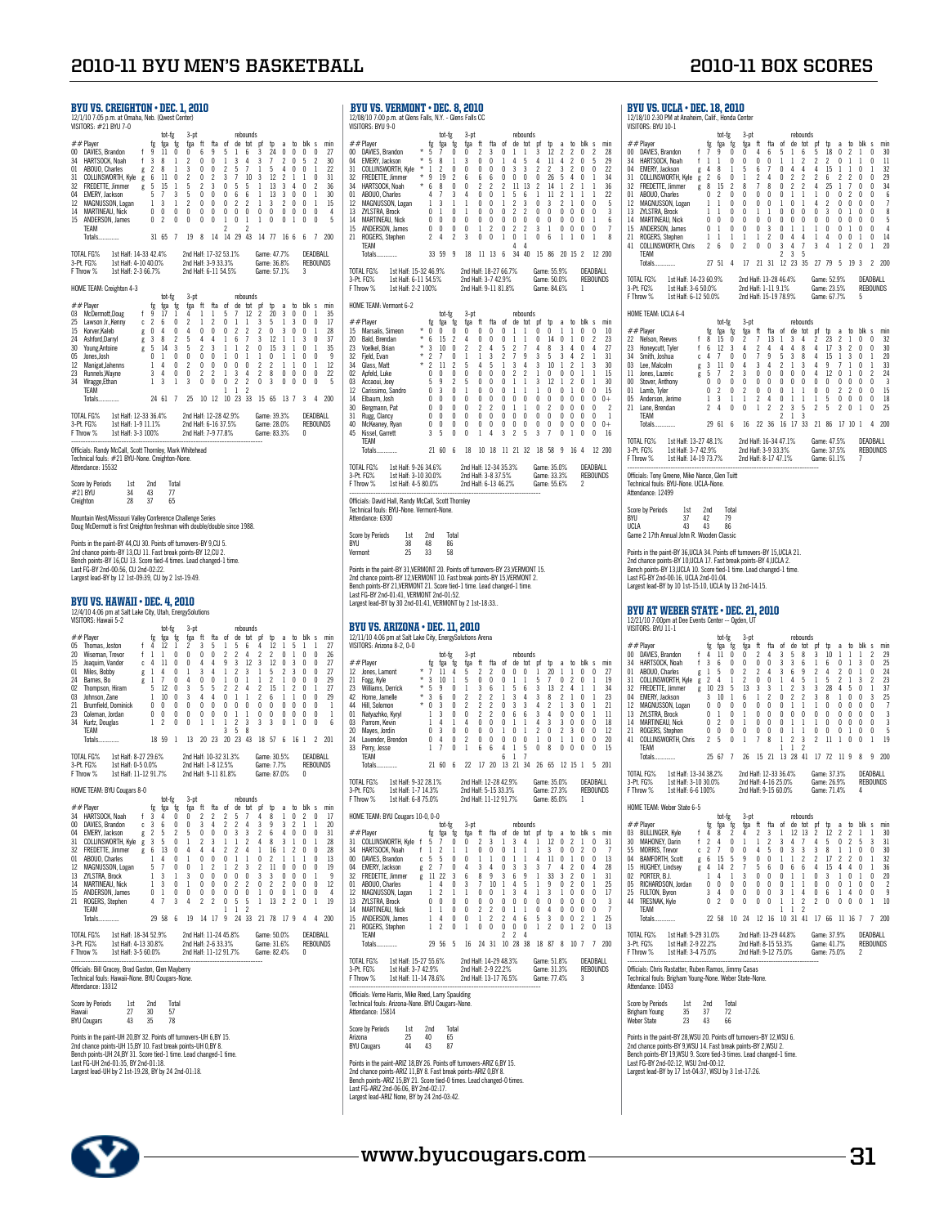Points in the naint-UH 20 RY 32 Points off turnovers-UH 6 RY 15 Points in the paint-UH 20,BY 32. Points off turnovers-UH 6,BY 15.<br>2nd chance points-UH 15,BY 10. Fast break points-UH 0,BY 8.<br>Bench points-UH 24,BY 31. Score tied-1 time. Lead changed-1 time.<br>Largest lead-UH by 2 1st-19:28

Score by Periods 1st 2nd Total Hawaii 27 30 57 BYU Cougars 43 35 78

tot-fg 3-pt<br>fg fga fg fga ft fta of<br>7 9 0 0 4 6 5<br>1 1 0 0 0 0 1<br>4 8 1 5 6 7 0<br>2 6 0 1 2 4 0 ##Player fg fga fg fga ft fta of de tot pf tp a to blk s min#<br>00 DAVIES,Brandon f 7 9 0 0 4 6 5 1 6 5 18 0 2 1 0 30<br>34 HARTSOCK,Noah f 1 1 0 0 0 0 1 1 2 2 2 0 1 1 0 1 1<br>04 EMERY,Jackson g 4 8 1 5 6 7 0 4 4 4 15 1 1 0 1 32

31 COLLINSWORTH, King  $2$  6 6 0 1 2 4 0 2 2 2 4 25 1 7 0 0 29<br>12 REDUTE, Jimmer g 8 15 2 8 7 8 0 2 2 4 25 1 7 0 0 34<br>12 MACNUSSON, Logan 1 1 0 0 0 0 0 1 1 1 4 2 0 0 0 0 6 7<br>13 ZNSTRA Brock 1 1 0 0 0 0 0 1 0 1 4 2 0 0 0 0

TOTAL FG% 1st Half: 14-23 60.9% 2nd Half: 13-28 46.4% Game: 52.9% DEADBALL 3-Pt. FG% 1st Half: 3-6 50.0% 2nd Half: 1-11 9.1% Game: 23.5% REBOUNDS F Throw % 1st Half: 6-12 50.0% 2nd Half: 15-19 78.9% Game: 67.7% 5

| <b>2010-11 BYU MEN'S BASKETBALL</b>                                                                                                                                                                                                                                                                                                                                                                                                                                                                                                                                                                                                                                                                                                                                                                                                                                                                                                                                                                                                                                                                                                                                                                                                                                                                                                                                                                                                                                                                                                                                                                                                                                                                                                                                                                                                                                                                                                                                                                                                                                                                                                                                                                                                                                                                                                    |                                                                                                                                                                                                                                                                                                                                                                                                                                                                                                                                                                                                                                                                                                                                                                                                                                                                                                                                                                                                                                                                                                                                                                                                                                                                                                                                                                                                                                                                                                                                                                                                                                                                                                                                                                                                                                                                                                                                                                                                                                                                                                                                               | <b>2010-11 BOX SCORES</b>                                                                                                                                                                                                                                                                                                                                                                                                                                                                                                                                                                                                                                                                                                                                                                                                                                                                                                                                                                                                                                                                                                                                                                                                                                                                                                                                                                                                                                                                                                                                                                                                                                                                                                                                                       |
|----------------------------------------------------------------------------------------------------------------------------------------------------------------------------------------------------------------------------------------------------------------------------------------------------------------------------------------------------------------------------------------------------------------------------------------------------------------------------------------------------------------------------------------------------------------------------------------------------------------------------------------------------------------------------------------------------------------------------------------------------------------------------------------------------------------------------------------------------------------------------------------------------------------------------------------------------------------------------------------------------------------------------------------------------------------------------------------------------------------------------------------------------------------------------------------------------------------------------------------------------------------------------------------------------------------------------------------------------------------------------------------------------------------------------------------------------------------------------------------------------------------------------------------------------------------------------------------------------------------------------------------------------------------------------------------------------------------------------------------------------------------------------------------------------------------------------------------------------------------------------------------------------------------------------------------------------------------------------------------------------------------------------------------------------------------------------------------------------------------------------------------------------------------------------------------------------------------------------------------------------------------------------------------------------------------------------------------|-----------------------------------------------------------------------------------------------------------------------------------------------------------------------------------------------------------------------------------------------------------------------------------------------------------------------------------------------------------------------------------------------------------------------------------------------------------------------------------------------------------------------------------------------------------------------------------------------------------------------------------------------------------------------------------------------------------------------------------------------------------------------------------------------------------------------------------------------------------------------------------------------------------------------------------------------------------------------------------------------------------------------------------------------------------------------------------------------------------------------------------------------------------------------------------------------------------------------------------------------------------------------------------------------------------------------------------------------------------------------------------------------------------------------------------------------------------------------------------------------------------------------------------------------------------------------------------------------------------------------------------------------------------------------------------------------------------------------------------------------------------------------------------------------------------------------------------------------------------------------------------------------------------------------------------------------------------------------------------------------------------------------------------------------------------------------------------------------------------------------------------------------|---------------------------------------------------------------------------------------------------------------------------------------------------------------------------------------------------------------------------------------------------------------------------------------------------------------------------------------------------------------------------------------------------------------------------------------------------------------------------------------------------------------------------------------------------------------------------------------------------------------------------------------------------------------------------------------------------------------------------------------------------------------------------------------------------------------------------------------------------------------------------------------------------------------------------------------------------------------------------------------------------------------------------------------------------------------------------------------------------------------------------------------------------------------------------------------------------------------------------------------------------------------------------------------------------------------------------------------------------------------------------------------------------------------------------------------------------------------------------------------------------------------------------------------------------------------------------------------------------------------------------------------------------------------------------------------------------------------------------------------------------------------------------------|
| <b>BYU VS. CREIGHTON • DEC. 1, 2010</b><br>12/1/10 7:05 p.m. at Omaha, Neb. (Qwest Center)<br>VISITORS: #21 BYU 7-0                                                                                                                                                                                                                                                                                                                                                                                                                                                                                                                                                                                                                                                                                                                                                                                                                                                                                                                                                                                                                                                                                                                                                                                                                                                                                                                                                                                                                                                                                                                                                                                                                                                                                                                                                                                                                                                                                                                                                                                                                                                                                                                                                                                                                    | BYU VS. VERMONT . DEC. 8, 2010<br>12/08/10 7:00 p.m. at Glens Falls, N.Y. - Glens Falls CC<br>VISITORS: BYU 9-0                                                                                                                                                                                                                                                                                                                                                                                                                                                                                                                                                                                                                                                                                                                                                                                                                                                                                                                                                                                                                                                                                                                                                                                                                                                                                                                                                                                                                                                                                                                                                                                                                                                                                                                                                                                                                                                                                                                                                                                                                               | <b>BYU VS. UCLA · DEC. 18, 2010</b><br>12/18/10 2:30 PM at Anaheim, Calif., Honda Center<br>VISITORS: BYU 10-1                                                                                                                                                                                                                                                                                                                                                                                                                                                                                                                                                                                                                                                                                                                                                                                                                                                                                                                                                                                                                                                                                                                                                                                                                                                                                                                                                                                                                                                                                                                                                                                                                                                                  |
| tot-fg<br>3-ot<br>rebounds<br>##Player<br>fta<br>fg<br>fga<br>fga<br>$^{\rm{ft}}$<br>- of<br>de tot pf<br>$th$<br>hlk s min<br>tg<br>$\overline{a}$<br>to.<br>00 DAVIES, Brandon<br>9<br>27<br>11<br>$\Omega$<br>6<br>9<br>5<br>3<br>24<br>0<br>$\theta$<br>$\mathbf{0}$<br>$\Omega$<br>6<br>HARTSOCK, Noah<br>$\mathbf{3}$<br>8<br>$\mathsf{r}$<br>$\boldsymbol{\eta}$<br>30<br>34<br>$\mathbf{0}$<br>8<br>$\mathbf{3}$<br>22<br>01<br>ABOUO. Charles<br>$\overline{2}$<br>$\mathbf{0}$<br>$\theta$<br>$\overline{c}$<br>5<br>$\theta$<br>$\overline{1}$<br>-7<br>5<br>$\theta$<br>-1<br>$\overline{c}$<br>3<br>31<br>31<br>COLLINSWORTH, Kyle g<br>6<br>11<br>$\theta$<br>$\mathbf{0}$<br>$\mathcal{P}$<br>7<br>10<br>3<br>12<br>2<br>$\Omega$<br>$\overline{2}$<br>13<br>32<br>FREDETTE, Jimmer<br>5<br>15<br>5<br>3<br>0<br>5<br>5<br>3<br>36<br>g<br>04<br>5<br>$\mathbf{0}$<br>$\mathbf{0}$<br>$\mathbf{0}$<br>13<br>30<br>EMERY, Jackson<br>$\mathbf{3}$<br>6<br>6<br>3<br>$\theta$<br>$\overline{c}$<br>12<br><b>MAGNUSSON, Logan</b><br>$\mathbf{3}$<br>$\theta$<br>$\mathbf{0}$<br>$\mathbf{0}$<br>$\overline{2}$<br>2<br>3<br>2<br>$\overline{1}$<br>15<br>$\overline{1}$<br>$\overline{1}$<br>$\overline{1}$<br>0<br>14<br><b>MARTINEAU, Nick</b><br>0<br>0<br>0<br>0<br>$\mathbf{0}$<br>$\overline{\mathbf{0}}$<br>$\mathbf 0$<br>$^{\circ}$<br>0<br>0<br>0<br>$\mathbf{0}$<br>0<br>4<br>0<br>ANDERSON, James<br>0 <sub>2</sub><br>$\mathbf{0}$<br>$\overline{0}$<br>$\mathbf 0$<br>1 0 0 1 0<br>-5<br>15<br>0<br>$\mathbf{0}$<br>$\theta$<br>$\overline{1}$<br>$\overline{1}$<br>TEAM<br>2<br>2<br>7 19 8 14 14 29 43 14 77 16 6 6 7 200<br>Totals.<br>31 65<br>1st Half: 14-33 42.4%<br>TOTAL FG%<br>2nd Half: 17-32 53.1%<br>Game: 47.7%<br>DEADBALL<br>3-Pt. FG%<br>1st Half: 4-10 40.0%<br>2nd Half: 3-9 33.3%<br>Game: 36.8%<br><b>REBOUNDS</b>                                                                                                                                                                                                                                                                                                                                                                                                                                                                     | tot-fg<br>3-pt<br>rebounds<br>$##$ Plaver<br>ftа<br>de tot pf<br>fga<br>$^{\rm{ft}}$<br>nf<br>tn<br>to blk s min<br>te<br>tga<br>te<br>$\overline{a}$<br>00 DAVIES, Brandon<br>-5<br>$\theta$<br>$\boldsymbol{\eta}$<br>3<br>$\mathbf{0}$<br>$\mathbf{1}$<br>12<br>$\overline{2}$<br>$\overline{\phantom{a}}$<br>$\overline{0}$<br>$\overline{z}$<br>28<br>3<br>29<br>04<br>EMERY, Jackson<br>3<br>11<br>$\gamma$<br>$\theta$<br>-5<br>$\theta$<br>22<br>31<br>COLLINSWORTH, Kyle<br>$\boldsymbol{\eta}$<br>$\theta$<br>$\theta$<br>$\theta$<br>$\theta$<br>$\mathbf{0}$<br>3<br>3<br>$\overline{c}$<br>$\mathbf{0}$<br>$\mathbf{0}$<br>2<br>$\mathcal{P}$<br>FREDETTE, Jimmer<br>19<br>34<br>32<br>2<br>6<br>$6\overline{6}$<br>6<br>$\mathbf{0}$<br>0<br>$\mathbf{0}$<br>$\theta$<br>26<br>HARTSOCK, Noah<br>11<br>36<br>34<br>$\theta$<br>$\overline{2}$<br>2<br>13<br>01<br>ABOUO, Charles<br>5<br>22<br>3<br>6<br>12<br>MAGNUSSON, Logan<br>-5<br>$\overline{c}$<br>13<br>ZYLSTRA, Brock<br>$\Omega$<br>$\mathbf{0}$<br>$\mathsf{r}$<br>$\mathbf{0}$<br>$\theta$<br>2<br>3<br><b>MARTINEAU, Nick</b><br>$\theta$<br>$\mathbf{0}$<br>$\sqrt{ }$<br>$\mathbf{0}$<br>$\mathbf{0}$<br>$\mathbf{0}$<br>$\mathbf{0}$<br>$\mathbf{0}$<br>14<br>$\Omega$<br>$\theta$<br>$\theta$<br>$\mathbf{0}$<br>$\theta$<br>$\mathbf{0}$<br>-6<br>ANDERSON, James<br>$^{\circ}$<br>$\mathbf{0}$<br>$\overline{2}$<br>15<br>$\mathbf{0}$<br>$\theta$<br>$\overline{1}$<br>0<br>$\overline{2}$<br>$\overline{2}$<br>3<br>$\overline{1}$<br>$\theta$<br>$\overline{0}$<br>$\overline{0}$<br>$\overline{0}$<br>$\overline{7}$<br>21<br>ROGERS, Stephen<br>$\overline{c}$<br>2<br>3<br>0<br>0<br>$\mathbf{1}$<br>0<br>0<br>6<br>4<br>-1<br>$\mathbf{0}$<br>8<br><b>TEAM</b><br>11 13 6 34 40 15 86 20 15 2 12 200<br>Totals.<br>33 59<br>-9<br>18                                                                                                                                                                                                                                                                                                                 | tot-fg<br>$3-$ ot<br>rebounds<br>##Player<br>fta<br>fg<br>fga<br>fga<br>ft<br>of<br>de tot of<br>a to blk<br>tø<br>tn.<br>00 DAVIES, Brandon<br>18<br>$\overline{2}$<br>6<br>-5<br>$\mathbf 0$<br>$\mathbf{1}$<br>5<br>HARTSOCK, Noah<br>34<br>$\theta$<br>0<br>$\mathbf{0}$<br>-1<br>- 1<br>EMERY, Jackson<br>04<br>8<br>6<br>15<br>0<br>$\theta$<br>-1<br>-1<br>31<br><b>COLLINSWORTH, Kyle</b><br>2<br>6<br>$\theta$<br>$\overline{2}$<br>$\mathfrak{p}$<br>$\overline{2}$<br>2<br>6<br>$\mathfrak{p}$<br>2<br>0<br>g<br>15<br>32<br>FREDETTE, Jimmer<br>8<br>$\gamma$<br>8<br>25<br>0<br>$\epsilon$<br>01<br>ABOUO, Charles<br>MAGNUSSON, Logan<br>12<br>13<br>ZYLSTRA, Brock<br>$\mathbf{0}$<br>14<br><b>MARTINEAU, Nick</b><br>0<br>$\mathsf{n}$<br>$\mathbf{0}$<br>$\mathbf{0}$<br>$\mathbf{0}$<br>$\theta$<br>$\theta$<br>$\overline{0}$<br>$\mathbf{0}$<br>$\mathbf{u}$<br>$\mathbf{0}$<br>15<br>ANDERSON, James<br>$\mathbf{0}$<br>$\Omega$<br>$\theta$<br>3<br>0<br>$\overline{2}$<br>21<br>ROGERS, Stephen<br>$\mathbf{1}$<br>-1<br>-1<br>1<br>$\theta$<br>-1<br>$\overline{4}$<br>$\mathbf 0$<br>$\mathbf 0$<br>-1<br>$\overline{1}$<br>4<br>4<br>l<br>$\mathbf{0}$<br>41 COLLINSWORTH, Chris<br>$\overline{2}$<br>$\theta$<br>$\overline{3}$<br>$\theta$<br>$\boldsymbol{\eta}$<br>3<br>4<br>$\overline{7}$<br>$\overline{c}$<br>0<br>- 6<br>4<br>-1<br>$\overline{3}$<br>TEAM<br>$\overline{2}$<br>-5<br>17 21 31 12 23 35 27 79 5<br>Totals<br>27 51<br>4<br>193                                                                                                                                                                                                                                                                                                |
| 1st Half: 2-3 66.7%<br>2nd Half: 6-11 54.5%<br>Game: 57.1%<br>3<br>F Throw %<br>HOME TEAM: Creighton 4-3<br>tot-fg<br>3-pt<br>rebounds                                                                                                                                                                                                                                                                                                                                                                                                                                                                                                                                                                                                                                                                                                                                                                                                                                                                                                                                                                                                                                                                                                                                                                                                                                                                                                                                                                                                                                                                                                                                                                                                                                                                                                                                                                                                                                                                                                                                                                                                                                                                                                                                                                                                 | TOTAL FG%<br>1st Half: 15-32 46.9%<br>Game: 55.9%<br>DEADBALL<br>2nd Half: 18-27 66.7%<br>1st Half: 6-11 54.5%<br>2nd Half: 3-7 42.9%<br><b>REBOUNDS</b><br>3-Pt. FG%<br>Game: 50.0%<br>F Throw %<br>1st Half: 2-2 100%<br>2nd Half: 9-11 81.8%<br>Game: 84.6%<br>$\overline{1}$                                                                                                                                                                                                                                                                                                                                                                                                                                                                                                                                                                                                                                                                                                                                                                                                                                                                                                                                                                                                                                                                                                                                                                                                                                                                                                                                                                                                                                                                                                                                                                                                                                                                                                                                                                                                                                                              | 1st Half: 14-23 60.9%<br>TOTAL FG%<br>2nd Half: 13-28 46.4%<br>Game: 52.9%<br>DFAD<br>2nd Half: 1-11 9.1%<br>Game: 23.5%<br><b>REBO</b><br>3-Pt. FG%<br>1st Half: 3-6 50.0%<br>F Throw %<br>1st Half: 6-12 50.0%<br>2nd Half: 15-19 78.9%<br>Game: 67.7%<br>5                                                                                                                                                                                                                                                                                                                                                                                                                                                                                                                                                                                                                                                                                                                                                                                                                                                                                                                                                                                                                                                                                                                                                                                                                                                                                                                                                                                                                                                                                                                   |
| $##$ Player<br>fg<br>of<br>de tot<br>blk s min<br>fga<br>fg<br>fga ft<br>fta<br>to<br>. pt<br>to<br><sub>a</sub><br>17<br>03 McDermott,Doug<br>-9<br>4<br>-1<br>1<br>5<br>$\overline{7}$<br>12<br>$\overline{2}$<br>20<br>3<br>$\theta$<br>$\mathbf{0}$<br>-1<br>35<br>6<br>$\mathbf{0}$<br>17<br>25<br>Lawson Jr., Kenny<br>c <sub>2</sub><br>$\gamma$<br>$\gamma$<br>3<br>-5<br>$\theta$<br>$\mathbf{0}$<br>$\overline{1}$<br>-1<br>-1<br>3<br>$\Omega$<br>-1<br>$g \t 0$<br>$\mathbf{0}$<br>15<br>Korver,Kaleb<br>$\overline{4}$<br>4<br>$\theta$<br>$\mathbf{0}$<br>$\overline{2}$<br>2<br>2<br>28<br>$\overline{7}$<br>3<br>12<br>24<br>Ashford, Darryl<br>g <sub>3</sub><br>8<br>$\overline{2}$<br>5<br>4<br>$\overline{1}$<br>6<br>$\Omega$<br>37<br>4<br>3<br>5<br>14<br>-5<br>$\overline{c}$<br>15<br>30<br>3<br>$\mathbf{3}$<br>2<br>$\theta$<br>35<br>Young, Antoine<br>$\mathbf{1}$<br>g<br>$\theta$<br>$\mathbf{0}$<br>0<br>05<br>Jones, Josh<br>$\mathbf{0}$<br>$\mathbf{0}$<br>$\overline{2}$<br>$\mathbf 0$<br>12<br>Manigat, Jahenns<br>1<br>$\mathbf{0}$<br>$\mathbf{0}$<br>0<br>0<br>$\theta$<br>$\overline{1}$<br>12<br>-4<br>Runnels, Wayne<br>$\mathbf{0}$<br>$\overline{2}$<br>$\overline{2}$<br>$\overline{3}$<br>$\overline{4}$<br>$\overline{c}$<br>0<br>22<br>23<br>3 4<br>$\mathbf{0}$<br>$\overline{1}$<br>8<br>0<br>$\theta$<br>$\overline{0}$<br>$\mathbf{0}$<br>$\bf{0}$<br>$\overline{2}$<br>$\overline{2}$<br>$\mathbf 0$<br>-5<br>34<br>Wragge, Ethan<br>$1 \quad 3$<br>$\overline{1}$<br>$\overline{\mathbf{3}}$<br>$\mathbf{0}$<br>$\overline{\mathbf{3}}$<br>$\mathbf{0}$<br>$\theta$<br>$\theta$<br>$\theta$<br>$\overline{1}$<br>TEAM<br>$\mathbf{1}$<br>2<br>24 61 7<br>25 10 12 10 23 33 15 65 13 7 3<br>Totals.<br>4 200<br>TOTAL FG%<br>1st Half: 12-33 36.4%<br>2nd Half: 12-28 42.9%<br>Game: 39.3%<br>DEADBALL<br>3-Pt. FG%<br>1st Half: 1-9 11.1%<br>2nd Half: 6-16 37.5%<br>Game: 28.0%<br><b>REBOUNDS</b><br>2nd Half: 7-9 77.8%<br>Game: 83.3%<br>F Throw %<br>1st Half: 3-3 100%<br>$\mathbf{0}$                                                                                                                                                                                                                                                                                   | HOME TEAM: Vermont 6-2<br>tot-fe<br>$3-nt$<br>rebounds<br>##Player<br>fta<br>de tot<br>fg<br>fga<br>fga<br>$^{\rm{ft}}$<br>nf<br>nf<br>to<br>blk s min<br>tg<br><sub>tn</sub><br>$\overline{a}$<br>15 Marsalis, Simeon<br>$^{\circ}$<br>$\Omega$<br>$\theta$<br>0<br>$\theta$<br>$\theta$<br>$\mathbf{0}$<br>$\mathbf{0}$<br>$\mathbf{0}$<br>10<br>$*$ 6<br>20<br>Bald, Brendan<br>15<br>$\overline{2}$<br>4<br>$\theta$<br>$\theta$<br>$\mathbf{0}$<br>$\mathbf{0}$<br>14<br>$\mathcal{P}$<br>23<br>$\theta$<br>$\theta$<br>$*3$<br>23<br>Voelkel, Brian<br>10<br>$\overline{2}$<br>$\overline{2}$<br>27<br>$\theta$<br>2<br>-5<br>$\theta$<br>8<br>32<br>Fjeld, Evan<br>$*2$<br>31<br>$*2$<br>34<br>Glass, Matt<br>11<br>30<br>5<br>3<br>02<br>Apfeld, Luke<br>$\theta$<br>$\mathbf{0}$<br>15<br>$\Omega$<br>$\theta$<br>$\theta$<br>$\mathbf{0}$<br>$\boldsymbol{\eta}$<br>$\boldsymbol{\eta}$<br>03<br>Accaoui, Joey<br>.5<br>9<br>$\mathcal{P}$<br>30<br>12<br>Carissimo, Sandro<br>$\Omega$<br>3<br>$\mathbf{0}$<br>$\sqrt{ }$<br>$\sqrt{ }$<br>$\theta$<br>$\sqrt{ }$<br>15<br>Elbaum, Josh<br>$\Omega$<br>$\Omega$<br>$\mathbf{0}$<br>$\theta$<br>$\Omega$<br>$\mathbf{0}$<br>$\Omega$<br>$\mathbf{0}$<br>14<br>$0+$<br>Bergmann, Pat<br>$\Omega$<br>$\Omega$<br>$\mathbf{0}$<br>$\gamma$<br>$\overline{\phantom{a}}$<br>30<br>0<br>$\mathbf 0$<br>Rugg, Clancy<br>0<br>0<br>$\mathbf{0}$<br>0<br>0<br>0<br>0<br>0<br>0<br>-1<br>31<br>$\Omega$<br>$\Omega$<br>$\theta$<br>McKeaney, Ryan<br>$^{\circ}$<br>$\mathbf{0}$<br>$\mathbf{0}$<br>$\mathbf{0}$<br>$\mathbf{0}$<br>$\overline{0}$<br>$\mathbf{0}$<br>$\bf{0}$<br>$\mathbf 0$<br>$\mathbf{0}$<br>$\mathbf 0$<br>$\mathbf{0}$<br>$\Omega$<br>$\mathbf{0}$<br>$0 +$<br>40<br>2 <sub>5</sub><br>$\mathbf{3}$<br>$\overline{7}$<br>45<br>Kissel, Garrett<br>3<br>-5<br>0<br>$\theta$<br>1<br>$\overline{4}$<br>3<br>$0$ 1 0<br>$\mathbf{0}$                                                                                                                                                                                                                                        | HOME TEAM: UCLA 6-4<br>tot-tg<br>$3-pt$<br>rebounds<br>##Player<br>fga<br>fga<br>fta<br>de<br>tot<br>blk<br>fg<br>ft<br>of<br>of<br>to<br>to<br>te<br>a<br>15<br>$\mathbf 0$<br>22 Nelson, Reeves<br>8<br>0<br>2<br>13<br>2<br>23<br>$\overline{2}$<br>-1<br>3<br>4<br>Honeycutt, Tyler<br>12<br>4<br>17<br>$\overline{3}$<br>$\overline{2}$<br>$\mathbf{0}$<br>23<br>- 6<br>-3<br>4<br>-8<br>- 1<br>Smith, Joshua<br>9<br>$\mathbf{3}$<br>$\mathbf 0$<br>c <sub>4</sub><br>$\theta$<br>-5<br>3<br>15<br>$\overline{1}$<br>Lee, Malcolm<br>11<br>$\mathbf 0$<br>03<br>3<br>$\theta$<br>3<br>$\overline{4}$<br>$\overline{2}$<br>4<br>9<br>-1<br>g<br>Δ<br>3<br>$\mathbf{0}$<br>$\mathbf{0}$<br>$\mathbf 0$<br>11 Iones Lazeric<br>5<br>$\mathfrak{p}$<br>$\mathbf{3}$<br>$\theta$<br>$\mathbf{0}$<br>4<br>12<br>$\mathbf{0}$<br>$\mathbf{0}$<br>$\overline{1}$<br>g<br>Stover, Anthony<br>$\mathbf{0}$<br>$\pmb{0}$<br>$^{\circ}$<br>$\mathbf{0}$<br>00<br>$\theta$<br>$\theta$<br>$\mathbf{0}$<br>$\mathbf{0}$<br>$\mathbf{0}$<br>$\mathbf{0}$<br>$\mathbf{0}$<br>0<br>$\mathbf 0$<br>$\pmb{0}$<br>$\mathbf 0$<br>$_{01}$<br>Lamb, Tyler<br>0<br>$\gamma$<br>$\Omega$<br>2<br>$\mathbf{0}$<br>0<br>$\mathbf{0}$<br>$\overline{2}$<br>$\overline{2}$<br>$\mathbf{1}$<br>$\overline{2}$<br>$\overline{4}$<br>$\mathbf{0}$<br>0<br>05 Anderson, Jerime<br>$\mathbf{3}$<br>$\overline{1}$<br>$\overline{1}$<br>$\overline{1}$<br>$\overline{1}$<br>$\overline{1}$<br>5<br>$\overline{0}$<br>$\mathbf 0$<br>1<br>- (<br>21 Lane, Brendan<br>$\overline{2}$<br>2<br>$\overline{4}$<br>0<br>0<br>1<br>$\overline{2}$<br>$\overline{\mathbf{3}}$<br>-5<br>2 5<br>2 0<br>-1<br>l<br>TEAM<br>$\overline{2}$<br>$\overline{1}$<br>-3<br>29 61 6 16 22 36 16 17 33 21 86 17 10 1<br>Totals |
| Officials: Randy McCall, Scott Thornley, Mark Whitehead<br>Technical fouls: #21 BYU-None, Creighton-None,<br>Attendance: 15532                                                                                                                                                                                                                                                                                                                                                                                                                                                                                                                                                                                                                                                                                                                                                                                                                                                                                                                                                                                                                                                                                                                                                                                                                                                                                                                                                                                                                                                                                                                                                                                                                                                                                                                                                                                                                                                                                                                                                                                                                                                                                                                                                                                                         | TEAM<br>21 60 6 18 10 18 11 21 32 18 58 9 16 4 12 200<br><b>Totals</b><br>TOTAL FG%<br>1st Half: 9-26 34.6%<br>2nd Half: 12-34 35.3%<br>Game: 35.0%<br>DEADBALL                                                                                                                                                                                                                                                                                                                                                                                                                                                                                                                                                                                                                                                                                                                                                                                                                                                                                                                                                                                                                                                                                                                                                                                                                                                                                                                                                                                                                                                                                                                                                                                                                                                                                                                                                                                                                                                                                                                                                                               | TOTAL FG%<br>1st Half: 13-27 48.1%<br>2nd Half: 16-34 47.1%<br>Game: 47.5%<br>DEAD<br>3-Pt. FG%<br>1st Half: 3-7 42.9%<br>2nd Half: 3-9 33.3%<br>Game: 37.5%<br><b>REBO</b><br>1st Half: 14-19 73.7%<br>F Throw %<br>2nd Half: 8-17 47.1%<br>Game: 61.1%                                                                                                                                                                                                                                                                                                                                                                                                                                                                                                                                                                                                                                                                                                                                                                                                                                                                                                                                                                                                                                                                                                                                                                                                                                                                                                                                                                                                                                                                                                                        |
| Score by Periods<br>1st<br>2nd<br>Total<br>34<br>#21 BYU<br>43<br>77<br>28<br>37<br>65<br>Creighton                                                                                                                                                                                                                                                                                                                                                                                                                                                                                                                                                                                                                                                                                                                                                                                                                                                                                                                                                                                                                                                                                                                                                                                                                                                                                                                                                                                                                                                                                                                                                                                                                                                                                                                                                                                                                                                                                                                                                                                                                                                                                                                                                                                                                                    | 1st Half: 3-10 30.0%<br>2nd Half: 3-8 37.5%<br>Game: 33.3%<br><b>REBOUNDS</b><br>3-Pt. FG%<br>1st Half: 4-5 80.0%<br>F Throw %<br>2nd Half: 6-13 46.2%<br>Game: 55.6%<br>$\overline{2}$<br>Officials: David Hall, Randy McCall, Scott Thornley                                                                                                                                                                                                                                                                                                                                                                                                                                                                                                                                                                                                                                                                                                                                                                                                                                                                                                                                                                                                                                                                                                                                                                                                                                                                                                                                                                                                                                                                                                                                                                                                                                                                                                                                                                                                                                                                                                | Officials: Tony Greene, Mike Nance, Glen Tuitt<br>Technical fouls: BYU-None. UCLA-None.<br>Attendance: 12499                                                                                                                                                                                                                                                                                                                                                                                                                                                                                                                                                                                                                                                                                                                                                                                                                                                                                                                                                                                                                                                                                                                                                                                                                                                                                                                                                                                                                                                                                                                                                                                                                                                                    |
| Mountain West/Missouri Valley Conference Challenge Series<br>Doug McDermott is first Creighton freshman with double/double since 1988.                                                                                                                                                                                                                                                                                                                                                                                                                                                                                                                                                                                                                                                                                                                                                                                                                                                                                                                                                                                                                                                                                                                                                                                                                                                                                                                                                                                                                                                                                                                                                                                                                                                                                                                                                                                                                                                                                                                                                                                                                                                                                                                                                                                                 | Technical fouls: BYU-None. Vermont-None.<br>Attendance: 6300                                                                                                                                                                                                                                                                                                                                                                                                                                                                                                                                                                                                                                                                                                                                                                                                                                                                                                                                                                                                                                                                                                                                                                                                                                                                                                                                                                                                                                                                                                                                                                                                                                                                                                                                                                                                                                                                                                                                                                                                                                                                                  | Score by Periods<br>1st<br>2nd<br>Total<br><b>BYLI</b><br>37<br>42<br>79<br>UCLA<br>43<br>43<br>86                                                                                                                                                                                                                                                                                                                                                                                                                                                                                                                                                                                                                                                                                                                                                                                                                                                                                                                                                                                                                                                                                                                                                                                                                                                                                                                                                                                                                                                                                                                                                                                                                                                                              |
| Points in the paint-BY 44,CU 30. Points off turnovers-BY 9,CU 5.<br>2nd chance points-BY 13, CU 11. Fast break points-BY 12, CU 2.<br>Bench points-BY 16,CU 13. Score tied-4 times. Lead changed-1 time.<br>Last FG-BY 2nd-00:56, CU 2nd-02:22.<br>Largest lead-BY by 12 1st-09:39, CU by 2 1st-19:49.<br>BYU VS. HAWAII • DEC. 4. 2010                                                                                                                                                                                                                                                                                                                                                                                                                                                                                                                                                                                                                                                                                                                                                                                                                                                                                                                                                                                                                                                                                                                                                                                                                                                                                                                                                                                                                                                                                                                                                                                                                                                                                                                                                                                                                                                                                                                                                                                                | Score by Periods<br>1st<br>2nd<br>Total<br>BYU<br>38<br>48<br>86<br>25<br>33<br>58<br>Vermont<br>Points in the paint-BY 31, VERMONT 20. Points off turnovers-BY 23, VERMONT 15.<br>2nd chance points-BY 12, VERMONT 10. Fast break points-BY 15, VERMONT 2.<br>Bench points-BY 21, VERMONT 21. Score tied-1 time. Lead changed-1 time.<br>Last FG-BY 2nd-01:41, VERMONT 2nd-01:52.                                                                                                                                                                                                                                                                                                                                                                                                                                                                                                                                                                                                                                                                                                                                                                                                                                                                                                                                                                                                                                                                                                                                                                                                                                                                                                                                                                                                                                                                                                                                                                                                                                                                                                                                                            | Game 2 17th Annual John R. Wooden Classic<br>Points in the paint-BY 36, UCLA 34. Points off turnovers-BY 15, UCLA 21.<br>2nd chance points-BY 10, UCLA 17. Fast break points-BY 4, UCLA 2.<br>Bench points-BY 13, UCLA 10. Score tied-1 time. Lead changed-1 time.<br>Last FG-BY 2nd-00:16, UCLA 2nd-01:04.<br>Largest lead-BY by 10 1st-15:10, UCLA by 13 2nd-14:15.                                                                                                                                                                                                                                                                                                                                                                                                                                                                                                                                                                                                                                                                                                                                                                                                                                                                                                                                                                                                                                                                                                                                                                                                                                                                                                                                                                                                           |
| 12/4/10 4:06 pm at Salt Lake City, Utah, EnergySolutions<br>VISITORS: Hawaii 5-2<br>tot-fg<br>$3-nt$<br>rebounds                                                                                                                                                                                                                                                                                                                                                                                                                                                                                                                                                                                                                                                                                                                                                                                                                                                                                                                                                                                                                                                                                                                                                                                                                                                                                                                                                                                                                                                                                                                                                                                                                                                                                                                                                                                                                                                                                                                                                                                                                                                                                                                                                                                                                       | Largest lead-BY by 30 2nd-01:41, VERMONT by 2 1st-18:33.<br><b>BYU VS. ARIZONA • DEC. 11, 2010</b>                                                                                                                                                                                                                                                                                                                                                                                                                                                                                                                                                                                                                                                                                                                                                                                                                                                                                                                                                                                                                                                                                                                                                                                                                                                                                                                                                                                                                                                                                                                                                                                                                                                                                                                                                                                                                                                                                                                                                                                                                                            | <b>BYU AT WEBER STATE • DEC. 21, 2010</b><br>12/21/10 7:00pm at Dee Events Center -- Ogden, UT<br>VISITORS: BYU 11-1                                                                                                                                                                                                                                                                                                                                                                                                                                                                                                                                                                                                                                                                                                                                                                                                                                                                                                                                                                                                                                                                                                                                                                                                                                                                                                                                                                                                                                                                                                                                                                                                                                                            |
| $##$ Player<br>fga<br>fga<br>de tot<br>fg<br>fg<br>ft<br>fta<br>- of<br>to<br>blk s<br>min<br><sub>a</sub><br>27<br>05 Thomas, Joston<br>$\overline{4}$<br>12<br>$\overline{c}$<br>3<br>$\overline{1}$<br>5<br>6<br>4<br>12<br>-5<br>-5<br>$\mathbf{1}$<br>-1<br>$\mathbf 0$<br>$\overline{2}$<br>$\mathbf{0}$<br>$^{\circ}$<br>Wiseman, Trevor<br>f <sub>1</sub><br>$\theta$<br>$\mathbf{0}$<br>$\theta$<br>$\gamma$<br>$\overline{2}$<br>$\mathfrak{p}$<br>$\theta$<br>26<br>20<br>4<br>$\mathbf{1}$<br>12<br>12<br>27<br>15<br>Joaquim, Vander<br>c <sub>4</sub><br>11<br>$\Omega$<br>3<br>3<br>$\theta$<br>27<br>01<br>Miles, Bobby<br>3<br>3<br>$\theta$<br>$\theta$<br>0<br>29<br>Barnes, Bo<br>$\theta$<br>4<br>$\mathbf{0}$<br>$\theta$<br>$\Omega$<br>24<br>$g_1$<br>2<br>$\Omega$<br>$\Omega$<br>27<br>$02\,$<br>Thompson, Hiram<br>5<br>12<br>3<br>5<br>-5<br>$\overline{2}$<br>$\overline{2}$<br>15<br>03<br>Johnson, Zane<br>$\overline{1}$<br>10<br>$\mathbf{0}$<br>3<br>4<br>4<br>0<br>1<br>1<br>$\Omega$<br>29<br>6<br>$\mathbf{0}$<br>$\mathbf{0}$<br>$\overline{0}$<br>$\mathbf{0}$<br>21<br><b>Brumfield, Dominick</b><br>$\mathbf{0}$<br>$\theta$<br>$\mathbf{0}$<br>$\mathbf 0$<br>$\mathbf{0}$<br>$\mathbf{0}$<br>$\mathbf{0}$<br>$\theta$<br>$\overline{1}$<br>$\Omega$<br>$\theta$<br>$\Omega$<br>23<br>Coleman, Jordan<br>0<br>0<br>$\mathbf{0}$<br>0<br>0<br>$\mathbf{0}$<br>$\Omega$<br>$\overline{1}$<br>$\overline{1}$<br>0<br>$0\quad 0$<br>$\mathbf{0}$<br>$\sqrt{0}$<br>0<br>$\overline{1}$<br>34<br>Kurtz, Douglas<br>$1\quad2$<br>0<br>$\overline{1}$<br>$\overline{2}$<br>3<br>3 3 0 1 0<br>0<br>0<br>-1<br>-1<br>5<br>TEAM<br>3<br>-8<br>18 59 1 13 20 23 20 23 43 18 57 6 16 1 2 201<br>Totals.<br>TOTAL FG%<br>1st Half: 8-27 29.6%<br>2nd Half: 10-32 31.3%<br>Game: 30.5%<br>DEADBALL<br>1st Half: 0-5 0.0%<br>3-Pt. FG%<br>2nd Half: 1-8 12.5%<br>Game: 7.7%<br><b>REBOUNDS</b>                                                                                                                                                                                                                                                                                                                                                                                                               | 12/11/10 4:06 pm at Salt Lake City, EnergySolutions Arena<br>VISITORS: Arizona 8-2, 0-0<br>rebounds<br>tot-tg<br>-3-pt<br>##Player<br>fga<br>fta<br>of<br>de tot<br>blk s min<br>fg<br>fga<br>fg<br>$^{\rm{ft}}$<br>nf<br>to<br>to<br>12 Jones, Lamont<br>$*$ 7<br>11<br>5<br>$\overline{2}$<br>2<br>$\theta$<br>0<br>$\mathbf{0}$<br>20<br>0<br>$\mathbf{0}$<br>27<br>$\mathbf{1}$<br>10<br>5<br>$\theta$<br>19<br>Fogg, Kyle<br>3<br>$\theta$<br>$\mathbf{0}$<br>$\overline{1}$<br>$\theta$<br>21<br>$\overline{1}$<br>$\theta$<br>$\mathcal{P}$<br>$\overline{1}$<br>-1<br>9<br>34<br>23<br>Williams, Derrick<br>-5<br>$\theta$<br>6<br>5<br>6<br>13<br>$*3$<br>23<br>42<br>Horne, Jamelle<br>6<br>$\mathbf{0}$<br>$\overline{2}$<br>$\overline{2}$<br>3<br>$\theta$<br>4<br>$\overline{c}$<br>$\mathbf{0}$<br>$\theta$<br>21<br>44<br>Hill, Solomon<br>$\theta$<br>3<br>$\mathbf{3}$<br>3<br>$\theta$<br>01<br>Natyazhko, Kyryl<br>6<br>11<br>$\mathbf{0}$<br>03<br>Parrom, Kevin<br>$\overline{1}$<br>Δ<br>$\Omega$<br>$\mathbf{0}$<br>$\mathbf{3}$<br>18<br>$\Omega$<br>$\theta$<br>3<br>$\mathbf{0}$<br>$\mathbf{0}$<br>$\mathbf{0}$<br>$\mathbf{0}$<br>$\mathbf{0}$<br>12<br>Mayes, Jordin<br>$\mathbf{0}$<br>$\overline{1}$<br>$\bf{0}$<br>2<br>20<br>$\overline{1}$<br>$\mathbf{0}$<br>$\Omega$<br>-3<br>$\mathbf 0$<br>$\bf{0}$<br>$\mathbf{1}$<br>$\mathbf 0$<br>24<br>Lavender, Brendon<br>$\mathbf{0}$<br>4<br>$\theta$<br>$\overline{2}$<br>0<br>$^{\circ}$<br>0<br>$1 \; 1$<br>$\theta$<br>$\mathbf{0}$<br>20<br>33<br>Perry, Jesse<br>$\overline{7}$<br>0<br>$\overline{1}$<br>6<br>6<br>4<br>-1<br>-5<br>0<br>8<br>0<br>15<br>$\mathbf{1}$<br>$\mathbf{0}$<br>$\mathbf{0}$<br>$\theta$<br>TEAM<br>6 1 7<br>Totals.<br>21606<br>22 17 20 13 21 34 26 65 12 15 1 5 201                                                                                                                                                                                                                                                                                                                                                        | rebounds<br>tot-te<br>3-pt<br>$##$ Player<br>fga<br>fta<br>fg<br>fg<br>fga<br>ft<br>tot<br>to<br>$\tilde{11}$<br>4<br>00 DAVIES Brandon<br>$\mathbf{0}$<br>$\mathbf{0}$<br>4<br>10<br>2<br>3<br>-5<br>-8<br>3<br>$\overline{1}$<br>$\overline{1}$<br>HARTSOCK, Noah<br>3<br>6<br>$\theta$<br>$\theta$<br>$\theta$<br>$\Omega$<br>3<br>ABOUO, Charles<br>01<br>5<br>$\Omega$<br>$\overline{2}$<br>$\overline{2}$<br>$\overline{4}$<br>g<br>$\mathbf{0}$<br>31<br>COLLINSWORTH, Kyle<br>$\overline{c}$<br>$\mathbf{0}$<br>2<br>4<br>$\Omega$<br>$\overline{1}$<br>3<br>g<br>23<br>5<br>13<br>32<br>FREDETTE, Jimmer<br>g<br>10 <sup>°</sup><br>0<br>-5<br>10<br>04<br>EMERY, Jackson<br>3<br>MAGNUSSON, Logan<br>$^{\circ}$<br>$\mathbf{0}$<br>12<br>$\theta$<br>13<br>ZYLSTRA, Brock<br>$\mathbf{0}$<br>$\mathbf 0$<br>$\mathbf{0}$<br>14<br><b>MARTINEAU, Nick</b><br>$\mathbf{0}$<br>$\overline{2}$<br>$\Omega$<br>$\mathbf{0}$<br>0<br>$\mathbf{0}$<br>ROGERS, Stephen<br>$\mathbf{0}$<br>$\mathbf{0}$<br>$\overline{0}$<br>$0\quad 0$<br>$1\quad 0$<br>21<br>$\overline{0}$<br>$\mathbf{0}$<br>$0\quad 0\quad 0$<br>-1<br><b>COLLINSWORTH, Chris</b><br>7 8<br>2 11 1 0 0<br>41<br>2 5<br>$\overline{\mathbf{0}}$<br>$\frac{1}{2}$<br>$\overline{1}$<br>$\overline{2}$<br>3<br>TEAM<br>$\overline{1}$<br>25 67<br>26<br>15 21 13 28 41<br>17 72 11 9<br>8<br>Totals.                                                                                                                                                                                                                                                                                                                                                                                                         |
| F Throw %<br>1st Half: 11-12 91.7%<br>2nd Half: 9-11 81.8%<br>Game: 87.0%<br>0<br>HOME TEAM: BYU Cougars 8-0                                                                                                                                                                                                                                                                                                                                                                                                                                                                                                                                                                                                                                                                                                                                                                                                                                                                                                                                                                                                                                                                                                                                                                                                                                                                                                                                                                                                                                                                                                                                                                                                                                                                                                                                                                                                                                                                                                                                                                                                                                                                                                                                                                                                                           | 1st Half: 9-32 28.1%<br>2nd Half: 12-28 42.9%<br>Game: 35.0%<br>DEADBALL<br>TOTAL FG%<br>1st Half: 1-7 14.3%<br>2nd Half: 5-15 33.3%<br>Game: 27.3%<br><b>REBOUNDS</b><br>3-Pt. FG%                                                                                                                                                                                                                                                                                                                                                                                                                                                                                                                                                                                                                                                                                                                                                                                                                                                                                                                                                                                                                                                                                                                                                                                                                                                                                                                                                                                                                                                                                                                                                                                                                                                                                                                                                                                                                                                                                                                                                           | TOTAL FG%<br>1st Half: 13-34 38.2%<br>2nd Half: 12-33 36.4%<br>Game: 37.3%<br>DEAD<br>2nd Half: 4-16 25.0%<br>1st Half: 3-10 30.0%<br>Game: 26.9%<br><b>REBO</b><br>3-Pt. FG%<br>1st Half: 6-6 100%<br>2nd Half: 9-15 60.0%<br>Game: 71.4%<br>F Throw %<br>$\overline{4}$                                                                                                                                                                                                                                                                                                                                                                                                                                                                                                                                                                                                                                                                                                                                                                                                                                                                                                                                                                                                                                                                                                                                                                                                                                                                                                                                                                                                                                                                                                       |
| tot-fg<br>$3-pt$<br>rebounds<br>fga ft fta of de tot pf<br>$##$ Player<br>fg fga<br>fg<br>$\mathfrak{p}$<br>a to blk s min<br>34 HARTSOCK, Noah<br>$\mathbf{3}$<br>$\overline{4}$<br>$\mathbf{0}$<br>2 2<br>$\overline{2}$<br>4<br>8<br>$\mathbf{f}$<br>$\mathbf 0$<br>-5<br>$\overline{7}$<br>1 0 2 0 17<br>00<br>DAVIES, Brandon<br>c <sub>3</sub><br>6<br>0<br>$\mathbf 0$<br>$\overline{3}$<br>$\overline{4}$<br>$\overline{2}$<br>$\overline{2}$<br>4<br>3<br>9<br>3 2 1<br><sup>1</sup><br>20<br>04 EMERY, Jackson<br>$g$ 2<br>-5<br>$\overline{2}$<br>-5<br>$0\quad 0$<br>0 <sup>3</sup><br>$\overline{3}$<br>$\overline{2}$<br>6<br>4 0 0 0<br>31<br>31 COLLINSWORTH, Kyle g 3<br>-5<br>$\overline{2}$<br>3<br>$\overline{2}$<br>4<br>8<br>3<br>0<br>-1<br>$\overline{1}$<br>$\overline{1}$<br>$\overline{1}$<br>$\theta$<br>$\overline{1}$<br>28<br>13<br>$\overline{2}$<br>$\overline{c}$<br>16<br>32 FREDETTE, Jimmer<br>6<br>0<br>4<br>4<br>$\overline{4}$<br>4<br>$\overline{1}$<br>$\overline{1}$<br>$\overline{2}$<br>$\Omega$<br>$\theta$<br>28<br>g<br>$\mathbf{0}$<br>$\mathbf{1}$<br>01 ABOUO, Charles<br>$\mathbf{0}$<br>$\mathbf{0}$<br>$\mathbf{0}$<br>$\mathbf{0}$<br>$\overline{c}$<br>$\overline{1}$<br>$\mathbf{0}$<br>$\overline{4}$<br>$\overline{1}$<br>$\overline{1}$<br>$\overline{1}$<br>$\overline{1}$<br>13<br>$\mathbf{1}$<br>12 MAGNUSSON, Logan<br>$^{\circ}$<br>$\overline{2}$<br>$\overline{2}$<br>$\overline{c}$<br>$11$ 0 0 0<br>5<br>$\overline{7}$<br>$\mathbf{0}$<br>$\overline{1}$<br>$\overline{1}$<br>3<br>$\mathbf{0}$<br>19<br>$\overline{3}$<br>$\mathbb O$<br>$\overline{0}$<br>$\mathbf 0$<br>0<br>$\mathbf 0$<br>3<br>$0\quad 0\quad 0$<br>13 ZYLSTRA, Brock<br>1<br>$\mathbf{3}$<br>$\overline{1}$<br>$\mathbf{3}$<br>$\overline{1}$<br>-9<br>$\mathbf 0$<br>14 MARTINEAU, Nick<br>$\mathbf{0}$<br>-1<br>$0\quad 0$<br>$\overline{2}$<br>2<br>$\mathbf{0}$<br>2 2 0 0 0 12<br>$1 \quad 3$<br>15 ANDERSON, James<br>0 <sub>1</sub><br>$\mathbf 0$<br>$\overline{\mathbf{0}}$<br>$\overline{0}$<br>$\mathbf{0}$<br>0<br>$\mathbf 0$<br>1 0 0 1 0 0<br>$\mathbf{0}$<br>$\overline{4}$<br>21 ROGERS, Stephen<br>4 7<br>3<br>4<br>2<br>$\overline{2}$<br>$0\quad 5\quad 5$<br>1 13 2 2 0 1 19<br>TEAM<br>$1\quad1\quad2$<br>29 58 6<br>19 14 17 9 24 33 21 78 17 9 4 4 200<br>Totals. | F Throw %<br>1st Half: 6-8 75.0%<br>2nd Half: 11-12 91.7%<br>Game: 85.0%<br>-1<br>HOME TEAM: BYU Cougars 10-0, 0-0<br>tot-fg<br>3-pt<br>rebounds<br>##Player<br>fg fga fg fga ft fta of de tot pf<br>tp<br>a to blk s min<br>31 COLLINSWORTH, Kyle f<br>0<br>$\overline{2}$<br>$\mathbf{1}$<br>$\overline{3}$<br>12<br>0 2 1 0<br>-5<br>$\overline{7}$<br>0<br>3<br>$\overline{4}$<br>$\overline{1}$<br>31<br>34 HARTSOCK, Noah<br>$+1$<br>$\overline{2}$<br>1<br>-1<br>0<br>$\overline{0}$<br>0<br>-1<br>$\mathbf{1}$<br>$\overline{1}$<br>$\mathbf{3}$<br>$0\quad 0$<br>$\overline{\phantom{a}}$<br>$\overline{0}$<br>$\overline{7}$<br>00 DAVIES, Brandon<br>5<br>$\mathbf{0}$<br>0<br>1<br>-1<br>$\bf{0}$<br>-1<br>11<br>0 1 0 0<br>c <sub>5</sub><br>$\overline{1}$<br>4<br>-13<br>04 EMERY, Jackson<br>$g$ 2<br>$\overline{7}$<br>3<br>$\overline{4}$<br>0<br>$\overline{3}$<br>3<br>0<br>$\overline{4}$<br>3<br>7<br>4 2 0 4<br>28<br>FREDETTE, Jimmer<br>g 11 22<br>8<br>9<br>$\mathbf{3}$<br>9<br>32<br>$\overline{3}$<br>- 6<br>6<br>$\overline{1}$<br>33 3 2 0 1<br>31<br>01 ABOUO, Charles<br>$1\quad 4$<br>$\mathbf{0}$<br>$\overline{3}$<br>$\overline{7}$<br>10<br>$\mathbf{1}$<br>$\overline{4}$<br>-5<br>$\mathbf{1}$<br>9<br>$0.2$ $0.1$<br>25<br>12 MAGNUSSON, Logan<br>$\overline{2}$<br>$\mathbf{1}$<br>-1<br>$\mathbf{0}$<br>$\mathbf{0}$<br>$\mathbf{1}$<br>3<br>$\overline{4}$<br>$\mathbf{1}$<br>3<br>1 0 0<br>$\overline{0}$<br>17<br>$\mathbf{1}$<br>$\mathbf{0}$<br>$\mathbf 0$<br>$\mathbf{0}$<br>$\overline{0}$<br>$\mathbf{0}$<br>$\mathbf 0$<br>$\mathbf{0}$<br>13<br><b>ZYLSTRA, Brock</b><br>0<br>$\Omega$<br>0<br>$\mathbf{0}$<br>$00$ $00$<br>3<br>14 MARTINEAU, Nick<br>$1\quad1$<br>$\mathbf{0}$<br>$\mathbf{0}$<br>2 <sub>2</sub><br>$\mathbf{0}$<br>1 1<br>$\overline{4}$<br>$0 \quad 0 \quad 0 \quad 0$<br>$\overline{7}$<br>$\mathbf{0}$<br>15 ANDERSON, James<br>$1\quad2$<br>$2\quad 4\quad 6$<br>5 3 0 0 2 1<br>$1\quad 4$<br>$\overline{\phantom{a}}$<br>$\mathbf{0}$<br>- 25<br>1 2 0 1 2 0 13<br>$1\quad2$<br>0 0 0 0 0<br>21<br>ROGERS, Stephen<br>$\overline{\phantom{a}}$<br>$\frac{1}{2}$ | HOME TEAM: Weber State 6-5<br>tot-fg<br>3-pt<br>rebounds<br>##Player<br>fg<br>fga<br>fga<br>ft<br>fta<br>of<br>de tot pf<br>tp<br>a to blk s<br>fg<br>2<br>-4<br>$\overline{2}$<br>12<br>03 BULLINGER, Kyle<br>8<br>$\overline{2}$<br>$\mathbf{3}$<br>12<br>13<br>2 2 1 1<br>$\mathbf{f}$<br>4<br>$\overline{1}$<br>MAHONEY, Darin<br>f <sub>2</sub><br>$\overline{2}$<br>$\overline{7}$<br>$\overline{4}$<br>$5 \t0 \t2 \t5 \t3$<br>30<br>4<br>$\theta$<br>$\overline{1}$<br>3<br>4<br>c <sub>2</sub><br>5<br>3<br>$1\quad1\quad0$<br>$\sqrt{ }$<br>55 MORRIS, Trevor<br>7<br>0<br>0<br>4<br>0<br>3<br>3<br>8<br>04 BAMFORTH, Scott<br>15<br>9<br>$\pmb{0}$<br>$\pmb{0}$<br>$\overline{2}$<br>$\overline{2}$<br>17<br>2 2 0 1<br>$g_6$<br>-5<br>$\overline{1}$<br>$\overline{1}$<br>15 HUGHEY, Lindsey<br>$\overline{2}$<br>$\overline{7}$<br>5<br>6<br>4<br>15<br>4 4 0<br>4<br>14<br>$\mathbf{0}$<br>6<br>6<br>$\mathbf{g}$<br>$\mathbf{0}$<br>$\mathbb O$<br>$\mathbf{0}$<br>0<br>1 0 1 0<br>02 PORTER, B.J.<br>4<br>-1<br>3<br>3<br>1.<br>05 RICHARDSON, Jordan<br>$\mathbf{0}$<br>$\mathbf{0}$<br>$\mathbf{0}$<br>$\mathbf{0}$<br>$\mathbf{0}$<br>$\mathbf{0}$<br>$\mathbf{0}$<br>$\mathbf{0}$<br>$\overline{0}$<br>010(<br>$\overline{1}$<br>$\overline{1}$<br>25 FULTON, Byron<br>$\mathbf{3}$<br>$\overline{4}$<br>$\mathbf 0$<br>$\mathbf{0}$<br>$\mathbf 0$<br>$\mathbf 0$<br>3<br>1 4<br>0 6 1 4 0 0<br>0<br>$2 \quad 0$<br>44 TRESNAK, Kyle<br>0<br>$\overline{2}$<br>$\mathbf 0$<br>0<br>0<br>$1\quad1\quad2$<br>0 0 0 1<br>TEAM<br>$1\quad1\quad2$<br>22 58 10 24 12 16 10 31 41 17 66 11 16 7 7<br>Totals.                                                                                                                                                      |
| TOTAL FG%<br>1st Half: 18-34 52.9%<br>2nd Half: 11-24 45.8%<br>DEADBALL<br>Game: 50.0%<br>3-Pt. FG%<br>1st Half: 4-13 30.8%<br><b>REBOUNDS</b><br>2nd Half: 2-6 33.3%<br>Game: 31.6%<br>F Throw %<br>1st Half: 3-5 60.0%<br>2nd Half: 11-12 91.7%<br>Game: 82.4%<br>0                                                                                                                                                                                                                                                                                                                                                                                                                                                                                                                                                                                                                                                                                                                                                                                                                                                                                                                                                                                                                                                                                                                                                                                                                                                                                                                                                                                                                                                                                                                                                                                                                                                                                                                                                                                                                                                                                                                                                                                                                                                                  | TEAM<br>$\overline{c}$<br>$\overline{2}$<br>-4<br>29 56 5 16 24 31 10 28 38 18 87 8 10 7 7 200<br>Totals.<br>TOTAL FG%<br>1st Half: 15-27 55.6%<br>2nd Half: 14-29 48.3%<br>Game: 51.8%<br>DEADBALL                                                                                                                                                                                                                                                                                                                                                                                                                                                                                                                                                                                                                                                                                                                                                                                                                                                                                                                                                                                                                                                                                                                                                                                                                                                                                                                                                                                                                                                                                                                                                                                                                                                                                                                                                                                                                                                                                                                                           | TOTAL FG%<br>1st Half: 9-29 31.0%<br>2nd Half: 13-29 44.8%<br>Game: 37.9%<br>DEAD<br>1st Half: 2-9 22.2%<br>2nd Half: 8-15 53.3%<br>Game: 41.7%<br><b>REBO</b><br>3-PL FG%<br>F Throw %<br>1st Half: 3-4 75.0%<br>2nd Half: 9-12 75.0%<br>Game: 75.0%<br>$\overline{2}$                                                                                                                                                                                                                                                                                                                                                                                                                                                                                                                                                                                                                                                                                                                                                                                                                                                                                                                                                                                                                                                                                                                                                                                                                                                                                                                                                                                                                                                                                                         |
| Officials: Bill Gracey, Brad Gaston, Glen Mayberry<br>Technical fouls: Hawaii-None. BYU Cougars-None.<br>Attendance: 13312                                                                                                                                                                                                                                                                                                                                                                                                                                                                                                                                                                                                                                                                                                                                                                                                                                                                                                                                                                                                                                                                                                                                                                                                                                                                                                                                                                                                                                                                                                                                                                                                                                                                                                                                                                                                                                                                                                                                                                                                                                                                                                                                                                                                             | 1st Half: 3-7 42.9%<br>3-Pt. FG%<br>2nd Half: 2-9 22.2%<br>Game: 31.3%<br>REBOUNDS<br>1st Half: 11-14 78.6%<br>2nd Half: 13-17 76.5%<br>Game: 77.4%<br>3<br>F Throw %<br>Officials: Verne Harris, Mike Reed, Larry Spaulding                                                                                                                                                                                                                                                                                                                                                                                                                                                                                                                                                                                                                                                                                                                                                                                                                                                                                                                                                                                                                                                                                                                                                                                                                                                                                                                                                                                                                                                                                                                                                                                                                                                                                                                                                                                                                                                                                                                  | Officials: Chris Rastatter, Ruben Ramos, Jimmy Casas<br>Technical fouls: Brigham Young-None. Weber State-None.<br>Attendance: 10453                                                                                                                                                                                                                                                                                                                                                                                                                                                                                                                                                                                                                                                                                                                                                                                                                                                                                                                                                                                                                                                                                                                                                                                                                                                                                                                                                                                                                                                                                                                                                                                                                                             |

HOME TEAM: UCLA 6-4 tot-fg 3-pt rebounds ##Player fg fga fg fga ft fta of de tot pf tp a to blk s min 22 Nelson, Reeves f 8 15 0 2 7 13 1 3 4 2 23 2 1 0 0 32 23 Honeycutt, Tyler f 6 12 3 4 2 4 4 4 8 4 17 3 2 0 0 30 34 Smith, Joshua c 4 7 0 0 7 9 5 3 8 4 15 1 3 0 1 20 03 Lee, Malcolm g 3 11 0 4 3 4 2 1 3 4 9 7 1 0 1 33 11 Jones, Lazeric g 5 7 2 3 0 0 0 0 0 4 12 0 1 0 2 24 00 Stover, Anthony 0 0 0 0 0 0 0 0 0 0 0 0 0 0 0 3 01 Lamb, Tyler 0 2 0 2 0 0 0 1 1 0 0 2 2 0 0 15 05 Anderson, Jerime 1 3 1 1 2 4 0 1 1 1 5 0 0 0 0 18 21 Lane, Brendan 2 4 0 0 1 2 2 3 5 2 5 2 0 1 0 25 TEAM 2 1 3 Totals.............. 29 61 6 16 22 36 16 17 33 21 86 17 10 1 4 200 TOTAL FG% 1st Half: 13-27 48.1% 2nd Half: 16-34 47.1% Game: 47.5% DEADBALL<br>3-Pt. FG% 1st Half: 3-7 42.9% 2nd Half: 3-93.3.3% Game: 37.5% REBOUNDS<br>FThrow % 1st Half: 14-19 73.7% 2nd Half: 8-17 47.1% Game: 61.1% 7 -------------------------------------------------------------------------------- Officials: Tony Greene, Mike Nance, Glen Tuitt Technical fouls: BYU-None. UCLA-None. Attendance: 12499 Score by Periods 1st 2nd Total<br>BYU 37 42 79<br>LICLA 43 43 86 BYU 37 42<br>IICLA 43 43 UCLA 43 43 86 Game 2 17th Annual John R. Wooden Classic Points in the paint-BY 36,UCLA 34. Points off turnovers-BY 15,UCLA 21. 2nd chance points-BY 10,UCLA 17. Fast break points-BY 4,UCLA 2. Bench points-BY 13,UCLA 10. Score tied-1 time. Lead changed-1 time. Last FG-BY 2nd-00:16, UCLA 2nd-01:04. Largest lead-BY by 10 1st-15:10, UCLA by 13 2nd-14:15. BYU at Weber State • dec. 21, 2010 12/21/10 7:00pm at Dee Events Center -- Ogden, UT VISITORS: BYU 11-1 ##Player togal to the 3-pt the rebounds<br>00 DAMES, Brandon f 4 11 0 0 2 4 3 5 8 3 10 1 1 1 2 29<br>34 HARTSOCK, Noah f 3 6 0 0 0 0 3 3 6 1 6 0 1 3 0 25<br>01 ABOUO, Charles g 1 5 0 2 2 4 3 6 9 2 4 2 0 1 3 0 25<br>01 ABOUO, Charles g 12 MAGNUSSON, Logan 0 0 0 0 0 0 0 1 1 1 0 0 0 0 0 7 13 ZYLSTRA, Brock 0 1 0 1 0 0 0 0 0 0 0 0 0 0 0 3 14 MARTINEAU, Nick 0 2 0 1 0 0 0 1 1 1 0 0 0 0 0 3 21 ROGERS, Stephen 0 0 0 0 0 0 0 1 1 0 0 0 1 0 0 5 41 COLLINSWORTH, Chris 2 5 0 1 7 8 1 2 3 2 11 1 0 0 1 19 TEAM 1 1 2 Totals.............. 25 67 7 26 15 21 13 28 41 17 72 11 9 8 9 200 TOTAL FG% 1st Half: 13-34 38.2% 2nd Half: 12-33 36.4% Game: 37.3% DEADBALL<br>3-Pt. FG% 1st Half: 3-10 30.0% 2nd Half: 4-16 25.50% Game: 26.9% REBOUNDS<br>FThrow % 1st Half: 6-6 100% 2nd Half: 9-15 60.0% Game: 71.4% 4 HOME TEAM: Weber State 6-5 ##Player<br>
##Player<br>
103 BULLINGER, Kyle 16 48 2 4 2 3 1 12 13 2 13 2 13 30<br>
30 MAHONEY, Darin f 2 4 0 1 1 2 3 4 7 4 5 0 2 5 1 30<br>
55 MORRIS, Trevor c 2 7 0 0 4 5 0 3 3 3 8 1 1 0 0 30<br>
54 BAMFORTH, Scott g 6 15 5 9 0 0 1 1

| 10.                                                                                                                 | <b>HUGHET, LINGSEV</b> |                                                                                                                 | Ł | 4 | - 14                |    |                                                                       | э         | n        | u        | n | n | 4  | ה ו                                       | 4  | 4        | υ |          | -30             |
|---------------------------------------------------------------------------------------------------------------------|------------------------|-----------------------------------------------------------------------------------------------------------------|---|---|---------------------|----|-----------------------------------------------------------------------|-----------|----------|----------|---|---|----|-------------------------------------------|----|----------|---|----------|-----------------|
| 02                                                                                                                  | PORTER, B.J.           |                                                                                                                 |   |   | 4                   |    | 3                                                                     | 0         | $\theta$ | 0        |   |   | 0  | 3                                         |    | $\theta$ |   | 0        | 20              |
| 05                                                                                                                  | RICHARDSON, Jordan     |                                                                                                                 |   | 0 | $\theta$            |    |                                                                       | Λ         | $\theta$ | n        |   |   |    | n                                         | n  |          | n | 0        | 2               |
| 25                                                                                                                  | FULTON, Byron          |                                                                                                                 |   |   | 4                   | 0  | n                                                                     | Λ         | $\theta$ | 3        |   | Δ | Λ  | 6                                         |    | Δ        | 0 | $\theta$ | 9               |
| 44                                                                                                                  | TRESNAK, Kyle          |                                                                                                                 |   |   | $\boldsymbol{\eta}$ |    |                                                                       |           | n        |          |   | 2 | 2  | U                                         | n  | U        | n |          | 10              |
|                                                                                                                     | <b>TEAM</b>            |                                                                                                                 |   |   |                     |    |                                                                       |           |          |          |   |   |    |                                           |    |          |   |          |                 |
|                                                                                                                     |                        |                                                                                                                 |   |   | 22 58               | 10 | 24                                                                    | $12 \t16$ |          | 10 31 41 |   |   | 17 | 66                                        | 11 | 16.7     |   |          | 200             |
| Totals<br>1st Half: 9-29 31.0%<br>TOTAL FG%<br>3-Pt. FG%<br>1st Half: 2-9 22.2%<br>F Throw %<br>1st Half: 3-4 75.0% |                        |                                                                                                                 |   |   |                     |    | 2nd Half: 13-29 44.8%<br>2nd Half: 8-15 53.3%<br>2nd Half: 9-12 75.0% |           |          |          |   |   |    | Game: 37.9%<br>Game: 41.7%<br>Game: 75.0% |    |          | 2 | DFADBALL | <b>REBOUNDS</b> |
|                                                                                                                     |                        | Officials: Chris Rastatter. Ruben Ramos. Jimmy Casas<br>Tachaicel ferde. Deichem Verme Mene. Weber Okeke. Mene. |   |   |                     |    |                                                                       |           |          |          |   |   |    |                                           |    |          |   |          |                 |

Score by Periods 1st 2nd Total Brigham Young 35 37 72 Weber State 23 43 66

Points in the naint-RY 28 WSU 20 Points off turnovers-RY 12 WSU 6 Points in the paint-BY 28,WSU 20. Points off turnovers-BY 12,WSU 6.<br>2nd chance points-BY 9,WSU 14. Fast break points-BY 2,WSU 2.<br>Bench points-BY 19,WSU 9. Score tied-3 times. Lead changed-1 time.<br>Last FG-BY 2nd-02:12, WSU

Technical fouls: Arizona-None. BYU Cougars-None. Attendance: 15814 Score by Periods 1st 2nd Total Arizona 25 40 65 BYU Cougars 44 43 87

Points in the paint-ARIZ 18,BY 26. Points off turnovers-ARIZ 6,BY 15.<br>2nd chance points-ARIZ 11,BY 8. Fast break points-ARIZ 0,BY 8.<br>Bench points-ARIZ 15,BY 21. Score tied-0 times. Lead changed-0 times.<br>Largest lead-ARIZ N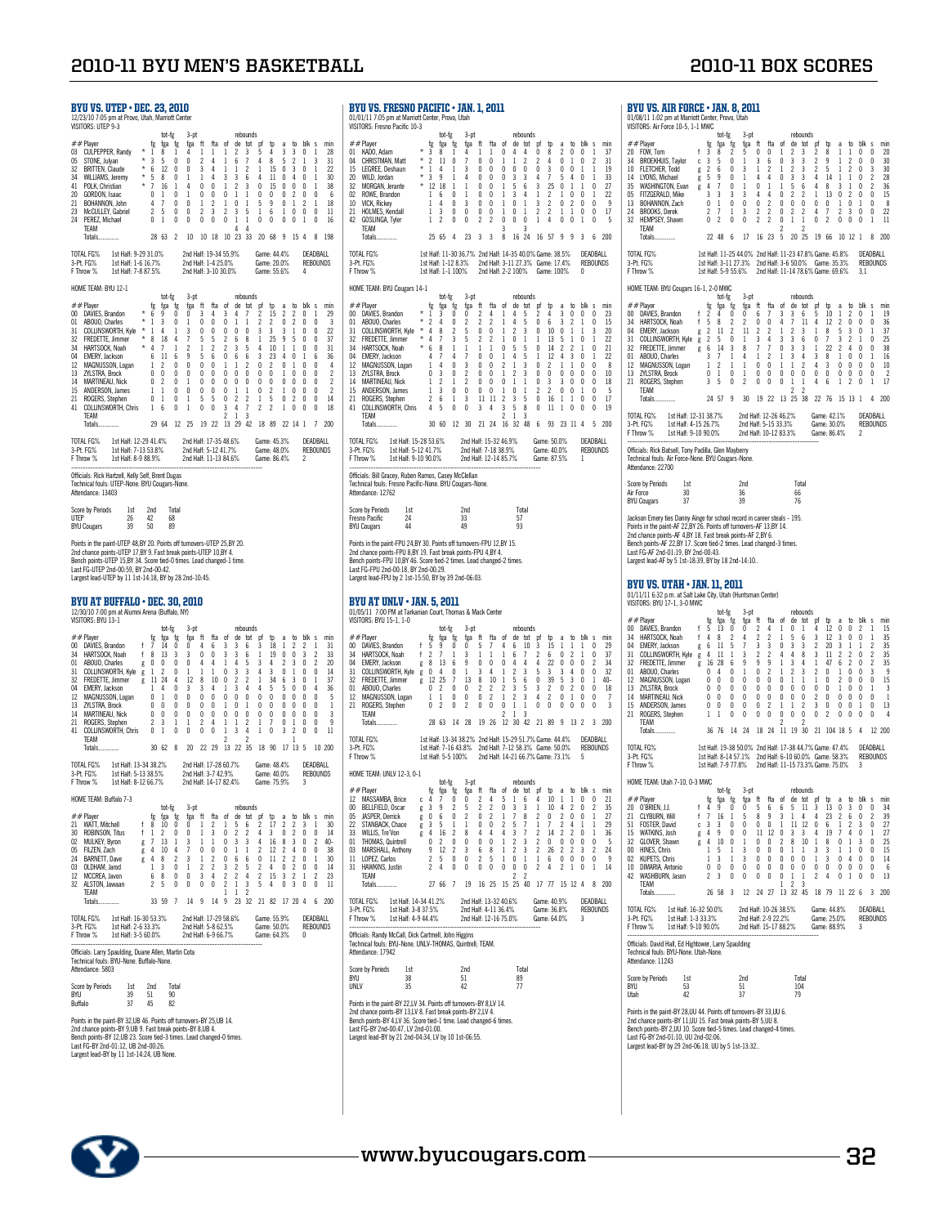| BYU VS. UTEP • DEC. 23, 2010<br>12/23/10 7:05 pm at Provo, Utah, Marriott Center<br>VISITORS: UTEP 9-3<br>tot-fg<br>3-pt<br>rebounds<br>to blk s<br>$##$ Player<br>fg<br>fga fg<br>fga ft<br>fta of<br>de tot pf<br>min<br>ъ<br>a<br>03 CULPEPPER, Randy<br>$^\star$<br>$\mathbf{1}$<br>8<br>$\mathbf{1}$<br>4<br>$\mathbf{1}$<br>1<br>$\mathbf{1}$<br>2<br>3<br>5<br>4<br>3<br>3<br>0<br>1<br>28<br>$*3$ |                              |                                                 |                                                                                                                                                                                                 |                                                       |                                                                                                             |                                                                                                                                      |                                                              |                                                                                                                                                           |                                                                                         |                                                                                                                         |                                                                                                                                                             |                                                                                             |                                                                                                              |                                                                                                                                                                   | B)<br>01<br>VIS                                        |                                                                                                             |                                                                                            |                                                                                       |
|-----------------------------------------------------------------------------------------------------------------------------------------------------------------------------------------------------------------------------------------------------------------------------------------------------------------------------------------------------------------------------------------------------------|------------------------------|-------------------------------------------------|-------------------------------------------------------------------------------------------------------------------------------------------------------------------------------------------------|-------------------------------------------------------|-------------------------------------------------------------------------------------------------------------|--------------------------------------------------------------------------------------------------------------------------------------|--------------------------------------------------------------|-----------------------------------------------------------------------------------------------------------------------------------------------------------|-----------------------------------------------------------------------------------------|-------------------------------------------------------------------------------------------------------------------------|-------------------------------------------------------------------------------------------------------------------------------------------------------------|---------------------------------------------------------------------------------------------|--------------------------------------------------------------------------------------------------------------|-------------------------------------------------------------------------------------------------------------------------------------------------------------------|--------------------------------------------------------|-------------------------------------------------------------------------------------------------------------|--------------------------------------------------------------------------------------------|---------------------------------------------------------------------------------------|
| STONE, Julyan<br>05<br>32<br><b>BRITTEN, Claude</b><br>34<br>WILLIAMS, Jeremy<br>41<br>POLK, Christian<br>20<br>GORDON, Isaac<br>21<br>BOHANNON, John<br>23<br>McCULLEY, Gabriel<br>24 PEREZ, Michael<br>TEAM                                                                                                                                                                                             |                              | 4<br>$\overline{\mathbf{c}}$<br>$\theta$        | 5<br>$\begin{array}{ccc} 2 & 2 \\ * & 6 & 12 \\ * & 5 & 8 \\ * & 7 & 16 \\ 0 & 1 & 1 \end{array}$<br>$\mathbf{i}$<br>$\overline{7}$<br>5<br>$\mathbf{1}$                                        | 0<br>0<br>0<br>1<br>0<br>0<br>0<br>0                  | 0<br>0<br>$\overline{1}$<br>Δ<br>$\mathbf{1}$<br>0<br>0<br>0                                                | 2<br>$3 \quad 4$<br>14<br>$0\quad 0$<br>0<br>$\mathbf{1}$<br>2<br>0                                                                  | $\Delta$<br>0<br>2<br>3<br>0                                 | 1<br>$\overline{1}$<br>3<br>$\mathbf{1}$<br>0<br>$\mathbf{1}$<br>2<br>0                                                                                   | 6<br>$\mathbf{1}$<br>3<br>$\overline{2}$<br>$\mathbf{1}$<br>0<br>3<br>$\mathbf{1}$<br>4 | 7<br>$\overline{c}$<br>- 6<br>$\mathbf{3}$<br>$\mathbf{1}$<br>$\mathbf{1}$<br>5<br>$\mathbf{1}$<br>4                    | 4<br>$\mathbf{1}$<br>4<br>0<br>0<br>5<br>$\mathbf{1}$<br>0                                                                                                  | 8<br>15<br>11<br>15<br>0<br>9<br>6<br>0                                                     | 5<br>$\mathbf{0}$<br>0<br>0<br>0<br>0<br>1<br>0                                                              | 2<br>30<br>4 0<br>$\begin{smallmatrix} 0 & 0 \\ 2 & 0 \end{smallmatrix}$<br>$\overline{c}$<br>$\mathbf{1}$<br>0<br>0                                              | 1<br>0<br>2<br>0<br>$\mathbf{1}$                       | 3<br>1<br>1<br>1<br>0<br>$\mathbf{1}$<br>0<br>0                                                             | 31<br>$\gamma$<br>30<br>38<br>6<br>18<br>11<br>16                                          | #<br>$_{01}$<br>04<br>15<br>20<br>32<br>02<br>10<br>21<br>42                          |
| Totals<br>1st Half: 9-29 31.0%<br>TOTAL FG%                                                                                                                                                                                                                                                                                                                                                               |                              |                                                 | 28 63                                                                                                                                                                                           | $\mathfrak{p}$                                        | 10<br>2nd Half: 19-34 55.9%                                                                                 |                                                                                                                                      | 10 18                                                        |                                                                                                                                                           |                                                                                         |                                                                                                                         | 10 23 33 20 68 9<br>Game: 44.4%                                                                                                                             |                                                                                             |                                                                                                              | 15 4                                                                                                                                                              |                                                        | DEADBALL                                                                                                    | 8 198                                                                                      | T <sub>0</sub>                                                                        |
| 3-Pt. FG%<br>1st Half: 1-6 16.7%<br>F Throw %<br>1st Half: 7-8 87.5%                                                                                                                                                                                                                                                                                                                                      |                              |                                                 |                                                                                                                                                                                                 |                                                       | 2nd Half: 1-4 25.0%<br>2nd Half: 3-10 30.0%                                                                 |                                                                                                                                      |                                                              |                                                                                                                                                           |                                                                                         |                                                                                                                         | Game: 20.0%<br>Game: 55.6%                                                                                                                                  |                                                                                             |                                                                                                              |                                                                                                                                                                   | 4                                                      | <b>REBOUNDS</b>                                                                                             |                                                                                            | $3-I$<br>FT                                                                           |
| HOME TEAM: BYU 12-1                                                                                                                                                                                                                                                                                                                                                                                       |                              |                                                 | tot-fg                                                                                                                                                                                          |                                                       | $3-pt$                                                                                                      |                                                                                                                                      |                                                              |                                                                                                                                                           |                                                                                         | rebounds                                                                                                                |                                                                                                                                                             |                                                                                             |                                                                                                              |                                                                                                                                                                   |                                                        |                                                                                                             |                                                                                            | H <sub>0</sub>                                                                        |
| $##$ Player<br>00 DAVIES, Brandon<br>01 ABOUO, Charles<br>31 COLLINSWORTH, Kyle * 1<br>32 FREDETTE, Jimmer * 8<br>^* ******************* * 4<br>HARTSOCK, Noah<br>04 EMERY, Jackson<br>12 MAGNUSSON, Logan<br>13<br>ZYLSTRA, Brock<br>14 MARTINEAU, Nick<br>15 ANDERSON, James<br>21<br>ROGERS, Stephen<br>COLLINSWORTH, Chris 1<br>41<br>TEAM<br>Totals                                                  | $*$ 6                        | fg<br>6<br>1<br>0                               | fga fg<br>9<br>3<br>4<br>18 4<br>7<br>$11\,$<br>$2 \quad 0$<br>$0\quad 0\quad 0\quad 0$<br>0 2 0 1<br>$1 \t 1 \t 0 \t 0$<br>$\frac{1}{1}$<br>$\frac{1}{6}$<br>29 64 12 25                       | 0<br>0<br>$\mathbf{1}$<br>$\mathbf{1}$<br>6<br>0<br>0 | fga ft<br>0<br>$\mathbf{1}$<br>3<br>7<br>$\overline{2}$<br>9<br>$\mathbf 0$<br>$\mathbf{1}$<br>$\mathbf{1}$ | 3<br>$\mathbf{0}$<br>$0\quad 0$<br>5<br>$\mathbf{1}$<br>5<br>$0\quad 0$<br>$0\quad 0$<br>$0\quad 0$<br>$0\quad 0$<br>5<br>0<br>19 22 | fta<br>4<br>0<br>5<br>$\overline{\mathbf{c}}$<br>6<br>5<br>0 | - of<br>3<br>$\mathbf{0}$<br>$0\quad 0$<br>$2 \quad 6$<br>$\overline{c}$<br>$\hat{0}$<br>$1\,$<br>$0\quad 0$<br>$0\quad 0$<br>$\mathbf{0}$<br>0<br>3<br>2 | 4<br>1<br>3<br>6<br>1<br>1<br>$\overline{\mathbf{c}}$<br>4<br>$\mathbf{1}$              | de tot<br>7<br>$\mathbf{1}$<br>0<br>8<br>5<br>6<br>2<br>$\overline{0}$<br>$\overline{0}$<br>$\mathbf{1}$<br>2<br>7<br>3 | pf<br>2<br>$\overline{c}$<br>3<br>$\mathbf{1}$<br>4<br>3<br>0<br>0 <sub>0</sub><br>$0\quad 0$<br>$\mathbf 0$<br>$\mathbf{1}$<br>2<br>13 29 42 18 89 22 14 1 | tp<br>15<br>$\mathbf{2}$<br>3<br>25<br>10<br>23<br>$\overline{2}$<br>$\mathbf{2}$<br>5<br>2 | a<br>2<br>$\mathbf{0}$<br>3<br>9<br>$\mathbf{1}$<br>$\overline{4}$<br>0<br>0<br>$\mathbf{0}$<br>$\mathbf{1}$ | to<br>2<br>$\mathbf{2}$<br>$\mathbf{1}$<br>$5\phantom{.0}$<br>$\mathbf{1}$<br>0<br>$1 \quad 0$<br>$1 \quad 0 \quad 0$<br>$0\quad 0$<br>100<br>$\overline{c}$<br>0 | blk s<br>0<br>0<br>0<br>0<br>$\frac{1}{2}$<br>0<br>0   | 1<br>0<br>0<br>0<br>0<br>6<br>0<br>0<br>0<br>$\overline{\mathbf{0}}$<br>$\mathbf{0}$<br>0<br>$\overline{7}$ | min<br>29<br>3<br>22<br>37<br>31<br>36<br>4<br>2<br>2<br>$\overline{c}$<br>14<br>18<br>200 | #<br>$00\,$<br>$_{01}$<br>31<br>32<br>34<br>04<br>12<br>13<br>14<br>15<br>21<br>41    |
| TOTAL FG% 1st Half: 12-29 41.4%<br>3-Pt. FG% 1st Half: 7-13 53.8%<br>F Throw % 1st Half: 8-9 88.9%                                                                                                                                                                                                                                                                                                        |                              |                                                 |                                                                                                                                                                                                 |                                                       | 2nd Half: 17-35 48.6%<br>2nd Half: 5-12 41.7%<br>2nd Half: 11-13 84.6%                                      |                                                                                                                                      |                                                              |                                                                                                                                                           |                                                                                         |                                                                                                                         | Game: 45.3%<br>Game: 48.0%                                                                                                                                  |                                                                                             |                                                                                                              |                                                                                                                                                                   |                                                        | DFADBALL<br><b>REBOUNDS</b>                                                                                 |                                                                                            | T <sub>0</sub><br>$3 - F$                                                             |
| Officials: Rick Hartzell, Kelly Self, Brent Dugas<br>Technical fouls: UTEP-None. BYU Cougars-None.<br>Attendance: 13403                                                                                                                                                                                                                                                                                   |                              |                                                 |                                                                                                                                                                                                 |                                                       |                                                                                                             |                                                                                                                                      |                                                              |                                                                                                                                                           |                                                                                         |                                                                                                                         | Game: 86.4%                                                                                                                                                 |                                                                                             |                                                                                                              |                                                                                                                                                                   | 2                                                      |                                                                                                             |                                                                                            | FT<br>0ff<br>Teo<br>Att                                                               |
| Score by Periods<br>1st<br>UTEP<br>26<br><b>BYU Cougars</b><br>39                                                                                                                                                                                                                                                                                                                                         |                              | 2nd<br>42<br>50                                 |                                                                                                                                                                                                 | Total<br>68<br>89                                     |                                                                                                             |                                                                                                                                      |                                                              |                                                                                                                                                           |                                                                                         |                                                                                                                         |                                                                                                                                                             |                                                                                             |                                                                                                              |                                                                                                                                                                   |                                                        |                                                                                                             |                                                                                            | Sco<br>Fre<br>BY                                                                      |
| Points in the paint-UTEP 48,BY 20. Points off turnovers-UTEP 25,BY 20.<br>2nd chance points-UTEP 17,BY 9. Fast break points-UTEP 10,BY 4.<br>Bench points-UTEP 15,BY 34. Score tied-0 times. Lead changed-1 time.<br>Last FG-UTEP 2nd-00:59, BY 2nd-00:42.<br>Largest lead-UTEP by 11 1st-14:18, BY by 28 2nd-10:45.                                                                                      |                              |                                                 |                                                                                                                                                                                                 |                                                       |                                                                                                             |                                                                                                                                      |                                                              |                                                                                                                                                           |                                                                                         |                                                                                                                         |                                                                                                                                                             |                                                                                             |                                                                                                              |                                                                                                                                                                   |                                                        |                                                                                                             |                                                                                            | Poi<br>2n<br>Ber<br>Las<br>Lar                                                        |
| BYU AT BUFFALO • DEC. 30, 2010<br>12/30/10 7:00 pm at Alumni Arena (Buffalo, NY)<br>VISITORS: BYU 13-1                                                                                                                                                                                                                                                                                                    |                              |                                                 |                                                                                                                                                                                                 |                                                       |                                                                                                             |                                                                                                                                      |                                                              |                                                                                                                                                           |                                                                                         |                                                                                                                         |                                                                                                                                                             |                                                                                             |                                                                                                              |                                                                                                                                                                   |                                                        |                                                                                                             |                                                                                            | B)<br>01<br>VIS                                                                       |
| ##Player<br>with the standard of the HARTSOCK, Noah f 8<br>ABOUO, Charles<br>00 DAVIES, Brandon<br>34<br>$_{01}$<br>COLLINSWORTH, Kyle g<br>31<br>32<br>FREDETTE, Jimmer<br>04<br>EMERY, Jackson<br>12 MAGNUSSON, Logan<br>13<br>ZYLSTRA, Brock<br>14<br><b>MARTINEAU, Nick</b><br>ROGERS, Stephen<br>21<br>COLLINSWORTH, Chris<br>41<br>TEAM<br>Totals                                                   | $g \nvert 0$<br>$g \nvert 1$ | 2<br>0                                          | tot-fg<br>fg fga fg<br>14<br>13<br>0<br>$\overline{c}$<br>g 11 24 4<br>$1 \quad 4 \quad 0$<br>$\begin{matrix} 0 & 1 & 0 \\ 0 & 0 & 0 \\ 0 & 0 & 0 \end{matrix}$<br>3<br>$\mathbf{1}$<br>30 62 8 | 0<br>3<br>0<br>0<br>1<br>0                            | $3-pt$<br>fga ft<br>0<br>3<br>0<br>1<br>12<br>$\overline{\mathbf{3}}$<br>$\mathbf 0$<br>0<br>0<br>1<br>0    | Δ<br>0<br>4<br>1<br>3 <sub>4</sub><br>$0\quad 0$<br>$\mathbf{0}$<br>0<br>2<br>0                                                      | 6<br>0<br>4<br>1<br>8 10 0<br>0<br>0<br>4<br>0               | fta of<br>3<br>3<br>$\mathbf{1}$<br>$\mathbf 0$<br>$\mathbf{1}$<br>$\mathbf 0$<br>$\mathbf{1}$<br>0<br>1<br>$\mathbf{1}$<br>2                             | 3<br>3<br>4<br>3<br>$\overline{2}$<br>3<br>0<br>0<br>0<br>1<br>3                        | rebounds<br>de tot pf<br>6<br>6<br>5<br>3<br>2<br>4<br>$\mathbf 0$<br>$\mathbf{1}$<br>0<br>$\overline{c}$<br>4<br>2     | 3<br>$\mathbf{1}$<br>3<br>4<br>1 34<br>0<br>0<br>0<br>1<br>$\mathbf{1}$<br>20 22 29 13 22 35 18 90 17 13 5                                                  | Þ<br>18<br>19<br>4<br>3<br>4 <sub>5</sub><br>$\mathbf{0}$<br>0<br>0<br>7<br>0               | a<br>1<br>0<br>2<br>0<br>6<br>5<br>0<br>0<br>0<br>0<br>3                                                     | $\gamma$<br>0<br>$\overline{3}$<br>$1\,$<br>3 <sub>0</sub><br>$0\quad 0$<br>$\begin{matrix}0&0\\0&0\end{matrix}$<br>0<br>0<br>1<br>2<br>1                         | to blk s<br>2<br>3<br>0<br>0<br>0<br>$\,0\,$<br>0<br>0 | 1<br>$\boldsymbol{\eta}$<br>2<br>0<br>1<br>4<br>$\theta$<br>0<br>0<br>0<br>0                                | min<br>31<br>33<br>20<br>14<br>37<br>36<br>5<br>1<br>3<br>9<br>11<br>10 200                | #<br>$00\,$<br>34<br>04<br>31<br>32<br>$_{01}$<br>12<br>21<br>T <sub>0</sub><br>$3-f$ |
| 1st Half: 13-34 38.2%<br>TOTAL FG%<br>3-Pt. FG%<br>1st Half: 8-12 66.7%<br>F Throw %                                                                                                                                                                                                                                                                                                                      |                              |                                                 |                                                                                                                                                                                                 |                                                       | 2nd Half: 17-28 60.7%<br>2nd Half: 3-7 42.9%<br>2nd Half: 14-17 82.4%                                       |                                                                                                                                      |                                                              |                                                                                                                                                           |                                                                                         |                                                                                                                         | Game: 48.4%<br>Game: 40.0%<br>Game: 75.9%                                                                                                                   |                                                                                             |                                                                                                              |                                                                                                                                                                   |                                                        | DEADBALL<br><b>REBOUNDS</b>                                                                                 |                                                                                            | FT<br>H <sub>0</sub>                                                                  |
| HOME TEAM: Buffalo 7-3                                                                                                                                                                                                                                                                                                                                                                                    |                              |                                                 | tot-fg                                                                                                                                                                                          |                                                       | $3-pt$                                                                                                      |                                                                                                                                      |                                                              |                                                                                                                                                           |                                                                                         | rebounds                                                                                                                |                                                                                                                                                             |                                                                                             |                                                                                                              |                                                                                                                                                                   |                                                        |                                                                                                             |                                                                                            | #<br>12<br>00                                                                         |
| ## Player<br>21 WATT, Mitchell<br>30 ROBINSON, Titus<br>02 MULKEY, Byron<br>05 FILZEN, Zach<br>BARNETT, Dave<br>24                                                                                                                                                                                                                                                                                        | f<br>$\mathsf{f}$<br>g       | fg<br>8<br>$\mathbf{1}$<br>7<br>$\overline{4}$  | fga<br>10<br>2<br>13<br>10                                                                                                                                                                      | fg<br>0<br>0<br>1<br>4                                | fga<br>0<br>0<br>3<br>7                                                                                     | ft<br>1<br>1<br>$\mathbf{1}$<br>0                                                                                                    | fta<br>2<br>3<br>1<br>0<br>2                                 | of<br>1<br>0<br>0<br>0<br>0                                                                                                                               | 5<br>$\overline{c}$<br>3<br>1<br>6                                                      | de tot<br>6<br>2<br>3<br>1<br>6                                                                                         | pf<br>2<br>4<br>4<br>$\overline{c}$<br>0                                                                                                                    | tp<br>17<br>3<br>16<br>12<br>11                                                             | a<br>2<br>0<br>8<br>2<br>2                                                                                   | to<br>2<br>$\overline{2}$<br>$\mathbf{3}$<br>4<br>$\overline{\mathbf{c}}$                                                                                         | blk s<br>3<br>0<br>0<br>0<br>0                         | 1<br>0<br>2<br>0<br>$\mathbf{1}$                                                                            | min<br>30<br>14<br>40-<br>38<br>30                                                         | 05<br>22<br>33<br>01<br>03<br>11                                                      |
| 03<br>OLDHAM, Jarod<br>MCCREA, Javon<br>12<br>32 ALSTON, Jawaan<br>TEAM                                                                                                                                                                                                                                                                                                                                   | g<br>g                       | $\overline{4}$<br>1<br>6<br>$\boldsymbol{\eta}$ | 8<br>3<br>8<br>5                                                                                                                                                                                | 2<br>0<br>0<br>0                                      | 3<br>1<br>0<br>0                                                                                            | $\mathbf{1}$<br>2<br>3<br>0                                                                                                          | 2<br>4<br>0                                                  | 3<br>$\overline{\mathbf{c}}$<br>$\overline{\mathbf{c}}$<br>1                                                                                              | $\overline{c}$<br>$\overline{c}$<br>$\mathbf{1}$<br>1                                   | 5<br>4<br>3<br>$\overline{c}$                                                                                           | 2<br>$\overline{\mathbf{c}}$<br>5                                                                                                                           | 4<br>15<br>4                                                                                | 0<br>3<br>0                                                                                                  | $\overline{\mathbf{c}}$<br>$\overline{c}$<br>3                                                                                                                    | 0<br>1<br>0                                            | 0<br>2<br>0                                                                                                 | 14<br>23<br>11                                                                             | 31                                                                                    |
| Totals<br>TOTAL FG%<br>1st Half: 16-30 53.3%                                                                                                                                                                                                                                                                                                                                                              |                              |                                                 | 33 59                                                                                                                                                                                           | $\overline{\phantom{a}}$                              | 14<br>2nd Half: 17-29 58.6%                                                                                 | 9                                                                                                                                    | 14                                                           | 9                                                                                                                                                         |                                                                                         | 23 32                                                                                                                   | Game: 55.9%                                                                                                                                                 | 21 82                                                                                       |                                                                                                              | 17 20 4                                                                                                                                                           |                                                        | 6<br>DEADBALL                                                                                               | 200                                                                                        | T <sub>0</sub><br>3-F<br>FT                                                           |
| 3-Pt. FG%<br>1st Half: 2-6 33.3%<br>1st Half: 3-5 60.0%<br>F Throw %                                                                                                                                                                                                                                                                                                                                      |                              |                                                 |                                                                                                                                                                                                 |                                                       | 2nd Half: 5-8 62.5%<br>2nd Half: 6-9 66.7%                                                                  |                                                                                                                                      |                                                              |                                                                                                                                                           |                                                                                         |                                                                                                                         | Game: 50.0%<br>Game: 64.3%                                                                                                                                  |                                                                                             |                                                                                                              |                                                                                                                                                                   | 0                                                      | <b>REBOUNDS</b>                                                                                             |                                                                                            | 0ff<br>Teo                                                                            |
| Officials: Larry Spaulding, Duane Allen, Martin Cota<br>Technical fouls: BYU-None. Buffalo-None.<br>Attendance: 5803                                                                                                                                                                                                                                                                                      |                              |                                                 |                                                                                                                                                                                                 |                                                       |                                                                                                             |                                                                                                                                      |                                                              |                                                                                                                                                           |                                                                                         |                                                                                                                         |                                                                                                                                                             |                                                                                             |                                                                                                              |                                                                                                                                                                   |                                                        |                                                                                                             |                                                                                            | Att<br>Sco                                                                            |
| Score by Periods<br>1st<br>BYU<br>39<br>Buffalo<br>37                                                                                                                                                                                                                                                                                                                                                     |                              | 2nd<br>51<br>45                                 |                                                                                                                                                                                                 | Total<br>90<br>82                                     |                                                                                                             |                                                                                                                                      |                                                              |                                                                                                                                                           |                                                                                         |                                                                                                                         |                                                                                                                                                             |                                                                                             |                                                                                                              |                                                                                                                                                                   |                                                        |                                                                                                             |                                                                                            | BY<br>UN<br>Poi<br>2n                                                                 |

| BYU VS. FRESNO PACIFIC • JAN. 1, 2011<br>01/01/11 7:05 pm at Marriott Center, Provo, Utah<br>VISITORS: Fresno Pacific 10-3<br>tot-fg<br>rebounds<br>3-pt<br>fta<br>of<br>blk s<br>##Player<br>fg fga fg<br>ft<br>de tot<br>pf<br>fga<br>tp<br>to<br>min<br>a |                                                                                                                                                                                                                                                                                                                                                                                                                                           |                                                        |                                                                                                                                         |                                                                                                                              |                                                                                                        |                                                                                                                                                                                                                 |                                                                                                       |                                                                                                          |                                                                                           |                                                                                                    |                                                                                                                         |                                                                                                                                            |                                                                                                                                              |                                                                                                                                         |                                                                                                                                       |                                                                                 |                                                                                                   |                                                                                   |
|--------------------------------------------------------------------------------------------------------------------------------------------------------------------------------------------------------------------------------------------------------------|-------------------------------------------------------------------------------------------------------------------------------------------------------------------------------------------------------------------------------------------------------------------------------------------------------------------------------------------------------------------------------------------------------------------------------------------|--------------------------------------------------------|-----------------------------------------------------------------------------------------------------------------------------------------|------------------------------------------------------------------------------------------------------------------------------|--------------------------------------------------------------------------------------------------------|-----------------------------------------------------------------------------------------------------------------------------------------------------------------------------------------------------------------|-------------------------------------------------------------------------------------------------------|----------------------------------------------------------------------------------------------------------|-------------------------------------------------------------------------------------------|----------------------------------------------------------------------------------------------------|-------------------------------------------------------------------------------------------------------------------------|--------------------------------------------------------------------------------------------------------------------------------------------|----------------------------------------------------------------------------------------------------------------------------------------------|-----------------------------------------------------------------------------------------------------------------------------------------|---------------------------------------------------------------------------------------------------------------------------------------|---------------------------------------------------------------------------------|---------------------------------------------------------------------------------------------------|-----------------------------------------------------------------------------------|
| 04<br>15<br>20<br>32<br>0 <sup>2</sup><br>10<br>21<br>42                                                                                                                                                                                                     | 01 KADO, Adam<br>CHRISTMAN, Matt<br>LEGREE, Deshaun<br>WILD, Jordan<br>MORGAN, Jerante<br>ROWE, Brandon<br>VICK, Rickey<br><b>HOLMES, Kendall</b><br>GOSLINGA, Tyler<br>TFAM<br>Totals<br>TOTAL FG%                                                                                                                                                                                                                                       | $\star$<br>$^\star$<br>$^\star$                        | 3<br>$\overline{\mathbf{c}}$<br>$\overline{1}$<br>$*3$<br>$* 12 18$<br>$\mathbf{1}$<br>1<br>1<br>1<br>25 65                             | 8<br>11<br>4<br>9<br>-6<br>4<br>3<br>$\overline{c}$                                                                          | $\mathbf{1}$<br>0<br>1<br>1<br>$\mathbf{1}$<br>0<br>0<br>0<br>0<br>4                                   | 4<br>7<br>3<br>4<br>$\mathbf{1}$<br>1<br>3<br>0<br>0<br>23                                                                                                                                                      | 1<br>0<br>0<br>$\theta$<br>0<br>0<br>0<br>0<br>2<br>3                                                 | 1<br>0<br>0<br>0<br>0<br>0<br>0<br>0<br>$\boldsymbol{\eta}$<br>3                                         | 0<br>1<br>$\theta$<br>$\theta$<br>$\mathbf{1}$<br>1<br>1<br>1<br>$\theta$<br>3<br>8       | 4<br>1<br>0<br>3<br>5<br>3<br>0<br>0<br>0                                                          | 4<br>$\overline{c}$<br>0<br>3<br>6<br>4<br>1<br>1<br>0<br>3<br>16 24                                                    | 0<br>$\overline{\mathbf{c}}$<br>0<br>4<br>3<br>$\mathbf{1}$<br>3<br>2<br>1<br>16                                                           | 8<br>4<br>3<br>7<br>25<br>$\overline{2}$<br>$\overline{\mathbf{c}}$<br>2<br>4<br>-57                                                         | $\overline{c}$<br>0<br>0<br>5<br>0<br>1<br>0<br>$\mathbf{1}$<br>0<br>9                                                                  | 0<br>1<br>$^{\circ}$<br>$\overline{4}$<br>-1<br>0<br>$\overline{c}$<br>1<br>0<br>9                                                    | 0<br>0<br>1<br>0<br>1<br>0<br>0<br>0<br>1<br>3                                  | 1<br>2<br>1<br>1<br>0<br>1<br>0<br>0<br>0<br>6<br>DEADBALL                                        | 37<br>31<br>19<br>33<br>27<br>$\gamma$<br>9<br>17<br>5<br>200                     |
|                                                                                                                                                                                                                                                              | 3-Pt. FG%<br>F Throw %                                                                                                                                                                                                                                                                                                                                                                                                                    |                                                        |                                                                                                                                         | 1st Half: 1-1 100%                                                                                                           |                                                                                                        | 1st Half: 11-30 36.7% 2nd Half: 14-35 40.0% Game: 38.5%<br>1st Half: 1-12 8.3%                                                                                                                                  |                                                                                                       | 2nd Half: 3-11 27.3% Game: 17.4%<br>2nd Half: 2-2 100%                                                   |                                                                                           |                                                                                                    |                                                                                                                         |                                                                                                                                            | Game: 100%                                                                                                                                   |                                                                                                                                         |                                                                                                                                       | 0                                                                               | <b>REBOUNDS</b>                                                                                   |                                                                                   |
| 00<br>01<br>31<br>32<br>34<br>04<br>12<br>13<br>14<br>15<br>21<br>41                                                                                                                                                                                         | HOME TEAM: BYU Cougars 14-1<br>##Plaver<br>DAVIES, Brandon<br>ABOUO, Charles<br>COLLINSWORTH, Kyle<br>FREDETTE, Jimmer<br>HARTSOCK, Noah<br>EMERY, Jackson<br>MAGNUSSON, Logan<br>ZYLSTRA, Brock<br><b>MARTINEAU, Nick</b><br>ANDERSON, James<br>ROGERS, Stephen<br><b>COLLINSWORTH, Chris</b><br>TEAM<br>Totals<br>TOTAL FG% 1st Half: 15-28 53.6%<br>3-Pt. FG%<br>1st Half: 5-12 41.7%<br>1st Half: 9-10 90.0%<br>F Throw %             | $\star$<br>$\star$<br>$^\star$<br>$^\star$<br>$^\star$ | fg<br>1<br>$\overline{2}$<br>$\overline{4}$<br>$\overline{4}$<br>6<br>4<br>$\mathbf{1}$<br>0 <sup>3</sup><br>$1\quad2$<br>$\gamma$<br>4 | tot-fg<br>fga<br>3<br>4<br>8<br>7<br>8<br>$\overline{\phantom{a}}$<br>$\frac{7}{4}$<br>$1 \quad 3$<br>6<br>-5<br>30 60 12 30 | fg<br>0<br>0<br>2<br>3<br>1<br>4<br>0<br>$\theta$<br>$\mathbf{1}$<br>0<br>$\mathbf{1}$<br>$\mathbf{0}$ | $3-pt$<br>fga ft<br>0<br>$\boldsymbol{\eta}$<br>5<br>5<br>1<br>$\overline{1}$<br>3<br>$\overline{c}$<br>$\overline{2}$<br>0<br>3<br>0<br>2nd Half: 15-32 46.9%<br>2nd Half: 7-18 38.9%<br>2nd Half: 12-14 85.7% | 2<br>$\overline{c}$<br>0<br>$\overline{c}$<br>$\mathbf{1}$<br>$\theta$<br>0<br>0<br>0<br>0<br>11<br>3 | fta<br>4<br>$\overline{c}$<br>0<br>2<br>$\mathbf{1}$<br>0<br>0<br>$\theta$<br>0<br>0<br>11<br>4<br>21 24 | of<br>1<br>1<br>1<br>1<br>0<br>$\mathbf{1}$<br>2<br>1<br>$\mathbf{0}$<br>1<br>2<br>3<br>2 | 4<br>4<br>$\overline{c}$<br>0<br>5<br>4<br>$\mathbf{1}$<br>$\overline{2}$<br>1<br>0<br>3<br>5<br>1 | rebounds<br>de tot<br>5<br>5<br>3<br>1<br>5<br>5<br>3<br>3<br>$\mathbf{1}$<br>$\mathbf{1}$<br>5<br>8<br>3<br>16 32 48 6 | pf<br>2<br>0<br>0<br>1<br>0<br>$\,1$<br>0<br>0<br>$\theta$<br>2<br>0<br>0                                                                  | tp<br>4<br>6<br>10<br>13<br>14<br>12<br>2<br>0<br>3<br>$\overline{c}$<br>16<br>11<br>93 23 11 4<br>Game: 50.0%<br>Game: 40.0%<br>Game: 87.5% | a<br>3<br>3<br>0<br>5<br>$\overline{c}$<br>4<br>$\mathbf{1}$<br>0<br>3<br>0<br>1<br>1                                                   | to<br>0<br>$\boldsymbol{\eta}$<br>1<br>1<br>$\overline{c}$<br>3<br>1<br>$\mathbf{0}$<br>$\mathbf{0}$<br>$\bf{0}$<br>$\mathbf{1}$<br>0 | blk<br>0<br>1<br>1<br>0<br>1<br>0<br>0<br>0<br>0<br>$\mathbf{1}$<br>0<br>0<br>1 | s<br>0<br>0<br>3<br>1<br>0<br>1<br>0<br>0<br>0<br>0<br>0<br>0<br>5<br>DEADBALL<br><b>REBOUNDS</b> | min<br>23<br>15<br>20<br>22<br>21<br>22<br>8<br>10<br>18<br>-5<br>17<br>19<br>200 |
|                                                                                                                                                                                                                                                              | Officials: Bill Gracey, Ruben Ramos, Casey McClellan<br>Technical fouls: Fresno Pacific-None. BYU Cougars-None.<br>Attendance: 12762                                                                                                                                                                                                                                                                                                      |                                                        |                                                                                                                                         |                                                                                                                              |                                                                                                        |                                                                                                                                                                                                                 |                                                                                                       |                                                                                                          |                                                                                           |                                                                                                    |                                                                                                                         |                                                                                                                                            |                                                                                                                                              |                                                                                                                                         |                                                                                                                                       |                                                                                 |                                                                                                   |                                                                                   |
|                                                                                                                                                                                                                                                              | Score by Periods<br>1st<br>Fresno Pacific<br>24<br>44<br><b>BYU Cougars</b>                                                                                                                                                                                                                                                                                                                                                               |                                                        |                                                                                                                                         |                                                                                                                              |                                                                                                        | 2nd<br>33<br>49                                                                                                                                                                                                 |                                                                                                       |                                                                                                          |                                                                                           | 57<br>93                                                                                           | Total                                                                                                                   |                                                                                                                                            |                                                                                                                                              |                                                                                                                                         |                                                                                                                                       |                                                                                 |                                                                                                   |                                                                                   |
|                                                                                                                                                                                                                                                              | Points in the paint-FPU 24,BY 30. Points off turnovers-FPU 12,BY 15.<br>2nd chance points-FPU 8,BY 19. Fast break points-FPU 4,BY 4.<br>Bench points-FPU 10,BY 46. Score tied-2 times. Lead changed-2 times.<br>Last FG-FPU 2nd-00:18, BY 2nd-00:29.<br>Largest lead-FPU by 2 1st-15:50, BY by 39 2nd-06:03.<br><b>BYU AT UNLV · JAN. 5, 2011</b><br>01/05/11 7:00 PM at Tarkanian Court, Thomas & Mack Center<br>VISITORS: BYU 15-1, 1-0 |                                                        |                                                                                                                                         |                                                                                                                              |                                                                                                        |                                                                                                                                                                                                                 |                                                                                                       |                                                                                                          |                                                                                           |                                                                                                    |                                                                                                                         |                                                                                                                                            |                                                                                                                                              |                                                                                                                                         |                                                                                                                                       |                                                                                 |                                                                                                   |                                                                                   |
| 00<br>34<br>04<br>31<br>32<br>$_{01}$<br>12<br>21                                                                                                                                                                                                            | $##$ Player<br>DAVIES, Brandon<br>HARTSOCK, Noah<br>EMERY, Jackson<br>COLLINSWORTH, Kyle<br>FREDETTE, Jimmer<br>ABOUO, Charles<br>MAGNUSSON, Logan<br>ROGERS, Stephen<br><b>TFAM</b><br>Totals                                                                                                                                                                                                                                            | f.<br>$\mathsf{f}$<br>$\mathbf{g}$<br>g                | 5<br>$\overline{c}$<br>$g$ 8<br>0<br>12 25<br>$\mathbf{0}$<br>$\mathbf{1}$<br>$\Omega$<br>28 63                                         | tot-tg<br>fg fga fg<br>9<br>$\overline{1}$<br>13<br>4<br>$\overline{c}$<br>$\mathbf{1}$<br>$\boldsymbol{\eta}$               | 0<br>1<br>6<br>0<br>$\overline{1}$<br>0<br>0<br>0                                                      | 3-pt<br>fga<br>0<br>3<br>9<br>1<br>13<br>$\mathbf{0}$<br>0<br>$\boldsymbol{\eta}$<br>14 28                                                                                                                      | ft<br>5<br>$\mathbf{1}$<br>0<br>3<br>8<br>$\overline{2}$<br>0<br>0                                    | fta<br>7<br>1<br>0<br>4<br>10<br>$\overline{c}$<br>$\overline{\mathbf{c}}$<br>0<br>19 26                 | of<br>Δ<br>1<br>$\theta$<br>1<br>1<br>$\overline{c}$<br>1<br>$\theta$<br>2                | 6<br>6<br>4<br>$\overline{c}$<br>5<br>3<br>$\overline{c}$<br>1<br>1<br>12 30 42                    | rebounds<br>de tot<br>10<br>7<br>4<br>3<br>6<br>5<br>3<br>1<br>3                                                        | pf<br>3<br>$\overline{c}$<br>4<br>5<br>0<br>3<br>4<br>0<br>21                                                                              | to<br>15<br>6<br>22<br>3<br>39<br>$\overline{\mathbf{c}}$<br>2<br>0<br>89 9 13 2                                                             | a<br>1<br>0<br>0<br>3<br>5<br>0<br>0<br>0                                                                                               | to<br>$\mathbf{1}$<br>$\overline{c}$<br>0<br>4<br>$\overline{3}$<br>$\overline{2}$<br>1<br>$\mathbf{0}$                               | blk s<br>1<br>1<br>0<br>0<br>0<br>0<br>0<br>0                                   | 0<br>0<br>$\overline{c}$<br>0<br>1<br>0<br>0<br>0<br>3                                            | min<br>29<br>37<br>34<br>32<br>40-<br>18<br>7<br>3<br>200                         |
|                                                                                                                                                                                                                                                              | TOTAL FG%<br>3-Pt. FG%<br>F Throw %                                                                                                                                                                                                                                                                                                                                                                                                       |                                                        |                                                                                                                                         | 1st Half: 5-5 100%                                                                                                           |                                                                                                        | 1st Half: 13-34 38.2% 2nd Half: 15-29 51.7% Game: 44.4%<br>1st Half: 7-16 43.8% 2nd Half: 7-12 58.3% Game: 50.0%                                                                                                |                                                                                                       | 2nd Half: 14-21 66.7% Game: 73.1%                                                                        |                                                                                           |                                                                                                    |                                                                                                                         |                                                                                                                                            |                                                                                                                                              |                                                                                                                                         |                                                                                                                                       | <b>DFADBALL</b><br>5                                                            | <b>REBOUNDS</b>                                                                                   |                                                                                   |
| 12<br>00<br>05<br>22<br>33<br>$_{01}$<br>03<br>11<br>31                                                                                                                                                                                                      | HOME TEAM: UNLV 12-3, 0-1<br>##Plaver<br>MASSAMBA, Brice<br>BELLFIELD, Oscar<br>JASPER, Derrick<br>STANBACK, Chace<br>WILLIS, Tre'Von<br><b>THOMAS, Quintrell</b><br>MARSHALL, Anthony<br>LOPEZ, Carlos<br>HAWKINS, Justin<br>TEAM<br>Totals                                                                                                                                                                                              | ¢<br>g<br>g<br>g<br>g                                  | fg<br>4<br>3<br>0<br>3<br>4<br>0<br>9<br>$\overline{c}$<br>$\overline{c}$<br>27                                                         | tot-fg<br>fga<br>7<br>9<br>6<br>5<br>16<br>$\overline{\mathbf{c}}$<br>12<br>5<br>4<br>66                                     | fg<br>0<br>$\overline{c}$<br>0<br>1<br>$\overline{c}$<br>0<br>2<br>0<br>0<br>$\overline{1}$            | $3-pt$<br>fga<br>0<br>5<br>$\overline{c}$<br>1<br>8<br>0<br>3<br>0<br>0<br>19                                                                                                                                   | ft<br>2<br>$\overline{c}$<br>0<br>0<br>4<br>0<br>6<br>$\overline{c}$<br>0<br>16                       | fta<br>4<br>$\overline{c}$<br>$\overline{c}$<br>0<br>4<br>0<br>8<br>5<br>0<br>25                         | of<br>5<br>0<br>1<br>2<br>4<br>1<br>1<br>1<br>0<br>15                                     | de<br>1<br>3<br>7<br>5<br>3<br>$\overline{c}$<br>$\overline{c}$<br>0<br>0<br>2<br>25               | rehnunds<br>tot<br>6<br>3<br>8<br>7<br>7<br>3<br>3<br>$\mathbf{1}$<br>0<br>2<br>40                                      | pf<br>4<br>1<br>$\overline{c}$<br>1<br>$\overline{c}$<br>$\overline{c}$<br>$\overline{\mathbf{c}}$<br>$\mathbf{1}$<br>$\overline{c}$<br>17 | tp<br>10<br>10<br>0<br>7<br>14<br>0<br>26<br>6<br>4<br>77                                                                                    | a<br>1<br>4<br>$\overline{c}$<br>$\overline{\mathbf{c}}$<br>$\overline{c}$<br>0<br>$\overline{\mathbf{c}}$<br>0<br>$\overline{c}$<br>15 | to<br>1<br>$\overline{c}$<br>0<br>4<br>$\overline{c}$<br>0<br>2<br>0<br>1<br>12                                                       | blk<br>0<br>0<br>0<br>1<br>0<br>0<br>3<br>0<br>0<br>$\overline{4}$              | s<br>0<br>$\overline{c}$<br>1<br>1<br>1<br>0<br>2<br>0<br>1<br>8                                  | min<br>21<br>35<br>27<br>29<br>36<br>5<br>24<br>9<br>14<br>200                    |
|                                                                                                                                                                                                                                                              | <b>TOTAL FG%</b><br>1st Half: 14-34 41.2%<br>3-Pt. FG%<br>1st Half: 3-8 37.5%<br>F Throw %<br>1st Half: 4-9 44.4%                                                                                                                                                                                                                                                                                                                         |                                                        |                                                                                                                                         |                                                                                                                              |                                                                                                        | 2nd Half: 13-32 40.6%<br>2nd Half: 4-11 36.4%<br>2nd Half: 12-16 75.0%                                                                                                                                          |                                                                                                       |                                                                                                          |                                                                                           |                                                                                                    |                                                                                                                         |                                                                                                                                            | Game: 40.9%<br>Game: 36.8%<br>Game: 64.0%                                                                                                    |                                                                                                                                         |                                                                                                                                       | 3                                                                               | DEADBALL<br><b>REBOUNDS</b>                                                                       |                                                                                   |
|                                                                                                                                                                                                                                                              | Officials: Randy McCall, Dick Cartmell, John Higgins<br>Technical fouls: BYU-None. UNLV-THOMAS, Quintrell; TEAM.<br>Attendance: 17942                                                                                                                                                                                                                                                                                                     |                                                        |                                                                                                                                         |                                                                                                                              |                                                                                                        |                                                                                                                                                                                                                 |                                                                                                       |                                                                                                          |                                                                                           |                                                                                                    |                                                                                                                         |                                                                                                                                            |                                                                                                                                              |                                                                                                                                         |                                                                                                                                       |                                                                                 |                                                                                                   |                                                                                   |
| BYU<br>UNLV                                                                                                                                                                                                                                                  | Score by Periods<br>1st<br>38<br>35                                                                                                                                                                                                                                                                                                                                                                                                       |                                                        |                                                                                                                                         |                                                                                                                              |                                                                                                        | 2nd<br>51<br>42                                                                                                                                                                                                 |                                                                                                       |                                                                                                          |                                                                                           | 89<br>77                                                                                           | Total                                                                                                                   |                                                                                                                                            |                                                                                                                                              |                                                                                                                                         |                                                                                                                                       |                                                                                 |                                                                                                   |                                                                                   |
|                                                                                                                                                                                                                                                              | Points in the paint-BY 22,LV 34. Points off turnovers-BY 8,LV 14.<br>2nd chance points-BY 13,LV 8. Fast break points-BY 2,LV 4.<br>Bench points-BY 4,LV 36. Score tied-1 time. Lead changed-6 times.<br>Last FG-BY 2nd-00:47, LV 2nd-01:00.<br>Largest lead-BY by 21 2nd-04:34, LV by 10 1st-06:55.                                                                                                                                       |                                                        |                                                                                                                                         |                                                                                                                              |                                                                                                        |                                                                                                                                                                                                                 |                                                                                                       |                                                                                                          |                                                                                           |                                                                                                    |                                                                                                                         |                                                                                                                                            |                                                                                                                                              |                                                                                                                                         |                                                                                                                                       |                                                                                 |                                                                                                   |                                                                                   |

## **BYU VS. AIR FORCE • JAN. 8, 2011**<br>01/08/11 1:02 pm at Marriott Center, Provo, Utah<br>VISITORS: Air Force 10-5, 1-1 MWC tot-fg 3-pt rebounds ##Player fg fga fg fga ft fta of de tot pf tp a to blk s min 20 FOW, Tom f 3 8 2 5 0 0 1 2 3 2 8 1 1 0 0 20 34 BROEKHUIS, Taylor c 3 5 0 1 3 6 0 3 3 2 9 1 2 0 0 30<br>10 FLETCHER, Todd g 2 6 0 3 1 2 1 2 3 2 5 1 2 0 3 30<br>14 LYONS, Michael g 5 9 0 1 4 4 0 3 3 4 14 1 1 0 2 28 35 WASHINGTON, Evan g 4 7 0 1 0 1 1 5 6 4 8 3 1 0 2 36 05 FITZGERALD, Mike 3 3 3 3 4 4 0 2 2 1 13 0 2 0 0 15 13 BOHANNON, Zach 0 1 0 0 0 2 0 0 0 0 0 1 0 1 0 8 24 BROOKS, Derek 2 7 1 3 2 2 0 2 2 4 7 2 3 0 0 22 32 HEMPSEY, Shawn 0 2 0 0 2 2 0 1 1 0 2 0 0 0 1 11 TEAM 2 2 Totals.............. 22 48 6 17 16 23 5 20 25 19 66 10 12 1 8 200 TOTAL FG% 1st Half: 11-25 44.0% 2nd Half: 11-23 47.8% Game: 45.8% DEADBALL<br>3-Pt. FG% 1st Half: 3-11 27.3% 2nd Half: 3-6 50.0% Game: 53.3% REBOUND:<br>1 F Throw % 1st Half: 5-9 55.6% 2nd Half: 11-14 78.6% Game: 69.6% 3.1 3-Pt. FG% 1st Half: 3-11 27.3% 2nd Half: 3-6 50.0% Game: 35.3% REBOUNDS F Throw % 1st Half: 5-9 55.6% 2nd Half: 11-14 78.6%Game: 69.6% 3,1 HOME TEAM: BYU Cougars 16-1, 2-0 MWC<br>  $\#H$  Player<br>
00 DAVIES, Brandon f<sub>2</sub> da fg<br>
34 HARTSOCK, Noah f 5 8 2<br>
04 EMERY, Jackson<br>  $\#H$  2<br>
24 EMERY, Jackson<br>  $\#H$  2<br>
24 2 ##Player<br>
##Player<br>
00 DAWES, Brandon f 2 4 0 0 6 7 3 3 6 5 10 1 2 0 1 19<br>
34 HARTSOCK, Noah f 5 8 2 2 0 0 4 7 11 4 12 2 0 1 36<br>
31 OLI MADUR, Jackson g 2 11 2 11 2 2 1 2 3 1 8 5 3 0 1 37<br>
31 OLI MADUR, Jackson g 2 5 0 1 3 22 ROGERS, Stephen 3 5 0 2 0 0 0 1 2 2 3 0 0 0 1 10<br>13 20 STRA, Brock 0 1 0 1 0 0 0 0 0 0 0 0 0 0 0 2<br>21 ROGERS, Stephen 3 5 0 2 0 0 0 1 1 4 6 1 2 0 1 17<br>TFAM TEAM 2 2 Totals.............. 24 57 9 30 19 22 13 25 38 22 76 15 13 1 4 200 TOTAL FG% 1st Half: 12-31 38.7% 2nd Half: 12-26 46.2% Game: 42.1% DEADBALL<br>3-Pt. FG% 1st Half: 4-15 26.7% 2nd Half: 5-15 33.3% Game: 30.0% REBOUNDS<br>FThrow % 1st Half: 9-10 90.0% 2nd Half: 10-12 83.3% Game: 86.4% 2 -------------------------------------------------------------------------------- Officials: Rick Batsell, Tony Padilla, Glen Mayberry Technical fouls: Air Force-None. BYU Cougars-None. Attendance: 22700 Score by Periods 1st 2nd Total<br>Air Force 30 30 36 66<br>BYU Couears 37 39 76 Air Force 30 36 66 BYU Cougars 37 39 76 Jackson Emery ties Damry Ainge for school record in career steals - 195.<br>Points in the paint-AF 22.BY 26. Points off turnovers-AF 13.BY 14.<br>2nd chance points-AF 4.BY 18. Fast treak points-AF 2.BY 6.<br>Bench points-AF 22.BY 1 BYU vs. utah • jan. 11, 2011 01/11/11 6:32 p.m. at Salt Lake City, Utah (Huntsman Center) VISITORS: BYU 17-1, 3-0 MWC ## Player to to-by 3-pt redounds<br>00 DAMES, Brandon f 5 13 0 0 2 4 1 0 1 4 12 0 0 2 1 15<br>34 HARTSOCK, Noah f 4 8 2 4 2 4 1 0 1 4 12 0 0 2 1 15<br>04 EMERY, Jackson g 6 11 5 7 3 3 0 3 3 2 20 3 1 1 2 35<br>31 COLLINSWORTH, Kyle g 4 22 MAGNUSSON, Logan 0 0 0 0 0 0 0 1 1 1 0 2 0 0 0 15<br>12 MAGNUSSON, Logan 0 0 0 0 0 0 0 1 1 1 0 2 0 0 0 15<br>13 ZYLSTRA, Brock 0 0 0 0 0 0 0 0 0 0 1 0 0 1 3 13 ZYLSTRA, Brock 0 0 0 0 0 0 0 0 0 0 0 1 0 0 1 3 14 MARTINEAU, Nick 0 0 0 0 0 0 0 0 0 2 0 0 0 0 0 1 15 ANDERSON, James 0 0 0 0 0 2 1 1 2 3 0 0 0 1 0 13 21 ROGERS, Stephen 1 1 0 0 0 0 0 0 0 0 2 0 0 0 0 4 TEAM 2 2 Totals.............. 36 76 14 24 18 24 11 19 30 21 104 18 5 4 12 200 TOTAL FG% 1st Half: 19-38 50.0% 2nd Half: 17-38 44.7% Game: 47.4% DEADBALL<br>3-Pt. FG% 1st Half: 8-14 57.1% 2nd Half: 6-10 60.0% Game: 58.3% REBOUNDS<br>F Throw % 1st Half: 7-9 77.8% 2nd Half: 11-15 73.3% Game: 75.0% 3 HOME TEAM: Utah 7-10, 0-3 MWC tot-fg 3-pt rebounds<br>##Player fg fga fg fga ft fta of de tot pf tp a to blk s min<br>20 O'BRIEN, J.J. f 4 9 0 0 5 6 6 5 11 3 13 0 3 0 0 34 21 CLYBURN, Will  $\begin{array}{cccccccccccc} 7 & 16 & 15 & 8 & 9 & 3 & 1 & 4 & 4 & 23 & 2 & 6 & 0 & 2 & 39 \\ 51 & 50 \text{SIER, David} & c & 3 & 3 & 0 & 0 & 0 & 1 & 11 & 12 & 0 & 6 & 1 & 2 & 3 & 0 & 27 \\ 75 & 90 \text{KARWNS, Josh} & g & 4 & 9 & 0 & 0 & 1 & 12 & 0 & 3 & 3 & 4 & 19 & 7 & 4 & 0 & 1 & 27 \\ 82 & 61$ 42 WASHBURN, Jason 2 3 0 0 0 0 0 1 1 2 4 0 1 0 0 13 TEAM 1 2 3 Totals.............. 26 58 3 12 24 27 13 32 45 18 79 11 22 6 3 200 TOTAL FG% 1st Half: 16-32 50.0% 2nd Half: 10-26 38.5% Game: 44.8% DEADBALL 3-Pt. FG% 1st Half: 1-3 33.3% 2nd Half: 2-9 22.2% Game: 25.0% REBOUNDS FOTAL FG% 1st Half: 16-32 50.0% 2nd Half: 10-26 38.5% Game: 44.8% D<br>3-Pt. FG% 1st Half: 1-3 33.3% 2nd Half: 2-9 22.2% Game: 25.0% R<br>F Throw % 1st Half: 9-10 90.0% 2nd Half: 15-17 88.2% Game: 88.9% 3 -------------------------------------------------------------------------------- Officials: David Hall, Ed Hightower, Larry Spaulding Technical fouls: BYU-None. Utah-None. Attendance: 11243 Score by Periods 1st 2nd Total<br>PYU 53 51 104<br>Utah 42 37 79 BYU 53 51 104 Utah 42 37 79 Points in the naint-RY 28 IIII 44 Points off turnovers-RY 33 IIII 6 Points in the paint-BY 28,UU 44, Points off turnovers-BY 3,UU 6,<br>2nd chance points-BY 11,UU 15. Fast break points-BY 5,UU 8.<br>Bench points-BY 2,UU 10. Score tied-5 times. Lead changed-4 times.<br>Largest lead-BY by 29 2nd-06:1

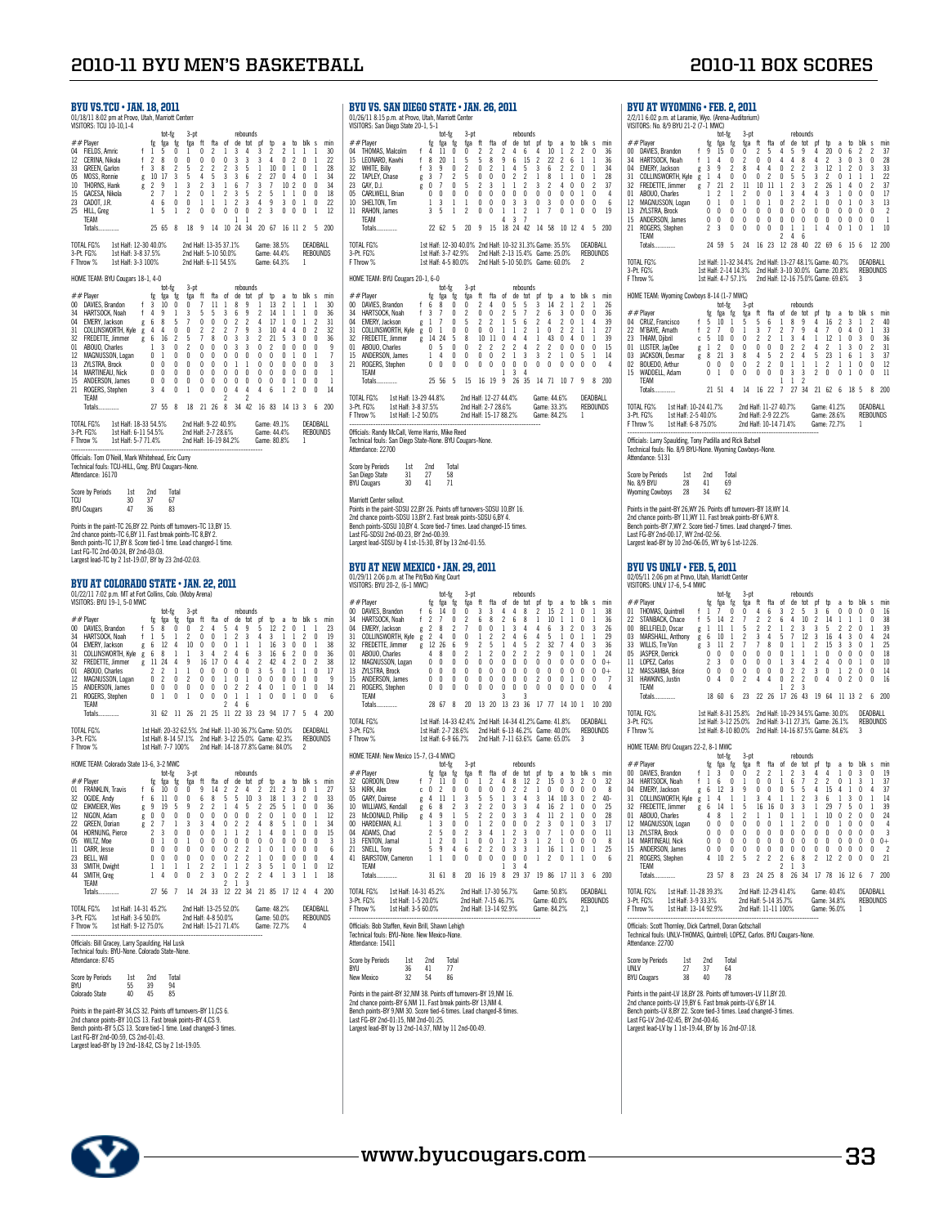|                                                                     | <b>BYU VS.TCU • JAN. 18, 2011</b><br>01/18/11 8:02 pm at Provo, Utah, Marriott Centerr<br>VISITORS: TCU 10-10,1-4                                                                                                                                                                                                            |                             |                                                                                                                                                    |                                                                                                           |                                                                 |                                                                                                                                                                          |                                                                                                                |                                                                                                                                                           |                                                                                                   |                                                                                                                                        |                                                                                                                                       |                                                                                                          |                                                                                                 |                                                                                                                           |                                                                                                                                                                      |                                                                                     |                                                                  |                                                                                 | BYU V<br>01/26/118<br>VISITORS:                                                                                                                                                                |
|---------------------------------------------------------------------|------------------------------------------------------------------------------------------------------------------------------------------------------------------------------------------------------------------------------------------------------------------------------------------------------------------------------|-----------------------------|----------------------------------------------------------------------------------------------------------------------------------------------------|-----------------------------------------------------------------------------------------------------------|-----------------------------------------------------------------|--------------------------------------------------------------------------------------------------------------------------------------------------------------------------|----------------------------------------------------------------------------------------------------------------|-----------------------------------------------------------------------------------------------------------------------------------------------------------|---------------------------------------------------------------------------------------------------|----------------------------------------------------------------------------------------------------------------------------------------|---------------------------------------------------------------------------------------------------------------------------------------|----------------------------------------------------------------------------------------------------------|-------------------------------------------------------------------------------------------------|---------------------------------------------------------------------------------------------------------------------------|----------------------------------------------------------------------------------------------------------------------------------------------------------------------|-------------------------------------------------------------------------------------|------------------------------------------------------------------|---------------------------------------------------------------------------------|------------------------------------------------------------------------------------------------------------------------------------------------------------------------------------------------|
| 12<br>33<br>05<br>23<br>25                                          | ##Player<br>04 FIELDS, Amric<br>CERINA, Nikola<br>GREEN, Garlon<br>MOSS, Ronnie<br>10 THORNS, Hank<br>15 GACESA, Nikola<br>CADOT, J.R.<br>HILL, Greg<br>TEAM<br>Totals                                                                                                                                                       |                             | $\begin{array}{c} \n\uparrow & 1 \\ \uparrow & 2 \\ \uparrow & 3\n\end{array}$<br>10 17<br>g 10 17<br>g 2 9<br>2 <sub>7</sub><br>4<br>$\mathbf{1}$ | tot-fg<br>fg fga fg<br>5<br>$_{8}$<br>8<br>- 6<br>5<br>25 65                                              | 0<br>0<br>2<br>3<br>$\mathbf{1}$<br>$\mathbf{1}$<br>0<br>1<br>8 | 3-pt<br>fga ft<br>1<br>$\theta$<br>5<br>5<br>3<br>$\overline{c}$<br>0<br>$\overline{\mathbf{c}}$<br>18                                                                   | 0<br>0<br>$\overline{c}$<br>4<br>$\overline{c}$<br>0<br>$\mathbf{1}$<br>0<br>- 9                               | fta<br>2<br>$\pmb{0}$<br>$\overline{2}$<br>5<br>3<br>-1<br>-1<br>$\mathbf{0}$<br>14                                                                       | of<br>1<br>0<br>$\overline{\mathbf{c}}$<br>3<br>1<br>$\overline{2}$<br>$\mathbf{1}$<br>0          | 3<br>3<br>3<br>$\overline{3}$<br>6<br>3 <sub>5</sub><br>$\overline{2}$<br>$\mathbf 0$<br>$\mathbf{1}$                                  | rebounds<br>4<br>3<br>5<br>6<br>$\overline{7}$<br>3<br>0<br>$\mathbf{1}$                                                              | de tot pf<br>3<br>3<br>$\mathbf{1}$<br>2<br>3<br>$\overline{c}$<br>4<br>$\overline{c}$<br>10 24 34 20 67 | $\mathfrak{p}$<br>2<br>4<br>10<br>27<br>7<br>5<br>9<br>3                                        | a<br>2<br>0<br>$\begin{smallmatrix} 0 & 1\\ 0 & 4 \end{smallmatrix}$<br>10 <sub>2</sub><br>$1\quad1$<br>3 0<br>$0\quad 0$ | $\mathbf{1}$<br>$\sqrt{2}$<br>16 11 2                                                                                                                                | to blk s<br>1<br>0<br>0<br>0<br>0<br>0<br>1<br>0                                    | 1<br>1<br>$\mathbf{1}$<br>1<br>0<br>0<br>0<br>1                  | min<br>30<br>22<br>28<br>34<br>34<br>18<br>22<br>12<br>5 200                    | ##Player<br>04 THOM<br>15<br>LEON<br><b>WHIT!</b><br>32<br>22<br><b>TAPLE</b><br>GAY, I<br>23<br><b>CARL</b><br>05<br>10<br>SHEL <sup>®</sup><br>RAH0<br>11<br>TEAM<br>Totals                  |
|                                                                     | TOTAL FG% 1st Half: 12-30 40.0%<br>3-Pt. FG%<br>1st Half: 3-8 37.5%<br>F Throw %<br>1st Half: 3-3 100%                                                                                                                                                                                                                       |                             |                                                                                                                                                    |                                                                                                           |                                                                 | 2nd Half: 13-35 37.1%<br>2nd Half: 5-10 50.0%<br>2nd Half: 6-11 54.5%                                                                                                    |                                                                                                                |                                                                                                                                                           |                                                                                                   |                                                                                                                                        |                                                                                                                                       | Game: 38.5%<br>Game: 44.4%<br>Game: 64.3%                                                                |                                                                                                 |                                                                                                                           |                                                                                                                                                                      | 1                                                                                   | DEADBALL                                                         | <b>REBOUNDS</b>                                                                 | TOTAL FG <sub>2</sub><br>3-Pt. FG%<br>F Throw %                                                                                                                                                |
|                                                                     | HOME TEAM: BYU Cougars 18-1, 4-0                                                                                                                                                                                                                                                                                             |                             |                                                                                                                                                    | tot-fg                                                                                                    |                                                                 | $3-pt$                                                                                                                                                                   |                                                                                                                |                                                                                                                                                           |                                                                                                   |                                                                                                                                        | rebounds                                                                                                                              |                                                                                                          |                                                                                                 |                                                                                                                           |                                                                                                                                                                      |                                                                                     |                                                                  |                                                                                 | <b>HOME TEA</b>                                                                                                                                                                                |
| 34<br>14<br>15                                                      | ## Player<br>00 DAVIES, Brandon<br>HARTSOCK, Noah<br>u4 EMERY, Jackson g 6 8 5<br>31 COLLINSWORTH, Kyle g 4 4 0<br>32 FREDETTE, Jimmer g 6 16 2<br>01 ABOUO Charles<br>01 ABOUO, Charles<br>12 MAGNUSSON, Logan<br>13 ZYLSTRA Brock<br>13 ZYLSTRA, Brock<br>MARTINEAU, Nick<br>ANDERSON, James<br>21 ROGERS, Stephen<br>TEAM | $\mathsf{f}$<br>$f$ 4       | fg<br>3<br>$1\quad 3$<br>$\begin{matrix} 0 & 0 \\ 0 & 0 \\ 0 & 0 \end{matrix}$<br>0<br>3                                                           | fga fg<br>10<br>9<br>0 <sub>1</sub><br>0<br>$\overline{4}$                                                | 0<br>1<br>0<br>0<br>0<br>0<br>0<br>0                            | fga<br>0<br>3<br>7<br>0<br>5<br>$\overline{2}$<br>0<br>0<br>0<br>0<br>1                                                                                                  | ft<br>7<br>5<br>0<br>$\overline{\mathbf{c}}$<br>$\overline{1}$<br>$\bf{0}$<br>0<br>$\mathbf{0}$<br>0<br>0<br>0 | fta<br>11<br>5<br>$\pmb{0}$<br>$\overline{\mathbf{c}}$<br>8<br>$\mathbf 0$<br>$\mathbf 0$<br>$\pmb{0}$<br>$\begin{smallmatrix}0\\0\end{smallmatrix}$<br>0 | of<br>1<br>3<br>0<br>$\overline{\mathbf{c}}$<br>0<br>0<br>0<br>0<br>0<br>0<br>0<br>$\overline{c}$ | 8<br>6<br>$\overline{\mathbf{c}}$<br>7<br>3 <sup>3</sup><br>3 <sup>3</sup><br>$0\quad 0$<br>$\overline{1}$<br>0<br>0<br>$\overline{4}$ | de tot pf<br>9<br>9<br>$\overline{c}$<br>9<br>$\,1\,$<br>0<br>0<br>$\overline{4}$<br>$\overline{c}$                                   | 1<br>$\overline{c}$<br>4<br>3<br>$\boldsymbol{\eta}$<br>0<br>0<br>0<br>$\mathbf{0}$<br>0<br>4            | tp<br>13<br>14<br>17<br>10<br>21<br>$\overline{2}$<br>$\mathbf 0$<br>$\mathbf 0$<br>0<br>0<br>6 | a<br>2<br>$\mathbf{1}$<br>$\mathbf{1}$<br>4<br>0<br>0<br>1                                                                | $\mathbf{1}$<br>$\overline{1}$<br>0<br>4<br>53<br>$0\quad 0\quad 0$<br>$\begin{smallmatrix} 0 & 1 \\ 0 & 0 \end{smallmatrix}$<br>0<br>$\mathbf{1}$<br>$\overline{c}$ | to blk s<br>1<br>1<br>$\mathbf{1}$<br>0<br>0<br>0<br>0<br>0<br>0<br>0               | 1<br>0<br>2<br>$\overline{c}$<br>0<br>0<br>1<br>0<br>0<br>0<br>0 | min<br>30<br>36<br>31<br>32<br>36<br>9<br>7<br>3<br>1<br>1<br>14                | ## Player<br>00 DAVIE<br><b>HART</b><br>34<br>04<br>EMER<br>31<br>COLLI<br>32 FRED<br>01 ABOU<br>15 ANDE<br>21 ROGE<br>TEAM<br>Totals<br>TOTAL FG <sub>2</sub>                                 |
|                                                                     | Totals<br>TOTAL FG%<br>1st Half: 18-33 54.5%                                                                                                                                                                                                                                                                                 |                             |                                                                                                                                                    | 27 55 8                                                                                                   |                                                                 | 2nd Half: 9-22 40.9%                                                                                                                                                     |                                                                                                                | 18 21 26 8                                                                                                                                                |                                                                                                   |                                                                                                                                        |                                                                                                                                       | 34 42 16 83 14 13 3<br>Game: 49.1%                                                                       |                                                                                                 |                                                                                                                           |                                                                                                                                                                      |                                                                                     | DEADBALL                                                         | 6 200                                                                           | 3-Pt. FG%<br>F Throw %                                                                                                                                                                         |
|                                                                     | 1st Half: 6-11 54.5%                                                                                                                                                                                                                                                                                                         |                             |                                                                                                                                                    |                                                                                                           |                                                                 | 2nd Half: 2-7 28.6%<br>2nd Half: 16-19 84.2%                                                                                                                             |                                                                                                                |                                                                                                                                                           |                                                                                                   |                                                                                                                                        |                                                                                                                                       | Game: 44.4%<br>Game: 80.8%                                                                               |                                                                                                 |                                                                                                                           |                                                                                                                                                                      | 1                                                                                   |                                                                  | <b>REBOUNDS</b>                                                                 | Officials: R<br><b>Technical f</b><br>Attendance                                                                                                                                               |
|                                                                     | Officials: Tom O'Neill, Mark Whitehead, Eric Curry<br>Technical fouls: TCU-HILL, Greg. BYU Cougars-None.<br>Attendance: 16170                                                                                                                                                                                                |                             |                                                                                                                                                    |                                                                                                           | Total                                                           |                                                                                                                                                                          |                                                                                                                |                                                                                                                                                           |                                                                                                   |                                                                                                                                        |                                                                                                                                       |                                                                                                          |                                                                                                 |                                                                                                                           |                                                                                                                                                                      |                                                                                     |                                                                  |                                                                                 | Score by P<br>San Diego<br><b>BYU Couga</b>                                                                                                                                                    |
| TCU                                                                 | Score by Periods<br>1st<br>30<br><b>BYU Cougars</b><br>47<br>Points in the paint-TC 26,BY 22. Points off turnovers-TC 13,BY 15.<br>2nd chance points-TC 6,BY 11. Fast break points-TC 8,BY 2.<br>Bench points-TC 17,BY 8. Score tied-1 time. Lead changed-1 time.<br>Last FG-TC 2nd-00:24, BY 2nd-03:03.                     |                             | 2nd<br>37<br>36                                                                                                                                    | 67<br>83                                                                                                  |                                                                 |                                                                                                                                                                          |                                                                                                                |                                                                                                                                                           |                                                                                                   |                                                                                                                                        |                                                                                                                                       |                                                                                                          |                                                                                                 |                                                                                                                           |                                                                                                                                                                      |                                                                                     |                                                                  |                                                                                 | Marriott Ce<br>Points in th<br>2nd chance<br>Bench poin<br>Last FG-SD<br>Largest lea                                                                                                           |
|                                                                     | Largest lead-TC by 2 1st-19:07, BY by 23 2nd-02:03.<br>BYU AT COLORADO STATE • JAN. 22, 2011                                                                                                                                                                                                                                 |                             |                                                                                                                                                    |                                                                                                           |                                                                 |                                                                                                                                                                          |                                                                                                                |                                                                                                                                                           |                                                                                                   |                                                                                                                                        |                                                                                                                                       |                                                                                                          |                                                                                                 |                                                                                                                           |                                                                                                                                                                      |                                                                                     |                                                                  |                                                                                 | BYU A'<br>01/29/112<br>VISITORS: I                                                                                                                                                             |
| 01<br>12<br>15                                                      | 01/22/11 7:02 p.m. MT at Fort Collins, Colo. (Moby Arena)<br>VISITORS: BYU 19-1, 5-0 MWC<br>## Player<br>00 DAVIES, Brandon<br>34 HARTSOCK, Noah<br>04 EMERY, Jackson<br>31 COLLINSWORTH, Kyle g 6 8<br>32 FREDETTE, Jimmer g 11 24 4<br>ABOUO, Charles<br>MAGNUSSON, Logan<br>21 ROGERS, Stephen<br>TEAM                    |                             | fg<br>f $\overline{5}$<br>f $\overline{1}$<br>0 <sub>1</sub>                                                                                       | tot-fg<br>fga fg<br>8<br>5<br>g 6 12<br>$\begin{array}{ccc} 2 & 2 \\ 2 & 2 \\ 0 & 2 \\ 0 & 0 \end{array}$ | 0<br>$\mathbf{1}$<br>4<br>1<br>$\mathbf{1}$<br>0<br>0<br>0      | 3-ot<br>fga ft<br>0<br>2<br>10<br>$\overline{1}$<br>9<br>$\mathbf{1}$<br>$\overline{c}$<br>0<br>1                                                                        | 2<br>0<br>$\mathbf{0}$<br>3<br>$\mathbf{0}$<br>0<br>0<br>0                                                     | fta<br>4<br>0<br>0<br>$\overline{4}$<br>16 17<br>$^{\circ}$<br>$\pmb{0}$<br>0<br>0                                                                        | of<br>5<br>1<br>0<br>2<br>$\pmb{0}$<br>0<br>$\mathbf{1}$<br>0<br>0<br>$\overline{c}$              | 4<br>2<br>$\mathbf{1}$<br>46<br>44<br>$0\quad 0$<br>0<br>2<br>$\,1$<br>4                                                               | rebounds<br>de tot pf<br>9<br>3<br>$\overline{1}$<br>$1\,$<br>$\overline{c}$<br>$\mathbf{1}$<br>6                                     | 5<br>4<br>1.<br>3<br>2<br>3<br>0<br>4<br>1                                                               | Þ<br>12<br>3<br>16<br>16<br>42<br>5<br>0<br>0<br>0                                              | a<br>2<br>1<br>3<br>6<br>4<br>0<br>0<br>1<br>0                                                                            | to<br>0<br>$\mathbf{1}$<br>0<br>$\overline{2}$<br>$\overline{2}$<br>$\overline{1}$<br>$\pmb{0}$<br>0<br>$\mathbf{1}$                                                 | blk s<br>$\mathbf{1}$<br>2<br>0<br>0<br>0<br>$\mathbf{1}$<br>0<br>$\mathbf{1}$<br>0 | $\mathbf{1}$<br>0<br>1<br>0<br>2<br>0<br>0<br>0<br>0             | min<br>23<br>19<br>38<br>36<br>38<br>17<br>9<br>14<br>6                         | ## Player<br>00 DAVIE<br><b>HART</b><br>34<br>04<br>EMER<br>31<br>COLLI<br>32 FRED<br>ABOU<br>01<br>12<br><b>MAGN</b><br>ZYLST<br>13<br>ANDE<br>15<br>21<br><b>ROGE</b><br>TEAM<br>Totals      |
|                                                                     | <b>Totals</b>                                                                                                                                                                                                                                                                                                                |                             |                                                                                                                                                    | 31 62                                                                                                     |                                                                 | 11 26                                                                                                                                                                    |                                                                                                                | 21 25 11 22 33                                                                                                                                            |                                                                                                   |                                                                                                                                        |                                                                                                                                       | 23 94                                                                                                    |                                                                                                 | 17 7                                                                                                                      |                                                                                                                                                                      | 5                                                                                   | 4                                                                | 200                                                                             | TOTAL FG <sub>2</sub>                                                                                                                                                                          |
|                                                                     | TOTAL FG%<br>3-Pt. FG%<br>F Throw %                                                                                                                                                                                                                                                                                          |                             |                                                                                                                                                    | 1st Half: 7-7 100%                                                                                        |                                                                 | 1st Half: 20-32 62.5% 2nd Half: 11-30 36.7% Game: 50.0%<br>1st Half: 8-14 57.1% 2nd Half: 3-12 25.0% Game: 42.3%<br>1st Half: 7.7.100% 2nd Half: 14.18.77.8% Came: 84.0% |                                                                                                                |                                                                                                                                                           |                                                                                                   |                                                                                                                                        |                                                                                                                                       | 2nd Half: 14-18 77.8% Game: 84.0%                                                                        |                                                                                                 |                                                                                                                           |                                                                                                                                                                      | 2                                                                                   | DEADBALL                                                         | <b>REBOUNDS</b>                                                                 | 3-Pt. FG%<br>F Throw %<br>HOME TEA                                                                                                                                                             |
| $_{01}$<br>32<br>02<br>12<br>22<br>04<br>05<br>11<br>23<br>33<br>44 | HOME TEAM: Colorado State 13-6, 3-2 MWC<br>##Player<br>FRANKLIN, Travis f 6<br>OGIDE, Andy<br><b>EIKMEIER, Wes</b><br>NIGON, Adam<br><b>GREEN, Dorian</b><br><b>HORNUNG, Pierce</b><br>WILTZ, Moe<br>CARR, Jesse<br>BELL, Will<br>SMITH, Dwight<br>SMITH, Greg                                                               | f<br>g<br>$g \t 0$<br>$g$ 2 | -6<br>-9<br>$\overline{c}$<br>0<br>0<br>0<br>1<br>1                                                                                                | tot-fg<br>fg fga fg<br>10<br>11<br>19<br>0<br>7<br>3<br>1<br>$\theta$<br>$\theta$<br>1<br>4               | 0<br>0<br>5<br>0<br>1<br>0<br>0<br>0<br>0<br>1<br>0             | $3-pt$<br>fga ft fta of de tot pf tp a to blk s<br>0<br>9<br>0<br>3<br>0<br>$\mathbf{1}$<br>$\theta$<br>0<br>1<br>0                                                      | 9<br>6<br>2<br>0<br>3<br>0<br>0<br>0<br>0<br>2<br>$\overline{c}$                                               | 14<br>8<br>$\overline{2}$<br>$\mathbb O$<br>$\overline{4}$<br>$\pmb{0}$<br>0<br>0<br>0<br>$\overline{\mathbf{c}}$<br>3                                    | 2<br>5<br>$\mathbf{1}$<br>0<br>0<br>$\mathbf{1}$<br>0<br>0<br>0<br>1<br>0                         | 5<br>4<br>$\bf{0}$<br>$\overline{2}$<br>$\mathbf{1}$<br>0<br>$\overline{2}$<br>$\overline{2}$<br>$\mathbf{1}$<br>$\overline{c}$        | rebounds<br>10<br>5<br>0<br>$\overline{c}$<br>2<br>0<br>$\overline{c}$<br>$\overline{c}$<br>$\overline{\mathbf{c}}$<br>$\overline{c}$ | 3<br>2<br>2<br>4<br>$\mathbf{1}$<br>0<br>1.<br>1<br>3<br>$\overline{c}$                                  | 21<br>18<br>25<br>0<br>8<br>4<br>0<br>$\theta$<br>0<br>5<br>4                                   | $\boldsymbol{\eta}$<br>1<br>5<br>1<br>5<br>0<br>0<br>1<br>0<br>1<br>1                                                     | 3<br>-1<br>0<br>$\,1\,$<br>1<br>0<br>$\mathbf 0$<br>0<br>0<br>3                                                                                                      | 2<br>0<br>0<br>0<br>0<br>0<br>$\theta$<br>0<br>$\mathbf{1}$<br>1                    | 0<br>0<br>1<br>1<br>0<br>0<br>$\theta$<br>0<br>0<br>1            | min<br>27<br>33<br>36<br>12<br>34<br>15<br>3<br>6<br>$\overline{4}$<br>12<br>18 | ## Player<br>32 GORD<br>KIRK,<br>53<br><b>GARY</b><br>05<br><b>WILLI</b><br>10<br>23<br>McDC<br>HARD<br>$00 -$<br>ADAM<br>04<br>13<br><b>FENT</b><br>21<br>SNELI<br>41 BAIRS<br>TEAM<br>Totals |
|                                                                     | TEAM<br><b>Totals</b><br>TOTAL FG%<br>1st Half: 14-31 45.2%                                                                                                                                                                                                                                                                  |                             | 27 56                                                                                                                                              |                                                                                                           | $\overline{\phantom{a}}$                                        | 14<br>2nd Half: 13-25 52.0%                                                                                                                                              | 24                                                                                                             | 33                                                                                                                                                        | $\overline{c}$<br>12                                                                              | 1                                                                                                                                      | 3<br>22 34                                                                                                                            | 21 85<br>Game: 48.2%                                                                                     |                                                                                                 |                                                                                                                           | 17 12 4                                                                                                                                                              |                                                                                     | 4<br>DEADBALL                                                    | 200                                                                             | TOTAL FG <sub>2</sub><br>3-Pt. FG%<br>F Throw %                                                                                                                                                |
|                                                                     | 3-Pt. FG%<br>1st Half: 3-6 50.0%<br>F Throw %<br>1st Half: 9-12 75.0%<br>Officials: Bill Gracey, Larry Spaulding, Hal Lusk                                                                                                                                                                                                   |                             |                                                                                                                                                    |                                                                                                           |                                                                 | 2nd Half: 4-8 50.0%<br>2nd Half: 15-21 71.4%                                                                                                                             |                                                                                                                |                                                                                                                                                           |                                                                                                   |                                                                                                                                        |                                                                                                                                       | Game: 50.0%<br>Game: 72.7%                                                                               |                                                                                                 |                                                                                                                           |                                                                                                                                                                      | 4                                                                                   |                                                                  | <b>REBOUNDS</b>                                                                 | Officials: B<br><b>Technical f</b><br>Attendance                                                                                                                                               |
|                                                                     | Technical fouls: BYU-None. Colorado State-None.<br>Attendance: 8745<br>Score by Periods<br>1st                                                                                                                                                                                                                               |                             | 2nd                                                                                                                                                |                                                                                                           | Total                                                           |                                                                                                                                                                          |                                                                                                                |                                                                                                                                                           |                                                                                                   |                                                                                                                                        |                                                                                                                                       |                                                                                                          |                                                                                                 |                                                                                                                           |                                                                                                                                                                      |                                                                                     |                                                                  |                                                                                 | Score by P<br>BYU<br>New Mexic                                                                                                                                                                 |
| BYU                                                                 | 55<br>Colorado State<br>40                                                                                                                                                                                                                                                                                                   |                             | 39<br>45                                                                                                                                           | 94<br>85                                                                                                  |                                                                 |                                                                                                                                                                          |                                                                                                                |                                                                                                                                                           |                                                                                                   |                                                                                                                                        |                                                                                                                                       |                                                                                                          |                                                                                                 |                                                                                                                           |                                                                                                                                                                      |                                                                                     |                                                                  |                                                                                 | Points in th<br>2nd chance                                                                                                                                                                     |
|                                                                     | Points in the paint-BY 34,CS 32. Points off turnovers-BY 11,CS 6.<br>2nd chance points-BY 10,CS 13. Fast break points-BY 4,CS 9.<br>Bench points-BY 5,CS 13. Score tied-1 time. Lead changed-3 times.<br>Last FG-BY 2nd-00:59, CS 2nd-01:43.                                                                                 |                             |                                                                                                                                                    |                                                                                                           |                                                                 |                                                                                                                                                                          |                                                                                                                |                                                                                                                                                           |                                                                                                   |                                                                                                                                        |                                                                                                                                       |                                                                                                          |                                                                                                 |                                                                                                                           |                                                                                                                                                                      |                                                                                     |                                                                  |                                                                                 | Bench poin<br>Last FG-BY<br>Largest lea                                                                                                                                                        |

 $S.$  SAN DIEGO STATE • JAN. 26, 2011 01/26/11 8:15 p.m. at Provo, Utah, Marriott Center VISITORS: San Diego State 20-1, 5-1 # # Player to tote 5 -pt to the face of the second function of the second of the second of the second of the second of the second of the second of the second of the second of the second of the second of the second of the s 10 SHELTON, Tim 1 3 1 1 0 0 0 3 3 0 3 0 0 0 0 0 6<br>11 RAHON, James 3 5 1 2 0 0 1 1 2 1 7 0 1 0 0 19<br>TEAM Totals.............. 22 62 5 20 9 15 18 24 42 14 58 10 12 4 5 200 1%<br>1st Half: 12-30 40.0% 2nd Half: 10-32 31.3% Game: 35.5% DEADBALL 3-Pt. FG% 1st Half: 3-7 42.9% 2nd Half: 2-13 15.4% Game: 25.0% REBOUNDS F Throw % 1st Half: 4-5 80.0% 2nd Half: 5-10 50.0% Game: 60.0% 2 M: BYU Cougars 20-1, 6-0 # # Player<br>
# # Player<br>
00 DAVIES. Brandon f 6 8 0 0 2 4 0 5 5 3 14 2 1 2 1 2 2<br>
34 HARTSOCK, Noah f 3 7 0 2 0 0 2 4 0 5 5 3 14 2 1 2 1 2<br>
31 OLI NSWOCK, Noah f 3 7 0 5 2 2 1 5 6 2 4 2 0 1 4 39<br>
31 OLI NSWOCK, Noah f 3 7 0 TOTAL FG% 1st Half: 13-29 44.8% 2nd Half: 12-27 44.4% Game: 44.6% DEADBALL<br>3-Pt. FG% 1st Half: 3-8.37.5% 2nd Half: 2-7 28.6% Game: 34.3% REBOUNDS<br>FThrow % 1st Half: 1-2 50.0% 2nd Half: 15-17 88.2% Game: 84.2% 1 -------------------------------------------------------------------------------- Officials: Randy McCall, Verne Harris, Mike Reed Technical fouls: San Diego State-None. BYU Cougars-None. uurs: 3an<br>e: 22700 Score by Periods 1st 2nd Total San Diego State 31 27 58 BYU Cougars 30 41 71 enter sellout. Points in the paint-SDSU 22,BY 26. Points off turnovers-SDSU 10,BY 16.<br>2nd chance points-SDSU 13,BY 2. Fast break points-SDSU 6,BY 4.<br>Bench points-SDSU 10,BY 4. Score tied-7 times. Lead changed-15 times. Last FG-SDSU 2nd-00:23, BY 2nd-00:39. Largest lead-SDSU by 4 1st-15:30, BY by 13 2nd-01:55.  $T$  NEW MEXICO  $\cdot$  JAN. 29, 2011 01/29/11 2:06 p.m. at The Pit/Bob King Court VISITORS: BYU 20-2, (6-1 MWC) tot-fg 3-pt rebounds ##Player fg fga fg fga ft fta of de tot pf tp a to blk s min 00 DAVIES, Brandon f 6 14 0 0 3 3 4 4 8 2 15 2 1 0 1 38 34 HARTSOCK, Noah f 2 7 0 2 6 8 2 6 8 1 10 1 1 0 1 36 04 EMERY, Jackson g 2 8 2 7 0 0 1 3 4 4 6 3 2 0 3 26 31 COLLINSWORTH, Kyle g 2 4 0 0 1 2 2 4 6 4 5 1 0 1 1 29 32 FREDETTE, Jimmer g 12 26 6 9 2 5 1 4 5 2 32 7 4 0 3 36 01 ABOUO, Charles 4 8 0 2 1 2 0 2 2 2 9 0 1 0 1 24 12 MAGNUSSON, Logan 0 0 0 0 0 0 0 0 0 0 0 0 0 0 0 0+ 13 ZYLSTRA, Brock 0 0 0 0 0 0 0 0 0 0 0 0 0 0 0 0+ 15 ANDERSON, James 0 0 0 0 0 0 0 0 0 2 0 0 1 0 0 7 21 ROGERS, Stephen 0 0 0 0 0 0 0 0 0 0 0 0 0 0 0 4 TEAM 3 3 Totals.............. 28 67 8 20 13 20 13 23 36 17 77 14 10 1 10 200 TOTAL FG% 1st Half: 14-33 42.4% 2nd Half: 14-34 41.2%Game: 41.8% DEADBALL 3-Pt. FG% 1st Half: 2-7 28.6% 2nd Half: 6-13 46.2% Game: 40.0% REBOUNDS F Throw % 1st Half: 6-9 66.7% 2nd Half: 7-11 63.6% Game: 65.0% 3 M: New Mexico 15-7, (3-4 MWC) tot-fg 3-pt rebounds ##Player fg fga fg fga ft fta of de tot pf tp a to blk s min 32 GORDON, Drew f 7 11 0 0 1 2 4 8 12 2 15 0 3 2 0 32 53 KIRK, Alex c 0 2 0 0 0 0 0 2 2 1 0 0 0 0 0 8 05 GARY, Dairese g 4 11 1 3 5 5 1 3 4 3 14 10 3 0 2 40- 10 WILLIAMS, Kendall g 6 8 2 3 2 2 0 3 3 4 16 2 1 0 0 25 23 McDONALD, Phillip g 4 9 1 5 2 2 0 3 3 4 11 2 1 0 0 28 00 HARDEM HARDEMAN, MHUND, MHUND, MHUND, MHUND, MHUND, MHUND, MHUND, MHUND, MHUND, 2012<br>DEMAN, A.J. 1 3 0 0 1 2 0 0 0 2 3 0 1 0 3 17<br>AS, Chad 2 5 0 2 3 4 1 2 3 0 7 1 0 0 0 11 04 ADAMS, Chad 2 5 0 2 3 4 1 2 3 0 7 1 0 0 0 11<br>13 FENTON, Jamal 1 2 0 1 0 0 1 2 3 1 2 1 0 0 0 8<br>21 SNELL, Tony 5 9 4 6 2 2 0 3 3 1 6 1 0 1 0 2<br>41 BAIRSTOW, Cameron 1 1 0 0 0 0 0 0 0 1 2 0 1 1 0 6 TEAM 1 3 4 Totals.............. 31 61 8 20 16 19 8 29 37 19 86 17 11 3 6 200 TOTAL FG% 1st Half: 14-31 45.2% 2nd Half: 17-30 56.7% Game: 50.8% DEADBALL<br>3-Pt. FG% 1st Half: 1-5 20.0% 2nd Half: 7-15 46.7% Game: 40.0% REBOUNDS<br>FThrow % 1st Half: 3-5 60.0% 2nd Half: 13-14 92.9% Game: 84.2% 2,1 -------------------------------------------------------------------------------- Officials: Bob Staffen, Kevin Brill, Shawn Lehigh Technical fouls: BYU-None. New Mexico-None. nouis: DTO<br>e-15411 Score by Periods 1st 2nd Total BYU 36 41 77 New Mexico 32 54 86 he paint-BY 32,NM 38. Points off turnovers-BY 19,NM 16. 2nd chance points-BY 6,NM 11. Fast break points-BY 13,NM 4. Bench points-BY 9,NM 30. Score tied-6 times. Lead changed-8 times. Last FG-BY 2nd-01:15, NM 2nd-01:25. r znu-o1:10, Nivi 2nu-o1:20.<br>ad-RY by 13 2nd-14:37, NM by 11 2nd-00:49.  $\pm$  DVII at wyoming  $\cdot$  Feb. 2, 2011

| ##Player                                                                                                                                                                                                |                                                                                                                                                                                                                                                                                                                                                                                                                                                                                                                            |                                                | tot-fg<br>fga fg                                                                                                                                                                                                                         |                                                                                                                                                                                                                                                       | 3-pt<br>fga ft                                                                                                                                                                                                                                                                                       |                                                                                                                                                                                                                                                                     | fta of                                                                                                                                                                                                                                                                                                          |                                                                                                                                                                                                                                  |                                                                                                                                                                                                                               | rebounds                                                                                                                                                                                                                                                                                                                                                                                      | de tot pf                                                                                                                                                                      | tp                                                                                                                | a                                                                                               | to                                                                                                         | blk s                                                                                                                                                                                                                                                                                                                                             |                                                                                                                                                                                      | min                                                                                                                                                                                                                        |
|---------------------------------------------------------------------------------------------------------------------------------------------------------------------------------------------------------|----------------------------------------------------------------------------------------------------------------------------------------------------------------------------------------------------------------------------------------------------------------------------------------------------------------------------------------------------------------------------------------------------------------------------------------------------------------------------------------------------------------------------|------------------------------------------------|------------------------------------------------------------------------------------------------------------------------------------------------------------------------------------------------------------------------------------------|-------------------------------------------------------------------------------------------------------------------------------------------------------------------------------------------------------------------------------------------------------|------------------------------------------------------------------------------------------------------------------------------------------------------------------------------------------------------------------------------------------------------------------------------------------------------|---------------------------------------------------------------------------------------------------------------------------------------------------------------------------------------------------------------------------------------------------------------------|-----------------------------------------------------------------------------------------------------------------------------------------------------------------------------------------------------------------------------------------------------------------------------------------------------------------|----------------------------------------------------------------------------------------------------------------------------------------------------------------------------------------------------------------------------------|-------------------------------------------------------------------------------------------------------------------------------------------------------------------------------------------------------------------------------|-----------------------------------------------------------------------------------------------------------------------------------------------------------------------------------------------------------------------------------------------------------------------------------------------------------------------------------------------------------------------------------------------|--------------------------------------------------------------------------------------------------------------------------------------------------------------------------------|-------------------------------------------------------------------------------------------------------------------|-------------------------------------------------------------------------------------------------|------------------------------------------------------------------------------------------------------------|---------------------------------------------------------------------------------------------------------------------------------------------------------------------------------------------------------------------------------------------------------------------------------------------------------------------------------------------------|--------------------------------------------------------------------------------------------------------------------------------------------------------------------------------------|----------------------------------------------------------------------------------------------------------------------------------------------------------------------------------------------------------------------------|
| 00 DAVIES, Brandon                                                                                                                                                                                      | f                                                                                                                                                                                                                                                                                                                                                                                                                                                                                                                          | tg<br>9                                        | 15                                                                                                                                                                                                                                       | 0                                                                                                                                                                                                                                                     | $\mathbf{0}$                                                                                                                                                                                                                                                                                         | 2                                                                                                                                                                                                                                                                   | 5                                                                                                                                                                                                                                                                                                               | 4                                                                                                                                                                                                                                | 5                                                                                                                                                                                                                             | 9                                                                                                                                                                                                                                                                                                                                                                                             | 4                                                                                                                                                                              | 20                                                                                                                | 0                                                                                               | 6                                                                                                          | 2                                                                                                                                                                                                                                                                                                                                                 | 2                                                                                                                                                                                    | 37                                                                                                                                                                                                                         |
|                                                                                                                                                                                                         |                                                                                                                                                                                                                                                                                                                                                                                                                                                                                                                            |                                                | 4                                                                                                                                                                                                                                        | 0                                                                                                                                                                                                                                                     | 2                                                                                                                                                                                                                                                                                                    | $\mathbf{0}$                                                                                                                                                                                                                                                        | 0                                                                                                                                                                                                                                                                                                               | 4                                                                                                                                                                                                                                | 4                                                                                                                                                                                                                             | 8                                                                                                                                                                                                                                                                                                                                                                                             | 4                                                                                                                                                                              | 2                                                                                                                 | 3                                                                                               | 0                                                                                                          | 3                                                                                                                                                                                                                                                                                                                                                 | 0                                                                                                                                                                                    | 28                                                                                                                                                                                                                         |
|                                                                                                                                                                                                         |                                                                                                                                                                                                                                                                                                                                                                                                                                                                                                                            |                                                |                                                                                                                                                                                                                                          |                                                                                                                                                                                                                                                       |                                                                                                                                                                                                                                                                                                      |                                                                                                                                                                                                                                                                     |                                                                                                                                                                                                                                                                                                                 |                                                                                                                                                                                                                                  |                                                                                                                                                                                                                               |                                                                                                                                                                                                                                                                                                                                                                                               |                                                                                                                                                                                |                                                                                                                   |                                                                                                 |                                                                                                            |                                                                                                                                                                                                                                                                                                                                                   |                                                                                                                                                                                      | 33<br>22                                                                                                                                                                                                                   |
|                                                                                                                                                                                                         |                                                                                                                                                                                                                                                                                                                                                                                                                                                                                                                            |                                                |                                                                                                                                                                                                                                          |                                                                                                                                                                                                                                                       |                                                                                                                                                                                                                                                                                                      |                                                                                                                                                                                                                                                                     |                                                                                                                                                                                                                                                                                                                 |                                                                                                                                                                                                                                  |                                                                                                                                                                                                                               |                                                                                                                                                                                                                                                                                                                                                                                               |                                                                                                                                                                                |                                                                                                                   |                                                                                                 |                                                                                                            |                                                                                                                                                                                                                                                                                                                                                   |                                                                                                                                                                                      | 37                                                                                                                                                                                                                         |
|                                                                                                                                                                                                         |                                                                                                                                                                                                                                                                                                                                                                                                                                                                                                                            |                                                |                                                                                                                                                                                                                                          |                                                                                                                                                                                                                                                       | $\overline{c}$                                                                                                                                                                                                                                                                                       |                                                                                                                                                                                                                                                                     | $\mathbf 0$                                                                                                                                                                                                                                                                                                     | $\mathbf{1}$                                                                                                                                                                                                                     | 3                                                                                                                                                                                                                             |                                                                                                                                                                                                                                                                                                                                                                                               | $\overline{4}$                                                                                                                                                                 | 3                                                                                                                 |                                                                                                 |                                                                                                            |                                                                                                                                                                                                                                                                                                                                                   | 0                                                                                                                                                                                    | 17                                                                                                                                                                                                                         |
|                                                                                                                                                                                                         |                                                                                                                                                                                                                                                                                                                                                                                                                                                                                                                            |                                                |                                                                                                                                                                                                                                          |                                                                                                                                                                                                                                                       |                                                                                                                                                                                                                                                                                                      |                                                                                                                                                                                                                                                                     |                                                                                                                                                                                                                                                                                                                 |                                                                                                                                                                                                                                  |                                                                                                                                                                                                                               |                                                                                                                                                                                                                                                                                                                                                                                               |                                                                                                                                                                                |                                                                                                                   |                                                                                                 |                                                                                                            |                                                                                                                                                                                                                                                                                                                                                   |                                                                                                                                                                                      | 13<br>$\overline{2}$                                                                                                                                                                                                       |
|                                                                                                                                                                                                         |                                                                                                                                                                                                                                                                                                                                                                                                                                                                                                                            |                                                |                                                                                                                                                                                                                                          |                                                                                                                                                                                                                                                       |                                                                                                                                                                                                                                                                                                      |                                                                                                                                                                                                                                                                     |                                                                                                                                                                                                                                                                                                                 |                                                                                                                                                                                                                                  |                                                                                                                                                                                                                               |                                                                                                                                                                                                                                                                                                                                                                                               |                                                                                                                                                                                |                                                                                                                   |                                                                                                 |                                                                                                            |                                                                                                                                                                                                                                                                                                                                                   |                                                                                                                                                                                      |                                                                                                                                                                                                                            |
|                                                                                                                                                                                                         |                                                                                                                                                                                                                                                                                                                                                                                                                                                                                                                            |                                                |                                                                                                                                                                                                                                          | 0                                                                                                                                                                                                                                                     | 0                                                                                                                                                                                                                                                                                                    | 0                                                                                                                                                                                                                                                                   | 0                                                                                                                                                                                                                                                                                                               | 0                                                                                                                                                                                                                                | $\mathbf{1}$                                                                                                                                                                                                                  | $\mathbf{1}$                                                                                                                                                                                                                                                                                                                                                                                  | 1                                                                                                                                                                              | 4                                                                                                                 | 0                                                                                               | $\mathbf{1}$                                                                                               | 0                                                                                                                                                                                                                                                                                                                                                 | $\mathbf{1}$                                                                                                                                                                         | 10                                                                                                                                                                                                                         |
|                                                                                                                                                                                                         |                                                                                                                                                                                                                                                                                                                                                                                                                                                                                                                            |                                                |                                                                                                                                                                                                                                          |                                                                                                                                                                                                                                                       |                                                                                                                                                                                                                                                                                                      |                                                                                                                                                                                                                                                                     |                                                                                                                                                                                                                                                                                                                 |                                                                                                                                                                                                                                  |                                                                                                                                                                                                                               | 6                                                                                                                                                                                                                                                                                                                                                                                             |                                                                                                                                                                                |                                                                                                                   |                                                                                                 |                                                                                                            |                                                                                                                                                                                                                                                                                                                                                   |                                                                                                                                                                                      |                                                                                                                                                                                                                            |
|                                                                                                                                                                                                         |                                                                                                                                                                                                                                                                                                                                                                                                                                                                                                                            |                                                |                                                                                                                                                                                                                                          |                                                                                                                                                                                                                                                       |                                                                                                                                                                                                                                                                                                      |                                                                                                                                                                                                                                                                     |                                                                                                                                                                                                                                                                                                                 |                                                                                                                                                                                                                                  |                                                                                                                                                                                                                               |                                                                                                                                                                                                                                                                                                                                                                                               |                                                                                                                                                                                |                                                                                                                   |                                                                                                 |                                                                                                            |                                                                                                                                                                                                                                                                                                                                                   |                                                                                                                                                                                      |                                                                                                                                                                                                                            |
|                                                                                                                                                                                                         |                                                                                                                                                                                                                                                                                                                                                                                                                                                                                                                            |                                                |                                                                                                                                                                                                                                          |                                                                                                                                                                                                                                                       |                                                                                                                                                                                                                                                                                                      |                                                                                                                                                                                                                                                                     |                                                                                                                                                                                                                                                                                                                 |                                                                                                                                                                                                                                  |                                                                                                                                                                                                                               |                                                                                                                                                                                                                                                                                                                                                                                               |                                                                                                                                                                                |                                                                                                                   |                                                                                                 |                                                                                                            |                                                                                                                                                                                                                                                                                                                                                   |                                                                                                                                                                                      |                                                                                                                                                                                                                            |
|                                                                                                                                                                                                         |                                                                                                                                                                                                                                                                                                                                                                                                                                                                                                                            |                                                |                                                                                                                                                                                                                                          |                                                                                                                                                                                                                                                       |                                                                                                                                                                                                                                                                                                      |                                                                                                                                                                                                                                                                     |                                                                                                                                                                                                                                                                                                                 |                                                                                                                                                                                                                                  |                                                                                                                                                                                                                               |                                                                                                                                                                                                                                                                                                                                                                                               |                                                                                                                                                                                |                                                                                                                   |                                                                                                 |                                                                                                            | 3                                                                                                                                                                                                                                                                                                                                                 |                                                                                                                                                                                      |                                                                                                                                                                                                                            |
|                                                                                                                                                                                                         |                                                                                                                                                                                                                                                                                                                                                                                                                                                                                                                            |                                                |                                                                                                                                                                                                                                          |                                                                                                                                                                                                                                                       |                                                                                                                                                                                                                                                                                                      |                                                                                                                                                                                                                                                                     |                                                                                                                                                                                                                                                                                                                 |                                                                                                                                                                                                                                  |                                                                                                                                                                                                                               |                                                                                                                                                                                                                                                                                                                                                                                               |                                                                                                                                                                                |                                                                                                                   |                                                                                                 |                                                                                                            |                                                                                                                                                                                                                                                                                                                                                   |                                                                                                                                                                                      |                                                                                                                                                                                                                            |
|                                                                                                                                                                                                         |                                                                                                                                                                                                                                                                                                                                                                                                                                                                                                                            |                                                |                                                                                                                                                                                                                                          |                                                                                                                                                                                                                                                       |                                                                                                                                                                                                                                                                                                      |                                                                                                                                                                                                                                                                     |                                                                                                                                                                                                                                                                                                                 |                                                                                                                                                                                                                                  |                                                                                                                                                                                                                               |                                                                                                                                                                                                                                                                                                                                                                                               |                                                                                                                                                                                |                                                                                                                   |                                                                                                 |                                                                                                            |                                                                                                                                                                                                                                                                                                                                                   |                                                                                                                                                                                      |                                                                                                                                                                                                                            |
|                                                                                                                                                                                                         |                                                                                                                                                                                                                                                                                                                                                                                                                                                                                                                            | fg                                             |                                                                                                                                                                                                                                          |                                                                                                                                                                                                                                                       |                                                                                                                                                                                                                                                                                                      |                                                                                                                                                                                                                                                                     | fta                                                                                                                                                                                                                                                                                                             | of                                                                                                                                                                                                                               |                                                                                                                                                                                                                               |                                                                                                                                                                                                                                                                                                                                                                                               | pf                                                                                                                                                                             | tр                                                                                                                | a                                                                                               |                                                                                                            |                                                                                                                                                                                                                                                                                                                                                   |                                                                                                                                                                                      | min                                                                                                                                                                                                                        |
|                                                                                                                                                                                                         |                                                                                                                                                                                                                                                                                                                                                                                                                                                                                                                            |                                                |                                                                                                                                                                                                                                          |                                                                                                                                                                                                                                                       |                                                                                                                                                                                                                                                                                                      |                                                                                                                                                                                                                                                                     |                                                                                                                                                                                                                                                                                                                 |                                                                                                                                                                                                                                  |                                                                                                                                                                                                                               |                                                                                                                                                                                                                                                                                                                                                                                               |                                                                                                                                                                                |                                                                                                                   |                                                                                                 |                                                                                                            |                                                                                                                                                                                                                                                                                                                                                   |                                                                                                                                                                                      | 40<br>33                                                                                                                                                                                                                   |
|                                                                                                                                                                                                         |                                                                                                                                                                                                                                                                                                                                                                                                                                                                                                                            |                                                | 10                                                                                                                                                                                                                                       | 0                                                                                                                                                                                                                                                     | 0                                                                                                                                                                                                                                                                                                    | 2                                                                                                                                                                                                                                                                   | $\overline{\mathbf{c}}$                                                                                                                                                                                                                                                                                         | $\mathbf{1}$                                                                                                                                                                                                                     | 3                                                                                                                                                                                                                             | 4                                                                                                                                                                                                                                                                                                                                                                                             | 1                                                                                                                                                                              | 12                                                                                                                | 1                                                                                               | 0                                                                                                          | 3                                                                                                                                                                                                                                                                                                                                                 | 0                                                                                                                                                                                    | 36                                                                                                                                                                                                                         |
|                                                                                                                                                                                                         |                                                                                                                                                                                                                                                                                                                                                                                                                                                                                                                            |                                                | $\mathbf{2}$                                                                                                                                                                                                                             | 0                                                                                                                                                                                                                                                     | 0                                                                                                                                                                                                                                                                                                    | $\mathbf{0}$                                                                                                                                                                                                                                                        | 0                                                                                                                                                                                                                                                                                                               | $\mathbf{0}$                                                                                                                                                                                                                     | $\overline{\mathbf{c}}$                                                                                                                                                                                                       | $\overline{c}$                                                                                                                                                                                                                                                                                                                                                                                | $\overline{4}$                                                                                                                                                                 | $\overline{c}$                                                                                                    | $\mathbf{1}$                                                                                    | 3                                                                                                          | 0                                                                                                                                                                                                                                                                                                                                                 | $\boldsymbol{\eta}$                                                                                                                                                                  | 31                                                                                                                                                                                                                         |
|                                                                                                                                                                                                         |                                                                                                                                                                                                                                                                                                                                                                                                                                                                                                                            |                                                |                                                                                                                                                                                                                                          |                                                                                                                                                                                                                                                       |                                                                                                                                                                                                                                                                                                      | $\mathfrak{p}$                                                                                                                                                                                                                                                      |                                                                                                                                                                                                                                                                                                                 |                                                                                                                                                                                                                                  |                                                                                                                                                                                                                               |                                                                                                                                                                                                                                                                                                                                                                                               | 1                                                                                                                                                                              |                                                                                                                   | $\mathbf{1}$                                                                                    |                                                                                                            |                                                                                                                                                                                                                                                                                                                                                   |                                                                                                                                                                                      | 37<br>12                                                                                                                                                                                                                   |
|                                                                                                                                                                                                         |                                                                                                                                                                                                                                                                                                                                                                                                                                                                                                                            | $^{\circ}$                                     |                                                                                                                                                                                                                                          |                                                                                                                                                                                                                                                       | 0                                                                                                                                                                                                                                                                                                    | 0                                                                                                                                                                                                                                                                   | 0                                                                                                                                                                                                                                                                                                               | 0                                                                                                                                                                                                                                | 3                                                                                                                                                                                                                             | 3                                                                                                                                                                                                                                                                                                                                                                                             | 2                                                                                                                                                                              | 0                                                                                                                 | 0                                                                                               |                                                                                                            |                                                                                                                                                                                                                                                                                                                                                   |                                                                                                                                                                                      | 11                                                                                                                                                                                                                         |
|                                                                                                                                                                                                         |                                                                                                                                                                                                                                                                                                                                                                                                                                                                                                                            |                                                |                                                                                                                                                                                                                                          |                                                                                                                                                                                                                                                       |                                                                                                                                                                                                                                                                                                      |                                                                                                                                                                                                                                                                     |                                                                                                                                                                                                                                                                                                                 | $\mathbf{1}$                                                                                                                                                                                                                     | $\mathbf{1}$                                                                                                                                                                                                                  | 2                                                                                                                                                                                                                                                                                                                                                                                             |                                                                                                                                                                                |                                                                                                                   |                                                                                                 |                                                                                                            |                                                                                                                                                                                                                                                                                                                                                   |                                                                                                                                                                                      | 200                                                                                                                                                                                                                        |
|                                                                                                                                                                                                         |                                                                                                                                                                                                                                                                                                                                                                                                                                                                                                                            |                                                |                                                                                                                                                                                                                                          |                                                                                                                                                                                                                                                       |                                                                                                                                                                                                                                                                                                      |                                                                                                                                                                                                                                                                     |                                                                                                                                                                                                                                                                                                                 |                                                                                                                                                                                                                                  |                                                                                                                                                                                                                               |                                                                                                                                                                                                                                                                                                                                                                                               |                                                                                                                                                                                |                                                                                                                   |                                                                                                 |                                                                                                            |                                                                                                                                                                                                                                                                                                                                                   |                                                                                                                                                                                      |                                                                                                                                                                                                                            |
|                                                                                                                                                                                                         |                                                                                                                                                                                                                                                                                                                                                                                                                                                                                                                            |                                                |                                                                                                                                                                                                                                          |                                                                                                                                                                                                                                                       |                                                                                                                                                                                                                                                                                                      |                                                                                                                                                                                                                                                                     |                                                                                                                                                                                                                                                                                                                 |                                                                                                                                                                                                                                  |                                                                                                                                                                                                                               |                                                                                                                                                                                                                                                                                                                                                                                               |                                                                                                                                                                                |                                                                                                                   |                                                                                                 |                                                                                                            |                                                                                                                                                                                                                                                                                                                                                   |                                                                                                                                                                                      |                                                                                                                                                                                                                            |
|                                                                                                                                                                                                         |                                                                                                                                                                                                                                                                                                                                                                                                                                                                                                                            |                                                |                                                                                                                                                                                                                                          |                                                                                                                                                                                                                                                       |                                                                                                                                                                                                                                                                                                      |                                                                                                                                                                                                                                                                     |                                                                                                                                                                                                                                                                                                                 |                                                                                                                                                                                                                                  |                                                                                                                                                                                                                               |                                                                                                                                                                                                                                                                                                                                                                                               |                                                                                                                                                                                |                                                                                                                   |                                                                                                 |                                                                                                            | 1                                                                                                                                                                                                                                                                                                                                                 |                                                                                                                                                                                      |                                                                                                                                                                                                                            |
|                                                                                                                                                                                                         |                                                                                                                                                                                                                                                                                                                                                                                                                                                                                                                            |                                                |                                                                                                                                                                                                                                          |                                                                                                                                                                                                                                                       |                                                                                                                                                                                                                                                                                                      |                                                                                                                                                                                                                                                                     |                                                                                                                                                                                                                                                                                                                 |                                                                                                                                                                                                                                  |                                                                                                                                                                                                                               |                                                                                                                                                                                                                                                                                                                                                                                               |                                                                                                                                                                                |                                                                                                                   |                                                                                                 |                                                                                                            |                                                                                                                                                                                                                                                                                                                                                   |                                                                                                                                                                                      |                                                                                                                                                                                                                            |
|                                                                                                                                                                                                         |                                                                                                                                                                                                                                                                                                                                                                                                                                                                                                                            |                                                |                                                                                                                                                                                                                                          |                                                                                                                                                                                                                                                       |                                                                                                                                                                                                                                                                                                      |                                                                                                                                                                                                                                                                     |                                                                                                                                                                                                                                                                                                                 |                                                                                                                                                                                                                                  |                                                                                                                                                                                                                               |                                                                                                                                                                                                                                                                                                                                                                                               |                                                                                                                                                                                |                                                                                                                   |                                                                                                 |                                                                                                            |                                                                                                                                                                                                                                                                                                                                                   |                                                                                                                                                                                      |                                                                                                                                                                                                                            |
|                                                                                                                                                                                                         |                                                                                                                                                                                                                                                                                                                                                                                                                                                                                                                            |                                                |                                                                                                                                                                                                                                          |                                                                                                                                                                                                                                                       |                                                                                                                                                                                                                                                                                                      |                                                                                                                                                                                                                                                                     |                                                                                                                                                                                                                                                                                                                 |                                                                                                                                                                                                                                  |                                                                                                                                                                                                                               |                                                                                                                                                                                                                                                                                                                                                                                               |                                                                                                                                                                                |                                                                                                                   |                                                                                                 |                                                                                                            |                                                                                                                                                                                                                                                                                                                                                   |                                                                                                                                                                                      |                                                                                                                                                                                                                            |
| 1st                                                                                                                                                                                                     |                                                                                                                                                                                                                                                                                                                                                                                                                                                                                                                            |                                                |                                                                                                                                                                                                                                          |                                                                                                                                                                                                                                                       |                                                                                                                                                                                                                                                                                                      |                                                                                                                                                                                                                                                                     |                                                                                                                                                                                                                                                                                                                 |                                                                                                                                                                                                                                  |                                                                                                                                                                                                                               |                                                                                                                                                                                                                                                                                                                                                                                               |                                                                                                                                                                                |                                                                                                                   |                                                                                                 |                                                                                                            |                                                                                                                                                                                                                                                                                                                                                   |                                                                                                                                                                                      |                                                                                                                                                                                                                            |
| 28                                                                                                                                                                                                      |                                                                                                                                                                                                                                                                                                                                                                                                                                                                                                                            |                                                |                                                                                                                                                                                                                                          |                                                                                                                                                                                                                                                       |                                                                                                                                                                                                                                                                                                      |                                                                                                                                                                                                                                                                     |                                                                                                                                                                                                                                                                                                                 |                                                                                                                                                                                                                                  |                                                                                                                                                                                                                               |                                                                                                                                                                                                                                                                                                                                                                                               |                                                                                                                                                                                |                                                                                                                   |                                                                                                 |                                                                                                            |                                                                                                                                                                                                                                                                                                                                                   |                                                                                                                                                                                      |                                                                                                                                                                                                                            |
|                                                                                                                                                                                                         |                                                                                                                                                                                                                                                                                                                                                                                                                                                                                                                            |                                                |                                                                                                                                                                                                                                          |                                                                                                                                                                                                                                                       |                                                                                                                                                                                                                                                                                                      |                                                                                                                                                                                                                                                                     |                                                                                                                                                                                                                                                                                                                 |                                                                                                                                                                                                                                  |                                                                                                                                                                                                                               |                                                                                                                                                                                                                                                                                                                                                                                               |                                                                                                                                                                                |                                                                                                                   |                                                                                                 |                                                                                                            |                                                                                                                                                                                                                                                                                                                                                   |                                                                                                                                                                                      |                                                                                                                                                                                                                            |
|                                                                                                                                                                                                         |                                                                                                                                                                                                                                                                                                                                                                                                                                                                                                                            |                                                |                                                                                                                                                                                                                                          |                                                                                                                                                                                                                                                       |                                                                                                                                                                                                                                                                                                      |                                                                                                                                                                                                                                                                     |                                                                                                                                                                                                                                                                                                                 |                                                                                                                                                                                                                                  |                                                                                                                                                                                                                               |                                                                                                                                                                                                                                                                                                                                                                                               |                                                                                                                                                                                |                                                                                                                   |                                                                                                 |                                                                                                            |                                                                                                                                                                                                                                                                                                                                                   |                                                                                                                                                                                      |                                                                                                                                                                                                                            |
|                                                                                                                                                                                                         |                                                                                                                                                                                                                                                                                                                                                                                                                                                                                                                            |                                                |                                                                                                                                                                                                                                          |                                                                                                                                                                                                                                                       |                                                                                                                                                                                                                                                                                                      |                                                                                                                                                                                                                                                                     |                                                                                                                                                                                                                                                                                                                 |                                                                                                                                                                                                                                  |                                                                                                                                                                                                                               |                                                                                                                                                                                                                                                                                                                                                                                               |                                                                                                                                                                                |                                                                                                                   |                                                                                                 |                                                                                                            |                                                                                                                                                                                                                                                                                                                                                   |                                                                                                                                                                                      | min                                                                                                                                                                                                                        |
|                                                                                                                                                                                                         |                                                                                                                                                                                                                                                                                                                                                                                                                                                                                                                            |                                                | 7                                                                                                                                                                                                                                        | 0                                                                                                                                                                                                                                                     | 0                                                                                                                                                                                                                                                                                                    | 4                                                                                                                                                                                                                                                                   | 6                                                                                                                                                                                                                                                                                                               | 3                                                                                                                                                                                                                                | 2                                                                                                                                                                                                                             | 5                                                                                                                                                                                                                                                                                                                                                                                             | 3                                                                                                                                                                              | 6                                                                                                                 |                                                                                                 |                                                                                                            | 0                                                                                                                                                                                                                                                                                                                                                 | 0                                                                                                                                                                                    | 16                                                                                                                                                                                                                         |
|                                                                                                                                                                                                         |                                                                                                                                                                                                                                                                                                                                                                                                                                                                                                                            |                                                |                                                                                                                                                                                                                                          | 2                                                                                                                                                                                                                                                     | 7                                                                                                                                                                                                                                                                                                    |                                                                                                                                                                                                                                                                     |                                                                                                                                                                                                                                                                                                                 |                                                                                                                                                                                                                                  |                                                                                                                                                                                                                               |                                                                                                                                                                                                                                                                                                                                                                                               |                                                                                                                                                                                |                                                                                                                   | -1                                                                                              | 1                                                                                                          | 1                                                                                                                                                                                                                                                                                                                                                 |                                                                                                                                                                                      | 38<br>39                                                                                                                                                                                                                   |
|                                                                                                                                                                                                         |                                                                                                                                                                                                                                                                                                                                                                                                                                                                                                                            |                                                |                                                                                                                                                                                                                                          |                                                                                                                                                                                                                                                       |                                                                                                                                                                                                                                                                                                      |                                                                                                                                                                                                                                                                     |                                                                                                                                                                                                                                                                                                                 |                                                                                                                                                                                                                                  |                                                                                                                                                                                                                               |                                                                                                                                                                                                                                                                                                                                                                                               |                                                                                                                                                                                |                                                                                                                   |                                                                                                 |                                                                                                            |                                                                                                                                                                                                                                                                                                                                                   | 4                                                                                                                                                                                    | 24                                                                                                                                                                                                                         |
|                                                                                                                                                                                                         |                                                                                                                                                                                                                                                                                                                                                                                                                                                                                                                            |                                                |                                                                                                                                                                                                                                          | 2                                                                                                                                                                                                                                                     | 7                                                                                                                                                                                                                                                                                                    | 7                                                                                                                                                                                                                                                                   | 8                                                                                                                                                                                                                                                                                                               | 0                                                                                                                                                                                                                                | 1                                                                                                                                                                                                                             | 1                                                                                                                                                                                                                                                                                                                                                                                             | 2                                                                                                                                                                              | 15                                                                                                                | $\mathbf{3}$                                                                                    | 3                                                                                                          | 0                                                                                                                                                                                                                                                                                                                                                 | 1                                                                                                                                                                                    | 25                                                                                                                                                                                                                         |
|                                                                                                                                                                                                         |                                                                                                                                                                                                                                                                                                                                                                                                                                                                                                                            |                                                |                                                                                                                                                                                                                                          |                                                                                                                                                                                                                                                       |                                                                                                                                                                                                                                                                                                      |                                                                                                                                                                                                                                                                     | 0                                                                                                                                                                                                                                                                                                               | 0                                                                                                                                                                                                                                | 1                                                                                                                                                                                                                             | 1                                                                                                                                                                                                                                                                                                                                                                                             |                                                                                                                                                                                | 0                                                                                                                 | 0                                                                                               | 0                                                                                                          | 0                                                                                                                                                                                                                                                                                                                                                 | $\theta$<br>$\theta$                                                                                                                                                                 |                                                                                                                                                                                                                            |
| JASPER, Derrick                                                                                                                                                                                         |                                                                                                                                                                                                                                                                                                                                                                                                                                                                                                                            |                                                | $0\quad 0$                                                                                                                                                                                                                               | $\mathbf{0}$                                                                                                                                                                                                                                          | 0                                                                                                                                                                                                                                                                                                    | $\mathbf{0}$                                                                                                                                                                                                                                                        |                                                                                                                                                                                                                                                                                                                 |                                                                                                                                                                                                                                  |                                                                                                                                                                                                                               |                                                                                                                                                                                                                                                                                                                                                                                               | 1                                                                                                                                                                              |                                                                                                                   |                                                                                                 |                                                                                                            |                                                                                                                                                                                                                                                                                                                                                   |                                                                                                                                                                                      |                                                                                                                                                                                                                            |
| LOPEZ, Carlos                                                                                                                                                                                           |                                                                                                                                                                                                                                                                                                                                                                                                                                                                                                                            | $\mathbf{2}$                                   | 3                                                                                                                                                                                                                                        | $\mathbf{0}$                                                                                                                                                                                                                                          | 0<br>$\mathbf{0}$                                                                                                                                                                                                                                                                                    | $\theta$<br>$\mathbf{0}$                                                                                                                                                                                                                                            | $\theta$                                                                                                                                                                                                                                                                                                        | $\mathbf{1}$                                                                                                                                                                                                                     | 3                                                                                                                                                                                                                             | 4                                                                                                                                                                                                                                                                                                                                                                                             | 2                                                                                                                                                                              | 4                                                                                                                 | 0<br>1                                                                                          | $\mathbf{0}$                                                                                               | 1<br>0                                                                                                                                                                                                                                                                                                                                            |                                                                                                                                                                                      |                                                                                                                                                                                                                            |
| MASSAMBA, Brice<br>HAWKINS, Justin                                                                                                                                                                      |                                                                                                                                                                                                                                                                                                                                                                                                                                                                                                                            | 0                                              | $0\quad 0$<br>$\overline{4}$                                                                                                                                                                                                             | $\bf{0}$<br>0                                                                                                                                                                                                                                         | $\overline{c}$                                                                                                                                                                                                                                                                                       | 4                                                                                                                                                                                                                                                                   | 0<br>4                                                                                                                                                                                                                                                                                                          | 0<br>0                                                                                                                                                                                                                           | $\overline{\mathbf{c}}$<br>$\overline{c}$                                                                                                                                                                                     | 2<br>$\overline{\mathbf{c}}$                                                                                                                                                                                                                                                                                                                                                                  | 3<br>0                                                                                                                                                                         | 0<br>4                                                                                                            | 0                                                                                               | 2<br>$\overline{c}$                                                                                        | 0                                                                                                                                                                                                                                                                                                                                                 | 0<br>0                                                                                                                                                                               |                                                                                                                                                                                                                            |
| TFAM                                                                                                                                                                                                    |                                                                                                                                                                                                                                                                                                                                                                                                                                                                                                                            |                                                |                                                                                                                                                                                                                                          |                                                                                                                                                                                                                                                       |                                                                                                                                                                                                                                                                                                      |                                                                                                                                                                                                                                                                     |                                                                                                                                                                                                                                                                                                                 | 1                                                                                                                                                                                                                                | $\overline{\mathbf{c}}$                                                                                                                                                                                                       | 3                                                                                                                                                                                                                                                                                                                                                                                             |                                                                                                                                                                                |                                                                                                                   |                                                                                                 |                                                                                                            |                                                                                                                                                                                                                                                                                                                                                   |                                                                                                                                                                                      | 18<br>10<br>14<br>16                                                                                                                                                                                                       |
| Totals                                                                                                                                                                                                  |                                                                                                                                                                                                                                                                                                                                                                                                                                                                                                                            |                                                | 18 60 6                                                                                                                                                                                                                                  |                                                                                                                                                                                                                                                       | 23                                                                                                                                                                                                                                                                                                   |                                                                                                                                                                                                                                                                     | 22 26                                                                                                                                                                                                                                                                                                           |                                                                                                                                                                                                                                  | 17 26 43                                                                                                                                                                                                                      |                                                                                                                                                                                                                                                                                                                                                                                               | 19 64                                                                                                                                                                          |                                                                                                                   | 11 13 2                                                                                         |                                                                                                            |                                                                                                                                                                                                                                                                                                                                                   | 6                                                                                                                                                                                    | 200                                                                                                                                                                                                                        |
| TOTAL FG%                                                                                                                                                                                               |                                                                                                                                                                                                                                                                                                                                                                                                                                                                                                                            |                                                |                                                                                                                                                                                                                                          |                                                                                                                                                                                                                                                       | 1st Half: 8-31 25.8%                                                                                                                                                                                                                                                                                 |                                                                                                                                                                                                                                                                     |                                                                                                                                                                                                                                                                                                                 |                                                                                                                                                                                                                                  |                                                                                                                                                                                                                               |                                                                                                                                                                                                                                                                                                                                                                                               | 2nd Half: 10-29 34.5% Game: 30.0%                                                                                                                                              |                                                                                                                   |                                                                                                 |                                                                                                            |                                                                                                                                                                                                                                                                                                                                                   | DEADBALL                                                                                                                                                                             |                                                                                                                                                                                                                            |
| 3-Pt. FG%<br>F Throw %                                                                                                                                                                                  |                                                                                                                                                                                                                                                                                                                                                                                                                                                                                                                            |                                                |                                                                                                                                                                                                                                          |                                                                                                                                                                                                                                                       | 1st Half: 3-12 25.0%<br>1st Half: 8-10 80.0% 2nd Half: 14-16 87.5% Game: 84.6%                                                                                                                                                                                                                       |                                                                                                                                                                                                                                                                     |                                                                                                                                                                                                                                                                                                                 |                                                                                                                                                                                                                                  |                                                                                                                                                                                                                               |                                                                                                                                                                                                                                                                                                                                                                                               | 2nd Half: 3-11 27.3% Game: 26.1%                                                                                                                                               |                                                                                                                   |                                                                                                 |                                                                                                            | 3                                                                                                                                                                                                                                                                                                                                                 | <b>REBOUNDS</b>                                                                                                                                                                      |                                                                                                                                                                                                                            |
|                                                                                                                                                                                                         |                                                                                                                                                                                                                                                                                                                                                                                                                                                                                                                            |                                                |                                                                                                                                                                                                                                          |                                                                                                                                                                                                                                                       |                                                                                                                                                                                                                                                                                                      |                                                                                                                                                                                                                                                                     |                                                                                                                                                                                                                                                                                                                 |                                                                                                                                                                                                                                  |                                                                                                                                                                                                                               |                                                                                                                                                                                                                                                                                                                                                                                               |                                                                                                                                                                                |                                                                                                                   |                                                                                                 |                                                                                                            |                                                                                                                                                                                                                                                                                                                                                   |                                                                                                                                                                                      |                                                                                                                                                                                                                            |
| HOME TEAM: BYU Cougars 22-2, 8-1 MWC                                                                                                                                                                    |                                                                                                                                                                                                                                                                                                                                                                                                                                                                                                                            |                                                | tot-fg                                                                                                                                                                                                                                   |                                                                                                                                                                                                                                                       | 3-pt                                                                                                                                                                                                                                                                                                 |                                                                                                                                                                                                                                                                     |                                                                                                                                                                                                                                                                                                                 |                                                                                                                                                                                                                                  |                                                                                                                                                                                                                               | rebounds                                                                                                                                                                                                                                                                                                                                                                                      |                                                                                                                                                                                |                                                                                                                   |                                                                                                 |                                                                                                            |                                                                                                                                                                                                                                                                                                                                                   |                                                                                                                                                                                      |                                                                                                                                                                                                                            |
| $##$ Player                                                                                                                                                                                             |                                                                                                                                                                                                                                                                                                                                                                                                                                                                                                                            |                                                | fg fga fg                                                                                                                                                                                                                                |                                                                                                                                                                                                                                                       | fga                                                                                                                                                                                                                                                                                                  | ft                                                                                                                                                                                                                                                                  | fta                                                                                                                                                                                                                                                                                                             | of                                                                                                                                                                                                                               |                                                                                                                                                                                                                               | de tot pf                                                                                                                                                                                                                                                                                                                                                                                     |                                                                                                                                                                                | to                                                                                                                | a                                                                                               | to                                                                                                         | blk                                                                                                                                                                                                                                                                                                                                               | s                                                                                                                                                                                    |                                                                                                                                                                                                                            |
| 00 DAVIES, Brandon<br>HARTSOCK, Noah                                                                                                                                                                    | f<br>f                                                                                                                                                                                                                                                                                                                                                                                                                                                                                                                     | $\mathbf{1}$<br>1                              | 3<br>6                                                                                                                                                                                                                                   | 0<br>0                                                                                                                                                                                                                                                | 0<br>$\mathbf{1}$                                                                                                                                                                                                                                                                                    | 2<br>0                                                                                                                                                                                                                                                              | 2<br>0                                                                                                                                                                                                                                                                                                          | 1<br>$\mathbf{1}$                                                                                                                                                                                                                | 2<br>6                                                                                                                                                                                                                        | 3<br>7                                                                                                                                                                                                                                                                                                                                                                                        | 4<br>$\overline{c}$                                                                                                                                                            | 4<br>$\overline{c}$                                                                                               | 1<br>0                                                                                          | 0<br>1                                                                                                     | 3<br>3                                                                                                                                                                                                                                                                                                                                            | 0<br>$\mathbf{1}$                                                                                                                                                                    |                                                                                                                                                                                                                            |
| EMERY, Jackson                                                                                                                                                                                          | g                                                                                                                                                                                                                                                                                                                                                                                                                                                                                                                          | 6                                              | 12                                                                                                                                                                                                                                       | 3                                                                                                                                                                                                                                                     | 9                                                                                                                                                                                                                                                                                                    | 0                                                                                                                                                                                                                                                                   | 0                                                                                                                                                                                                                                                                                                               | 0                                                                                                                                                                                                                                | 5                                                                                                                                                                                                                             | 5                                                                                                                                                                                                                                                                                                                                                                                             | 4                                                                                                                                                                              | 15                                                                                                                | 4                                                                                               | 1                                                                                                          | 0                                                                                                                                                                                                                                                                                                                                                 | 4                                                                                                                                                                                    |                                                                                                                                                                                                                            |
| COLLINSWORTH, Kyle                                                                                                                                                                                      | g                                                                                                                                                                                                                                                                                                                                                                                                                                                                                                                          | 1                                              | 4                                                                                                                                                                                                                                        | 1                                                                                                                                                                                                                                                     | 1                                                                                                                                                                                                                                                                                                    | 3                                                                                                                                                                                                                                                                   | 4                                                                                                                                                                                                                                                                                                               | 1                                                                                                                                                                                                                                | 1                                                                                                                                                                                                                             | 2                                                                                                                                                                                                                                                                                                                                                                                             | 3                                                                                                                                                                              | 6                                                                                                                 | 1                                                                                               | 3                                                                                                          | 0                                                                                                                                                                                                                                                                                                                                                 | 1                                                                                                                                                                                    |                                                                                                                                                                                                                            |
| FREDETTE, Jimmer<br>ABOUO, Charles                                                                                                                                                                      | g                                                                                                                                                                                                                                                                                                                                                                                                                                                                                                                          | 6<br>4                                         | 14<br>8                                                                                                                                                                                                                                  | 1<br>1                                                                                                                                                                                                                                                | 5<br>$\overline{c}$                                                                                                                                                                                                                                                                                  | 16<br>1                                                                                                                                                                                                                                                             | 16<br>1                                                                                                                                                                                                                                                                                                         | 0<br>0                                                                                                                                                                                                                           | 3<br>$\mathbf{1}$                                                                                                                                                                                                             | 3<br>$\mathbf{1}$                                                                                                                                                                                                                                                                                                                                                                             | 1<br>1                                                                                                                                                                         | 29<br>10                                                                                                          | $\overline{7}$<br>0                                                                             | 5<br>$\overline{c}$                                                                                        | 0<br>0                                                                                                                                                                                                                                                                                                                                            | 1<br>0                                                                                                                                                                               |                                                                                                                                                                                                                            |
| MAGNUSSON, Logan                                                                                                                                                                                        |                                                                                                                                                                                                                                                                                                                                                                                                                                                                                                                            | 0                                              | 0                                                                                                                                                                                                                                        | 0                                                                                                                                                                                                                                                     | 0                                                                                                                                                                                                                                                                                                    | 0                                                                                                                                                                                                                                                                   | 0                                                                                                                                                                                                                                                                                                               | 1                                                                                                                                                                                                                                | 1                                                                                                                                                                                                                             | 2                                                                                                                                                                                                                                                                                                                                                                                             | 0                                                                                                                                                                              | 0                                                                                                                 | 1                                                                                               | 0                                                                                                          | 0                                                                                                                                                                                                                                                                                                                                                 | 0                                                                                                                                                                                    |                                                                                                                                                                                                                            |
| ZYLSTRA, Brock                                                                                                                                                                                          |                                                                                                                                                                                                                                                                                                                                                                                                                                                                                                                            | 0                                              | 0                                                                                                                                                                                                                                        | 0                                                                                                                                                                                                                                                     | 0                                                                                                                                                                                                                                                                                                    | 0                                                                                                                                                                                                                                                                   | 0                                                                                                                                                                                                                                                                                                               | 0                                                                                                                                                                                                                                | 0                                                                                                                                                                                                                             | 0                                                                                                                                                                                                                                                                                                                                                                                             | 0                                                                                                                                                                              | 0                                                                                                                 | 0                                                                                               | 0                                                                                                          | 0                                                                                                                                                                                                                                                                                                                                                 | 0                                                                                                                                                                                    |                                                                                                                                                                                                                            |
| <b>MARTINEAU, Nick</b><br>ANDERSON, James                                                                                                                                                               |                                                                                                                                                                                                                                                                                                                                                                                                                                                                                                                            | $\theta$<br>0                                  | 0<br>0                                                                                                                                                                                                                                   | 0<br>0                                                                                                                                                                                                                                                | 0<br>0                                                                                                                                                                                                                                                                                               | 0<br>0                                                                                                                                                                                                                                                              | 0<br>0                                                                                                                                                                                                                                                                                                          | 0<br>0                                                                                                                                                                                                                           | 0<br>0                                                                                                                                                                                                                        | 0<br>0                                                                                                                                                                                                                                                                                                                                                                                        | 0<br>0                                                                                                                                                                         | 0<br>0                                                                                                            | 0<br>0                                                                                          | $\theta$<br>0                                                                                              | 0<br>0                                                                                                                                                                                                                                                                                                                                            | 0<br>0                                                                                                                                                                               |                                                                                                                                                                                                                            |
| ROGERS, Stephen                                                                                                                                                                                         |                                                                                                                                                                                                                                                                                                                                                                                                                                                                                                                            | 4                                              | 10                                                                                                                                                                                                                                       | 2                                                                                                                                                                                                                                                     | 5                                                                                                                                                                                                                                                                                                    | 2                                                                                                                                                                                                                                                                   | $\overline{\mathbf{c}}$                                                                                                                                                                                                                                                                                         | $\overline{c}$                                                                                                                                                                                                                   | 6                                                                                                                                                                                                                             | 8                                                                                                                                                                                                                                                                                                                                                                                             | 2                                                                                                                                                                              | 12                                                                                                                | 2                                                                                               | 0                                                                                                          | 0                                                                                                                                                                                                                                                                                                                                                 | 0                                                                                                                                                                                    |                                                                                                                                                                                                                            |
| <b>TEAM</b><br><b>Totals</b>                                                                                                                                                                            |                                                                                                                                                                                                                                                                                                                                                                                                                                                                                                                            |                                                | 23 57                                                                                                                                                                                                                                    | 8                                                                                                                                                                                                                                                     | 23                                                                                                                                                                                                                                                                                                   |                                                                                                                                                                                                                                                                     | 24 25                                                                                                                                                                                                                                                                                                           | $\overline{c}$<br>8                                                                                                                                                                                                              | 1<br>26                                                                                                                                                                                                                       | 3<br>34                                                                                                                                                                                                                                                                                                                                                                                       |                                                                                                                                                                                | 17 78                                                                                                             |                                                                                                 | 16 12 6                                                                                                    |                                                                                                                                                                                                                                                                                                                                                   | 7                                                                                                                                                                                    | min<br>19<br>37<br>37<br>14<br>39<br>24<br>0+<br>21<br>200                                                                                                                                                                 |
|                                                                                                                                                                                                         |                                                                                                                                                                                                                                                                                                                                                                                                                                                                                                                            |                                                |                                                                                                                                                                                                                                          |                                                                                                                                                                                                                                                       |                                                                                                                                                                                                                                                                                                      |                                                                                                                                                                                                                                                                     |                                                                                                                                                                                                                                                                                                                 |                                                                                                                                                                                                                                  |                                                                                                                                                                                                                               |                                                                                                                                                                                                                                                                                                                                                                                               |                                                                                                                                                                                |                                                                                                                   |                                                                                                 |                                                                                                            |                                                                                                                                                                                                                                                                                                                                                   |                                                                                                                                                                                      |                                                                                                                                                                                                                            |
| TOTAL FG%<br>1st Half: 11-28 39.3%<br>3-PL FG%                                                                                                                                                          |                                                                                                                                                                                                                                                                                                                                                                                                                                                                                                                            |                                                |                                                                                                                                                                                                                                          |                                                                                                                                                                                                                                                       | 2nd Half: 12-29 41.4%                                                                                                                                                                                                                                                                                |                                                                                                                                                                                                                                                                     |                                                                                                                                                                                                                                                                                                                 |                                                                                                                                                                                                                                  |                                                                                                                                                                                                                               |                                                                                                                                                                                                                                                                                                                                                                                               |                                                                                                                                                                                | Game: 40.4%                                                                                                       |                                                                                                 |                                                                                                            |                                                                                                                                                                                                                                                                                                                                                   | DEADBALL                                                                                                                                                                             |                                                                                                                                                                                                                            |
| 1st Half: 3-9 33.3%<br>F Throw %<br>1st Half: 13-14 92.9%                                                                                                                                               |                                                                                                                                                                                                                                                                                                                                                                                                                                                                                                                            |                                                |                                                                                                                                                                                                                                          |                                                                                                                                                                                                                                                       | 2nd Half: 5-14 35.7%<br>2nd Half: 11-11 100%                                                                                                                                                                                                                                                         |                                                                                                                                                                                                                                                                     |                                                                                                                                                                                                                                                                                                                 |                                                                                                                                                                                                                                  |                                                                                                                                                                                                                               |                                                                                                                                                                                                                                                                                                                                                                                               | Game: 34.8%<br>Game: 96.0%                                                                                                                                                     |                                                                                                                   |                                                                                                 |                                                                                                            | 1                                                                                                                                                                                                                                                                                                                                                 | REBOUNDS                                                                                                                                                                             |                                                                                                                                                                                                                            |
| Officials: Scott Thornley, Dick Cartmell, Doran Gotschall                                                                                                                                               |                                                                                                                                                                                                                                                                                                                                                                                                                                                                                                                            |                                                |                                                                                                                                                                                                                                          |                                                                                                                                                                                                                                                       |                                                                                                                                                                                                                                                                                                      |                                                                                                                                                                                                                                                                     |                                                                                                                                                                                                                                                                                                                 |                                                                                                                                                                                                                                  |                                                                                                                                                                                                                               |                                                                                                                                                                                                                                                                                                                                                                                               |                                                                                                                                                                                |                                                                                                                   |                                                                                                 |                                                                                                            |                                                                                                                                                                                                                                                                                                                                                   |                                                                                                                                                                                      |                                                                                                                                                                                                                            |
| Technical fouls: UNLV-THOMAS, Quintrell; LOPEZ, Carlos. BYU Cougars-None.<br>Attendance: 22700                                                                                                          |                                                                                                                                                                                                                                                                                                                                                                                                                                                                                                                            |                                                |                                                                                                                                                                                                                                          |                                                                                                                                                                                                                                                       |                                                                                                                                                                                                                                                                                                      |                                                                                                                                                                                                                                                                     |                                                                                                                                                                                                                                                                                                                 |                                                                                                                                                                                                                                  |                                                                                                                                                                                                                               |                                                                                                                                                                                                                                                                                                                                                                                               |                                                                                                                                                                                |                                                                                                                   |                                                                                                 |                                                                                                            |                                                                                                                                                                                                                                                                                                                                                   |                                                                                                                                                                                      |                                                                                                                                                                                                                            |
| Score by Periods<br>lst                                                                                                                                                                                 |                                                                                                                                                                                                                                                                                                                                                                                                                                                                                                                            | 2nd                                            |                                                                                                                                                                                                                                          | Total                                                                                                                                                                                                                                                 |                                                                                                                                                                                                                                                                                                      |                                                                                                                                                                                                                                                                     |                                                                                                                                                                                                                                                                                                                 |                                                                                                                                                                                                                                  |                                                                                                                                                                                                                               |                                                                                                                                                                                                                                                                                                                                                                                               |                                                                                                                                                                                |                                                                                                                   |                                                                                                 |                                                                                                            |                                                                                                                                                                                                                                                                                                                                                   |                                                                                                                                                                                      |                                                                                                                                                                                                                            |
| UNLV<br>27<br><b>BYU Cougars</b><br>38                                                                                                                                                                  |                                                                                                                                                                                                                                                                                                                                                                                                                                                                                                                            | 37<br>40                                       |                                                                                                                                                                                                                                          | 64<br>78                                                                                                                                                                                                                                              |                                                                                                                                                                                                                                                                                                      |                                                                                                                                                                                                                                                                     |                                                                                                                                                                                                                                                                                                                 |                                                                                                                                                                                                                                  |                                                                                                                                                                                                                               |                                                                                                                                                                                                                                                                                                                                                                                               |                                                                                                                                                                                |                                                                                                                   |                                                                                                 |                                                                                                            |                                                                                                                                                                                                                                                                                                                                                   |                                                                                                                                                                                      |                                                                                                                                                                                                                            |
|                                                                                                                                                                                                         |                                                                                                                                                                                                                                                                                                                                                                                                                                                                                                                            |                                                |                                                                                                                                                                                                                                          |                                                                                                                                                                                                                                                       |                                                                                                                                                                                                                                                                                                      |                                                                                                                                                                                                                                                                     |                                                                                                                                                                                                                                                                                                                 |                                                                                                                                                                                                                                  |                                                                                                                                                                                                                               |                                                                                                                                                                                                                                                                                                                                                                                               |                                                                                                                                                                                |                                                                                                                   |                                                                                                 |                                                                                                            |                                                                                                                                                                                                                                                                                                                                                   |                                                                                                                                                                                      |                                                                                                                                                                                                                            |
| Points in the paint-LV 18,BY 28. Points off turnovers-LV 11,BY 20.<br>2nd chance points-LV 19,BY 6. Fast break points-LV 6,BY 14.<br>Bench points-LV 8,BY 22. Score tied-3 times. Lead changed-3 times. |                                                                                                                                                                                                                                                                                                                                                                                                                                                                                                                            |                                                |                                                                                                                                                                                                                                          |                                                                                                                                                                                                                                                       |                                                                                                                                                                                                                                                                                                      |                                                                                                                                                                                                                                                                     |                                                                                                                                                                                                                                                                                                                 |                                                                                                                                                                                                                                  |                                                                                                                                                                                                                               |                                                                                                                                                                                                                                                                                                                                                                                               |                                                                                                                                                                                |                                                                                                                   |                                                                                                 |                                                                                                            |                                                                                                                                                                                                                                                                                                                                                   |                                                                                                                                                                                      |                                                                                                                                                                                                                            |
|                                                                                                                                                                                                         | HARTSOCK, Noah<br>EMERY, Jackson<br>MAGNUSSON, Logan<br>ZYLSTRA, Brock<br>ANDERSON, James<br>ROGERS, Stephen<br>TEAM<br>Totals<br>TOTAL FG%<br>3-Pt. FG%<br>F Throw %<br>$##$ Player<br>04 CRUZ, Francisco<br>M'BAYE, Amath<br>THIAM, Djibril<br>LUSTER, JayDee<br>JACKSON, Desmar<br>BOUEDO, Arthur<br>WADDELL, Adam<br>TFAM<br>Totals<br>TOTAL FG%<br>Attendance: 5131<br>Score by Periods<br>No. 8/9 BYU<br><b>Wyoming Cowboys</b><br>28<br>##Player<br><b>THOMAS, Quintrell</b><br>STANBACK, Chace<br>BELLFIELD, Oscar | f<br>f<br>MARSHALL, Anthony<br>WILLIS, Tre'Von | f <sub>1</sub><br>$g \quad 3$<br>5 <sup>6</sup><br>$\overline{c}$<br>$\frac{1}{c}$ 5<br>2nd<br>41<br>34<br>VISITORS: UNLV 17-6, 5-4 MWC<br>f 1<br>f <sub>5</sub><br>$\mathsf g\quad 1$<br>$\begin{smallmatrix}g&6\\g&3\end{smallmatrix}$ | 9<br>0 <sub>1</sub><br>$0\quad 0$<br>2 <sub>3</sub><br>24 59<br>fga<br>$10\,$<br>7<br>$g \quad 1$<br>$0\quad 0$<br>$\overline{1}$<br>1st Half: 10-24 41.7%<br>3-Pt. FG% 1st Half: 2-5 40.0%<br>F Throw % 1st Half: 6-8 75.0%<br>tg.<br>14<br>11<br>10 | $\overline{2}$<br>COLLINSWORTH, Kyle g 1 4 0<br>FREDETTE, Jimmer g 7 21 2<br>AROUO Charles 1 2 1<br>0<br>$0\quad 0$<br>0<br>$\mathbf 0$<br>-5<br>tot-fg<br>fg<br>1<br>0<br>g 8 21<br>Total<br>69<br>62<br><b>BYU VS UNLV · FEB. 5, 2011</b><br>tot-fg<br>fga fg<br>1<br>$\mathbf{1}$<br>$\tilde{11}$ | 8<br>0<br>11<br>$\mathbf{1}$<br>0<br>0<br>24<br>1st Half: 4-7 57.1%<br>HOME TEAM: Wyoming Cowboys 8-14 (1-7 MWC)<br>5<br>1<br>3<br>8<br>$\overline{0}$<br>0<br>$\mathbf 0$<br>21 51 4 14<br>02/05/11 2:06 pm at Provo, Utah, Marriott Center<br>5<br>$\overline{c}$ | 4<br>$\mathbf{0}$<br>0<br>$\mathbf{0}$<br>$\mathbf{0}$<br>$3-pt$<br>fga ft<br>5<br>3<br>4<br>Officials: Larry Spaulding, Tony Padilla and Rick Batsell<br>Last FG-BY 2nd-00:17, WY 2nd-02:56.<br>Largest lead-BY by 10 2nd-06:05, WY by 6 1st-12:26.<br>3-pt<br>fga ft<br>$\mathfrak{p}$<br>$\overline{c}$<br>3 | 4<br>$\overline{\mathbf{c}}$<br>$10\quad11$<br>$\mathbf{0}$<br>$\mathbf{1}$<br>0<br>0<br>16 23<br>6<br>7<br>5<br>$\overline{c}$<br>16 22<br>Technical fouls: No. 8/9 BYU-None. Wyoming Cowboys-None.<br>2<br>$\overline{2}$<br>4 | 0<br>0<br>$\overline{1}$<br>0<br>0<br>0<br>2<br>$\mathbf{1}$<br>$\overline{c}$<br>$\overline{2}$<br>$\pmb{0}$<br>$\overline{7}$<br>2nd chance points-BY 11, WY 11. Fast break points-BY 6, WY 8.<br>fta of<br>6<br>$\,1$<br>5 | $\overline{c}$<br>5<br>$\overline{\mathbf{c}}$<br>$\overline{2}$<br>$\pmb{0}$<br>0<br>4<br>8<br>7<br>$\overline{2}$<br>$\mathbf{1}$<br>2nd Half: 11-27 40.7%<br>2nd Half: 2-9 22.2%<br>2nd Half: 10-14 71.4%<br>Points in the paint-BY 26,WY 26. Points off turnovers-BY 18,WY 14.<br>Bench points-BY 7, WY 2. Score tied-7 times. Lead changed-7 times.<br>4<br>$\overline{\mathbf{c}}$<br>7 | $\overline{2}$<br>5<br>3<br>$\overline{4}$<br>$\overline{2}$<br>$\mathbf 0$<br>$\mathbf{0}$<br>12 28 40<br>de tot<br>9<br>9<br>$\overline{4}$<br>$\mathbf{1}$<br>10<br>3<br>12 | 3<br>3<br>2<br>$\mathbf{1}$<br>0<br>0<br>rebounds<br>4<br>4<br>5<br>27 34<br>rebounds<br>de tot pf<br>2<br>3<br>3 | 12<br>$\overline{\mathbf{c}}$<br>26<br>0<br>0<br>0<br>16<br>7<br>23<br>2<br>tp<br>14<br>5<br>16 | $\mathbf{1}$<br>0<br>$\mathbf{1}$<br>$\mathbf{0}$<br>$\overline{2}$<br>0<br>-1<br>a<br>$\overline{c}$<br>4 | $\overline{c}$<br>$\mathbf{1}$<br>$\overline{4}$<br>$1\quad 0$<br>$\mathbb O$<br>1st Half: 11-32 34.4% 2nd Half: 13-27 48.1% Game: 40.7%<br>1st Half: 2-14 14.3% 2nd Half: 3-10 30.0% Game: 20.8%<br>2nd Half: 12-16 75.0% Game: 69.6%<br>3<br>4<br>6<br>Game: 41.2%<br>Game: 28.6%<br>Game: 72.7%<br>$0\quad 0$<br>$\overline{\phantom{a}}$<br>3 | 0<br>1<br>0<br>$\sqrt{0}$<br>0 <sub>1</sub><br>0<br>$0\quad 0$<br>0<br>0<br>22 69 6 15 6<br>$\mathbf{1}$<br>0<br>$\overline{1}$<br>$1\quad 0$<br>$1\quad0$<br>21 62 6 18 5<br>0<br>0 | 3<br>1<br>$\overline{\mathbf{c}}$<br>3<br>0<br>0<br>12 200<br>DEADBALL<br><b>REBOUNDS</b><br>to blk s<br>$\overline{c}$<br>1<br>3<br>0<br>$\mathbf 0$<br>8<br>DEADBALL<br><b>REBOUNDS</b><br>to blk s<br>0<br>$\mathbf{1}$ |



Largest lead-BY by 19 2nd-18:42, CS by 2 1st-19:05.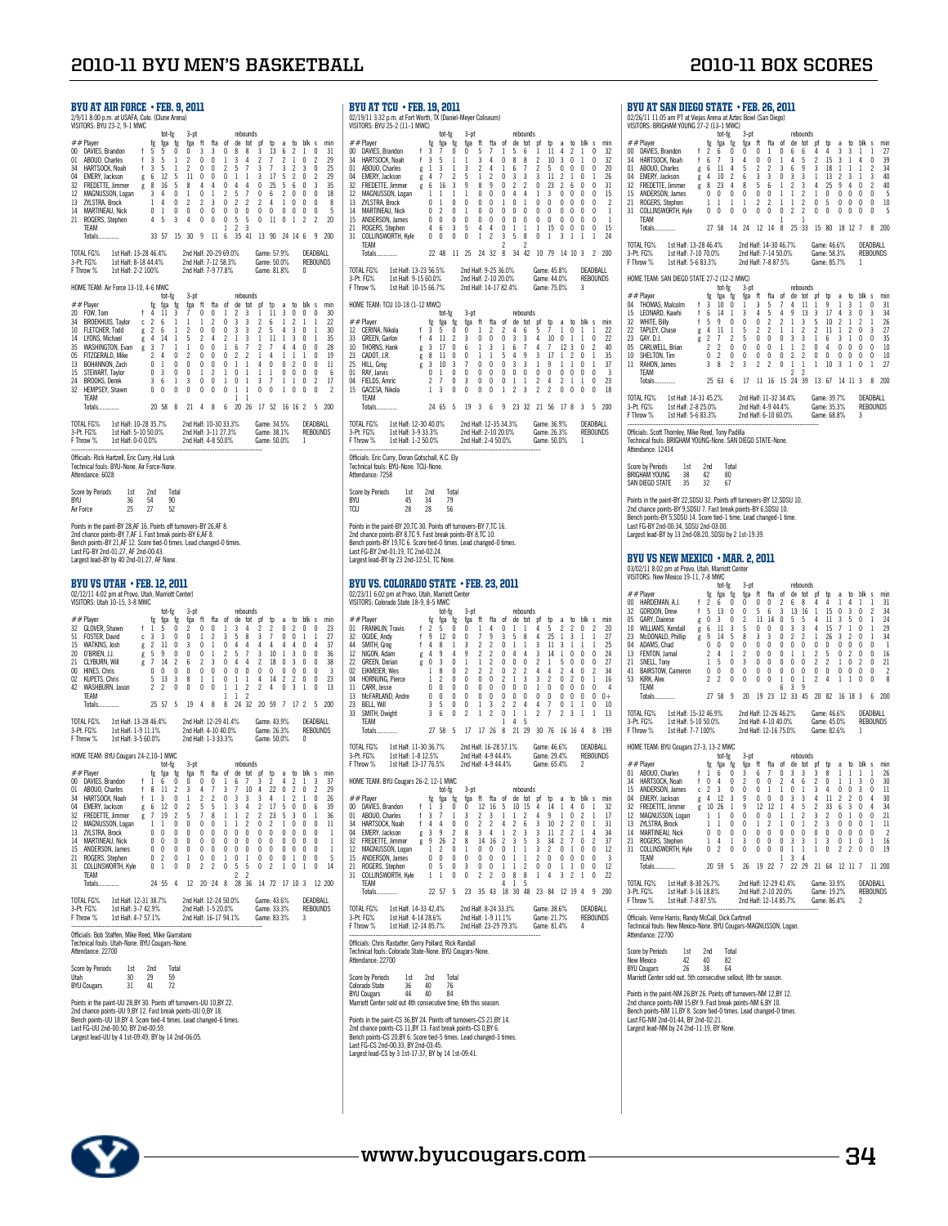| <b>BYU AT AIR FORCE · FEB. 9, 2011</b><br>2/9/11 8:00 p.m. at USAFA, Colo. (Clune Arena)<br>VISITORS: BYU 23-2, 9-1 MWC                                                                                                                                                                                                                                                                                                                                                                                                                                                                                                                                                                                                                                                                                                                                                                                                                                                                                                                                                                                                                                                                                                                                                                                                                                                                                                                                                                                                                                                                                                                                                                                                                                                                                                                                                                                                                              | <b>BYU AT TCU • FEB. 19, 2011</b><br>02/19/11 3:32 p.m. at Fort Worth, TX (Daniel-Meyer Coliseum)<br>VISITORS: BYU 25-2 (11-1 MWC)                                                                                                                                                                                                                                                                                                                                                                                                                                                                                                                                                                                                                                                                                                                                                                                                                                                                                                                                                                                                                                                                                                                                                                                                                                                                                                                                                                                                                                                                                                                                                                                                                                                                                                                                                                                                                                                                    |
|------------------------------------------------------------------------------------------------------------------------------------------------------------------------------------------------------------------------------------------------------------------------------------------------------------------------------------------------------------------------------------------------------------------------------------------------------------------------------------------------------------------------------------------------------------------------------------------------------------------------------------------------------------------------------------------------------------------------------------------------------------------------------------------------------------------------------------------------------------------------------------------------------------------------------------------------------------------------------------------------------------------------------------------------------------------------------------------------------------------------------------------------------------------------------------------------------------------------------------------------------------------------------------------------------------------------------------------------------------------------------------------------------------------------------------------------------------------------------------------------------------------------------------------------------------------------------------------------------------------------------------------------------------------------------------------------------------------------------------------------------------------------------------------------------------------------------------------------------------------------------------------------------------------------------------------------------|-------------------------------------------------------------------------------------------------------------------------------------------------------------------------------------------------------------------------------------------------------------------------------------------------------------------------------------------------------------------------------------------------------------------------------------------------------------------------------------------------------------------------------------------------------------------------------------------------------------------------------------------------------------------------------------------------------------------------------------------------------------------------------------------------------------------------------------------------------------------------------------------------------------------------------------------------------------------------------------------------------------------------------------------------------------------------------------------------------------------------------------------------------------------------------------------------------------------------------------------------------------------------------------------------------------------------------------------------------------------------------------------------------------------------------------------------------------------------------------------------------------------------------------------------------------------------------------------------------------------------------------------------------------------------------------------------------------------------------------------------------------------------------------------------------------------------------------------------------------------------------------------------------------------------------------------------------------------------------------------------------|
| 3-pt<br>rebounds<br>tot-fg<br>##Player<br>ft<br>fta<br>de<br>tot<br>blk s<br>min<br>tg<br>tga<br>tg<br>tga<br>- ot<br>. pt<br>tp<br>a<br>to<br>00 DAVIES, Brandon<br>5<br>5<br>0<br>0<br>3<br>3<br>0<br>8<br>8<br>3<br>13<br>6<br>2<br>$\mathbf{1}$<br>0<br>31<br>f<br>3<br>2<br>2<br>1<br>2<br>01<br>ABOUO, Charles<br>f<br>5<br>1<br>2<br>$\mathbf{0}$<br>$\theta$<br>1<br>3<br>4<br>7<br>$\Omega$<br>29<br>3<br>$\overline{c}$<br>$\overline{c}$<br>5<br>$\overline{1}$<br>3<br>$\overline{c}$<br>25<br>34<br>HARTSOCK, Noah<br>$\mathsf{f}$<br>5<br>$\theta$<br>0<br>3<br>$\overline{1}$<br>3<br>$\theta$<br>$\mathbf{1}$<br>12<br>11<br>0<br>17<br>$\overline{2}$<br>29<br>04<br>EMERY, Jackson<br>6<br>5<br>0<br>0<br>$\mathbf{1}$<br>1<br>3<br>5<br>0<br>2<br>g<br>5<br>8<br>0<br>4<br>25<br>0<br>3<br>35<br>32<br><b>FREDETTE, Jimmer</b><br>8<br>16<br>4<br>4<br>4<br>0<br>5<br>6<br>g<br>4<br>$\overline{c}$<br>5<br>$\overline{1}$<br>MAGNUSSON, Logan<br>3<br>0<br>0<br>0<br>6<br>$\overline{2}$<br>$\Omega$<br>0<br>$\theta$<br>18<br>12<br>1<br>1<br>$\overline{c}$<br>$\overline{c}$<br>0<br>$\overline{c}$<br>$\overline{2}$<br>13<br>ZYLSTRA, Brock<br>1<br>4<br>0<br>3<br>2<br>4<br>$\mathbf{1}$<br>0<br>0<br>0<br>8<br>$\pmb{0}$<br>0<br>0<br>0<br>0<br>0<br>0<br>0<br>0<br>$0\quad 0$<br>0<br>0<br>5<br>14<br><b>MARTINEAU, Nick</b><br>0<br>$\overline{1}$<br>21<br>3<br>0<br>$\pmb{0}$<br>0<br>5<br>5<br>0<br>11 0 1<br>$\overline{c}$<br>$\overline{2}$<br>20<br>ROGERS, Stephen<br>4<br>5<br>4<br>$\overline{2}$<br>3<br>TEAM<br>$\mathbf{1}$<br>15 30<br>- 9<br>35 41 13 90 24 14 6<br>- 9<br>200<br>Totals.<br>33 57<br>- 11<br>- 6                                                                                                                                                                                                                                                                                        | tot-fg<br>3-pt<br>rebounds<br>##Player<br>hlk<br>ft<br>de tot pf<br>tg<br>tga<br>tg<br>tga<br>tta<br>0t<br>to<br>a<br>to<br>-S<br>mir<br>$00 \,$<br>DAVIES, Brandon<br>f<br>3<br>7<br>0<br>0<br>7<br>$\mathbf{1}$<br>6<br>11<br>4<br>2<br>$\mathbf{1}$<br>$\theta$<br>32<br>5<br>5<br>1<br>$\boldsymbol{2}$<br>0<br>8<br>8<br>3<br>$\theta$<br>1<br>0<br>32<br>34<br>HARTSOCK, Noah<br>f<br>3<br>5<br>1<br>1<br>3<br>4<br>-10<br>ABOUO, Charles<br>$\overline{2}$<br>$\overline{1}$<br>$\overline{c}$<br>5<br>0<br>0<br>$_{01}$<br>1<br>3<br>3<br>4<br>$\mathbf{1}$<br>6<br>$\theta$<br>$\theta$<br>20<br>1<br>g<br>$\overline{c}$<br>$\overline{2}$<br>3<br>3<br>04<br>EMERY, Jackson<br>4<br>7<br>5<br>$\mathbf{1}$<br>0<br>3<br>11<br>2<br>1<br>$\theta$<br>$\mathbf{1}$<br>26<br>g<br>$\overline{2}$<br>$\overline{c}$<br>0<br>$\overline{\mathbf{c}}$<br>0<br>16<br>3<br>8<br>9<br>0<br>23<br>6<br>$\theta$<br>32<br><b>FREDETTE, Jimmer</b><br>g<br>6<br>9<br>31<br>0<br>MAGNUSSON, Logan<br>0<br>0<br>0<br>4<br>4<br>1<br>3<br>$\theta$<br>$\theta$<br>$\theta$<br>15<br>12<br>1<br>-1<br>1<br>$\mathbf{1}$<br>$\frac{2}{1}$<br>13<br><b>ZYLSTRA, Brock</b><br>0<br>1<br>0<br>0<br>0<br>0<br>0<br>$\mathbf{1}$<br>0<br>$\theta$<br>0<br>$\theta$<br>0<br>$\theta$<br>-1<br>0<br>0<br>$\overline{c}$<br>0<br>0<br>0<br>0<br>0<br>0<br>0<br>$\theta$<br>$\theta$<br>$\theta$<br>14<br><b>MARTINEAU, Nick</b><br>0<br>1<br>0<br>0<br>$\pmb{0}$<br>0<br>0<br>0<br>0<br>0<br>0<br>0<br>$\theta$<br>0<br>$\mathbf{1}$<br>15<br>ANDERSON, James<br>$\Omega$<br>$\theta$<br>$\theta$<br>3<br>4<br>$\mathbf{1}$<br>21<br>ROGERS, Stephen<br>4<br>6<br>5<br>4<br>0<br>$\mathbf{1}$<br>1<br>15<br>0<br>0<br>0<br>0<br>15<br>$\overline{\mathbf{c}}$<br>8<br>0<br>0<br>3<br>5<br>31<br>COLLINSWORTH, Kyle<br>0<br>0<br>0<br>1<br>1<br>3<br>1<br>$\mathbf{1}$<br>24<br>1<br>$\overline{c}$<br>TEAM<br>2                                                                                                     |
| 2nd Half: 20-29 69.0%<br><b>TOTAL FG%</b><br>1st Half: 13-28 46.4%<br>Game: 57.9%<br>DEADBALL<br>REBOUNDS<br>3-Pt. FG%<br>1st Half: 8-18 44.4%<br>2nd Half: 7-12 58.3%<br>Game: 50.0%<br>1st Half: 2-2 100%<br>2nd Half: 7-9 77.8%<br>Game: 81.8%<br>F Throw %<br>0                                                                                                                                                                                                                                                                                                                                                                                                                                                                                                                                                                                                                                                                                                                                                                                                                                                                                                                                                                                                                                                                                                                                                                                                                                                                                                                                                                                                                                                                                                                                                                                                                                                                                  | 34 42 10 79 14 10 3<br>Totals<br>22 48 11 25<br>24 32 8<br>2<br>200<br><b>TOTAL FG%</b><br>1st Half: 13-23 56.5%<br>2nd Half: 9-25 36.0%<br>Game: 45.8%<br><b>DEADRALL</b><br>1st Half: 9-15 60.0%<br>2nd Half: 2-10 20.0%                                                                                                                                                                                                                                                                                                                                                                                                                                                                                                                                                                                                                                                                                                                                                                                                                                                                                                                                                                                                                                                                                                                                                                                                                                                                                                                                                                                                                                                                                                                                                                                                                                                                                                                                                                            |
| HOME TEAM: Air Force 13-10, 4-6 MWC<br>3-pt<br>tot-tg<br>rebounds                                                                                                                                                                                                                                                                                                                                                                                                                                                                                                                                                                                                                                                                                                                                                                                                                                                                                                                                                                                                                                                                                                                                                                                                                                                                                                                                                                                                                                                                                                                                                                                                                                                                                                                                                                                                                                                                                    | <b>REBOUNDS</b><br>3-Pt. FG%<br>Game: 44.0%<br>F Throw %<br>1st Half: 10-15 66.7%<br>2nd Half: 14-17 82.4%<br>Game: 75.0%<br>3                                                                                                                                                                                                                                                                                                                                                                                                                                                                                                                                                                                                                                                                                                                                                                                                                                                                                                                                                                                                                                                                                                                                                                                                                                                                                                                                                                                                                                                                                                                                                                                                                                                                                                                                                                                                                                                                        |
| $##$ Player<br>tot<br>fg<br>fga<br>ft<br>fta<br>- of<br>de<br>pf<br>tp<br>blk<br>min<br>tga<br>a<br>to<br>s<br>Ťg<br>2<br>3<br>0<br>0<br>0<br>20 FOW, Tom<br>f.<br>4<br>11<br>3<br>7<br>0<br>0<br>1<br>1<br>11<br>3<br>30<br>3<br>$\overline{c}$<br>34<br><b>BROEKHUIS, Taylor</b><br>c <sub>2</sub><br>6<br>$\mathbf{1}$<br>2<br>0<br>3<br>$6\overline{6}$<br>$\mathbf{1}$<br>$\mathfrak{p}$<br>$\overline{1}$<br>$\gamma$<br>1<br>-1<br>-1<br>10<br><b>FLETCHER, Todd</b><br>$\overline{2}$<br>6<br>$\mathbf{1}$<br>2<br>0<br>0<br>0<br>3<br>3<br>2<br>5<br>4<br>3<br>0<br>$\mathbf{1}$<br>30<br>g<br>2<br>3<br>3<br>0<br>14<br>LYONS, Michael<br>g<br>4<br>14<br>$\mathbf{1}$<br>5<br>2<br>4<br>1<br>1<br>11<br>1<br>1<br>35<br>$\overline{7}$<br>$\overline{1}$<br>WASHINGTON, Evan<br>3<br>$\mathbf{1}$<br>0<br>0<br>1<br>6<br>2<br>7<br>4<br>4<br>0<br>0<br>28<br>35<br>1<br>g<br>$\overline{c}$<br>$\overline{c}$<br>$\overline{2}$<br>$\overline{c}$<br>05<br>FITZGERALD, Mike<br>4<br>0<br>0<br>$\theta$<br>0<br>$\mathbf{1}$<br>4<br>$\theta$<br>19<br>1<br>$\mathbf{1}$<br>1<br>0<br>0<br>0<br>0<br>0<br>0<br>$\mathbf{1}$<br>$\mathbf{1}$<br>$\theta$<br>0<br>$\overline{c}$<br>0<br>$\theta$<br>13<br>BOHANNON, Zach<br>$\overline{1}$<br>4<br>11<br>0<br>3<br>$\bf{0}$<br>0<br>$\mathbf{1}$<br>$\overline{2}$<br>$\mathbf{1}$<br>0<br>$\mathbf{1}$<br>0<br>0<br>$\mathbf 0$<br>0<br>$6\phantom{1}6$<br>15<br>STEWART, Taylor<br>$\overline{1}$<br>$\overline{1}$<br>3<br>3<br>0<br>0<br>$\mathbf{1}$<br>$\pmb{0}$<br>$\mathbf{1}$<br>7<br>$\overline{\mathbf{c}}$<br>24<br><b>BROOKS, Derek</b><br>6<br>$\mathbf{1}$<br>3<br>$\mathbf{1}$<br>$\mathbf{1}$<br>0<br>17<br>0<br>0<br>0<br>0<br>$\mathbf{1}$<br>0<br>0<br>$\boldsymbol{\eta}$<br>32<br>HEMPSEY, Shawn<br>0<br>0<br>0<br>0<br>$\mathbf{1}$<br>$\mathbf{1}$<br>0<br>0<br>TEAM<br>$\mathbf{1}$<br>$\mathbf{1}$<br>21 4 8 6 20 26<br>17 52 16 16 2 5 200<br>Totals.<br>20 58 8 | HOME TEAM: TCU 10-18 (1-12 MWC)<br>tot-fg<br>$3-pt$<br>rebounds<br>##Player<br>ft<br>tot<br>blk s<br>fg<br>fga<br>fta<br>de<br>tg<br>tga<br>-ot<br>pt<br>to<br>a<br>to<br>min<br>7<br>12 CERINA, Nikola<br>f<br>3<br>5<br>0<br>0<br>$\mathbf{1}$<br>2<br>2<br>4<br>6<br>5<br>$\mathbf{1}$<br>0<br>$\mathbf{1}$<br>$\mathbf{1}$<br>22<br>0<br>0<br>4<br>10<br>0<br>0<br>22<br>33<br>GREEN, Garlon<br>f<br>4<br>11<br>2<br>3<br>0<br>3<br>3<br>1<br>1<br>$\overline{1}$<br>10<br>THORNS, Hank<br>3<br>17<br>0<br>3<br>4<br>$\overline{7}$<br>12<br>$\theta$<br>2<br>40<br>6<br>1<br>1<br>6<br>3<br>g<br>3<br>17<br>23<br>CADOT, J.R.<br>8<br>11<br>0<br>0<br>$\mathbf{1}$<br>$\mathbf{1}$<br>5<br>4<br>9<br>1<br>2<br>$\theta$<br>$\mathbf{1}$<br>35<br>g<br>0<br>$\pmb{0}$<br>0<br>3<br>25<br>3<br>7<br>3<br>9<br>$\theta$<br>37<br>HILL, Greg<br>3<br>10<br>1<br>1<br>1<br>-1<br>g<br>0<br>$\mathbf{1}$<br>$\pmb{0}$<br>$\mathbf 0$<br>$\bf{0}$<br>0<br>0<br>0<br>0<br>0<br>0<br>$\bf{0}$<br>0<br>0<br>0<br>3<br>01<br>RAY, Jarvis<br>7<br>0<br>3<br>0<br>0<br>$\overline{c}$<br>$\overline{2}$<br>23<br>04<br>FIELDS, Amric<br>2<br>0<br>1<br>$\mathbf{1}$<br>4<br>$\mathbf{1}$<br>1<br>0<br>$\sqrt{2}$<br>$\sqrt{2}$<br>3<br>0<br>0<br>0<br>$\overline{c}$<br>0<br>0<br>18<br>15<br>GACESA, Nikola<br>1<br>3<br>0<br>0<br>1<br>0<br>TEAM<br>19 3 6 9 23 32 21 56 17 8<br>200<br>24 65 5<br>$\overline{\mathbf{3}}$<br>5<br><b>Totals</b>                                                                                                                                                                                                                                                                                                                                                                                                                                                                                                                                                            |
| TOTAL FG%<br>1st Half: 10-28 35.7%<br>2nd Half: 10-30 33.3%<br>Game: 34.5%<br>DEADRALL<br>1st Half: 5-10 50.0%<br>3-Pt. FG%<br>2nd Half: 3-11 27.3%<br>Game: 38.1%<br><b>REBOUNDS</b>                                                                                                                                                                                                                                                                                                                                                                                                                                                                                                                                                                                                                                                                                                                                                                                                                                                                                                                                                                                                                                                                                                                                                                                                                                                                                                                                                                                                                                                                                                                                                                                                                                                                                                                                                                | TOTAL FG%<br>1st Half: 12-30 40.0%<br><b>DFADBALL</b><br>2nd Half: 12-35 34.3%<br>Game: 36.9%<br><b>REBOUNDS</b><br>3-Pt. FG%<br>1st Half: 3-9 33.3%<br>2nd Half: 2-10 20.0%<br>Game: 26.3%                                                                                                                                                                                                                                                                                                                                                                                                                                                                                                                                                                                                                                                                                                                                                                                                                                                                                                                                                                                                                                                                                                                                                                                                                                                                                                                                                                                                                                                                                                                                                                                                                                                                                                                                                                                                           |
| F Throw %<br>1st Half: 0-0 0.0%<br>2nd Half: 4-8 50.0%<br>Game: 50.0%<br>1<br>Officials: Rick Hartzell, Eric Curry, Hal Lusk<br>Technical fouls: BYU-None. Air Force-None.<br>Attendance: 6028                                                                                                                                                                                                                                                                                                                                                                                                                                                                                                                                                                                                                                                                                                                                                                                                                                                                                                                                                                                                                                                                                                                                                                                                                                                                                                                                                                                                                                                                                                                                                                                                                                                                                                                                                       | F Throw %<br>1st Half: 1-2 50.0%<br>2nd Half: 2-4 50.0%<br>Game: 50.0%<br>1<br>Officials: Eric Curry, Doran Gotschall, K.C. Elv<br>Technical fouls: BYU-None. TCU-None.<br>Attendance: 7258                                                                                                                                                                                                                                                                                                                                                                                                                                                                                                                                                                                                                                                                                                                                                                                                                                                                                                                                                                                                                                                                                                                                                                                                                                                                                                                                                                                                                                                                                                                                                                                                                                                                                                                                                                                                           |
| <b>Score by Periods</b><br>1st<br>2nd<br>Total<br>BYU<br>90<br>36<br>54<br>Air Force<br>25<br>27<br>52                                                                                                                                                                                                                                                                                                                                                                                                                                                                                                                                                                                                                                                                                                                                                                                                                                                                                                                                                                                                                                                                                                                                                                                                                                                                                                                                                                                                                                                                                                                                                                                                                                                                                                                                                                                                                                               | <b>Score by Periods</b><br>1st<br>2nd<br>Total<br><b>BYLI</b><br>45<br>34<br>79<br><b>TCU</b><br>28<br>28<br>56                                                                                                                                                                                                                                                                                                                                                                                                                                                                                                                                                                                                                                                                                                                                                                                                                                                                                                                                                                                                                                                                                                                                                                                                                                                                                                                                                                                                                                                                                                                                                                                                                                                                                                                                                                                                                                                                                       |
| Points in the paint-BY 28,AF 16. Points off turnovers-BY 26,AF 8.<br>2nd chance points-BY 7, AF 1. Fast break points-BY 6, AF 8.<br>Bench points-BY 21, AF 12. Score tied-0 times. Lead changed-0 times.<br>Last FG-BY 2nd-01:27, AF 2nd-00:43.<br>Largest lead-BY by 40 2nd-01:27, AF None.                                                                                                                                                                                                                                                                                                                                                                                                                                                                                                                                                                                                                                                                                                                                                                                                                                                                                                                                                                                                                                                                                                                                                                                                                                                                                                                                                                                                                                                                                                                                                                                                                                                         | Points in the paint-BY 20,TC 30. Points off turnovers-BY 7,TC 16.<br>2nd chance points-BY 8.TC 9. Fast break points-BY 8.TC 10.<br>Bench points-BY 19,TC 6. Score tied-0 times. Lead changed-0 times.<br>Last FG-BY 2nd-01:19, TC 2nd-02:24.<br>Largest lead-BY by 23 2nd-12:51, TC None.                                                                                                                                                                                                                                                                                                                                                                                                                                                                                                                                                                                                                                                                                                                                                                                                                                                                                                                                                                                                                                                                                                                                                                                                                                                                                                                                                                                                                                                                                                                                                                                                                                                                                                             |
| BYU VS UTAH • FEB. 12, 2011<br>02/12/11 4:02 pm at Provo, Utah, Marriott Center)<br>VISITORS: Utah 10-15, 3-8 MWC<br>3-pt<br>rebounds                                                                                                                                                                                                                                                                                                                                                                                                                                                                                                                                                                                                                                                                                                                                                                                                                                                                                                                                                                                                                                                                                                                                                                                                                                                                                                                                                                                                                                                                                                                                                                                                                                                                                                                                                                                                                | BYU VS. COLORADO STATE • FEB. 23, 2011<br>02/23/11 6:02 pm at Provo, Utah, Marriott Center<br>VISITORS: Colorado State 18-9, 8-5 MWC<br>$3-$ ot<br>rebounds                                                                                                                                                                                                                                                                                                                                                                                                                                                                                                                                                                                                                                                                                                                                                                                                                                                                                                                                                                                                                                                                                                                                                                                                                                                                                                                                                                                                                                                                                                                                                                                                                                                                                                                                                                                                                                           |
| tot-fg<br>$##$ Player<br>fga<br>fg<br>fga<br>ft<br>fta<br>of<br>de<br>tot<br>to<br>blk<br>min<br>tg<br>pt<br>tp<br>a<br>s<br>3<br>4<br>$\overline{c}$<br>$\mathbf{0}$<br>$\mathbf 0$<br>32 GLOVER, Shawn<br>f <sub>1</sub><br>$\theta$<br>$\boldsymbol{\eta}$<br>$\mathbf{0}$<br>0<br>$\mathbf{1}$<br>$\boldsymbol{\eta}$<br>$\overline{c}$<br>0<br>23<br>5<br>$\overline{7}$<br>51<br>FOSTER, David<br>3<br>3<br>0<br>0<br>$\mathbf{1}$<br>2<br>3<br>5<br>8<br>3<br>0<br>$\Omega$<br>1<br>$\mathbf{1}$<br>27<br>c<br>2<br>0<br>0<br>15<br>WATKINS, Josh<br>g<br>11<br>0<br>3<br>0<br>1<br>4<br>4<br>4<br>4<br>4<br>4<br>4<br>37<br>5<br>9<br>$\overline{2}$<br>5<br>$\overline{1}$<br>O'BRIEN, J.J.<br>0<br>0<br>0<br>3<br>10<br>3<br>0<br>$\theta$<br>36<br>20<br>1<br>-1<br>g<br>0<br>21<br>CLYBURN, Will<br>7<br>14<br>2<br>6<br>2<br>3<br>4<br>4<br>2<br>18<br>$\theta$<br>3<br>$\theta$<br>$\theta$<br>38<br>g<br>$\pmb{0}$<br>0<br>0<br>0<br>0<br>$\pmb{0}$<br>0<br>0<br>0<br>0<br>0<br>0<br>3<br>$\overline{0}$<br>0<br>$\theta$<br>00<br>HINES, Chris<br>5<br>13<br>3<br>8<br>$\mathbf{1}$<br>1<br>0<br>$\mathbf{1}$<br>$\mathbf{1}$<br>4<br>14<br>$\overline{2}$<br>$\overline{2}$<br>0<br>$\mathbf 0$<br>23<br>02<br>KUPETS, Chris<br>$\overline{2}$<br>$\mathbf{1}$<br>$\overline{\mathbf{c}}$<br>$\overline{c}$<br>42<br>WASHBURN, Jason<br>$\overline{2}$<br>0<br>0<br>0<br>0<br>$\mathbf{1}$<br>4<br>0<br>-3<br>1<br>0<br>13<br>$\overline{\mathbf{c}}$<br>$\mathbf{1}$<br>TEAM<br>1<br>19<br>4 8 8<br>24 32 20 59 7 17 2 5 200<br>25 57 5<br>Totals.                                                                                                                                                                                                                                                                                                                                                                                 | tot-tg<br>$##$ Player<br>fg<br>fga<br>ft<br>fta<br>of<br>de<br>tot<br>to<br>blk<br>min<br>tg<br>tga<br>pt<br>tp<br>a<br>s<br>4<br>0<br>5<br>$\overline{c}$<br>$\overline{2}$<br>$\mathbf 0$<br>$\overline{2}$<br>01 FRANKLIN, Travis<br>f<br>$\overline{\phantom{a}}$<br>5<br>0<br>$\theta$<br>$\mathbf{1}$<br>$\mathbf{1}$<br>$\mathbf{1}$<br>4<br>20<br>$\mathbf{1}$<br>32<br>OGIDE, Andy<br>f<br>9<br>12<br>0<br>$\theta$<br>7<br>9<br>3<br>5<br>8<br>4<br>25<br>1<br>3<br>1<br>27<br>$\boldsymbol{2}$<br>f<br>2<br>0<br>3<br>44<br>SMITH, Greg<br>4<br>8<br>1<br>3<br>1<br>1<br>11<br>3<br>1<br>1<br>1<br>25<br>9<br>$\overline{2}$<br>$\overline{2}$<br>3<br>12<br>NIGON, Adam<br>9<br>4<br>0<br>4<br>4<br>14<br>$\theta$<br>$\theta$<br>0<br>24<br>4<br>1<br>g<br>$\overline{2}$<br>$\overline{c}$<br>27<br>22<br><b>GREEN, Dorian</b><br>0<br>3<br>0<br>1<br>$\mathbf{1}$<br>0<br>0<br>0<br>5<br>$\theta$<br>0<br>0<br>1<br>g<br>$\overline{c}$<br>$\sqrt{2}$<br>$\overline{\mathbf{c}}$<br>$\overline{2}$<br>8<br>0<br>$\overline{c}$<br>0<br>2<br>$\overline{2}$<br>4<br>0<br>34<br>02<br>EIKMEIER, Wes<br>1<br>4<br>4<br>$\overline{2}$<br>0<br>$\mathbf 0$<br>$\bf{0}$<br>0<br>$\overline{c}$<br>$\mathbf{1}$<br>3<br>3<br>$\overline{2}$<br>0<br>$\overline{2}$<br>$\mathbf 0$<br>$\mathbf{1}$<br>16<br>04<br><b>HORNUNG, Pierce</b><br>$\mathbf{1}$<br>0<br>0<br>0<br>0<br>0<br>0<br>$1\,$<br>0<br>4<br>11<br>CARR, Jesse<br>0<br>$\theta$<br>$\theta$<br>$\theta$<br>0<br>$\theta$<br>$\theta$<br>0<br>0<br>0<br>0<br>0<br>0<br>0<br>0<br>0<br>0<br>0<br>0<br>0<br>$^{0+}$<br>13<br>McFARLAND, Andre<br>0<br>0<br>$\pmb{0}$<br>$\overline{\mathbf{c}}$<br>$\overline{c}$<br>7<br>5<br>0<br>$\mathbf{1}$<br>3<br>4<br>4<br>0<br>1<br>0<br>10<br>23<br>BELL, Will<br>3<br>1<br>$\overline{\mathbf{c}}$<br>$\overline{c}$<br>33<br>SMITH, Dwight<br>3<br>6<br>0<br>2<br>$\mathbf{1}$<br>$\overline{\mathbf{c}}$<br>0<br>$\mathbf{1}$<br>$\mathbf{1}$<br>7<br>-3<br>$\mathbf{1}$<br>13<br>1 |
| <b>TOTAL FG%</b><br>1st Half: 13-28 46.4%<br>2nd Half: 12-29 41.4%<br>Game: 43.9%<br>DEADBALL<br>2nd Half: 4-10 40.0%<br>Game: 26.3%<br><b>REBOUNDS</b><br>3-Pt. FG%<br>1st Half: 1-9 11.1%<br>F Throw %<br>1st Half: 3-5 60.0%<br>2nd Half: 1-3 33.3%<br>Game: 50.0%<br>0                                                                                                                                                                                                                                                                                                                                                                                                                                                                                                                                                                                                                                                                                                                                                                                                                                                                                                                                                                                                                                                                                                                                                                                                                                                                                                                                                                                                                                                                                                                                                                                                                                                                           | 4<br>5<br>TEAM<br>1<br>27 58 5 17 17 26 8 21 29 30 76 16 16 4 8 199<br>Totals.                                                                                                                                                                                                                                                                                                                                                                                                                                                                                                                                                                                                                                                                                                                                                                                                                                                                                                                                                                                                                                                                                                                                                                                                                                                                                                                                                                                                                                                                                                                                                                                                                                                                                                                                                                                                                                                                                                                        |
| HOME TEAM: BYU Cougars 24-2,10-1 MWC<br>$3-pt$<br>tot-fg<br>rebounds                                                                                                                                                                                                                                                                                                                                                                                                                                                                                                                                                                                                                                                                                                                                                                                                                                                                                                                                                                                                                                                                                                                                                                                                                                                                                                                                                                                                                                                                                                                                                                                                                                                                                                                                                                                                                                                                                 | TOTAL FG%<br>1st Half: 11-30 36.7%<br>2nd Half: 16-28 57.1%<br>Game: 46.6%<br>DEADBALL<br>2nd Half: 4-9 44.4%<br><b>REBOUNDS</b><br>3-Pt. FG%<br>1st Half: 1-8 12.5%<br>Game: 29.4%<br>F Throw %<br>1st Half: 13-17 76.5%<br>2nd Half: 4-9 44.4%<br>Game: 65.4%<br>2                                                                                                                                                                                                                                                                                                                                                                                                                                                                                                                                                                                                                                                                                                                                                                                                                                                                                                                                                                                                                                                                                                                                                                                                                                                                                                                                                                                                                                                                                                                                                                                                                                                                                                                                  |
| $##$ Player<br>fg fga fg<br>fga ft fta of<br>de tot pf tp<br>a to blk s<br>min<br>00 DAVIES, Brandon<br>$0 \t1 \t6 \t7$<br>$f$ 1 6 0<br>$0\quad 0$<br>3 2<br>4 2 1<br>37<br>3<br>ABOUO, Charles<br>8<br>11<br>$\overline{2}$<br>10<br>4<br>22<br>0<br>01<br>3<br>3<br>2<br>29<br>4<br>U<br>7<br>3<br>0<br>2<br>0<br>3<br>3<br>$\overline{\mathbf{c}}$<br>26<br>34<br>HARTSOCK, Noah<br>f<br>$\mathbf{1}$<br>1<br>2<br>3<br>4<br>$\mathbf{1}$<br>$\mathbf{1}$<br>0<br>3<br>39<br>04<br>EMERY, Jackson<br>12<br>0<br>2<br>5<br>5<br>4<br>2<br>17<br>0<br>0<br>6<br>6<br>1<br>5<br>g<br>19<br>$\overline{c}$<br>32<br>FREDETTE, Jimmer<br>7<br>5<br>7<br>8<br>$\mathbf{1}$<br>$\mathbf{1}$<br>2<br>2<br>23<br>5<br>3<br>$\theta$<br>36<br>1<br>g<br>11<br>0<br>0<br>2<br>$\theta$<br>0<br>12<br>MAGNUSSON, Logan<br>1<br>1<br>0<br>0<br>1<br>1<br>0<br>2<br>1<br>$\theta$<br>13<br>0<br>0<br>0<br>0<br>0<br>0<br>0<br>0<br>0<br>0<br>$\mathbf 0$<br>$\mathbf{1}$<br>ZYLSTRA, Brock<br>$\theta$<br>0<br>$\theta$<br>0<br>14<br><b>MARTINEAU, Nick</b><br>0<br>$\theta$<br>0<br>0<br>$\theta$<br>$\theta$<br>0<br>0<br>0<br>$\theta$<br>$\theta$<br>0<br>$\theta$<br>$\theta$<br>0<br>$\mathbf{1}$<br>0<br>0<br>0<br>15<br>ANDERSON, James<br>0<br>0<br>0<br>0<br>0<br>0<br>0<br>$\mathbf{0}$<br>0<br>0<br>0<br>$\mathbf{0}$<br>1<br>ROGERS, Stephen<br>0<br>$\overline{c}$<br>0<br>$\pmb{0}$<br>21<br>0<br>0<br>$\mathbf{1}$<br>1<br>$\theta$<br>0<br>0<br>$\mathbf{1}$<br>0<br>$\theta$<br>5<br>1<br>COLLINSWORTH, Kyle<br>5<br>31<br>0<br>$\mathbf{1}$<br>0<br>0<br>2<br>2<br>0<br>5<br>0<br>2<br>$\mathbf{1}$<br>0<br>0<br>14<br>1<br>$\overline{c}$<br>2<br>TEAM<br>12 20 24 8<br>28 36 14 72 17 10 3<br>24 55<br>$\overline{4}$<br>12 200<br>Totals.                                                                                                                                                                                                | HOME TEAM: BYU Cougars 26-2, 12-1 MWC<br>3-pt<br>tot-ig<br>rebounds<br>##Player<br>ft<br>fg<br>fga<br>fg<br>fga<br>fta<br>of<br>de<br>tot<br>pf<br>to<br>blk<br>s<br>min<br>tp<br>a<br>DAVIES, Brandon<br>12<br>5<br>32<br>00 <sub>0</sub><br>f<br>1<br>3<br>0<br>0<br>10<br>15<br>4<br>14<br>1<br>4<br>0<br>$\mathbf{1}$<br>16<br>$\overline{c}$<br>01<br>ABOUO, Charles<br>f<br>3<br>7<br>$\mathbf{1}$<br>3<br>2<br>3<br>$\mathbf{1}$<br>$\mathbf{1}$<br>4<br>9<br>0<br>2<br>$\mathbf{1}$<br>17<br>-1<br>2<br>$\overline{\mathbf{c}}$<br>HARTSOCK, Noah<br>0<br>0<br>4<br>2<br>3<br>10<br>2<br>$\overline{c}$<br>0<br>$\mathbf{1}$<br>34<br>f<br>4<br>4<br>6<br>31<br>04<br>9<br>$\overline{\mathbf{c}}$<br>8<br>3<br>4<br>$\overline{2}$<br>3<br>3<br>11<br>$\overline{c}$<br>$\overline{2}$<br>4<br>EMERY, Jackson<br>3<br>$\overline{1}$<br>34<br>g<br>1<br>9<br>26<br>$\overline{\mathbf{c}}$<br>16<br>3<br>3<br>7<br>$\overline{c}$<br>32<br><b>FREDETTE, Jimmer</b><br>8<br>14<br>2<br>5<br>34<br>2<br>0<br>37<br>g<br>0<br>0<br>3<br>2<br>0<br>0<br>12<br>12<br>MAGNUSSON, Logan<br>1<br>2<br>1<br>0<br>0<br>1<br>1<br>1<br>$\theta$<br>ANDERSON, James<br>$\pmb{0}$<br>0<br>$\overline{c}$<br>$\overline{3}$<br>0<br>$\theta$<br>0<br>0<br>0<br>1<br>$\mathbf{1}$<br>$\theta$<br>$\theta$<br>$\theta$<br>$\theta$<br>0<br>15<br>ROGERS, Stephen<br>12<br>21<br>0<br>5<br>0<br>3<br>0<br>0<br>$\mathbf{1}$<br>$\mathbf{1}$<br>2<br>0<br>0<br>1<br>$\mathbf{1}$<br>0<br>0<br>$\overline{c}$<br>$\overline{c}$<br>$\pmb{0}$<br>0<br>0<br>8<br>22<br>8<br>3<br>$\overline{c}$<br>0<br>31<br>COLLINSWORTH, Kyle<br>1<br>-1<br>1<br>4<br>1<br><b>TFAM</b><br>4<br>$\mathbf{1}$<br>5                                                                                                                                                                                                                                                                                                               |
| TOTAL FG%<br>1st Half: 12-31 38.7%<br>2nd Half: 12-24 50.0%<br>DEADBALL<br>Game: 43.6%<br><b>REBOUNDS</b><br>3-Pt. FG%<br>1st Half: 3-7 42.9%<br>2nd Half: 1-5 20.0%<br>Game: 33.3%<br>F Throw %<br>1st Half: 4-7 57.1%<br>2nd Half: 16-17 94.1%<br>Game: 83.3%<br>3                                                                                                                                                                                                                                                                                                                                                                                                                                                                                                                                                                                                                                                                                                                                                                                                                                                                                                                                                                                                                                                                                                                                                                                                                                                                                                                                                                                                                                                                                                                                                                                                                                                                                 | 22 57 5<br>18 30 48<br>23 84 12 19 4<br>200<br>Totals<br>23<br>35 43<br>9<br>DEADBALL<br>TOTAL FG%<br>1st Half: 14-33 42.4%<br>2nd Half: 8-24 33.3%<br>Game: 38.6%<br><b>REBOUNDS</b><br>3-Pt. FG%<br>1st Half: 4-14 28.6%<br>2nd Half: 1-9 11.1%<br>Game: 21.7%                                                                                                                                                                                                                                                                                                                                                                                                                                                                                                                                                                                                                                                                                                                                                                                                                                                                                                                                                                                                                                                                                                                                                                                                                                                                                                                                                                                                                                                                                                                                                                                                                                                                                                                                      |
| Officials: Bob Staffen, Mike Reed, Mike Giarratano<br>Technical fouls: Utah-None, BYU Cougars-None,<br>Attendance: 22700                                                                                                                                                                                                                                                                                                                                                                                                                                                                                                                                                                                                                                                                                                                                                                                                                                                                                                                                                                                                                                                                                                                                                                                                                                                                                                                                                                                                                                                                                                                                                                                                                                                                                                                                                                                                                             | 1st Half: 12-14 85.7%<br>2nd Half: 23-29 79.3%<br>F Throw %<br>Game: 81.4%<br>4<br>Officials: Chris Rastatter, Gerry Pollard, Rick Randall<br>Technical fouls: Colorado State-None. BYU Cougars-None.                                                                                                                                                                                                                                                                                                                                                                                                                                                                                                                                                                                                                                                                                                                                                                                                                                                                                                                                                                                                                                                                                                                                                                                                                                                                                                                                                                                                                                                                                                                                                                                                                                                                                                                                                                                                 |
| Score by Periods<br>1st<br>2nd<br>Total<br>29<br>Utah<br>30<br>59<br>31<br>41<br>72<br><b>BYU Cougars</b>                                                                                                                                                                                                                                                                                                                                                                                                                                                                                                                                                                                                                                                                                                                                                                                                                                                                                                                                                                                                                                                                                                                                                                                                                                                                                                                                                                                                                                                                                                                                                                                                                                                                                                                                                                                                                                            | Attendance: 22700<br>Score by Periods<br>2nd<br>1st<br>Total<br>36<br>40<br>76<br>Colorado State                                                                                                                                                                                                                                                                                                                                                                                                                                                                                                                                                                                                                                                                                                                                                                                                                                                                                                                                                                                                                                                                                                                                                                                                                                                                                                                                                                                                                                                                                                                                                                                                                                                                                                                                                                                                                                                                                                      |
| Points in the paint-UU 28,BY 30. Points off turnovers-UU 10,BY 22.<br>2nd chance points-UU 9,BY 12. Fast break points-UU 0,BY 18.<br>Bench points-UU 18,BY 4. Score tied-4 times. Lead changed-6 times.<br>Last FG-UU 2nd-00:50, BY 2nd-00:59.<br>Largest lead-UU by 4 1st-09:49, BY by 14 2nd-06:05.                                                                                                                                                                                                                                                                                                                                                                                                                                                                                                                                                                                                                                                                                                                                                                                                                                                                                                                                                                                                                                                                                                                                                                                                                                                                                                                                                                                                                                                                                                                                                                                                                                                | <b>BYU Cougars</b><br>44<br>40<br>84<br>Marriott Center sold out 4th consecutive time; 6th this season.<br>Points in the paint-CS 36,BY 24. Points off turnovers-CS 21,BY 14.<br>2nd chance points-CS 11,BY 13. Fast break points-CS 0,BY 6.<br>Bench points-CS 20,BY 6. Score tied-5 times. Lead changed-3 times.<br>Last FG-CS 2nd-00:33, BY 2nd-03:45.<br>Largest lead-CS by 3 1st-17:37, BY by 14 1st-09:41.                                                                                                                                                                                                                                                                                                                                                                                                                                                                                                                                                                                                                                                                                                                                                                                                                                                                                                                                                                                                                                                                                                                                                                                                                                                                                                                                                                                                                                                                                                                                                                                      |

|                                                                                                                                                                                                                                                                                                                                                                                                                                                                                                                                                                                         | BYU AT SAN DIEGO STATE •FEB. 26, 2011<br>02/26/11 11:05 am PT at Vieias Arena at Aztec Bowl (San Diego)                                                                                                                                                                                                                                                                                                                                                                                                                                                                                                                                                                                                                                                                                                                                                                                                                                                                                                                                                                                                                                                                                                                                                                                                                                                                                                                                                                                                                                                                                                                           |
|-----------------------------------------------------------------------------------------------------------------------------------------------------------------------------------------------------------------------------------------------------------------------------------------------------------------------------------------------------------------------------------------------------------------------------------------------------------------------------------------------------------------------------------------------------------------------------------------|-----------------------------------------------------------------------------------------------------------------------------------------------------------------------------------------------------------------------------------------------------------------------------------------------------------------------------------------------------------------------------------------------------------------------------------------------------------------------------------------------------------------------------------------------------------------------------------------------------------------------------------------------------------------------------------------------------------------------------------------------------------------------------------------------------------------------------------------------------------------------------------------------------------------------------------------------------------------------------------------------------------------------------------------------------------------------------------------------------------------------------------------------------------------------------------------------------------------------------------------------------------------------------------------------------------------------------------------------------------------------------------------------------------------------------------------------------------------------------------------------------------------------------------------------------------------------------------------------------------------------------------|
| blk<br>min<br>pf<br>to<br>to<br>a<br>-S<br>11<br>4<br>2<br>1<br>$\theta$<br>32<br>1<br>3<br>0<br>32<br>2<br>10<br>$\theta$<br>1<br>$\overline{c}$<br>5<br>0<br>0<br>0<br>0<br>20<br>$\overline{\mathbf{c}}$<br>3<br>11<br>1<br>0<br>1<br>26<br>$\overline{2}$<br>0<br>0<br>23<br>6<br>0<br>31<br>$\mathbf{1}$<br>0<br>0<br>3<br>0<br>0<br>15<br>0<br>0<br>0<br>0<br>0<br>0<br>2<br>$\theta$<br>0<br>0<br>0<br>0<br>1<br>0<br>0<br>$\theta$<br>0<br>0<br>0<br>0<br>$\mathbf{1}$<br>1<br>15<br>0<br>0<br>0<br>0<br>15<br>0<br>3<br>1<br>1<br>24<br>1<br>1<br>10 79<br>14 10 3<br>2<br>200 | VISITORS: BRIGHAM YOUNG 27-2 (13-1 MWC)<br>tot-fg<br>3-pt<br>rebounds<br>$##$ Player<br>fga fg<br>fta<br>of<br>de<br>tot<br>blk s<br>min<br>fga<br>ft<br>pf<br>to<br>to<br>tg<br>a<br>DAVIES, Brandon<br>00<br>f<br>2<br>0<br>$\mathbf{1}$<br>0<br>6<br>6<br>4<br>4<br>3<br>3<br>1<br>27<br>6<br>0<br>0<br>1<br>4<br>39<br>34<br>HARTSOCK, Noah<br>f<br>6<br>7<br>4<br>$\theta$<br>4<br>5<br>2<br>15<br>3<br>0<br>3<br>0<br>1<br>1<br>01<br>ABOUO, Charles<br>6<br>11<br>4<br>5<br>2<br>2<br>3<br>6<br>9<br>3<br>18<br>1<br>1<br>1<br>2<br>34<br>g<br>$\overline{c}$<br>$\overline{\mathbf{c}}$<br>3<br>04<br>EMERY, Jackson<br>4<br>10<br>6<br>3<br>3<br>0<br>3<br>3<br>1<br>13<br>3<br>1<br>40<br>g<br>$\overline{c}$<br>9<br>32<br>FREDETTE, Jimmer<br>8<br>$\overline{4}$<br>8<br>5<br>$1\,$<br>3<br>4<br>25<br>4<br>0<br>$\overline{c}$<br>40<br>23<br>6<br>g<br>0<br>0<br>0<br>0<br>0<br>$\,1$<br>2<br>0<br>0<br>0<br>0<br>0<br>5<br>15<br>ANDERSON, James<br>0<br>$\mathbf{1}$<br>1<br>2<br>21<br>ROGERS, Stephen<br>1<br>1<br>1<br>1<br>2<br>2<br>1<br>1<br>0<br>5<br>0<br>0<br>0<br>0<br>10<br>COLLINSWORTH, Kyle<br>0<br>$\overline{c}$<br>$\overline{c}$<br>31<br>0<br>0<br>0<br>0<br>0<br>0<br>0<br>0<br>0<br>0<br>0<br>0<br>5<br>TEAM<br>1<br>1<br>25 33<br><b>Totals</b><br>27 58<br>14<br>-24<br>12 14<br>8<br>15 80<br>18 12 7<br>8<br>200<br>2nd Half: 14-30 46.7%<br>TOTAL FG%<br>1st Half: 13-28 46.4%<br>Game: 46.6%<br>DEADBALL<br>3-PL FG%<br>1st Half: 7-10 70.0%<br>2nd Half: 7-14 50.0%<br>Game: 58.3%<br><b>REBOUNDS</b><br>1st Half: 5-6 83.3%<br>2nd Half: 7-8 87.5%<br>F Throw %<br>Game: 85.7%<br>1 |
| Game: 45.8%<br>DEADBALL<br>Game: 44.0%<br><b>REBOUNDS</b>                                                                                                                                                                                                                                                                                                                                                                                                                                                                                                                               | HOME TEAM: SAN DIEGO STATE 27-2 (12-2 MWC)                                                                                                                                                                                                                                                                                                                                                                                                                                                                                                                                                                                                                                                                                                                                                                                                                                                                                                                                                                                                                                                                                                                                                                                                                                                                                                                                                                                                                                                                                                                                                                                        |
| Game: 75.0%<br>3<br>ŝ<br>blk<br>pf<br>tp<br>to<br>min<br>a<br>s<br>1<br>0<br>22<br>5<br>7<br>1<br>1<br>4<br>0<br>10<br>1<br>0<br>$\gamma$<br>1<br>4<br>3<br>7<br>12<br>0<br>2<br>40<br>3<br>17<br>1<br>$\overline{\mathbf{c}}$<br>0<br>1<br>35<br>$\mathbf{1}$<br>37<br>9<br>0<br>1<br>1<br>1<br>0<br>0<br>0<br>0<br>0<br>0<br>3<br>2<br>2<br>4<br>1<br>1<br>0<br>23<br>$\overline{c}$<br>$\overline{c}$<br>0<br>0<br>0<br>0<br>18                                                                                                                                                      | rebounds<br>tot-fg<br>$3-pt$<br>$##$ Player<br>fga<br>$\mathfrak{f}\mathfrak{g}$<br>de tot<br>blk s<br>min<br>fga<br>ft<br>fta<br>of<br>of<br>tp<br>to<br>fg<br>a<br>THOMAS, Malcolm<br>04<br>f<br>3<br>10<br>1<br>3<br>5<br>7<br>4<br>11<br>9<br>1<br>3<br>1<br>0<br>31<br>0<br>1<br>5<br>4<br>9<br>15<br>LEONARD, Kawhi<br>f<br>6<br>3<br>4<br>17<br>4<br>3<br>0<br>3<br>34<br>14<br>13<br>3<br>1<br>$\overline{c}$<br>32<br><b>WHITE, Billy</b><br>f<br>5<br>9<br>0<br>0<br>0<br>2<br>1<br>3<br>5<br>10<br>2<br>1<br>2<br>26<br>1<br>$\overline{c}$<br>22<br>TAPLEY, Chase<br>4<br>11<br>1<br>5<br>2<br>1<br>1<br>2<br>2<br>11<br>1<br>2<br>0<br>3<br>27<br>g<br>$\overline{2}$<br>$\overline{2}$<br>5<br>0<br>0<br>0<br>3<br>3<br>$\mathbf{1}$<br>0<br>0<br>35<br>23<br>GAY, D.J.<br>$\overline{7}$<br>1<br>6<br>3<br>g<br>2<br>$\overline{c}$<br>0<br>0<br>0<br>1<br>$\,1$<br>2<br>4<br>0<br>0<br>05<br>CARLWELL, Brian<br>0<br>0<br>0<br>0<br>10<br>$\overline{\mathbf{c}}$<br>$\overline{\mathbf{c}}$<br>2<br>10<br>SHELTON, Tim<br>0<br>0<br>0<br>0<br>0<br>0<br>0<br>0<br>0<br>0<br>0<br>0<br>10<br>$1\,$<br>$\,1$<br>RAHON, James<br>3<br>8<br>$\overline{2}$<br>3<br>2<br>2<br>0<br>10<br>3<br>0<br>27<br>1<br>1<br>1<br>11<br>2<br>TEAM<br>2<br>15 24 39<br>25 63<br>- 6<br>17<br>11 16<br>13 67<br>14 11 3<br>8<br>200<br>Totals<br>2nd Half: 11-32 34.4%<br>DEADBALL<br>TOTAL FG%<br>1st Half: 14-31 45.2%<br>Game: 39.7%<br>1st Half: 2-8 25.0%                                                                                                                                                                    |
| 21 56<br>178<br>3<br>5<br>200<br>Game: 36.9%<br>DEADBALL                                                                                                                                                                                                                                                                                                                                                                                                                                                                                                                                | 3-PL FG%<br>2nd Half: 4-9 44.4%<br>Game: 35.3%<br><b>REBOUNDS</b><br>F Throw %<br>1st Half: 5-6 83.3%<br>2nd Half: 6-10 60.0%<br>Game: 68.8%<br>3                                                                                                                                                                                                                                                                                                                                                                                                                                                                                                                                                                                                                                                                                                                                                                                                                                                                                                                                                                                                                                                                                                                                                                                                                                                                                                                                                                                                                                                                                 |
| Game: 26.3%<br><b>REBOUNDS</b><br>Game: 50.0%<br>1                                                                                                                                                                                                                                                                                                                                                                                                                                                                                                                                      | Officials: Scott Thornley, Mike Reed, Tony Padilla<br>Technical fouls: BRIGHAM YOUNG-None. SAN DIEGO STATE-None.<br>Attendance: 12414<br>Score by Periods<br>2nd<br>Total<br>1st                                                                                                                                                                                                                                                                                                                                                                                                                                                                                                                                                                                                                                                                                                                                                                                                                                                                                                                                                                                                                                                                                                                                                                                                                                                                                                                                                                                                                                                  |
|                                                                                                                                                                                                                                                                                                                                                                                                                                                                                                                                                                                         | <b>BRIGHAM YOUNG</b><br>38<br>42<br>80<br>SAN DIEGO STATE<br>35<br>32<br>67                                                                                                                                                                                                                                                                                                                                                                                                                                                                                                                                                                                                                                                                                                                                                                                                                                                                                                                                                                                                                                                                                                                                                                                                                                                                                                                                                                                                                                                                                                                                                       |
|                                                                                                                                                                                                                                                                                                                                                                                                                                                                                                                                                                                         | Points in the paint-BY 22, SDSU 32. Points off turnovers-BY 12, SDSU 10.<br>2nd chance points-BY 9,SDSU 7. Fast break points-BY 6,SDSU 10.<br>Bench points-BY 5, SDSU 14. Score tied-1 time. Lead changed-1 time.<br>Last FG-BY 2nd-00:34, SDSU 2nd-03:00.<br>Largest lead-BY by 13 2nd-08:20, SDSU by 2 1st-19:39.<br>BYU VS NEW MEXICO •MAR. 2, 2011<br>03/02/11 8:02 pm at Provo, Utah, Marriott Center                                                                                                                                                                                                                                                                                                                                                                                                                                                                                                                                                                                                                                                                                                                                                                                                                                                                                                                                                                                                                                                                                                                                                                                                                        |
|                                                                                                                                                                                                                                                                                                                                                                                                                                                                                                                                                                                         | VISITORS: New Mexico 19-11, 7-8 MWC<br>tot-fg<br>3-pt<br>rebounds                                                                                                                                                                                                                                                                                                                                                                                                                                                                                                                                                                                                                                                                                                                                                                                                                                                                                                                                                                                                                                                                                                                                                                                                                                                                                                                                                                                                                                                                                                                                                                 |
| blk<br>min<br>pt<br>tp<br>a<br>to<br>s<br>4<br>5<br>2<br>2<br>0<br>2<br>20<br>4<br>25<br>1<br>3<br>1<br>27<br>1<br>3<br>3<br>$\mathbf{1}$<br>25<br>11<br>1<br>1<br>3<br>$\,1$<br>24<br>14<br>0<br>0<br>0<br>$\overline{c}$<br>$\mathbf{1}$<br>5<br>0<br>0<br>0<br>27<br>4<br>$\overline{c}$<br>4<br>4<br>0<br>2<br>34<br>$\overline{c}$<br>$\overline{c}$<br>3<br>0<br>0<br>1<br>16<br>1<br>0<br>0<br>0<br>0<br>0<br>4<br>0<br>0<br>0<br>0<br>0<br>0<br>$0+$                                                                                                                            | blk s<br>##Player<br>ft<br>fta<br>fg<br>of<br>de tot<br>pf<br>min<br>tg<br>tga<br>tga<br>tp<br>a<br>to<br>f<br>00<br>HARDEMAN, A.J.<br>2<br>0<br>0<br>0<br>0<br>2<br>6<br>8<br>4<br>4<br>$\mathbf{1}$<br>4<br>1<br>31<br>6<br>1<br>32<br>GORDON, Drew<br>f<br>5<br>13<br>0<br>0<br>5<br>6<br>3<br>13<br>16<br>1<br>15<br>0<br>3<br>0<br>2<br>34<br>14<br>5<br>5<br>0 <sub>5</sub><br>GARY, Dairese<br>0<br>2<br>0<br>5<br>4<br>0<br>1<br>24<br>3<br>0<br>11<br>11<br>3<br>g<br>5<br>3<br>7<br>29<br>10<br><b>WILLIAMS, Kendall</b><br>6<br>11<br>3<br>0<br>0<br>0<br>3<br>4<br>15<br>$\mathbf{1}$<br>0<br>1<br>g<br>$\overline{c}$<br>23<br>McDONALD, Phillip<br>9<br>14<br>- 5<br>8<br>3<br>3<br>0<br>2<br>2<br>1<br>26<br>3<br>0<br>1<br>34<br>g<br>04<br>ADAMS, Chad<br>0<br>0<br>0<br>0<br>0<br>0<br>0<br>0<br>0<br>0<br>0<br>0<br>0<br>$\mathbf{0}$<br>$\theta$<br>$\overline{1}$<br>$\overline{c}$<br>0<br>0<br>$\mathbf{1}$<br>2<br>$\overline{c}$<br>0<br>13<br>FENTON, Jamal<br>2<br>4<br>$\mathbf{1}$<br>0<br>1<br>5<br>0<br>0<br>16<br>3<br>2<br>$\overline{\mathbf{c}}$<br>$\overline{c}$<br>21<br>SNELL, Tony<br>1<br>5<br>0<br>0<br>0<br>0<br>0<br>0<br>1<br>0<br>0<br>21<br>BAIRSTOW, Cameron<br>0<br>0<br>0<br>$41\,$<br>$\theta$<br>$\theta$<br>0<br>0<br>0<br>0<br>0<br>0<br>0<br>0<br>$\theta$<br>0<br>$\boldsymbol{\eta}$<br>53<br>KIRK, Alex<br>2<br>$\boldsymbol{\eta}$<br>0<br>0<br>0<br>0<br>1<br>0<br>$\mathbf{1}$<br>2<br>4<br>1<br>0<br>0<br>8<br>1<br>TEAM<br>6<br>3<br>9<br>27 58<br>9<br>20<br>19 23<br>12 33 45<br>20 82<br>200<br>16 18 3<br>6<br>Totals                                          |
| 0<br>4<br>7<br>$\mathbf{1}$<br>1<br>0<br>10<br>2<br>7<br>2<br>3<br>1<br>13<br>1                                                                                                                                                                                                                                                                                                                                                                                                                                                                                                         | TOTAL FG%<br>1st Half: 15-32 46.9%<br>2nd Half: 12-26 46.2%<br>Game: 46.6%<br>DEADBALL<br>1st Half: 5-10 50.0%<br>2nd Half: 4-10 40.0%<br>Game: 45.0%<br><b>REBOUNDS</b><br>3-PL FG%                                                                                                                                                                                                                                                                                                                                                                                                                                                                                                                                                                                                                                                                                                                                                                                                                                                                                                                                                                                                                                                                                                                                                                                                                                                                                                                                                                                                                                              |
| 30 76 16 16 4<br>8<br>199                                                                                                                                                                                                                                                                                                                                                                                                                                                                                                                                                               | F Throw %<br>1st Half: 7-7 100%<br>2nd Half: 12-16 75.0%<br>Game: 82.6%<br>1                                                                                                                                                                                                                                                                                                                                                                                                                                                                                                                                                                                                                                                                                                                                                                                                                                                                                                                                                                                                                                                                                                                                                                                                                                                                                                                                                                                                                                                                                                                                                      |
| DEADBALL<br>Game: 46.6%<br>Game: 29.4%<br><b>REBOUNDS</b><br>Game: 65.4%<br>2<br>ì<br>pf<br>blk s<br>tp<br>to<br>a<br>min<br>4<br>14 1<br>4<br>0<br>32<br>1<br>4<br>9<br>0<br>2<br>17<br>1<br>1<br>10 <sub>2</sub><br>$2 \t 0 \t 1$<br>3<br>31<br>11 <sub>2</sub><br>3<br>$\overline{c}$<br>4<br>- 34<br>$\overline{1}$<br>34 2<br>3<br>7<br>$\overline{\mathbf{0}}$<br>2<br>- 37<br>3<br>0<br>$\mathcal{P}$<br>$\mathbf{1}$<br>$\overline{0}$<br>$\mathbf{0}$<br>12<br>$\overline{c}$<br>$\mathbf{0}$<br>0<br>0<br>$\theta$<br>$\theta$<br>3                                           | HOME TEAM: BYU Cougars 27-3, 13-2 MWC<br>$3-pt$<br>rebounds<br>tot-fg<br>##Player<br>fta<br>blk s<br>fg<br>fga<br>fg<br>fga<br>ft<br>of<br>de tot<br>pf<br>tp<br>to<br>min<br>a<br>$\overline{7}$<br>3<br>8<br>01<br>ABOUO, Charles<br>f<br>0<br>3<br>3<br>$\mathbf{1}$<br>26<br>-1<br>0<br>3<br>6<br>1<br>1<br>1<br>6<br>f<br>$\overline{c}$<br>0<br>34<br>HARTSOCK, Noah<br>0<br>4<br>0<br>0<br>2<br>4<br>6<br>2<br>0<br>1<br>$\mathbf{1}$<br>3<br>0<br>30<br>15<br>ANDERSON, James<br>$\overline{2}$<br>3<br>0<br>0<br>0<br>1<br>1<br>0<br>1<br>3<br>4<br>0<br>0<br>3<br>0<br>11<br>С<br>g 4 12 3<br>$\mathbf{0}$<br>0<br>3<br>11<br>$\overline{2}$<br>0<br>4<br>U4 EMERY, Jackson<br>Ч<br>-3<br>z<br>о<br>4<br>30<br>9<br>$\overline{\mathbf{c}}$<br>32<br>FREDETTE, Jimmer<br>g 10 26 1<br>12 12 1<br>4<br>5<br>33<br>6<br>3<br>0<br>4<br>34<br>12<br>MAGNUSSON, Logan<br>0<br>0<br>$\mathbf{0}$<br>0<br>2<br>3<br>2<br>0<br>0<br>0<br>21<br>$\mathbf{1}$<br>1<br>1<br>1<br>1<br>$1\quad1$<br>0 <sub>1</sub><br>2 <sup>3</sup><br>$0\quad 0$<br>$1\quad2$<br>13 ZYLSTRA, Brock<br>$\mathbf{1}$<br>$0\quad 0\quad 0$<br>11<br>-1<br>$0\ 0\ 0\ 0$<br>$0\quad 0$<br>14 MARTINEAU, Nick<br>$\mathbf{0}$<br>$\mathbf{0}$<br>0<br>$0\quad 0$<br>$0\quad 0$<br>$\overline{\phantom{a}}$<br>0<br>2<br>21 ROGERS, Stephen<br>$1\quad 4$<br>-1<br>3<br>$0\quad 0$<br>0<br>3<br>3<br>1<br>3<br>0<br>$\overline{1}$<br>0<br>16<br>1<br>0 <sub>2</sub><br>$0\quad 0$<br>0<br>0<br>$\overline{c}$<br>$\overline{2}$<br>31 COLLINSWORTH, Kyle<br>0<br>0<br>1<br>1<br>$\theta$<br>0<br>19<br>1<br>TEAM<br>1<br>3<br>4                        |
| 0<br>0<br>$\mathbf{1}$<br>$\mathbf{1}$<br>0<br>0<br>12<br>22<br>4<br>3<br>2<br>0<br>1<br>1                                                                                                                                                                                                                                                                                                                                                                                                                                                                                              | Totals<br>20 59 5<br>26<br>19 22<br>$\overline{7}$<br>22 29<br>21 64 12 11 7<br>11 200<br>TOTAL FG%<br>1st Half: 8-30 26.7%<br>2nd Half: 12-29 41.4%<br>Game: 33.9%<br>DEADBALL                                                                                                                                                                                                                                                                                                                                                                                                                                                                                                                                                                                                                                                                                                                                                                                                                                                                                                                                                                                                                                                                                                                                                                                                                                                                                                                                                                                                                                                   |
| 23 84 12 19 4<br>9<br>200                                                                                                                                                                                                                                                                                                                                                                                                                                                                                                                                                               | 3-PL FG%<br>1st Half: 3-16 18.8%<br>2nd Half: 2-10 20.0%<br>Game: 19.2%<br><b>REBOUNDS</b><br>2nd Half: 12-14 85.7%<br>F Throw %<br>1st Half: 7-8 87.5%<br>Game: 86.4%<br>2                                                                                                                                                                                                                                                                                                                                                                                                                                                                                                                                                                                                                                                                                                                                                                                                                                                                                                                                                                                                                                                                                                                                                                                                                                                                                                                                                                                                                                                       |
| Game: 38.6%<br>DEADBALL<br>Game: 21.7%<br><b>REBOUNDS</b><br>Game: 81.4%<br>4                                                                                                                                                                                                                                                                                                                                                                                                                                                                                                           | Officials: Verne Harris, Randy McCall, Dick Cartmell<br>Technical fouls: New Mexico-None. BYU Cougars-MAGNUSSON, Logan.<br>Attendance: 22700                                                                                                                                                                                                                                                                                                                                                                                                                                                                                                                                                                                                                                                                                                                                                                                                                                                                                                                                                                                                                                                                                                                                                                                                                                                                                                                                                                                                                                                                                      |
|                                                                                                                                                                                                                                                                                                                                                                                                                                                                                                                                                                                         | Score by Periods<br>2nd<br>1st<br>Total<br>New Mexico<br>42<br>40<br>82<br><b>BYU Cougars</b><br>26<br>38<br>64<br>Marriott Center sold out. 5th consecutive sellout; 8th for season.                                                                                                                                                                                                                                                                                                                                                                                                                                                                                                                                                                                                                                                                                                                                                                                                                                                                                                                                                                                                                                                                                                                                                                                                                                                                                                                                                                                                                                             |
|                                                                                                                                                                                                                                                                                                                                                                                                                                                                                                                                                                                         | Points in the paint-NM 26,BY 26. Points off turnovers-NM 12,BY 12.<br>2nd chance points-NM 15,BY 9. Fast break points-NM 6,BY 10.<br>Bench points-NM 11,BY 8. Score tied-0 times. Lead changed-0 times.<br>Last FG-NM 2nd-01:44, BY 2nd-02:21.<br>Largest lead-NM by 24 2nd-11:19, BY None.                                                                                                                                                                                                                                                                                                                                                                                                                                                                                                                                                                                                                                                                                                                                                                                                                                                                                                                                                                                                                                                                                                                                                                                                                                                                                                                                       |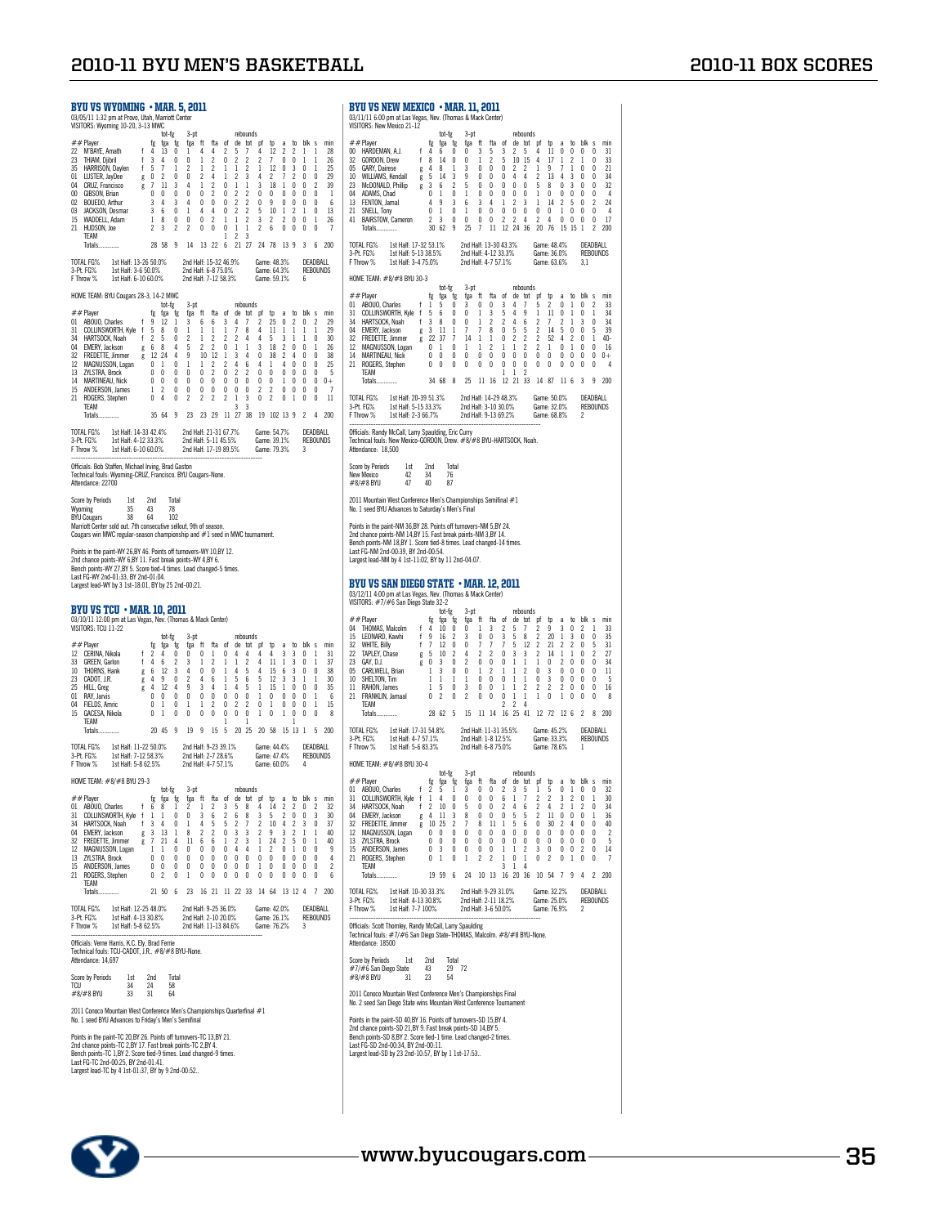#### BYU vs wyoming • mar. 5, 2011 03/05/11 1:32 pm at Provo, Utah, Marriott Center VISITORS: Wyoming 10-20, 3-13 MWC ##Player to tot-fg 3-pt the rebounds<br>22 MYBAYE, Amadh f 4 13 0 1 4 4 2 5 7 4 12 2 2 1 1 228<br>23 THIAM, Djibini f 3 4 0 0 1 2 0 2 2 2 7 0 0 1 1 26<br>35 HARRISON, Daylen f 5 7 1 2 1 2 1 1 2 1 12 0 3 0 1 25<br>35 HARRISON, Daylen f 15 WADDELL, Adam 1 8 0 0 0 2 1 1 2 3 2 2 0 0 1 26<br>11 MUDSON, Joe 2 3 2 2 0 0 0 1 1 2 6 0 0 0 0 7<br>1 2 3 1 1 2 3 2 2 0 1 2 3 2 3 2 2 2 2 2 2 2 3 3 9 3 6 200 TOTAL FG% 1st Half: 13-26 50.0% 2nd Half: 15-32 46.9% Game: 48.3% DEADBALL<br>3-Pt. FG% 1st Half: 5-6 50.0% 2nd Half: 6-8 75.0% Game: 64.3% REBOUNDS<br>FThrow %1st Half: 6-10 60.0% 2nd Half: 7-12 58.3% Game: 59.1% 6 HOME TEAM: BYU Cougars 28-3, 14-2 MWC tot-fg 3-pt rebounds ##Player fg fga fg fga ft fta of de tot pf tp a to blk s min 01 ABOUO, Charles f 9 12 1 3 6 6 3 4 7 2 25 0 2 0 2 29 31 COLLINSWORTH, Kyle f 5 8 0 1 1 1 1 7 8 4 11 1 1 1 1 29 34 HARTSOCK, Noah f 2 5 0 2 1 2 2 2 4 4 5 3 1 1 0 30 04 EMERY, Jackson g 6 8 4 5 2 2 0 1 1 3 18 2 0 0 1 26 32 FREDETTE, Jimmer g 12 24 4 9 10 12 1 3 4 0 38 2 4 0 0 38 12 MAGNUSSON, Logan 0 1 0 1 1 2 2 4 6 4 1 4 0 0 0 25 13 ZYLSTRA, Brock 0 0 0 0 0 2 0 2 2 0 0 0 0 0 0 5 14 MARTINEAU, Nick 0 0 0 0 0 0 0 0 0 0 0 1 0 0 0 0+ 15 ANDERSON, James 1 2 0 0 0 0 0 0 0 2 2 0 0 0 0 7 21 ROGERS, Stephen 0 4 0 2 2 2 2 1 3 0 2 0 1 0 0 11 TEAM 3 3 Totals.............. 35 64 9 23 23 29 11 27 38 19 102 13 9 2 4 200 TOTAL FG% 1.st Half: 14-33 42.4% 2nd Half: 21-31 67.7% Game: 54.7% DEADBALL<br>3-Pt. FG% 1.st Half: 4-12 33.3% 2nd Half: 5-11 45.5% Game: 39.1% REBOUNDS<br>FThrow %1st Half: 6-10 60.0% 2nd Half: 17-19 89.5% Game: 79.3% 3 -------------------------------------------------------------------------------- Officials: Bob Staffen, Michael Irving, Brad Gaston Technical fouls: Wyoming-CRUZ, Francisco. BYU Cougars-None. Attendance: 22700 Score by Periods 1st 2nd Total Wyoming 35 43 78 BYU Cougars 38 64 102 Marriott Center sold out. 7th consecutive sellout, 9th of season. Cougars win MWC regular-season championship and #1 seed in MWC tournament. Points in the paint-WY 26,BY 46. Points off turnovers-WY 10,BY 12.<br>2nd chance points-WY 6,BY 11. Fast break points-WY 4,BY 6.<br>Bench points-WY 27,BY 5. Score tied-4 times. Lead changed-5 times.<br>Last FG-WY 2nd-01:33, BY 2nd-Largest lead-WY by 3 1st-18:01, BY by 25 2nd-00:21. **BYU VS TCU • MAR. 10, 2011**<br>03/10/11 12:00 pm at Las Vegas, Nev. (Thomas & Mack Center) 03/10/11 12:00 pm at Las Vegas, Nev. (Thomas & Mack Center) VISITORS: TCU 11-22 tot-fg 3-pt rebounds ##Player fg fga fg fga ft fta of de tot pf tp a to blk s min 12 CERINA, Nikola f 2 4 0 0 0 1 0 4 4 4 4 3 3 0 1 31 33 GREEN, Garlon f 4 6 2 3 1 2 1 1 2 4 11 1 3 0 1 37 10 THORNS, Hank g 6 12 3 4 0 0 1 4 5 4 15 6 3 0 0 38 23 CADOT, J.R. g 4 9 0 2 4 6 1 5 6 5 12 3 3 1 1 30 25 HILL, Greg g 4 12 4 9 3 4 1 4 5 1 15 1 0 0 0 35 01 RAY, Jarvis 0 0 0 0 0 0 0 0 0 1 0 0 0 0 1 6 04 FIELDS, Amric 0 1 0 1 1 2 0 2 2 0 1 0 0 0 1 15 15 GACESA, Nikola 0 1 0 0 0 0 0 0 0 1 0 1 0 0 0 8 TEAM 1 1 1 Totals.............. 20 45 9 19 9 15 5 20 25 20 58 15 13 1 5 200 TOTAL FG% 1st Half: 11-22 50.0% 2nd Half: 9-23 39.1% Game: 44.4% DEADBALL<br>3-Pt. FG% 1st Half: 5-12 58.3% 2nd Half: 2-7 28.6% Game: 47.4% REBOUNDS<br>FThrow %1st Half: 5-8 62.5% 2nd Half: 4-7 57.1% Game: 60.0% 4 HOME TEAM: #8/#8 BYU 29-3 tot-fg 3-pt rebounds<br>##Player fg fga fg figa ft fta of de tot pf tp a to blk s min<br>01 ABOUO,Charles f 6 8 1 2 1 2 3 5 8 4 14 2 2 0 2 32 01 ABOULY/SWORTH, Kyle f 1 0 0 1 2 1 2 3 0 3 3 3 3 3 3 3 3 4 1 4 4 5 2 6 8 3 5 2 0 0 3 3 3 3 3 4 1 4 4 5 2 6 8 3 5 2 0 0 3 3 3 3 4 1 4 4 5 2 0 0 3 3 3 3 3 3 3 3 3 3 3 3 3 3 4 1 4 5 5 2 7 2 1 1 4 0 1 4 5 5 2 7 2 1 1 4 0 1 4 34 HARTSOCK, Noah f 3 4 0 1 4 5 5 2 7 2 10 4 2 3 0 37 04 EMERY, Jackson g 3 13 1 8 2 2 0 3 3 2 9 3 2 1 1 40 32 FREDETTE, Jimmer g 7 21 4 11 6 6 1 2 3 1 24 2 5 0 1 40<br>12 MAGNUSSON, Logan 1 1 0 0 0 0 0 4 4 1 2 0 1 0 0 0<br>13 ZYLSTRA, Brock 0 0 0 0 0 0 0 0 0 0 0 0 0 0 0 0 15 ANDERSON, James 0 0 0 0 0 0 0 0 0 1 0 0 0 0 0 2 21 ROGERS, Stephen 0 2 0 1 0 0 0 0 0 0 0 0 0 0 0 6 Totals.............. Totals.............. 21 50 6 23 16 21 11 22 33 14 64 13 12 4 7 200 TOTAL FG% 1st Half: 12-25 48.0% 2nd Half: 9-25 36.0% Game: 42.0% DEADBALL 3-Pt. FG% 1st Half: 4-13 30.8% 2nd Half: 2-10 20.0% Game: 26.1% REBOUNDS F Throw % 1st Half: 5-8 62.5% 2nd Half: 11-13 84.6% Game: 76.2% 3 -------------------------------------------------------------------------------- Officials: Verne Harris, K.C. Ely, Brad Ferrie Technical fouls: TCU-CADOT, J.R.. #8/#8 BYU-None. Attendance: 14,697 Score by Periods 1st 2nd Total TCU 34 24 58 #8/#8 BYU 33 31 64 2011 Conoco Mountain West Conference Men's Championships Quarterfinal #1 No. 1 seed BYU Advances to Friday's Men's Semifinal Points in the paint-TC 20,BY 26. Points off turnovers-TC 13,BY 21.<br>2nd chance points-TC 2,BY 17. Fast break points-TC 2,BY 4.<br>Bench points-TC 1,BY 2. Score tied-9 times. Lead changed-9 times.<br>Last FG-TC 2nd-00:25, BY 2nd-0 BYU vs New MExico • mar. 11, 2011 03/11/11 6:00 pm at Las Vegas, Nev. (Thomas & Mack Center) VISITORS: New Mexico 21-12 tot-fg 3-pt rebounds ##Player fg fga fg fga ft fta of de tot pf tp a to blk s min 00 HARDEMAN, A.J. f 4 6 0 0 3 5 3 2 5 4 11 0 0 0 0 31 32 GORDON, Drew f 8 14 0 0 1 2 5 10 15 4 17 1 2 1 0 33 05 GARY, Dairese g 4 8 1 3 0 0 0 2 2 1 9 7 1 0 0 21 10 WILLIAMS, Kendall g 5 14 3 9 0 0 0 4 4 2 13 4 3 0 0 34 23 McDONALD, Phillip g 3 6 2 5 0 0 0 0 0 5 8 0 3 0 0 32 04 ADAMS, Chad 0 1 0 1 0 0 0 0 0 1 0 0 0 0 0 4 13 FENTON, Jamal 4 9 3 6 3 4 1 2 3 1 14 2 5 0 2 24 21 SNELL, Tony 0 1 0 1 0 0 0 0 0 0 0 1 0 0 0 4 41 BAIRSTOW, Cameron 2 3 0 0 0 0 2 2 4 2 4 0 0 0 0 17 Totals.............. 30 62 9 25 7 11 12 24 36 20 76 15 15 1 2 200 TOTAL FG% 1st Half: 17-32 53.1% 2nd Half: 13-30 43.3% Game: 48.4% DEADBALL 3-Pt. FG% 1st Half: 5-13 38.5% 2nd Half: 4-12 33.3% Game: 36.0% REBOUNDS F Throw % 1st Half: 3-4 75.0% 2nd Half: 4-7 57.1% Game: 63.6% 3,1 HOME TEAM: #8/#8 BYU 30-3 ##Player to the 5 pt<br>01 ABOUO, Charles figst grids that the original property figst grids that primary is the 10 ABOUO, Charles fi<br>31 OOLLINSWORTH, Myle f 5 6 0 0 1 0 3 4 7 5 2 0 1 0 2 33<br>34 HARTSOCK, Noah f 3 8 0 0 1 2 2 04 EMERY, Jackson g 3 11 1 7 7 8 0 5 5 2 14 5 0 0 5 39 32 FREDETTE, Jimmer g 22 37 7 14 1 1 0 2 2 2 52 4 2 0 1 40- 12 MAGNUSSON, Logan 0 1 0 1 1 2 1 1 2 2 1 0 1 0 0 16 14 MARTINEAU, Nick 0 0 0 0 0 0 0 0 0 0 0 0 0 0 0 0+ 21 ROGERS, Stephen 0 0 0 0 0 0 0 0 0 0 0 0 0 0 0 4 TEAM 1 1 2 Totals.............. 34 68 8 25 11 16 12 21 33 14 87 11 6 3 9 200 TOTAL FG% 1st Half: 20-39 51.3% 2nd Half: 14-29 48.3% Game: 50.0% DEADBALL 3-Pt. FG% 1st Half: 5-15 33.3% 2nd Half: 3-10 30.0% Game: 32.0% REBOUNDS F Throw % 1st Half: 2-3 66.7% 2nd Half: 9-13 69.2% Game: 68.8% 2 -------------------------------------------------------------------------------- Officials: Randy McCall, Larry Spaulding, Eric Curry Technical fouls: New Mexico-GORDON, Drew. #8/#8 BYU-HARTSOCK, Noah. Attendance: 18,500 Score by Periods 1st 2nd Total<br>New Mexico 42 34 76 New Mexico 42 34 76 #8/#8 BYU 47 40 87 2011 Mountain West Conference Men's Championships Semifinal #1 No. 1 seed BYU Advances to Saturday's Men's Final Points in the paint-NM 36,BY 28. Points off turnovers-NM 5,BY 24.<br>2nd chance points-NM 14,BY 15. Fast break points-NM 3,BY 14.<br>Bench points-NM 18,BY 1. Score tied-8 times. Lead changed-14 times.<br>Last FG-NM 2nd-00:39, BY 2n Largest lead-NM by 4 1st-11:02, BY by 11 2nd-04:07. BYU vs san diego state • mar. 12, 2011 03/12/11 4:00 pm at Las Vegas, Nev. (Thomas & Mack Center) VISITORS: #7/#6 San Diego State 32-2 tot-fg 3-pt rebounds ##Player fg fga fg fga ft fta of de tot pf tp a to blk s min 04 THOMAS, Malcolm f 4 10 0 0 1 3 2 5 7 2 9 3 0 2 1 33 15 LEONARD, Kawhi f 9 16 2 3 0 0 3 5 8 2 20 1 3 0 0 35 32 WHITE, Billy f 7 12 0 0 7 7 7 5 12 2 21 2 2 0 5 31 22 TAPLEY, Chase g 5 10 2 4 2 2 0 3 3 2 14 1 1 0 2 27 23 GAY, D.J. g 0 3 0 2 0 0 0 1 1 1 0 2 0 0 0 34 05 CARLWELL, Brian 1 3 0 0 1 2 1 1 2 0 3 0 0 0 0 11 10 SHELTON, Tim 1 1 1 1 0 0 0 1 1 0 3 0 0 0 0 5 11 RAHON, James 1 5 0 3 0 0 1 1 2 2 2 2 0 0 0 16  $\begin{array}{cccccccccccccccc} 23 & \text{GAV}, \text{D.J.} & & & 8 & 0 & 3 & 0 & 2 & 0 & 0 & 0 & 1 & 1 & 1 & 0 & 2 & 0 & 0 & 0 & 34 \\ \text{70} & \text{GAV,WEL}, \text{Drian} & & & 1 & 3 & 0 & 0 & 1 & 2 & 1 & 1 & 2 & 0 & 3 & 0 & 0 & 0 & 1 \\ \text{10} & \text{SEELVOW, Lim} & & & 1 & 1 & 1 & 1 & 0 & 0 & 0 & 1 & 1 & 0 & 3 & 0 & 0 & 0 & 0 & 5 \\$ TEAM 2 2 4 Totals.............. 28 62 5 15 11 14 16 25 41 12 72 12 6 2 8 200 TOTAL FG% 1st Half: 17-31 54.8% 2nd Half: 11-31 35.5% Game: 45.2% DEADBALL 3-Pt. FG% 1st Half: 4-7 57.1% 2nd Half: 1-8 12.5% Game: 33.3% REBOUNDS F Throw % 1st Half: 5-6 83.3% 2nd Half: 6-8 75.0% Game: 78.6% 1 HOME TEAM: #8/#8 BYU 30-4 tot-fg 3-pt rebounds<br>http a to blk s min# fg fga fg fga ft fta of de tot pf tp a to blk s min# 01 ABOUO, Charles f 2 5 1 3 0 0 2 3 5 1 5 0 1 0 0 32<br>31 COLLINSWORTH, Kyle f 1 4 0 0 0 0 6 1 7 2 2 3 2 0 1 30<br>34 HARTSOCK, Noah f 2 10 0 5 0 0 2 4 6 2 4 2 1 2 0 34 04 EMERY, Jackson g 4 11 3 8 0 0 0 5 5 2 11 0 0 0 1 36 32 FREDETTE, Jimmer g 10 25 2 7 8 11 1 5 6 0 30 2 4 0 0 40 12 MAGNUSSON, Logan 0 0 0 0 0 0 0 0 0 0 0 0 0 0 0 0<br>13 ZYLSTRA, Brock 0 0 0 0 0 0 0 0 0 0 0 0 0 0 0 0 0<br>15 ANDERSON, Stames 0 0 0 0 1 0 1 0 2 3 0 0 0 2 0 14<br>21 ROGERS, Stephen 0 1 0 1 2 2 1 0 1 0 2 0 1 0 0 7 TEAM 3 1 4 Totals.............. 19 59 6 24 10 13 16 20 36 10 54 7 9 4 2 200 TOTAL FG% 1st Half: 10-30 33.3% 2nd Half: 9-29 31.0% Game: 32.2% DEADBALL<br>3-Pt FG% 1st Half: 4-13 30.8% 2nd Half: 2-11 18.2% Game: 25.0% REBOUNDS<br>F Throw % 1st Half: 7-7 100% 2nd Half: 3-6 50.0% Game: 76.9% 2 3-Pt. FG% 1st Half: 4-13 30.8% 2nd Half: 2-11 18.2% Game: 25.0% REBOUNDS F Throw % 1st Half: 7-7 100% 2nd Half: 3-6 50.0% Game: 76.9% 2 -------------------------------------------------------------------------------- Officials: Scott Thornley, Randy McCall, Larry Spaulding Technical fouls: #7/#6 San Diego State-THOMAS, Malcolm. #8/#8 BYU-None. Attendance: 18500 Score by Periods 1st 2nd Total #7/#6 San Diego State 43 29 72 #8/#8 BYU 31 23 54 2011 Conoco Mountain West Conference Men's Championships Final No. 2 seed San Diego State wins Mountain West Conference Tournament Points in the paint-SD 40, BY 16. Points off turnovers-SD 15, BY 4. 2nd chance points-SD 21,BY 9. Fast break points-SD 14,BY 5. Bench points-SD 8,BY 2. Score tied-1 time. Lead changed-2 times. Last FG-SD 2nd-00:34, BY 2nd-00:11. Largest lead-SD by 23 2nd-10:57, BY by 1 1st-17:53..

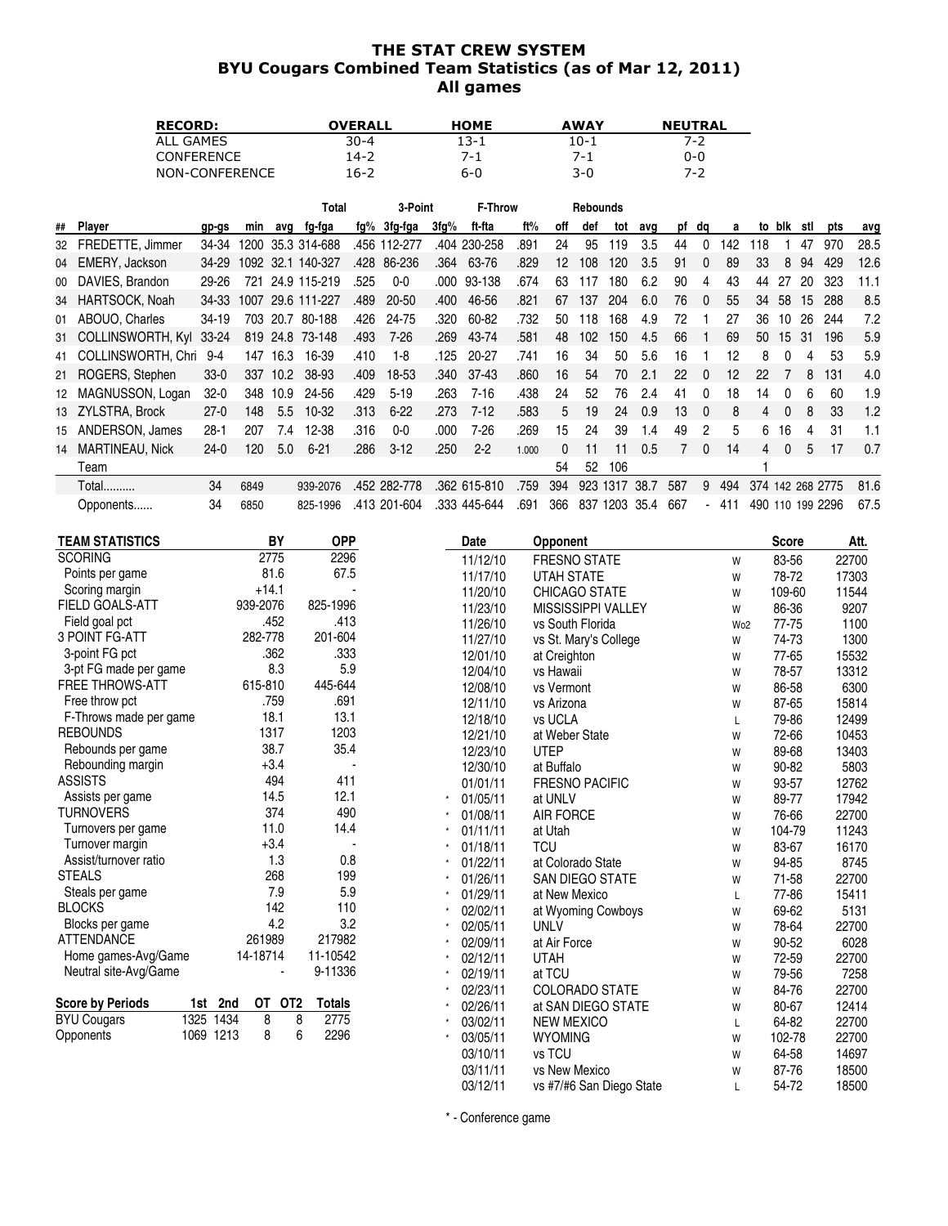## THE STAT CREW SYSTEM BYU Cougars Combined Team Statistics (as of Mar 12, 2011) All games

| <b>RECORD:</b>    | OVERALL  | <b>HOME</b> | <b>AWAY</b> | <b>NEUTRAL</b> |
|-------------------|----------|-------------|-------------|----------------|
| ALL GAMES         | $30 - 4$ | 13-1        | 10-1        | 7-2            |
| <b>CONFERENCE</b> | 14-2     | 7-1         | 7-1         | 0-0            |
| NON-CONFERENCE    | 16-2     | 6-0         | 3-0         | 7-7            |

|    |                           |           |      |          | Total             |      | 3-Point      |      | F-Throw      |       |                   | Rebounds         |               |      |     |          |       |                  |              |     |              |      |
|----|---------------------------|-----------|------|----------|-------------------|------|--------------|------|--------------|-------|-------------------|------------------|---------------|------|-----|----------|-------|------------------|--------------|-----|--------------|------|
| ## | Player                    | gp-gs     | min  | avq      | fg-fga            | fg%  | 3fg-fga      | 3fq% | ft-fta       | ft%   | off               | def              | tot           | avq  | рf  | da       | a     | to               | blk          | stl | pts          | avg  |
| 32 | FREDETTE, Jimmer          | 34-34     | 1200 |          | 35.3 314-688      |      | .456 112-277 |      | .404 230-258 | .891  | 24                | 95               | 119           | 3.5  | 44  | 0        | 142   | 18               |              | 47  | 970          | 28.5 |
| 04 | EMERY, Jackson            | 34-29     |      |          | 1092 32.1 140-327 | .428 | 86-236       | .364 | 63-76        | .829  | $12 \overline{ }$ | 108              | 120           | 3.5  | 91  | $\Omega$ | 89    | 33               | 8            | 94  | 429          | 12.6 |
| 00 | DAVIES, Brandon           | 29-26     |      |          | 721 24.9 115-219  | .525 | $0 - 0$      |      | .000 93-138  | .674  | 63                | 117              | 180           | 6.2  | 90  | 4        | 43    | 44               | 27           | 20  | 323          | 11.1 |
|    | 34 HARTSOCK, Noah         | 34-33     | 1007 |          | 29.6 111-227      | .489 | 20-50        | .400 | 46-56        | .821  | 67                | 137              | 204           | 6.0  | 76  | $\Omega$ | 55    | 34               | 58           | 15  | 288          | 8.5  |
| 01 | ABOUO, Charles            | $34 - 19$ | 703  | 20.7     | 80-188            | .426 | 24-75        | .320 | 60-82        | .732  | 50                | 118              | 168           | 4.9  | 72  |          | 27    | 36               | 10           | 26  | 244          | 7.2  |
|    | 31 COLLINSWORTH, Kyl      | 33-24     |      |          | 819 24.8 73-148   | .493 | $7 - 26$     | .269 | 43-74        | .581  | 48                | 102 <sub>2</sub> | 150           | 4.5  | 66  |          | 69    | 50               | 15           | -31 | 196          | 5.9  |
|    | 41 COLLINSWORTH, Chri 9-4 |           |      | 147 16.3 | 16-39             | .410 | 1-8          | .125 | 20-27        | .741  | 16                | 34               | 50            | 5.6  | 16  |          | 12    | 8                |              | 4   | 53           | 5.9  |
|    | 21 ROGERS, Stephen        | $33-0$    | 337  | 10.2     | 38-93             | .409 | 18-53        | .340 | 37-43        | .860  | 16                | 54               | 70            | 2.1  | 22  | $\Omega$ | 12    | 22               |              | 8   | 131          | 4.0  |
|    | 12 MAGNUSSON, Logan       | $32 - 0$  | 348  | 10.9     | 24-56             | .429 | $5 - 19$     | .263 | 7-16         | .438  | 24                | 52               | 76            | 2.4  | 41  | $\Omega$ | 18    | 14               |              | 6   | 60           | 1.9  |
|    | 13 ZYLSTRA, Brock         | $27-0$    | 148  | 5.5      | $10-32$           | .313 | $6 - 22$     | .273 | $7-12$       | .583  | 5.                | 19               | 24            | 0.9  | 13  | $\Omega$ | 8     | 4                |              | 8   | 33           | 1.2  |
| 15 | ANDERSON, James           | $28 - 1$  | 207  | 7.4      | 12-38             | .316 | 0-0          | .000 | 7-26         | .269  | 15                | 24               | 39            | 1.4  | 49  | 2        | 5     | 6                | 16           | 4   | 31           | 1.1  |
|    | 14 MARTINEAU, Nick        | $24-0$    | 120  | 5.0      | $6 - 21$          | .286 | $3-12$       | .250 | $2 - 2$      | 1.000 | 0                 | 11               | 11            | 0.5  |     | $\Omega$ | 14    | 4                | $\mathbf{0}$ | 5   | 17           | 0.7  |
|    | Team                      |           |      |          |                   |      |              |      |              |       | 54                | 52               | 106           |      |     |          |       |                  |              |     |              |      |
|    | <b>Total</b>              | 34        | 6849 |          | 939-2076          |      | .452 282-778 |      | .362 615-810 | .759  | 394               | 923              | 1317          | 38.7 | 587 | 9        | 494   | 374              |              |     | 142 268 2775 | 81.6 |
|    | Opponents                 | 34        | 6850 |          | 825-1996          |      | .413 201-604 |      | .333 445-644 | .691  | 366               |                  | 837 1203 35.4 |      | 667 |          | - 411 | 490 110 199 2296 |              |     |              | 67.5 |

| <b>TEAM STATISTICS</b>  | BY                | <b>OPP</b>    | Date     | <b>Opponent</b>           |                 | <b>Score</b> | Att.  |
|-------------------------|-------------------|---------------|----------|---------------------------|-----------------|--------------|-------|
| <b>SCORING</b>          | 2775              | 2296          | 11/12/10 | <b>FRESNO STATE</b>       | W               | 83-56        | 22700 |
| Points per game         | 81.6              | 67.5          | 11/17/10 | <b>UTAH STATE</b>         | W               | 78-72        | 17303 |
| Scoring margin          | $+14.1$           |               | 11/20/10 | <b>CHICAGO STATE</b>      | W               | 109-60       | 11544 |
| <b>FIELD GOALS-ATT</b>  | 939-2076          | 825-1996      | 11/23/10 | <b>MISSISSIPPI VALLEY</b> | W               | 86-36        | 9207  |
| Field goal pct          | .452              | .413          | 11/26/10 | vs South Florida          | Wo <sub>2</sub> | 77-75        | 1100  |
| <b>3 POINT FG-ATT</b>   | 282-778           | 201-604       | 11/27/10 | vs St. Mary's College     | W               | 74-73        | 1300  |
| 3-point FG pct          | .362              | .333          | 12/01/10 | at Creighton              | W               | 77-65        | 15532 |
| 3-pt FG made per game   | 8.3               | 5.9           | 12/04/10 | vs Hawaii                 | W               | 78-57        | 13312 |
| <b>FREE THROWS-ATT</b>  | 615-810           | 445-644       | 12/08/10 | vs Vermont                | W               | 86-58        | 6300  |
| Free throw pct          | .759              | .691          | 12/11/10 | vs Arizona                | W               | 87-65        | 15814 |
| F-Throws made per game  | 18.1              | 13.1          | 12/18/10 | vs UCLA                   | L               | 79-86        | 12499 |
| <b>REBOUNDS</b>         | 1317              | 1203          | 12/21/10 | at Weber State            | W               | 72-66        | 10453 |
| Rebounds per game       | 38.7              | 35.4          | 12/23/10 | <b>UTEP</b>               | W               | 89-68        | 13403 |
| Rebounding margin       | $+3.4$            |               | 12/30/10 | at Buffalo                | W               | 90-82        | 5803  |
| <b>ASSISTS</b>          | 494               | 411           | 01/01/11 | <b>FRESNO PACIFIC</b>     | W               | 93-57        | 12762 |
| Assists per game        | 14.5              | 12.1          | 01/05/11 | at UNLV                   | W               | 89-77        | 17942 |
| <b>TURNOVERS</b>        | 374               | 490           | 01/08/11 | <b>AIR FORCE</b>          | W               | 76-66        | 22700 |
| Turnovers per game      | 11.0              | 14.4          | 01/11/11 | at Utah                   | W               | 104-79       | 11243 |
| Turnover margin         | $+3.4$            |               | 01/18/11 | <b>TCU</b>                | W               | 83-67        | 16170 |
| Assist/turnover ratio   | 1.3               | 0.8           | 01/22/11 | at Colorado State         | W               | 94-85        | 8745  |
| <b>STEALS</b>           | 268               | 199           | 01/26/11 | <b>SAN DIEGO STATE</b>    | W               | 71-58        | 22700 |
| Steals per game         | 7.9               | 5.9           | 01/29/11 | at New Mexico             | L               | 77-86        | 15411 |
| <b>BLOCKS</b>           | 142               | 110           | 02/02/11 | at Wyoming Cowboys        | W               | 69-62        | 5131  |
| Blocks per game         | 4.2               | 3.2           | 02/05/11 | <b>UNLV</b>               | W               | 78-64        | 22700 |
| <b>ATTENDANCE</b>       | 261989            | 217982        | 02/09/11 | at Air Force              | W               | 90-52        | 6028  |
| Home games-Avg/Game     | 14-18714          | 11-10542      | 02/12/11 | <b>UTAH</b>               | W               | 72-59        | 22700 |
| Neutral site-Avg/Game   |                   | 9-11336       | 02/19/11 | at TCU                    | W               | 79-56        | 7258  |
|                         |                   |               | 02/23/11 | <b>COLORADO STATE</b>     | W               | 84-76        | 22700 |
| <b>Score by Periods</b> | OT OT2<br>1st 2nd | <b>Totals</b> | 02/26/11 | at SAN DIEGO STATE        | W               | 80-67        | 12414 |
| <b>BYU Cougars</b>      | 1325 1434<br>8    | 2775<br>8     | 03/02/11 | <b>NEW MEXICO</b>         | L               | 64-82        | 22700 |
| Opponents               | 1069 1213<br>8    | 6<br>2296     | 03/05/11 | <b>WYOMING</b>            | W               | 102-78       | 22700 |
|                         |                   |               | 03/10/11 | vs TCU                    | W               | 64-58        | 14697 |
|                         |                   |               | 03/11/11 | vs New Mexico             | W               | 87-76        | 18500 |
|                         |                   |               | 03/12/11 | vs #7/#6 San Diego State  | L               | 54-72        | 18500 |

\* - Conference game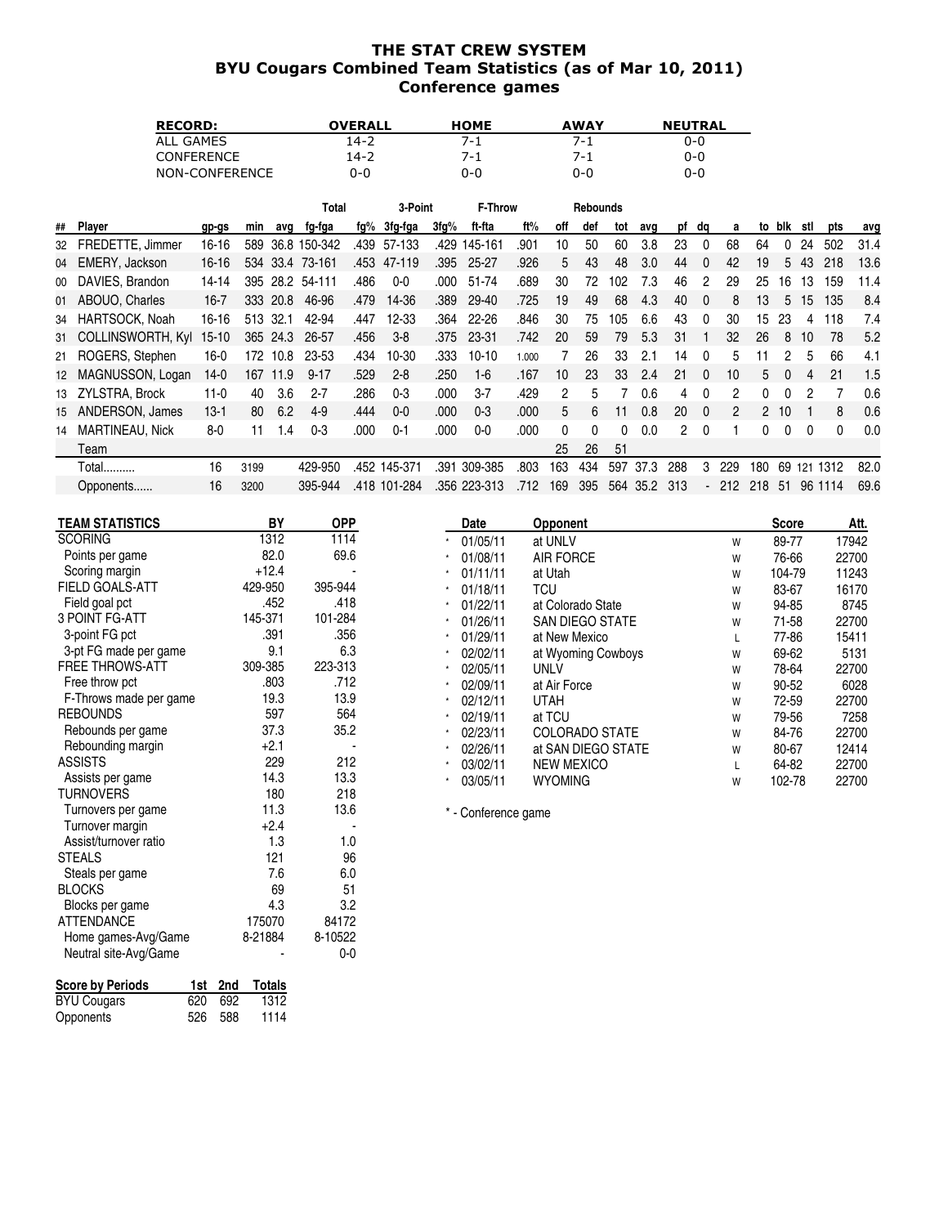## THE STAT CREW SYSTEM BYU Cougars Combined Team Statistics (as of Mar 10, 2011) Conference games

| <b>RECORD:</b>    | OVERALL | <b>HOME</b> | <b>AWAY</b> | <b>NEUTRAL</b> |
|-------------------|---------|-------------|-------------|----------------|
| ALL GAMES         | 14-2    | 7-1         | 7-1         | 0-0            |
| <b>CONFERENCE</b> | 14-2    | 7-1         | 7-1         | $0 - 0$        |
| NON-CONFERENCE    | 0-0     | 0-0         | 0-0         | 0-0            |

|    |                          |           |      |          | Total           |      | 3-Point      |      | <b>F-Throw</b> |       |     | <b>Rebounds</b> |     |      |               |              |                |     |              |     |          |      |
|----|--------------------------|-----------|------|----------|-----------------|------|--------------|------|----------------|-------|-----|-----------------|-----|------|---------------|--------------|----------------|-----|--------------|-----|----------|------|
| ## | Player                   | gp-gs     | min  | avq      | fg-fga          | fg%  | 3fg-fga      | 3fg% | ft-fta         | ft%   | off | def             | tot | avq  | pf            | dq           | a              | to  | blk          | stl | pts      | avg  |
| 32 | FREDETTE, Jimmer         | 16-16     | 589  |          | 36.8 150-342    | .439 | 57-133       | .429 | 145-161        | .901  | 10  | 50              | 60  | 3.8  | 23            | 0            | 68             | 64  | 0            | 24  | 502      | 31.4 |
|    | 04 EMERY, Jackson        | $16 - 16$ |      |          | 534 33.4 73-161 | .453 | 47-119       | .395 | 25-27          | .926  | 5   | 43              | 48  | 3.0  | 44            | $\theta$     | 42             | 19  | 5            | 43  | 218      | 13.6 |
| 00 | DAVIES, Brandon          | 14-14     | 395  | 28.2     | 54-111          | .486 | $0 - 0$      | .000 | 51-74          | .689  | 30  | 72              | 102 | 7.3  | 46            |              | 29             | 25  | 16           | 13  | 159      | 11.4 |
|    | 01 ABOUO, Charles        | $16 - 7$  | 333  | 20.8     | 46-96           | .479 | 14-36        | .389 | 29-40          | .725  | 19  | 49              | 68  | 4.3  | 40            | $\Omega$     | 8              | 13  | 5            | 15  | 135      | 8.4  |
| 34 | HARTSOCK, Noah           | $16 - 16$ |      | 513 32.1 | 42-94           | .447 | 12-33        | .364 | 22-26          | .846  | 30  | 75              | 105 | 6.6  | 43            | $\Omega$     | 30             | 15  | 23           | 4   | 118      | 7.4  |
| 31 | <b>COLLINSWORTH, Kyl</b> | $15 - 10$ | 365  | 24.3     | 26-57           | .456 | $3 - 8$      | .375 | 23-31          | .742  | 20  | 59              | 79  | 5.3  | 31            |              | 32             | 26  | 8            | 10  | 78       | 5.2  |
| 21 | ROGERS, Stephen          | $16-0$    | 172  | 10.8     | 23-53           | .434 | 10-30        | .333 | $10-10$        | 1.000 |     | 26              | 33  | 2.1  | 14            | $\Omega$     | 5              |     | 2            | 5   | 66       | 4.1  |
| 12 | MAGNUSSON, Logan         | $14-0$    | 167  | 11.9     | $9 - 17$        | .529 | $2 - 8$      | .250 | $1 - 6$        | .167  | 10  | 23              | 33  | 2.4  | 21            | $\Omega$     | 10             | 5   | 0            | 4   | 21       | 1.5  |
|    | 13 ZYLSTRA, Brock        | $11-0$    | 40   | 3.6      | $2 - 7$         | .286 | $0 - 3$      | .000 | $3 - 7$        | .429  | 2   | 5               |     | 0.6  | 4             | 0            | 2              | 0   | <sup>0</sup> | 2   |          | 0.6  |
| 15 | ANDERSON, James          | $13-1$    | 80   | 6.2      | $4-9$           | .444 | $0-0$        | .000 | $0 - 3$        | .000  | 5   | 6.              | 11  | 0.8  | 20            | $\mathbf{0}$ | $\overline{2}$ | 2   | 10           |     | 8        | 0.6  |
| 14 | <b>MARTINEAU, Nick</b>   | $8-0$     | 11   | .4       | $0 - 3$         | .000 | $0 - 1$      | .000 | $0-0$          | .000  | 0   | $\Omega$        | 0   | 0.0  | $\mathcal{P}$ | $\Omega$     |                | 0   | 0            | 0   | $\Omega$ | 0.0  |
|    | Team                     |           |      |          |                 |      |              |      |                |       | 25  | 26              | 51  |      |               |              |                |     |              |     |          |      |
|    | Total                    | 16        | 3199 |          | 429-950         |      | .452 145-371 | .391 | 309-385        | .803  | 163 | 434             | 597 | 37.3 | 288           | 3            | 229            | 180 | 69           | 121 | 1312     | 82.0 |
|    | Opponents                | 16        | 3200 |          | 395-944         |      | .418 101-284 |      | .356 223-313   | .712  | 169 | 395             | 564 | 35.2 | 313           |              | - 212          | 218 | -51          | 96  | 1114     | 69.6 |

| TEAM STATISTICS        | BY      | <b>OPP</b> | Date                | <b>Opponent</b>        |   | <b>Score</b> | Att.  |
|------------------------|---------|------------|---------------------|------------------------|---|--------------|-------|
| <b>SCORING</b>         | 1312    | 1114       | 01/05/11            | at UNLV                | W | 89-77        | 17942 |
| Points per game        | 82.0    | 69.6       | 01/08/11            | <b>AIR FORCE</b>       | W | 76-66        | 22700 |
| Scoring margin         | $+12.4$ |            | 01/11/11            | at Utah                | W | 104-79       | 11243 |
| FIELD GOALS-ATT        | 429-950 | 395-944    | 01/18/11            | TCU                    | W | 83-67        | 16170 |
| Field goal pct         | .452    | .418       | 01/22/11            | at Colorado State      | W | 94-85        | 8745  |
| 3 POINT FG-ATT         | 145-371 | 101-284    | 01/26/11            | <b>SAN DIEGO STATE</b> | W | 71-58        | 22700 |
| 3-point FG pct         | .391    | .356       | 01/29/11            | at New Mexico          | L | 77-86        | 15411 |
| 3-pt FG made per game  | 9.1     | 6.3        | 02/02/11            | at Wyoming Cowboys     | W | 69-62        | 5131  |
| <b>FREE THROWS-ATT</b> | 309-385 | 223-313    | 02/05/11            | <b>UNLV</b>            | W | 78-64        | 22700 |
| Free throw pct         | .803    | .712       | 02/09/11            | at Air Force           | W | 90-52        | 6028  |
| F-Throws made per game | 19.3    | 13.9       | 02/12/11            | <b>UTAH</b>            | W | 72-59        | 22700 |
| <b>REBOUNDS</b>        | 597     | 564        | 02/19/11            | at TCU                 | W | 79-56        | 7258  |
| Rebounds per game      | 37.3    | 35.2       | 02/23/11            | <b>COLORADO STATE</b>  | W | 84-76        | 22700 |
| Rebounding margin      | $+2.1$  |            | 02/26/11            | at SAN DIEGO STATE     | W | 80-67        | 12414 |
| <b>ASSISTS</b>         | 229     | 212        | 03/02/11            | <b>NEW MEXICO</b>      |   | 64-82        | 22700 |
| Assists per game       | 14.3    | 13.3       | 03/05/11            | <b>WYOMING</b>         | W | 102-78       | 22700 |
| TURNOVERS              | 180     | 218        |                     |                        |   |              |       |
| Turnovers per game     | 11.3    | 13.6       | * - Conference game |                        |   |              |       |
| Turnover margin        | $+2.4$  |            |                     |                        |   |              |       |
| Assist/turnover ratio  | 1.3     | 1.0        |                     |                        |   |              |       |
| <b>STEALS</b>          | 121     | 96         |                     |                        |   |              |       |
| Steals per game        | 7.6     | 6.0        |                     |                        |   |              |       |

| Score by Periods   |         | 1st 2nd Totals |
|--------------------|---------|----------------|
| <b>BYU Cougars</b> | 620 692 | 1312           |
| Opponents          | 526 588 | 1114           |

Steals per game 7.6 6.0<br>BLOCKS 69 51 BLOCKS 69 51<br>Blocks per game 69 52 51 Blocks per game<br>ATTENDANCE 175070 84172 ATTENDANCE 175070 84172<br>Home games-Avg/Game 8-21884 8-10522 Home games-Avg/Game 8-21884 8-10522 Neutral site-Avg/Game  $\sim$  - 0-0